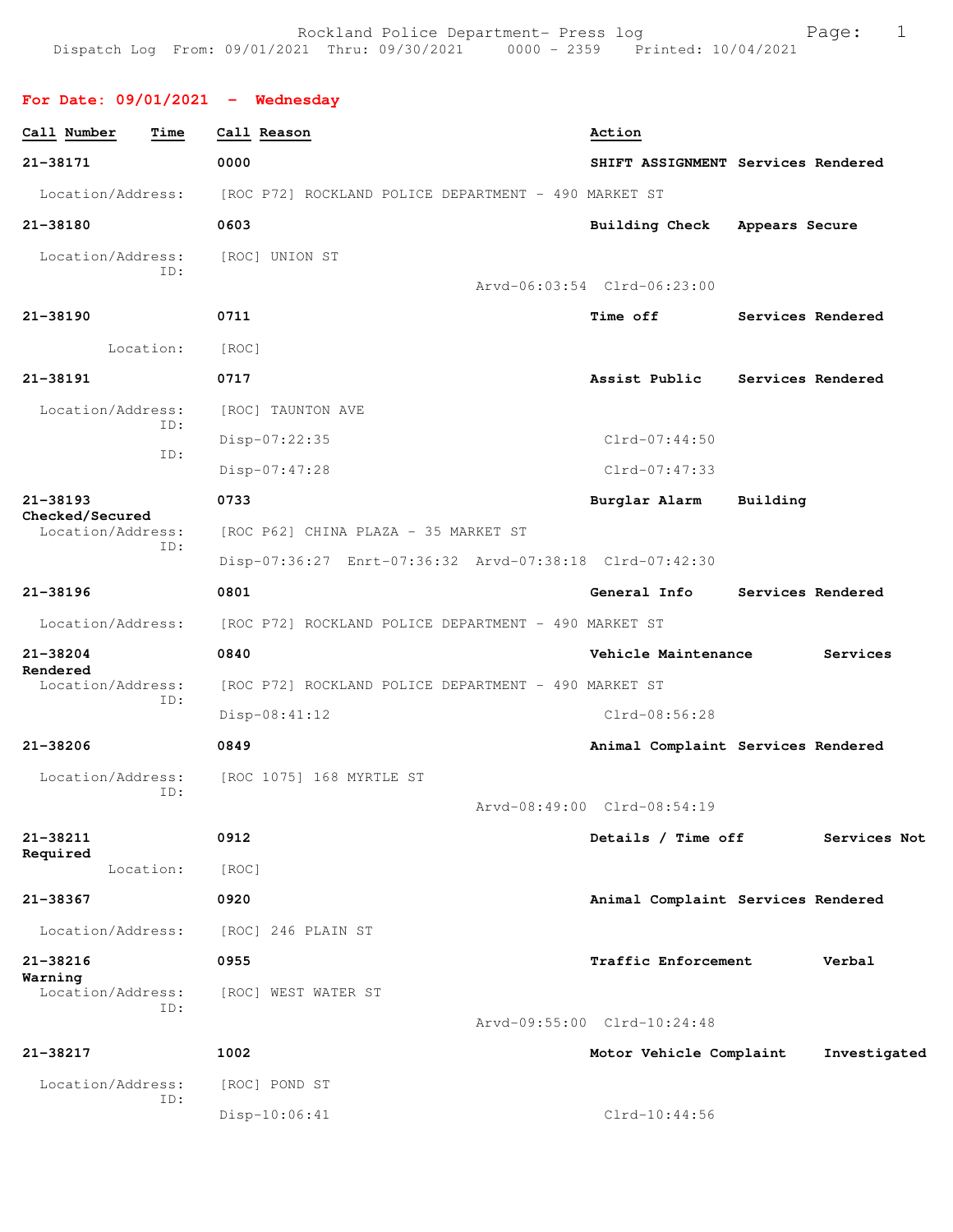**For Date: 09/01/2021 - Wednesday**

| 21-38171<br>0000<br>SHIFT ASSIGNMENT Services Rendered<br>Location/Address:<br>[ROC P72] ROCKLAND POLICE DEPARTMENT - 490 MARKET ST<br>21-38180<br>0603<br>Building Check Appears Secure<br>Location/Address:<br>[ROC] UNION ST<br>ID:<br>Arvd-06:03:54 Clrd-06:23:00<br>21-38190<br>0711<br><b>Time off</b><br>Services Rendered<br>Location:<br>[ROC]<br>21-38191<br>0717<br>Assist Public<br>Services Rendered<br>Location/Address:<br>[ROC] TAUNTON AVE<br>ID:<br>$Clrd-07:44:50$<br>Disp-07:22:35<br>ID:<br>Clrd-07:47:33<br>Disp-07:47:28<br>21-38193<br>0733<br>Burglar Alarm<br>Building<br>Checked/Secured<br>Location/Address:<br>[ROC P62] CHINA PLAZA - 35 MARKET ST<br>ID:<br>Disp-07:36:27 Enrt-07:36:32 Arvd-07:38:18 Clrd-07:42:30<br>21-38196<br>0801<br>General Info<br>Services Rendered<br>Location/Address:<br>[ROC P72] ROCKLAND POLICE DEPARTMENT - 490 MARKET ST<br>21-38204<br>0840<br>Vehicle Maintenance<br>Services<br>Rendered<br>Location/Address:<br>[ROC P72] ROCKLAND POLICE DEPARTMENT - 490 MARKET ST<br>ID:<br>$Disp-08:41:12$<br>$Clrd-08:56:28$<br>$21 - 38206$<br>0849<br>Animal Complaint Services Rendered<br>Location/Address:<br>[ROC 1075] 168 MYRTLE ST<br>ID:<br>Arvd-08:49:00 Clrd-08:54:19<br>21-38211<br>0912<br>Details / Time off<br>Services Not<br>Required<br>Location:<br>[ROC]<br>21-38367<br>0920<br>Animal Complaint Services Rendered<br>Location/Address:<br>[ROC] 246 PLAIN ST<br>21-38216<br>0955<br>Traffic Enforcement<br>Verbal<br>Warning<br>Location/Address:<br>[ROC] WEST WATER ST<br>ID:<br>Arvd-09:55:00 Clrd-10:24:48<br>21-38217<br>1002<br>Motor Vehicle Complaint<br>Investigated<br>Location/Address:<br>[ROC] POND ST<br>ID:<br>Disp-10:06:41<br>$Clrd-10:44:56$ | Call Number<br>Time | Call Reason | Action |
|-----------------------------------------------------------------------------------------------------------------------------------------------------------------------------------------------------------------------------------------------------------------------------------------------------------------------------------------------------------------------------------------------------------------------------------------------------------------------------------------------------------------------------------------------------------------------------------------------------------------------------------------------------------------------------------------------------------------------------------------------------------------------------------------------------------------------------------------------------------------------------------------------------------------------------------------------------------------------------------------------------------------------------------------------------------------------------------------------------------------------------------------------------------------------------------------------------------------------------------------------------------------------------------------------------------------------------------------------------------------------------------------------------------------------------------------------------------------------------------------------------------------------------------------------------------------------------------------------------------------------------------------------------------------------------------------------------------------------------------------------|---------------------|-------------|--------|
|                                                                                                                                                                                                                                                                                                                                                                                                                                                                                                                                                                                                                                                                                                                                                                                                                                                                                                                                                                                                                                                                                                                                                                                                                                                                                                                                                                                                                                                                                                                                                                                                                                                                                                                                               |                     |             |        |
|                                                                                                                                                                                                                                                                                                                                                                                                                                                                                                                                                                                                                                                                                                                                                                                                                                                                                                                                                                                                                                                                                                                                                                                                                                                                                                                                                                                                                                                                                                                                                                                                                                                                                                                                               |                     |             |        |
|                                                                                                                                                                                                                                                                                                                                                                                                                                                                                                                                                                                                                                                                                                                                                                                                                                                                                                                                                                                                                                                                                                                                                                                                                                                                                                                                                                                                                                                                                                                                                                                                                                                                                                                                               |                     |             |        |
|                                                                                                                                                                                                                                                                                                                                                                                                                                                                                                                                                                                                                                                                                                                                                                                                                                                                                                                                                                                                                                                                                                                                                                                                                                                                                                                                                                                                                                                                                                                                                                                                                                                                                                                                               |                     |             |        |
|                                                                                                                                                                                                                                                                                                                                                                                                                                                                                                                                                                                                                                                                                                                                                                                                                                                                                                                                                                                                                                                                                                                                                                                                                                                                                                                                                                                                                                                                                                                                                                                                                                                                                                                                               |                     |             |        |
|                                                                                                                                                                                                                                                                                                                                                                                                                                                                                                                                                                                                                                                                                                                                                                                                                                                                                                                                                                                                                                                                                                                                                                                                                                                                                                                                                                                                                                                                                                                                                                                                                                                                                                                                               |                     |             |        |
|                                                                                                                                                                                                                                                                                                                                                                                                                                                                                                                                                                                                                                                                                                                                                                                                                                                                                                                                                                                                                                                                                                                                                                                                                                                                                                                                                                                                                                                                                                                                                                                                                                                                                                                                               |                     |             |        |
|                                                                                                                                                                                                                                                                                                                                                                                                                                                                                                                                                                                                                                                                                                                                                                                                                                                                                                                                                                                                                                                                                                                                                                                                                                                                                                                                                                                                                                                                                                                                                                                                                                                                                                                                               |                     |             |        |
|                                                                                                                                                                                                                                                                                                                                                                                                                                                                                                                                                                                                                                                                                                                                                                                                                                                                                                                                                                                                                                                                                                                                                                                                                                                                                                                                                                                                                                                                                                                                                                                                                                                                                                                                               |                     |             |        |
|                                                                                                                                                                                                                                                                                                                                                                                                                                                                                                                                                                                                                                                                                                                                                                                                                                                                                                                                                                                                                                                                                                                                                                                                                                                                                                                                                                                                                                                                                                                                                                                                                                                                                                                                               |                     |             |        |
|                                                                                                                                                                                                                                                                                                                                                                                                                                                                                                                                                                                                                                                                                                                                                                                                                                                                                                                                                                                                                                                                                                                                                                                                                                                                                                                                                                                                                                                                                                                                                                                                                                                                                                                                               |                     |             |        |
|                                                                                                                                                                                                                                                                                                                                                                                                                                                                                                                                                                                                                                                                                                                                                                                                                                                                                                                                                                                                                                                                                                                                                                                                                                                                                                                                                                                                                                                                                                                                                                                                                                                                                                                                               |                     |             |        |
|                                                                                                                                                                                                                                                                                                                                                                                                                                                                                                                                                                                                                                                                                                                                                                                                                                                                                                                                                                                                                                                                                                                                                                                                                                                                                                                                                                                                                                                                                                                                                                                                                                                                                                                                               |                     |             |        |
|                                                                                                                                                                                                                                                                                                                                                                                                                                                                                                                                                                                                                                                                                                                                                                                                                                                                                                                                                                                                                                                                                                                                                                                                                                                                                                                                                                                                                                                                                                                                                                                                                                                                                                                                               |                     |             |        |
|                                                                                                                                                                                                                                                                                                                                                                                                                                                                                                                                                                                                                                                                                                                                                                                                                                                                                                                                                                                                                                                                                                                                                                                                                                                                                                                                                                                                                                                                                                                                                                                                                                                                                                                                               |                     |             |        |
|                                                                                                                                                                                                                                                                                                                                                                                                                                                                                                                                                                                                                                                                                                                                                                                                                                                                                                                                                                                                                                                                                                                                                                                                                                                                                                                                                                                                                                                                                                                                                                                                                                                                                                                                               |                     |             |        |
|                                                                                                                                                                                                                                                                                                                                                                                                                                                                                                                                                                                                                                                                                                                                                                                                                                                                                                                                                                                                                                                                                                                                                                                                                                                                                                                                                                                                                                                                                                                                                                                                                                                                                                                                               |                     |             |        |
|                                                                                                                                                                                                                                                                                                                                                                                                                                                                                                                                                                                                                                                                                                                                                                                                                                                                                                                                                                                                                                                                                                                                                                                                                                                                                                                                                                                                                                                                                                                                                                                                                                                                                                                                               |                     |             |        |
|                                                                                                                                                                                                                                                                                                                                                                                                                                                                                                                                                                                                                                                                                                                                                                                                                                                                                                                                                                                                                                                                                                                                                                                                                                                                                                                                                                                                                                                                                                                                                                                                                                                                                                                                               |                     |             |        |
|                                                                                                                                                                                                                                                                                                                                                                                                                                                                                                                                                                                                                                                                                                                                                                                                                                                                                                                                                                                                                                                                                                                                                                                                                                                                                                                                                                                                                                                                                                                                                                                                                                                                                                                                               |                     |             |        |
|                                                                                                                                                                                                                                                                                                                                                                                                                                                                                                                                                                                                                                                                                                                                                                                                                                                                                                                                                                                                                                                                                                                                                                                                                                                                                                                                                                                                                                                                                                                                                                                                                                                                                                                                               |                     |             |        |
|                                                                                                                                                                                                                                                                                                                                                                                                                                                                                                                                                                                                                                                                                                                                                                                                                                                                                                                                                                                                                                                                                                                                                                                                                                                                                                                                                                                                                                                                                                                                                                                                                                                                                                                                               |                     |             |        |
|                                                                                                                                                                                                                                                                                                                                                                                                                                                                                                                                                                                                                                                                                                                                                                                                                                                                                                                                                                                                                                                                                                                                                                                                                                                                                                                                                                                                                                                                                                                                                                                                                                                                                                                                               |                     |             |        |
|                                                                                                                                                                                                                                                                                                                                                                                                                                                                                                                                                                                                                                                                                                                                                                                                                                                                                                                                                                                                                                                                                                                                                                                                                                                                                                                                                                                                                                                                                                                                                                                                                                                                                                                                               |                     |             |        |
|                                                                                                                                                                                                                                                                                                                                                                                                                                                                                                                                                                                                                                                                                                                                                                                                                                                                                                                                                                                                                                                                                                                                                                                                                                                                                                                                                                                                                                                                                                                                                                                                                                                                                                                                               |                     |             |        |
|                                                                                                                                                                                                                                                                                                                                                                                                                                                                                                                                                                                                                                                                                                                                                                                                                                                                                                                                                                                                                                                                                                                                                                                                                                                                                                                                                                                                                                                                                                                                                                                                                                                                                                                                               |                     |             |        |
|                                                                                                                                                                                                                                                                                                                                                                                                                                                                                                                                                                                                                                                                                                                                                                                                                                                                                                                                                                                                                                                                                                                                                                                                                                                                                                                                                                                                                                                                                                                                                                                                                                                                                                                                               |                     |             |        |
|                                                                                                                                                                                                                                                                                                                                                                                                                                                                                                                                                                                                                                                                                                                                                                                                                                                                                                                                                                                                                                                                                                                                                                                                                                                                                                                                                                                                                                                                                                                                                                                                                                                                                                                                               |                     |             |        |
|                                                                                                                                                                                                                                                                                                                                                                                                                                                                                                                                                                                                                                                                                                                                                                                                                                                                                                                                                                                                                                                                                                                                                                                                                                                                                                                                                                                                                                                                                                                                                                                                                                                                                                                                               |                     |             |        |
|                                                                                                                                                                                                                                                                                                                                                                                                                                                                                                                                                                                                                                                                                                                                                                                                                                                                                                                                                                                                                                                                                                                                                                                                                                                                                                                                                                                                                                                                                                                                                                                                                                                                                                                                               |                     |             |        |
|                                                                                                                                                                                                                                                                                                                                                                                                                                                                                                                                                                                                                                                                                                                                                                                                                                                                                                                                                                                                                                                                                                                                                                                                                                                                                                                                                                                                                                                                                                                                                                                                                                                                                                                                               |                     |             |        |
|                                                                                                                                                                                                                                                                                                                                                                                                                                                                                                                                                                                                                                                                                                                                                                                                                                                                                                                                                                                                                                                                                                                                                                                                                                                                                                                                                                                                                                                                                                                                                                                                                                                                                                                                               |                     |             |        |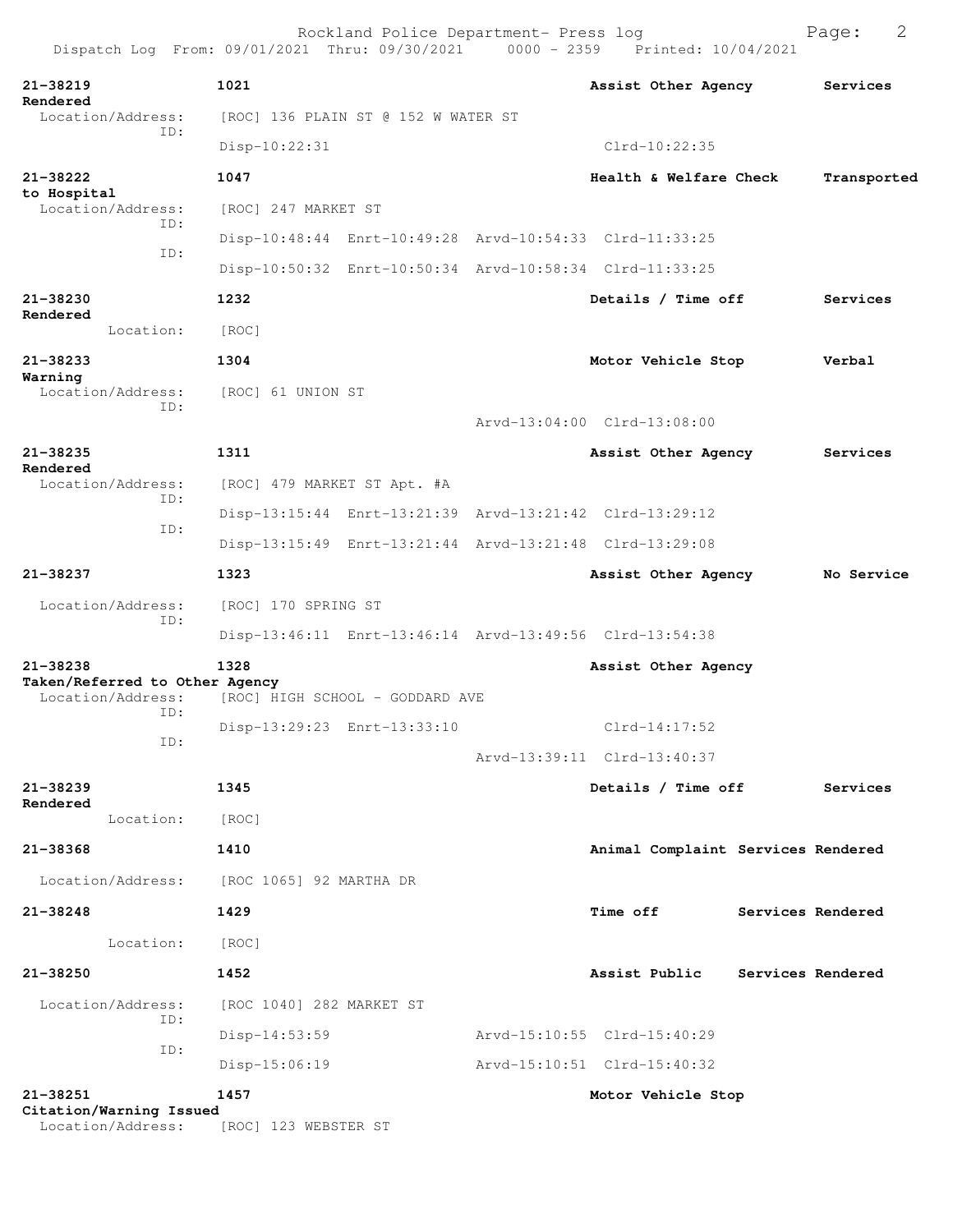| Dispatch Log From: 09/01/2021 Thru: 09/30/2021 0000 - 2359 Printed: 10/04/2021 |                             | Rockland Police Department- Press log |                                                         | 2<br>Page:        |
|--------------------------------------------------------------------------------|-----------------------------|---------------------------------------|---------------------------------------------------------|-------------------|
| 21-38219                                                                       | 1021                        |                                       | Assist Other Agency Services                            |                   |
| Rendered<br>Location/Address:                                                  |                             | [ROC] 136 PLAIN ST @ 152 W WATER ST   |                                                         |                   |
| ID:                                                                            | Disp-10:22:31               |                                       | $Clrd-10:22:35$                                         |                   |
| 21-38222<br>to Hospital                                                        | 1047                        |                                       | Health & Welfare Check                                  | Transported       |
| Location/Address:<br>ID:                                                       | [ROC] 247 MARKET ST         |                                       |                                                         |                   |
| ID:                                                                            |                             |                                       | Disp-10:48:44 Enrt-10:49:28 Arvd-10:54:33 Clrd-11:33:25 |                   |
|                                                                                |                             |                                       | Disp-10:50:32 Enrt-10:50:34 Arvd-10:58:34 Clrd-11:33:25 |                   |
| 21-38230                                                                       | 1232                        |                                       | Details / Time off                                      | Services          |
| Rendered<br>Location:                                                          | [ROC]                       |                                       |                                                         |                   |
| 21-38233                                                                       | 1304                        |                                       | Motor Vehicle Stop                                      | Verbal            |
| Warning<br>Location/Address:                                                   | [ROC] 61 UNION ST           |                                       |                                                         |                   |
| ID:                                                                            |                             |                                       | Arvd-13:04:00 Clrd-13:08:00                             |                   |
| $21 - 38235$                                                                   | 1311                        |                                       | Assist Other Agency                                     | Services          |
| Rendered<br>Location/Address:                                                  | [ROC] 479 MARKET ST Apt. #A |                                       |                                                         |                   |
| ID:<br>ID:                                                                     |                             |                                       | Disp-13:15:44 Enrt-13:21:39 Arvd-13:21:42 Clrd-13:29:12 |                   |
|                                                                                |                             |                                       | Disp-13:15:49 Enrt-13:21:44 Arvd-13:21:48 Clrd-13:29:08 |                   |
| 21-38237                                                                       | 1323                        |                                       | Assist Other Agency                                     | No Service        |
| Location/Address:                                                              | [ROC] 170 SPRING ST         |                                       |                                                         |                   |
| ID:                                                                            |                             |                                       | Disp-13:46:11 Enrt-13:46:14 Arvd-13:49:56 Clrd-13:54:38 |                   |
| 21-38238                                                                       | 1328                        |                                       |                                                         |                   |
| Taken/Referred to Other Agency<br>Location/Address:                            |                             | [ROC] HIGH SCHOOL - GODDARD AVE       | Assist Other Agency                                     |                   |
| ID:                                                                            |                             | Disp-13:29:23 Enrt-13:33:10           | $Clrd-14:17:52$                                         |                   |
| ID:                                                                            |                             |                                       | Arvd-13:39:11 Clrd-13:40:37                             |                   |
| $21 - 38239$                                                                   | 1345                        |                                       | Details / Time off                                      | Services          |
| Rendered<br>Location:                                                          | [ROC]                       |                                       |                                                         |                   |
| 21-38368                                                                       | 1410                        |                                       | Animal Complaint Services Rendered                      |                   |
| Location/Address:                                                              | [ROC 1065] 92 MARTHA DR     |                                       |                                                         |                   |
| $21 - 38248$                                                                   | 1429                        |                                       | <b>Time off</b>                                         | Services Rendered |
| Location:                                                                      | [ROC]                       |                                       |                                                         |                   |
| 21-38250                                                                       | 1452                        |                                       | Assist Public                                           | Services Rendered |
| Location/Address:                                                              | [ROC 1040] 282 MARKET ST    |                                       |                                                         |                   |
| ID:                                                                            | Disp-14:53:59               |                                       | Arvd-15:10:55 Clrd-15:40:29                             |                   |
| ID:                                                                            | $Disp-15:06:19$             |                                       | Arvd-15:10:51 Clrd-15:40:32                             |                   |
| 21-38251                                                                       | 1457                        |                                       | Motor Vehicle Stop                                      |                   |
| Citation/Warning Issued                                                        |                             |                                       |                                                         |                   |
| Location/Address:                                                              | [ROC] 123 WEBSTER ST        |                                       |                                                         |                   |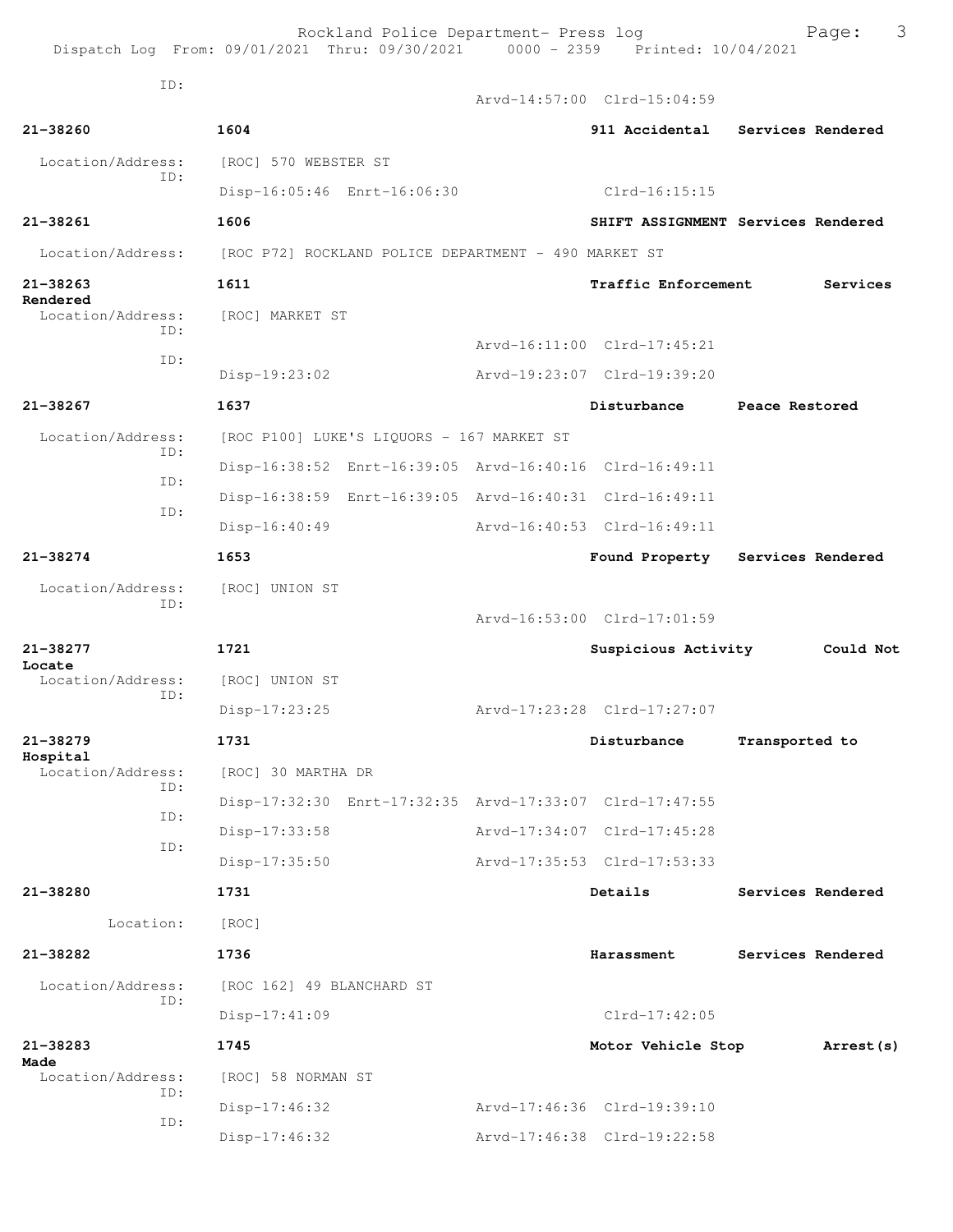Dispatch Log From: 09/01/2021 Thru: 09/30/2021 0000 - 2359 Printed: 10/04/2021 ID: Arvd-14:57:00 Clrd-15:04:59 **21-38260 1604 911 Accidental Services Rendered** Location/Address: [ROC] 570 WEBSTER ST ID: Disp-16:05:46 Enrt-16:06:30 Clrd-16:15:15 **21-38261 1606 SHIFT ASSIGNMENT Services Rendered** Location/Address: [ROC P72] ROCKLAND POLICE DEPARTMENT - 490 MARKET ST **21-38263 1611 Traffic Enforcement Services Rendered**  Location/Address: [ROC] MARKET ST ID: Arvd-16:11:00 Clrd-17:45:21 ID: Disp-19:23:02 Arvd-19:23:07 Clrd-19:39:20 **21-38267 1637 Disturbance Peace Restored** Location/Address: [ROC P100] LUKE'S LIQUORS - 167 MARKET ST ID: Disp-16:38:52 Enrt-16:39:05 Arvd-16:40:16 Clrd-16:49:11 ID: Disp-16:38:59 Enrt-16:39:05 Arvd-16:40:31 Clrd-16:49:11 ID: Disp-16:40:49 Arvd-16:40:53 Clrd-16:49:11 **21-38274 1653 Found Property Services Rendered** Location/Address: [ROC] UNION ST ID: Arvd-16:53:00 Clrd-17:01:59 **21-38277 1721 Suspicious Activity Could Not Locate**  Location/Address: [ROC] UNION ST ID: Disp-17:23:25 Arvd-17:23:28 Clrd-17:27:07 **21-38279 1731 Disturbance Transported to Hospital**  [ROC] 30 MARTHA DR ID: Disp-17:32:30 Enrt-17:32:35 Arvd-17:33:07 Clrd-17:47:55 ID: Disp-17:33:58 Arvd-17:34:07 Clrd-17:45:28 ID: Disp-17:35:50 Arvd-17:35:53 Clrd-17:53:33 **21-38280 1731 Details Services Rendered** Location: [ROC] **21-38282 1736 Harassment Services Rendered** Location/Address: [ROC 162] 49 BLANCHARD ST ID: Disp-17:41:09 Clrd-17:42:05 **21-38283 1745 Motor Vehicle Stop Arrest(s) Made**  [ROC] 58 NORMAN ST ID: Disp-17:46:32 Arvd-17:46:36 Clrd-19:39:10 ID: Disp-17:46:32 Arvd-17:46:38 Clrd-19:22:58

Rockland Police Department- Press log Frank Page: 3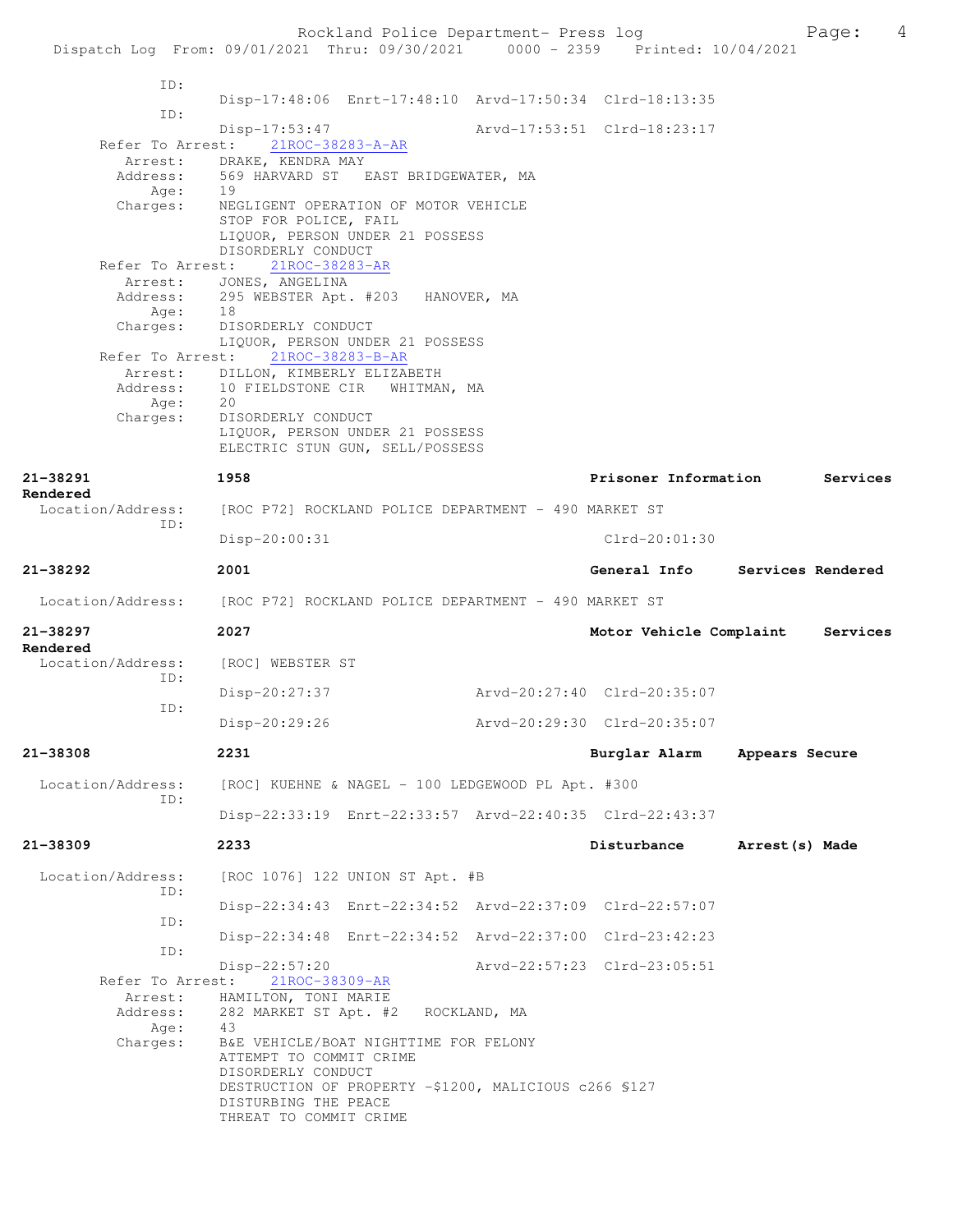Rockland Police Department- Press log Page: 4 Dispatch Log From: 09/01/2021 Thru: 09/30/2021 0000 - 2359 Printed: 10/04/2021 ID: Disp-17:48:06 Enrt-17:48:10 Arvd-17:50:34 Clrd-18:13:35 ID: Disp-17:53:47 Arvd-17:53:51 Clrd-18:23:17 Refer To Arrest: 21ROC-38283-A-AR Arrest: DRAKE, KENDRA MAY Address: 569 HARVARD ST EAST BRIDGEWATER, MA<br>Age: 19 Age: Charges: NEGLIGENT OPERATION OF MOTOR VEHICLE STOP FOR POLICE, FAIL LIQUOR, PERSON UNDER 21 POSSESS DISORDERLY CONDUCT<br>st: 21ROC-38283-AR Refer To Arrest: Arrest: JONES, ANGELINA Address: 295 WEBSTER Apt. #203 HANOVER, MA Age: 18 Charges: DISORDERLY CONDUCT LIQUOR, PERSON UNDER 21 POSSESS<br>Refer To Arrest: 21ROC-38283-B-AR Refer To Arrest: 21ROC-38283-B-AR Arrest: DILLON, KIMBERLY ELIZABETH Address: 10 FIELDSTONE CIR WHITMAN, MA Age: 20 Charges: DISORDERLY CONDUCT LIQUOR, PERSON UNDER 21 POSSESS ELECTRIC STUN GUN, SELL/POSSESS **21-38291 1958 Prisoner Information Services Rendered**  Location/Address: [ROC P72] ROCKLAND POLICE DEPARTMENT - 490 MARKET ST ID: Disp-20:00:31 Clrd-20:01:30 **21-38292 2001 General Info Services Rendered** Location/Address: [ROC P72] ROCKLAND POLICE DEPARTMENT - 490 MARKET ST **21-38297 2027 Motor Vehicle Complaint Services Rendered**  Location/Address: [ROC] WEBSTER ST ID: Disp-20:27:37 Arvd-20:27:40 Clrd-20:35:07 ID: Disp-20:29:26 Arvd-20:29:30 Clrd-20:35:07 **21-38308 2231 Burglar Alarm Appears Secure** Location/Address: [ROC] KUEHNE & NAGEL - 100 LEDGEWOOD PL Apt. #300 ID: Disp-22:33:19 Enrt-22:33:57 Arvd-22:40:35 Clrd-22:43:37 **21-38309 2233 Disturbance Arrest(s) Made** Location/Address: [ROC 1076] 122 UNION ST Apt. #B ID: Disp-22:34:43 Enrt-22:34:52 Arvd-22:37:09 Clrd-22:57:07 ID: Disp-22:34:48 Enrt-22:34:52 Arvd-22:37:00 Clrd-23:42:23 ID: Disp-22:57:20 Arvd-22:57:23 Clrd-23:05:51 Refer To Arrest: 21ROC-38309-AR Arrest: HAMILTON, TONI MARIE Address: 282 MARKET ST Apt. #2 ROCKLAND, MA<br>Age: 43 Age: Charges: B&E VEHICLE/BOAT NIGHTTIME FOR FELONY ATTEMPT TO COMMIT CRIME DISORDERLY CONDUCT DESTRUCTION OF PROPERTY -\$1200, MALICIOUS c266 §127 DISTURBING THE PEACE THREAT TO COMMIT CRIME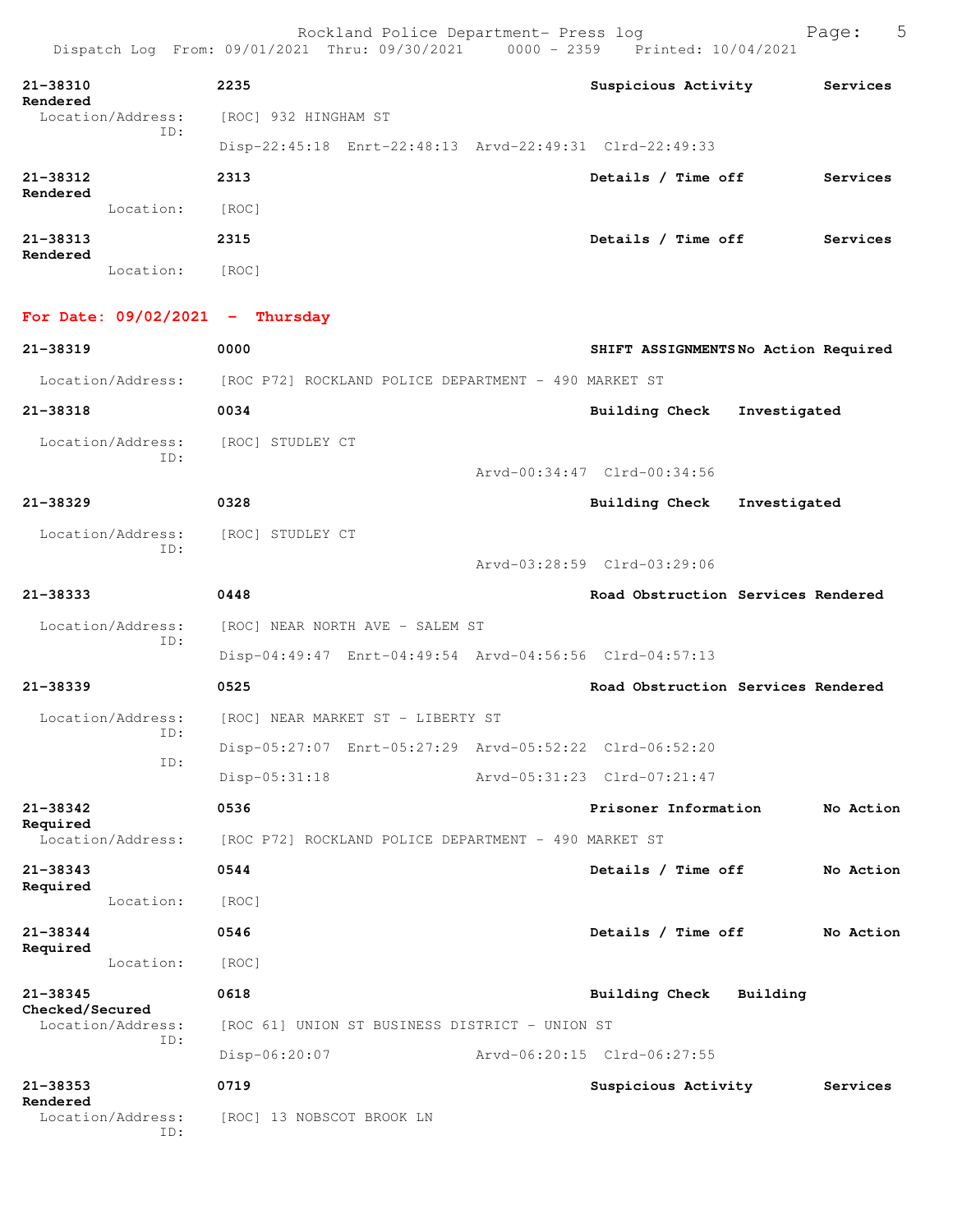| 21-38310<br>Rendered     | 2235                                                    |  | Suspicious Activity | Services |
|--------------------------|---------------------------------------------------------|--|---------------------|----------|
| Location/Address:<br>ID: | [ROC] 932 HINGHAM ST                                    |  |                     |          |
|                          | Disp-22:45:18 Enrt-22:48:13 Arvd-22:49:31 Clrd-22:49:33 |  |                     |          |

| 21-38312<br>Rendered |           | 2313  | Details /<br><b>Time off</b> | Services |
|----------------------|-----------|-------|------------------------------|----------|
|                      | Location: | [ROC] |                              |          |
| 21-38313             |           | 2315  | Details / Time off           | Services |
| Rendered             | Location: | [ROC] |                              |          |

**For Date: 09/02/2021 - Thursday**

| 21-38319                             | 0000                    |                                                         |  | SHIFT ASSIGNMENTSNo Action Required |              |           |
|--------------------------------------|-------------------------|---------------------------------------------------------|--|-------------------------------------|--------------|-----------|
| Location/Address:                    |                         | [ROC P72] ROCKLAND POLICE DEPARTMENT - 490 MARKET ST    |  |                                     |              |           |
| 21-38318                             | 0034                    |                                                         |  | <b>Building Check</b>               | Investigated |           |
| Location/Address:                    | [ROC] STUDLEY CT<br>ID: |                                                         |  |                                     |              |           |
|                                      |                         |                                                         |  | Arvd-00:34:47 Clrd-00:34:56         |              |           |
| $21 - 38329$                         | 0328                    |                                                         |  | Building Check                      | Investigated |           |
| Location/Address:                    | [ROC] STUDLEY CT<br>TD: |                                                         |  |                                     |              |           |
|                                      |                         |                                                         |  | Arvd-03:28:59 Clrd-03:29:06         |              |           |
| $21 - 38333$                         | 0448                    |                                                         |  | Road Obstruction Services Rendered  |              |           |
| Location/Address:                    | TD:                     | [ROC] NEAR NORTH AVE - SALEM ST                         |  |                                     |              |           |
|                                      |                         | Disp-04:49:47 Enrt-04:49:54 Arvd-04:56:56 Clrd-04:57:13 |  |                                     |              |           |
| $21 - 38339$                         | 0525                    |                                                         |  | Road Obstruction Services Rendered  |              |           |
| Location/Address:                    | ID:                     | [ROC] NEAR MARKET ST - LIBERTY ST                       |  |                                     |              |           |
|                                      | ID:                     | Disp-05:27:07 Enrt-05:27:29 Arvd-05:52:22 Clrd-06:52:20 |  |                                     |              |           |
|                                      | $Disp-05:31:18$         |                                                         |  | Arvd-05:31:23 Clrd-07:21:47         |              |           |
| 21-38342                             | 0536                    |                                                         |  | Prisoner Information                |              | No Action |
| Required<br>Location/Address:        |                         | [ROC P72] ROCKLAND POLICE DEPARTMENT - 490 MARKET ST    |  |                                     |              |           |
| $21 - 38343$                         | 0544                    |                                                         |  | Details / Time off                  |              | No Action |
| Required<br>Location:                | [ROC]                   |                                                         |  |                                     |              |           |
| $21 - 38344$                         | 0546                    |                                                         |  | Details / Time off                  |              | No Action |
| Required<br>Location:                | [ROC]                   |                                                         |  |                                     |              |           |
| $21 - 38345$                         | 0618                    |                                                         |  | Building Check                      | Building     |           |
| Checked/Secured<br>Location/Address: |                         | [ROC 61] UNION ST BUSINESS DISTRICT - UNION ST          |  |                                     |              |           |
| ID:                                  | Disp-06:20:07           |                                                         |  | Arvd-06:20:15 Clrd-06:27:55         |              |           |
| $21 - 38353$                         | 0719                    |                                                         |  | Suspicious Activity                 |              | Services  |
| Rendered<br>Location/Address:        | ID:                     | [ROC] 13 NOBSCOT BROOK LN                               |  |                                     |              |           |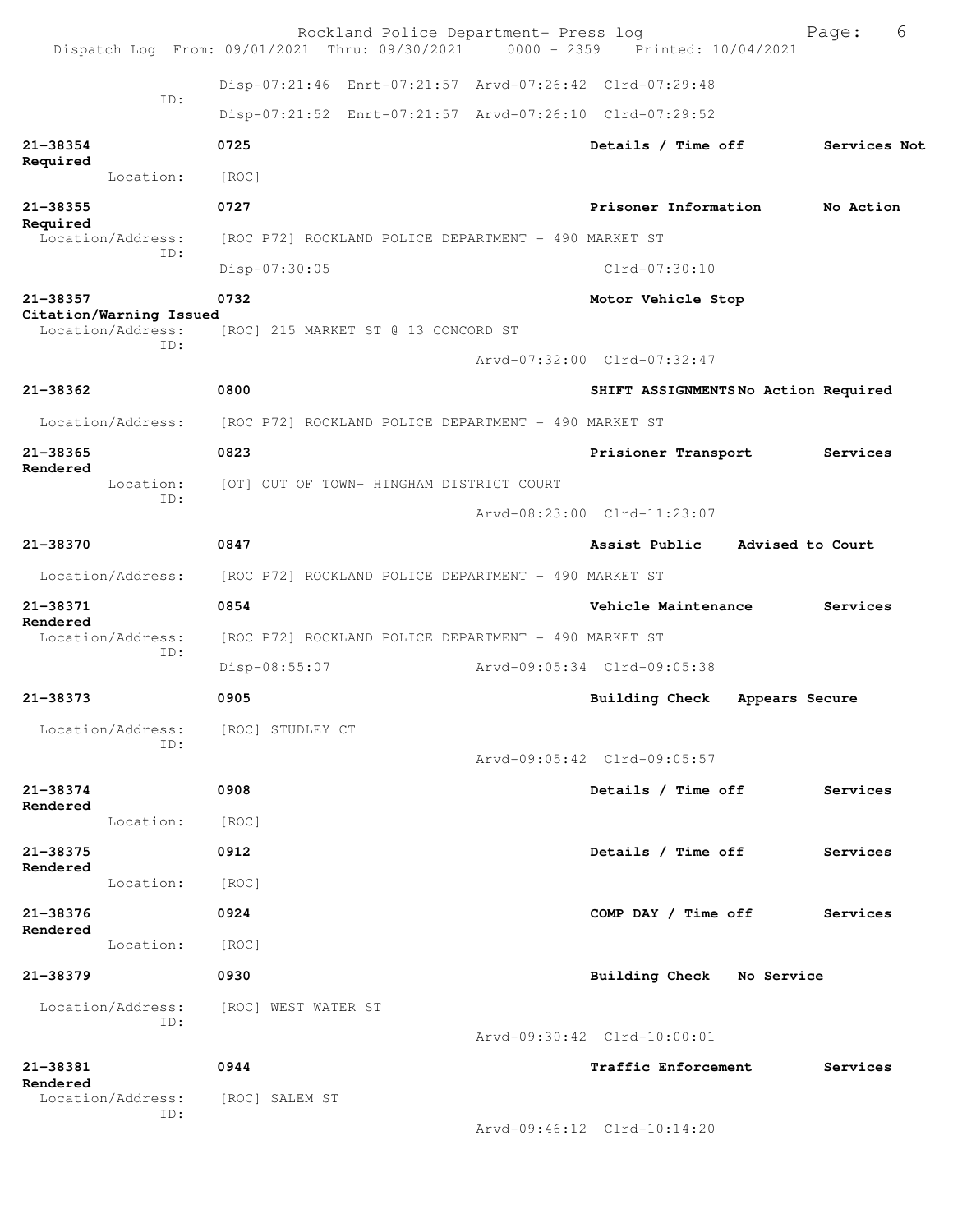|                               |                                                      | Rockland Police Department- Press log<br>Dispatch Log From: 09/01/2021 Thru: 09/30/2021 0000 - 2359 Printed: 10/04/2021 |                                         | 6<br>Page:       |
|-------------------------------|------------------------------------------------------|-------------------------------------------------------------------------------------------------------------------------|-----------------------------------------|------------------|
|                               |                                                      | Disp-07:21:46 Enrt-07:21:57 Arvd-07:26:42 Clrd-07:29:48                                                                 |                                         |                  |
|                               | ID:                                                  | Disp-07:21:52 Enrt-07:21:57 Arvd-07:26:10 Clrd-07:29:52                                                                 |                                         |                  |
| 21-38354                      |                                                      | 0725                                                                                                                    | Details / Time off                      | Services Not     |
| Required                      | Location:                                            | [ROC]                                                                                                                   |                                         |                  |
| 21-38355                      |                                                      | 0727                                                                                                                    | Prisoner Information                    | No Action        |
| Required<br>Location/Address: | [ROC P72] ROCKLAND POLICE DEPARTMENT - 490 MARKET ST |                                                                                                                         |                                         |                  |
|                               | ID:                                                  | Disp-07:30:05                                                                                                           | Clrd-07:30:10                           |                  |
| 21-38357                      |                                                      | 0732                                                                                                                    | Motor Vehicle Stop                      |                  |
|                               | Citation/Warning Issued<br>Location/Address:         | [ROC] 215 MARKET ST @ 13 CONCORD ST                                                                                     |                                         |                  |
|                               | ID:                                                  |                                                                                                                         | Arvd-07:32:00 Clrd-07:32:47             |                  |
| 21-38362                      |                                                      | 0800                                                                                                                    | SHIFT ASSIGNMENTSNo Action Required     |                  |
|                               | Location/Address:                                    | [ROC P72] ROCKLAND POLICE DEPARTMENT - 490 MARKET ST                                                                    |                                         |                  |
| 21-38365                      |                                                      | 0823                                                                                                                    | Prisioner Transport                     | Services         |
| Rendered                      | Location:                                            | [OT] OUT OF TOWN- HINGHAM DISTRICT COURT                                                                                |                                         |                  |
|                               | ID:                                                  |                                                                                                                         | Arvd-08:23:00 Clrd-11:23:07             |                  |
| 21-38370                      |                                                      | 0847                                                                                                                    | Assist Public                           | Advised to Court |
|                               | Location/Address:                                    | [ROC P72] ROCKLAND POLICE DEPARTMENT - 490 MARKET ST                                                                    |                                         |                  |
| 21-38371<br>Rendered          |                                                      | 0854                                                                                                                    | Vehicle Maintenance                     | Services         |
|                               | Location/Address:                                    | [ROC P72] ROCKLAND POLICE DEPARTMENT - 490 MARKET ST                                                                    |                                         |                  |
|                               | ID:                                                  | Disp-08:55:07                                                                                                           | Arvd-09:05:34 Clrd-09:05:38             |                  |
| 21-38373                      |                                                      | 0905                                                                                                                    | <b>Building Check</b><br>Appears Secure |                  |
|                               | Location/Address:<br>ID:                             | [ROC] STUDLEY CT                                                                                                        |                                         |                  |
|                               |                                                      |                                                                                                                         | Arvd-09:05:42 Clrd-09:05:57             |                  |
| 21-38374<br>Rendered          |                                                      | 0908                                                                                                                    | Details / Time off                      | Services         |
|                               | Location:                                            | [ROC]                                                                                                                   |                                         |                  |
| 21-38375<br>Rendered          |                                                      | 0912                                                                                                                    | Details / Time off                      | Services         |
|                               | Location:                                            | [ROC]                                                                                                                   |                                         |                  |
| 21-38376<br>Rendered          |                                                      | 0924                                                                                                                    | COMP DAY / Time off                     | Services         |
|                               | Location:                                            | [ROC]                                                                                                                   |                                         |                  |
| 21-38379                      |                                                      | 0930                                                                                                                    | Building Check No Service               |                  |
|                               | Location/Address:<br>ID:                             | [ROC] WEST WATER ST                                                                                                     |                                         |                  |
|                               |                                                      |                                                                                                                         | Arvd-09:30:42 Clrd-10:00:01             |                  |
| 21-38381<br>Rendered          |                                                      | 0944                                                                                                                    | Traffic Enforcement                     | Services         |
|                               | Location/Address:<br>ID:                             | [ROC] SALEM ST                                                                                                          |                                         |                  |
|                               |                                                      |                                                                                                                         | Arvd-09:46:12 Clrd-10:14:20             |                  |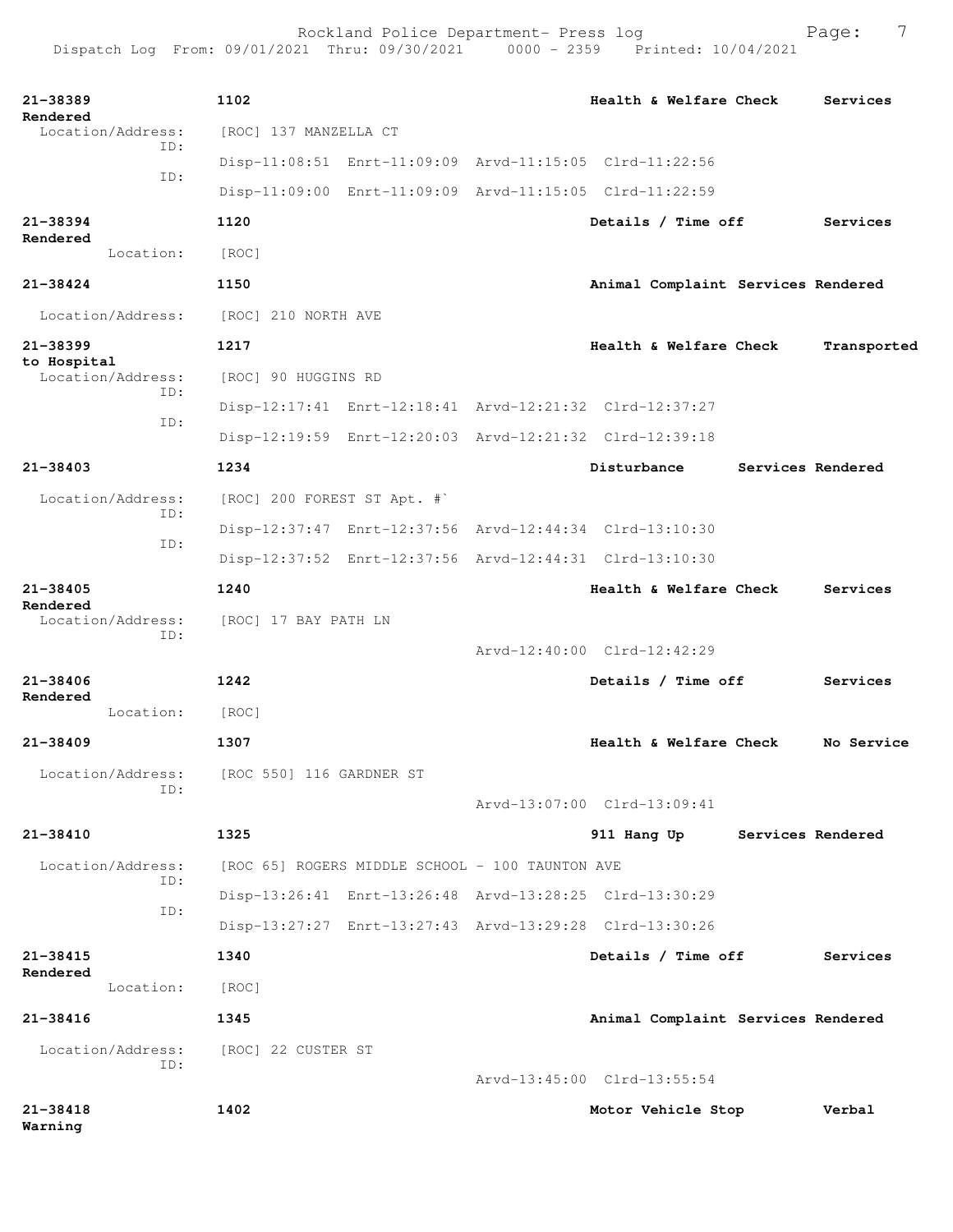| 21-38389<br>Rendered             | 1102                        |                                                         | Health & Welfare Check             | Services          |
|----------------------------------|-----------------------------|---------------------------------------------------------|------------------------------------|-------------------|
| Location/Address:<br>TD:         | [ROC] 137 MANZELLA CT       |                                                         |                                    |                   |
| ID:                              |                             | Disp-11:08:51 Enrt-11:09:09 Arvd-11:15:05 Clrd-11:22:56 |                                    |                   |
|                                  |                             | Disp-11:09:00 Enrt-11:09:09 Arvd-11:15:05 Clrd-11:22:59 |                                    |                   |
| 21-38394<br>Rendered             | 1120                        |                                                         | Details / Time off                 | Services          |
| Location:                        | [ROC]                       |                                                         |                                    |                   |
| $21 - 38424$                     | 1150                        |                                                         | Animal Complaint Services Rendered |                   |
| Location/Address:                | [ROC] 210 NORTH AVE         |                                                         |                                    |                   |
| 21-38399                         | 1217                        |                                                         | Health & Welfare Check             | Transported       |
| to Hospital<br>Location/Address: | [ROC] 90 HUGGINS RD         |                                                         |                                    |                   |
| TD:                              |                             | Disp-12:17:41 Enrt-12:18:41 Arvd-12:21:32 Clrd-12:37:27 |                                    |                   |
| ID:                              |                             | Disp-12:19:59 Enrt-12:20:03 Arvd-12:21:32 Clrd-12:39:18 |                                    |                   |
| 21-38403                         | 1234                        |                                                         | Disturbance                        | Services Rendered |
| Location/Address:                | [ROC] 200 FOREST ST Apt. #` |                                                         |                                    |                   |
| TD:                              |                             | Disp-12:37:47 Enrt-12:37:56 Arvd-12:44:34 Clrd-13:10:30 |                                    |                   |
| ID:                              |                             | Disp-12:37:52 Enrt-12:37:56 Arvd-12:44:31 Clrd-13:10:30 |                                    |                   |
| 21-38405                         | 1240                        |                                                         | Health & Welfare Check             | Services          |
| Rendered<br>Location/Address:    | [ROC] 17 BAY PATH LN        |                                                         |                                    |                   |
| ID:                              |                             |                                                         | Arvd-12:40:00 Clrd-12:42:29        |                   |
| $21 - 38406$                     | 1242                        |                                                         | Details / Time off                 | Services          |
| Rendered<br>Location:            | [ROC]                       |                                                         |                                    |                   |
| 21-38409                         | 1307                        |                                                         | Health & Welfare Check             | No Service        |
| Location/Address:                | [ROC 550] 116 GARDNER ST    |                                                         |                                    |                   |
| ID:                              |                             |                                                         | Arvd-13:07:00 Clrd-13:09:41        |                   |
| 21-38410                         | 1325                        |                                                         | 911 Hang Up                        | Services Rendered |
| Location/Address:                |                             | [ROC 65] ROGERS MIDDLE SCHOOL - 100 TAUNTON AVE         |                                    |                   |
| ID:                              |                             | Disp-13:26:41 Enrt-13:26:48 Arvd-13:28:25 Clrd-13:30:29 |                                    |                   |
| ID:                              |                             | Disp-13:27:27 Enrt-13:27:43 Arvd-13:29:28 Clrd-13:30:26 |                                    |                   |
| $21 - 38415$                     | 1340                        |                                                         | Details / Time off                 | Services          |
| Rendered<br>Location:            | [ROC]                       |                                                         |                                    |                   |
| 21-38416                         | 1345                        |                                                         | Animal Complaint Services Rendered |                   |
| Location/Address:                | [ROC] 22 CUSTER ST          |                                                         |                                    |                   |
| ID:                              |                             |                                                         | Arvd-13:45:00 Clrd-13:55:54        |                   |
| $21 - 38418$<br>Warning          | 1402                        |                                                         | Motor Vehicle Stop                 | Verbal            |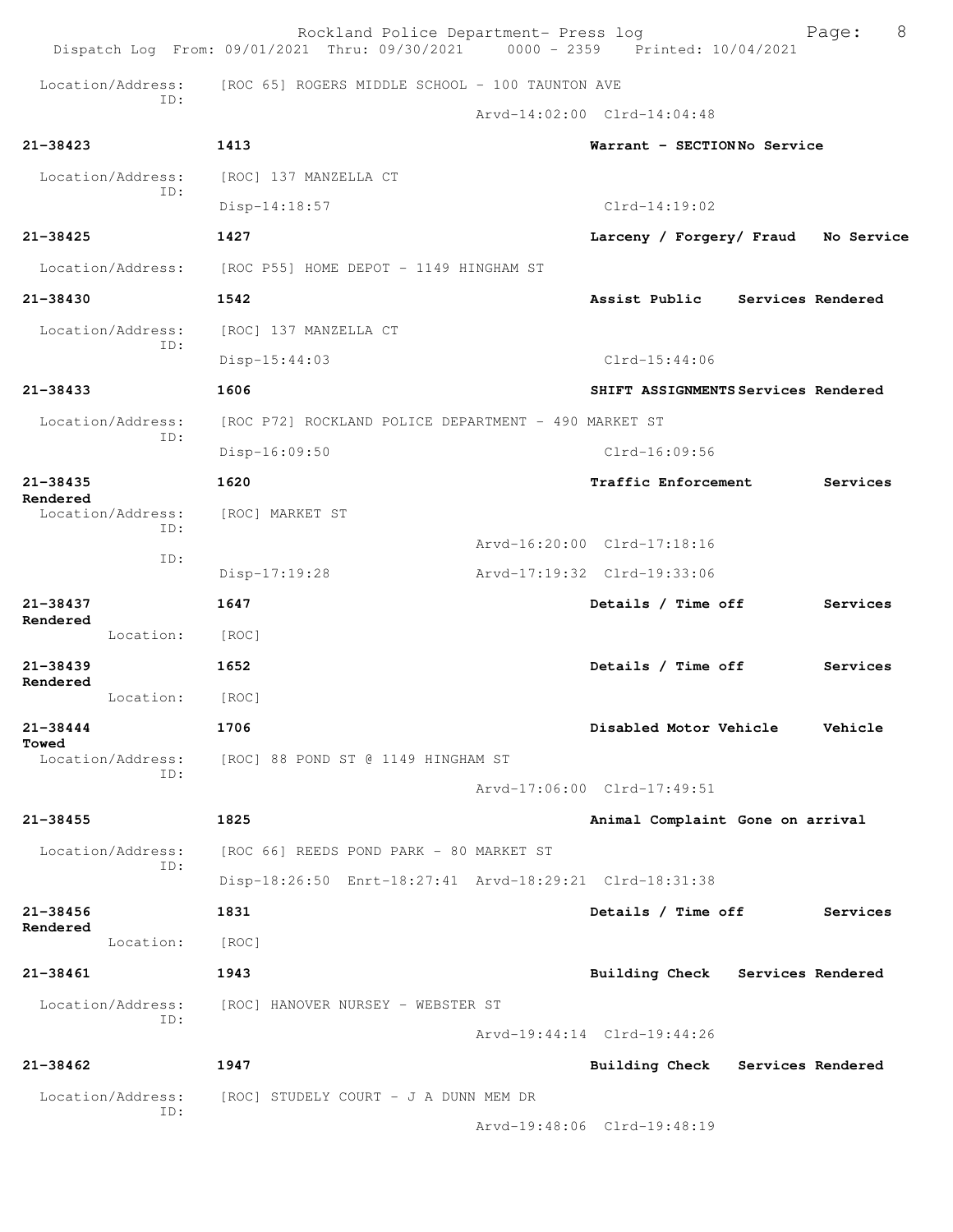|                               | Rockland Police Department- Press log<br>Dispatch Log From: 09/01/2021 Thru: 09/30/2021 0000 - 2359 Printed: 10/04/2021 |                                     | 8<br>Page: |
|-------------------------------|-------------------------------------------------------------------------------------------------------------------------|-------------------------------------|------------|
| Location/Address:             | [ROC 65] ROGERS MIDDLE SCHOOL - 100 TAUNTON AVE                                                                         |                                     |            |
| TD:                           |                                                                                                                         | Arvd-14:02:00 Clrd-14:04:48         |            |
| $21 - 38423$                  | 1413                                                                                                                    | Warrant - SECTIONNo Service         |            |
| Location/Address:             | [ROC] 137 MANZELLA CT                                                                                                   |                                     |            |
| ID:                           | $Disp-14:18:57$                                                                                                         | $Clrd-14:19:02$                     |            |
| $21 - 38425$                  | 1427                                                                                                                    | Larceny / Forgery/ Fraud            | No Service |
| Location/Address:             | [ROC P55] HOME DEPOT - 1149 HINGHAM ST                                                                                  |                                     |            |
| 21-38430                      | 1542                                                                                                                    | Assist Public Services Rendered     |            |
| Location/Address:             | [ROC] 137 MANZELLA CT                                                                                                   |                                     |            |
| ID:                           | Disp-15:44:03                                                                                                           | $Clrd-15:44:06$                     |            |
| $21 - 38433$                  | 1606                                                                                                                    | SHIFT ASSIGNMENTS Services Rendered |            |
| Location/Address:             | [ROC P72] ROCKLAND POLICE DEPARTMENT - 490 MARKET ST                                                                    |                                     |            |
| ID:                           | Disp-16:09:50                                                                                                           | Clrd-16:09:56                       |            |
| $21 - 38435$                  | 1620                                                                                                                    | Traffic Enforcement                 | Services   |
| Rendered<br>Location/Address: | [ROC] MARKET ST                                                                                                         |                                     |            |
| TD:                           |                                                                                                                         | Arvd-16:20:00 Clrd-17:18:16         |            |
| ID:                           | $Disp-17:19:28$                                                                                                         | Arvd-17:19:32 Clrd-19:33:06         |            |
| $21 - 38437$                  | 1647                                                                                                                    | Details / Time off                  | Services   |
| Rendered<br>Location:         | [ROC]                                                                                                                   |                                     |            |
| $21 - 38439$                  | 1652                                                                                                                    | Details / Time off                  | Services   |
| Rendered<br>Location:         | [ROC]                                                                                                                   |                                     |            |
| 21-38444                      | 1706                                                                                                                    | Disabled Motor Vehicle              | Vehicle    |
| Towed<br>Location/Address:    | [ROC] 88 POND ST @ 1149 HINGHAM ST                                                                                      |                                     |            |
| TD:                           |                                                                                                                         | Arvd-17:06:00 Clrd-17:49:51         |            |
| $21 - 38455$                  | 1825                                                                                                                    | Animal Complaint Gone on arrival    |            |
| Location/Address:             | [ROC 66] REEDS POND PARK - 80 MARKET ST                                                                                 |                                     |            |
| ID:                           | Disp-18:26:50 Enrt-18:27:41 Arvd-18:29:21 Clrd-18:31:38                                                                 |                                     |            |
| $21 - 38456$                  | 1831                                                                                                                    | Details / Time off                  | Services   |
| Rendered<br>Location:         | [ROC]                                                                                                                   |                                     |            |
| 21-38461                      | 1943                                                                                                                    | Building Check Services Rendered    |            |
| Location/Address:             | [ROC] HANOVER NURSEY - WEBSTER ST                                                                                       |                                     |            |
| ID:                           |                                                                                                                         | Arvd-19:44:14 Clrd-19:44:26         |            |
| $21 - 38462$                  | 1947                                                                                                                    | Building Check Services Rendered    |            |
| Location/Address:             | [ROC] STUDELY COURT - J A DUNN MEM DR                                                                                   |                                     |            |
| ID:                           |                                                                                                                         | Arvd-19:48:06 Clrd-19:48:19         |            |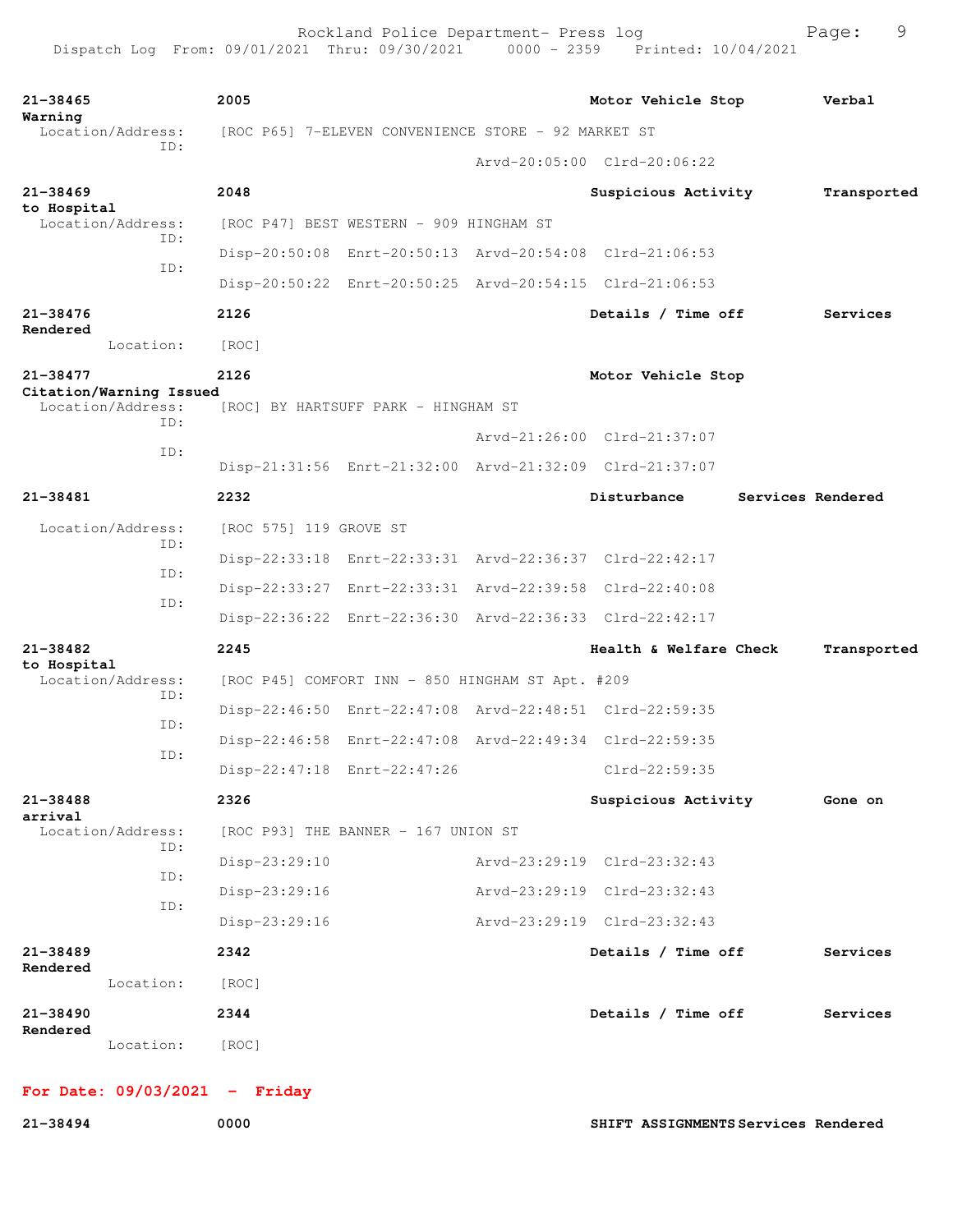| $21 - 38465$<br>Warning  |                                              | 2005                                                    |                                                         |                             | Motor Vehicle Stop          |  | Verbal            |  |
|--------------------------|----------------------------------------------|---------------------------------------------------------|---------------------------------------------------------|-----------------------------|-----------------------------|--|-------------------|--|
|                          | Location/Address:<br>TD:                     |                                                         | [ROC P65] 7-ELEVEN CONVENIENCE STORE - 92 MARKET ST     |                             |                             |  |                   |  |
|                          |                                              |                                                         |                                                         |                             | Arvd-20:05:00 Clrd-20:06:22 |  |                   |  |
| $21 - 38469$             |                                              | 2048                                                    |                                                         |                             | Suspicious Activity         |  | Transported       |  |
| to Hospital              | Location/Address:<br>ID:                     |                                                         | [ROC P47] BEST WESTERN - 909 HINGHAM ST                 |                             |                             |  |                   |  |
|                          | ID:                                          |                                                         | Disp-20:50:08 Enrt-20:50:13 Arvd-20:54:08 Clrd-21:06:53 |                             |                             |  |                   |  |
|                          |                                              | Disp-20:50:22 Enrt-20:50:25 Arvd-20:54:15 Clrd-21:06:53 |                                                         |                             |                             |  |                   |  |
| 21-38476<br>Rendered     |                                              | 2126                                                    |                                                         |                             | Details / Time off          |  | Services          |  |
|                          | Location:                                    | [ROC]                                                   |                                                         |                             |                             |  |                   |  |
| $21 - 38477$             |                                              | 2126                                                    |                                                         |                             | Motor Vehicle Stop          |  |                   |  |
|                          | Citation/Warning Issued<br>Location/Address: |                                                         | [ROC] BY HARTSUFF PARK - HINGHAM ST                     |                             |                             |  |                   |  |
| TD:<br>ID:               |                                              |                                                         |                                                         | Arvd-21:26:00 Clrd-21:37:07 |                             |  |                   |  |
|                          |                                              | Disp-21:31:56 Enrt-21:32:00 Arvd-21:32:09 Clrd-21:37:07 |                                                         |                             |                             |  |                   |  |
| 21-38481                 |                                              | 2232                                                    |                                                         |                             | Disturbance                 |  | Services Rendered |  |
| Location/Address:<br>ID: | [ROC 575] 119 GROVE ST                       |                                                         |                                                         |                             |                             |  |                   |  |
|                          |                                              | Disp-22:33:18 Enrt-22:33:31 Arvd-22:36:37 Clrd-22:42:17 |                                                         |                             |                             |  |                   |  |
|                          | ID:                                          |                                                         | Disp-22:33:27 Enrt-22:33:31 Arvd-22:39:58 Clrd-22:40:08 |                             |                             |  |                   |  |
|                          | ID:                                          |                                                         | Disp-22:36:22 Enrt-22:36:30 Arvd-22:36:33 Clrd-22:42:17 |                             |                             |  |                   |  |
| $21 - 38482$             |                                              | 2245                                                    |                                                         |                             | Health & Welfare Check      |  | Transported       |  |
| to Hospital              | Location/Address:                            |                                                         | [ROC P45] COMFORT INN - 850 HINGHAM ST Apt. #209        |                             |                             |  |                   |  |
|                          | ID:                                          |                                                         | Disp-22:46:50 Enrt-22:47:08 Arvd-22:48:51 Clrd-22:59:35 |                             |                             |  |                   |  |
|                          | ID:                                          |                                                         | Disp-22:46:58 Enrt-22:47:08 Arvd-22:49:34 Clrd-22:59:35 |                             |                             |  |                   |  |
|                          | ID:                                          |                                                         | Disp-22:47:18 Enrt-22:47:26                             |                             | Clrd-22:59:35               |  |                   |  |
|                          |                                              |                                                         |                                                         |                             |                             |  |                   |  |
| 21-38488<br>arrival      |                                              | 2326                                                    |                                                         |                             | Suspicious Activity         |  | Gone on           |  |
|                          | Location/Address:<br>ID:                     |                                                         | [ROC P93] THE BANNER - 167 UNION ST                     |                             |                             |  |                   |  |
|                          | ID:                                          | Disp-23:29:10                                           |                                                         |                             | Arvd-23:29:19 Clrd-23:32:43 |  |                   |  |
|                          | ID:                                          | Disp-23:29:16                                           |                                                         |                             | Arvd-23:29:19 Clrd-23:32:43 |  |                   |  |
|                          |                                              | Disp-23:29:16                                           |                                                         |                             | Arvd-23:29:19 Clrd-23:32:43 |  |                   |  |
| 21-38489<br>Rendered     |                                              | 2342                                                    |                                                         |                             | Details / Time off          |  | Services          |  |
|                          | Location:                                    | [ROC]                                                   |                                                         |                             |                             |  |                   |  |
| 21-38490<br>Rendered     |                                              | 2344                                                    |                                                         |                             | Details / Time off          |  | Services          |  |
|                          | Location:                                    | [ROC]                                                   |                                                         |                             |                             |  |                   |  |

## **For Date: 09/03/2021 - Friday**

**21-38494 0000 SHIFT ASSIGNMENTS Services Rendered**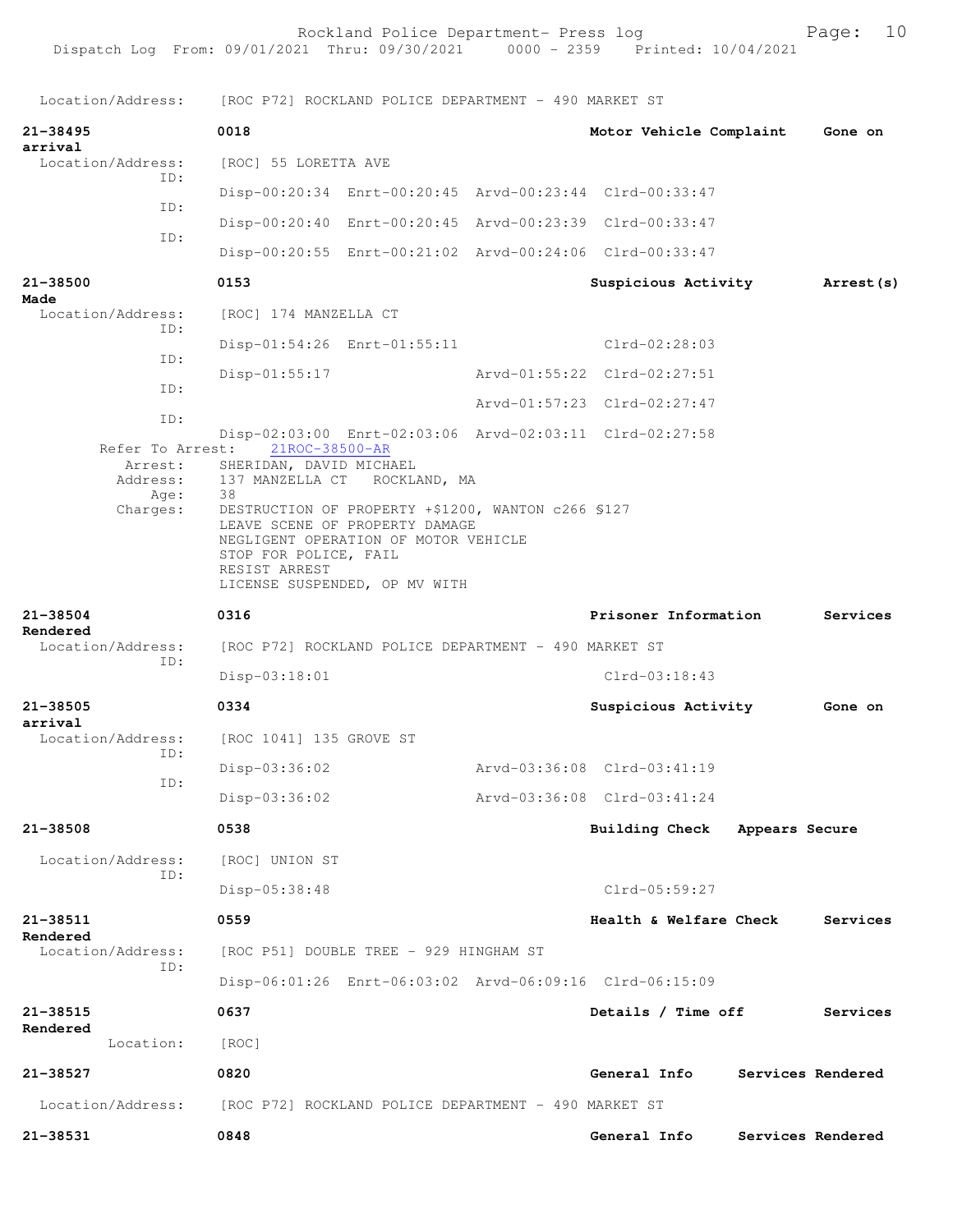Location/Address: [ROC P72] ROCKLAND POLICE DEPARTMENT - 490 MARKET ST **21-38495 0018 Motor Vehicle Complaint Gone on arrival**  Location/Address: [ROC] 55 LORETTA AVE ID: Disp-00:20:34 Enrt-00:20:45 Arvd-00:23:44 Clrd-00:33:47 ID: Disp-00:20:40 Enrt-00:20:45 Arvd-00:23:39 Clrd-00:33:47 ID: Disp-00:20:55 Enrt-00:21:02 Arvd-00:24:06 Clrd-00:33:47 **21-38500 0153 Suspicious Activity Arrest(s) Made**  Location/Address: [ROC] 174 MANZELLA CT ID: Disp-01:54:26 Enrt-01:55:11 Clrd-02:28:03 ID: Disp-01:55:17 Arvd-01:55:22 Clrd-02:27:51 ID: Arvd-01:57:23 Clrd-02:27:47 ID: Disp-02:03:00 Enrt-02:03:06 Arvd-02:03:11 Clrd-02:27:58 Refer To Arrest: Arrest: SHERIDAN, DAVID MICHAEL Address: 137 MANZELLA CT ROCKLAND, MA Age: 38 Charges: DESTRUCTION OF PROPERTY +\$1200, WANTON c266 §127 LEAVE SCENE OF PROPERTY DAMAGE NEGLIGENT OPERATION OF MOTOR VEHICLE STOP FOR POLICE, FAIL RESIST ARREST LICENSE SUSPENDED, OP MV WITH **21-38504 0316 Prisoner Information Services Rendered**  Location/Address: [ROC P72] ROCKLAND POLICE DEPARTMENT - 490 MARKET ST ID: Disp-03:18:01 Clrd-03:18:43 **21-38505 0334 Suspicious Activity Gone on arrival**  Location/Address: [ROC 1041] 135 GROVE ST ID: Disp-03:36:02 Arvd-03:36:08 Clrd-03:41:19 ID: Disp-03:36:02 Arvd-03:36:08 Clrd-03:41:24 **21-38508 0538 Building Check Appears Secure** Location/Address: [ROC] UNION ST ID: Disp-05:38:48 Clrd-05:59:27 **21-38511 0559 Health & Welfare Check Services Rendered**  Location/Address: [ROC P51] DOUBLE TREE - 929 HINGHAM ST ID: Disp-06:01:26 Enrt-06:03:02 Arvd-06:09:16 Clrd-06:15:09 **21-38515 0637 Details / Time off Services Rendered**  Location: [ROC] **21-38527 0820 General Info Services Rendered** Location/Address: [ROC P72] ROCKLAND POLICE DEPARTMENT - 490 MARKET ST **21-38531 0848 General Info Services Rendered**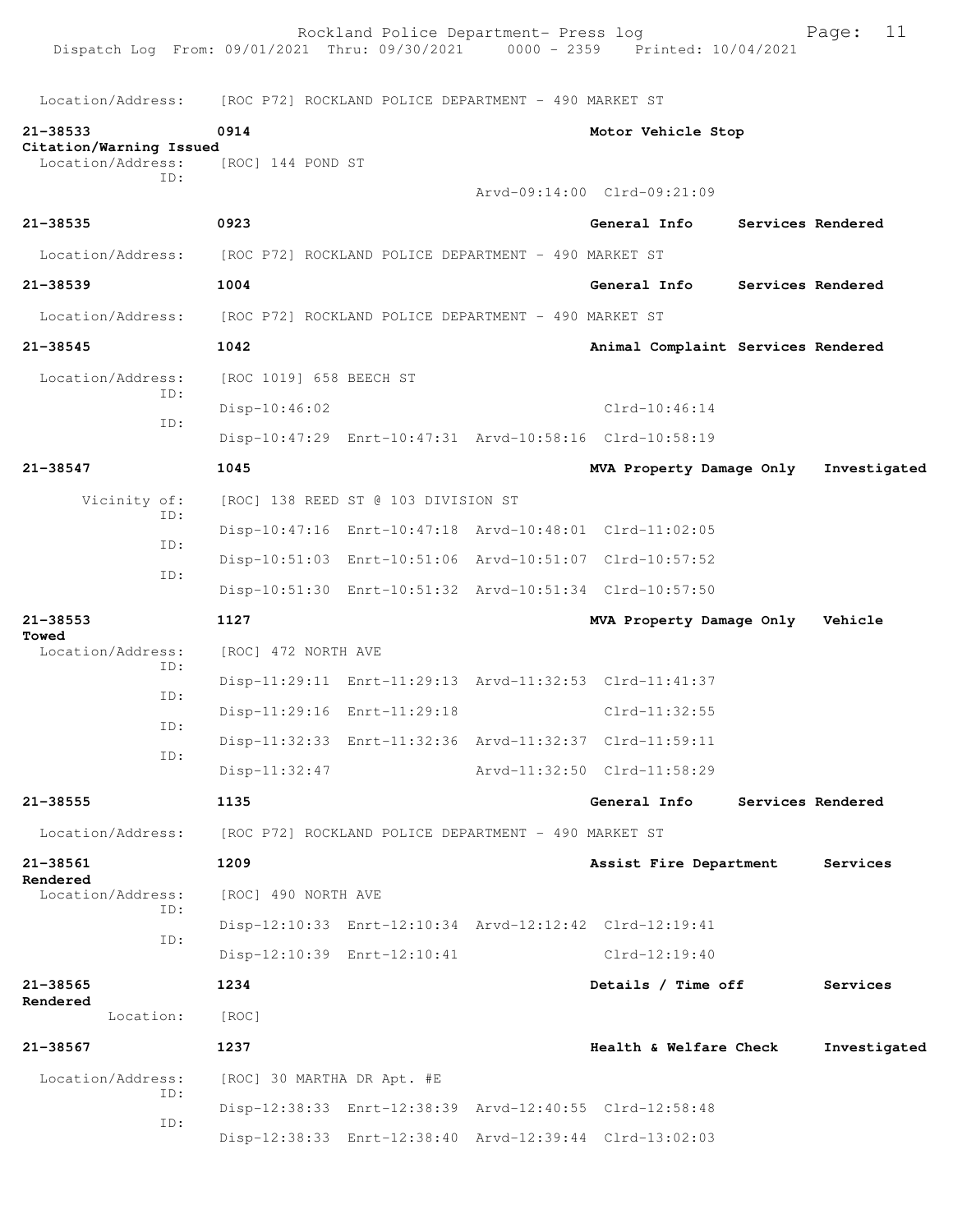Rockland Police Department- Press log Page: 11 Dispatch Log From: 09/01/2021 Thru: 09/30/2021 Location/Address: [ROC P72] ROCKLAND POLICE DEPARTMENT - 490 MARKET ST **21-38533 0914 Motor Vehicle Stop Citation/Warning Issued**  Location/Address: ID: Arvd-09:14:00 Clrd-09:21:09 **21-38535 0923 General Info Services Rendered** Location/Address: [ROC P72] ROCKLAND POLICE DEPARTMENT - 490 MARKET ST **21-38539 1004 General Info Services Rendered** Location/Address: [ROC P72] ROCKLAND POLICE DEPARTMENT - 490 MARKET ST **21-38545 1042 Animal Complaint Services Rendered** Location/Address: [ROC 1019] 658 BEECH ST ID: Disp-10:46:02 Clrd-10:46:14 ID: Disp-10:47:29 Enrt-10:47:31 Arvd-10:58:16 Clrd-10:58:19 **21-38547 1045 MVA Property Damage Only Investigated** Vicinity of: [ROC] 138 REED ST @ 103 DIVISION ST ID: Disp-10:47:16 Enrt-10:47:18 Arvd-10:48:01 Clrd-11:02:05 ID: Disp-10:51:03 Enrt-10:51:06 Arvd-10:51:07 Clrd-10:57:52 ID: Disp-10:51:30 Enrt-10:51:32 Arvd-10:51:34 Clrd-10:57:50 **21-38553 1127 MVA Property Damage Only Vehicle Towed**  Location/Address: [ROC] 472 NORTH AVE ID: Disp-11:29:11 Enrt-11:29:13 Arvd-11:32:53 Clrd-11:41:37 ID: Disp-11:29:16 Enrt-11:29:18 Clrd-11:32:55 ID: Disp-11:32:33 Enrt-11:32:36 Arvd-11:32:37 Clrd-11:59:11 ID: Disp-11:32:47 Arvd-11:32:50 Clrd-11:58:29 **21-38555 1135 General Info Services Rendered** Location/Address: [ROC P72] ROCKLAND POLICE DEPARTMENT - 490 MARKET ST **21-38561 1209 Assist Fire Department Services Rendered**  Location/Address: [ROC] 490 NORTH AVE ID: Disp-12:10:33 Enrt-12:10:34 Arvd-12:12:42 Clrd-12:19:41 ID: Disp-12:10:39 Enrt-12:10:41 Clrd-12:19:40 **21-38565 1234 Details / Time off Services Rendered**  Location: [ROC] **21-38567 1237 Health & Welfare Check Investigated** Location/Address: [ROC] 30 MARTHA DR Apt. #E ID: Disp-12:38:33 Enrt-12:38:39 Arvd-12:40:55 Clrd-12:58:48 ID: Disp-12:38:33 Enrt-12:38:40 Arvd-12:39:44 Clrd-13:02:03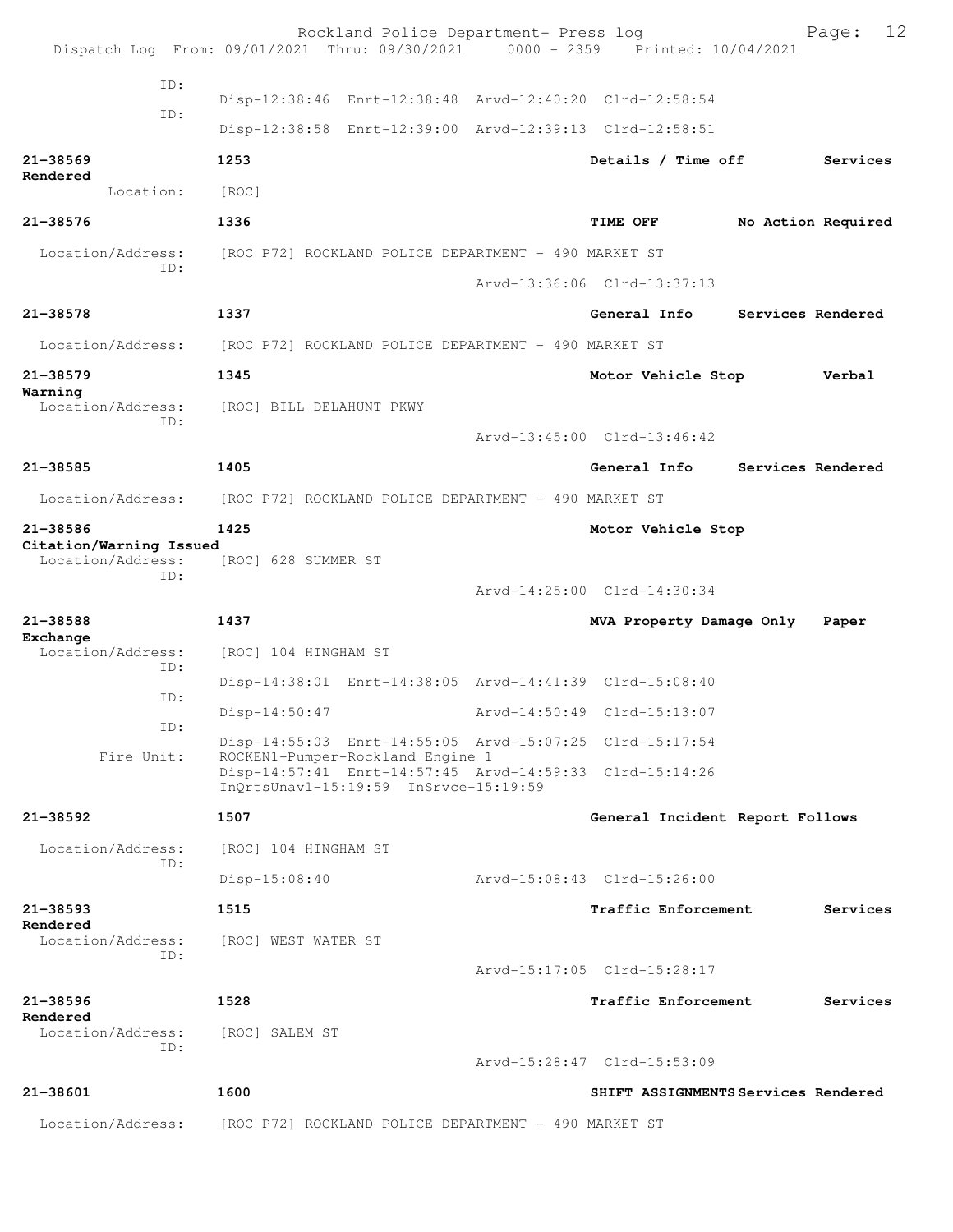|                                                     | Rockland Police Department- Press log<br>Dispatch Log From: 09/01/2021 Thru: 09/30/2021 0000 - 2359 Printed: 10/04/2021 |                                 | 12<br>Page:                         |
|-----------------------------------------------------|-------------------------------------------------------------------------------------------------------------------------|---------------------------------|-------------------------------------|
| ID:                                                 |                                                                                                                         |                                 |                                     |
| ID:                                                 | Disp-12:38:46 Enrt-12:38:48 Arvd-12:40:20 Clrd-12:58:54                                                                 |                                 |                                     |
|                                                     | Disp-12:38:58 Enrt-12:39:00 Arvd-12:39:13 Clrd-12:58:51                                                                 |                                 |                                     |
| $21 - 38569$<br>Rendered                            | 1253                                                                                                                    | Details / Time off              | Services                            |
| Location:                                           | [ROC]                                                                                                                   |                                 |                                     |
| 21-38576                                            | 1336                                                                                                                    | TIME OFF                        | No Action Required                  |
| Location/Address:<br>ID:                            | [ROC P72] ROCKLAND POLICE DEPARTMENT - 490 MARKET ST                                                                    |                                 |                                     |
|                                                     |                                                                                                                         | Arvd-13:36:06 Clrd-13:37:13     |                                     |
| 21-38578                                            | 1337                                                                                                                    | General Info                    | Services Rendered                   |
| Location/Address:                                   | [ROC P72] ROCKLAND POLICE DEPARTMENT - 490 MARKET ST                                                                    |                                 |                                     |
| 21-38579                                            | 1345                                                                                                                    | Motor Vehicle Stop              | Verbal                              |
| Warning<br>Location/Address:                        | [ROC] BILL DELAHUNT PKWY                                                                                                |                                 |                                     |
| ID:                                                 |                                                                                                                         | Arvd-13:45:00 Clrd-13:46:42     |                                     |
| 21-38585                                            | 1405                                                                                                                    | General Info                    | Services Rendered                   |
| Location/Address:                                   | [ROC P72] ROCKLAND POLICE DEPARTMENT - 490 MARKET ST                                                                    |                                 |                                     |
| 21-38586                                            | 1425                                                                                                                    | Motor Vehicle Stop              |                                     |
| Citation/Warning Issued<br>Location/Address:<br>ID: | [ROC] 628 SUMMER ST                                                                                                     |                                 |                                     |
|                                                     |                                                                                                                         | Arvd-14:25:00 Clrd-14:30:34     |                                     |
| 21-38588<br>Exchange                                | 1437                                                                                                                    | MVA Property Damage Only        | Paper                               |
| Location/Address:<br>ID:                            | [ROC] 104 HINGHAM ST                                                                                                    |                                 |                                     |
| ID:                                                 | Disp-14:38:01 Enrt-14:38:05 Arvd-14:41:39 Clrd-15:08:40                                                                 |                                 |                                     |
| ID:                                                 | Disp-14:50:47                                                                                                           | Arvd-14:50:49 Clrd-15:13:07     |                                     |
| Fire Unit:                                          | Disp-14:55:03 Enrt-14:55:05 Arvd-15:07:25 Clrd-15:17:54<br>ROCKEN1-Pumper-Rockland Engine 1                             |                                 |                                     |
|                                                     | Disp-14:57:41 Enrt-14:57:45 Arvd-14:59:33 Clrd-15:14:26<br>InOrtsUnavl-15:19:59 InSrvce-15:19:59                        |                                 |                                     |
| 21-38592                                            | 1507                                                                                                                    | General Incident Report Follows |                                     |
| Location/Address:<br>ID:                            | [ROC] 104 HINGHAM ST                                                                                                    |                                 |                                     |
|                                                     | $Disp-15:08:40$                                                                                                         | Arvd-15:08:43 Clrd-15:26:00     |                                     |
| 21-38593                                            | 1515                                                                                                                    | <b>Traffic Enforcement</b>      | Services                            |
| Rendered<br>Location/Address:                       | [ROC] WEST WATER ST                                                                                                     |                                 |                                     |
| TD:                                                 |                                                                                                                         | Arvd-15:17:05 Clrd-15:28:17     |                                     |
| 21-38596                                            | 1528                                                                                                                    | <b>Traffic Enforcement</b>      | Services                            |
| Rendered<br>Location/Address:                       | [ROC] SALEM ST                                                                                                          |                                 |                                     |
| ID:                                                 |                                                                                                                         | Arvd-15:28:47 Clrd-15:53:09     |                                     |
| $21 - 38601$                                        | 1600                                                                                                                    |                                 | SHIFT ASSIGNMENTS Services Rendered |
| Location/Address:                                   | [ROC P72] ROCKLAND POLICE DEPARTMENT - 490 MARKET ST                                                                    |                                 |                                     |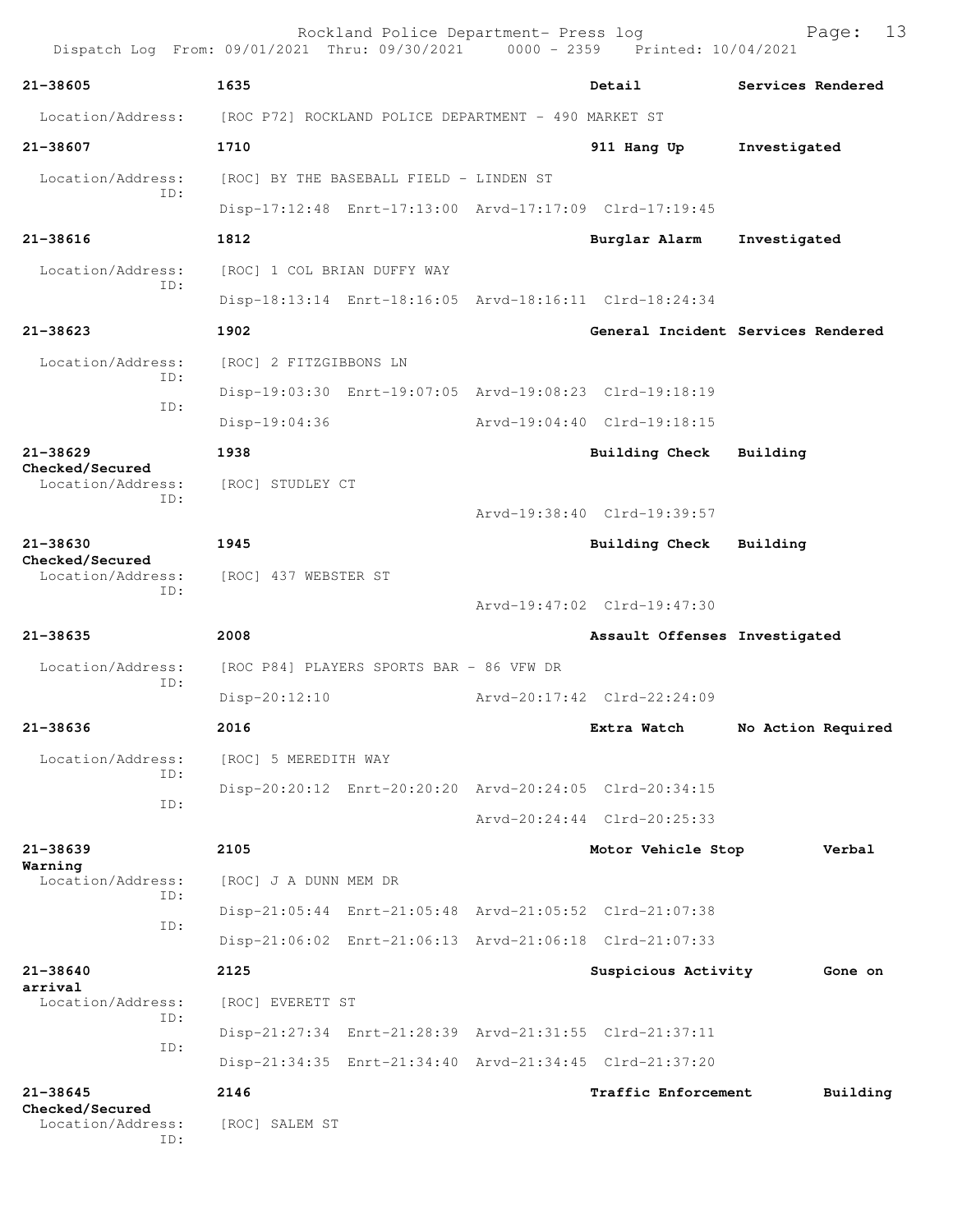|                                 | Rockland Police Department- Press log<br>Dispatch Log From: 09/01/2021 Thru: 09/30/2021 0000 - 2359 Printed: 10/04/2021 |                               | 13<br>Page:                        |
|---------------------------------|-------------------------------------------------------------------------------------------------------------------------|-------------------------------|------------------------------------|
| $21 - 38605$                    | 1635                                                                                                                    | Detail                        | Services Rendered                  |
| Location/Address:               | [ROC P72] ROCKLAND POLICE DEPARTMENT - 490 MARKET ST                                                                    |                               |                                    |
| 21-38607                        | 1710                                                                                                                    | 911 Hang Up                   | Investigated                       |
| Location/Address:               | [ROC] BY THE BASEBALL FIELD - LINDEN ST                                                                                 |                               |                                    |
| ID:                             | Disp-17:12:48 Enrt-17:13:00 Arvd-17:17:09 Clrd-17:19:45                                                                 |                               |                                    |
| $21 - 38616$                    | 1812                                                                                                                    | Burglar Alarm                 | Investigated                       |
| Location/Address:               | [ROC] 1 COL BRIAN DUFFY WAY                                                                                             |                               |                                    |
| TD:                             | Disp-18:13:14 Enrt-18:16:05 Arvd-18:16:11 Clrd-18:24:34                                                                 |                               |                                    |
| $21 - 38623$                    | 1902                                                                                                                    |                               | General Incident Services Rendered |
| Location/Address:<br>ID:        | [ROC] 2 FITZGIBBONS LN                                                                                                  |                               |                                    |
| ID:                             | Disp-19:03:30 Enrt-19:07:05 Arvd-19:08:23 Clrd-19:18:19                                                                 |                               |                                    |
|                                 | $Disp-19:04:36$                                                                                                         | Arvd-19:04:40 Clrd-19:18:15   |                                    |
| $21 - 38629$<br>Checked/Secured | 1938                                                                                                                    | Building Check                | Building                           |
| Location/Address:<br>ID:        | [ROC] STUDLEY CT                                                                                                        |                               |                                    |
|                                 |                                                                                                                         | Arvd-19:38:40 Clrd-19:39:57   |                                    |
| $21 - 38630$<br>Checked/Secured | 1945                                                                                                                    | Building Check                | Building                           |
| Location/Address:<br>ID:        | [ROC] 437 WEBSTER ST                                                                                                    |                               |                                    |
|                                 |                                                                                                                         | Arvd-19:47:02 Clrd-19:47:30   |                                    |
| $21 - 38635$                    | 2008                                                                                                                    | Assault Offenses Investigated |                                    |
| Location/Address:<br>TD:        | [ROC P84] PLAYERS SPORTS BAR - 86 VFW DR                                                                                |                               |                                    |
|                                 | $Disp-20:12:10$                                                                                                         | Arvd-20:17:42 Clrd-22:24:09   |                                    |
| 21-38636                        | 2016                                                                                                                    | Extra Watch                   | No Action Required                 |
| Location/Address:<br>ID:        | [ROC] 5 MEREDITH WAY                                                                                                    |                               |                                    |
| ID:                             | Disp-20:20:12 Enrt-20:20:20 Arvd-20:24:05 Clrd-20:34:15                                                                 |                               |                                    |
|                                 |                                                                                                                         | Arvd-20:24:44 Clrd-20:25:33   |                                    |
| 21-38639<br>Warning             | 2105                                                                                                                    | Motor Vehicle Stop            | Verbal                             |
| Location/Address:<br>ID:        | [ROC] J A DUNN MEM DR                                                                                                   |                               |                                    |
| ID:                             | Disp-21:05:44 Enrt-21:05:48 Arvd-21:05:52 Clrd-21:07:38                                                                 |                               |                                    |
|                                 | Disp-21:06:02 Enrt-21:06:13 Arvd-21:06:18 Clrd-21:07:33                                                                 |                               |                                    |
| 21-38640<br>arrival             | 2125                                                                                                                    | Suspicious Activity           | Gone on                            |
| Location/Address:<br>ID:        | [ROC] EVERETT ST                                                                                                        |                               |                                    |
| ID:                             | Disp-21:27:34 Enrt-21:28:39 Arvd-21:31:55 Clrd-21:37:11                                                                 |                               |                                    |
|                                 | Disp-21:34:35 Enrt-21:34:40 Arvd-21:34:45 Clrd-21:37:20                                                                 |                               |                                    |
| $21 - 38645$<br>Checked/Secured | 2146                                                                                                                    | <b>Traffic Enforcement</b>    | Building                           |
| Location/Address:<br>ID:        | [ROC] SALEM ST                                                                                                          |                               |                                    |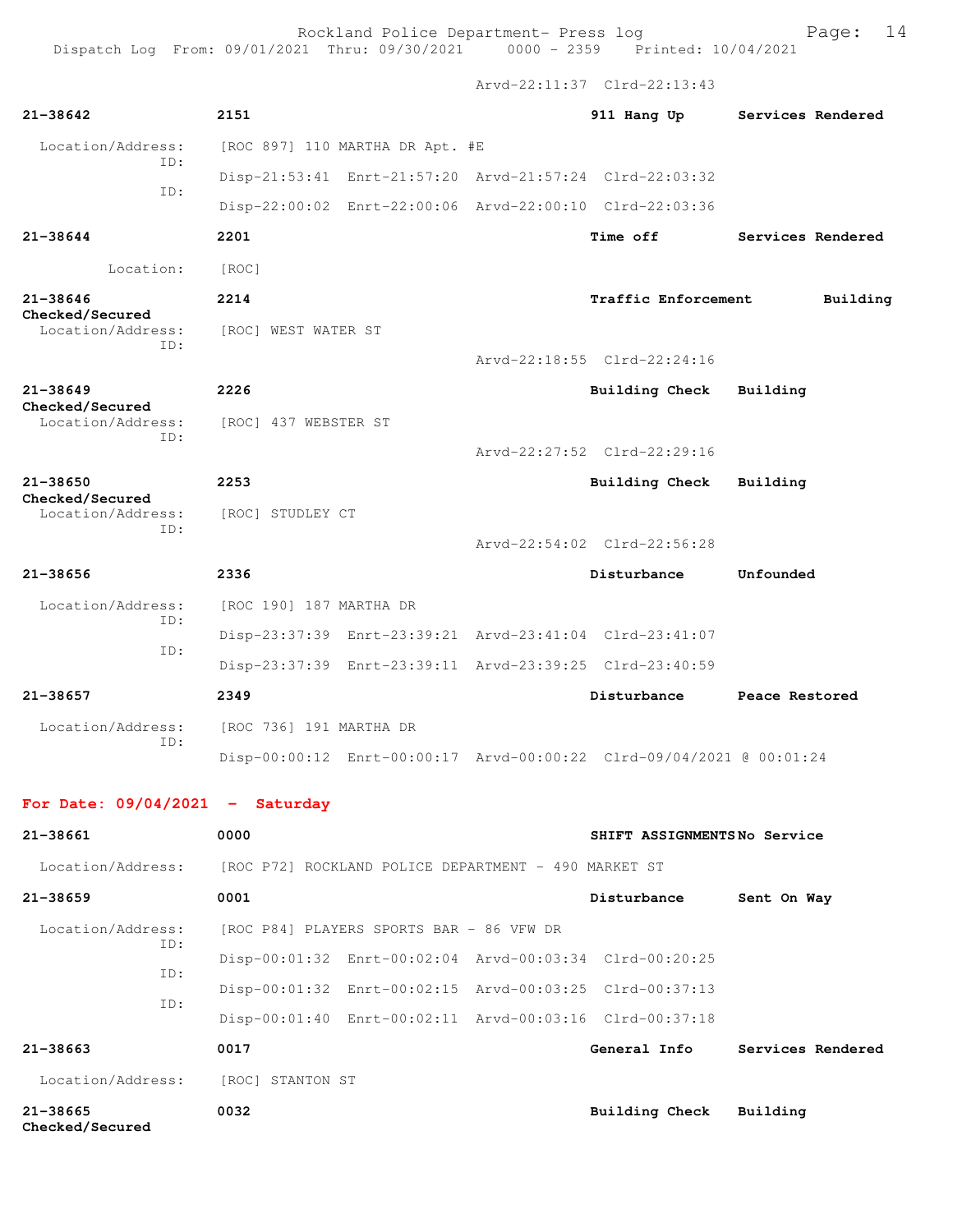Dispatch Log From: 09/01/2021 Thru: 09/30/2021 0000 - 2359 Printed: 10/04/2021

|                                      |                                                                      | Arvd-22:11:37 Clrd-22:13:43 |                   |
|--------------------------------------|----------------------------------------------------------------------|-----------------------------|-------------------|
| 21-38642                             | 2151                                                                 | 911 Hang Up                 | Services Rendered |
| Location/Address:<br>ID:             | [ROC 897] 110 MARTHA DR Apt. #E                                      |                             |                   |
|                                      | Disp-21:53:41 Enrt-21:57:20 Arvd-21:57:24 Clrd-22:03:32              |                             |                   |
| TD:                                  | Disp-22:00:02 Enrt-22:00:06 Arvd-22:00:10 Clrd-22:03:36              |                             |                   |
| 21-38644                             | 2201                                                                 | <b>Time off</b>             | Services Rendered |
| Location:                            | [ROC]                                                                |                             |                   |
| 21-38646<br><b>Checked/Secured</b>   | 2214                                                                 | <b>Traffic Enforcement</b>  | Building          |
| Location/Address:<br>ID:             | [ROC] WEST WATER ST                                                  |                             |                   |
|                                      |                                                                      | Arvd-22:18:55 Clrd-22:24:16 |                   |
| 21-38649<br>Checked/Secured          | 2226                                                                 | Building Check              | Building          |
| Location/Address:<br>ID:             | [ROC] 437 WEBSTER ST                                                 |                             |                   |
|                                      |                                                                      | Arvd-22:27:52 Clrd-22:29:16 |                   |
| 21-38650                             | 2253                                                                 | <b>Building Check</b>       | Building          |
| Checked/Secured<br>Location/Address: | [ROC] STUDLEY CT                                                     |                             |                   |
| ID:                                  |                                                                      | Arvd-22:54:02 Clrd-22:56:28 |                   |
| 21-38656                             | 2336                                                                 | Disturbance                 | Unfounded         |
| Location/Address:                    | [ROC 190] 187 MARTHA DR                                              |                             |                   |
| ID:                                  | Disp-23:37:39 Enrt-23:39:21 Arvd-23:41:04 Clrd-23:41:07              |                             |                   |
| ID:                                  | Disp-23:37:39 Enrt-23:39:11 Arvd-23:39:25 Clrd-23:40:59              |                             |                   |
| 21-38657                             | 2349                                                                 | Disturbance                 | Peace Restored    |
| Location/Address:                    | [ROC 736] 191 MARTHA DR                                              |                             |                   |
| TD:                                  | Disp-00:00:12 Enrt-00:00:17 Arvd-00:00:22 Clrd-09/04/2021 @ 00:01:24 |                             |                   |

## **For Date: 09/04/2021 - Saturday**

| 21-38661                        | 0000                                                    | SHIFT ASSIGNMENTSNo Service |                   |
|---------------------------------|---------------------------------------------------------|-----------------------------|-------------------|
| Location/Address:               | [ROC P72] ROCKLAND POLICE DEPARTMENT - 490 MARKET ST    |                             |                   |
| $21 - 38659$                    | 0001                                                    | Disturbance                 | Sent On Way       |
| Location/Address:               | [ROC P84] PLAYERS SPORTS BAR - 86 VFW DR                |                             |                   |
| ID:<br>ID:                      | Disp-00:01:32 Enrt-00:02:04 Arvd-00:03:34 Clrd-00:20:25 |                             |                   |
| ID:                             | Disp-00:01:32 Enrt-00:02:15 Arvd-00:03:25 Clrd-00:37:13 |                             |                   |
|                                 | Disp-00:01:40 Enrt-00:02:11 Arvd-00:03:16 Clrd-00:37:18 |                             |                   |
| $21 - 38663$                    | 0017                                                    | General Info                | Services Rendered |
| Location/Address:               | [ROC] STANTON ST                                        |                             |                   |
| $21 - 38665$<br>Checked/Secured | 0032                                                    | Building Check              | Building          |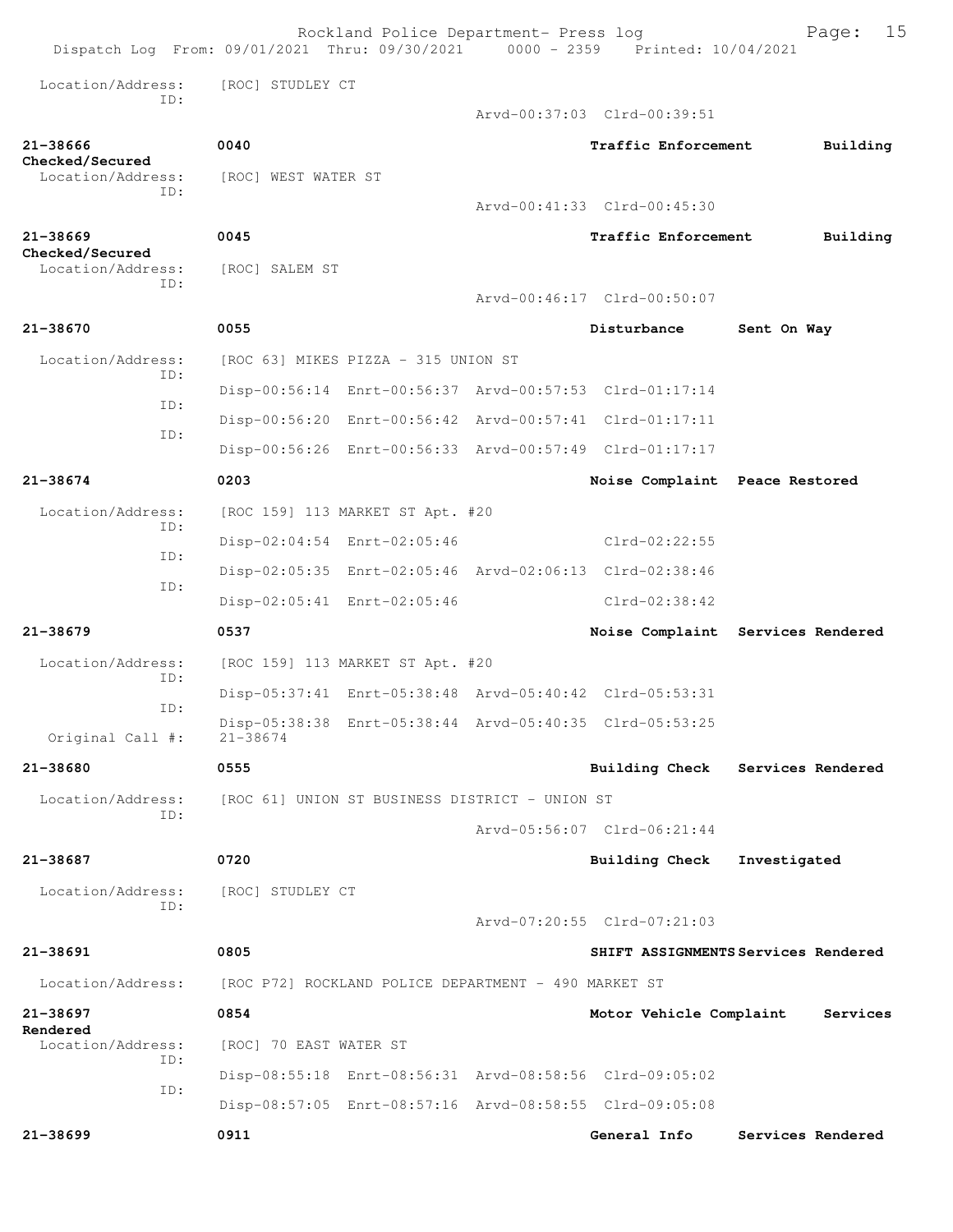|                                      | Rockland Police Department- Press log<br>Dispatch Log From: 09/01/2021 Thru: 09/30/2021 0000 - 2359 Printed: 10/04/2021 |                                | 15<br>Page:                         |
|--------------------------------------|-------------------------------------------------------------------------------------------------------------------------|--------------------------------|-------------------------------------|
| Location/Address:<br>TD:             | [ROC] STUDLEY CT                                                                                                        |                                |                                     |
|                                      |                                                                                                                         | Arvd-00:37:03 Clrd-00:39:51    |                                     |
| 21-38666                             | 0040                                                                                                                    | Traffic Enforcement            | Building                            |
| Checked/Secured<br>Location/Address: | [ROC] WEST WATER ST                                                                                                     |                                |                                     |
| ID:                                  |                                                                                                                         | Arvd-00:41:33 Clrd-00:45:30    |                                     |
| $21 - 38669$                         | 0045                                                                                                                    | Traffic Enforcement            | Building                            |
| Checked/Secured<br>Location/Address: | [ROC] SALEM ST                                                                                                          |                                |                                     |
| TD:                                  |                                                                                                                         | Arvd-00:46:17 Clrd-00:50:07    |                                     |
| 21-38670                             | 0055                                                                                                                    | Disturbance                    | Sent On Way                         |
| Location/Address:<br>TD:             | [ROC 63] MIKES PIZZA - 315 UNION ST                                                                                     |                                |                                     |
| ID:                                  | Disp-00:56:14 Enrt-00:56:37 Arvd-00:57:53 Clrd-01:17:14                                                                 |                                |                                     |
| ID:                                  | Disp-00:56:20 Enrt-00:56:42 Arvd-00:57:41 Clrd-01:17:11                                                                 |                                |                                     |
|                                      | Disp-00:56:26 Enrt-00:56:33 Arvd-00:57:49 Clrd-01:17:17                                                                 |                                |                                     |
| 21-38674                             | 0203                                                                                                                    | Noise Complaint Peace Restored |                                     |
| Location/Address:<br>ID:             | [ROC 159] 113 MARKET ST Apt. #20                                                                                        |                                |                                     |
| ID:                                  | Disp-02:04:54 Enrt-02:05:46                                                                                             | Clrd-02:22:55                  |                                     |
| ID:                                  | Disp-02:05:35 Enrt-02:05:46 Arvd-02:06:13 Clrd-02:38:46                                                                 |                                |                                     |
|                                      | Disp-02:05:41 Enrt-02:05:46                                                                                             | $Clrd-02:38:42$                |                                     |
| $21 - 38679$                         | 0537                                                                                                                    |                                | Noise Complaint Services Rendered   |
| Location/Address:                    | [ROC 159] 113 MARKET ST Apt. #20                                                                                        |                                |                                     |
| ID:<br>ID:                           | Disp-05:37:41 Enrt-05:38:48 Arvd-05:40:42 Clrd-05:53:31                                                                 |                                |                                     |
| Original Call #:                     | Disp-05:38:38 Enrt-05:38:44 Arvd-05:40:35 Clrd-05:53:25<br>$21 - 38674$                                                 |                                |                                     |
| 21-38680                             | 0555                                                                                                                    |                                | Building Check Services Rendered    |
| Location/Address:                    | [ROC 61] UNION ST BUSINESS DISTRICT - UNION ST                                                                          |                                |                                     |
| ID:                                  |                                                                                                                         | Arvd-05:56:07 Clrd-06:21:44    |                                     |
| $21 - 38687$                         | 0720                                                                                                                    | Building Check                 | Investigated                        |
| Location/Address:                    | [ROC] STUDLEY CT                                                                                                        |                                |                                     |
| ID:                                  |                                                                                                                         | Arvd-07:20:55 Clrd-07:21:03    |                                     |
| 21-38691                             | 0805                                                                                                                    |                                | SHIFT ASSIGNMENTS Services Rendered |
| Location/Address:                    | [ROC P72] ROCKLAND POLICE DEPARTMENT - 490 MARKET ST                                                                    |                                |                                     |
| 21-38697                             | 0854                                                                                                                    | Motor Vehicle Complaint        | Services                            |
| Rendered<br>Location/Address:        | [ROC] 70 EAST WATER ST                                                                                                  |                                |                                     |
| ID:                                  | Disp-08:55:18 Enrt-08:56:31 Arvd-08:58:56 Clrd-09:05:02                                                                 |                                |                                     |
| ID:                                  | Disp-08:57:05 Enrt-08:57:16 Arvd-08:58:55 Clrd-09:05:08                                                                 |                                |                                     |
| 21-38699                             | 0911                                                                                                                    | General Info                   | Services Rendered                   |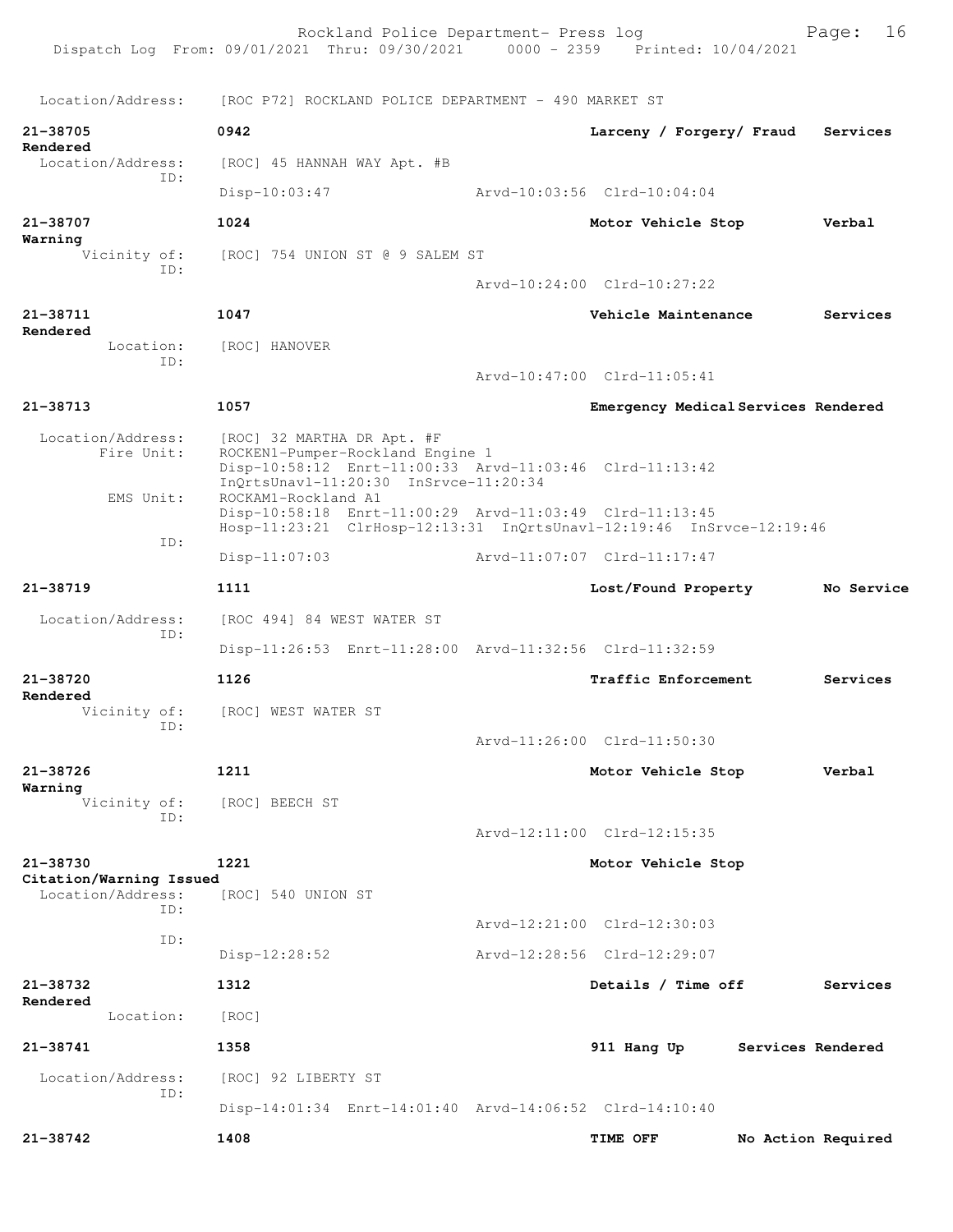Rockland Police Department- Press log Fage: 16 Dispatch Log From: 09/01/2021 Thru: 09/30/2021 0000 - 2359 Printed: 10/04/2021 Location/Address: [ROC P72] ROCKLAND POLICE DEPARTMENT - 490 MARKET ST **21-38705 0942 Larceny / Forgery/ Fraud Services Rendered**  Location/Address: [ROC] 45 HANNAH WAY Apt. #B ID: Disp-10:03:47 Arvd-10:03:56 Clrd-10:04:04 **21-38707 1024 Motor Vehicle Stop Verbal Warning**  Vicinity of: [ROC] 754 UNION ST @ 9 SALEM ST ID: Arvd-10:24:00 Clrd-10:27:22 **21-38711 1047 Vehicle Maintenance Services Rendered**  Location: [ROC] HANOVER ID: Arvd-10:47:00 Clrd-11:05:41 **21-38713 1057 Emergency Medical Services Rendered** Location/Address: [ROC] 32 MARTHA DR Apt. #F<br>Fire Unit: ROCKEN1-Pumper-Rockland En ROCKEN1-Pumper-Rockland Engine 1 Disp-10:58:12 Enrt-11:00:33 Arvd-11:03:46 Clrd-11:13:42 InQrtsUnavl-11:20:30 InSrvce-11:20:34<br>EMS Unit: ROCKAM1-Rockland A1 ROCKAM1-Rockland A1 Disp-10:58:18 Enrt-11:00:29 Arvd-11:03:49 Clrd-11:13:45 Hosp-11:23:21 ClrHosp-12:13:31 InQrtsUnavl-12:19:46 InSrvce-12:19:46 ID: Disp-11:07:03 Arvd-11:07:07 Clrd-11:17:47 **21-38719 1111 Lost/Found Property No Service** Location/Address: [ROC 494] 84 WEST WATER ST ID: Disp-11:26:53 Enrt-11:28:00 Arvd-11:32:56 Clrd-11:32:59 **21-38720 1126 Traffic Enforcement Services Rendered**  Vicinity of: [ROC] WEST WATER ST ID: Arvd-11:26:00 Clrd-11:50:30 **21-38726 1211 Motor Vehicle Stop Verbal Warning**  Vicinity of: [ROC] BEECH ST ID: Arvd-12:11:00 Clrd-12:15:35 **21-38730 1221 Motor Vehicle Stop Citation/Warning Issued**  Location/Address: [ROC] 540 UNION ST ID: Arvd-12:21:00 Clrd-12:30:03 ID: Disp-12:28:52 Arvd-12:28:56 Clrd-12:29:07 **21-38732 1312 Details / Time off Services Rendered**  Location: [ROC] **21-38741 1358 911 Hang Up Services Rendered** Location/Address: [ROC] 92 LIBERTY ST ID: Disp-14:01:34 Enrt-14:01:40 Arvd-14:06:52 Clrd-14:10:40 **21-38742 1408 TIME OFF No Action Required**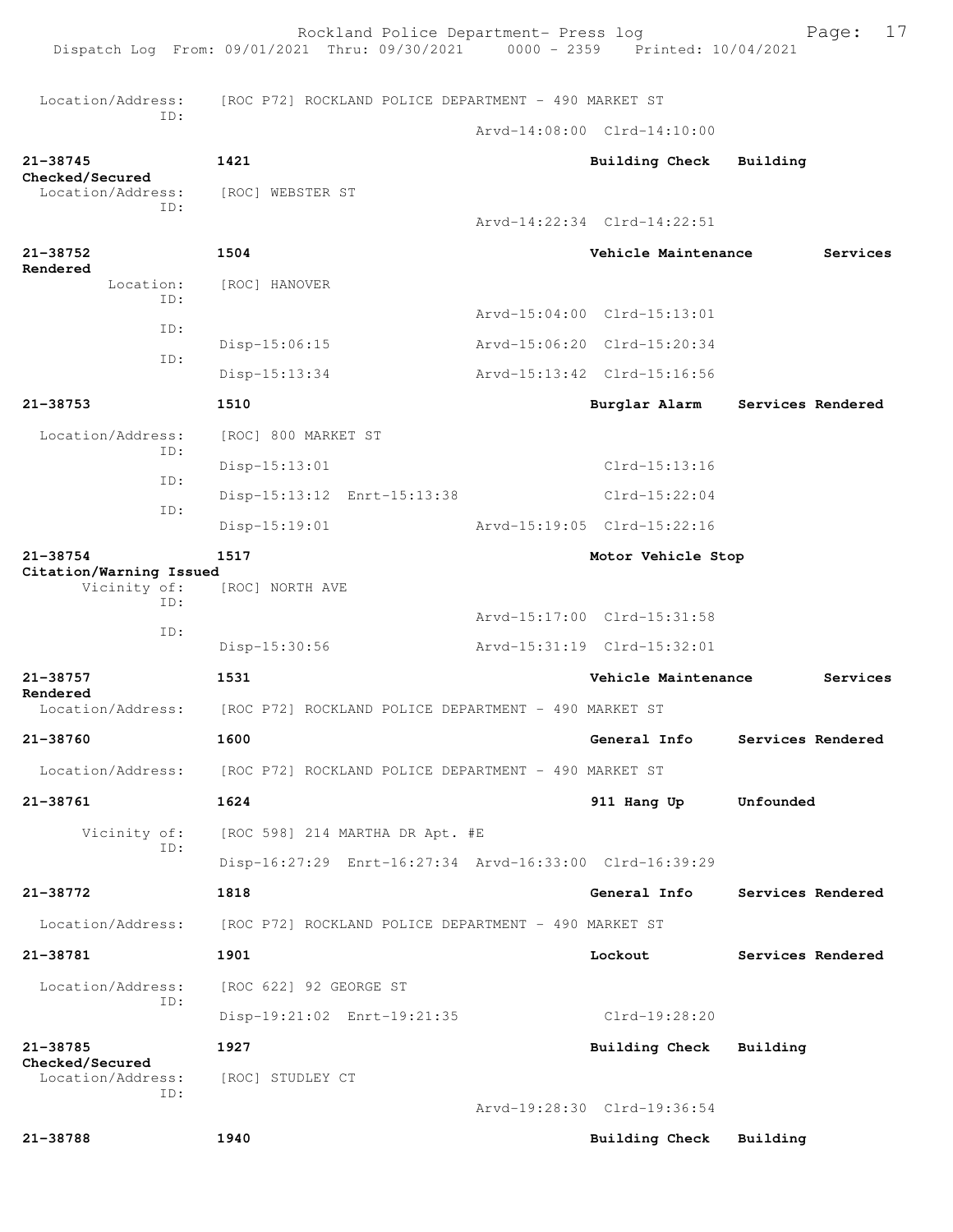Rockland Police Department- Press log Fage: 17 Dispatch Log From: 09/01/2021 Thru: 09/30/2021 0000 - 2359 Printed: 10/04/2021 Location/Address: [ROC P72] ROCKLAND POLICE DEPARTMENT - 490 MARKET ST ID: Arvd-14:08:00 Clrd-14:10:00 **21-38745 1421 Building Check Building Checked/Secured**  Location/Address: [ROC] WEBSTER ST ID: Arvd-14:22:34 Clrd-14:22:51 **21-38752 1504 Vehicle Maintenance Services Rendered**  Location: [ROC] HANOVER ID: Arvd-15:04:00 Clrd-15:13:01 ID: Disp-15:06:15 Arvd-15:06:20 Clrd-15:20:34 ID: Disp-15:13:34 Arvd-15:13:42 Clrd-15:16:56 **21-38753 1510 Burglar Alarm Services Rendered** Location/Address: [ROC] 800 MARKET ST ID: Disp-15:13:01 Clrd-15:13:16 ID: Disp-15:13:12 Enrt-15:13:38 Clrd-15:22:04 ID: Disp-15:19:01 Arvd-15:19:05 Clrd-15:22:16 **21-38754 1517 Motor Vehicle Stop Citation/Warning Issued**  [ROC] NORTH AVE ID: Arvd-15:17:00 Clrd-15:31:58 ID: Disp-15:30:56 Arvd-15:31:19 Clrd-15:32:01 **21-38757 1531 Vehicle Maintenance Services Rendered**  Location/Address: [ROC P72] ROCKLAND POLICE DEPARTMENT - 490 MARKET ST **21-38760 1600 General Info Services Rendered** Location/Address: [ROC P72] ROCKLAND POLICE DEPARTMENT - 490 MARKET ST **21-38761 1624 911 Hang Up Unfounded**  Vicinity of: [ROC 598] 214 MARTHA DR Apt. #E ID: Disp-16:27:29 Enrt-16:27:34 Arvd-16:33:00 Clrd-16:39:29 **21-38772 1818 General Info Services Rendered** Location/Address: [ROC P72] ROCKLAND POLICE DEPARTMENT - 490 MARKET ST **21-38781 1901 Lockout Services Rendered** Location/Address: [ROC 622] 92 GEORGE ST ID: Disp-19:21:02 Enrt-19:21:35 Clrd-19:28:20 **21-38785 1927 Building Check Building Checked/Secured**  Location/Address: [ROC] STUDLEY CT ID: Arvd-19:28:30 Clrd-19:36:54 **21-38788 1940 Building Check Building**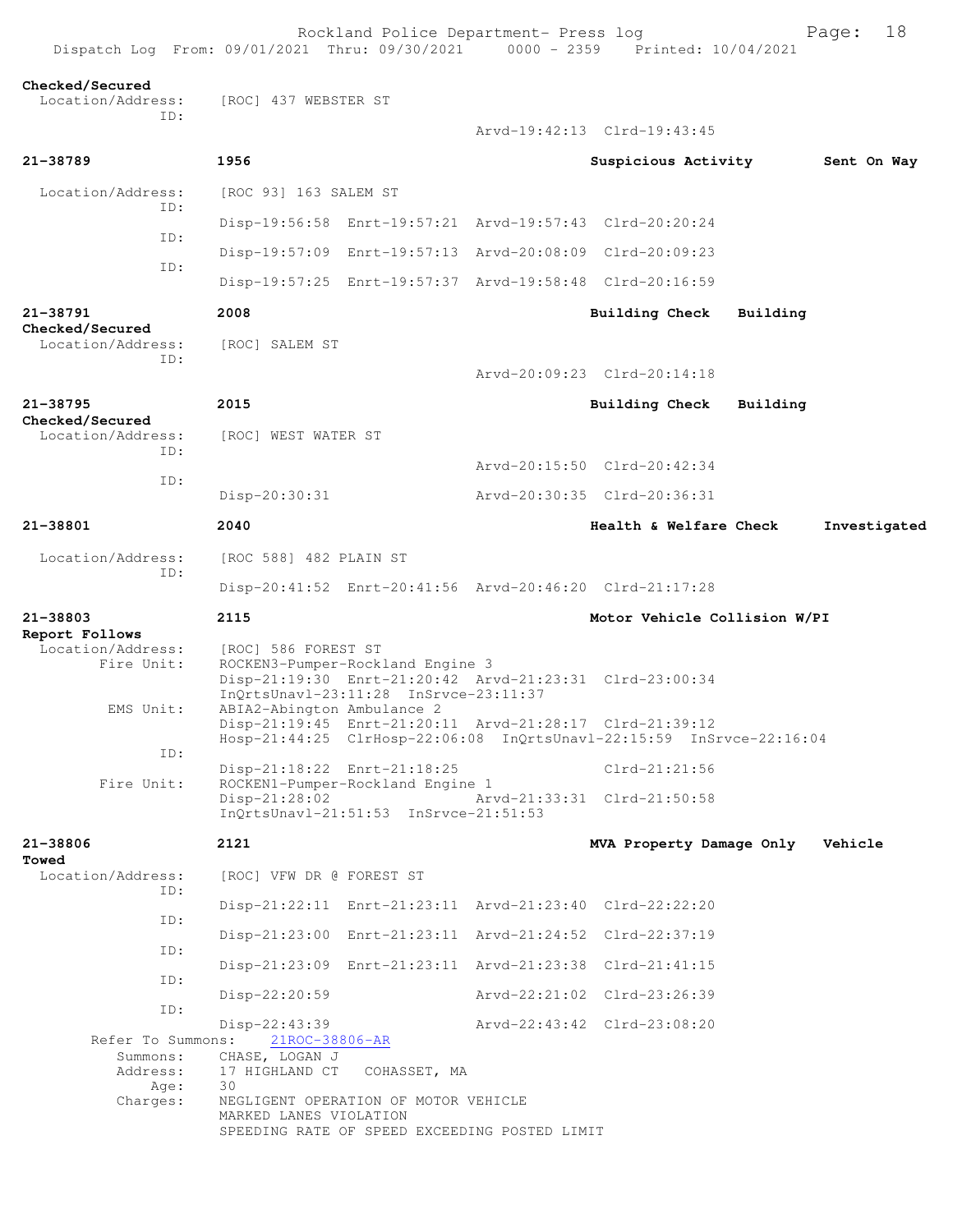| Dispatch Log From: 09/01/2021 Thru: 09/30/2021 0000 - 2359 Printed: 10/04/2021 |                                                     | Rockland Police Department- Press log                                                                                                |                                                                      |          | Page:       | 18           |
|--------------------------------------------------------------------------------|-----------------------------------------------------|--------------------------------------------------------------------------------------------------------------------------------------|----------------------------------------------------------------------|----------|-------------|--------------|
| Checked/Secured<br>Location/Address:<br>ID:                                    | [ROC] 437 WEBSTER ST                                |                                                                                                                                      |                                                                      |          |             |              |
|                                                                                |                                                     |                                                                                                                                      | Arvd-19:42:13 Clrd-19:43:45                                          |          |             |              |
| 21-38789                                                                       | 1956                                                |                                                                                                                                      | Suspicious Activity                                                  |          | Sent On Way |              |
| Location/Address:<br>ID:                                                       | [ROC 93] 163 SALEM ST                               |                                                                                                                                      |                                                                      |          |             |              |
| ID:                                                                            |                                                     | Disp-19:56:58 Enrt-19:57:21 Arvd-19:57:43 Clrd-20:20:24                                                                              |                                                                      |          |             |              |
| ID:                                                                            |                                                     | Disp-19:57:09 Enrt-19:57:13 Arvd-20:08:09 Clrd-20:09:23                                                                              |                                                                      |          |             |              |
|                                                                                |                                                     | Disp-19:57:25 Enrt-19:57:37 Arvd-19:58:48 Clrd-20:16:59                                                                              |                                                                      |          |             |              |
| 21-38791                                                                       | 2008                                                |                                                                                                                                      | <b>Building Check</b>                                                | Building |             |              |
| Checked/Secured<br>Location/Address:<br>ID:                                    | [ROC] SALEM ST                                      |                                                                                                                                      | Arvd-20:09:23 Clrd-20:14:18                                          |          |             |              |
|                                                                                |                                                     |                                                                                                                                      |                                                                      |          |             |              |
| 21-38795<br>Checked/Secured                                                    | 2015                                                |                                                                                                                                      | <b>Building Check</b>                                                | Building |             |              |
| Location/Address:<br>ID:                                                       | [ROC] WEST WATER ST                                 |                                                                                                                                      |                                                                      |          |             |              |
| ID:                                                                            |                                                     |                                                                                                                                      | Arvd-20:15:50 Clrd-20:42:34                                          |          |             |              |
|                                                                                | Disp-20:30:31                                       |                                                                                                                                      | Arvd-20:30:35 Clrd-20:36:31                                          |          |             |              |
| 21-38801                                                                       | 2040                                                |                                                                                                                                      | Health & Welfare Check                                               |          |             | Investigated |
| Location/Address:<br>ID:                                                       | [ROC 588] 482 PLAIN ST                              | Disp-20:41:52 Enrt-20:41:56 Arvd-20:46:20 Clrd-21:17:28                                                                              |                                                                      |          |             |              |
| 21-38803                                                                       | 2115                                                |                                                                                                                                      | Motor Vehicle Collision W/PI                                         |          |             |              |
| Report Follows<br>Location/Address:                                            |                                                     |                                                                                                                                      |                                                                      |          |             |              |
| Fire Unit:<br>EMS Unit:                                                        | [ROC] 586 FOREST ST<br>ABIA2-Abington Ambulance 2   | ROCKEN3-Pumper-Rockland Engine 3<br>Disp-21:19:30 Enrt-21:20:42 Arvd-21:23:31 Clrd-23:00:34<br>InQrtsUnavl-23:11:28 InSrvce-23:11:37 |                                                                      |          |             |              |
| ID:                                                                            |                                                     | Disp-21:19:45 Enrt-21:20:11 Arvd-21:28:17 Clrd-21:39:12                                                                              | Hosp-21:44:25 ClrHosp-22:06:08 InQrtsUnavl-22:15:59 InSrvce-22:16:04 |          |             |              |
| Fire Unit:                                                                     |                                                     | Disp-21:18:22 Enrt-21:18:25<br>ROCKEN1-Pumper-Rockland Engine 1                                                                      | $Clrd-21:21:56$                                                      |          |             |              |
|                                                                                | $Disp-21:28:02$                                     | InQrtsUnavl-21:51:53 InSrvce-21:51:53                                                                                                | Arvd-21:33:31 Clrd-21:50:58                                          |          |             |              |
| 21-38806                                                                       | 2121                                                |                                                                                                                                      | MVA Property Damage Only                                             |          | Vehicle     |              |
| Towed<br>Location/Address:<br>ID:                                              | [ROC] VFW DR @ FOREST ST                            |                                                                                                                                      |                                                                      |          |             |              |
| ID:                                                                            |                                                     | Disp-21:22:11 Enrt-21:23:11 Arvd-21:23:40 Clrd-22:22:20                                                                              |                                                                      |          |             |              |
| ID:                                                                            |                                                     | Disp-21:23:00 Enrt-21:23:11 Arvd-21:24:52 Clrd-22:37:19                                                                              |                                                                      |          |             |              |
| ID:                                                                            |                                                     | Disp-21:23:09 Enrt-21:23:11 Arvd-21:23:38 Clrd-21:41:15                                                                              |                                                                      |          |             |              |
| ID:                                                                            | Disp-22:20:59                                       |                                                                                                                                      | Arvd-22:21:02 Clrd-23:26:39                                          |          |             |              |
| Refer To Summons:<br>Summons:                                                  | $Disp-22:43:39$<br>21ROC-38806-AR<br>CHASE, LOGAN J |                                                                                                                                      | Arvd-22:43:42 Clrd-23:08:20                                          |          |             |              |
| Address:<br>Age:                                                               | 17 HIGHLAND CT<br>30                                | COHASSET, MA                                                                                                                         |                                                                      |          |             |              |
| Charges:                                                                       | MARKED LANES VIOLATION                              | NEGLIGENT OPERATION OF MOTOR VEHICLE<br>SPEEDING RATE OF SPEED EXCEEDING POSTED LIMIT                                                |                                                                      |          |             |              |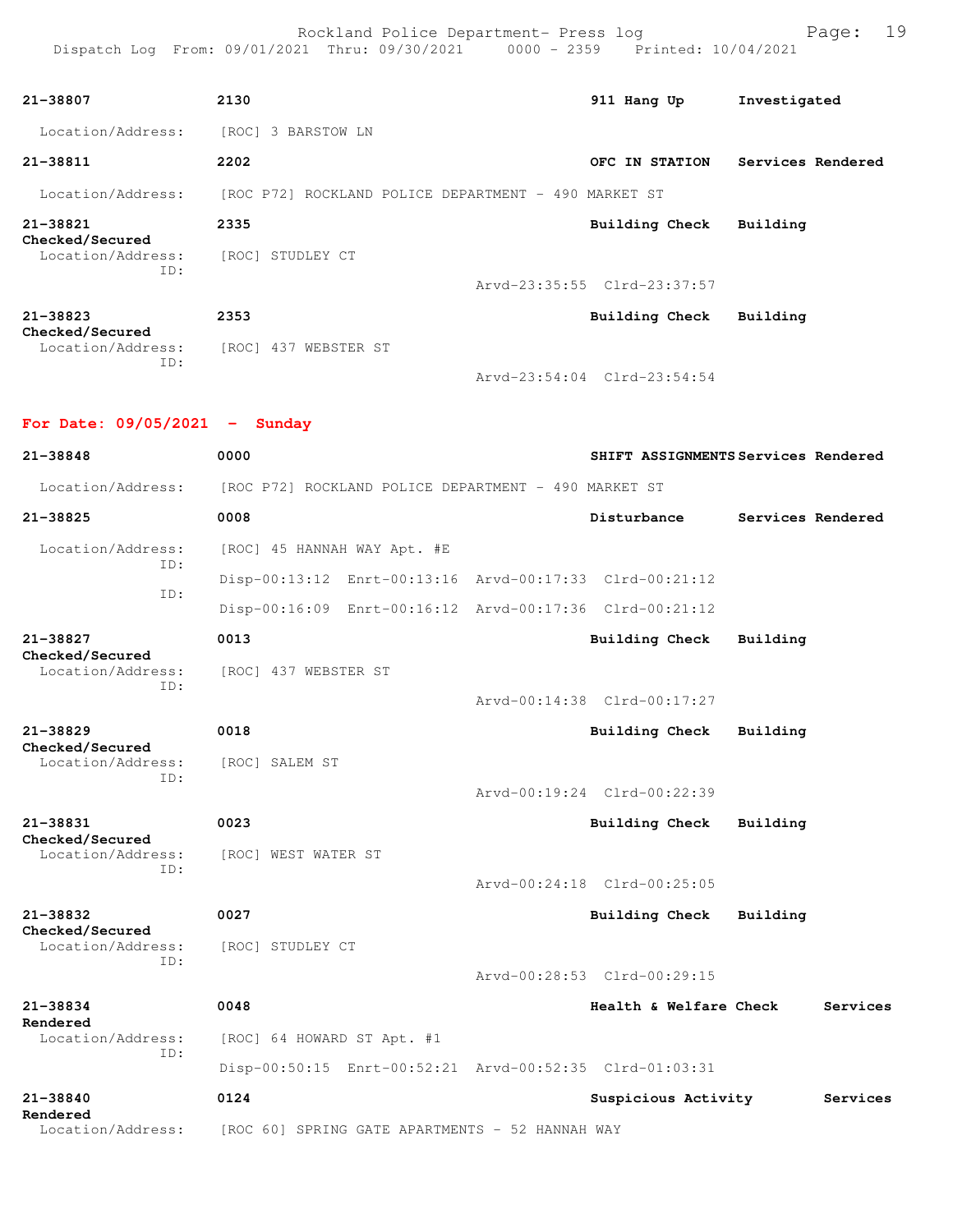Rockland Police Department- Press log Page: 19 Dispatch Log From: 09/01/2021 Thru: 09/30/2021 0000 - 2359 Printed: 10/04/2021

| 21-38807                                    | 2130                                                 | 911 Hang Up                 | Investigated      |
|---------------------------------------------|------------------------------------------------------|-----------------------------|-------------------|
| Location/Address:                           | 3 BARSTOW LN<br>[ROC]                                |                             |                   |
| 21-38811                                    | 2202                                                 | OFC IN STATION              | Services Rendered |
| Location/Address:                           | [ROC P72] ROCKLAND POLICE DEPARTMENT - 490 MARKET ST |                             |                   |
| 21-38821                                    | 2335                                                 | Building Check              | Building          |
| Checked/Secured<br>Location/Address:<br>ID: | [ROC]<br>STUDLEY CT                                  |                             |                   |
|                                             |                                                      | Arvd-23:35:55 Clrd-23:37:57 |                   |
| 21-38823                                    | 2353                                                 | Building Check              | Building          |
| Checked/Secured<br>Location/Address:<br>ID: | 437<br>[ROC]<br>WEBSTER ST                           |                             |                   |

**For Date: 09/05/2021 - Sunday**

Arvd-23:54:04 Clrd-23:54:54

**21-38848 0000 SHIFT ASSIGNMENTS Services Rendered** Location/Address: [ROC P72] ROCKLAND POLICE DEPARTMENT - 490 MARKET ST **21-38825 0008 Disturbance Services Rendered** Location/Address: [ROC] 45 HANNAH WAY Apt. #E ID: Disp-00:13:12 Enrt-00:13:16 Arvd-00:17:33 Clrd-00:21:12 ID: Disp-00:16:09 Enrt-00:16:12 Arvd-00:17:36 Clrd-00:21:12 **21-38827 0013 Building Check Building Checked/Secured**  Location/Address: [ROC] 437 WEBSTER ST ID: Arvd-00:14:38 Clrd-00:17:27 **21-38829 0018 Building Check Building Checked/Secured**  Location/Address: [ROC] SALEM ST ID: Arvd-00:19:24 Clrd-00:22:39 **21-38831 0023 Building Check Building Checked/Secured**  [ROC] WEST WATER ST ID: Arvd-00:24:18 Clrd-00:25:05 **21-38832 0027 Building Check Building Checked/Secured**  Location/Address: [ROC] STUDLEY CT ID: Arvd-00:28:53 Clrd-00:29:15 **21-38834 0048 Health & Welfare Check Services Rendered**  Location/Address: [ROC] 64 HOWARD ST Apt. #1 ID: Disp-00:50:15 Enrt-00:52:21 Arvd-00:52:35 Clrd-01:03:31 **21-38840 0124 Suspicious Activity Services Rendered**  Location/Address: [ROC 60] SPRING GATE APARTMENTS - 52 HANNAH WAY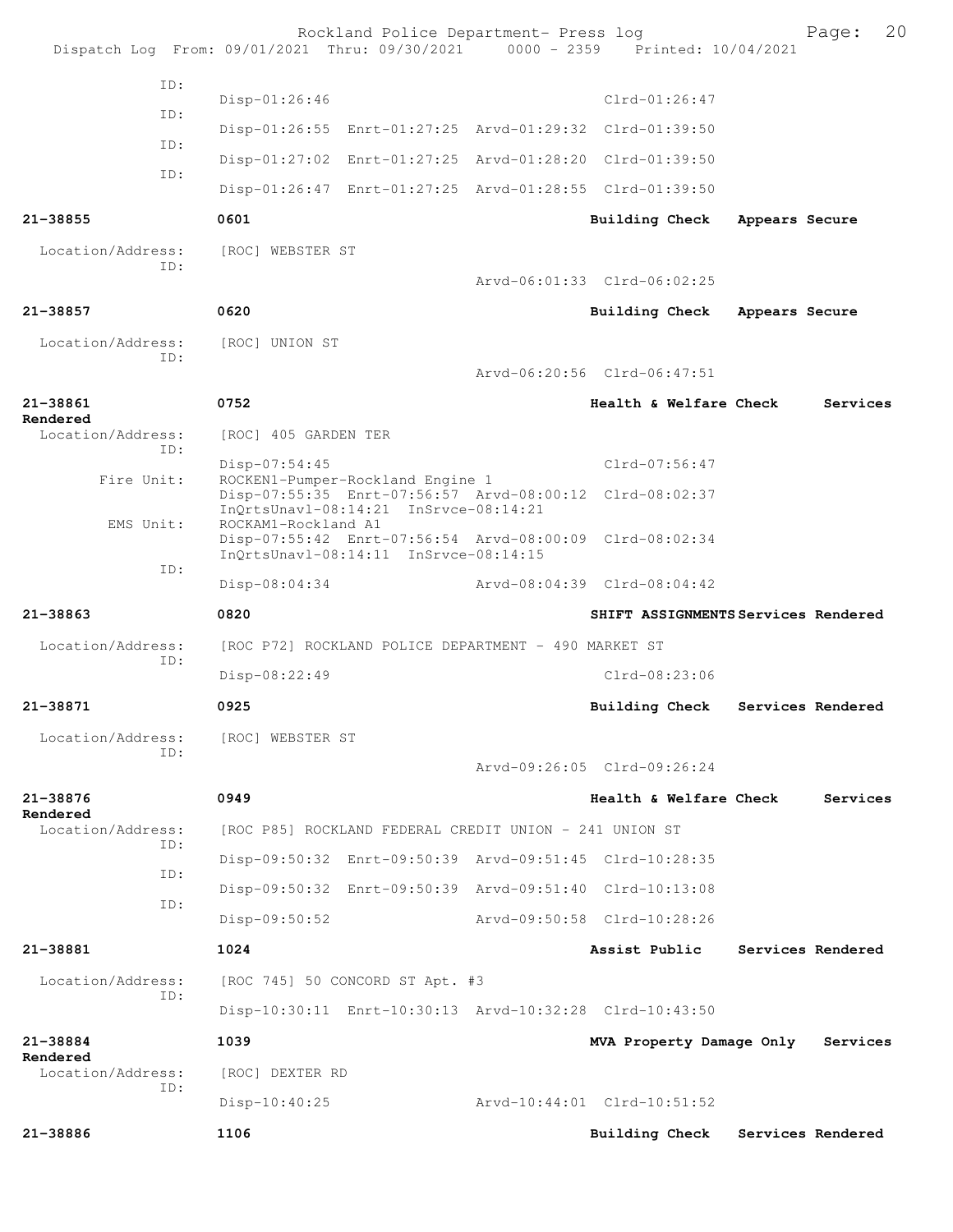| ID:<br>$Clrd-01:26:47$<br>$Disp-01:26:46$<br>ID:<br>Disp-01:26:55 Enrt-01:27:25 Arvd-01:29:32 Clrd-01:39:50<br>ID:<br>Disp-01:27:02 Enrt-01:27:25 Arvd-01:28:20 Clrd-01:39:50<br>ID:<br>Disp-01:26:47 Enrt-01:27:25 Arvd-01:28:55 Clrd-01:39:50<br>$21 - 38855$<br>0601<br>Building Check<br>Appears Secure<br>Location/Address:<br>[ROC] WEBSTER ST<br>ID:<br>Arvd-06:01:33 Clrd-06:02:25<br>0620<br>21-38857<br>Building Check<br>Appears Secure<br>Location/Address:<br>[ROC] UNION ST<br>ID:<br>Arvd-06:20:56 Clrd-06:47:51<br>21-38861<br>0752<br>Health & Welfare Check<br>Services<br>Rendered<br>Location/Address:<br>[ROC] 405 GARDEN TER<br>ID:<br>$Clrd-07:56:47$<br>$Disp-07:54:45$<br>Fire Unit:<br>ROCKEN1-Pumper-Rockland Engine 1<br>Disp-07:55:35 Enrt-07:56:57 Arvd-08:00:12 Clrd-08:02:37<br>InQrtsUnavl-08:14:21 InSrvce-08:14:21<br>EMS Unit:<br>ROCKAM1-Rockland A1<br>Disp-07:55:42 Enrt-07:56:54 Arvd-08:00:09 Clrd-08:02:34<br>InOrtsUnav1-08:14:11 InSrvce-08:14:15<br>ID:<br>Arvd-08:04:39 Clrd-08:04:42<br>$Disp-08:04:34$<br>0820<br>21-38863<br>SHIFT ASSIGNMENTS Services Rendered<br>Location/Address:<br>[ROC P72] ROCKLAND POLICE DEPARTMENT - 490 MARKET ST<br>ID:<br>$Clrd-08:23:06$<br>Disp-08:22:49<br>21-38871<br>0925<br>Building Check<br>Services Rendered<br>Location/Address:<br>[ROC] WEBSTER ST<br>TD:<br>Arvd-09:26:05 Clrd-09:26:24<br>21-38876<br>0949<br>Health & Welfare Check<br>Services<br>Rendered<br>Location/Address:<br>[ROC P85] ROCKLAND FEDERAL CREDIT UNION - 241 UNION ST<br>TD:<br>Disp-09:50:32 Enrt-09:50:39 Arvd-09:51:45 Clrd-10:28:35<br>ID:<br>Disp-09:50:32 Enrt-09:50:39 Arvd-09:51:40 Clrd-10:13:08<br>ID:<br>Arvd-09:50:58 Clrd-10:28:26<br>$Disp-09:50:52$<br>1024<br>21-38881<br>Assist Public<br>Services Rendered<br>Location/Address:<br>[ROC 745] 50 CONCORD ST Apt. #3<br>ID:<br>Disp-10:30:11 Enrt-10:30:13 Arvd-10:32:28 Clrd-10:43:50<br>21-38884<br>1039<br>MVA Property Damage Only<br>Services<br>Rendered<br>Location/Address:<br>[ROC] DEXTER RD<br>ID:<br>Arvd-10:44:01 Clrd-10:51:52<br>$Disp-10:40:25$<br>21-38886<br>1106<br>Building Check<br>Services Rendered |  | Rockland Police Department- Press log | Dispatch Log From: 09/01/2021 Thru: 09/30/2021 0000 - 2359 Printed: 10/04/2021 | Page: | 20 |
|---------------------------------------------------------------------------------------------------------------------------------------------------------------------------------------------------------------------------------------------------------------------------------------------------------------------------------------------------------------------------------------------------------------------------------------------------------------------------------------------------------------------------------------------------------------------------------------------------------------------------------------------------------------------------------------------------------------------------------------------------------------------------------------------------------------------------------------------------------------------------------------------------------------------------------------------------------------------------------------------------------------------------------------------------------------------------------------------------------------------------------------------------------------------------------------------------------------------------------------------------------------------------------------------------------------------------------------------------------------------------------------------------------------------------------------------------------------------------------------------------------------------------------------------------------------------------------------------------------------------------------------------------------------------------------------------------------------------------------------------------------------------------------------------------------------------------------------------------------------------------------------------------------------------------------------------------------------------------------------------------------------------------------------------------------------------------------------------------------------------------------------------------------------|--|---------------------------------------|--------------------------------------------------------------------------------|-------|----|
|                                                                                                                                                                                                                                                                                                                                                                                                                                                                                                                                                                                                                                                                                                                                                                                                                                                                                                                                                                                                                                                                                                                                                                                                                                                                                                                                                                                                                                                                                                                                                                                                                                                                                                                                                                                                                                                                                                                                                                                                                                                                                                                                                               |  |                                       |                                                                                |       |    |
|                                                                                                                                                                                                                                                                                                                                                                                                                                                                                                                                                                                                                                                                                                                                                                                                                                                                                                                                                                                                                                                                                                                                                                                                                                                                                                                                                                                                                                                                                                                                                                                                                                                                                                                                                                                                                                                                                                                                                                                                                                                                                                                                                               |  |                                       |                                                                                |       |    |
|                                                                                                                                                                                                                                                                                                                                                                                                                                                                                                                                                                                                                                                                                                                                                                                                                                                                                                                                                                                                                                                                                                                                                                                                                                                                                                                                                                                                                                                                                                                                                                                                                                                                                                                                                                                                                                                                                                                                                                                                                                                                                                                                                               |  |                                       |                                                                                |       |    |
|                                                                                                                                                                                                                                                                                                                                                                                                                                                                                                                                                                                                                                                                                                                                                                                                                                                                                                                                                                                                                                                                                                                                                                                                                                                                                                                                                                                                                                                                                                                                                                                                                                                                                                                                                                                                                                                                                                                                                                                                                                                                                                                                                               |  |                                       |                                                                                |       |    |
|                                                                                                                                                                                                                                                                                                                                                                                                                                                                                                                                                                                                                                                                                                                                                                                                                                                                                                                                                                                                                                                                                                                                                                                                                                                                                                                                                                                                                                                                                                                                                                                                                                                                                                                                                                                                                                                                                                                                                                                                                                                                                                                                                               |  |                                       |                                                                                |       |    |
|                                                                                                                                                                                                                                                                                                                                                                                                                                                                                                                                                                                                                                                                                                                                                                                                                                                                                                                                                                                                                                                                                                                                                                                                                                                                                                                                                                                                                                                                                                                                                                                                                                                                                                                                                                                                                                                                                                                                                                                                                                                                                                                                                               |  |                                       |                                                                                |       |    |
|                                                                                                                                                                                                                                                                                                                                                                                                                                                                                                                                                                                                                                                                                                                                                                                                                                                                                                                                                                                                                                                                                                                                                                                                                                                                                                                                                                                                                                                                                                                                                                                                                                                                                                                                                                                                                                                                                                                                                                                                                                                                                                                                                               |  |                                       |                                                                                |       |    |
|                                                                                                                                                                                                                                                                                                                                                                                                                                                                                                                                                                                                                                                                                                                                                                                                                                                                                                                                                                                                                                                                                                                                                                                                                                                                                                                                                                                                                                                                                                                                                                                                                                                                                                                                                                                                                                                                                                                                                                                                                                                                                                                                                               |  |                                       |                                                                                |       |    |
|                                                                                                                                                                                                                                                                                                                                                                                                                                                                                                                                                                                                                                                                                                                                                                                                                                                                                                                                                                                                                                                                                                                                                                                                                                                                                                                                                                                                                                                                                                                                                                                                                                                                                                                                                                                                                                                                                                                                                                                                                                                                                                                                                               |  |                                       |                                                                                |       |    |
|                                                                                                                                                                                                                                                                                                                                                                                                                                                                                                                                                                                                                                                                                                                                                                                                                                                                                                                                                                                                                                                                                                                                                                                                                                                                                                                                                                                                                                                                                                                                                                                                                                                                                                                                                                                                                                                                                                                                                                                                                                                                                                                                                               |  |                                       |                                                                                |       |    |
|                                                                                                                                                                                                                                                                                                                                                                                                                                                                                                                                                                                                                                                                                                                                                                                                                                                                                                                                                                                                                                                                                                                                                                                                                                                                                                                                                                                                                                                                                                                                                                                                                                                                                                                                                                                                                                                                                                                                                                                                                                                                                                                                                               |  |                                       |                                                                                |       |    |
|                                                                                                                                                                                                                                                                                                                                                                                                                                                                                                                                                                                                                                                                                                                                                                                                                                                                                                                                                                                                                                                                                                                                                                                                                                                                                                                                                                                                                                                                                                                                                                                                                                                                                                                                                                                                                                                                                                                                                                                                                                                                                                                                                               |  |                                       |                                                                                |       |    |
|                                                                                                                                                                                                                                                                                                                                                                                                                                                                                                                                                                                                                                                                                                                                                                                                                                                                                                                                                                                                                                                                                                                                                                                                                                                                                                                                                                                                                                                                                                                                                                                                                                                                                                                                                                                                                                                                                                                                                                                                                                                                                                                                                               |  |                                       |                                                                                |       |    |
|                                                                                                                                                                                                                                                                                                                                                                                                                                                                                                                                                                                                                                                                                                                                                                                                                                                                                                                                                                                                                                                                                                                                                                                                                                                                                                                                                                                                                                                                                                                                                                                                                                                                                                                                                                                                                                                                                                                                                                                                                                                                                                                                                               |  |                                       |                                                                                |       |    |
|                                                                                                                                                                                                                                                                                                                                                                                                                                                                                                                                                                                                                                                                                                                                                                                                                                                                                                                                                                                                                                                                                                                                                                                                                                                                                                                                                                                                                                                                                                                                                                                                                                                                                                                                                                                                                                                                                                                                                                                                                                                                                                                                                               |  |                                       |                                                                                |       |    |
|                                                                                                                                                                                                                                                                                                                                                                                                                                                                                                                                                                                                                                                                                                                                                                                                                                                                                                                                                                                                                                                                                                                                                                                                                                                                                                                                                                                                                                                                                                                                                                                                                                                                                                                                                                                                                                                                                                                                                                                                                                                                                                                                                               |  |                                       |                                                                                |       |    |
|                                                                                                                                                                                                                                                                                                                                                                                                                                                                                                                                                                                                                                                                                                                                                                                                                                                                                                                                                                                                                                                                                                                                                                                                                                                                                                                                                                                                                                                                                                                                                                                                                                                                                                                                                                                                                                                                                                                                                                                                                                                                                                                                                               |  |                                       |                                                                                |       |    |
|                                                                                                                                                                                                                                                                                                                                                                                                                                                                                                                                                                                                                                                                                                                                                                                                                                                                                                                                                                                                                                                                                                                                                                                                                                                                                                                                                                                                                                                                                                                                                                                                                                                                                                                                                                                                                                                                                                                                                                                                                                                                                                                                                               |  |                                       |                                                                                |       |    |
|                                                                                                                                                                                                                                                                                                                                                                                                                                                                                                                                                                                                                                                                                                                                                                                                                                                                                                                                                                                                                                                                                                                                                                                                                                                                                                                                                                                                                                                                                                                                                                                                                                                                                                                                                                                                                                                                                                                                                                                                                                                                                                                                                               |  |                                       |                                                                                |       |    |
|                                                                                                                                                                                                                                                                                                                                                                                                                                                                                                                                                                                                                                                                                                                                                                                                                                                                                                                                                                                                                                                                                                                                                                                                                                                                                                                                                                                                                                                                                                                                                                                                                                                                                                                                                                                                                                                                                                                                                                                                                                                                                                                                                               |  |                                       |                                                                                |       |    |
|                                                                                                                                                                                                                                                                                                                                                                                                                                                                                                                                                                                                                                                                                                                                                                                                                                                                                                                                                                                                                                                                                                                                                                                                                                                                                                                                                                                                                                                                                                                                                                                                                                                                                                                                                                                                                                                                                                                                                                                                                                                                                                                                                               |  |                                       |                                                                                |       |    |
|                                                                                                                                                                                                                                                                                                                                                                                                                                                                                                                                                                                                                                                                                                                                                                                                                                                                                                                                                                                                                                                                                                                                                                                                                                                                                                                                                                                                                                                                                                                                                                                                                                                                                                                                                                                                                                                                                                                                                                                                                                                                                                                                                               |  |                                       |                                                                                |       |    |
|                                                                                                                                                                                                                                                                                                                                                                                                                                                                                                                                                                                                                                                                                                                                                                                                                                                                                                                                                                                                                                                                                                                                                                                                                                                                                                                                                                                                                                                                                                                                                                                                                                                                                                                                                                                                                                                                                                                                                                                                                                                                                                                                                               |  |                                       |                                                                                |       |    |
|                                                                                                                                                                                                                                                                                                                                                                                                                                                                                                                                                                                                                                                                                                                                                                                                                                                                                                                                                                                                                                                                                                                                                                                                                                                                                                                                                                                                                                                                                                                                                                                                                                                                                                                                                                                                                                                                                                                                                                                                                                                                                                                                                               |  |                                       |                                                                                |       |    |
|                                                                                                                                                                                                                                                                                                                                                                                                                                                                                                                                                                                                                                                                                                                                                                                                                                                                                                                                                                                                                                                                                                                                                                                                                                                                                                                                                                                                                                                                                                                                                                                                                                                                                                                                                                                                                                                                                                                                                                                                                                                                                                                                                               |  |                                       |                                                                                |       |    |
|                                                                                                                                                                                                                                                                                                                                                                                                                                                                                                                                                                                                                                                                                                                                                                                                                                                                                                                                                                                                                                                                                                                                                                                                                                                                                                                                                                                                                                                                                                                                                                                                                                                                                                                                                                                                                                                                                                                                                                                                                                                                                                                                                               |  |                                       |                                                                                |       |    |
|                                                                                                                                                                                                                                                                                                                                                                                                                                                                                                                                                                                                                                                                                                                                                                                                                                                                                                                                                                                                                                                                                                                                                                                                                                                                                                                                                                                                                                                                                                                                                                                                                                                                                                                                                                                                                                                                                                                                                                                                                                                                                                                                                               |  |                                       |                                                                                |       |    |
|                                                                                                                                                                                                                                                                                                                                                                                                                                                                                                                                                                                                                                                                                                                                                                                                                                                                                                                                                                                                                                                                                                                                                                                                                                                                                                                                                                                                                                                                                                                                                                                                                                                                                                                                                                                                                                                                                                                                                                                                                                                                                                                                                               |  |                                       |                                                                                |       |    |
|                                                                                                                                                                                                                                                                                                                                                                                                                                                                                                                                                                                                                                                                                                                                                                                                                                                                                                                                                                                                                                                                                                                                                                                                                                                                                                                                                                                                                                                                                                                                                                                                                                                                                                                                                                                                                                                                                                                                                                                                                                                                                                                                                               |  |                                       |                                                                                |       |    |
|                                                                                                                                                                                                                                                                                                                                                                                                                                                                                                                                                                                                                                                                                                                                                                                                                                                                                                                                                                                                                                                                                                                                                                                                                                                                                                                                                                                                                                                                                                                                                                                                                                                                                                                                                                                                                                                                                                                                                                                                                                                                                                                                                               |  |                                       |                                                                                |       |    |
|                                                                                                                                                                                                                                                                                                                                                                                                                                                                                                                                                                                                                                                                                                                                                                                                                                                                                                                                                                                                                                                                                                                                                                                                                                                                                                                                                                                                                                                                                                                                                                                                                                                                                                                                                                                                                                                                                                                                                                                                                                                                                                                                                               |  |                                       |                                                                                |       |    |
|                                                                                                                                                                                                                                                                                                                                                                                                                                                                                                                                                                                                                                                                                                                                                                                                                                                                                                                                                                                                                                                                                                                                                                                                                                                                                                                                                                                                                                                                                                                                                                                                                                                                                                                                                                                                                                                                                                                                                                                                                                                                                                                                                               |  |                                       |                                                                                |       |    |
|                                                                                                                                                                                                                                                                                                                                                                                                                                                                                                                                                                                                                                                                                                                                                                                                                                                                                                                                                                                                                                                                                                                                                                                                                                                                                                                                                                                                                                                                                                                                                                                                                                                                                                                                                                                                                                                                                                                                                                                                                                                                                                                                                               |  |                                       |                                                                                |       |    |
|                                                                                                                                                                                                                                                                                                                                                                                                                                                                                                                                                                                                                                                                                                                                                                                                                                                                                                                                                                                                                                                                                                                                                                                                                                                                                                                                                                                                                                                                                                                                                                                                                                                                                                                                                                                                                                                                                                                                                                                                                                                                                                                                                               |  |                                       |                                                                                |       |    |
|                                                                                                                                                                                                                                                                                                                                                                                                                                                                                                                                                                                                                                                                                                                                                                                                                                                                                                                                                                                                                                                                                                                                                                                                                                                                                                                                                                                                                                                                                                                                                                                                                                                                                                                                                                                                                                                                                                                                                                                                                                                                                                                                                               |  |                                       |                                                                                |       |    |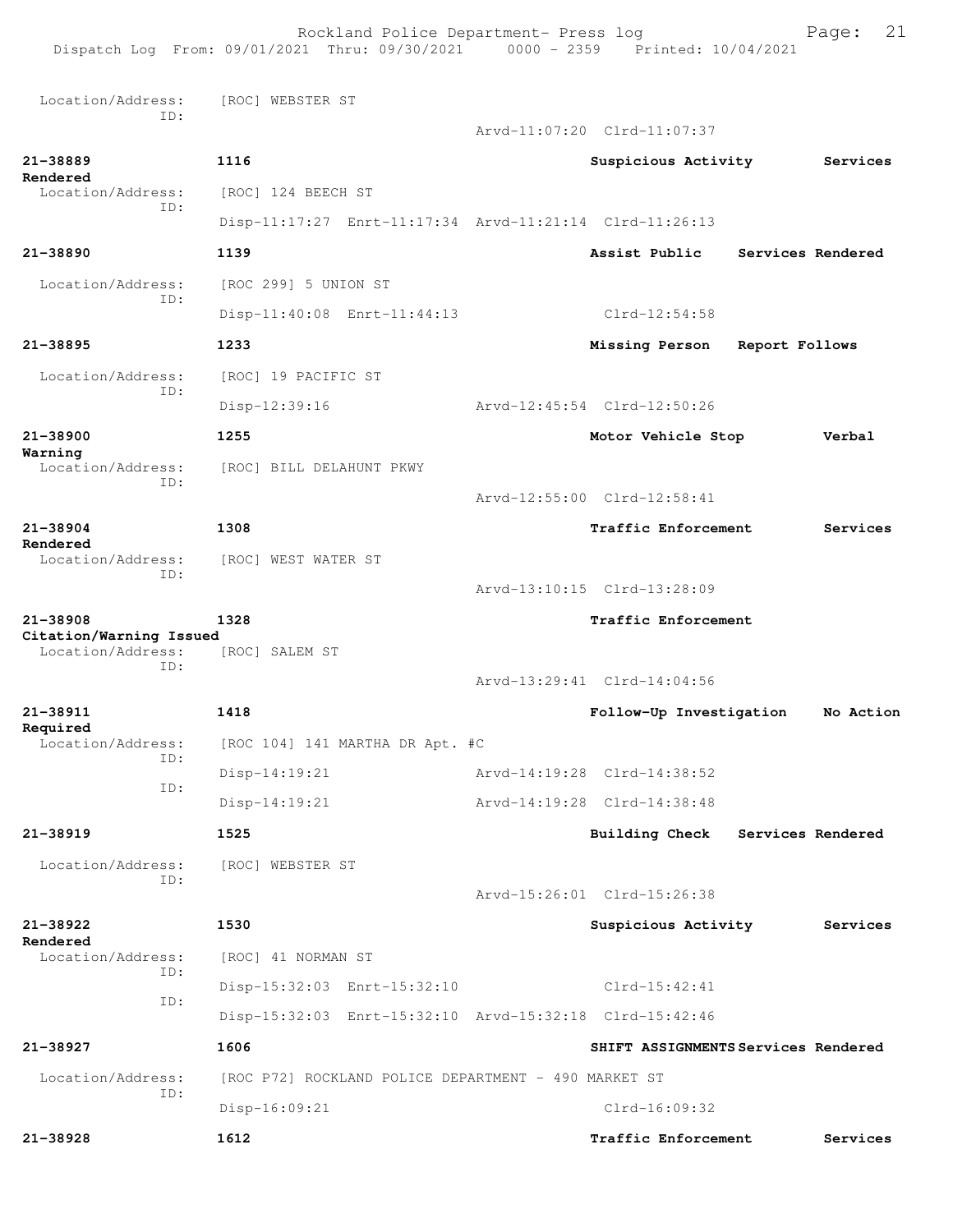Rockland Police Department- Press log Fage: 21 Dispatch Log From: 09/01/2021 Thru: 09/30/2021 0000 - 2359 Printed: 10/04/2021 Location/Address: [ROC] WEBSTER ST ID: Arvd-11:07:20 Clrd-11:07:37 **21-38889 1116 Suspicious Activity Services Rendered**  Location/Address: [ROC] 124 BEECH ST ID: Disp-11:17:27 Enrt-11:17:34 Arvd-11:21:14 Clrd-11:26:13 **21-38890 1139 Assist Public Services Rendered** Location/Address: [ROC 299] 5 UNION ST ID: Disp-11:40:08 Enrt-11:44:13 Clrd-12:54:58 **21-38895 1233 Missing Person Report Follows** Location/Address: [ROC] 19 PACIFIC ST ID: Disp-12:39:16 Arvd-12:45:54 Clrd-12:50:26 **21-38900 1255 Motor Vehicle Stop Verbal Warning**  Location/Address: [ROC] BILL DELAHUNT PKWY ID: Arvd-12:55:00 Clrd-12:58:41 **21-38904 1308 Traffic Enforcement Services Rendered**  Location/Address: [ROC] WEST WATER ST ID: Arvd-13:10:15 Clrd-13:28:09 **21-38908 1328 Traffic Enforcement Citation/Warning Issued**  Location/Address: ID: Arvd-13:29:41 Clrd-14:04:56 **21-38911 1418 Follow-Up Investigation No Action Required**   $[ROC 104] 141$  MARTHA DR Apt. #C ID: Disp-14:19:21 Arvd-14:19:28 Clrd-14:38:52 ID: Disp-14:19:21 Arvd-14:19:28 Clrd-14:38:48 **21-38919 1525 Building Check Services Rendered** Location/Address: [ROC] WEBSTER ST ID: Arvd-15:26:01 Clrd-15:26:38 **21-38922 1530 Suspicious Activity Services Rendered**  [ROC] 41 NORMAN ST ID: Disp-15:32:03 Enrt-15:32:10 Clrd-15:42:41 ID: Disp-15:32:03 Enrt-15:32:10 Arvd-15:32:18 Clrd-15:42:46 **21-38927 1606 SHIFT ASSIGNMENTS Services Rendered** Location/Address: [ROC P72] ROCKLAND POLICE DEPARTMENT - 490 MARKET ST ID: Disp-16:09:21 Clrd-16:09:32 **21-38928 1612 Traffic Enforcement Services**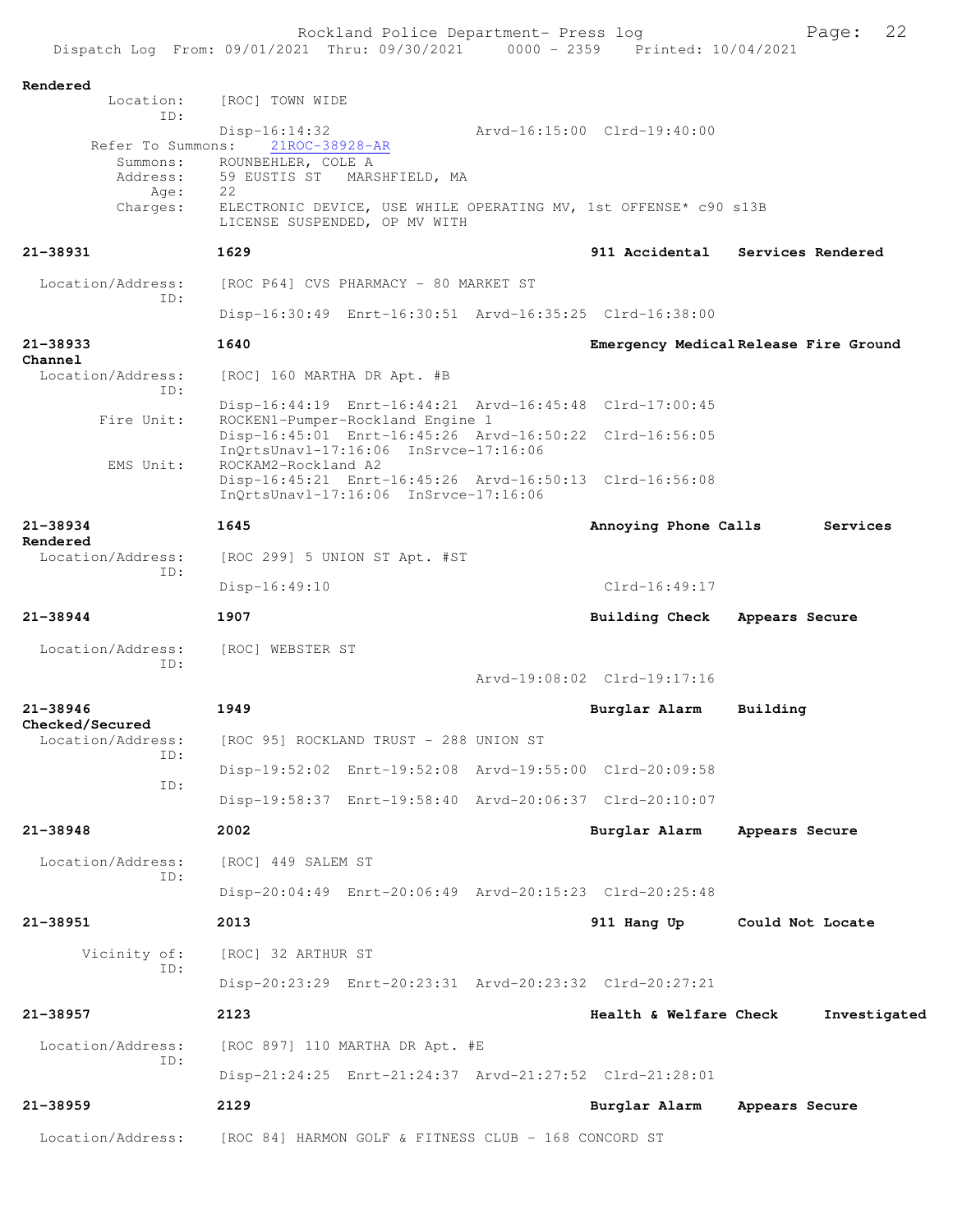| Dispatch Log From: 09/01/2021 Thru: 09/30/2021 |                                                                                                                         |                | Rockland Police Department- Press log | 0000 - 2359 Printed: 10/04/2021                                  | 22<br>Page:                           |
|------------------------------------------------|-------------------------------------------------------------------------------------------------------------------------|----------------|---------------------------------------|------------------------------------------------------------------|---------------------------------------|
|                                                |                                                                                                                         |                |                                       |                                                                  |                                       |
| Rendered<br>Location:                          | [ROC] TOWN WIDE                                                                                                         |                |                                       |                                                                  |                                       |
| ID:                                            | $Disp-16:14:32$                                                                                                         |                |                                       | Arvd-16:15:00 Clrd-19:40:00                                      |                                       |
| Refer To Summons:<br>Summons:                  | 21ROC-38928-AR<br>ROUNBEHLER, COLE A                                                                                    |                |                                       |                                                                  |                                       |
| Address:<br>Age:                               | 59 EUSTIS ST<br>22                                                                                                      | MARSHFIELD, MA |                                       |                                                                  |                                       |
| Charges:                                       | LICENSE SUSPENDED, OP MV WITH                                                                                           |                |                                       | ELECTRONIC DEVICE, USE WHILE OPERATING MV, 1st OFFENSE* c90 s13B |                                       |
| 21-38931                                       | 1629                                                                                                                    |                |                                       |                                                                  | 911 Accidental Services Rendered      |
| Location/Address:                              | [ROC P64] CVS PHARMACY - 80 MARKET ST                                                                                   |                |                                       |                                                                  |                                       |
| ID:                                            | Disp-16:30:49 Enrt-16:30:51 Arvd-16:35:25 Clrd-16:38:00                                                                 |                |                                       |                                                                  |                                       |
| 21-38933<br>Channel                            | 1640                                                                                                                    |                |                                       |                                                                  | Emergency Medical Release Fire Ground |
| Location/Address:<br>ID:                       | [ROC] 160 MARTHA DR Apt. #B                                                                                             |                |                                       |                                                                  |                                       |
| Fire Unit:                                     | Disp-16:44:19    Enrt-16:44:21    Arvd-16:45:48    Clrd-17:00:45<br>ROCKEN1-Pumper-Rockland Engine 1                    |                |                                       |                                                                  |                                       |
| EMS Unit:                                      | Disp-16:45:01 Enrt-16:45:26 Arvd-16:50:22 Clrd-16:56:05<br>InQrtsUnavl-17:16:06 InSrvce-17:16:06                        |                |                                       |                                                                  |                                       |
|                                                | ROCKAM2-Rockland A2<br>Disp-16:45:21 Enrt-16:45:26 Arvd-16:50:13 Clrd-16:56:08<br>InQrtsUnav1-17:16:06 InSrvce-17:16:06 |                |                                       |                                                                  |                                       |
| 21-38934                                       | 1645                                                                                                                    |                |                                       | Annoying Phone Calls                                             | Services                              |
| Rendered<br>Location/Address:                  | [ROC 299] 5 UNION ST Apt. #ST                                                                                           |                |                                       |                                                                  |                                       |
| ID:                                            | $Disp-16:49:10$                                                                                                         |                |                                       | $Clrd-16:49:17$                                                  |                                       |
| $21 - 38944$                                   | 1907                                                                                                                    |                |                                       | <b>Building Check</b>                                            | Appears Secure                        |
| Location/Address:                              | [ROC] WEBSTER ST                                                                                                        |                |                                       |                                                                  |                                       |
| ID:                                            |                                                                                                                         |                |                                       | Arvd-19:08:02 Clrd-19:17:16                                      |                                       |
| $21 - 38946$                                   | 1949                                                                                                                    |                |                                       | Burglar Alarm                                                    | Building                              |
| Checked/Secured<br>Location/Address:           | [ROC 95] ROCKLAND TRUST - 288 UNION ST                                                                                  |                |                                       |                                                                  |                                       |
| ID:                                            |                                                                                                                         |                |                                       |                                                                  |                                       |
| ID:                                            | Disp-19:52:02 Enrt-19:52:08 Arvd-19:55:00 Clrd-20:09:58                                                                 |                |                                       |                                                                  |                                       |
|                                                | Disp-19:58:37 Enrt-19:58:40 Arvd-20:06:37 Clrd-20:10:07                                                                 |                |                                       |                                                                  |                                       |
| $21 - 38948$                                   | 2002                                                                                                                    |                |                                       | Burglar Alarm                                                    | Appears Secure                        |
| Location/Address:<br>ID:                       | [ROC] 449 SALEM ST                                                                                                      |                |                                       |                                                                  |                                       |
|                                                | Disp-20:04:49 Enrt-20:06:49 Arvd-20:15:23 Clrd-20:25:48                                                                 |                |                                       |                                                                  |                                       |
| $21 - 38951$                                   | 2013                                                                                                                    |                |                                       | 911 Hang Up                                                      | Could Not Locate                      |
| Vicinity of:<br>ID:                            | [ROC] 32 ARTHUR ST                                                                                                      |                |                                       |                                                                  |                                       |
|                                                | Disp-20:23:29 Enrt-20:23:31 Arvd-20:23:32 Clrd-20:27:21                                                                 |                |                                       |                                                                  |                                       |
| 21-38957                                       | 2123                                                                                                                    |                |                                       | Health & Welfare Check                                           | Investigated                          |
| Location/Address:                              | [ROC 897] 110 MARTHA DR Apt. #E                                                                                         |                |                                       |                                                                  |                                       |
| ID:                                            | Disp-21:24:25 Enrt-21:24:37 Arvd-21:27:52 Clrd-21:28:01                                                                 |                |                                       |                                                                  |                                       |
| $21 - 38959$                                   | 2129                                                                                                                    |                |                                       | Burglar Alarm                                                    | Appears Secure                        |
| Location/Address:                              | [ROC 84] HARMON GOLF & FITNESS CLUB - 168 CONCORD ST                                                                    |                |                                       |                                                                  |                                       |
|                                                |                                                                                                                         |                |                                       |                                                                  |                                       |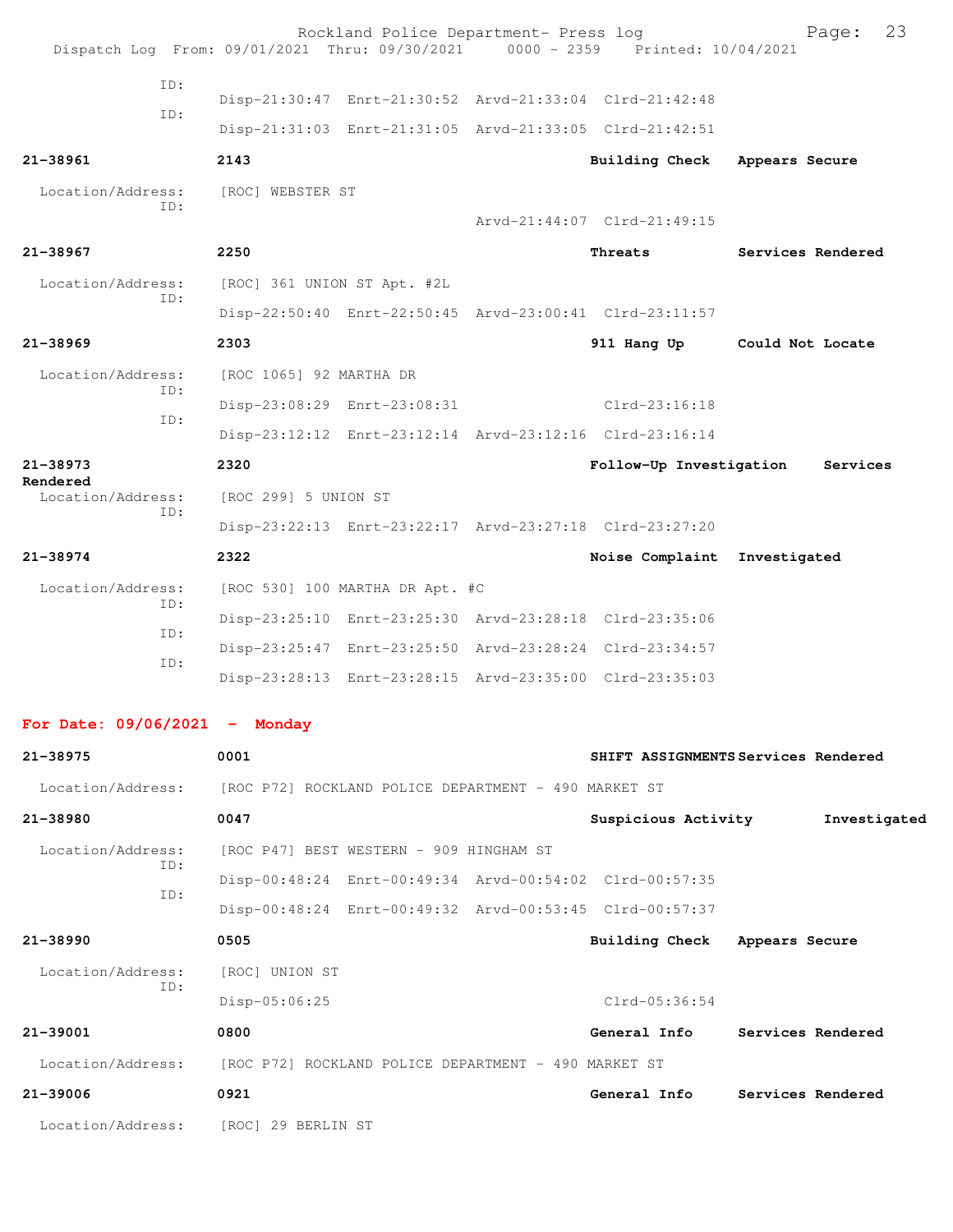|                                                                                |                                                      | Rockland Police Department- Press log   |                                                         | 23<br>Page:                         |
|--------------------------------------------------------------------------------|------------------------------------------------------|-----------------------------------------|---------------------------------------------------------|-------------------------------------|
| Dispatch Log From: 09/01/2021 Thru: 09/30/2021 0000 - 2359 Printed: 10/04/2021 |                                                      |                                         |                                                         |                                     |
| ID:                                                                            |                                                      |                                         | Disp-21:30:47 Enrt-21:30:52 Arvd-21:33:04 Clrd-21:42:48 |                                     |
| TD:                                                                            |                                                      |                                         | Disp-21:31:03 Enrt-21:31:05 Arvd-21:33:05 Clrd-21:42:51 |                                     |
| 21-38961                                                                       | 2143                                                 |                                         | Building Check Appears Secure                           |                                     |
| Location/Address:                                                              | [ROC] WEBSTER ST                                     |                                         |                                                         |                                     |
| TD:                                                                            |                                                      |                                         | Arvd-21:44:07 Clrd-21:49:15                             |                                     |
| 21-38967                                                                       | 2250                                                 |                                         | Threats                                                 | Services Rendered                   |
| Location/Address:                                                              | [ROC] 361 UNION ST Apt. #2L                          |                                         |                                                         |                                     |
| ID:                                                                            |                                                      |                                         | Disp-22:50:40 Enrt-22:50:45 Arvd-23:00:41 Clrd-23:11:57 |                                     |
| $21 - 38969$                                                                   | 2303                                                 |                                         |                                                         | 911 Hang Up Could Not Locate        |
| Location/Address:<br>TD:                                                       | [ROC 1065] 92 MARTHA DR                              |                                         |                                                         |                                     |
| ID:                                                                            |                                                      | Disp-23:08:29 Enrt-23:08:31             | Clrd-23:16:18                                           |                                     |
|                                                                                |                                                      |                                         | Disp-23:12:12 Enrt-23:12:14 Arvd-23:12:16 Clrd-23:16:14 |                                     |
| $21 - 38973$<br>Rendered                                                       | 2320                                                 |                                         | Follow-Up Investigation                                 | Services                            |
| Location/Address:<br>ID:                                                       | [ROC 299] 5 UNION ST                                 |                                         |                                                         |                                     |
|                                                                                |                                                      |                                         | Disp-23:22:13 Enrt-23:22:17 Arvd-23:27:18 Clrd-23:27:20 |                                     |
| $21 - 38974$                                                                   | 2322                                                 |                                         | Noise Complaint                                         | Investigated                        |
| Location/Address:<br>ID:                                                       |                                                      | [ROC 530] 100 MARTHA DR Apt. #C         |                                                         |                                     |
| ID:                                                                            |                                                      |                                         | Disp-23:25:10 Enrt-23:25:30 Arvd-23:28:18 Clrd-23:35:06 |                                     |
| ID:                                                                            |                                                      |                                         | Disp-23:25:47 Enrt-23:25:50 Arvd-23:28:24 Clrd-23:34:57 |                                     |
|                                                                                |                                                      |                                         | Disp-23:28:13 Enrt-23:28:15 Arvd-23:35:00 Clrd-23:35:03 |                                     |
| For Date: $09/06/2021$ - Monday                                                |                                                      |                                         |                                                         |                                     |
| 21-38975                                                                       | 0001                                                 |                                         |                                                         | SHIFT ASSIGNMENTS Services Rendered |
| Location/Address:                                                              | [ROC P72] ROCKLAND POLICE DEPARTMENT - 490 MARKET ST |                                         |                                                         |                                     |
| 21-38980                                                                       | 0047                                                 |                                         | Suspicious Activity                                     | Investigated                        |
| Location/Address:                                                              |                                                      | [ROC P47] BEST WESTERN - 909 HINGHAM ST |                                                         |                                     |
| ID:                                                                            |                                                      |                                         | Disp-00:48:24 Enrt-00:49:34 Arvd-00:54:02 Clrd-00:57:35 |                                     |
| ID:                                                                            |                                                      |                                         | Disp-00:48:24 Enrt-00:49:32 Arvd-00:53:45 Clrd-00:57:37 |                                     |
| 21-38990                                                                       | 0505                                                 |                                         | Building Check Appears Secure                           |                                     |
| Location/Address:                                                              | [ROC] UNION ST                                       |                                         |                                                         |                                     |
| ID:                                                                            | Disp-05:06:25                                        |                                         | $Clrd-05:36:54$                                         |                                     |
| 21-39001                                                                       | 0800                                                 |                                         | General Info                                            | Services Rendered                   |
| Location/Address:                                                              | [ROC P72] ROCKLAND POLICE DEPARTMENT - 490 MARKET ST |                                         |                                                         |                                     |
| 21-39006                                                                       | 0921                                                 |                                         | General Info                                            | Services Rendered                   |

Location/Address: [ROC] 29 BERLIN ST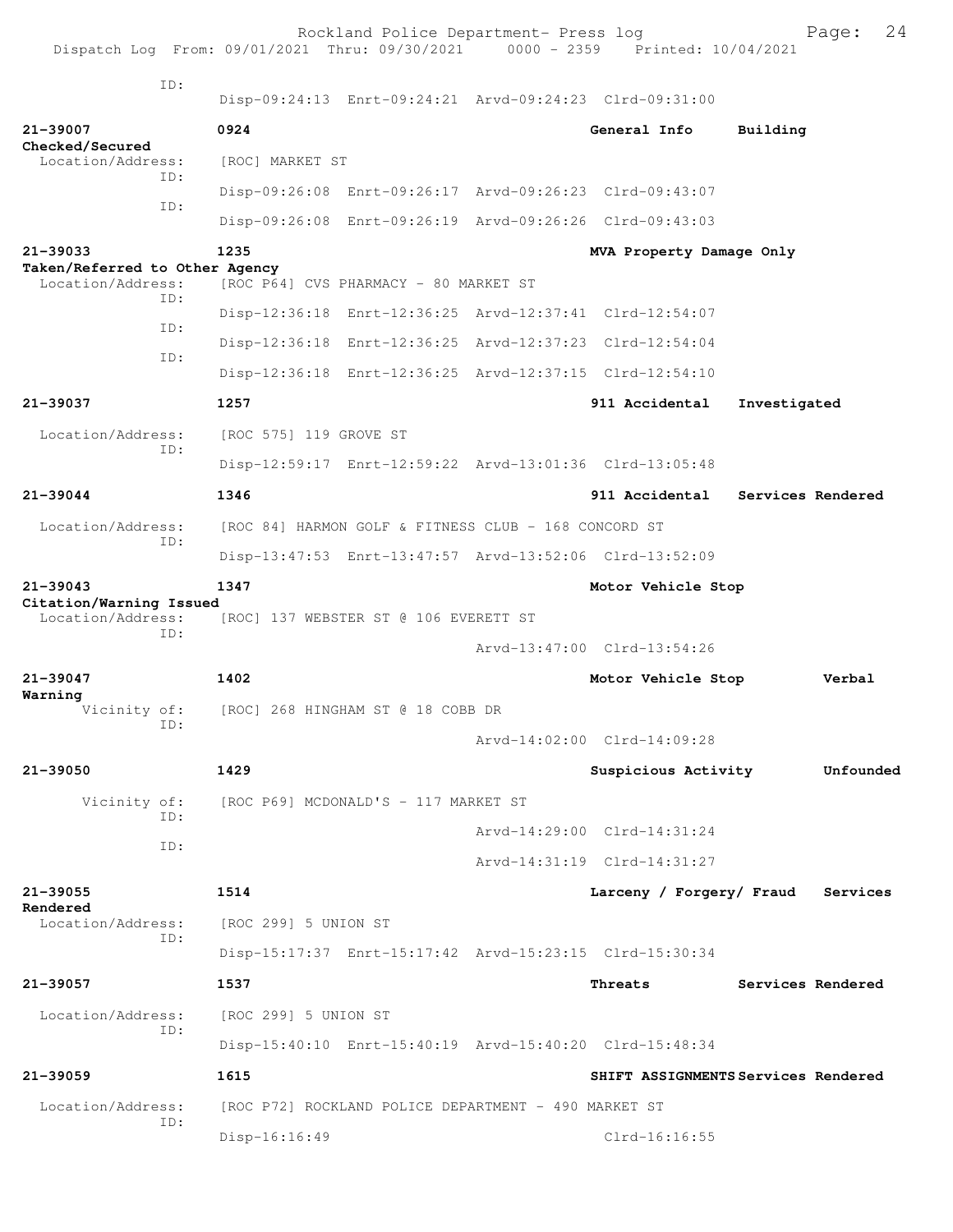| Dispatch Log From: 09/01/2021 Thru: 09/30/2021 0000 - 2359 Printed: 10/04/2021 |                                      | Rockland Police Department- Press log                |                                                         |                   | 24<br>Page:       |
|--------------------------------------------------------------------------------|--------------------------------------|------------------------------------------------------|---------------------------------------------------------|-------------------|-------------------|
| TD:                                                                            |                                      |                                                      | Disp-09:24:13 Enrt-09:24:21 Arvd-09:24:23 Clrd-09:31:00 |                   |                   |
| 21-39007                                                                       | 0924                                 |                                                      | General Info                                            | Building          |                   |
| Checked/Secured<br>Location/Address:<br>TD:                                    | [ROC] MARKET ST                      |                                                      |                                                         |                   |                   |
|                                                                                |                                      |                                                      | Disp-09:26:08 Enrt-09:26:17 Arvd-09:26:23 Clrd-09:43:07 |                   |                   |
| ID:                                                                            |                                      |                                                      | Disp-09:26:08 Enrt-09:26:19 Arvd-09:26:26 Clrd-09:43:03 |                   |                   |
| 21-39033                                                                       | 1235                                 |                                                      | MVA Property Damage Only                                |                   |                   |
| Taken/Referred to Other Agency<br>Location/Address:                            |                                      | [ROC P64] CVS PHARMACY - 80 MARKET ST                |                                                         |                   |                   |
| TD:                                                                            |                                      |                                                      | Disp-12:36:18 Enrt-12:36:25 Arvd-12:37:41 Clrd-12:54:07 |                   |                   |
| ID:                                                                            |                                      |                                                      | Disp-12:36:18 Enrt-12:36:25 Arvd-12:37:23 Clrd-12:54:04 |                   |                   |
| TD:                                                                            |                                      |                                                      | Disp-12:36:18 Enrt-12:36:25 Arvd-12:37:15 Clrd-12:54:10 |                   |                   |
| 21-39037                                                                       | 1257                                 |                                                      | 911 Accidental                                          | Investigated      |                   |
| Location/Address:                                                              | [ROC 575] 119 GROVE ST               |                                                      |                                                         |                   |                   |
| TD:                                                                            |                                      |                                                      | Disp-12:59:17 Enrt-12:59:22 Arvd-13:01:36 Clrd-13:05:48 |                   |                   |
| $21 - 39044$                                                                   | 1346                                 |                                                      | 911 Accidental                                          |                   | Services Rendered |
| Location/Address:                                                              |                                      | [ROC 84] HARMON GOLF & FITNESS CLUB - 168 CONCORD ST |                                                         |                   |                   |
| ID:                                                                            |                                      |                                                      | Disp-13:47:53 Enrt-13:47:57 Arvd-13:52:06 Clrd-13:52:09 |                   |                   |
| $21 - 39043$                                                                   | 1347                                 |                                                      | Motor Vehicle Stop                                      |                   |                   |
| Citation/Warning Issued<br>Location/Address:                                   |                                      | [ROC] 137 WEBSTER ST @ 106 EVERETT ST                |                                                         |                   |                   |
| TD:                                                                            |                                      |                                                      | Arvd-13:47:00 Clrd-13:54:26                             |                   |                   |
| $21 - 39047$                                                                   | 1402                                 |                                                      | Motor Vehicle Stop                                      |                   | Verbal            |
| Warning<br>Vicinity of:                                                        |                                      | [ROC] 268 HINGHAM ST @ 18 COBB DR                    |                                                         |                   |                   |
| ID:                                                                            |                                      |                                                      | Arvd-14:02:00 Clrd-14:09:28                             |                   |                   |
| 21-39050                                                                       | 1429                                 |                                                      | Suspicious Activity                                     |                   | Unfounded         |
| Vicinity of:                                                                   | [ROC P69] MCDONALD'S - 117 MARKET ST |                                                      |                                                         |                   |                   |
| ID:                                                                            |                                      |                                                      | Arvd-14:29:00 Clrd-14:31:24                             |                   |                   |
| ID:                                                                            |                                      |                                                      | Arvd-14:31:19 Clrd-14:31:27                             |                   |                   |
| 21-39055<br>Rendered                                                           | 1514                                 |                                                      | Larceny / Forgery/ Fraud                                |                   | Services          |
| Location/Address:<br>ID:                                                       | [ROC 299] 5 UNION ST                 |                                                      |                                                         |                   |                   |
|                                                                                |                                      |                                                      | Disp-15:17:37 Enrt-15:17:42 Arvd-15:23:15 Clrd-15:30:34 |                   |                   |
| 21-39057                                                                       | 1537                                 |                                                      | Threats                                                 | Services Rendered |                   |
| Location/Address:<br>TD:                                                       | [ROC 299] 5 UNION ST                 |                                                      |                                                         |                   |                   |
|                                                                                |                                      |                                                      | Disp-15:40:10 Enrt-15:40:19 Arvd-15:40:20 Clrd-15:48:34 |                   |                   |
| $21 - 39059$                                                                   | 1615                                 |                                                      | SHIFT ASSIGNMENTS Services Rendered                     |                   |                   |
| Location/Address:<br>ID:                                                       |                                      | [ROC P72] ROCKLAND POLICE DEPARTMENT - 490 MARKET ST |                                                         |                   |                   |
|                                                                                | $Disp-16:16:49$                      |                                                      | $Clrd-16:16:55$                                         |                   |                   |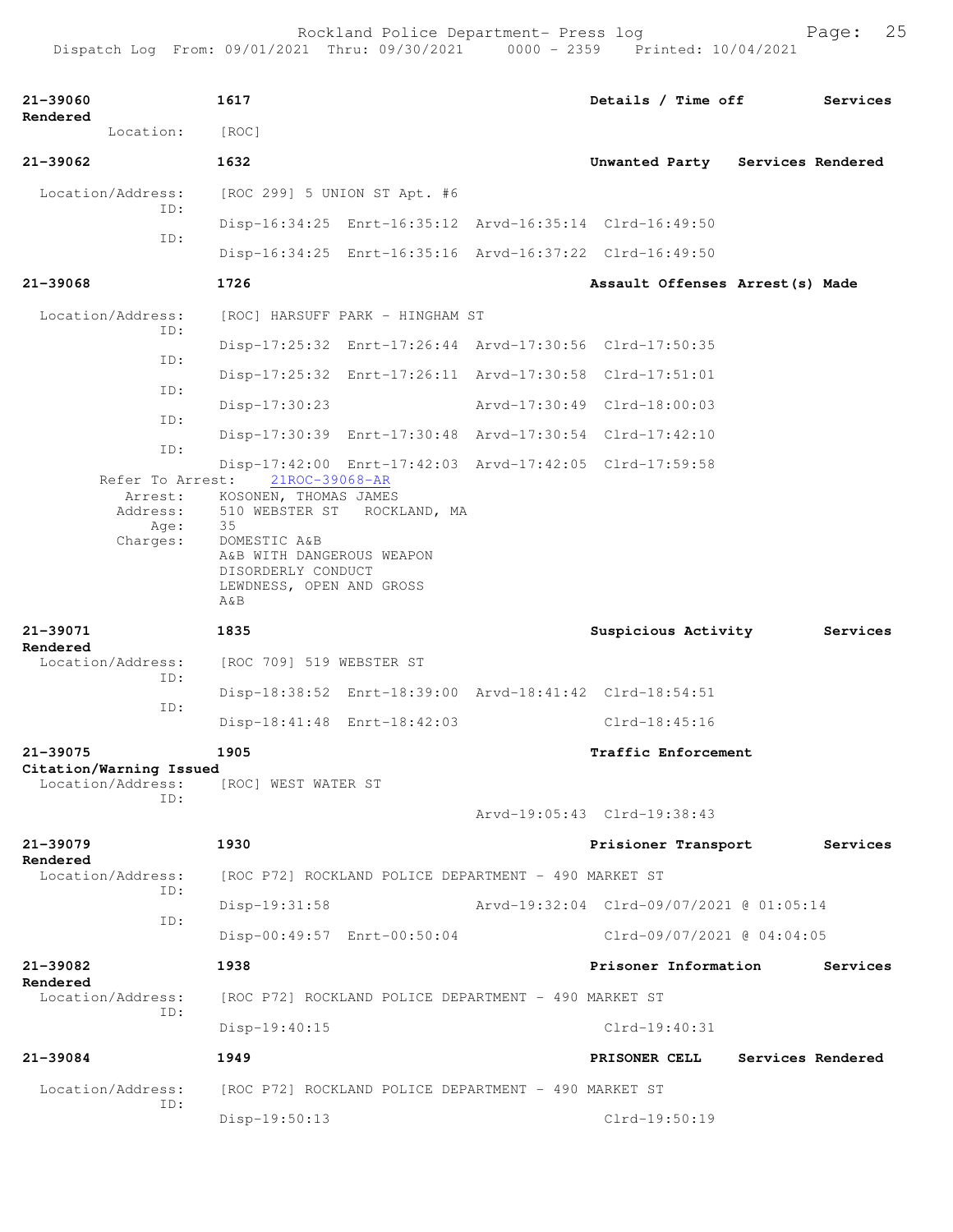| 21-39060<br>Rendered                         |                              | 1617                                                                                                                                                                        |                                                      | Details / Time off                                      |                   | Services |
|----------------------------------------------|------------------------------|-----------------------------------------------------------------------------------------------------------------------------------------------------------------------------|------------------------------------------------------|---------------------------------------------------------|-------------------|----------|
|                                              | Location:                    | [ROC]                                                                                                                                                                       |                                                      |                                                         |                   |          |
| 21-39062                                     |                              | 1632                                                                                                                                                                        |                                                      | Unwanted Party Services Rendered                        |                   |          |
| Location/Address:                            | ID:                          | [ROC 299] 5 UNION ST Apt. #6                                                                                                                                                |                                                      |                                                         |                   |          |
|                                              | ID:                          |                                                                                                                                                                             |                                                      | Disp-16:34:25 Enrt-16:35:12 Arvd-16:35:14 Clrd-16:49:50 |                   |          |
|                                              |                              |                                                                                                                                                                             |                                                      | Disp-16:34:25 Enrt-16:35:16 Arvd-16:37:22 Clrd-16:49:50 |                   |          |
| 21-39068                                     |                              | 1726                                                                                                                                                                        |                                                      | Assault Offenses Arrest (s) Made                        |                   |          |
| Location/Address:                            |                              |                                                                                                                                                                             | [ROC] HARSUFF PARK - HINGHAM ST                      |                                                         |                   |          |
|                                              | ID:                          |                                                                                                                                                                             |                                                      | Disp-17:25:32 Enrt-17:26:44 Arvd-17:30:56 Clrd-17:50:35 |                   |          |
|                                              | ID:                          |                                                                                                                                                                             |                                                      | Disp-17:25:32 Enrt-17:26:11 Arvd-17:30:58 Clrd-17:51:01 |                   |          |
|                                              | ID:                          | Disp-17:30:23                                                                                                                                                               |                                                      | Arvd-17:30:49 Clrd-18:00:03                             |                   |          |
|                                              | ID:                          |                                                                                                                                                                             |                                                      | Disp-17:30:39 Enrt-17:30:48 Arvd-17:30:54 Clrd-17:42:10 |                   |          |
|                                              | ID:                          | Refer To Arrest: 21ROC-39068-AR                                                                                                                                             |                                                      | Disp-17:42:00 Enrt-17:42:03 Arvd-17:42:05 Clrd-17:59:58 |                   |          |
|                                              | Address:<br>Age:<br>Charges: | Arrest: KOSONEN, THOMAS JAMES<br>510 WEBSTER ST ROCKLAND, MA<br>35<br>DOMESTIC A&B<br>A&B WITH DANGEROUS WEAPON<br>DISORDERLY CONDUCT<br>LEWDNESS, OPEN AND GROSS<br>$A\&B$ |                                                      |                                                         |                   |          |
| 21-39071                                     |                              | 1835                                                                                                                                                                        |                                                      | Suspicious Activity                                     |                   | Services |
| Rendered<br>Location/Address:                |                              | [ROC 709] 519 WEBSTER ST                                                                                                                                                    |                                                      |                                                         |                   |          |
|                                              | ID:                          |                                                                                                                                                                             |                                                      | Disp-18:38:52 Enrt-18:39:00 Arvd-18:41:42 Clrd-18:54:51 |                   |          |
|                                              | ID:                          |                                                                                                                                                                             | Disp-18:41:48 Enrt-18:42:03                          | $Clrd-18:45:16$                                         |                   |          |
| 21-39075                                     |                              | 1905                                                                                                                                                                        |                                                      | Traffic Enforcement                                     |                   |          |
| Citation/Warning Issued<br>Location/Address: | ID:                          | [ROC] WEST WATER ST                                                                                                                                                         |                                                      |                                                         |                   |          |
|                                              |                              |                                                                                                                                                                             |                                                      | Arvd-19:05:43 Clrd-19:38:43                             |                   |          |
| 21-39079<br>Rendered                         |                              | 1930                                                                                                                                                                        |                                                      | Prisioner Transport                                     |                   | Services |
| Location/Address:                            | ID:                          |                                                                                                                                                                             | [ROC P72] ROCKLAND POLICE DEPARTMENT - 490 MARKET ST |                                                         |                   |          |
|                                              | ID:                          | $Disp-19:31:58$                                                                                                                                                             |                                                      |                                                         |                   |          |
|                                              |                              |                                                                                                                                                                             | Disp-00:49:57 Enrt-00:50:04                          | Clrd-09/07/2021 @ 04:04:05                              |                   |          |
| 21-39082<br>Rendered                         |                              | 1938                                                                                                                                                                        |                                                      | Prisoner Information                                    |                   | Services |
| Location/Address:                            |                              |                                                                                                                                                                             | [ROC P72] ROCKLAND POLICE DEPARTMENT - 490 MARKET ST |                                                         |                   |          |
|                                              | ID:                          | $Disp-19:40:15$                                                                                                                                                             |                                                      | $Clrd-19:40:31$                                         |                   |          |
| 21-39084                                     |                              | 1949                                                                                                                                                                        |                                                      | PRISONER CELL                                           | Services Rendered |          |
| Location/Address:                            |                              |                                                                                                                                                                             | [ROC P72] ROCKLAND POLICE DEPARTMENT - 490 MARKET ST |                                                         |                   |          |
|                                              | ID:                          | Disp-19:50:13                                                                                                                                                               |                                                      | Clrd-19:50:19                                           |                   |          |
|                                              |                              |                                                                                                                                                                             |                                                      |                                                         |                   |          |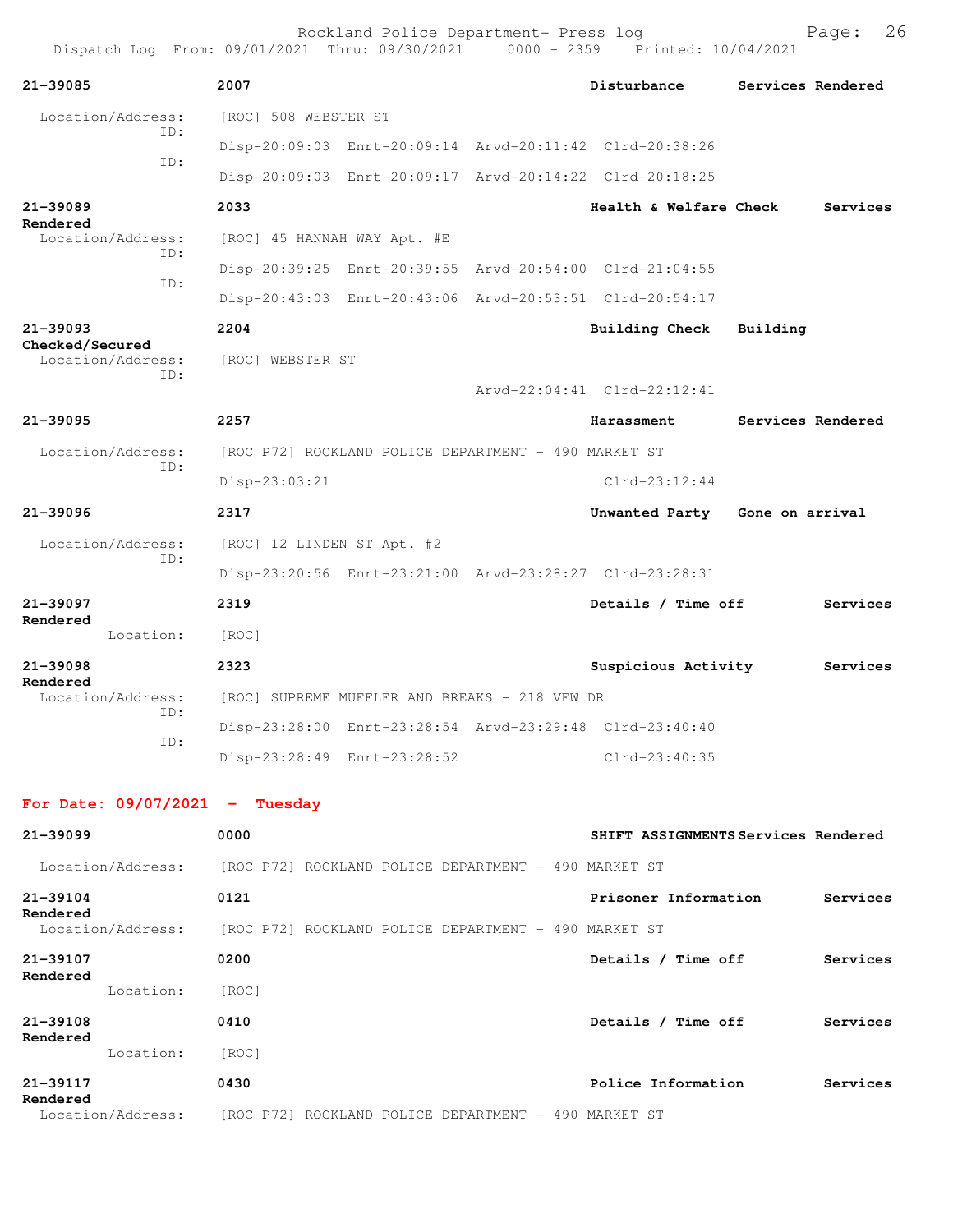| Dispatch Log From: 09/01/2021 Thru: 09/30/2021 0000 - 2359 Printed: 10/04/2021 |                             | Rockland Police Department- Press log                |                                                         |          | 26<br>Page:       |
|--------------------------------------------------------------------------------|-----------------------------|------------------------------------------------------|---------------------------------------------------------|----------|-------------------|
| 21-39085                                                                       | 2007                        |                                                      | Disturbance                                             |          | Services Rendered |
| Location/Address:<br>TD:                                                       | [ROC] 508 WEBSTER ST        |                                                      |                                                         |          |                   |
| ID:                                                                            |                             |                                                      | Disp-20:09:03 Enrt-20:09:14 Arvd-20:11:42 Clrd-20:38:26 |          |                   |
|                                                                                |                             |                                                      | Disp-20:09:03 Enrt-20:09:17 Arvd-20:14:22 Clrd-20:18:25 |          |                   |
| 21-39089<br>Rendered                                                           | 2033                        |                                                      | Health & Welfare Check                                  |          | Services          |
| Location/Address:<br>TD:                                                       | [ROC] 45 HANNAH WAY Apt. #E |                                                      |                                                         |          |                   |
| ID:                                                                            |                             |                                                      | Disp-20:39:25 Enrt-20:39:55 Arvd-20:54:00 Clrd-21:04:55 |          |                   |
|                                                                                |                             |                                                      | Disp-20:43:03 Enrt-20:43:06 Arvd-20:53:51 Clrd-20:54:17 |          |                   |
| 21-39093                                                                       | 2204                        |                                                      | Building Check                                          | Building |                   |
| Checked/Secured<br>Location/Address:                                           | [ROC] WEBSTER ST            |                                                      |                                                         |          |                   |
| TD:                                                                            |                             |                                                      | Arvd-22:04:41 Clrd-22:12:41                             |          |                   |
| 21-39095                                                                       | 2257                        |                                                      | Harassment                                              |          | Services Rendered |
| Location/Address:                                                              |                             | [ROC P72] ROCKLAND POLICE DEPARTMENT - 490 MARKET ST |                                                         |          |                   |
| ID:                                                                            | Disp-23:03:21               |                                                      | $Clrd-23:12:44$                                         |          |                   |
| 21-39096                                                                       | 2317                        |                                                      | Unwanted Party Gone on arrival                          |          |                   |
| Location/Address:<br>ID:                                                       | [ROC] 12 LINDEN ST Apt. #2  |                                                      |                                                         |          |                   |
|                                                                                |                             |                                                      | Disp-23:20:56 Enrt-23:21:00 Arvd-23:28:27 Clrd-23:28:31 |          |                   |
| $21 - 39097$<br>Rendered                                                       | 2319                        |                                                      | Details / Time off                                      |          | Services          |
| Location:                                                                      | [ROC]                       |                                                      |                                                         |          |                   |
| 21-39098<br>Rendered                                                           | 2323                        |                                                      | Suspicious Activity                                     |          | Services          |
| Location/Address:                                                              |                             | [ROC] SUPREME MUFFLER AND BREAKS - 218 VFW DR        |                                                         |          |                   |
| ID:                                                                            |                             |                                                      | Disp-23:28:00 Enrt-23:28:54 Arvd-23:29:48 Clrd-23:40:40 |          |                   |
| ID:                                                                            |                             | Disp-23:28:49 Enrt-23:28:52                          | $Clrd-23:40:35$                                         |          |                   |
| For Date: $09/07/2021$ - Tuesday                                               |                             |                                                      |                                                         |          |                   |
| 21-39099                                                                       | 0000                        |                                                      | SHIFT ASSIGNMENTS Services Rendered                     |          |                   |
| Location/Address: [ROC P72] ROCKLAND POLICE DEPARTMENT - 490 MARKET ST         |                             |                                                      |                                                         |          |                   |
| $21 - 39104$<br>Rendered                                                       | 0121                        |                                                      | Prisoner Information                                    |          | Services          |
| Location/Address:                                                              |                             | [ROC P72] ROCKLAND POLICE DEPARTMENT - 490 MARKET ST |                                                         |          |                   |
| 21-39107<br>Rendered                                                           | 0200                        |                                                      | Details / Time off                                      |          | Services          |

| 21-39117<br>Rendered |           | 0430  | Police Information         | Services |
|----------------------|-----------|-------|----------------------------|----------|
|                      | Location: | [ROC] |                            |          |
| 21-39108<br>Rendered |           | 0410  | Details<br><b>Time off</b> | Services |
| kendered             | Location: | [ROC] |                            |          |

Location/Address: [ROC P72] ROCKLAND POLICE DEPARTMENT - 490 MARKET ST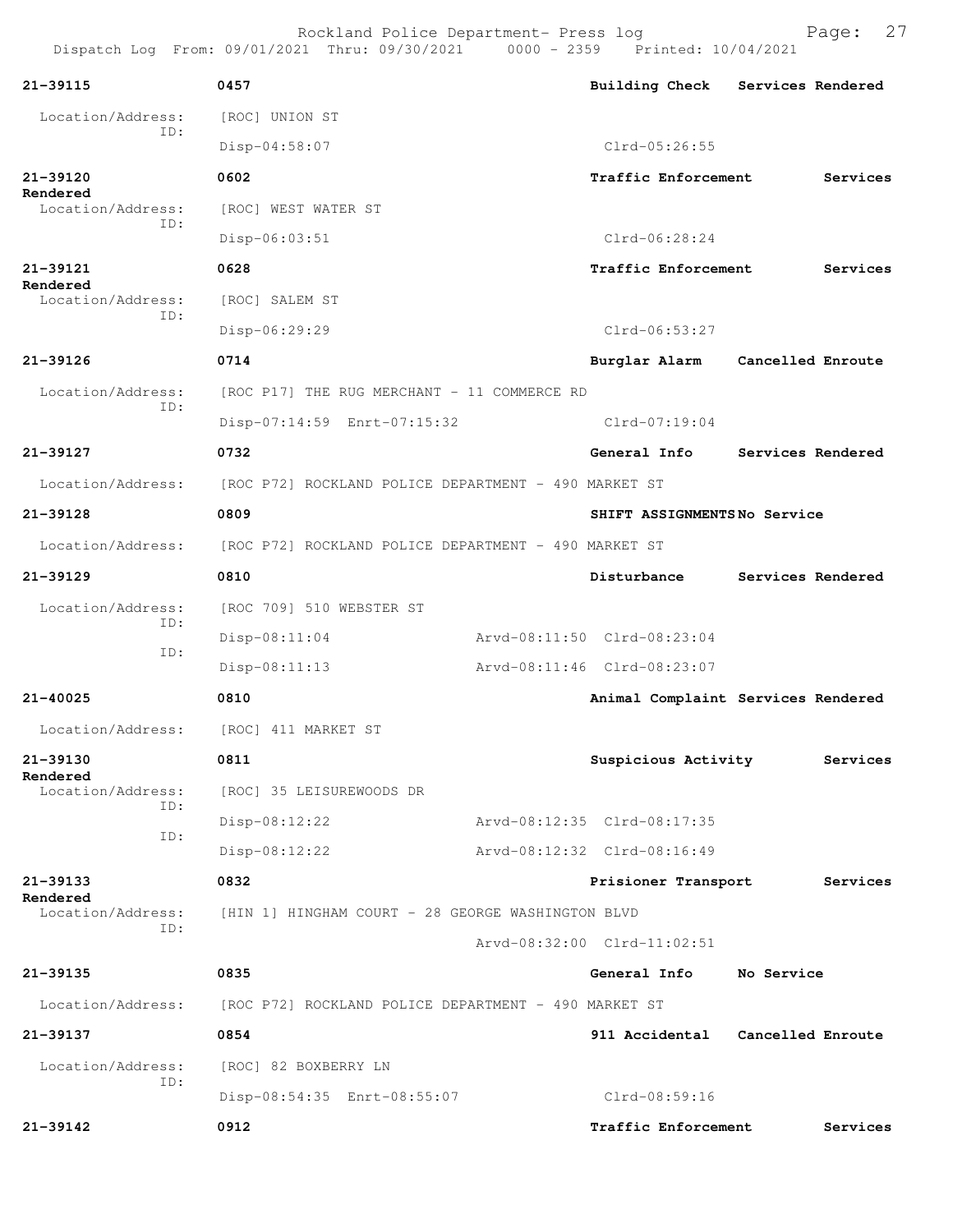| 21-39115                      | 0457                                                                   |                             | Building Check Services Rendered   |
|-------------------------------|------------------------------------------------------------------------|-----------------------------|------------------------------------|
| Location/Address:<br>ID:      | [ROC] UNION ST                                                         |                             |                                    |
|                               | $Disp-04:58:07$                                                        | $Clrd-05:26:55$             |                                    |
| 21-39120                      | 0602                                                                   | Traffic Enforcement         | Services                           |
| Rendered<br>Location/Address: | [ROC] WEST WATER ST                                                    |                             |                                    |
| ID:                           | $Disp-06:03:51$                                                        | $Clrd-06:28:24$             |                                    |
| 21-39121                      | 0628                                                                   | Traffic Enforcement         | Services                           |
| Rendered<br>Location/Address: | [ROC] SALEM ST                                                         |                             |                                    |
| ID:                           | Disp-06:29:29                                                          | $Clrd-06:53:27$             |                                    |
| 21-39126                      | 0714                                                                   |                             | Burglar Alarm Cancelled Enroute    |
| Location/Address:             | [ROC P17] THE RUG MERCHANT - 11 COMMERCE RD                            |                             |                                    |
| ID:                           | Disp-07:14:59 Enrt-07:15:32                                            | $Clrd-07:19:04$             |                                    |
| 21-39127                      | 0732                                                                   | General Info                | Services Rendered                  |
|                               | Location/Address: [ROC P72] ROCKLAND POLICE DEPARTMENT - 490 MARKET ST |                             |                                    |
| 21-39128                      | 0809                                                                   | SHIFT ASSIGNMENTSNo Service |                                    |
|                               | Location/Address: [ROC P72] ROCKLAND POLICE DEPARTMENT - 490 MARKET ST |                             |                                    |
| 21-39129                      | 0810                                                                   | Disturbance                 | Services Rendered                  |
| Location/Address:             | [ROC 709] 510 WEBSTER ST                                               |                             |                                    |
| ID:                           | Disp-08:11:04                                                          | Arvd-08:11:50 Clrd-08:23:04 |                                    |
| ID:                           | $Disp-08:11:13$                                                        | Arvd-08:11:46 Clrd-08:23:07 |                                    |
| 21-40025                      | 0810                                                                   |                             | Animal Complaint Services Rendered |
|                               | Location/Address: [ROC] 411 MARKET ST                                  |                             |                                    |
| 21-39130                      | 0811                                                                   | Suspicious Activity         | Services                           |
| Rendered<br>Location/Address: | [ROC] 35 LEISUREWOODS DR                                               |                             |                                    |
| ID:                           | $Disp-08:12:22$                                                        | Arvd-08:12:35 Clrd-08:17:35 |                                    |
| ID:                           | $Disp-08:12:22$                                                        | Arvd-08:12:32 Clrd-08:16:49 |                                    |
| 21-39133                      | 0832                                                                   | Prisioner Transport         | Services                           |
| Rendered<br>Location/Address: | [HIN 1] HINGHAM COURT - 28 GEORGE WASHINGTON BLVD                      |                             |                                    |
| ID:                           |                                                                        | Arvd-08:32:00 Clrd-11:02:51 |                                    |
| 21-39135                      | 0835                                                                   | General Info No Service     |                                    |
|                               | Location/Address: [ROC P72] ROCKLAND POLICE DEPARTMENT - 490 MARKET ST |                             |                                    |
| 21-39137                      | 0854                                                                   |                             | 911 Accidental Cancelled Enroute   |
| Location/Address:             | [ROC] 82 BOXBERRY LN                                                   |                             |                                    |
| ID:                           | Disp-08:54:35 Enrt-08:55:07                                            | Clrd-08:59:16               |                                    |
| 21-39142                      | 0912                                                                   | Traffic Enforcement         | Services                           |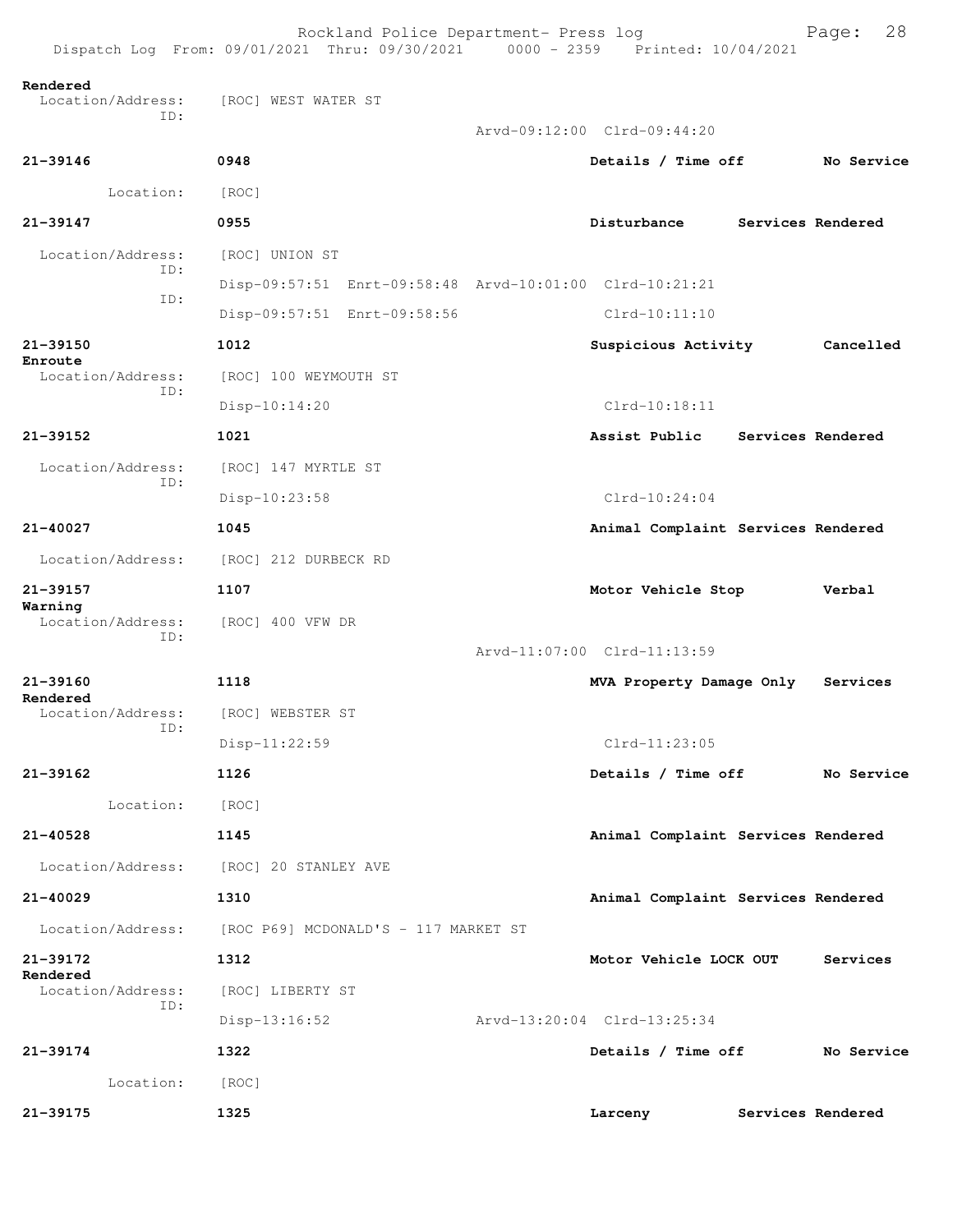| Dispatch Log From: 09/01/2021 Thru: 09/30/2021 0000 - 2359 Printed: 10/04/2021 |                                      | Rockland Police Department- Press log |  |                                                         |  | 28<br>Page:       |
|--------------------------------------------------------------------------------|--------------------------------------|---------------------------------------|--|---------------------------------------------------------|--|-------------------|
| Rendered<br>Location/Address:<br>ID:                                           | [ROC] WEST WATER ST                  |                                       |  |                                                         |  |                   |
|                                                                                |                                      |                                       |  | Arvd-09:12:00 Clrd-09:44:20                             |  |                   |
| $21 - 39146$                                                                   | 0948                                 |                                       |  | Details / Time off                                      |  | No Service        |
| Location:                                                                      | [ROC]                                |                                       |  |                                                         |  |                   |
| $21 - 39147$                                                                   | 0955                                 |                                       |  | Disturbance                                             |  | Services Rendered |
| Location/Address:<br>TD:                                                       | [ROC] UNION ST                       |                                       |  |                                                         |  |                   |
| ID:                                                                            |                                      |                                       |  | Disp-09:57:51 Enrt-09:58:48 Arvd-10:01:00 Clrd-10:21:21 |  |                   |
|                                                                                | Disp-09:57:51 Enrt-09:58:56          |                                       |  | $Clrd-10:11:10$                                         |  |                   |
| 21-39150<br>Enroute                                                            | 1012                                 |                                       |  | Suspicious Activity                                     |  | Cancelled         |
| Location/Address:<br>ID:                                                       | [ROC] 100 WEYMOUTH ST                |                                       |  |                                                         |  |                   |
|                                                                                | $Disp-10:14:20$                      |                                       |  | $Clrd-10:18:11$                                         |  |                   |
| $21 - 39152$                                                                   | 1021                                 |                                       |  | Assist Public                                           |  | Services Rendered |
| Location/Address:<br>ID:                                                       | [ROC] 147 MYRTLE ST                  |                                       |  |                                                         |  |                   |
|                                                                                | Disp-10:23:58                        |                                       |  | $Clrd-10:24:04$                                         |  |                   |
| $21 - 40027$                                                                   | 1045                                 |                                       |  | Animal Complaint Services Rendered                      |  |                   |
| Location/Address:                                                              | [ROC] 212 DURBECK RD                 |                                       |  |                                                         |  |                   |
| 21-39157                                                                       | 1107                                 |                                       |  | Motor Vehicle Stop                                      |  | Verbal            |
| Warning<br>Location/Address:                                                   | [ROC] 400 VFW DR                     |                                       |  |                                                         |  |                   |
| ID:                                                                            |                                      |                                       |  | Arvd-11:07:00 Clrd-11:13:59                             |  |                   |
| $21 - 39160$                                                                   | 1118                                 |                                       |  | MVA Property Damage Only                                |  | Services          |
| Rendered<br>Location/Address:                                                  | [ROC] WEBSTER ST                     |                                       |  |                                                         |  |                   |
| ID:                                                                            | $Disp-11:22:59$                      |                                       |  | $Clrd-11:23:05$                                         |  |                   |
| 21-39162                                                                       | 1126                                 |                                       |  | Details / Time off                                      |  | No Service        |
| Location:                                                                      | [ROC]                                |                                       |  |                                                         |  |                   |
| $21 - 40528$                                                                   | 1145                                 |                                       |  | Animal Complaint Services Rendered                      |  |                   |
| Location/Address:                                                              | [ROC] 20 STANLEY AVE                 |                                       |  |                                                         |  |                   |
| 21-40029                                                                       | 1310                                 |                                       |  | Animal Complaint Services Rendered                      |  |                   |
| Location/Address:                                                              | [ROC P69] MCDONALD'S - 117 MARKET ST |                                       |  |                                                         |  |                   |
| 21-39172                                                                       | 1312                                 |                                       |  | Motor Vehicle LOCK OUT                                  |  | Services          |
| Rendered<br>Location/Address:                                                  | [ROC] LIBERTY ST                     |                                       |  |                                                         |  |                   |
| ID:                                                                            | $Disp-13:16:52$                      |                                       |  | Arvd-13:20:04 Clrd-13:25:34                             |  |                   |
| 21-39174                                                                       | 1322                                 |                                       |  | Details / Time off                                      |  | No Service        |
| Location:                                                                      | [ROC]                                |                                       |  |                                                         |  |                   |
| 21-39175                                                                       | 1325                                 |                                       |  | Larceny                                                 |  | Services Rendered |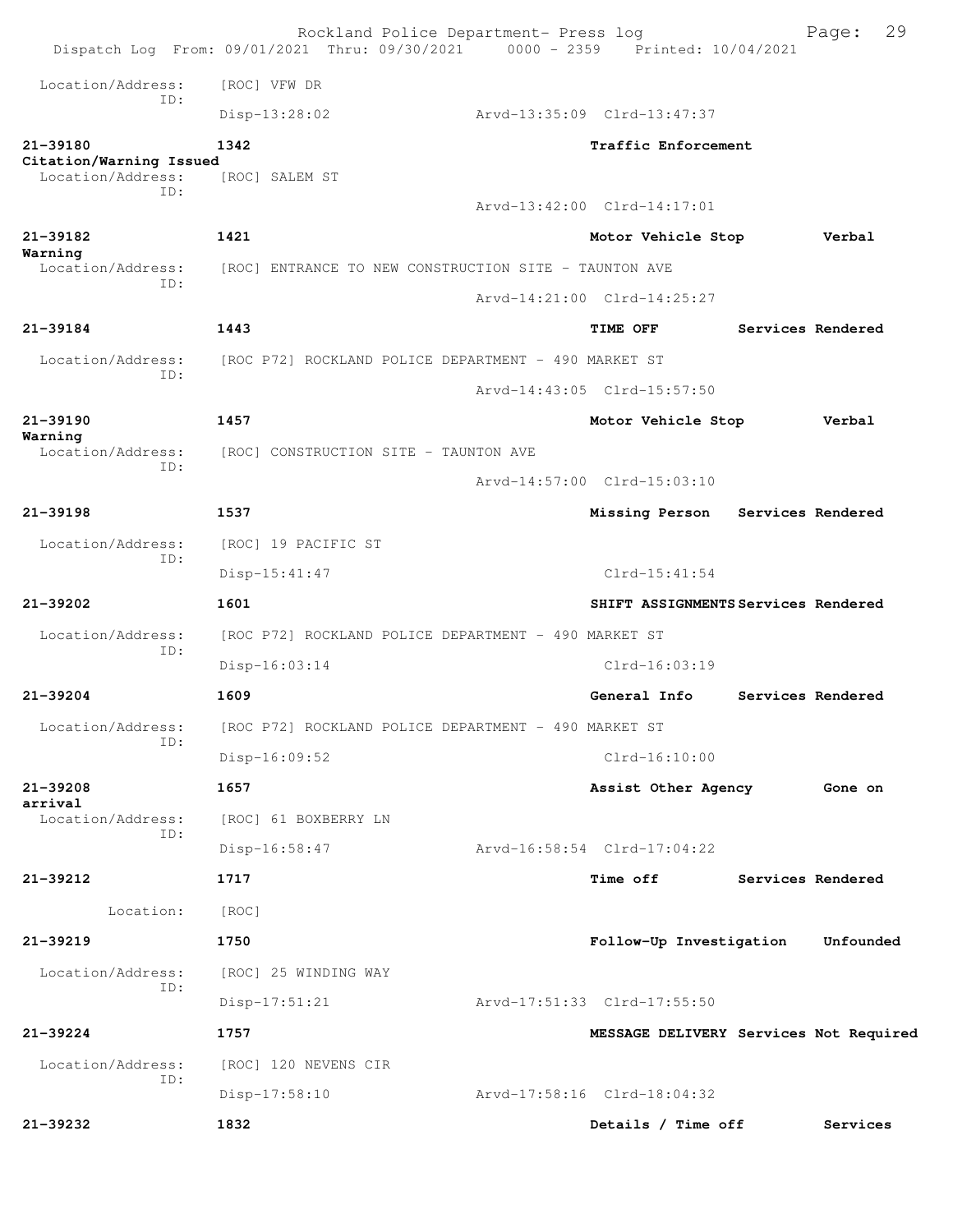| Location/Address:<br>[ROC] VFW DR<br>TD:<br>Disp-13:28:02<br>Arvd-13:35:09 Clrd-13:47:37<br>21-39180<br>1342<br>Traffic Enforcement<br>Citation/Warning Issued<br>Location/Address:<br>[ROC] SALEM ST<br>TD:<br>Arvd-13:42:00 Clrd-14:17:01<br>$21 - 39182$<br>1421<br>Motor Vehicle Stop<br>Verbal<br>Warning<br>Location/Address:<br>[ROC] ENTRANCE TO NEW CONSTRUCTION SITE - TAUNTON AVE<br>TD:<br>Arvd-14:21:00 Clrd-14:25:27<br>1443<br>$21 - 39184$<br>TIME OFF<br>Services Rendered<br>Location/Address:<br>[ROC P72] ROCKLAND POLICE DEPARTMENT - 490 MARKET ST<br>TD:<br>Arvd-14:43:05 Clrd-15:57:50<br>$21 - 39190$<br>1457<br>Motor Vehicle Stop<br>Verbal<br>Warning<br>Location/Address:<br>[ROC] CONSTRUCTION SITE - TAUNTON AVE<br>ID:<br>Arvd-14:57:00 Clrd-15:03:10<br>$21 - 39198$<br>1537<br>Services Rendered<br>Missing Person<br>Location/Address:<br>[ROC] 19 PACIFIC ST<br>ID:<br>$Clrd-15:41:54$<br>$Disp-15:41:47$<br>1601<br>21-39202<br>SHIFT ASSIGNMENTS Services Rendered<br>Location/Address:<br>[ROC P72] ROCKLAND POLICE DEPARTMENT - 490 MARKET ST<br>ID:<br>Disp-16:03:14<br>$Clrd-16:03:19$<br>$21 - 39204$<br>1609<br>General Info<br>Services Rendered<br>[ROC P72] ROCKLAND POLICE DEPARTMENT - 490 MARKET ST<br>Location/Address:<br>ID:<br>$Disp-16:09:52$<br>$Clrd-16:10:00$<br>21-39208<br>1657<br>Assist Other Agency<br>Gone on<br>arrival<br>Location/Address:<br>[ROC] 61 BOXBERRY LN<br>ID:<br>Arvd-16:58:54 Clrd-17:04:22<br>$Disp-16:58:47$<br>21-39212<br>1717<br><b>Time off</b><br>Services Rendered<br>Location:<br>[ROC]<br>$21 - 39219$<br>1750<br>Unfounded<br>Follow-Up Investigation<br>Location/Address:<br>[ROC] 25 WINDING WAY<br>ID:<br>Disp-17:51:21<br>Arvd-17:51:33 Clrd-17:55:50<br>21-39224<br>1757<br>MESSAGE DELIVERY Services Not Required<br>Location/Address:<br>[ROC] 120 NEVENS CIR<br>ID:<br>Arvd-17:58:16 Clrd-18:04:32<br>Disp-17:58:10<br>21-39232<br>1832<br>Details / Time off<br>Services |  | Rockland Police Department- Press log<br>Dispatch Log From: 09/01/2021 Thru: 09/30/2021 0000 - 2359 Printed: 10/04/2021 |  | 29<br>Page: |
|------------------------------------------------------------------------------------------------------------------------------------------------------------------------------------------------------------------------------------------------------------------------------------------------------------------------------------------------------------------------------------------------------------------------------------------------------------------------------------------------------------------------------------------------------------------------------------------------------------------------------------------------------------------------------------------------------------------------------------------------------------------------------------------------------------------------------------------------------------------------------------------------------------------------------------------------------------------------------------------------------------------------------------------------------------------------------------------------------------------------------------------------------------------------------------------------------------------------------------------------------------------------------------------------------------------------------------------------------------------------------------------------------------------------------------------------------------------------------------------------------------------------------------------------------------------------------------------------------------------------------------------------------------------------------------------------------------------------------------------------------------------------------------------------------------------------------------------------------------------------------------------------------------------------------------------------------------------------------|--|-------------------------------------------------------------------------------------------------------------------------|--|-------------|
|                                                                                                                                                                                                                                                                                                                                                                                                                                                                                                                                                                                                                                                                                                                                                                                                                                                                                                                                                                                                                                                                                                                                                                                                                                                                                                                                                                                                                                                                                                                                                                                                                                                                                                                                                                                                                                                                                                                                                                              |  |                                                                                                                         |  |             |
|                                                                                                                                                                                                                                                                                                                                                                                                                                                                                                                                                                                                                                                                                                                                                                                                                                                                                                                                                                                                                                                                                                                                                                                                                                                                                                                                                                                                                                                                                                                                                                                                                                                                                                                                                                                                                                                                                                                                                                              |  |                                                                                                                         |  |             |
|                                                                                                                                                                                                                                                                                                                                                                                                                                                                                                                                                                                                                                                                                                                                                                                                                                                                                                                                                                                                                                                                                                                                                                                                                                                                                                                                                                                                                                                                                                                                                                                                                                                                                                                                                                                                                                                                                                                                                                              |  |                                                                                                                         |  |             |
|                                                                                                                                                                                                                                                                                                                                                                                                                                                                                                                                                                                                                                                                                                                                                                                                                                                                                                                                                                                                                                                                                                                                                                                                                                                                                                                                                                                                                                                                                                                                                                                                                                                                                                                                                                                                                                                                                                                                                                              |  |                                                                                                                         |  |             |
|                                                                                                                                                                                                                                                                                                                                                                                                                                                                                                                                                                                                                                                                                                                                                                                                                                                                                                                                                                                                                                                                                                                                                                                                                                                                                                                                                                                                                                                                                                                                                                                                                                                                                                                                                                                                                                                                                                                                                                              |  |                                                                                                                         |  |             |
|                                                                                                                                                                                                                                                                                                                                                                                                                                                                                                                                                                                                                                                                                                                                                                                                                                                                                                                                                                                                                                                                                                                                                                                                                                                                                                                                                                                                                                                                                                                                                                                                                                                                                                                                                                                                                                                                                                                                                                              |  |                                                                                                                         |  |             |
|                                                                                                                                                                                                                                                                                                                                                                                                                                                                                                                                                                                                                                                                                                                                                                                                                                                                                                                                                                                                                                                                                                                                                                                                                                                                                                                                                                                                                                                                                                                                                                                                                                                                                                                                                                                                                                                                                                                                                                              |  |                                                                                                                         |  |             |
|                                                                                                                                                                                                                                                                                                                                                                                                                                                                                                                                                                                                                                                                                                                                                                                                                                                                                                                                                                                                                                                                                                                                                                                                                                                                                                                                                                                                                                                                                                                                                                                                                                                                                                                                                                                                                                                                                                                                                                              |  |                                                                                                                         |  |             |
|                                                                                                                                                                                                                                                                                                                                                                                                                                                                                                                                                                                                                                                                                                                                                                                                                                                                                                                                                                                                                                                                                                                                                                                                                                                                                                                                                                                                                                                                                                                                                                                                                                                                                                                                                                                                                                                                                                                                                                              |  |                                                                                                                         |  |             |
|                                                                                                                                                                                                                                                                                                                                                                                                                                                                                                                                                                                                                                                                                                                                                                                                                                                                                                                                                                                                                                                                                                                                                                                                                                                                                                                                                                                                                                                                                                                                                                                                                                                                                                                                                                                                                                                                                                                                                                              |  |                                                                                                                         |  |             |
|                                                                                                                                                                                                                                                                                                                                                                                                                                                                                                                                                                                                                                                                                                                                                                                                                                                                                                                                                                                                                                                                                                                                                                                                                                                                                                                                                                                                                                                                                                                                                                                                                                                                                                                                                                                                                                                                                                                                                                              |  |                                                                                                                         |  |             |
|                                                                                                                                                                                                                                                                                                                                                                                                                                                                                                                                                                                                                                                                                                                                                                                                                                                                                                                                                                                                                                                                                                                                                                                                                                                                                                                                                                                                                                                                                                                                                                                                                                                                                                                                                                                                                                                                                                                                                                              |  |                                                                                                                         |  |             |
|                                                                                                                                                                                                                                                                                                                                                                                                                                                                                                                                                                                                                                                                                                                                                                                                                                                                                                                                                                                                                                                                                                                                                                                                                                                                                                                                                                                                                                                                                                                                                                                                                                                                                                                                                                                                                                                                                                                                                                              |  |                                                                                                                         |  |             |
|                                                                                                                                                                                                                                                                                                                                                                                                                                                                                                                                                                                                                                                                                                                                                                                                                                                                                                                                                                                                                                                                                                                                                                                                                                                                                                                                                                                                                                                                                                                                                                                                                                                                                                                                                                                                                                                                                                                                                                              |  |                                                                                                                         |  |             |
|                                                                                                                                                                                                                                                                                                                                                                                                                                                                                                                                                                                                                                                                                                                                                                                                                                                                                                                                                                                                                                                                                                                                                                                                                                                                                                                                                                                                                                                                                                                                                                                                                                                                                                                                                                                                                                                                                                                                                                              |  |                                                                                                                         |  |             |
|                                                                                                                                                                                                                                                                                                                                                                                                                                                                                                                                                                                                                                                                                                                                                                                                                                                                                                                                                                                                                                                                                                                                                                                                                                                                                                                                                                                                                                                                                                                                                                                                                                                                                                                                                                                                                                                                                                                                                                              |  |                                                                                                                         |  |             |
|                                                                                                                                                                                                                                                                                                                                                                                                                                                                                                                                                                                                                                                                                                                                                                                                                                                                                                                                                                                                                                                                                                                                                                                                                                                                                                                                                                                                                                                                                                                                                                                                                                                                                                                                                                                                                                                                                                                                                                              |  |                                                                                                                         |  |             |
|                                                                                                                                                                                                                                                                                                                                                                                                                                                                                                                                                                                                                                                                                                                                                                                                                                                                                                                                                                                                                                                                                                                                                                                                                                                                                                                                                                                                                                                                                                                                                                                                                                                                                                                                                                                                                                                                                                                                                                              |  |                                                                                                                         |  |             |
|                                                                                                                                                                                                                                                                                                                                                                                                                                                                                                                                                                                                                                                                                                                                                                                                                                                                                                                                                                                                                                                                                                                                                                                                                                                                                                                                                                                                                                                                                                                                                                                                                                                                                                                                                                                                                                                                                                                                                                              |  |                                                                                                                         |  |             |
|                                                                                                                                                                                                                                                                                                                                                                                                                                                                                                                                                                                                                                                                                                                                                                                                                                                                                                                                                                                                                                                                                                                                                                                                                                                                                                                                                                                                                                                                                                                                                                                                                                                                                                                                                                                                                                                                                                                                                                              |  |                                                                                                                         |  |             |
|                                                                                                                                                                                                                                                                                                                                                                                                                                                                                                                                                                                                                                                                                                                                                                                                                                                                                                                                                                                                                                                                                                                                                                                                                                                                                                                                                                                                                                                                                                                                                                                                                                                                                                                                                                                                                                                                                                                                                                              |  |                                                                                                                         |  |             |
|                                                                                                                                                                                                                                                                                                                                                                                                                                                                                                                                                                                                                                                                                                                                                                                                                                                                                                                                                                                                                                                                                                                                                                                                                                                                                                                                                                                                                                                                                                                                                                                                                                                                                                                                                                                                                                                                                                                                                                              |  |                                                                                                                         |  |             |
|                                                                                                                                                                                                                                                                                                                                                                                                                                                                                                                                                                                                                                                                                                                                                                                                                                                                                                                                                                                                                                                                                                                                                                                                                                                                                                                                                                                                                                                                                                                                                                                                                                                                                                                                                                                                                                                                                                                                                                              |  |                                                                                                                         |  |             |
|                                                                                                                                                                                                                                                                                                                                                                                                                                                                                                                                                                                                                                                                                                                                                                                                                                                                                                                                                                                                                                                                                                                                                                                                                                                                                                                                                                                                                                                                                                                                                                                                                                                                                                                                                                                                                                                                                                                                                                              |  |                                                                                                                         |  |             |
|                                                                                                                                                                                                                                                                                                                                                                                                                                                                                                                                                                                                                                                                                                                                                                                                                                                                                                                                                                                                                                                                                                                                                                                                                                                                                                                                                                                                                                                                                                                                                                                                                                                                                                                                                                                                                                                                                                                                                                              |  |                                                                                                                         |  |             |
|                                                                                                                                                                                                                                                                                                                                                                                                                                                                                                                                                                                                                                                                                                                                                                                                                                                                                                                                                                                                                                                                                                                                                                                                                                                                                                                                                                                                                                                                                                                                                                                                                                                                                                                                                                                                                                                                                                                                                                              |  |                                                                                                                         |  |             |
|                                                                                                                                                                                                                                                                                                                                                                                                                                                                                                                                                                                                                                                                                                                                                                                                                                                                                                                                                                                                                                                                                                                                                                                                                                                                                                                                                                                                                                                                                                                                                                                                                                                                                                                                                                                                                                                                                                                                                                              |  |                                                                                                                         |  |             |
|                                                                                                                                                                                                                                                                                                                                                                                                                                                                                                                                                                                                                                                                                                                                                                                                                                                                                                                                                                                                                                                                                                                                                                                                                                                                                                                                                                                                                                                                                                                                                                                                                                                                                                                                                                                                                                                                                                                                                                              |  |                                                                                                                         |  |             |
|                                                                                                                                                                                                                                                                                                                                                                                                                                                                                                                                                                                                                                                                                                                                                                                                                                                                                                                                                                                                                                                                                                                                                                                                                                                                                                                                                                                                                                                                                                                                                                                                                                                                                                                                                                                                                                                                                                                                                                              |  |                                                                                                                         |  |             |
|                                                                                                                                                                                                                                                                                                                                                                                                                                                                                                                                                                                                                                                                                                                                                                                                                                                                                                                                                                                                                                                                                                                                                                                                                                                                                                                                                                                                                                                                                                                                                                                                                                                                                                                                                                                                                                                                                                                                                                              |  |                                                                                                                         |  |             |
|                                                                                                                                                                                                                                                                                                                                                                                                                                                                                                                                                                                                                                                                                                                                                                                                                                                                                                                                                                                                                                                                                                                                                                                                                                                                                                                                                                                                                                                                                                                                                                                                                                                                                                                                                                                                                                                                                                                                                                              |  |                                                                                                                         |  |             |
|                                                                                                                                                                                                                                                                                                                                                                                                                                                                                                                                                                                                                                                                                                                                                                                                                                                                                                                                                                                                                                                                                                                                                                                                                                                                                                                                                                                                                                                                                                                                                                                                                                                                                                                                                                                                                                                                                                                                                                              |  |                                                                                                                         |  |             |
|                                                                                                                                                                                                                                                                                                                                                                                                                                                                                                                                                                                                                                                                                                                                                                                                                                                                                                                                                                                                                                                                                                                                                                                                                                                                                                                                                                                                                                                                                                                                                                                                                                                                                                                                                                                                                                                                                                                                                                              |  |                                                                                                                         |  |             |
|                                                                                                                                                                                                                                                                                                                                                                                                                                                                                                                                                                                                                                                                                                                                                                                                                                                                                                                                                                                                                                                                                                                                                                                                                                                                                                                                                                                                                                                                                                                                                                                                                                                                                                                                                                                                                                                                                                                                                                              |  |                                                                                                                         |  |             |
|                                                                                                                                                                                                                                                                                                                                                                                                                                                                                                                                                                                                                                                                                                                                                                                                                                                                                                                                                                                                                                                                                                                                                                                                                                                                                                                                                                                                                                                                                                                                                                                                                                                                                                                                                                                                                                                                                                                                                                              |  |                                                                                                                         |  |             |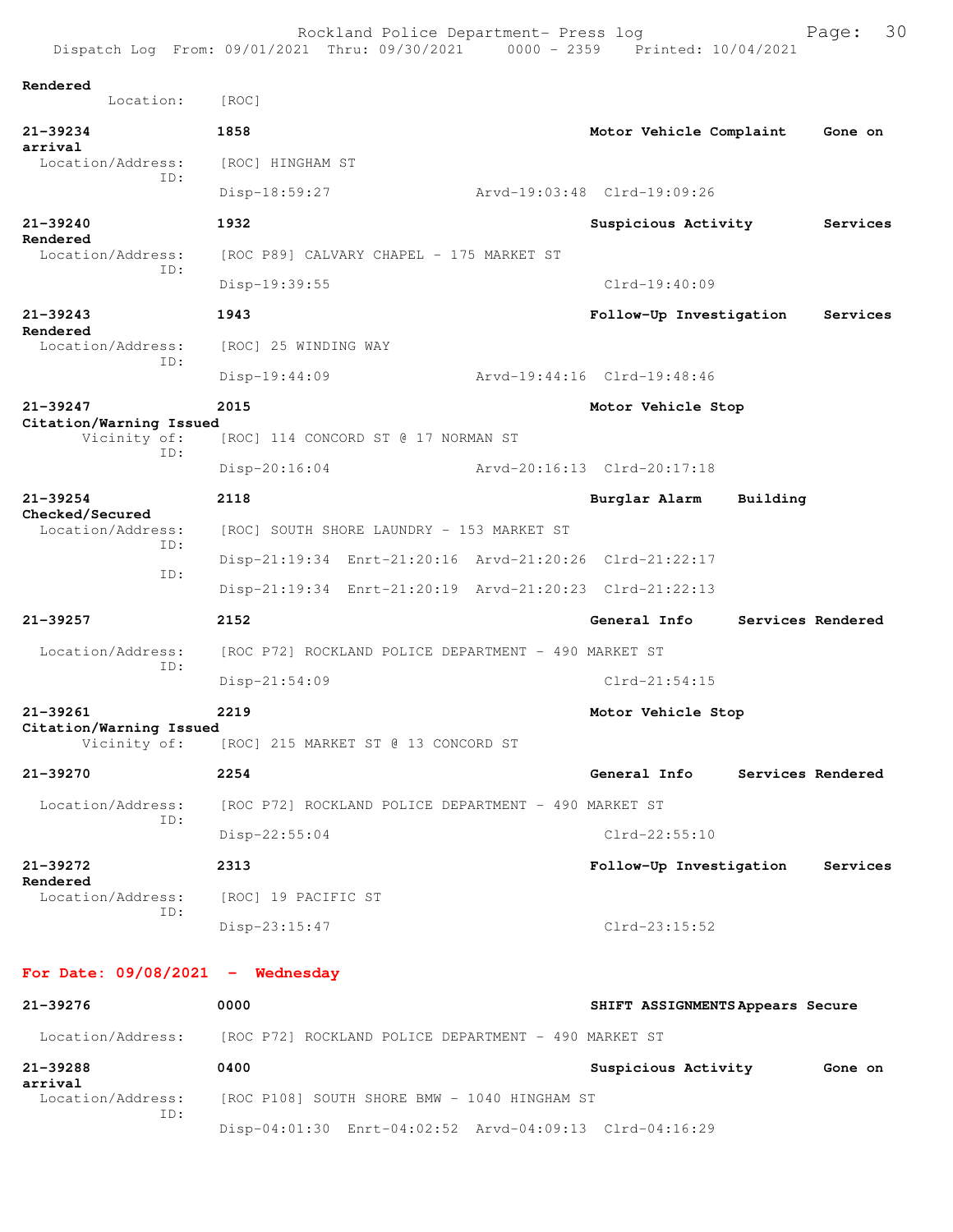|                                                | Rockland Police Department- Press log<br>Dispatch Log From: 09/01/2021 Thru: 09/30/2021 0000 - 2359 Printed: 10/04/2021 |  |                                  |                   | 30<br>Page: |  |  |  |
|------------------------------------------------|-------------------------------------------------------------------------------------------------------------------------|--|----------------------------------|-------------------|-------------|--|--|--|
| Rendered<br>Location:                          | [ROC]                                                                                                                   |  |                                  |                   |             |  |  |  |
| 21-39234<br>arrival                            | 1858                                                                                                                    |  | Motor Vehicle Complaint          |                   | Gone on     |  |  |  |
| Location/Address:<br>TD:                       | [ROC] HINGHAM ST                                                                                                        |  |                                  |                   |             |  |  |  |
|                                                | $Disp-18:59:27$                                                                                                         |  | Arvd-19:03:48 Clrd-19:09:26      |                   |             |  |  |  |
| $21 - 39240$<br>Rendered                       | 1932                                                                                                                    |  | Suspicious Activity              |                   | Services    |  |  |  |
| Location/Address:<br>ID:                       | [ROC P89] CALVARY CHAPEL - 175 MARKET ST                                                                                |  |                                  |                   |             |  |  |  |
|                                                | Disp-19:39:55                                                                                                           |  | $Clrd-19:40:09$                  |                   |             |  |  |  |
| $21 - 39243$<br>Rendered                       | 1943                                                                                                                    |  | Follow-Up Investigation          |                   | Services    |  |  |  |
| Location/Address:<br>TD:                       | [ROC] 25 WINDING WAY                                                                                                    |  |                                  |                   |             |  |  |  |
|                                                | $Disp-19:44:09$                                                                                                         |  | Arvd-19:44:16 Clrd-19:48:46      |                   |             |  |  |  |
| 21-39247                                       | 2015                                                                                                                    |  | Motor Vehicle Stop               |                   |             |  |  |  |
| Citation/Warning Issued<br>Vicinity of:<br>TD: | [ROC] 114 CONCORD ST @ 17 NORMAN ST                                                                                     |  |                                  |                   |             |  |  |  |
|                                                | $Disp-20:16:04$                                                                                                         |  | Arvd-20:16:13 Clrd-20:17:18      |                   |             |  |  |  |
| $21 - 39254$<br>Checked/Secured                | 2118                                                                                                                    |  | Burglar Alarm                    | Building          |             |  |  |  |
| Location/Address:<br>TD:                       | [ROC] SOUTH SHORE LAUNDRY - 153 MARKET ST                                                                               |  |                                  |                   |             |  |  |  |
| ID:                                            | Disp-21:19:34 Enrt-21:20:16 Arvd-21:20:26 Clrd-21:22:17                                                                 |  |                                  |                   |             |  |  |  |
|                                                | Disp-21:19:34 Enrt-21:20:19 Arvd-21:20:23 Clrd-21:22:13                                                                 |  |                                  |                   |             |  |  |  |
| 21-39257                                       | 2152                                                                                                                    |  | General Info                     | Services Rendered |             |  |  |  |
| Location/Address:<br>ID:                       | [ROC P72] ROCKLAND POLICE DEPARTMENT - 490 MARKET ST                                                                    |  |                                  |                   |             |  |  |  |
|                                                | $Disp-21:54:09$                                                                                                         |  | $Clrd-21:54:15$                  |                   |             |  |  |  |
| 21-39261<br>Citation/Warning Issued            | 2219                                                                                                                    |  | Motor Vehicle Stop               |                   |             |  |  |  |
| Vicinity of:                                   | [ROC] 215 MARKET ST @ 13 CONCORD ST                                                                                     |  |                                  |                   |             |  |  |  |
| 21-39270                                       | 2254                                                                                                                    |  | General Info                     | Services Rendered |             |  |  |  |
| Location/Address:<br>ID:                       | [ROC P72] ROCKLAND POLICE DEPARTMENT - 490 MARKET ST                                                                    |  |                                  |                   |             |  |  |  |
|                                                | Disp-22:55:04                                                                                                           |  | Clrd-22:55:10                    |                   |             |  |  |  |
| 21-39272<br>Rendered                           | 2313                                                                                                                    |  | Follow-Up Investigation          |                   | Services    |  |  |  |
| Location/Address:<br>TD:                       | [ROC] 19 PACIFIC ST                                                                                                     |  |                                  |                   |             |  |  |  |
|                                                | $Disp-23:15:47$                                                                                                         |  | $Clrd-23:15:52$                  |                   |             |  |  |  |
| For Date: $09/08/2021$ - Wednesday             |                                                                                                                         |  |                                  |                   |             |  |  |  |
| 21-39276                                       | 0000                                                                                                                    |  | SHIFT ASSIGNMENTS Appears Secure |                   |             |  |  |  |

Location/Address: [ROC P72] ROCKLAND POLICE DEPARTMENT - 490 MARKET ST **21-39288 0400 Suspicious Activity Gone on arrival**  [ROC P108] SOUTH SHORE BMW - 1040 HINGHAM ST ID: Disp-04:01:30 Enrt-04:02:52 Arvd-04:09:13 Clrd-04:16:29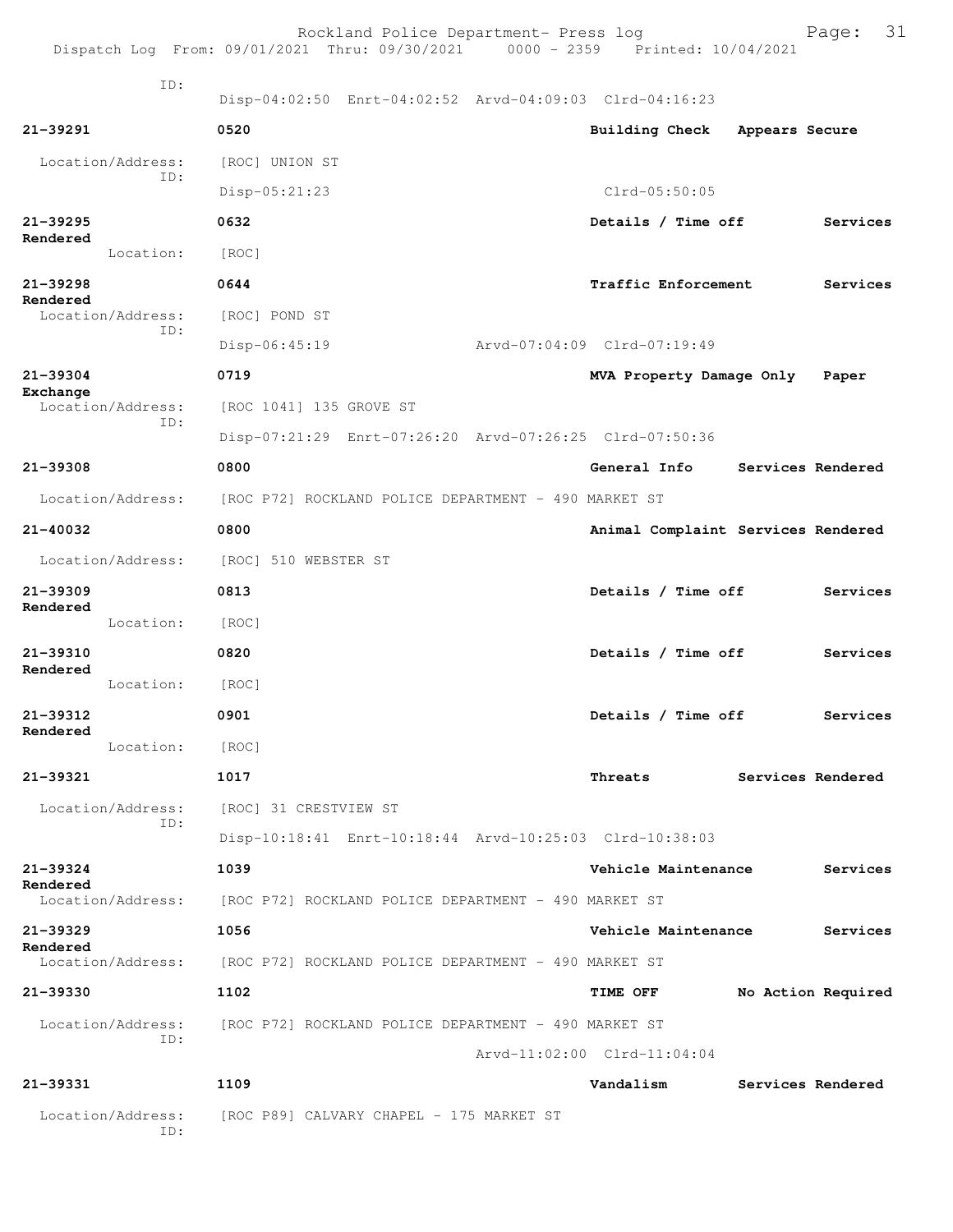|                          |                          | Dispatch Log From: 09/01/2021 Thru: 09/30/2021 | Rockland Police Department- Press log                | 0000 - 2359 Printed: 10/04/2021                         |                | Page: 31           |  |
|--------------------------|--------------------------|------------------------------------------------|------------------------------------------------------|---------------------------------------------------------|----------------|--------------------|--|
|                          | ID:                      |                                                |                                                      | Disp-04:02:50 Enrt-04:02:52 Arvd-04:09:03 Clrd-04:16:23 |                |                    |  |
| 21-39291                 |                          | 0520                                           |                                                      | Building Check                                          | Appears Secure |                    |  |
|                          | Location/Address:<br>TD: | [ROC] UNION ST                                 |                                                      |                                                         |                |                    |  |
|                          |                          | Disp-05:21:23                                  |                                                      | $Clrd-05:50:05$                                         |                |                    |  |
| $21 - 39295$<br>Rendered |                          | 0632                                           |                                                      | Details / Time off                                      |                | Services           |  |
|                          | Location:                | [ROC]                                          |                                                      |                                                         |                |                    |  |
| 21-39298                 |                          | 0644                                           |                                                      | <b>Traffic Enforcement</b>                              |                | Services           |  |
| Rendered                 | Location/Address:        | [ROC] POND ST                                  |                                                      |                                                         |                |                    |  |
|                          | TD:                      | Disp-06:45:19                                  |                                                      | Arvd-07:04:09 Clrd-07:19:49                             |                |                    |  |
| 21-39304                 |                          | 0719                                           |                                                      | MVA Property Damage Only                                |                | Paper              |  |
| Exchange                 | Location/Address:        | [ROC 1041] 135 GROVE ST                        |                                                      |                                                         |                |                    |  |
|                          | TD:                      |                                                |                                                      | Disp-07:21:29 Enrt-07:26:20 Arvd-07:26:25 Clrd-07:50:36 |                |                    |  |
| 21-39308                 |                          | 0800                                           |                                                      | General Info                                            |                | Services Rendered  |  |
|                          | Location/Address:        |                                                | [ROC P72] ROCKLAND POLICE DEPARTMENT - 490 MARKET ST |                                                         |                |                    |  |
| 21-40032                 |                          | 0800                                           |                                                      | Animal Complaint Services Rendered                      |                |                    |  |
|                          | Location/Address:        | [ROC] 510 WEBSTER ST                           |                                                      |                                                         |                |                    |  |
| 21-39309                 |                          | 0813                                           |                                                      | Details / Time off                                      |                | Services           |  |
| Rendered                 | Location:                | [ROC]                                          |                                                      |                                                         |                |                    |  |
| 21-39310                 |                          | 0820                                           |                                                      | Details / Time off                                      |                | Services           |  |
| Rendered                 | Location:                | [ROC]                                          |                                                      |                                                         |                |                    |  |
| 21-39312                 |                          | 0901                                           |                                                      | Details / Time off                                      |                | Services           |  |
| Rendered                 | Location:                | [ROC]                                          |                                                      |                                                         |                |                    |  |
| 21-39321                 |                          | 1017                                           |                                                      | Threats                                                 |                | Services Rendered  |  |
|                          | Location/Address:        | [ROC] 31 CRESTVIEW ST                          |                                                      |                                                         |                |                    |  |
|                          | ID:                      |                                                |                                                      | Disp-10:18:41 Enrt-10:18:44 Arvd-10:25:03 Clrd-10:38:03 |                |                    |  |
| 21-39324                 |                          | 1039                                           |                                                      | Vehicle Maintenance                                     |                | Services           |  |
| Rendered                 | Location/Address:        |                                                | [ROC P72] ROCKLAND POLICE DEPARTMENT - 490 MARKET ST |                                                         |                |                    |  |
| 21-39329                 |                          | 1056                                           |                                                      | Vehicle Maintenance                                     |                | Services           |  |
| Rendered                 | Location/Address:        |                                                | [ROC P72] ROCKLAND POLICE DEPARTMENT - 490 MARKET ST |                                                         |                |                    |  |
| 21-39330                 |                          | 1102                                           |                                                      | <b>TIME OFF</b>                                         |                | No Action Required |  |
|                          | Location/Address:        |                                                | [ROC P72] ROCKLAND POLICE DEPARTMENT - 490 MARKET ST |                                                         |                |                    |  |
|                          | ID:                      |                                                |                                                      | Arvd-11:02:00 Clrd-11:04:04                             |                |                    |  |
| 21-39331                 |                          | 1109                                           |                                                      | Vandalism                                               |                | Services Rendered  |  |
|                          | Location/Address:<br>ID: |                                                | [ROC P89] CALVARY CHAPEL - 175 MARKET ST             |                                                         |                |                    |  |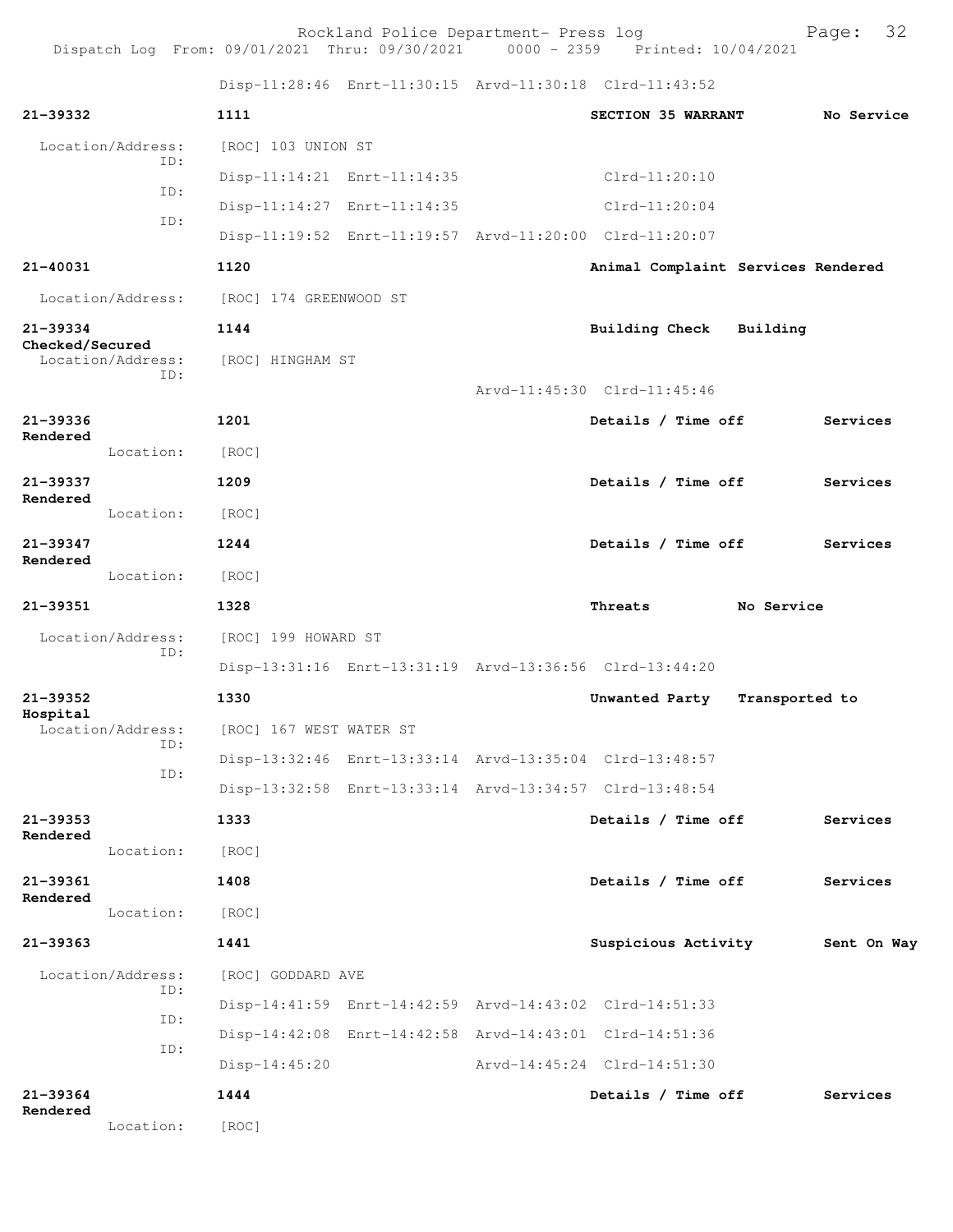Rockland Police Department- Press log entitled and Page: 32 Dispatch Log From: 09/01/2021 Thru: 09/30/2021 0000 - 2359 Printed: 10/04/2021

Disp-11:28:46 Enrt-11:30:15 Arvd-11:30:18 Clrd-11:43:52

| 21-39332        |                   | 1111                    |                                                         | SECTION 35 WARRANT                 |                | No Service  |
|-----------------|-------------------|-------------------------|---------------------------------------------------------|------------------------------------|----------------|-------------|
|                 | Location/Address: | [ROC] 103 UNION ST      |                                                         |                                    |                |             |
|                 | TD:               |                         | Disp-11:14:21 Enrt-11:14:35                             | $Clrd-11:20:10$                    |                |             |
|                 | ID:               |                         | Disp-11:14:27 Enrt-11:14:35                             | $Clrd-11:20:04$                    |                |             |
|                 | ID:               |                         | Disp-11:19:52 Enrt-11:19:57 Arvd-11:20:00 Clrd-11:20:07 |                                    |                |             |
| 21-40031        |                   | 1120                    |                                                         | Animal Complaint Services Rendered |                |             |
|                 | Location/Address: | [ROC] 174 GREENWOOD ST  |                                                         |                                    |                |             |
| 21-39334        |                   | 1144                    |                                                         | <b>Building Check</b>              | Building       |             |
| Checked/Secured | Location/Address: | [ROC] HINGHAM ST        |                                                         |                                    |                |             |
|                 | ID:               |                         |                                                         | Arvd-11:45:30 Clrd-11:45:46        |                |             |
| 21-39336        |                   | 1201                    |                                                         | Details / Time off                 | Services       |             |
| Rendered        | Location:         | [ROC]                   |                                                         |                                    |                |             |
| 21-39337        |                   | 1209                    |                                                         | Details / Time off                 | Services       |             |
| Rendered        | Location:         | [ROC]                   |                                                         |                                    |                |             |
| $21 - 39347$    |                   | 1244                    |                                                         | Details / Time off                 | Services       |             |
| Rendered        | Location:         | [ROC]                   |                                                         |                                    |                |             |
| 21-39351        |                   | 1328                    |                                                         | Threats                            | No Service     |             |
|                 | Location/Address: | [ROC] 199 HOWARD ST     |                                                         |                                    |                |             |
|                 | ID:               |                         | Disp-13:31:16 Enrt-13:31:19 Arvd-13:36:56 Clrd-13:44:20 |                                    |                |             |
| $21 - 39352$    |                   | 1330                    |                                                         | Unwanted Party                     | Transported to |             |
| Hospital        | Location/Address: | [ROC] 167 WEST WATER ST |                                                         |                                    |                |             |
|                 | ID:               |                         | Disp-13:32:46 Enrt-13:33:14 Arvd-13:35:04 Clrd-13:48:57 |                                    |                |             |
|                 | ID:               |                         | Disp-13:32:58 Enrt-13:33:14 Arvd-13:34:57 Clrd-13:48:54 |                                    |                |             |
| 21-39353        |                   | 1333                    |                                                         | Details / Time off                 | Services       |             |
| Rendered        | Location:         | [ROC]                   |                                                         |                                    |                |             |
| 21-39361        |                   | 1408                    |                                                         | Details / Time off                 | Services       |             |
| Rendered        | Location:         | [ROC]                   |                                                         |                                    |                |             |
| 21-39363        |                   | 1441                    |                                                         | Suspicious Activity                |                | Sent On Way |
|                 | Location/Address: | [ROC] GODDARD AVE       |                                                         |                                    |                |             |
|                 | ID:               |                         | Disp-14:41:59 Enrt-14:42:59 Arvd-14:43:02 Clrd-14:51:33 |                                    |                |             |
|                 | ID:               |                         | Disp-14:42:08 Enrt-14:42:58 Arvd-14:43:01 Clrd-14:51:36 |                                    |                |             |
|                 | ID:               | $Disp-14:45:20$         |                                                         | Arvd-14:45:24 Clrd-14:51:30        |                |             |
| 21-39364        |                   | 1444                    |                                                         | Details / Time off                 | Services       |             |
| Rendered        | Location:         | [ROC]                   |                                                         |                                    |                |             |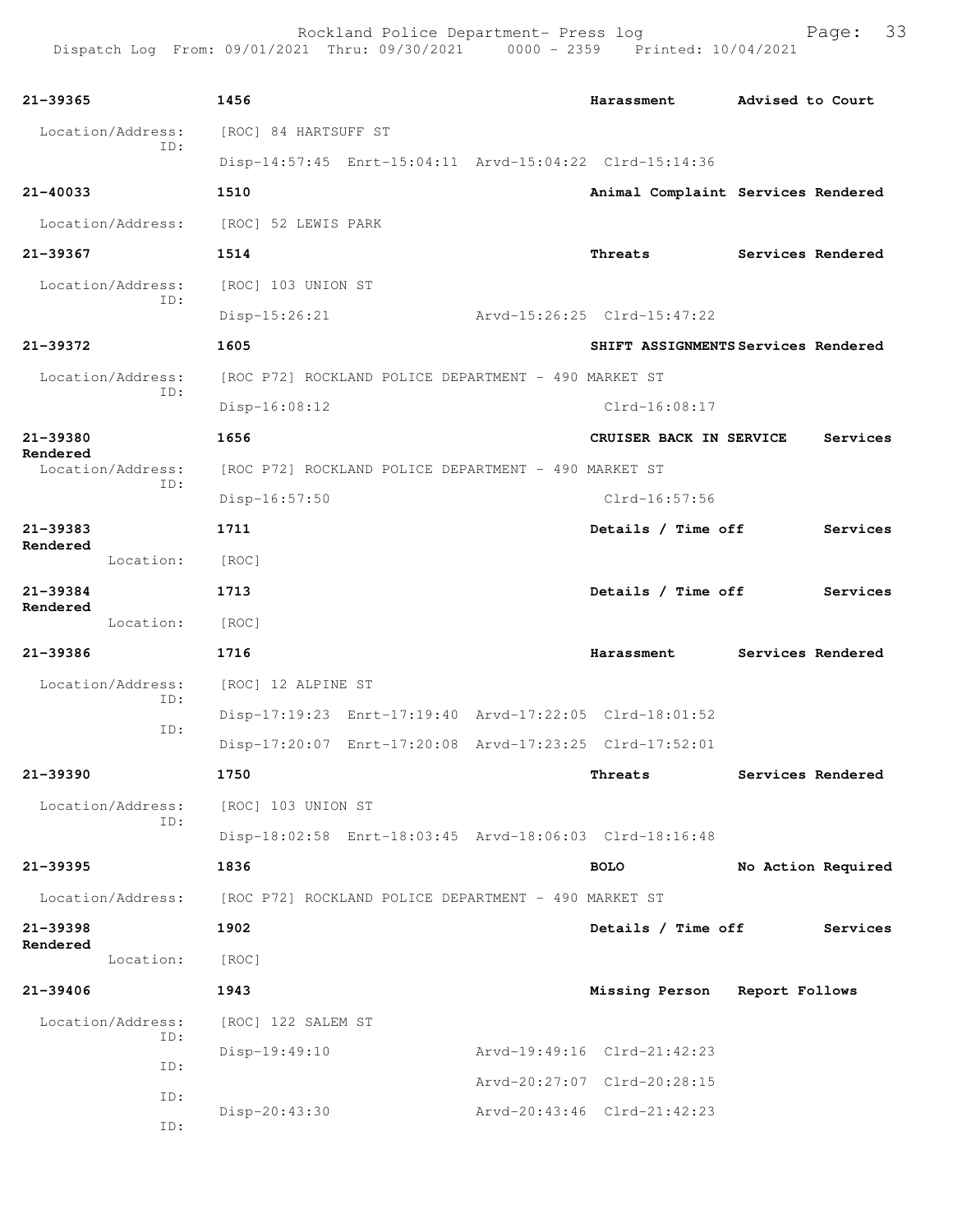| 21-39365                      | 1456                                                    |               | Harassment                          | Advised to Court  |                    |
|-------------------------------|---------------------------------------------------------|---------------|-------------------------------------|-------------------|--------------------|
| Location/Address:             | [ROC] 84 HARTSUFF ST                                    |               |                                     |                   |                    |
| ID:                           | Disp-14:57:45 Enrt-15:04:11 Arvd-15:04:22 Clrd-15:14:36 |               |                                     |                   |                    |
| $21 - 40033$                  | 1510                                                    |               | Animal Complaint Services Rendered  |                   |                    |
| Location/Address:             | [ROC] 52 LEWIS PARK                                     |               |                                     |                   |                    |
| 21-39367                      | 1514                                                    |               | Threats                             | Services Rendered |                    |
| Location/Address:             | [ROC] 103 UNION ST                                      |               |                                     |                   |                    |
| ID:                           | $Disp-15:26:21$                                         |               | Arvd-15:26:25 Clrd-15:47:22         |                   |                    |
| 21-39372                      | 1605                                                    |               | SHIFT ASSIGNMENTS Services Rendered |                   |                    |
| Location/Address:             | [ROC P72] ROCKLAND POLICE DEPARTMENT - 490 MARKET ST    |               |                                     |                   |                    |
| ID:                           | $Disp-16:08:12$                                         |               | Clrd-16:08:17                       |                   |                    |
| 21-39380                      | 1656                                                    |               | CRUISER BACK IN SERVICE             |                   | Services           |
| Rendered<br>Location/Address: | [ROC P72] ROCKLAND POLICE DEPARTMENT - 490 MARKET ST    |               |                                     |                   |                    |
| ID:                           | $Disp-16:57:50$                                         | Clrd-16:57:56 |                                     |                   |                    |
| 21-39383                      | 1711                                                    |               | Details / Time off                  |                   | Services           |
| Rendered<br>Location:         | [ROC]                                                   |               |                                     |                   |                    |
| 21-39384                      | 1713                                                    |               | Details / Time off                  |                   | Services           |
| Rendered<br>Location:         | [ROC]                                                   |               |                                     |                   |                    |
| 21-39386                      | 1716                                                    |               | Harassment                          | Services Rendered |                    |
| Location/Address:             | [ROC] 12 ALPINE ST                                      |               |                                     |                   |                    |
| ID:                           | Disp-17:19:23 Enrt-17:19:40 Arvd-17:22:05 Clrd-18:01:52 |               |                                     |                   |                    |
| ID:                           | Disp-17:20:07 Enrt-17:20:08 Arvd-17:23:25 Clrd-17:52:01 |               |                                     |                   |                    |
| 21-39390                      | 1750                                                    |               | Threats                             | Services Rendered |                    |
| Location/Address:             | [ROC] 103 UNION ST                                      |               |                                     |                   |                    |
| ID:                           | Disp-18:02:58 Enrt-18:03:45 Arvd-18:06:03 Clrd-18:16:48 |               |                                     |                   |                    |
| 21-39395                      | 1836                                                    |               | <b>BOLO</b>                         |                   | No Action Required |
| Location/Address:             | [ROC P72] ROCKLAND POLICE DEPARTMENT - 490 MARKET ST    |               |                                     |                   |                    |
| 21-39398                      | 1902                                                    |               | Details / Time off                  |                   | Services           |
| Rendered<br>Location:         | [ROC]                                                   |               |                                     |                   |                    |
| 21-39406                      | 1943                                                    |               | Missing Person                      | Report Follows    |                    |
| Location/Address:             | [ROC] 122 SALEM ST                                      |               |                                     |                   |                    |
| ID:                           | $Disp-19:49:10$                                         |               | Arvd-19:49:16 Clrd-21:42:23         |                   |                    |
| ID:                           |                                                         |               | Arvd-20:27:07 Clrd-20:28:15         |                   |                    |
| ID:<br>ID:                    | Disp-20:43:30                                           |               | Arvd-20:43:46 Clrd-21:42:23         |                   |                    |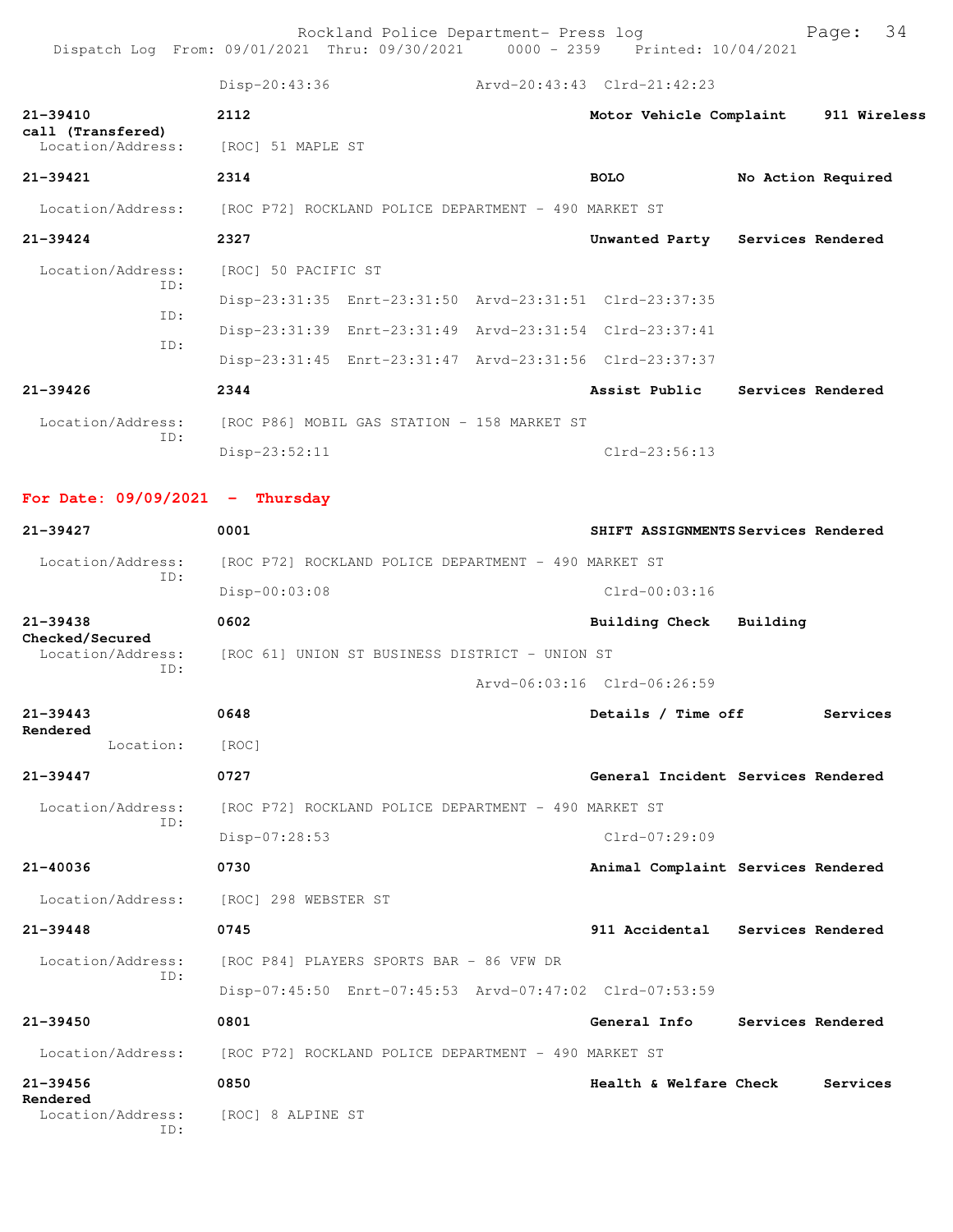Rockland Police Department- Press log entitled and Page: 34 Dispatch Log From: 09/01/2021 Thru: 09/30/2021 0000 - 2359 Printed: 10/04/2021

|                                        | Disp-20:43:36                                  |                                                      |  | Arvd-20:43:43 Clrd-21:42:23                             |  |                    |  |  |
|----------------------------------------|------------------------------------------------|------------------------------------------------------|--|---------------------------------------------------------|--|--------------------|--|--|
| 21-39410                               | 2112                                           |                                                      |  | Motor Vehicle Complaint 911 Wireless                    |  |                    |  |  |
| call (Transfered)<br>Location/Address: | [ROC] 51 MAPLE ST                              |                                                      |  |                                                         |  |                    |  |  |
| 21-39421                               | 2314                                           |                                                      |  | <b>BOLO</b>                                             |  | No Action Required |  |  |
| Location/Address:                      |                                                | [ROC P72] ROCKLAND POLICE DEPARTMENT - 490 MARKET ST |  |                                                         |  |                    |  |  |
| 21-39424                               | 2327                                           |                                                      |  | Unwanted Party Services Rendered                        |  |                    |  |  |
| Location/Address:<br>ID:               | [ROC] 50 PACIFIC ST                            |                                                      |  |                                                         |  |                    |  |  |
| ID:                                    |                                                |                                                      |  | Disp-23:31:35 Enrt-23:31:50 Arvd-23:31:51 Clrd-23:37:35 |  |                    |  |  |
| ID:                                    |                                                |                                                      |  | Disp-23:31:39 Enrt-23:31:49 Arvd-23:31:54 Clrd-23:37:41 |  |                    |  |  |
|                                        |                                                |                                                      |  | Disp-23:31:45 Enrt-23:31:47 Arvd-23:31:56 Clrd-23:37:37 |  |                    |  |  |
| 21-39426                               | 2344                                           |                                                      |  | Assist Public                                           |  | Services Rendered  |  |  |
| Location/Address:<br>ID:               |                                                | [ROC P86] MOBIL GAS STATION - 158 MARKET ST          |  |                                                         |  |                    |  |  |
|                                        | $Disp-23:52:11$                                |                                                      |  | $Clrd-23:56:13$                                         |  |                    |  |  |
| For Date: $09/09/2021 -$ Thursday      |                                                |                                                      |  |                                                         |  |                    |  |  |
| 21-39427                               | 0001                                           |                                                      |  | SHIFT ASSIGNMENTS Services Rendered                     |  |                    |  |  |
| Location/Address:                      |                                                | [ROC P72] ROCKLAND POLICE DEPARTMENT - 490 MARKET ST |  |                                                         |  |                    |  |  |
| ID:                                    | Disp-00:03:08                                  |                                                      |  | $Clrd-00:03:16$                                         |  |                    |  |  |
| 21-39438                               | 0602                                           |                                                      |  | Building Check Building                                 |  |                    |  |  |
| Checked/Secured<br>Location/Address:   | [ROC 61] UNION ST BUSINESS DISTRICT - UNION ST |                                                      |  |                                                         |  |                    |  |  |
| ID:                                    |                                                |                                                      |  | Arvd-06:03:16 Clrd-06:26:59                             |  |                    |  |  |
| 21-39443                               | 0648                                           |                                                      |  | Details / Time off                                      |  | Services           |  |  |
| Rendered<br>Location:                  | [ROC]                                          |                                                      |  |                                                         |  |                    |  |  |
| 21-39447                               | 0727                                           |                                                      |  | General Incident Services Rendered                      |  |                    |  |  |
| Location/Address:                      |                                                | [ROC P72] ROCKLAND POLICE DEPARTMENT - 490 MARKET ST |  |                                                         |  |                    |  |  |
| ID:                                    | Disp-07:28:53                                  |                                                      |  | Clrd-07:29:09                                           |  |                    |  |  |
| 21-40036                               | 0730                                           |                                                      |  | Animal Complaint Services Rendered                      |  |                    |  |  |
| Location/Address:                      | [ROC] 298 WEBSTER ST                           |                                                      |  |                                                         |  |                    |  |  |
| 21-39448                               | 0745                                           |                                                      |  | 911 Accidental Services Rendered                        |  |                    |  |  |
| Location/Address:                      | [ROC P84] PLAYERS SPORTS BAR - 86 VFW DR       |                                                      |  |                                                         |  |                    |  |  |
| ID:                                    |                                                |                                                      |  | Disp-07:45:50 Enrt-07:45:53 Arvd-07:47:02 Clrd-07:53:59 |  |                    |  |  |
| 21-39450                               | 0801                                           |                                                      |  | General Info                                            |  | Services Rendered  |  |  |
| Location/Address:                      |                                                | [ROC P72] ROCKLAND POLICE DEPARTMENT - 490 MARKET ST |  |                                                         |  |                    |  |  |
| 21-39456                               | 0850                                           |                                                      |  | Health & Welfare Check                                  |  | Services           |  |  |
| Rendered<br>Location/Address:<br>ID:   | [ROC] 8 ALPINE ST                              |                                                      |  |                                                         |  |                    |  |  |
|                                        |                                                |                                                      |  |                                                         |  |                    |  |  |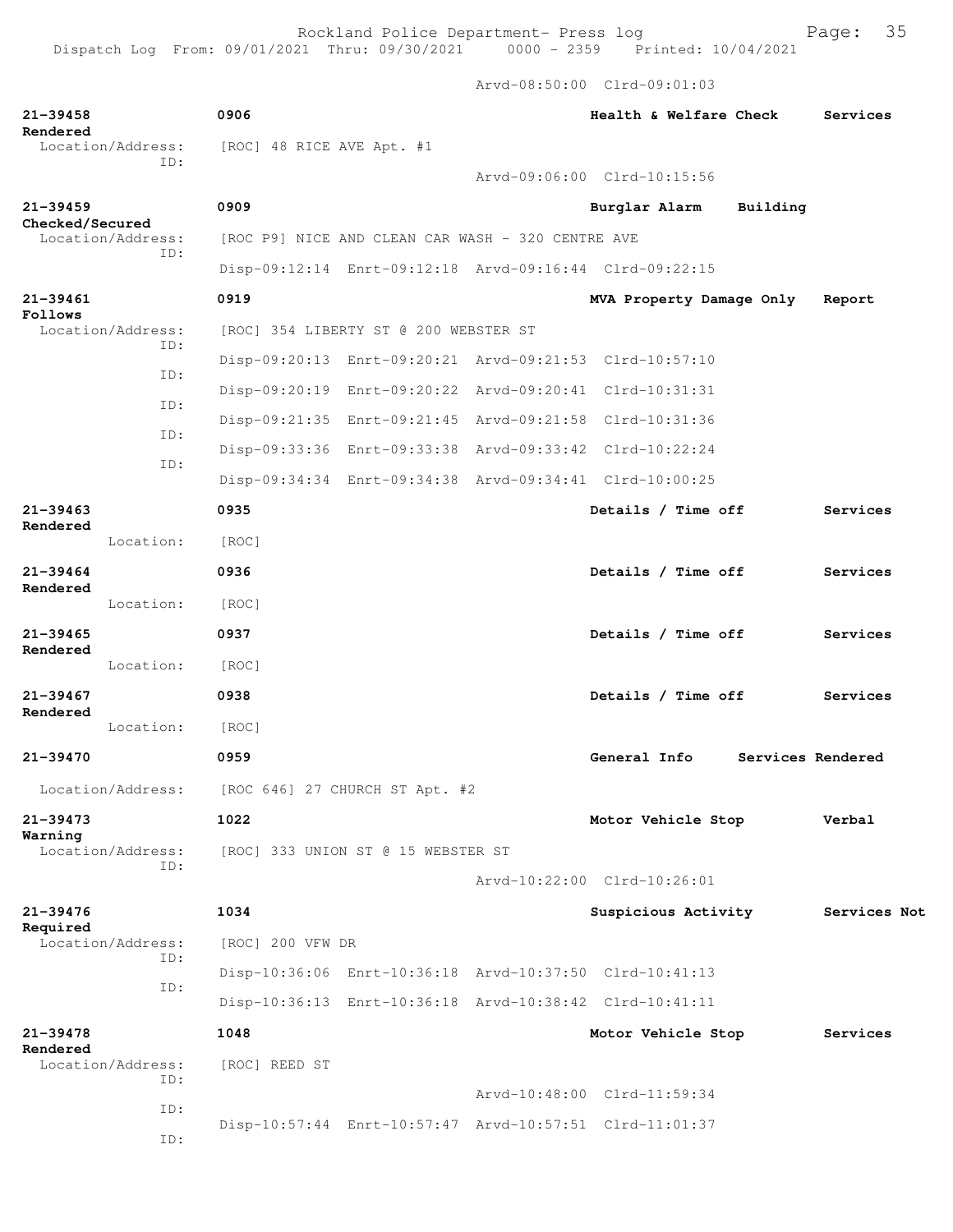Arvd-08:50:00 Clrd-09:01:03

| $21 - 39458$             |                          | 0906                      |                                                   |  | Health & Welfare Check                                  |                   | Services     |  |
|--------------------------|--------------------------|---------------------------|---------------------------------------------------|--|---------------------------------------------------------|-------------------|--------------|--|
| Rendered                 | Location/Address:        | [ROC] 48 RICE AVE Apt. #1 |                                                   |  |                                                         |                   |              |  |
|                          | ID:                      |                           |                                                   |  | Arvd-09:06:00 Clrd-10:15:56                             |                   |              |  |
| $21 - 39459$             |                          | 0909                      |                                                   |  | Burglar Alarm                                           | Building          |              |  |
| Checked/Secured          | Location/Address:        |                           | [ROC P9] NICE AND CLEAN CAR WASH - 320 CENTRE AVE |  |                                                         |                   |              |  |
|                          | ID:                      |                           |                                                   |  | Disp-09:12:14 Enrt-09:12:18 Arvd-09:16:44 Clrd-09:22:15 |                   |              |  |
| 21-39461                 |                          | 0919                      |                                                   |  | MVA Property Damage Only                                |                   | Report       |  |
| Follows                  | Location/Address:        |                           | [ROC] 354 LIBERTY ST @ 200 WEBSTER ST             |  |                                                         |                   |              |  |
|                          | ID:                      |                           |                                                   |  | Disp-09:20:13 Enrt-09:20:21 Arvd-09:21:53 Clrd-10:57:10 |                   |              |  |
|                          | ID:                      |                           |                                                   |  | Disp-09:20:19 Enrt-09:20:22 Arvd-09:20:41 Clrd-10:31:31 |                   |              |  |
|                          | ID:                      |                           |                                                   |  | Disp-09:21:35 Enrt-09:21:45 Arvd-09:21:58 Clrd-10:31:36 |                   |              |  |
|                          | ID:                      |                           |                                                   |  | Disp-09:33:36 Enrt-09:33:38 Arvd-09:33:42 Clrd-10:22:24 |                   |              |  |
|                          | ID:                      |                           |                                                   |  | Disp-09:34:34 Enrt-09:34:38 Arvd-09:34:41 Clrd-10:00:25 |                   |              |  |
| $21 - 39463$             |                          | 0935                      |                                                   |  | Details / Time off                                      |                   | Services     |  |
| Rendered                 | Location:                | [ROC]                     |                                                   |  |                                                         |                   |              |  |
| $21 - 39464$             |                          | 0936                      |                                                   |  | Details / Time off                                      |                   | Services     |  |
| Rendered                 | Location:                | [ROC]                     |                                                   |  |                                                         |                   |              |  |
| $21 - 39465$             |                          | 0937                      |                                                   |  | Details / Time off                                      |                   | Services     |  |
| Rendered                 | Location:                | [ROC]                     |                                                   |  |                                                         |                   |              |  |
| $21 - 39467$             |                          | 0938                      |                                                   |  | Details / Time off                                      |                   | Services     |  |
| Rendered                 | Location:                | [ROC]                     |                                                   |  |                                                         |                   |              |  |
| 21-39470                 |                          | 0959                      |                                                   |  | General Info                                            | Services Rendered |              |  |
|                          | Location/Address:        |                           | [ROC 646] 27 CHURCH ST Apt. #2                    |  |                                                         |                   |              |  |
| 21-39473                 |                          |                           |                                                   |  |                                                         |                   |              |  |
| Warning                  |                          |                           | 1022<br>Motor Vehicle Stop<br>Verbal              |  |                                                         |                   |              |  |
|                          | Location/Address:<br>ID: |                           | [ROC] 333 UNION ST @ 15 WEBSTER ST                |  | Arvd-10:22:00 Clrd-10:26:01                             |                   |              |  |
|                          |                          |                           |                                                   |  |                                                         |                   |              |  |
| $21 - 39476$<br>Required |                          | 1034                      |                                                   |  | Suspicious Activity                                     |                   | Services Not |  |
|                          | Location/Address:<br>ID: | [ROC] 200 VFW DR          |                                                   |  |                                                         |                   |              |  |
| ID:                      |                          |                           |                                                   |  | Disp-10:36:06 Enrt-10:36:18 Arvd-10:37:50 Clrd-10:41:13 |                   |              |  |
|                          |                          |                           |                                                   |  | Disp-10:36:13 Enrt-10:36:18 Arvd-10:38:42 Clrd-10:41:11 |                   |              |  |
| 21-39478<br>Rendered     |                          | 1048                      |                                                   |  | Motor Vehicle Stop                                      |                   | Services     |  |
|                          | Location/Address:<br>ID: | [ROC] REED ST             |                                                   |  |                                                         |                   |              |  |
|                          | ID:                      |                           |                                                   |  | Arvd-10:48:00 Clrd-11:59:34                             |                   |              |  |
|                          | ID:                      |                           |                                                   |  | Disp-10:57:44 Enrt-10:57:47 Arvd-10:57:51 Clrd-11:01:37 |                   |              |  |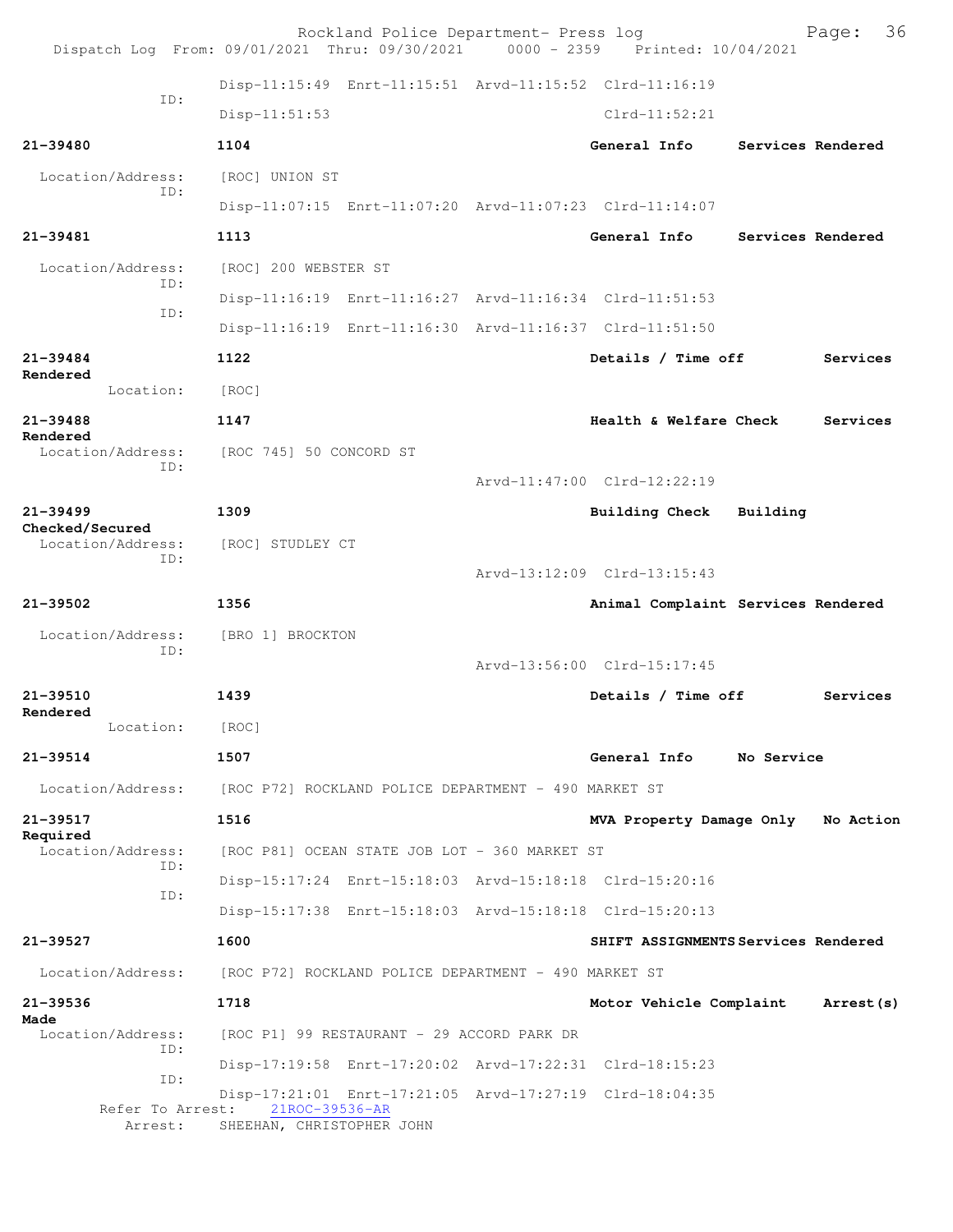| Dispatch Log From: 09/01/2021 Thru: 09/30/2021 0000 - 2359 Printed: 10/04/2021 |                                                      | Rockland Police Department- Press log         |  |                                                         |                   | 36<br>Page: |  |  |  |
|--------------------------------------------------------------------------------|------------------------------------------------------|-----------------------------------------------|--|---------------------------------------------------------|-------------------|-------------|--|--|--|
| TD:                                                                            |                                                      |                                               |  | Disp-11:15:49 Enrt-11:15:51 Arvd-11:15:52 Clrd-11:16:19 |                   |             |  |  |  |
|                                                                                | Disp-11:51:53                                        |                                               |  | $Clrd-11:52:21$                                         |                   |             |  |  |  |
| 21-39480                                                                       | 1104                                                 |                                               |  | General Info                                            | Services Rendered |             |  |  |  |
| Location/Address:                                                              | [ROC] UNION ST                                       |                                               |  |                                                         |                   |             |  |  |  |
| TD:                                                                            |                                                      |                                               |  | Disp-11:07:15 Enrt-11:07:20 Arvd-11:07:23 Clrd-11:14:07 |                   |             |  |  |  |
| $21 - 39481$                                                                   | 1113                                                 |                                               |  | General Info                                            | Services Rendered |             |  |  |  |
| Location/Address:                                                              | [ROC] 200 WEBSTER ST                                 |                                               |  |                                                         |                   |             |  |  |  |
| TD:                                                                            |                                                      |                                               |  | Disp-11:16:19 Enrt-11:16:27 Arvd-11:16:34 Clrd-11:51:53 |                   |             |  |  |  |
| ID:                                                                            |                                                      |                                               |  | Disp-11:16:19 Enrt-11:16:30 Arvd-11:16:37 Clrd-11:51:50 |                   |             |  |  |  |
| 21-39484                                                                       | 1122                                                 |                                               |  | Details / Time off                                      |                   | Services    |  |  |  |
| Rendered<br>Location:                                                          | [ROC]                                                |                                               |  |                                                         |                   |             |  |  |  |
| 21-39488                                                                       | 1147                                                 |                                               |  | Health & Welfare Check                                  |                   | Services    |  |  |  |
| Rendered<br>Location/Address:                                                  | [ROC 745] 50 CONCORD ST                              |                                               |  |                                                         |                   |             |  |  |  |
| ID:                                                                            |                                                      |                                               |  | Arvd-11:47:00 Clrd-12:22:19                             |                   |             |  |  |  |
| $21 - 39499$                                                                   | 1309                                                 |                                               |  | <b>Building Check</b>                                   | Building          |             |  |  |  |
| Checked/Secured<br>Location/Address:                                           |                                                      | [ROC] STUDLEY CT                              |  |                                                         |                   |             |  |  |  |
| ID:                                                                            |                                                      |                                               |  | Arvd-13:12:09 Clrd-13:15:43                             |                   |             |  |  |  |
| $21 - 39502$                                                                   | 1356                                                 |                                               |  | Animal Complaint Services Rendered                      |                   |             |  |  |  |
| Location/Address:                                                              | [BRO 1] BROCKTON                                     |                                               |  |                                                         |                   |             |  |  |  |
| TD:                                                                            |                                                      |                                               |  | Arvd-13:56:00 Clrd-15:17:45                             |                   |             |  |  |  |
| 21-39510                                                                       | 1439                                                 |                                               |  | Details / Time off                                      |                   | Services    |  |  |  |
| Rendered<br>Location:                                                          | [ROC]                                                |                                               |  |                                                         |                   |             |  |  |  |
| $21 - 39514$                                                                   | 1507                                                 |                                               |  | General Info                                            | No Service        |             |  |  |  |
| Location/Address:                                                              | [ROC P72] ROCKLAND POLICE DEPARTMENT - 490 MARKET ST |                                               |  |                                                         |                   |             |  |  |  |
| $21 - 39517$                                                                   | 1516                                                 |                                               |  | MVA Property Damage Only                                |                   | No Action   |  |  |  |
| Required<br>Location/Address:                                                  |                                                      | [ROC P81] OCEAN STATE JOB LOT - 360 MARKET ST |  |                                                         |                   |             |  |  |  |
| TD:                                                                            |                                                      |                                               |  | Disp-15:17:24 Enrt-15:18:03 Arvd-15:18:18 Clrd-15:20:16 |                   |             |  |  |  |
| ID:                                                                            |                                                      |                                               |  | Disp-15:17:38 Enrt-15:18:03 Arvd-15:18:18 Clrd-15:20:13 |                   |             |  |  |  |
| 21-39527                                                                       | 1600                                                 |                                               |  | SHIFT ASSIGNMENTS Services Rendered                     |                   |             |  |  |  |
| Location/Address:                                                              | [ROC P72] ROCKLAND POLICE DEPARTMENT - 490 MARKET ST |                                               |  |                                                         |                   |             |  |  |  |
| 21-39536                                                                       | 1718                                                 |                                               |  | Motor Vehicle Complaint                                 |                   | Arrest (s)  |  |  |  |
| Made<br>Location/Address:                                                      |                                                      | [ROC P1] 99 RESTAURANT - 29 ACCORD PARK DR    |  |                                                         |                   |             |  |  |  |
| TD:                                                                            |                                                      |                                               |  | Disp-17:19:58 Enrt-17:20:02 Arvd-17:22:31 Clrd-18:15:23 |                   |             |  |  |  |
| ID:                                                                            |                                                      |                                               |  | Disp-17:21:01 Enrt-17:21:05 Arvd-17:27:19 Clrd-18:04:35 |                   |             |  |  |  |
| Refer To Arrest:<br>Arrest:                                                    | 21ROC-39536-AR<br>SHEEHAN, CHRISTOPHER JOHN          |                                               |  |                                                         |                   |             |  |  |  |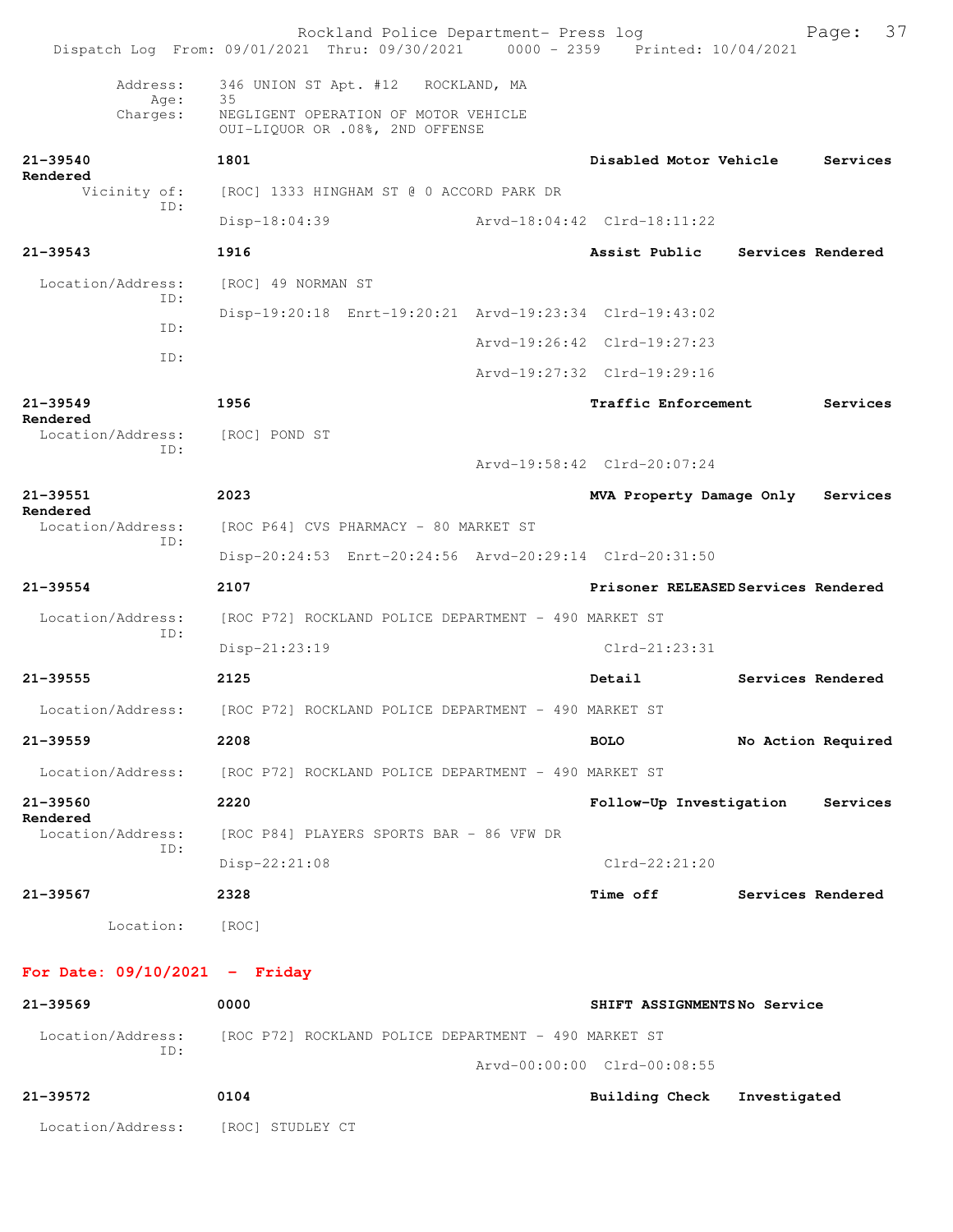|                                 | Rockland Police Department- Press log<br>Dispatch Log From: 09/01/2021 Thru: 09/30/2021 0000 - 2359 Printed: 10/04/2021 |                                     |                   | 37<br>Page:        |
|---------------------------------|-------------------------------------------------------------------------------------------------------------------------|-------------------------------------|-------------------|--------------------|
| Address:                        | 346 UNION ST Apt. #12 ROCKLAND, MA                                                                                      |                                     |                   |                    |
| Age:<br>Charges:                | 35<br>NEGLIGENT OPERATION OF MOTOR VEHICLE<br>OUI-LIQUOR OR .08%, 2ND OFFENSE                                           |                                     |                   |                    |
| $21 - 39540$<br>Rendered        | 1801                                                                                                                    | Disabled Motor Vehicle              |                   | Services           |
| Vicinity of:<br>TD:             | [ROC] 1333 HINGHAM ST @ 0 ACCORD PARK DR                                                                                |                                     |                   |                    |
|                                 | Disp-18:04:39                                                                                                           | Arvd-18:04:42 Clrd-18:11:22         |                   |                    |
| $21 - 39543$                    | 1916                                                                                                                    | Assist Public                       | Services Rendered |                    |
| Location/Address:<br>ID:        | [ROC] 49 NORMAN ST                                                                                                      |                                     |                   |                    |
| ID:                             | Disp-19:20:18 Enrt-19:20:21 Arvd-19:23:34 Clrd-19:43:02                                                                 |                                     |                   |                    |
| ID:                             |                                                                                                                         | Arvd-19:26:42 Clrd-19:27:23         |                   |                    |
|                                 |                                                                                                                         | Arvd-19:27:32 Clrd-19:29:16         |                   |                    |
| $21 - 39549$<br>Rendered        | 1956                                                                                                                    | <b>Traffic Enforcement</b>          |                   | Services           |
| Location/Address:               | [ROC] POND ST                                                                                                           |                                     |                   |                    |
| ID:                             |                                                                                                                         | Arvd-19:58:42 Clrd-20:07:24         |                   |                    |
| 21-39551<br>Rendered            | 2023                                                                                                                    | MVA Property Damage Only            |                   | Services           |
| Location/Address:<br>ID:        | [ROC P64] CVS PHARMACY - 80 MARKET ST                                                                                   |                                     |                   |                    |
|                                 | Disp-20:24:53 Enrt-20:24:56 Arvd-20:29:14 Clrd-20:31:50                                                                 |                                     |                   |                    |
| $21 - 39554$                    | 2107                                                                                                                    | Prisoner RELEASED Services Rendered |                   |                    |
| Location/Address:               | [ROC P72] ROCKLAND POLICE DEPARTMENT - 490 MARKET ST                                                                    |                                     |                   |                    |
| ID:                             | $Disp-21:23:19$                                                                                                         | $Clrd-21:23:31$                     |                   |                    |
| 21-39555                        | 2125                                                                                                                    | Detail                              |                   | Services Rendered  |
| Location/Address:               | [ROC P72] ROCKLAND POLICE DEPARTMENT - 490 MARKET ST                                                                    |                                     |                   |                    |
| $21 - 39559$                    | 2208                                                                                                                    | <b>BOLO</b>                         |                   | No Action Required |
| Location/Address:               | [ROC P72] ROCKLAND POLICE DEPARTMENT – 490 MARKET ST                                                                    |                                     |                   |                    |
| 21-39560                        | 2220                                                                                                                    | Follow-Up Investigation             |                   | Services           |
| Rendered<br>Location/Address:   | [ROC P84] PLAYERS SPORTS BAR - 86 VFW DR                                                                                |                                     |                   |                    |
| ID:                             | Disp-22:21:08                                                                                                           | Clrd-22:21:20                       |                   |                    |
| $21 - 39567$                    | 2328                                                                                                                    | <b>Time off</b>                     | Services Rendered |                    |
| Location:                       | [ROC]                                                                                                                   |                                     |                   |                    |
| For Date: $09/10/2021$ - Friday |                                                                                                                         |                                     |                   |                    |
| $21 - 39569$                    | 0000                                                                                                                    | SHIFT ASSIGNMENTSNo Service         |                   |                    |

| Location/Address: |                  | [ROC P72] ROCKLAND POLICE DEPARTMENT - 490 MARKET ST |              |
|-------------------|------------------|------------------------------------------------------|--------------|
| ID:               |                  | Arvd-00:00:00 Clrd-00:08:55                          |              |
| 21–39572          | 0104             | Building Check                                       | Investigated |
| Location/Address: | [ROC] STUDLEY CT |                                                      |              |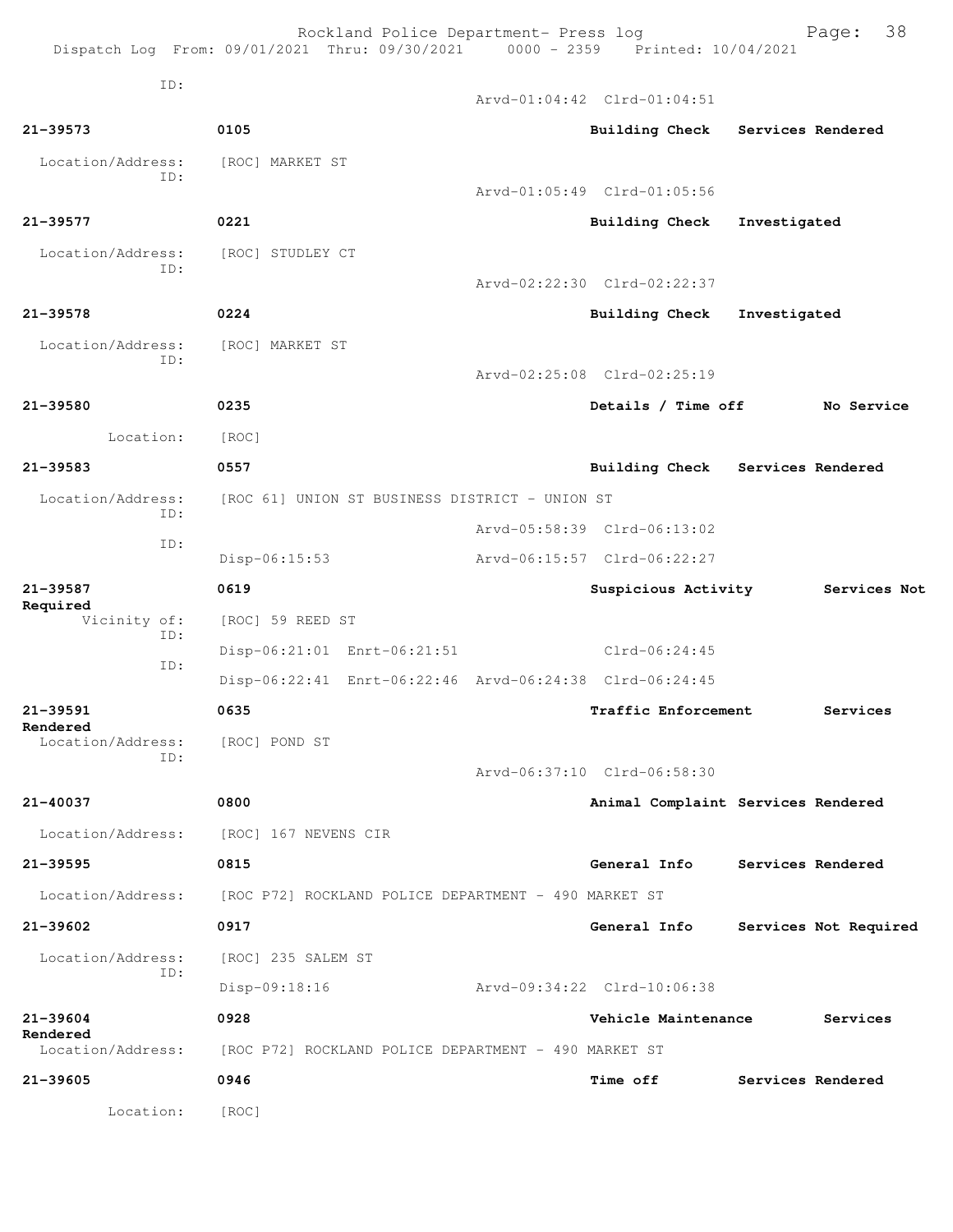|                      |     |                      | Rockland Police Department- Press log                   | Dispatch Log From: 09/01/2021 Thru: 09/30/2021 0000 - 2359 Printed: 10/04/2021 |              | Page:                 | 38 |
|----------------------|-----|----------------------|---------------------------------------------------------|--------------------------------------------------------------------------------|--------------|-----------------------|----|
|                      | ID: |                      |                                                         |                                                                                |              |                       |    |
|                      |     |                      |                                                         | Arvd-01:04:42 Clrd-01:04:51                                                    |              |                       |    |
| $21 - 39573$         |     | 0105                 |                                                         | Building Check Services Rendered                                               |              |                       |    |
| Location/Address:    | TD: | [ROC] MARKET ST      |                                                         |                                                                                |              |                       |    |
|                      |     |                      |                                                         | Arvd-01:05:49 Clrd-01:05:56                                                    |              |                       |    |
| 21-39577             |     | 0221                 |                                                         | <b>Building Check</b>                                                          | Investigated |                       |    |
| Location/Address:    | ID: | [ROC] STUDLEY CT     |                                                         |                                                                                |              |                       |    |
|                      |     |                      |                                                         | Arvd-02:22:30 Clrd-02:22:37                                                    |              |                       |    |
| $21 - 39578$         |     | 0224                 |                                                         | <b>Building Check</b>                                                          | Investigated |                       |    |
| Location/Address:    | ID: | [ROC] MARKET ST      |                                                         |                                                                                |              |                       |    |
|                      |     |                      |                                                         | Arvd-02:25:08 Clrd-02:25:19                                                    |              |                       |    |
| 21-39580             |     | 0235                 |                                                         | Details / Time off                                                             |              | No Service            |    |
| Location:            |     | [ROC]                |                                                         |                                                                                |              |                       |    |
| 21-39583             |     | 0557                 |                                                         | Building Check Services Rendered                                               |              |                       |    |
| Location/Address:    | ID: |                      | [ROC 61] UNION ST BUSINESS DISTRICT - UNION ST          |                                                                                |              |                       |    |
|                      | ID: |                      |                                                         | Arvd-05:58:39 Clrd-06:13:02                                                    |              |                       |    |
|                      |     | Disp-06:15:53        |                                                         | Arvd-06:15:57 Clrd-06:22:27                                                    |              |                       |    |
| 21-39587<br>Required |     | 0619                 |                                                         | Suspicious Activity                                                            |              | Services Not          |    |
| Vicinity of:         | ID: | [ROC] 59 REED ST     |                                                         |                                                                                |              |                       |    |
|                      | ID: |                      | Disp-06:21:01 Enrt-06:21:51                             | $Clrd-06:24:45$                                                                |              |                       |    |
|                      |     |                      | Disp-06:22:41 Enrt-06:22:46 Arvd-06:24:38 Clrd-06:24:45 |                                                                                |              |                       |    |
| 21-39591<br>Rendered |     | 0635                 |                                                         | Traffic Enforcement                                                            |              | Services              |    |
| Location/Address:    | ID: | [ROC] POND ST        |                                                         |                                                                                |              |                       |    |
|                      |     |                      |                                                         | Arvd-06:37:10 Clrd-06:58:30                                                    |              |                       |    |
| 21-40037             |     | 0800                 |                                                         | Animal Complaint Services Rendered                                             |              |                       |    |
| Location/Address:    |     | [ROC] 167 NEVENS CIR |                                                         |                                                                                |              |                       |    |
| 21-39595             |     | 0815                 |                                                         | General Info                                                                   |              | Services Rendered     |    |
| Location/Address:    |     |                      | [ROC P72] ROCKLAND POLICE DEPARTMENT - 490 MARKET ST    |                                                                                |              |                       |    |
| 21-39602             |     | 0917                 |                                                         | General Info                                                                   |              | Services Not Required |    |
| Location/Address:    | ID: | [ROC] 235 SALEM ST   |                                                         |                                                                                |              |                       |    |
|                      |     | Disp-09:18:16        |                                                         | Arvd-09:34:22 Clrd-10:06:38                                                    |              |                       |    |
| 21-39604<br>Rendered |     | 0928                 |                                                         | Vehicle Maintenance                                                            |              | Services              |    |
| Location/Address:    |     |                      | [ROC P72] ROCKLAND POLICE DEPARTMENT - 490 MARKET ST    |                                                                                |              |                       |    |
| 21-39605             |     | 0946                 |                                                         | <b>Time off</b>                                                                |              | Services Rendered     |    |
| Location:            |     | [ROC]                |                                                         |                                                                                |              |                       |    |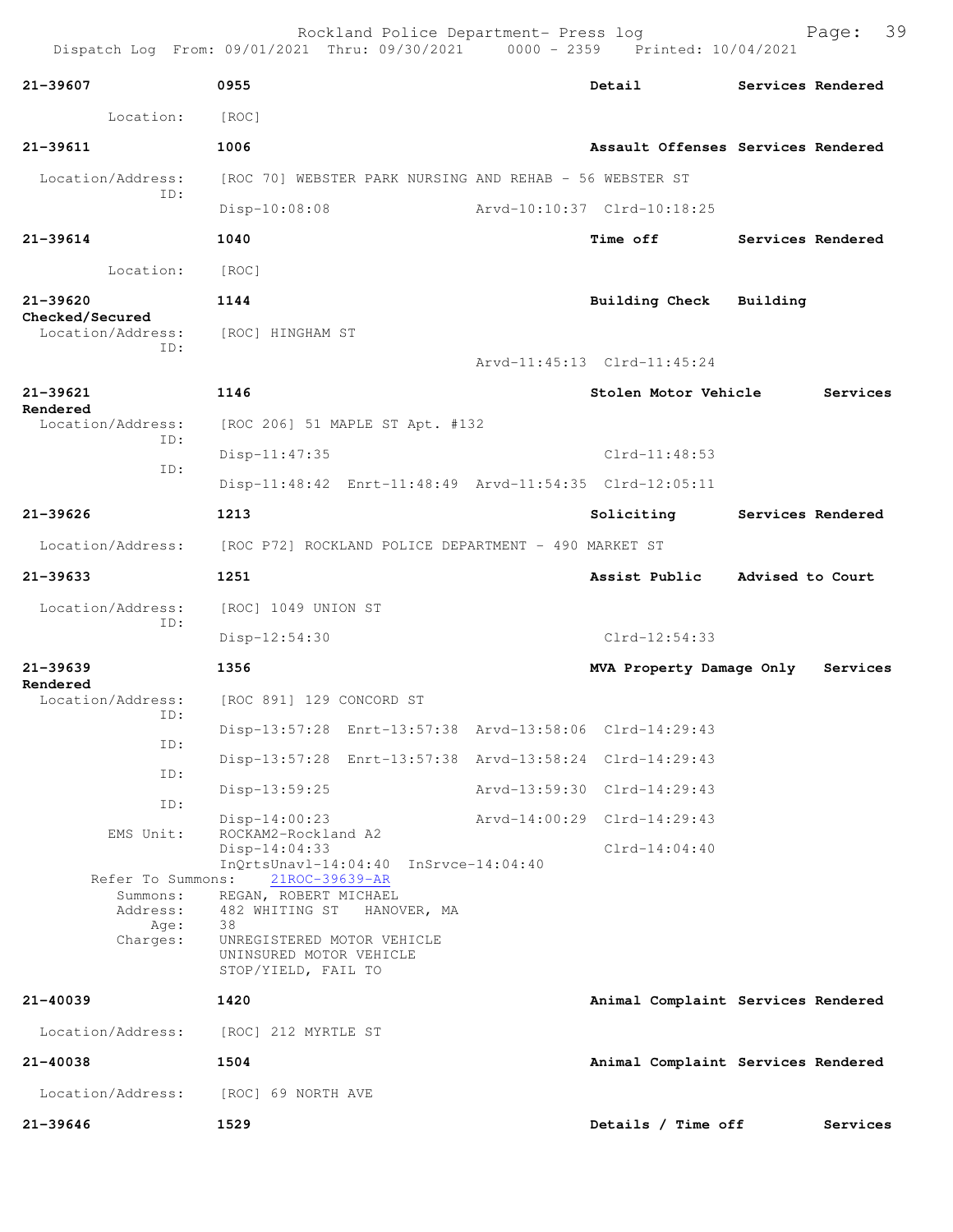Dispatch Log From: 09/01/2021 Thru: 09/30/2021 0000 - 2359 Printed: 10/04/2021 **21-39607 0955 Detail Services Rendered** Location: [ROC] **21-39611 1006 Assault Offenses Services Rendered** Location/Address: [ROC 70] WEBSTER PARK NURSING AND REHAB - 56 WEBSTER ST ID: Disp-10:08:08 Arvd-10:10:37 Clrd-10:18:25 **21-39614 1040 Time off Services Rendered** Location: [ROC] **21-39620 1144 Building Check Building Checked/Secured**  Location/Address: [ROC] HINGHAM ST ID: Arvd-11:45:13 Clrd-11:45:24 **21-39621 1146 Stolen Motor Vehicle Services Rendered**  Location/Address: [ROC 206] 51 MAPLE ST Apt. #132 ID: Disp-11:47:35 Clrd-11:48:53 ID: Disp-11:48:42 Enrt-11:48:49 Arvd-11:54:35 Clrd-12:05:11 **21-39626 1213 Soliciting Services Rendered** Location/Address: [ROC P72] ROCKLAND POLICE DEPARTMENT - 490 MARKET ST **21-39633 1251 Assist Public Advised to Court** Location/Address: [ROC] 1049 UNION ST ID: Disp-12:54:30 Clrd-12:54:33 **21-39639 1356 MVA Property Damage Only Services Rendered**  Location/Address: [ROC 891] 129 CONCORD ST ID: Disp-13:57:28 Enrt-13:57:38 Arvd-13:58:06 Clrd-14:29:43 ID: Disp-13:57:28 Enrt-13:57:38 Arvd-13:58:24 Clrd-14:29:43 ID: Disp-13:59:25 Arvd-13:59:30 Clrd-14:29:43 ID: Disp-14:00:23 Arvd-14:00:29 Clrd-14:29:43 EMS Unit: ROCKAM2-Rockland A2 Disp-14:04:33 Clrd-14:04:40 InQrtsUnavl-14:04:40 InSrvce-14:04:40 Refer To Summons: 21ROC-39639-AR Summons: REGAN, ROBERT MICHAEL Address: 482 WHITING ST HANOVER, MA Age: 38 Charges: UNREGISTERED MOTOR VEHICLE UNINSURED MOTOR VEHICLE STOP/YIELD, FAIL TO **21-40039 1420 Animal Complaint Services Rendered** Location/Address: [ROC] 212 MYRTLE ST **21-40038 1504 Animal Complaint Services Rendered** Location/Address: [ROC] 69 NORTH AVE **21-39646 1529 Details / Time off Services**

Rockland Police Department- Press log Page: 39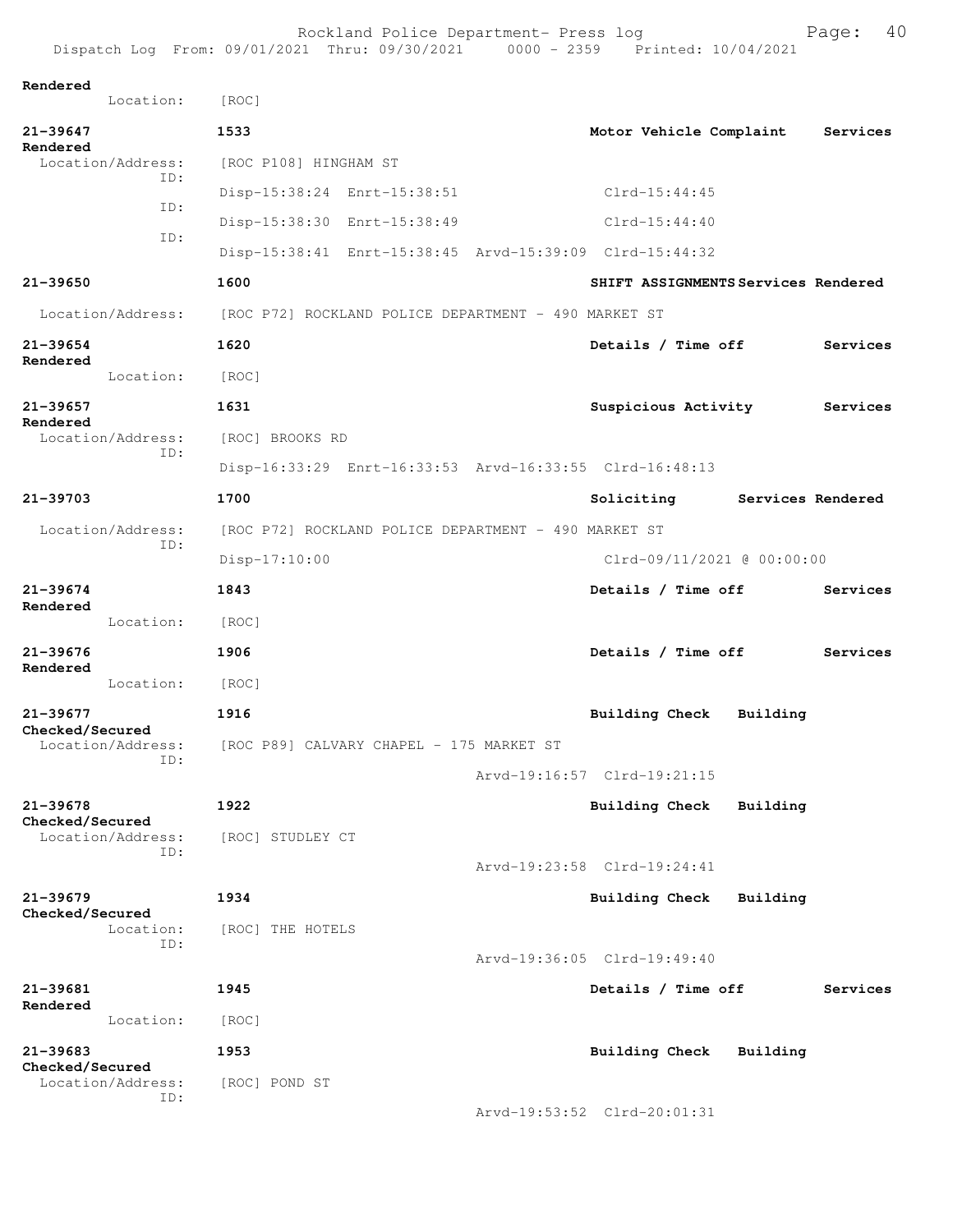| Dispatch Log From: 09/01/2021 Thru: 09/30/2021 0000 - 2359 Printed: 10/04/2021 |                       |                                                      |                                                         |          |                   |
|--------------------------------------------------------------------------------|-----------------------|------------------------------------------------------|---------------------------------------------------------|----------|-------------------|
| Rendered<br>Location:                                                          | [ROC]                 |                                                      |                                                         |          |                   |
| 21-39647                                                                       | 1533                  |                                                      | Motor Vehicle Complaint                                 |          | Services          |
| Rendered<br>Location/Address:                                                  | [ROC P108] HINGHAM ST |                                                      |                                                         |          |                   |
| ID:                                                                            |                       | Disp-15:38:24 Enrt-15:38:51                          | $Clrd-15:44:45$                                         |          |                   |
| ID:                                                                            |                       | Disp-15:38:30 Enrt-15:38:49                          | $Clrd-15:44:40$                                         |          |                   |
| ID:                                                                            |                       |                                                      | Disp-15:38:41 Enrt-15:38:45 Arvd-15:39:09 Clrd-15:44:32 |          |                   |
| 21-39650                                                                       | 1600                  |                                                      | SHIFT ASSIGNMENTS Services Rendered                     |          |                   |
| Location/Address: [ROC P72] ROCKLAND POLICE DEPARTMENT - 490 MARKET ST         |                       |                                                      |                                                         |          |                   |
| 21-39654<br>Rendered                                                           | 1620                  |                                                      | Details / Time off                                      |          | Services          |
| Location:                                                                      | [ROC]                 |                                                      |                                                         |          |                   |
| 21-39657                                                                       | 1631                  |                                                      | Suspicious Activity                                     |          | Services          |
| Rendered<br>Location/Address:                                                  | [ROC] BROOKS RD       |                                                      |                                                         |          |                   |
| ID:                                                                            |                       |                                                      | Disp-16:33:29 Enrt-16:33:53 Arvd-16:33:55 Clrd-16:48:13 |          |                   |
| 21-39703                                                                       | 1700                  |                                                      | Soliciting                                              |          | Services Rendered |
| Location/Address:                                                              |                       | [ROC P72] ROCKLAND POLICE DEPARTMENT - 490 MARKET ST |                                                         |          |                   |
| ID:                                                                            | Disp-17:10:00         |                                                      | Clrd-09/11/2021 @ 00:00:00                              |          |                   |
| 21-39674<br>Rendered                                                           | 1843                  |                                                      | Details / Time off                                      |          | Services          |
| Location:                                                                      | [ROC]                 |                                                      |                                                         |          |                   |
| 21-39676<br>Rendered                                                           | 1906                  |                                                      | Details / Time off                                      |          | Services          |
| Location:                                                                      | [ROC]                 |                                                      |                                                         |          |                   |
| 21-39677                                                                       | 1916                  |                                                      | <b>Building Check</b>                                   | Building |                   |
| Checked/Secured<br>Location/Address:                                           |                       | [ROC P89] CALVARY CHAPEL - 175 MARKET ST             |                                                         |          |                   |
| ID:                                                                            |                       |                                                      | Arvd-19:16:57 Clrd-19:21:15                             |          |                   |
| 21-39678                                                                       | 1922                  |                                                      | <b>Building Check</b>                                   | Building |                   |
| Checked/Secured<br>Location/Address:                                           | [ROC] STUDLEY CT      |                                                      |                                                         |          |                   |
| ID:                                                                            |                       |                                                      | Arvd-19:23:58 Clrd-19:24:41                             |          |                   |
| 21-39679                                                                       | 1934                  |                                                      | Building Check                                          | Building |                   |
| Checked/Secured<br>Location:                                                   | [ROC] THE HOTELS      |                                                      |                                                         |          |                   |
| ID:                                                                            |                       |                                                      | Arvd-19:36:05 Clrd-19:49:40                             |          |                   |
| 21-39681                                                                       | 1945                  |                                                      | Details / Time off                                      |          | Services          |
| Rendered<br>Location:                                                          | [ROC]                 |                                                      |                                                         |          |                   |
| 21-39683                                                                       | 1953                  |                                                      | Building Check                                          | Building |                   |
| Checked/Secured<br>Location/Address:<br>ID:                                    | [ROC] POND ST         |                                                      |                                                         |          |                   |

Arvd-19:53:52 Clrd-20:01:31

Rockland Police Department- Press log entitled and Page: 40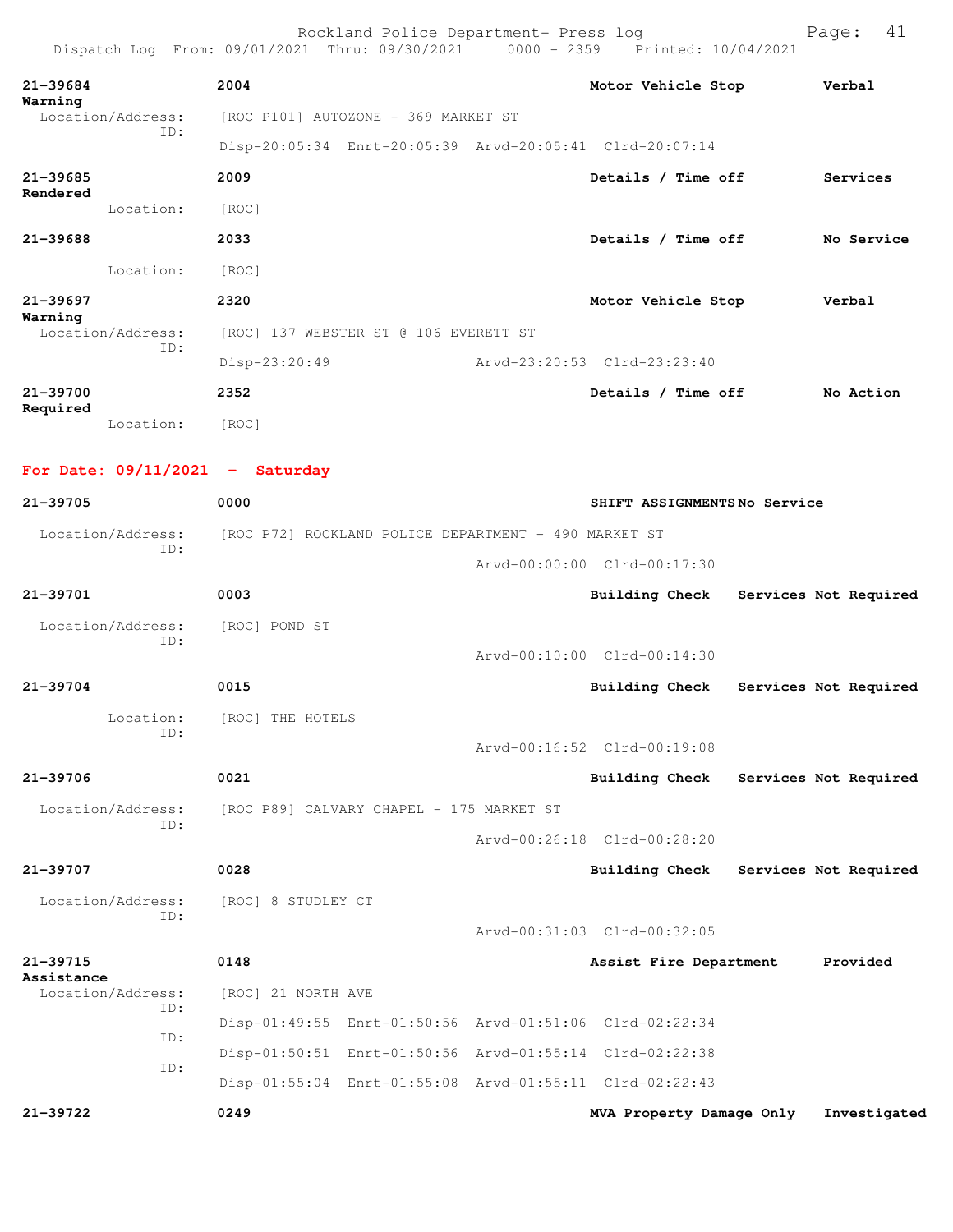| $21 - 39684$ |                   | 2004                                                    | Motor Vehicle Stop          | Verbal     |
|--------------|-------------------|---------------------------------------------------------|-----------------------------|------------|
| Warning      | Location/Address: | [ROC P101] AUTOZONE - 369 MARKET ST                     |                             |            |
|              | ID:               | Disp-20:05:34 Enrt-20:05:39 Arvd-20:05:41 Clrd-20:07:14 |                             |            |
| $21 - 39685$ |                   | 2009                                                    | Details / Time off          | Services   |
| Rendered     | Location:         | [ROC]                                                   |                             |            |
| $21 - 39688$ |                   | 2033                                                    | Details / Time off          | No Service |
|              | Location:         | [ROC]                                                   |                             |            |
| $21 - 39697$ |                   | 2320                                                    | Motor Vehicle Stop          | Verbal     |
| Warning      | Location/Address: | [ROC] 137 WEBSTER ST @ 106 EVERETT ST                   |                             |            |
|              | ID:               | Disp-23:20:49                                           | Arvd-23:20:53 Clrd-23:23:40 |            |
| 21-39700     |                   | 2352                                                    | Details / Time off          | No Action  |
| Required     | Location:         | [ROC]                                                   |                             |            |

**For Date: 09/11/2021 - Saturday**

| 21-39705                        | 0000                                                    |  | SHIFT ASSIGNMENTSNo Service |                       |  |  |
|---------------------------------|---------------------------------------------------------|--|-----------------------------|-----------------------|--|--|
| Location/Address:               | [ROC P72] ROCKLAND POLICE DEPARTMENT - 490 MARKET ST    |  |                             |                       |  |  |
| ID:                             |                                                         |  | Arvd-00:00:00 Clrd-00:17:30 |                       |  |  |
| $21 - 39701$                    | 0003                                                    |  | <b>Building Check</b>       | Services Not Required |  |  |
| Location/Address:               | [ROC] POND ST                                           |  |                             |                       |  |  |
| ID:                             |                                                         |  | Arvd-00:10:00 Clrd-00:14:30 |                       |  |  |
| $21 - 39704$                    | 0015                                                    |  | Building Check              | Services Not Required |  |  |
| Location:                       | [ROC] THE HOTELS                                        |  |                             |                       |  |  |
| TD:                             |                                                         |  | Arvd-00:16:52 Clrd-00:19:08 |                       |  |  |
| $21 - 39706$                    | 0021                                                    |  | <b>Building Check</b>       | Services Not Required |  |  |
| Location/Address:               | [ROC P89] CALVARY CHAPEL - 175 MARKET ST                |  |                             |                       |  |  |
| ID:                             |                                                         |  | Arvd-00:26:18 Clrd-00:28:20 |                       |  |  |
| 21-39707                        | 0028                                                    |  | <b>Building Check</b>       | Services Not Required |  |  |
| Location/Address:               | [ROC] 8 STUDLEY CT                                      |  |                             |                       |  |  |
| TD:                             |                                                         |  | Arvd-00:31:03 Clrd-00:32:05 |                       |  |  |
| 21-39715                        | 0148                                                    |  | Assist Fire Department      | Provided              |  |  |
| Assistance<br>Location/Address: | [ROC] 21 NORTH AVE                                      |  |                             |                       |  |  |
| ID:                             | Disp-01:49:55 Enrt-01:50:56 Arvd-01:51:06 Clrd-02:22:34 |  |                             |                       |  |  |
| ID:                             | Disp-01:50:51 Enrt-01:50:56 Arvd-01:55:14 Clrd-02:22:38 |  |                             |                       |  |  |
| ID:                             | Disp-01:55:04 Enrt-01:55:08 Arvd-01:55:11 Clrd-02:22:43 |  |                             |                       |  |  |
| 21-39722                        | 0249                                                    |  | MVA Property Damage Only    | Investigated          |  |  |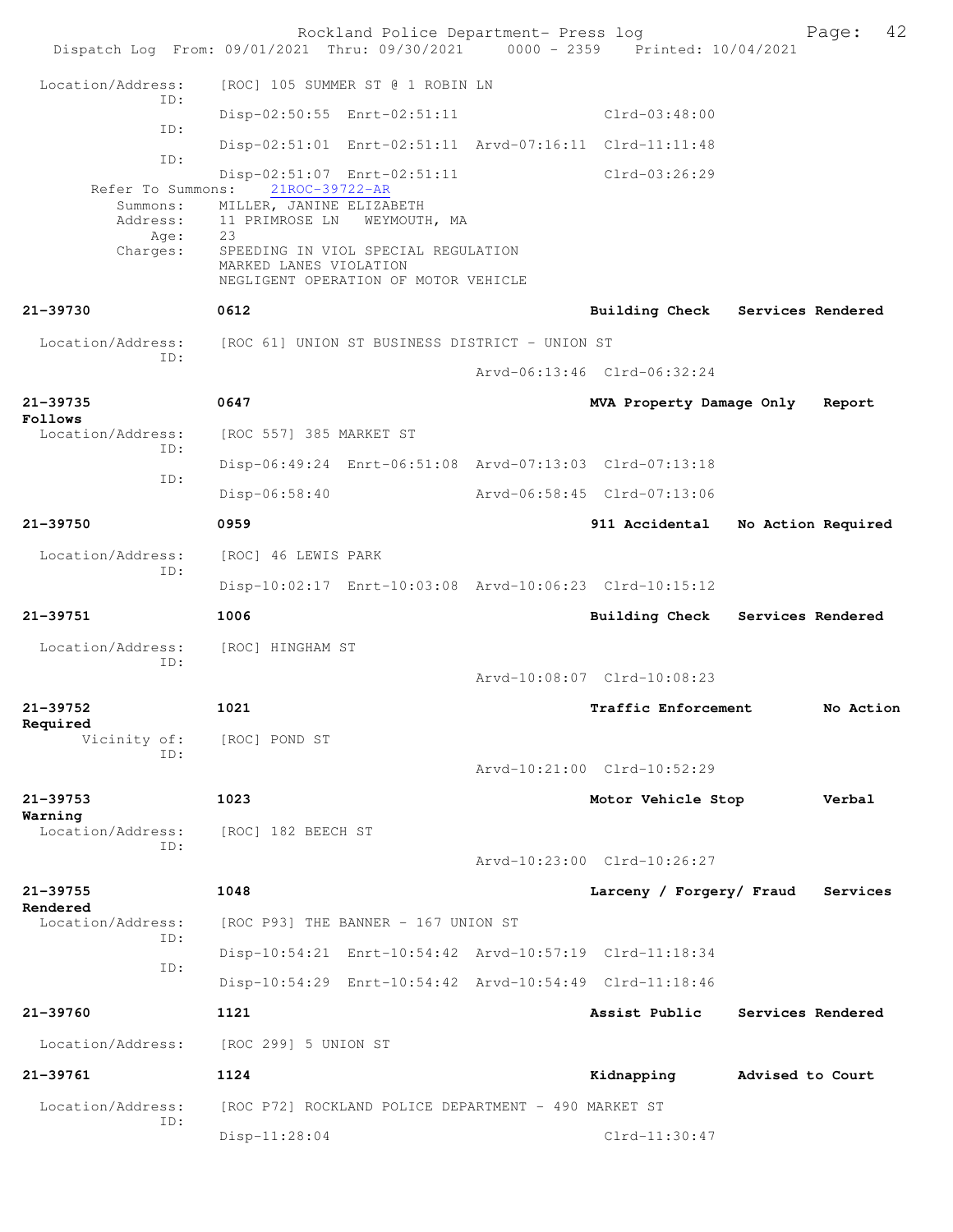|                                                   | Rockland Police Department- Press log<br>Dispatch Log From: 09/01/2021 Thru: 09/30/2021 0000 - 2359 Printed: 10/04/2021 |                                 | 42<br>Page:                      |
|---------------------------------------------------|-------------------------------------------------------------------------------------------------------------------------|---------------------------------|----------------------------------|
| Location/Address:                                 | [ROC] 105 SUMMER ST @ 1 ROBIN LN                                                                                        |                                 |                                  |
| TD:                                               | Disp-02:50:55 Enrt-02:51:11                                                                                             | $Clrd-03:48:00$                 |                                  |
| ID:                                               | Disp-02:51:01 Enrt-02:51:11 Arvd-07:16:11 Clrd-11:11:48                                                                 |                                 |                                  |
| ID:                                               | Disp-02:51:07 Enrt-02:51:11                                                                                             | Clrd-03:26:29                   |                                  |
| Refer To Summons:<br>Summons:<br>Address:<br>Age: | 21ROC-39722-AR<br>MILLER, JANINE ELIZABETH<br>11 PRIMROSE LN<br>WEYMOUTH, MA<br>23                                      |                                 |                                  |
| Charges:                                          | SPEEDING IN VIOL SPECIAL REGULATION<br>MARKED LANES VIOLATION<br>NEGLIGENT OPERATION OF MOTOR VEHICLE                   |                                 |                                  |
| 21-39730                                          | 0612                                                                                                                    |                                 | Building Check Services Rendered |
| Location/Address:                                 | [ROC 61] UNION ST BUSINESS DISTRICT - UNION ST                                                                          |                                 |                                  |
| ID:                                               |                                                                                                                         | Arvd-06:13:46 Clrd-06:32:24     |                                  |
| $21 - 39735$<br>Follows                           | 0647                                                                                                                    | MVA Property Damage Only        | Report                           |
| Location/Address:<br>TD:                          | [ROC 557] 385 MARKET ST                                                                                                 |                                 |                                  |
| ID:                                               | Disp-06:49:24 Enrt-06:51:08 Arvd-07:13:03 Clrd-07:13:18                                                                 |                                 |                                  |
|                                                   | $Disp-06:58:40$                                                                                                         | Arvd-06:58:45 Clrd-07:13:06     |                                  |
| 21-39750                                          | 0959                                                                                                                    | 911 Accidental                  | No Action Required               |
| Location/Address:<br>TD:                          | [ROC] 46 LEWIS PARK                                                                                                     |                                 |                                  |
|                                                   | Disp-10:02:17 Enrt-10:03:08 Arvd-10:06:23 Clrd-10:15:12                                                                 |                                 |                                  |
| 21-39751                                          | 1006                                                                                                                    |                                 | Building Check Services Rendered |
| Location/Address:<br>ID:                          | [ROC] HINGHAM ST                                                                                                        |                                 |                                  |
|                                                   |                                                                                                                         | Arvd-10:08:07 Clrd-10:08:23     |                                  |
| 21-39752<br>Required                              | 1021                                                                                                                    | Traffic Enforcement             | No Action                        |
| Vicinity of:<br>ID:                               | [ROC] POND ST                                                                                                           |                                 |                                  |
|                                                   |                                                                                                                         | $Arvd-10:21:00$ $Clrd-10:52:29$ |                                  |
| $21 - 39753$<br>Warning                           | 1023                                                                                                                    | Motor Vehicle Stop              | Verbal                           |
| Location/Address:<br>TD:                          | [ROC] 182 BEECH ST                                                                                                      |                                 |                                  |
|                                                   |                                                                                                                         | Arvd-10:23:00 Clrd-10:26:27     |                                  |
| 21-39755<br>Rendered                              | 1048                                                                                                                    | Larceny / Forgery/ Fraud        | Services                         |
| Location/Address:<br>ID:                          | [ROC P93] THE BANNER - 167 UNION ST                                                                                     |                                 |                                  |
| ID:                                               | Disp-10:54:21 Enrt-10:54:42 Arvd-10:57:19 Clrd-11:18:34                                                                 |                                 |                                  |
|                                                   | Disp-10:54:29 Enrt-10:54:42 Arvd-10:54:49 Clrd-11:18:46                                                                 |                                 |                                  |
| 21-39760                                          | 1121                                                                                                                    | Assist Public                   | Services Rendered                |
| Location/Address:                                 | [ROC 299] 5 UNION ST                                                                                                    |                                 |                                  |
| 21-39761                                          | 1124                                                                                                                    | Kidnapping                      | Advised to Court                 |
| Location/Address:<br>TD:                          | [ROC P72] ROCKLAND POLICE DEPARTMENT - 490 MARKET ST                                                                    |                                 |                                  |
|                                                   | Disp-11:28:04                                                                                                           | $Clrd-11:30:47$                 |                                  |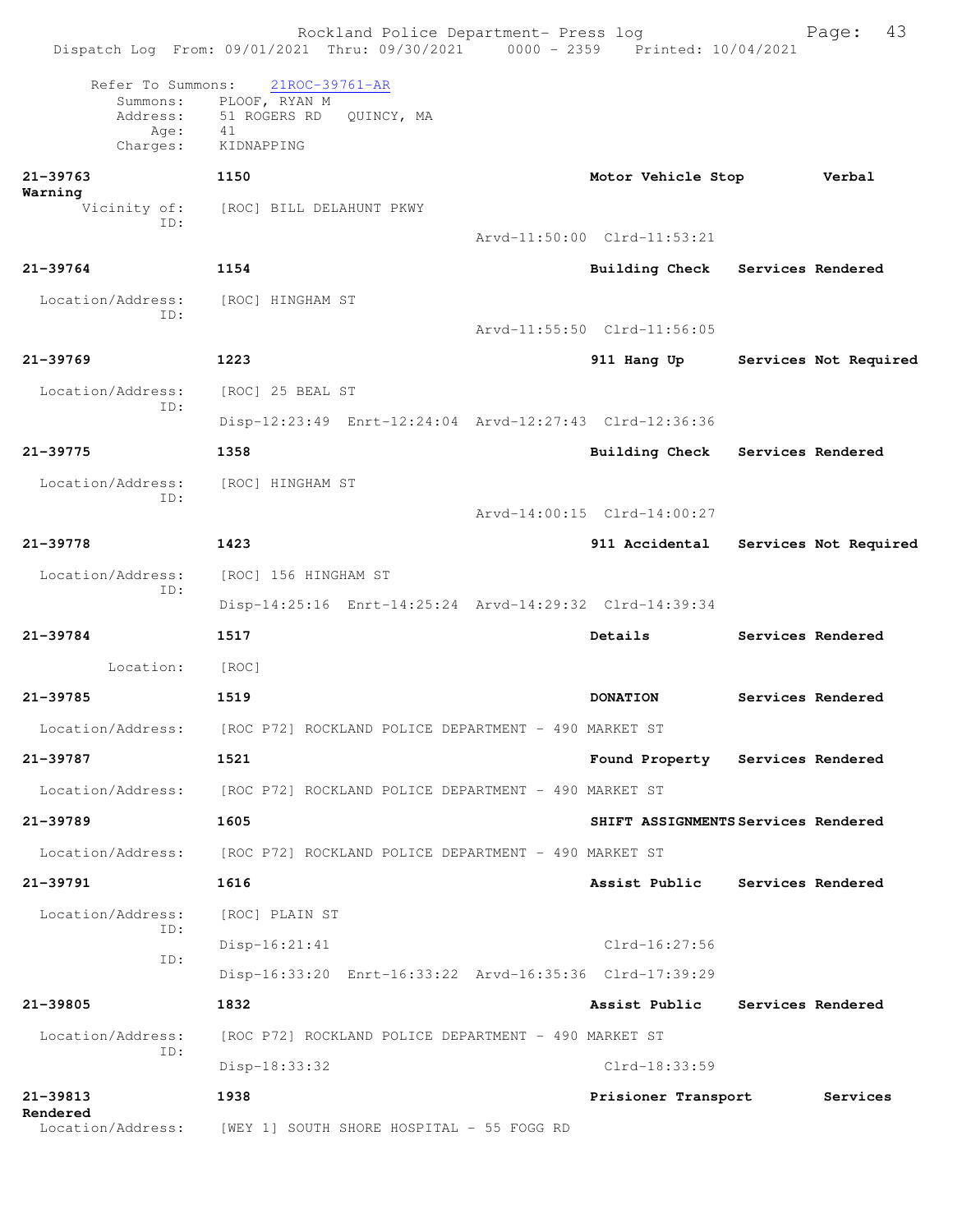|                                                               | Rockland Police Department- Press log<br>Dispatch Log From: 09/01/2021 Thru: 09/30/2021 0000 - 2359 Printed: 10/04/2021 |                                     | 43<br>Page:           |
|---------------------------------------------------------------|-------------------------------------------------------------------------------------------------------------------------|-------------------------------------|-----------------------|
| Refer To Summons:<br>Summons:<br>Address:<br>Age:<br>Charges: | 21ROC-39761-AR<br>PLOOF, RYAN M<br>51 ROGERS RD QUINCY, MA<br>41<br>KIDNAPPING                                          |                                     |                       |
| $21 - 39763$<br>Warning                                       | 1150                                                                                                                    | Motor Vehicle Stop                  | Verbal                |
| Vicinity of:<br>ID:                                           | [ROC] BILL DELAHUNT PKWY                                                                                                | Arvd-11:50:00 Clrd-11:53:21         |                       |
| $21 - 39764$                                                  | 1154                                                                                                                    | <b>Building Check</b>               | Services Rendered     |
| Location/Address:<br>ID:                                      | [ROC] HINGHAM ST                                                                                                        | Arvd-11:55:50 Clrd-11:56:05         |                       |
| $21 - 39769$                                                  | 1223                                                                                                                    | 911 Hang Up                         | Services Not Required |
| Location/Address:                                             | [ROC] 25 BEAL ST                                                                                                        |                                     |                       |
| ID:                                                           | Disp-12:23:49 Enrt-12:24:04 Arvd-12:27:43 Clrd-12:36:36                                                                 |                                     |                       |
| $21 - 39775$                                                  | 1358                                                                                                                    | <b>Building Check</b>               | Services Rendered     |
| Location/Address:                                             | [ROC] HINGHAM ST                                                                                                        |                                     |                       |
| TD:                                                           |                                                                                                                         | Arvd-14:00:15 Clrd-14:00:27         |                       |
| 21-39778                                                      | 1423                                                                                                                    | 911 Accidental                      | Services Not Required |
| Location/Address:                                             | [ROC] 156 HINGHAM ST                                                                                                    |                                     |                       |
| ID:                                                           | Disp-14:25:16 Enrt-14:25:24 Arvd-14:29:32 Clrd-14:39:34                                                                 |                                     |                       |
| $21 - 39784$                                                  | 1517                                                                                                                    | Details                             | Services Rendered     |
| Location:                                                     | [ROC]                                                                                                                   |                                     |                       |
| 21-39785                                                      | 1519                                                                                                                    | <b>DONATION</b>                     | Services Rendered     |
| Location/Address:                                             | [ROC P72] ROCKLAND POLICE DEPARTMENT - 490 MARKET ST                                                                    |                                     |                       |
| 21-39787                                                      | 1521                                                                                                                    | Found Property Services Rendered    |                       |
| Location/Address:                                             | [ROC P72] ROCKLAND POLICE DEPARTMENT - 490 MARKET ST                                                                    |                                     |                       |
| 21-39789                                                      | 1605                                                                                                                    | SHIFT ASSIGNMENTS Services Rendered |                       |
|                                                               | Location/Address: [ROC P72] ROCKLAND POLICE DEPARTMENT - 490 MARKET ST                                                  |                                     |                       |
| $21 - 39791$                                                  | 1616                                                                                                                    | Assist Public                       | Services Rendered     |
| Location/Address:                                             | [ROC] PLAIN ST                                                                                                          |                                     |                       |
| ID:                                                           | $Disp-16:21:41$                                                                                                         | $Clrd-16:27:56$                     |                       |
| ID:                                                           | Disp-16:33:20 Enrt-16:33:22 Arvd-16:35:36 Clrd-17:39:29                                                                 |                                     |                       |
| 21-39805                                                      | 1832                                                                                                                    | Assist Public                       | Services Rendered     |
| Location/Address:                                             | [ROC P72] ROCKLAND POLICE DEPARTMENT - 490 MARKET ST                                                                    |                                     |                       |
| ID:                                                           | Disp-18:33:32                                                                                                           | Clrd-18:33:59                       |                       |
| 21-39813                                                      | 1938                                                                                                                    | Prisioner Transport                 | Services              |
| Rendered<br>Location/Address:                                 | [WEY 1] SOUTH SHORE HOSPITAL - 55 FOGG RD                                                                               |                                     |                       |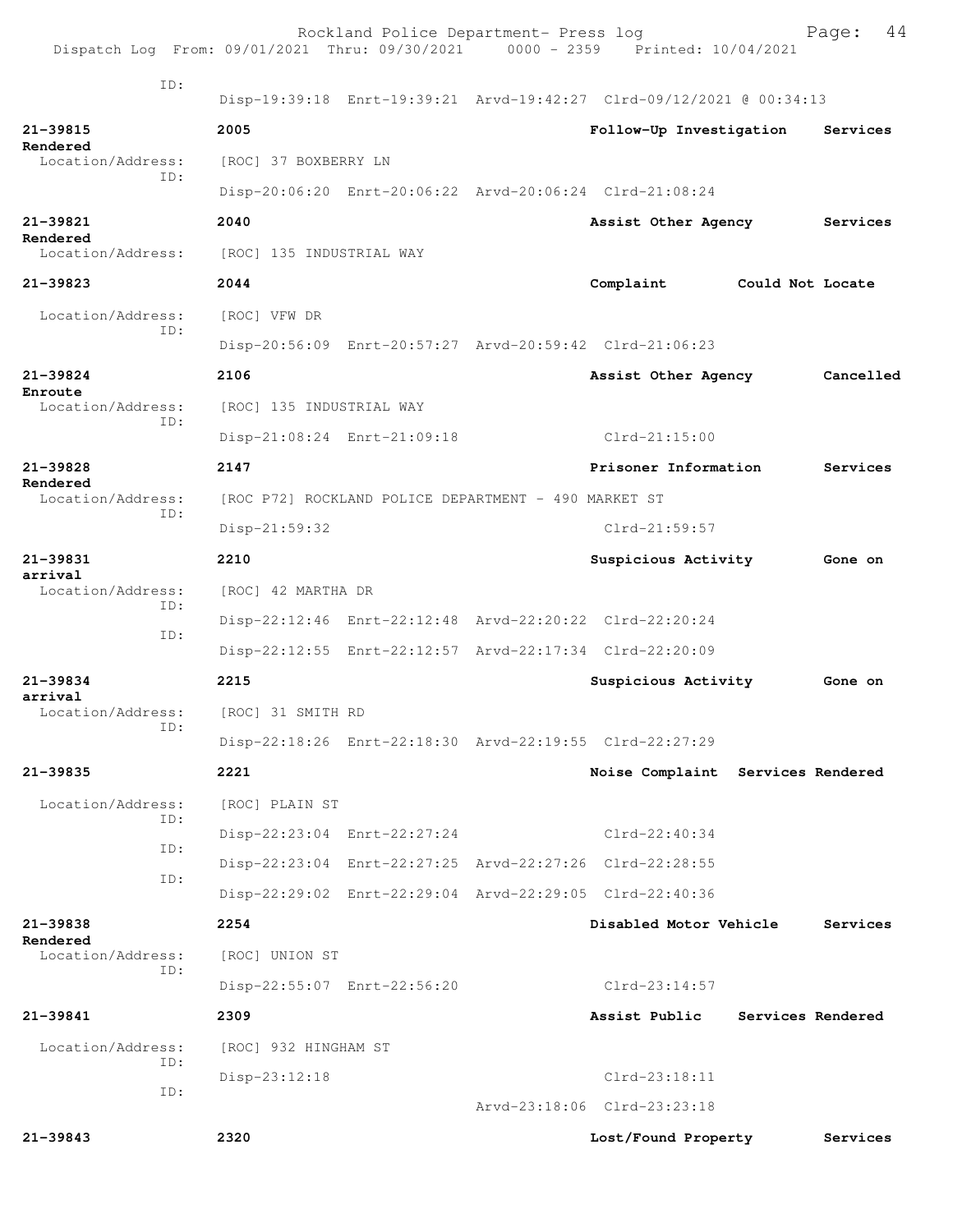| Dispatch Log From: 09/01/2021 Thru: 09/30/2021 0000 - 2359 Printed: 10/04/2021 |                          | Rockland Police Department- Press log                |                                                                      |                   | 44<br>Page: |
|--------------------------------------------------------------------------------|--------------------------|------------------------------------------------------|----------------------------------------------------------------------|-------------------|-------------|
| ID:                                                                            |                          |                                                      | Disp-19:39:18 Enrt-19:39:21 Arvd-19:42:27 Clrd-09/12/2021 @ 00:34:13 |                   |             |
| 21-39815                                                                       | 2005                     |                                                      | Follow-Up Investigation                                              |                   | Services    |
| Rendered<br>Location/Address:                                                  | [ROC] 37 BOXBERRY LN     |                                                      |                                                                      |                   |             |
| ID:                                                                            |                          |                                                      | Disp-20:06:20 Enrt-20:06:22 Arvd-20:06:24 Clrd-21:08:24              |                   |             |
| 21-39821                                                                       | 2040                     |                                                      | Assist Other Agency                                                  |                   | Services    |
| Rendered<br>Location/Address:                                                  | [ROC] 135 INDUSTRIAL WAY |                                                      |                                                                      |                   |             |
| 21-39823                                                                       | 2044                     |                                                      | Complaint                                                            | Could Not Locate  |             |
| Location/Address:                                                              | [ROC] VFW DR             |                                                      |                                                                      |                   |             |
| ID:                                                                            |                          |                                                      | Disp-20:56:09 Enrt-20:57:27 Arvd-20:59:42 Clrd-21:06:23              |                   |             |
| $21 - 39824$                                                                   | 2106                     |                                                      | Assist Other Agency                                                  |                   | Cancelled   |
| Enroute<br>Location/Address:                                                   | [ROC] 135 INDUSTRIAL WAY |                                                      |                                                                      |                   |             |
| ID:                                                                            |                          | Disp-21:08:24 Enrt-21:09:18                          | $Clrd-21:15:00$                                                      |                   |             |
| $21 - 39828$                                                                   | 2147                     |                                                      | Prisoner Information                                                 |                   | Services    |
| Rendered<br>Location/Address:                                                  |                          | [ROC P72] ROCKLAND POLICE DEPARTMENT - 490 MARKET ST |                                                                      |                   |             |
| ID:                                                                            | $Disp-21:59:32$          |                                                      | $Clrd-21:59:57$                                                      |                   |             |
| 21-39831                                                                       | 2210                     |                                                      | Suspicious Activity                                                  |                   | Gone on     |
| arrival<br>Location/Address:                                                   | [ROC] 42 MARTHA DR       |                                                      |                                                                      |                   |             |
| ID:                                                                            |                          |                                                      | Disp-22:12:46 Enrt-22:12:48 Arvd-22:20:22 Clrd-22:20:24              |                   |             |
| ID:                                                                            |                          |                                                      | Disp-22:12:55 Enrt-22:12:57 Arvd-22:17:34 Clrd-22:20:09              |                   |             |
| 21-39834                                                                       | 2215                     |                                                      | Suspicious Activity                                                  |                   | Gone on     |
| arrival<br>Location/Address:                                                   | [ROC] 31 SMITH RD        |                                                      |                                                                      |                   |             |
| ID:                                                                            |                          |                                                      | Disp-22:18:26 Enrt-22:18:30 Arvd-22:19:55 Clrd-22:27:29              |                   |             |
| 21-39835                                                                       | 2221                     |                                                      | Noise Complaint Services Rendered                                    |                   |             |
| Location/Address:                                                              | [ROC] PLAIN ST           |                                                      |                                                                      |                   |             |
| ID:<br>ID:                                                                     |                          | Disp-22:23:04 Enrt-22:27:24                          | $Clrd-22:40:34$                                                      |                   |             |
| ID:                                                                            |                          |                                                      | Disp-22:23:04 Enrt-22:27:25 Arvd-22:27:26 Clrd-22:28:55              |                   |             |
|                                                                                |                          |                                                      | Disp-22:29:02 Enrt-22:29:04 Arvd-22:29:05 Clrd-22:40:36              |                   |             |
| 21-39838<br>Rendered                                                           | 2254                     |                                                      | Disabled Motor Vehicle                                               |                   | Services    |
| Location/Address:<br>ID:                                                       | [ROC] UNION ST           |                                                      |                                                                      |                   |             |
|                                                                                |                          | Disp-22:55:07 Enrt-22:56:20                          | $Clrd-23:14:57$                                                      |                   |             |
| 21-39841                                                                       | 2309                     |                                                      | Assist Public                                                        | Services Rendered |             |
| Location/Address:<br>ID:                                                       | [ROC] 932 HINGHAM ST     |                                                      |                                                                      |                   |             |
| ID:                                                                            | Disp-23:12:18            |                                                      | $Clrd-23:18:11$                                                      |                   |             |
|                                                                                |                          |                                                      | Arvd-23:18:06 Clrd-23:23:18                                          |                   |             |
| 21-39843                                                                       | 2320                     |                                                      | Lost/Found Property                                                  |                   | Services    |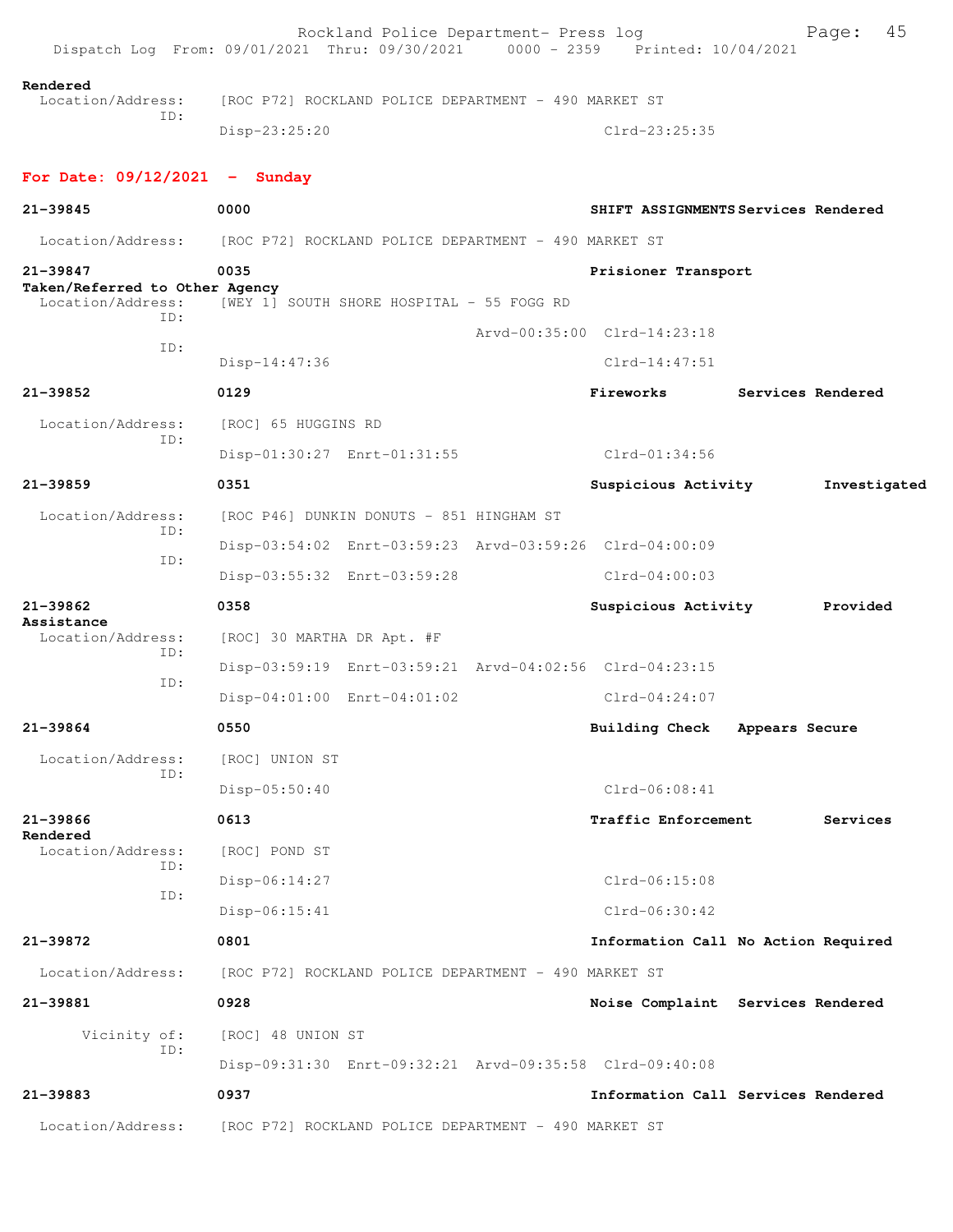|                                                                 | Rockland Police Department- Press log<br>Dispatch Log From: 09/01/2021 Thru: 09/30/2021 0000 - 2359 Printed: 10/04/2021 |                             | 45<br>Page:                         |
|-----------------------------------------------------------------|-------------------------------------------------------------------------------------------------------------------------|-----------------------------|-------------------------------------|
| Rendered<br>Location/Address:                                   | [ROC P72] ROCKLAND POLICE DEPARTMENT - 490 MARKET ST                                                                    |                             |                                     |
| ID:                                                             | Disp-23:25:20                                                                                                           | $Clrd-23:25:35$             |                                     |
| For Date: $09/12/2021$ - Sunday                                 |                                                                                                                         |                             |                                     |
| 21-39845                                                        | 0000                                                                                                                    |                             | SHIFT ASSIGNMENTS Services Rendered |
| Location/Address:                                               | [ROC P72] ROCKLAND POLICE DEPARTMENT - 490 MARKET ST                                                                    |                             |                                     |
| 21-39847<br>Taken/Referred to Other Agency<br>Location/Address: | 0035<br>[WEY 1] SOUTH SHORE HOSPITAL - 55 FOGG RD                                                                       | Prisioner Transport         |                                     |
| TD:                                                             |                                                                                                                         | Arvd-00:35:00 Clrd-14:23:18 |                                     |
| ID:                                                             | Disp-14:47:36                                                                                                           | $Clrd-14:47:51$             |                                     |
| $21 - 39852$                                                    | 0129                                                                                                                    | Fireworks                   | Services Rendered                   |
| Location/Address:                                               | [ROC] 65 HUGGINS RD                                                                                                     |                             |                                     |
| ID:                                                             | Disp-01:30:27 Enrt-01:31:55                                                                                             | $Clrd-01:34:56$             |                                     |
| $21 - 39859$                                                    | 0351                                                                                                                    | Suspicious Activity         | Investigated                        |
| Location/Address:                                               | [ROC P46] DUNKIN DONUTS - 851 HINGHAM ST                                                                                |                             |                                     |
| ID:                                                             | Disp-03:54:02 Enrt-03:59:23 Arvd-03:59:26 Clrd-04:00:09                                                                 |                             |                                     |
| ID:                                                             | Disp-03:55:32 Enrt-03:59:28                                                                                             | $Clrd-04:00:03$             |                                     |
| 21-39862                                                        | 0358                                                                                                                    | Suspicious Activity         | Provided                            |
| Assistance<br>Location/Address:                                 | [ROC] 30 MARTHA DR Apt. #F                                                                                              |                             |                                     |
| ID:<br>ID:                                                      | Disp-03:59:19 Enrt-03:59:21 Arvd-04:02:56 Clrd-04:23:15                                                                 |                             |                                     |
|                                                                 | Disp-04:01:00 Enrt-04:01:02                                                                                             | $Clrd-04:24:07$             |                                     |
| 21-39864                                                        | 0550                                                                                                                    | <b>Building Check</b>       | Appears Secure                      |
| Location/Address:                                               | [ROC] UNION ST                                                                                                          |                             |                                     |
| ID:                                                             | Disp-05:50:40                                                                                                           | $Clrd-06:08:41$             |                                     |
| 21-39866                                                        | 0613                                                                                                                    | Traffic Enforcement         | Services                            |
| Rendered<br>Location/Address:                                   | [ROC] POND ST                                                                                                           |                             |                                     |
| ID:                                                             | Disp-06:14:27                                                                                                           | $Clrd-06:15:08$             |                                     |
| ID:                                                             | Disp-06:15:41                                                                                                           | $Clrd-06:30:42$             |                                     |
| 21-39872                                                        | 0801                                                                                                                    |                             | Information Call No Action Required |
| Location/Address:                                               | [ROC P72] ROCKLAND POLICE DEPARTMENT - 490 MARKET ST                                                                    |                             |                                     |
| 21-39881                                                        | 0928                                                                                                                    |                             | Noise Complaint Services Rendered   |
| Vicinity of:                                                    | [ROC] 48 UNION ST                                                                                                       |                             |                                     |
| ID:                                                             | Disp-09:31:30 Enrt-09:32:21 Arvd-09:35:58 Clrd-09:40:08                                                                 |                             |                                     |
| 21-39883                                                        | 0937                                                                                                                    |                             | Information Call Services Rendered  |
| Location/Address:                                               | [ROC P72] ROCKLAND POLICE DEPARTMENT - 490 MARKET ST                                                                    |                             |                                     |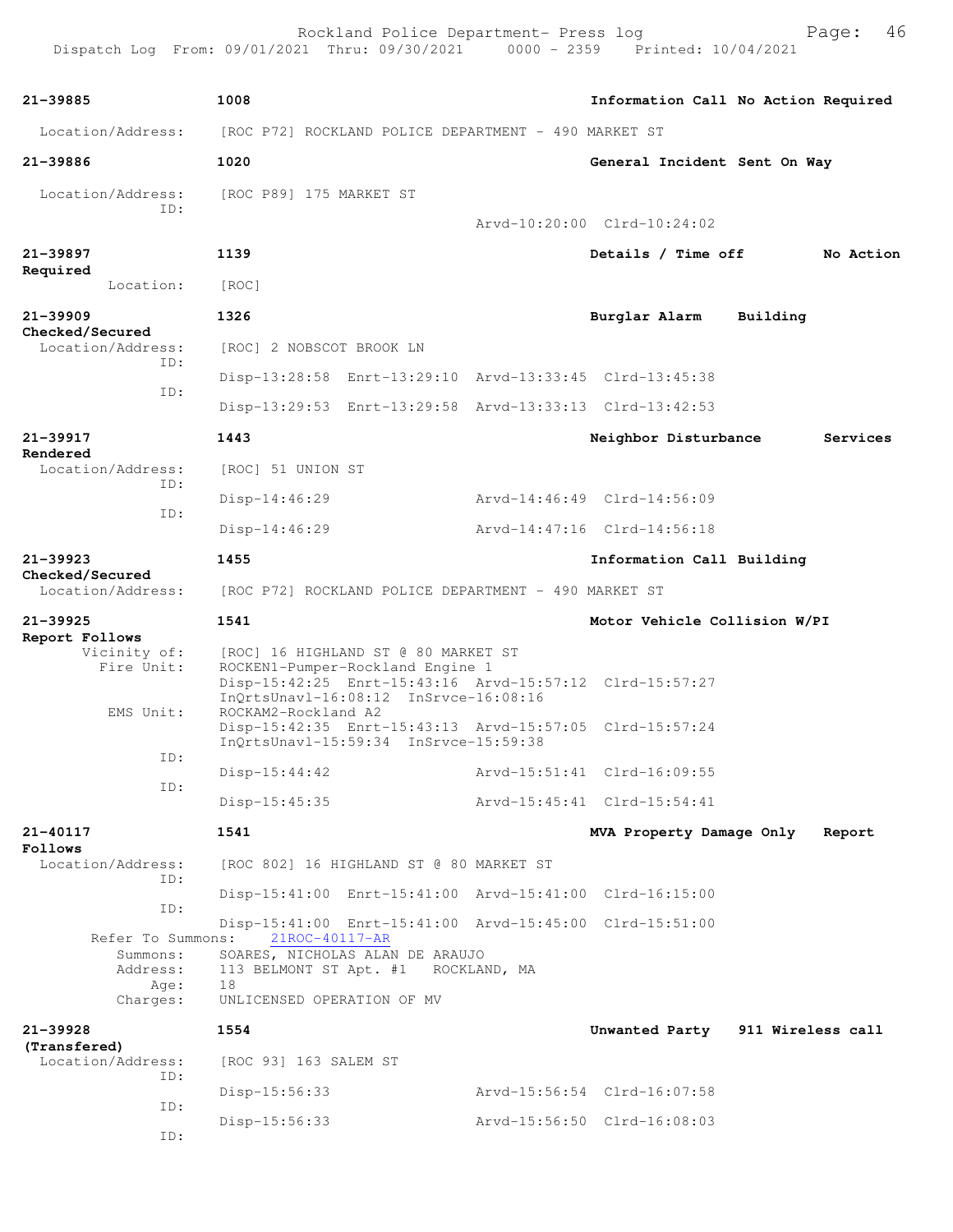Dispatch Log From: 09/01/2021 Thru: 09/30/2021 0000 - 2359 Printed: 10/04/2021 **21-39885 1008 Information Call No Action Required** Location/Address: [ROC P72] ROCKLAND POLICE DEPARTMENT - 490 MARKET ST **21-39886 1020 General Incident Sent On Way** Location/Address: [ROC P89] 175 MARKET ST ID: Arvd-10:20:00 Clrd-10:24:02 **21-39897 1139 Details / Time off No Action Required**  Location: [ROC] **21-39909 1326 Burglar Alarm Building Checked/Secured**  Location/Address: [ROC] 2 NOBSCOT BROOK LN ID: Disp-13:28:58 Enrt-13:29:10 Arvd-13:33:45 Clrd-13:45:38 ID: Disp-13:29:53 Enrt-13:29:58 Arvd-13:33:13 Clrd-13:42:53 **21-39917 1443 Neighbor Disturbance Services Rendered**<br>Location/Address: [ROC] 51 UNION ST ID: Disp-14:46:29 Arvd-14:46:49 Clrd-14:56:09 ID: Disp-14:46:29 Arvd-14:47:16 Clrd-14:56:18 **21-39923 1455 Information Call Building Checked/Secured**  Location/Address: [ROC P72] ROCKLAND POLICE DEPARTMENT - 490 MARKET ST **21-39925 1541 Motor Vehicle Collision W/PI Report Follows**  Vicinity of: [ROC] 16 HIGHLAND ST @ 80 MARKET ST Fire Unit: ROCKEN1-Pumper-Rockland Engine 1 Disp-15:42:25 Enrt-15:43:16 Arvd-15:57:12 Clrd-15:57:27 InQrtsUnavl-16:08:12 InSrvce-16:08:16<br>EMS Unit: ROCKAM2-Rockland A2 ROCKAM2-Rockland A2 Disp-15:42:35 Enrt-15:43:13 Arvd-15:57:05 Clrd-15:57:24 InQrtsUnavl-15:59:34 InSrvce-15:59:38 ID: Disp-15:44:42 Arvd-15:51:41 Clrd-16:09:55 ID: Disp-15:45:35 Arvd-15:45:41 Clrd-15:54:41 **21-40117 1541 MVA Property Damage Only Report Follows**<br>Location/Address: [ROC 802] 16 HIGHLAND ST @ 80 MARKET ST ID: Disp-15:41:00 Enrt-15:41:00 Arvd-15:41:00 Clrd-16:15:00 ID: Disp-15:41:00 Enrt-15:41:00 Arvd-15:45:00 Clrd-15:51:00 Refer To Summons: 21ROC-40117-AR Summons: SOARES, NICHOLAS ALAN DE ARAUJO Address: 113 BELMONT ST Apt. #1 ROCKLAND, MA Age: 18<br>Charges: UN UNLICENSED OPERATION OF MV **21-39928 1554 Unwanted Party 911 Wireless call (Transfered)**  Location/Address: [ROC 93] 163 SALEM ST ID: Disp-15:56:33 Arvd-15:56:54 Clrd-16:07:58 ID: Disp-15:56:33 Arvd-15:56:50 Clrd-16:08:03 ID:

Rockland Police Department- Press log Fage: 46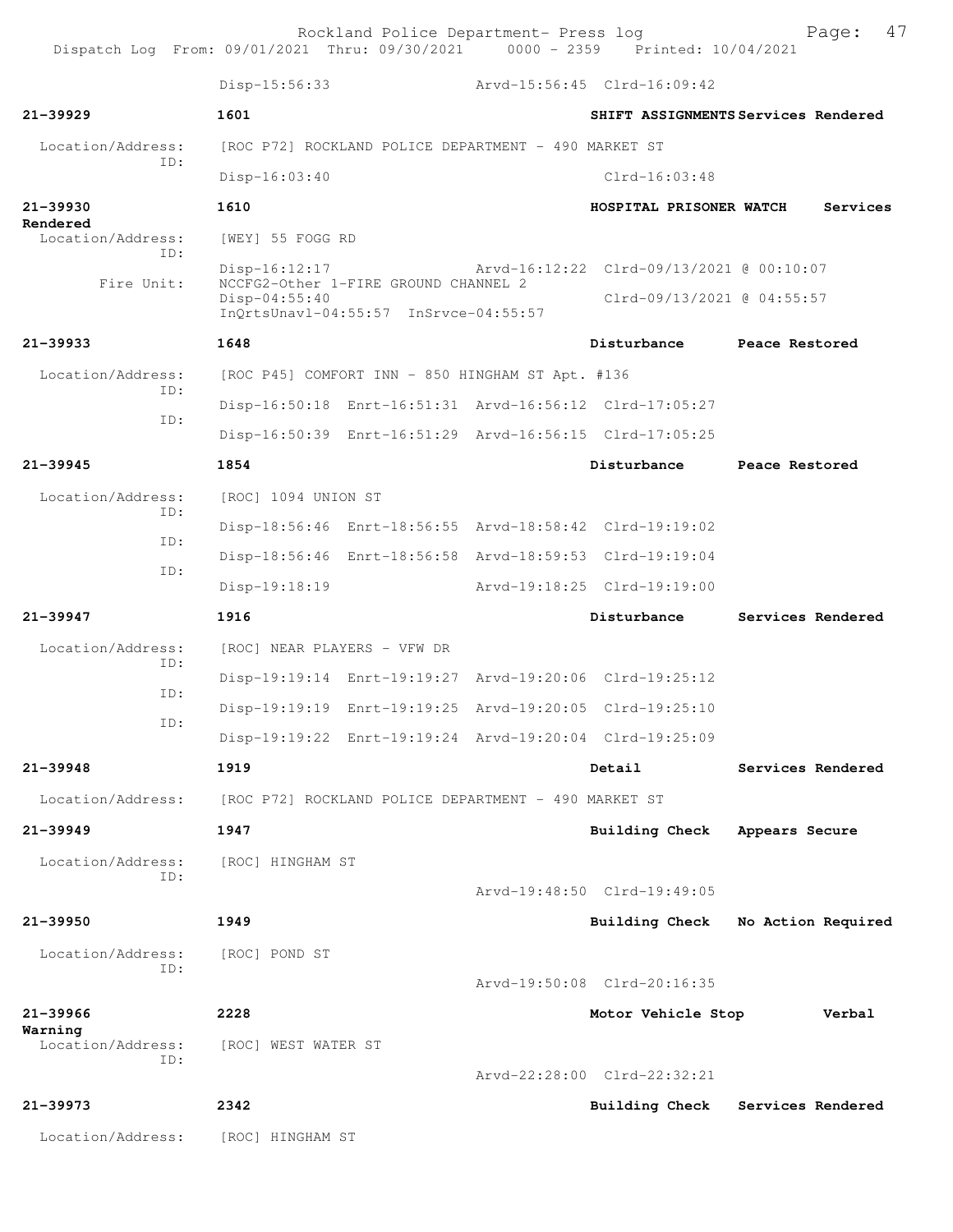Rockland Police Department- Press log Fage: 47<br>21 Thru: 09/30/2021 0000 - 2359 Printed: 10/04/2021 Dispatch Log From: 09/01/2021 Thru: 09/30/2021 0000 - 2359

 Disp-15:56:33 Arvd-15:56:45 Clrd-16:09:42 **21-39929 1601 SHIFT ASSIGNMENTS Services Rendered** Location/Address: [ROC P72] ROCKLAND POLICE DEPARTMENT - 490 MARKET ST ID: Disp-16:03:40 Clrd-16:03:48 **21-39930 1610 HOSPITAL PRISONER WATCH Services Rendered**  Location/Address: [WEY] 55 FOGG RD ID: Disp-16:12:17 Arvd-16:12:22 Clrd-09/13/2021 @ 00:10:07<br>Fire Unit: NCCFG2-Other 1-FIRE GROUND CHANNEL 2 NCCFG2-Other 1-FIRE GROUND CHANNEL 2<br>Disp-04:55:40 Disp-04:55:40 Clrd-09/13/2021 @ 04:55:57 InQrtsUnavl-04:55:57 InSrvce-04:55:57 **21-39933 1648 Disturbance Peace Restored** Location/Address: [ROC P45] COMFORT INN - 850 HINGHAM ST Apt. #136 ID: Disp-16:50:18 Enrt-16:51:31 Arvd-16:56:12 Clrd-17:05:27 ID: Disp-16:50:39 Enrt-16:51:29 Arvd-16:56:15 Clrd-17:05:25 **21-39945 1854 Disturbance Peace Restored** Location/Address: [ROC] 1094 UNION ST ID: Disp-18:56:46 Enrt-18:56:55 Arvd-18:58:42 Clrd-19:19:02 ID: Disp-18:56:46 Enrt-18:56:58 Arvd-18:59:53 Clrd-19:19:04 ID: Disp-19:18:19 Arvd-19:18:25 Clrd-19:19:00 **21-39947 1916 Disturbance Services Rendered** Location/Address: [ROC] NEAR PLAYERS - VFW DR ID: Disp-19:19:14 Enrt-19:19:27 Arvd-19:20:06 Clrd-19:25:12 ID: Disp-19:19:19 Enrt-19:19:25 Arvd-19:20:05 Clrd-19:25:10 ID: Disp-19:19:22 Enrt-19:19:24 Arvd-19:20:04 Clrd-19:25:09 **21-39948 1919 Detail Services Rendered** Location/Address: [ROC P72] ROCKLAND POLICE DEPARTMENT - 490 MARKET ST **21-39949 1947 Building Check Appears Secure** Location/Address: [ROC] HINGHAM ST ID: Arvd-19:48:50 Clrd-19:49:05 **21-39950 1949 Building Check No Action Required** Location/Address: [ROC] POND ST ID: Arvd-19:50:08 Clrd-20:16:35 **21-39966 2228 Motor Vehicle Stop Verbal Warning**  Location/Address: [ROC] WEST WATER ST ID: Arvd-22:28:00 Clrd-22:32:21 **21-39973 2342 Building Check Services Rendered** Location/Address: [ROC] HINGHAM ST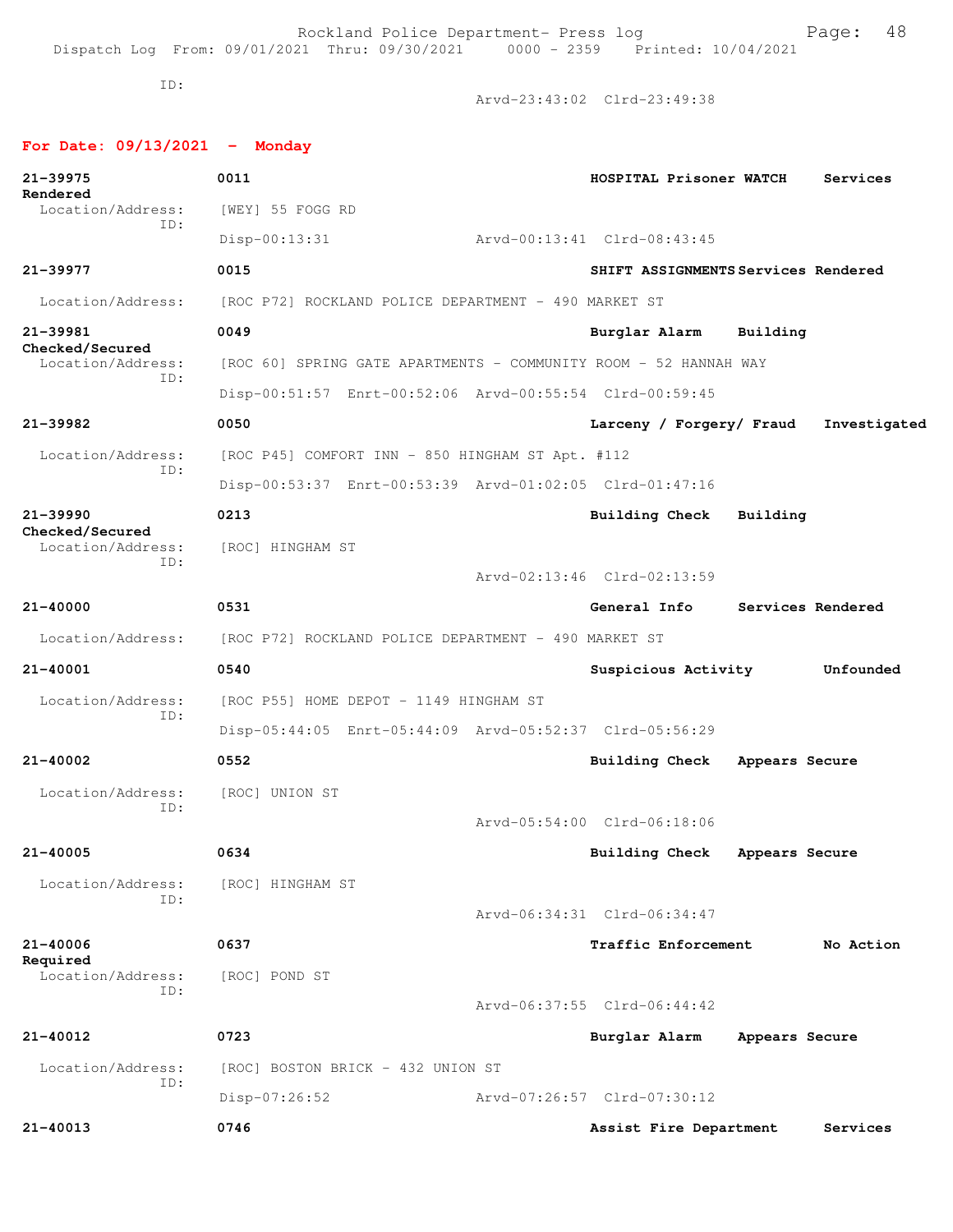Rockland Police Department- Press log entitled and Page: 48 Dispatch Log From: 09/01/2021 Thru: 09/30/2021 0000 - 2359 Printed: 10/04/2021

ID:

Arvd-23:43:02 Clrd-23:49:38

## **For Date: 09/13/2021 - Monday**

| 21-39975<br>Rendered                 | 0011                                                             | HOSPITAL Prisoner WATCH             |                | Services          |
|--------------------------------------|------------------------------------------------------------------|-------------------------------------|----------------|-------------------|
| Location/Address:<br>ID:             | [WEY] 55 FOGG RD                                                 |                                     |                |                   |
|                                      | $Disp-00:13:31$                                                  | Arvd-00:13:41 Clrd-08:43:45         |                |                   |
| 21-39977                             | 0015                                                             | SHIFT ASSIGNMENTS Services Rendered |                |                   |
| Location/Address:                    | [ROC P72] ROCKLAND POLICE DEPARTMENT - 490 MARKET ST             |                                     |                |                   |
| 21-39981                             | 0049                                                             | Burglar Alarm                       | Building       |                   |
| Checked/Secured<br>Location/Address: | [ROC 60] SPRING GATE APARTMENTS - COMMUNITY ROOM - 52 HANNAH WAY |                                     |                |                   |
| ID:                                  | Disp-00:51:57 Enrt-00:52:06 Arvd-00:55:54 Clrd-00:59:45          |                                     |                |                   |
| 21-39982                             | 0050                                                             | Larceny / Forgery/ Fraud            |                | Investigated      |
| Location/Address:                    | [ROC P45] COMFORT INN - 850 HINGHAM ST Apt. #112                 |                                     |                |                   |
| TD:                                  | Disp-00:53:37 Enrt-00:53:39 Arvd-01:02:05 Clrd-01:47:16          |                                     |                |                   |
| $21 - 39990$                         | 0213                                                             | <b>Building Check</b>               | Building       |                   |
| Checked/Secured<br>Location/Address: | [ROC] HINGHAM ST                                                 |                                     |                |                   |
| ID:                                  |                                                                  | Arvd-02:13:46 Clrd-02:13:59         |                |                   |
| 21-40000                             | 0531                                                             | General Info                        |                | Services Rendered |
| Location/Address:                    | [ROC P72] ROCKLAND POLICE DEPARTMENT - 490 MARKET ST             |                                     |                |                   |
| 21-40001                             | 0540                                                             | Suspicious Activity                 |                | Unfounded         |
| Location/Address:                    | [ROC P55] HOME DEPOT - 1149 HINGHAM ST                           |                                     |                |                   |
| ID:                                  | Disp-05:44:05 Enrt-05:44:09 Arvd-05:52:37 Clrd-05:56:29          |                                     |                |                   |
| 21-40002                             | 0552                                                             | Building Check Appears Secure       |                |                   |
| Location/Address:                    | [ROC] UNION ST                                                   |                                     |                |                   |
| ID:                                  |                                                                  | Arvd-05:54:00 Clrd-06:18:06         |                |                   |
| $21 - 40005$                         | 0634                                                             | Building Check                      | Appears Secure |                   |
| Location/Address:                    | [ROC] HINGHAM ST                                                 |                                     |                |                   |
| ID:                                  |                                                                  | Arvd-06:34:31 Clrd-06:34:47         |                |                   |
| 21-40006                             | 0637                                                             | Traffic Enforcement                 |                | No Action         |
| Required<br>Location/Address:        | [ROC] POND ST                                                    |                                     |                |                   |
| ID:                                  |                                                                  | Arvd-06:37:55 Clrd-06:44:42         |                |                   |
| 21-40012                             | 0723                                                             | Burglar Alarm                       | Appears Secure |                   |
| Location/Address:                    | [ROC] BOSTON BRICK - 432 UNION ST                                |                                     |                |                   |
| ID:                                  | Disp-07:26:52                                                    | Arvd-07:26:57 Clrd-07:30:12         |                |                   |
| 21-40013                             | 0746                                                             | Assist Fire Department              |                | Services          |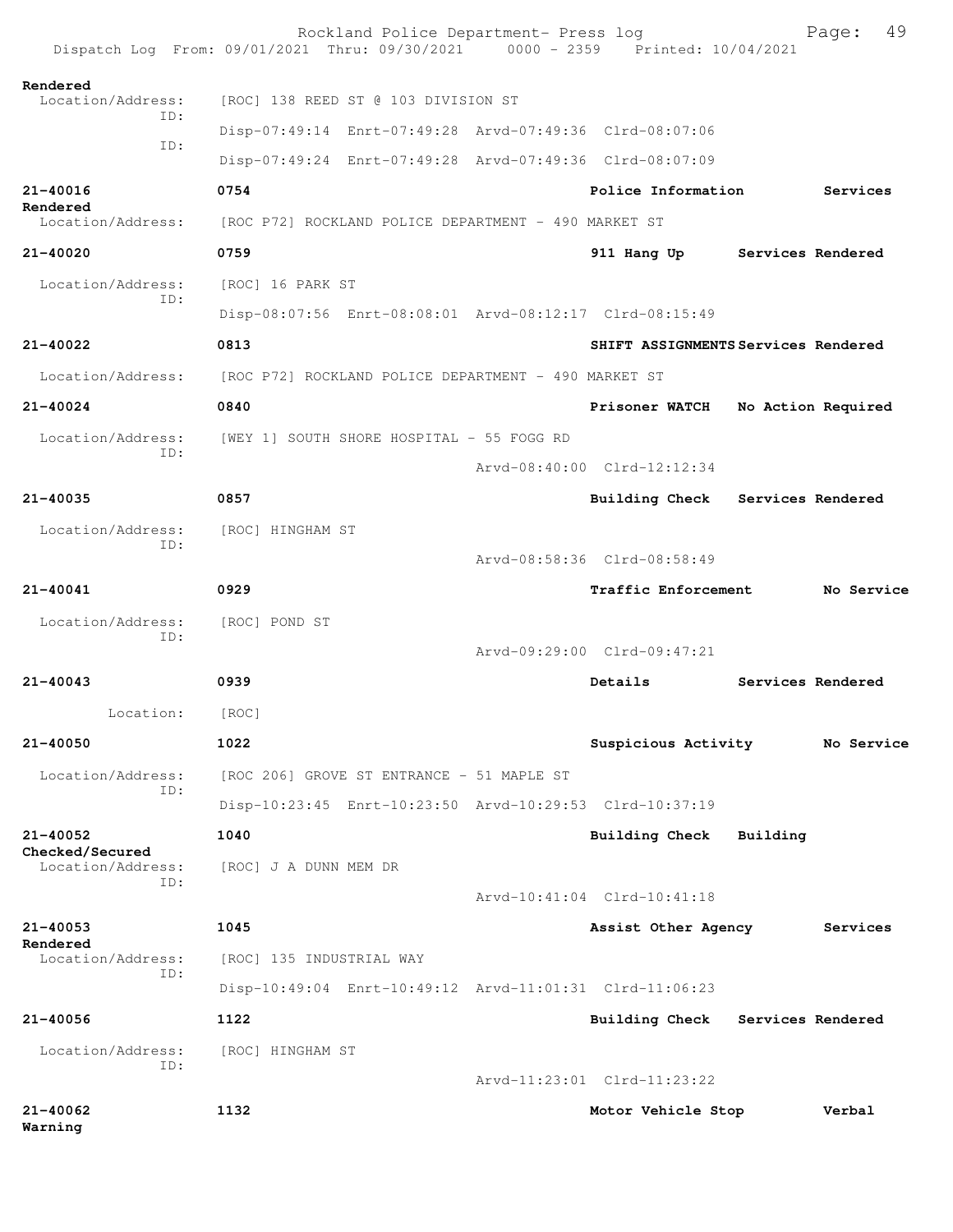|                                      | Rockland Police Department- Press log<br>Dispatch Log From: 09/01/2021 Thru: 09/30/2021 0000 - 2359 Printed: 10/04/2021 |                             | 49<br>Page:                         |
|--------------------------------------|-------------------------------------------------------------------------------------------------------------------------|-----------------------------|-------------------------------------|
| Rendered<br>Location/Address:        | [ROC] 138 REED ST @ 103 DIVISION ST                                                                                     |                             |                                     |
| ID:                                  | Disp-07:49:14 Enrt-07:49:28 Arvd-07:49:36 Clrd-08:07:06                                                                 |                             |                                     |
| ID:                                  | Disp-07:49:24 Enrt-07:49:28 Arvd-07:49:36 Clrd-08:07:09                                                                 |                             |                                     |
| 21-40016                             | 0754                                                                                                                    | Police Information          | Services                            |
| Rendered<br>Location/Address:        | [ROC P72] ROCKLAND POLICE DEPARTMENT - 490 MARKET ST                                                                    |                             |                                     |
| 21-40020                             | 0759                                                                                                                    | 911 Hang Up                 | Services Rendered                   |
| Location/Address:                    | [ROC] 16 PARK ST                                                                                                        |                             |                                     |
| TD:                                  | Disp-08:07:56 Enrt-08:08:01 Arvd-08:12:17 Clrd-08:15:49                                                                 |                             |                                     |
| 21-40022                             | 0813                                                                                                                    |                             | SHIFT ASSIGNMENTS Services Rendered |
| Location/Address:                    | [ROC P72] ROCKLAND POLICE DEPARTMENT - 490 MARKET ST                                                                    |                             |                                     |
| $21 - 40024$                         | 0840                                                                                                                    | Prisoner WATCH              | No Action Required                  |
| Location/Address:                    | [WEY 1] SOUTH SHORE HOSPITAL - 55 FOGG RD                                                                               |                             |                                     |
| ID:                                  |                                                                                                                         | Arvd-08:40:00 Clrd-12:12:34 |                                     |
| 21-40035                             | 0857                                                                                                                    |                             | Building Check Services Rendered    |
| Location/Address:                    | [ROC] HINGHAM ST                                                                                                        |                             |                                     |
| TD:                                  |                                                                                                                         | Arvd-08:58:36 Clrd-08:58:49 |                                     |
| 21-40041                             | 0929                                                                                                                    | Traffic Enforcement         | No Service                          |
| Location/Address:                    | [ROC] POND ST                                                                                                           |                             |                                     |
| ID:                                  |                                                                                                                         | Arvd-09:29:00 Clrd-09:47:21 |                                     |
| 21-40043                             | 0939                                                                                                                    | Details                     | Services Rendered                   |
| Location:                            | [ROC]                                                                                                                   |                             |                                     |
| 21-40050                             | 1022                                                                                                                    | Suspicious Activity         | No Service                          |
| Location/Address:                    | [ROC 206] GROVE ST ENTRANCE - 51 MAPLE ST                                                                               |                             |                                     |
| TD:                                  | Disp-10:23:45 Enrt-10:23:50 Arvd-10:29:53 Clrd-10:37:19                                                                 |                             |                                     |
| 21-40052                             | 1040                                                                                                                    | Building Check              | Building                            |
| Checked/Secured<br>Location/Address: | [ROC] J A DUNN MEM DR                                                                                                   |                             |                                     |
| ID:                                  |                                                                                                                         | Arvd-10:41:04 Clrd-10:41:18 |                                     |
| 21-40053                             | 1045                                                                                                                    | Assist Other Agency         | Services                            |
| Rendered<br>Location/Address:        | [ROC] 135 INDUSTRIAL WAY                                                                                                |                             |                                     |
| ID:                                  | Disp-10:49:04 Enrt-10:49:12 Arvd-11:01:31 Clrd-11:06:23                                                                 |                             |                                     |
| 21-40056                             | 1122                                                                                                                    |                             | Building Check Services Rendered    |
| Location/Address:                    | [ROC] HINGHAM ST                                                                                                        |                             |                                     |
| TD:                                  |                                                                                                                         | Arvd-11:23:01 Clrd-11:23:22 |                                     |
| 21-40062<br>Warning                  | 1132                                                                                                                    | Motor Vehicle Stop          | Verbal                              |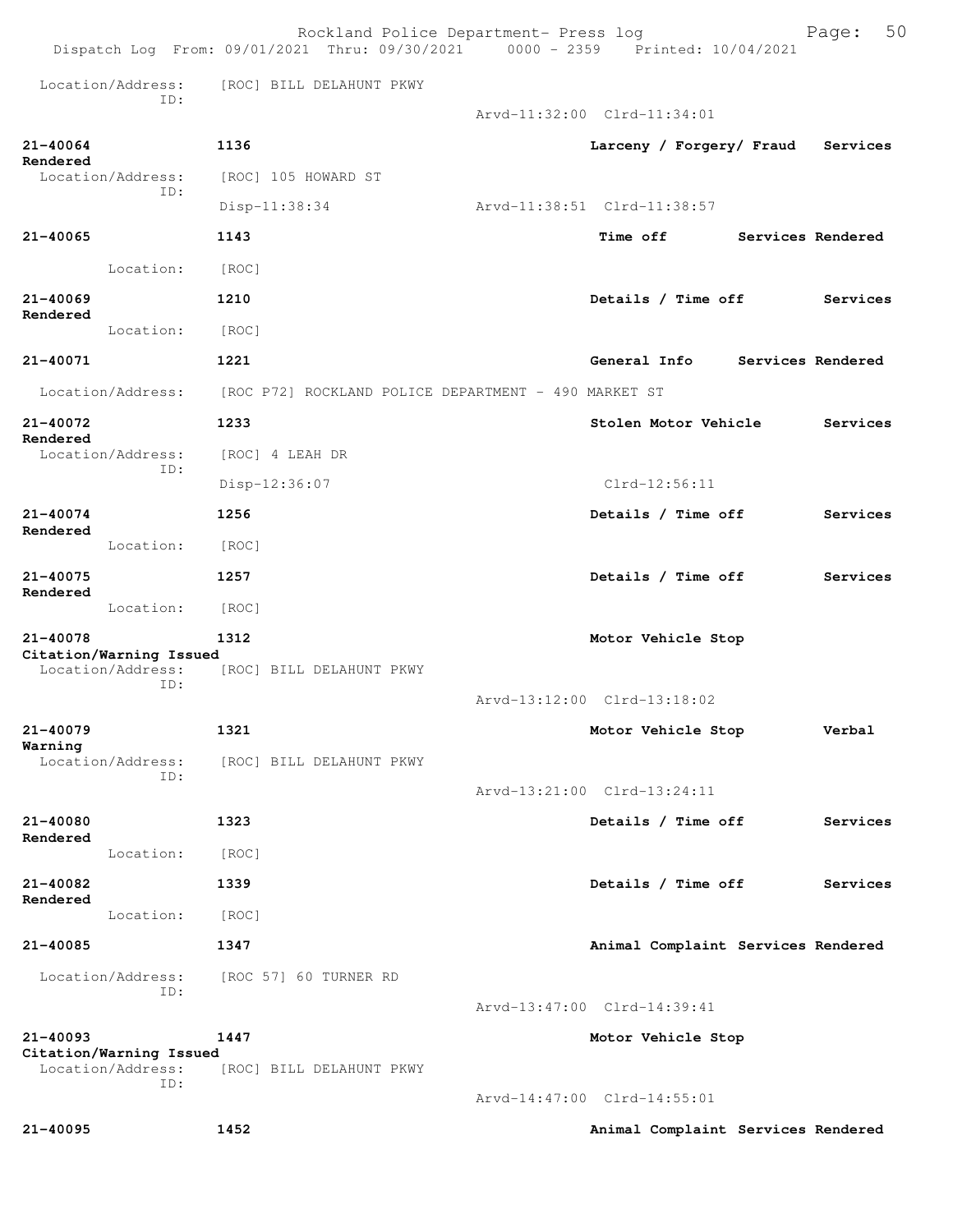|                      |                          | Rockland Police Department- Press log<br>Dispatch Log From: 09/01/2021 Thru: 09/30/2021 0000 - 2359 Printed: 10/04/2021 |                                    |                   | 50<br>Page: |
|----------------------|--------------------------|-------------------------------------------------------------------------------------------------------------------------|------------------------------------|-------------------|-------------|
|                      | Location/Address:<br>ID: | [ROC] BILL DELAHUNT PKWY                                                                                                |                                    |                   |             |
|                      |                          |                                                                                                                         | Arvd-11:32:00 Clrd-11:34:01        |                   |             |
| 21-40064             |                          | 1136                                                                                                                    | Larceny / Forgery/ Fraud           |                   | Services    |
| Rendered             | Location/Address:<br>ID: | [ROC] 105 HOWARD ST                                                                                                     |                                    |                   |             |
|                      |                          | Disp-11:38:34                                                                                                           | Arvd-11:38:51 Clrd-11:38:57        |                   |             |
| 21-40065             |                          | 1143                                                                                                                    | Time off                           | Services Rendered |             |
|                      | Location:                | [ROC]                                                                                                                   |                                    |                   |             |
| 21-40069<br>Rendered |                          | 1210                                                                                                                    | Details / Time off                 |                   | Services    |
|                      | Location:                | [ROC]                                                                                                                   |                                    |                   |             |
| 21-40071             |                          | 1221                                                                                                                    | General Info                       | Services Rendered |             |
|                      | Location/Address:        | [ROC P72] ROCKLAND POLICE DEPARTMENT - 490 MARKET ST                                                                    |                                    |                   |             |
| 21-40072<br>Rendered |                          | 1233                                                                                                                    | Stolen Motor Vehicle               |                   | Services    |
|                      | Location/Address:<br>ID: | [ROC] 4 LEAH DR                                                                                                         |                                    |                   |             |
|                      |                          | Disp-12:36:07                                                                                                           | $Clrd-12:56:11$                    |                   |             |
| 21-40074<br>Rendered |                          | 1256                                                                                                                    | Details / Time off                 |                   | Services    |
|                      | Location:                | [ROC]                                                                                                                   |                                    |                   |             |
| 21-40075<br>Rendered |                          | 1257                                                                                                                    | Details / Time off                 |                   | Services    |
|                      | Location:                | [ROC]                                                                                                                   |                                    |                   |             |
| 21-40078             | Citation/Warning Issued  | 1312                                                                                                                    | Motor Vehicle Stop                 |                   |             |
|                      | Location/Address:<br>ID: | [ROC] BILL DELAHUNT PKWY                                                                                                |                                    |                   |             |
|                      |                          |                                                                                                                         | Arvd-13:12:00 Clrd-13:18:02        |                   |             |
| 21-40079<br>Warning  |                          | 1321                                                                                                                    | Motor Vehicle Stop                 |                   | Verbal      |
|                      | Location/Address:<br>ID: | [ROC] BILL DELAHUNT PKWY                                                                                                |                                    |                   |             |
|                      |                          |                                                                                                                         | Arvd-13:21:00 Clrd-13:24:11        |                   |             |
| 21-40080<br>Rendered |                          | 1323                                                                                                                    | Details / Time off                 |                   | Services    |
|                      | Location:                | [ROC]                                                                                                                   |                                    |                   |             |
| 21-40082<br>Rendered |                          | 1339                                                                                                                    | Details / Time off                 |                   | Services    |
|                      | Location:                | [ROC]                                                                                                                   |                                    |                   |             |
| 21-40085             |                          | 1347                                                                                                                    | Animal Complaint Services Rendered |                   |             |
|                      | Location/Address:<br>ID: | [ROC 57] 60 TURNER RD                                                                                                   |                                    |                   |             |
|                      |                          |                                                                                                                         | Arvd-13:47:00 Clrd-14:39:41        |                   |             |
| 21-40093             | Citation/Warning Issued  | 1447                                                                                                                    | Motor Vehicle Stop                 |                   |             |
|                      | Location/Address:<br>ID: | [ROC] BILL DELAHUNT PKWY                                                                                                |                                    |                   |             |
|                      |                          |                                                                                                                         | Arvd-14:47:00 Clrd-14:55:01        |                   |             |
| 21-40095             |                          | 1452                                                                                                                    | Animal Complaint Services Rendered |                   |             |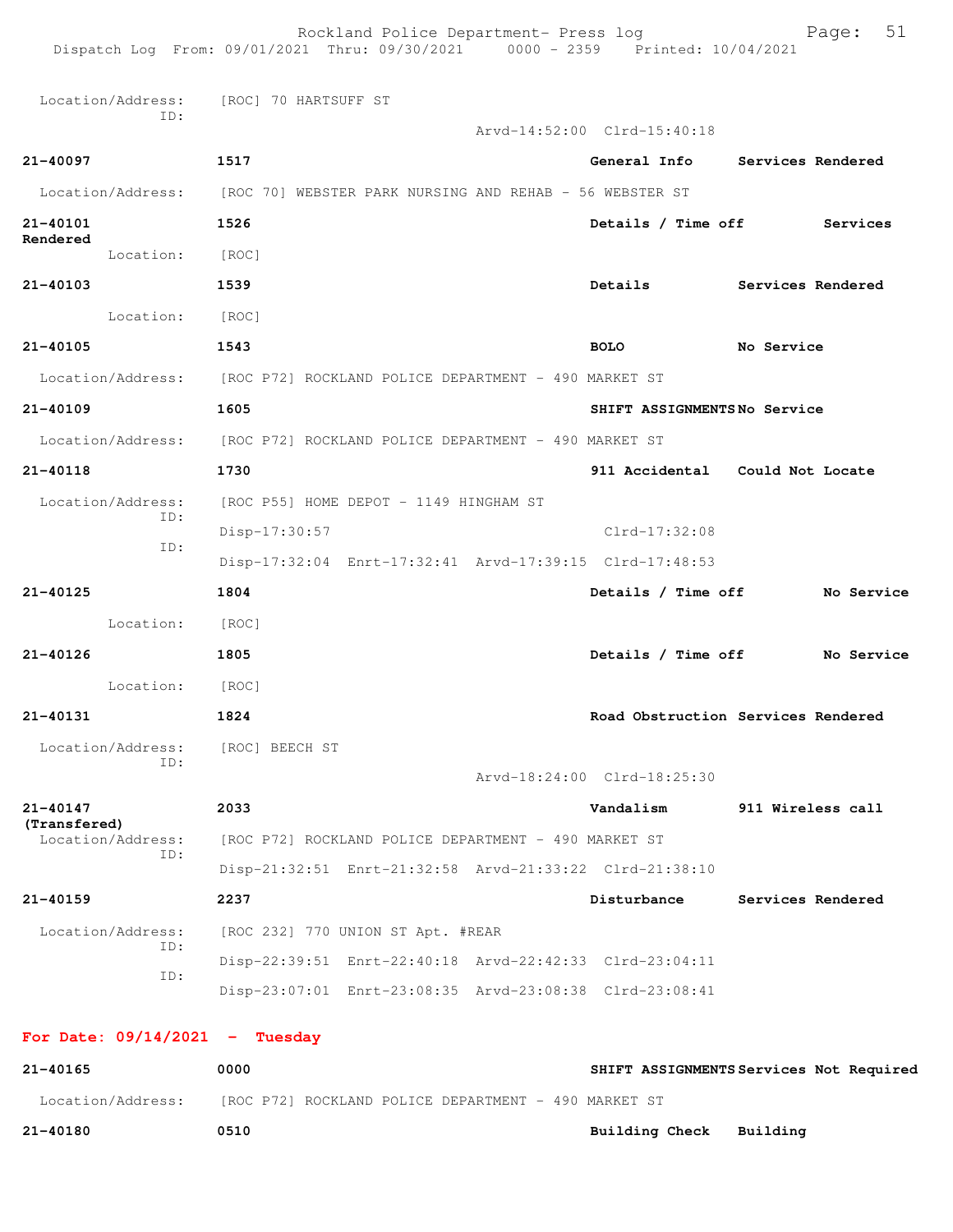Rockland Police Department- Press log Fage: 51 Dispatch Log From: 09/01/2021 Thru: 09/30/2021 0000 - 2359 Printed: 10/04/2021 Location/Address: [ROC] 70 HARTSUFF ST ID: Arvd-14:52:00 Clrd-15:40:18 **21-40097 1517 General Info Services Rendered** Location/Address: [ROC 70] WEBSTER PARK NURSING AND REHAB - 56 WEBSTER ST **21-40101 1526 Details / Time off Services Rendered**  Location: [ROC] **21-40103 1539 Details Services Rendered** Location: [ROC] **21-40105 1543 BOLO No Service** Location/Address: [ROC P72] ROCKLAND POLICE DEPARTMENT - 490 MARKET ST **21-40109 1605 SHIFT ASSIGNMENTS No Service** Location/Address: [ROC P72] ROCKLAND POLICE DEPARTMENT - 490 MARKET ST **21-40118 1730 911 Accidental Could Not Locate** Location/Address: [ROC P55] HOME DEPOT - 1149 HINGHAM ST ID: Disp-17:30:57 Clrd-17:32:08 ID: Disp-17:32:04 Enrt-17:32:41 Arvd-17:39:15 Clrd-17:48:53 **21-40125 1804 Details / Time off No Service** Location: [ROC] **21-40126 1805 Details / Time off No Service** Location: [ROC] **21-40131 1824 Road Obstruction Services Rendered** Location/Address: [ROC] BEECH ST ID: Arvd-18:24:00 Clrd-18:25:30 **21-40147 2033 Vandalism 911 Wireless call (Transfered)**  [ROC P72] ROCKLAND POLICE DEPARTMENT - 490 MARKET ST ID: Disp-21:32:51 Enrt-21:32:58 Arvd-21:33:22 Clrd-21:38:10 **21-40159 2237 Disturbance Services Rendered** Location/Address: [ROC 232] 770 UNION ST Apt. #REAR ID: Disp-22:39:51 Enrt-22:40:18 Arvd-22:42:33 Clrd-23:04:11 ID: Disp-23:07:01 Enrt-23:08:35 Arvd-23:08:38 Clrd-23:08:41 **For Date: 09/14/2021 - Tuesday**

| 21-40165          | 0000                                                 | SHIFT ASSIGNMENTS Services Not Required |
|-------------------|------------------------------------------------------|-----------------------------------------|
| Location/Address: | [ROC P72] ROCKLAND POLICE DEPARTMENT - 490 MARKET ST |                                         |
| 21-40180          | 0510                                                 | Building Check Building                 |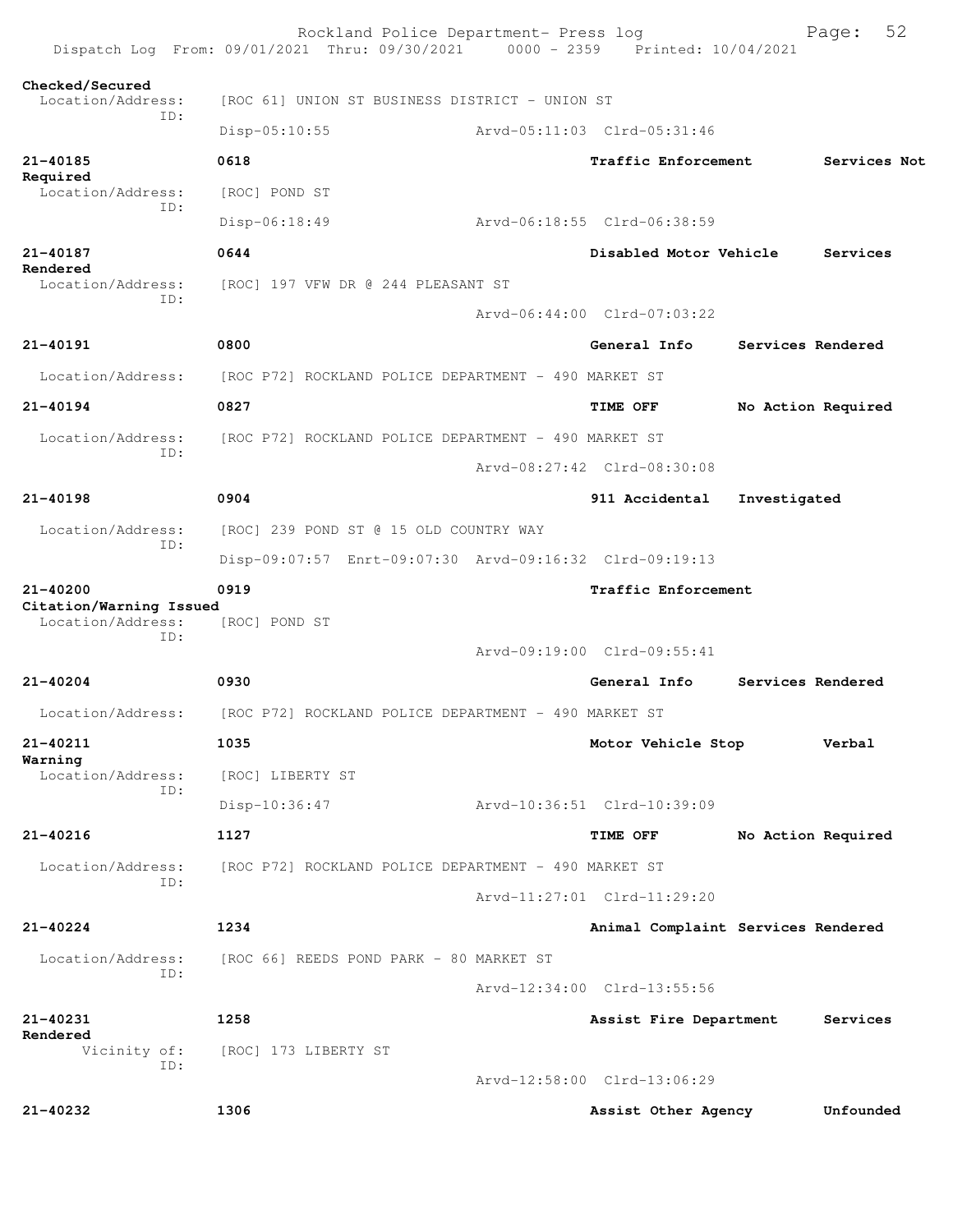|                                              | Rockland Police Department- Press log<br>Dispatch Log From: 09/01/2021 Thru: 09/30/2021 0000 - 2359 Printed: 10/04/2021 |                                    |                    | 52<br>Page:  |  |
|----------------------------------------------|-------------------------------------------------------------------------------------------------------------------------|------------------------------------|--------------------|--------------|--|
| Checked/Secured<br>Location/Address:         | [ROC 61] UNION ST BUSINESS DISTRICT - UNION ST                                                                          |                                    |                    |              |  |
| ID:                                          | Disp-05:10:55                                                                                                           | Arvd-05:11:03 Clrd-05:31:46        |                    |              |  |
| 21-40185                                     | 0618                                                                                                                    | Traffic Enforcement                |                    | Services Not |  |
| Required<br>Location/Address:                | [ROC] POND ST                                                                                                           |                                    |                    |              |  |
| ID:                                          | $Disp-06:18:49$                                                                                                         | Arvd-06:18:55 Clrd-06:38:59        |                    |              |  |
| 21-40187                                     | 0644                                                                                                                    | Disabled Motor Vehicle             |                    | Services     |  |
| Rendered<br>Location/Address:                | [ROC] 197 VFW DR @ 244 PLEASANT ST                                                                                      |                                    |                    |              |  |
| ID:                                          |                                                                                                                         | Arvd-06:44:00 Clrd-07:03:22        |                    |              |  |
| $21 - 40191$                                 | 0800                                                                                                                    | General Info                       | Services Rendered  |              |  |
| Location/Address:                            | [ROC P72] ROCKLAND POLICE DEPARTMENT - 490 MARKET ST                                                                    |                                    |                    |              |  |
| $21 - 40194$                                 | 0827                                                                                                                    | TIME OFF                           | No Action Required |              |  |
| Location/Address:                            | [ROC P72] ROCKLAND POLICE DEPARTMENT - 490 MARKET ST                                                                    |                                    |                    |              |  |
| ID:                                          |                                                                                                                         | Arvd-08:27:42 Clrd-08:30:08        |                    |              |  |
| $21 - 40198$                                 | 0904                                                                                                                    | 911 Accidental                     | Investigated       |              |  |
| Location/Address:                            | [ROC] 239 POND ST @ 15 OLD COUNTRY WAY                                                                                  |                                    |                    |              |  |
| ID:                                          | Disp-09:07:57 Enrt-09:07:30 Arvd-09:16:32 Clrd-09:19:13                                                                 |                                    |                    |              |  |
| 21-40200                                     | 0919                                                                                                                    | Traffic Enforcement                |                    |              |  |
| Citation/Warning Issued<br>Location/Address: | [ROC] POND ST                                                                                                           |                                    |                    |              |  |
| ID:                                          |                                                                                                                         | Arvd-09:19:00 Clrd-09:55:41        |                    |              |  |
| 21-40204                                     | 0930                                                                                                                    | General Info                       | Services Rendered  |              |  |
| Location/Address:                            | [ROC P72] ROCKLAND POLICE DEPARTMENT - 490 MARKET ST                                                                    |                                    |                    |              |  |
| 21-40211                                     | 1035                                                                                                                    | Motor Vehicle Stop                 |                    | Verbal       |  |
| Warning<br>Location/Address:                 | [ROC] LIBERTY ST                                                                                                        |                                    |                    |              |  |
| ID:                                          | Disp-10:36:47                                                                                                           | Arvd-10:36:51 Clrd-10:39:09        |                    |              |  |
| 21-40216                                     | 1127                                                                                                                    | TIME OFF                           | No Action Required |              |  |
| Location/Address:                            | [ROC P72] ROCKLAND POLICE DEPARTMENT - 490 MARKET ST                                                                    |                                    |                    |              |  |
| ID:                                          |                                                                                                                         | Arvd-11:27:01 Clrd-11:29:20        |                    |              |  |
| $21 - 40224$                                 | 1234                                                                                                                    | Animal Complaint Services Rendered |                    |              |  |
| Location/Address:                            | [ROC 66] REEDS POND PARK - 80 MARKET ST                                                                                 |                                    |                    |              |  |
| ID:                                          |                                                                                                                         | Arvd-12:34:00 Clrd-13:55:56        |                    |              |  |
| 21-40231                                     | 1258                                                                                                                    | Assist Fire Department             |                    | Services     |  |
| Rendered<br>Vicinity of:                     | [ROC] 173 LIBERTY ST                                                                                                    |                                    |                    |              |  |
| ID:                                          |                                                                                                                         | Arvd-12:58:00 Clrd-13:06:29        |                    |              |  |
| 21-40232                                     | 1306                                                                                                                    | Assist Other Agency                |                    | Unfounded    |  |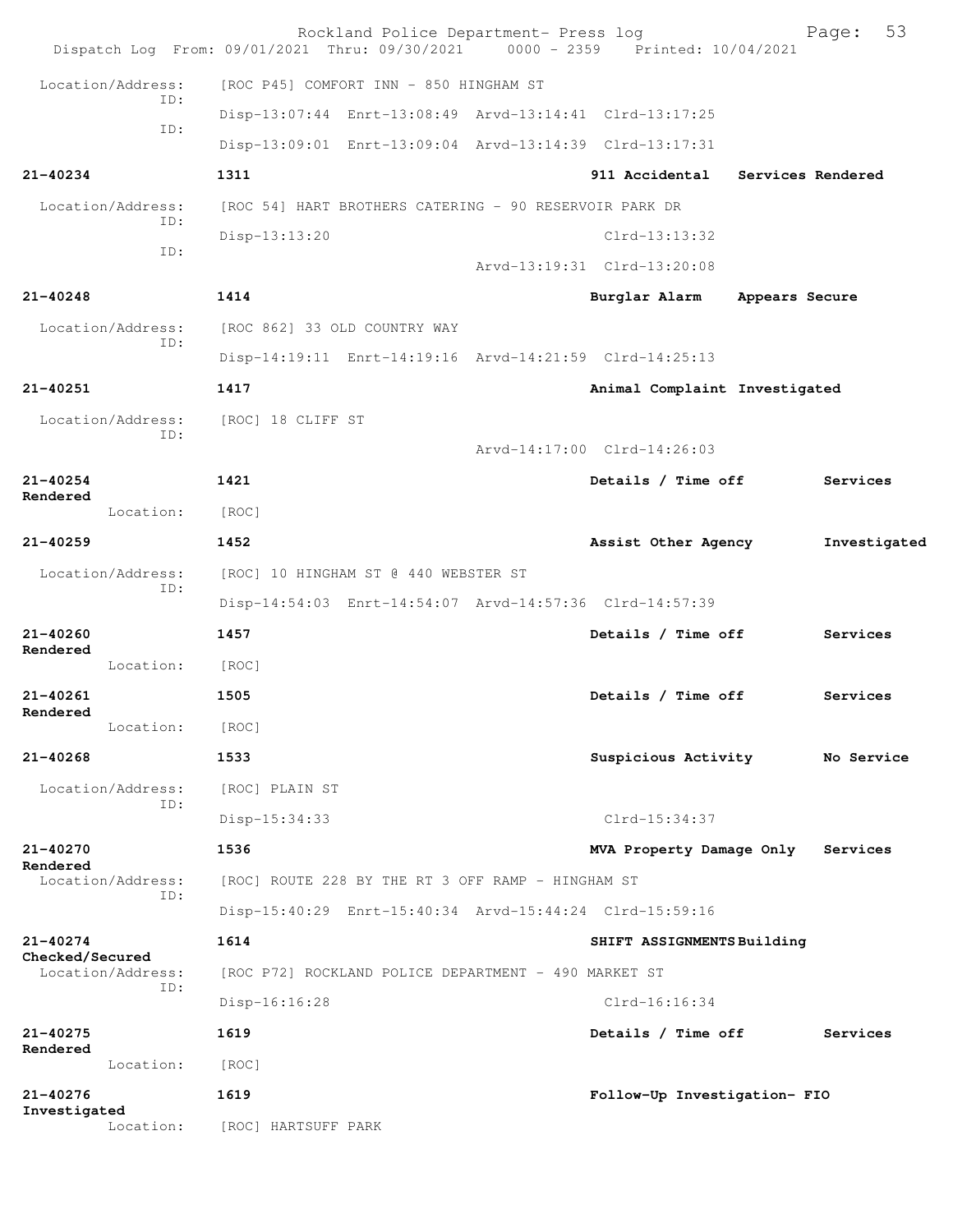|                                 |                                      |                              | Rockland Police Department- Press log                  |                                                         | Dispatch Log From: 09/01/2021 Thru: 09/30/2021 0000 - 2359 Printed: 10/04/2021 |                   | 53<br>Page:  |
|---------------------------------|--------------------------------------|------------------------------|--------------------------------------------------------|---------------------------------------------------------|--------------------------------------------------------------------------------|-------------------|--------------|
| Location/Address:               |                                      |                              | [ROC P45] COMFORT INN - 850 HINGHAM ST                 |                                                         |                                                                                |                   |              |
|                                 | TD:                                  |                              |                                                        |                                                         | Disp-13:07:44 Enrt-13:08:49 Arvd-13:14:41 Clrd-13:17:25                        |                   |              |
|                                 | ID:                                  |                              |                                                        |                                                         | Disp-13:09:01 Enrt-13:09:04 Arvd-13:14:39 Clrd-13:17:31                        |                   |              |
| $21 - 40234$                    |                                      | 1311                         |                                                        |                                                         | 911 Accidental                                                                 | Services Rendered |              |
| Location/Address:               |                                      |                              | [ROC 54] HART BROTHERS CATERING - 90 RESERVOIR PARK DR |                                                         |                                                                                |                   |              |
|                                 | ID:                                  | Disp-13:13:20                |                                                        |                                                         | $Clrd-13:13:32$                                                                |                   |              |
|                                 | ID:                                  |                              |                                                        |                                                         | Arvd-13:19:31 Clrd-13:20:08                                                    |                   |              |
| $21 - 40248$                    |                                      | 1414                         |                                                        |                                                         | Burglar Alarm                                                                  | Appears Secure    |              |
| Location/Address:               | ID:                                  | [ROC 862] 33 OLD COUNTRY WAY |                                                        |                                                         |                                                                                |                   |              |
|                                 |                                      |                              |                                                        |                                                         | Disp-14:19:11 Enrt-14:19:16 Arvd-14:21:59 Clrd-14:25:13                        |                   |              |
| 21-40251                        |                                      | 1417                         |                                                        |                                                         | Animal Complaint Investigated                                                  |                   |              |
| Location/Address:               | ID:                                  | [ROC] 18 CLIFF ST            |                                                        |                                                         |                                                                                |                   |              |
|                                 |                                      |                              |                                                        |                                                         | Arvd-14:17:00 Clrd-14:26:03                                                    |                   |              |
| $21 - 40254$<br>Rendered        |                                      | 1421                         |                                                        |                                                         | Details / Time off                                                             |                   | Services     |
|                                 | Location:                            | [ROC]                        |                                                        |                                                         |                                                                                |                   |              |
| $21 - 40259$                    |                                      | 1452                         |                                                        |                                                         | Assist Other Agency                                                            |                   | Investigated |
| Location/Address:<br>ID:        | [ROC] 10 HINGHAM ST @ 440 WEBSTER ST |                              |                                                        |                                                         |                                                                                |                   |              |
|                                 |                                      |                              |                                                        | Disp-14:54:03 Enrt-14:54:07 Arvd-14:57:36 Clrd-14:57:39 |                                                                                |                   |              |
| $21 - 40260$<br>Rendered        |                                      | 1457                         |                                                        |                                                         | Details / Time off                                                             |                   | Services     |
|                                 | Location:                            | [ROC]                        |                                                        |                                                         |                                                                                |                   |              |
| 21-40261<br>Rendered            |                                      | 1505                         |                                                        |                                                         | Details / Time off                                                             |                   | Services     |
|                                 | Location:                            | [ROC]                        |                                                        |                                                         |                                                                                |                   |              |
| $21 - 40268$                    |                                      | 1533                         |                                                        |                                                         | Suspicious Activity                                                            |                   | No Service   |
| Location/Address:               | ID:                                  | [ROC] PLAIN ST               |                                                        |                                                         |                                                                                |                   |              |
|                                 |                                      | Disp-15:34:33                |                                                        |                                                         | $Clrd-15:34:37$                                                                |                   |              |
| 21-40270<br>Rendered            |                                      | 1536                         |                                                        |                                                         | MVA Property Damage Only                                                       |                   | Services     |
| Location/Address:               | ID:                                  |                              | [ROC] ROUTE 228 BY THE RT 3 OFF RAMP - HINGHAM ST      |                                                         |                                                                                |                   |              |
|                                 |                                      |                              |                                                        |                                                         | Disp-15:40:29 Enrt-15:40:34 Arvd-15:44:24 Clrd-15:59:16                        |                   |              |
| $21 - 40274$<br>Checked/Secured |                                      | 1614                         |                                                        |                                                         | SHIFT ASSIGNMENTS Building                                                     |                   |              |
| Location/Address:               | ID:                                  |                              | [ROC P72] ROCKLAND POLICE DEPARTMENT - 490 MARKET ST   |                                                         |                                                                                |                   |              |
|                                 |                                      | $Disp-16:16:28$              |                                                        |                                                         | $Clrd-16:16:34$                                                                |                   |              |
| 21-40275<br>Rendered            |                                      | 1619                         |                                                        |                                                         | Details / Time off                                                             |                   | Services     |
|                                 | Location:                            | [ROC]                        |                                                        |                                                         |                                                                                |                   |              |
| 21-40276                        |                                      | 1619                         |                                                        |                                                         | Follow-Up Investigation- FIO                                                   |                   |              |
| Investigated                    | Location:                            | [ROC] HARTSUFF PARK          |                                                        |                                                         |                                                                                |                   |              |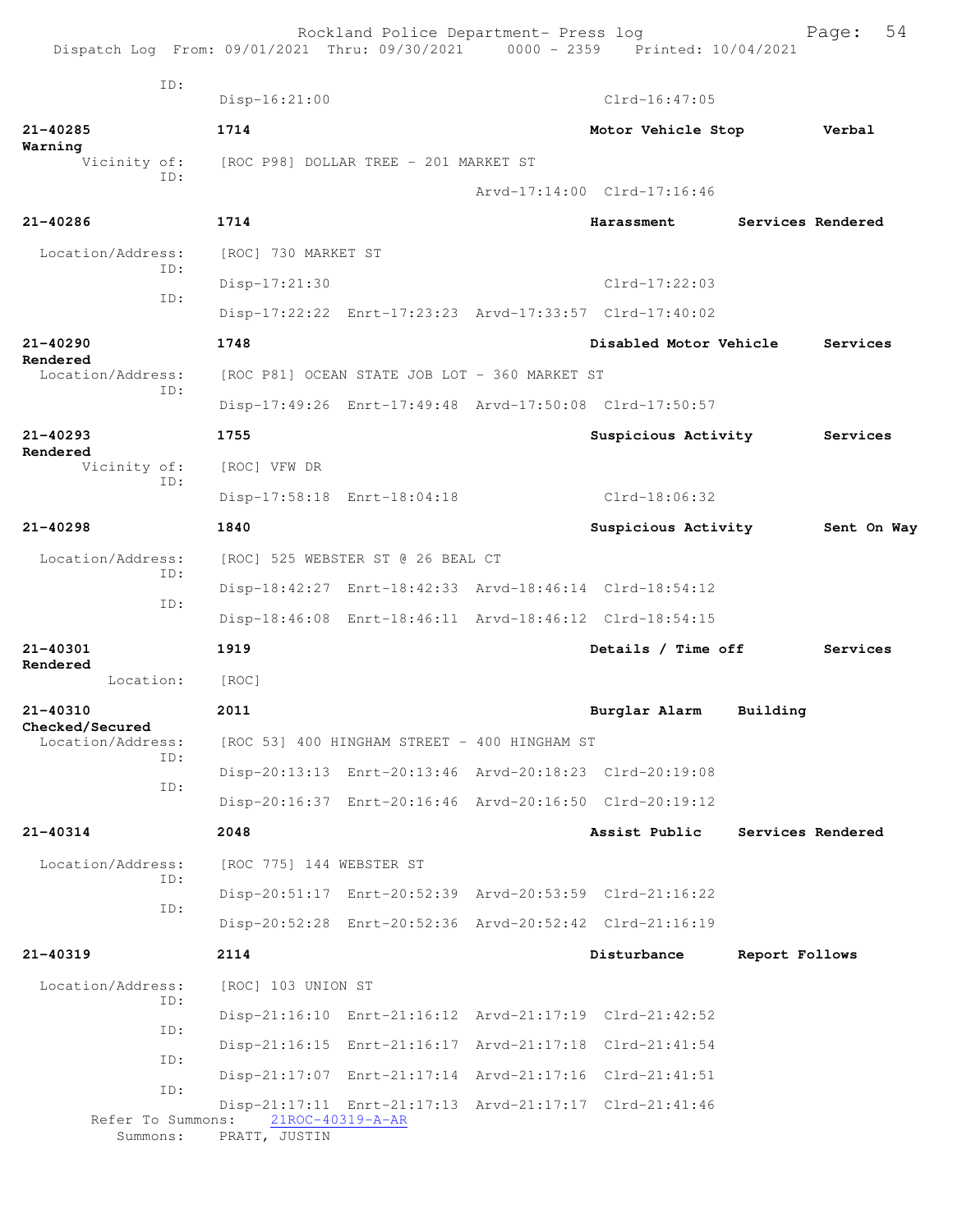| Dispatch Log From: 09/01/2021 Thru: 09/30/2021 0000 - 2359 Printed: 10/04/2021 |                                       | Rockland Police Department- Press log         |                                                         |                   | 54<br>Page: |
|--------------------------------------------------------------------------------|---------------------------------------|-----------------------------------------------|---------------------------------------------------------|-------------------|-------------|
| ID:                                                                            | $Disp-16:21:00$                       |                                               | $Clrd-16:47:05$                                         |                   |             |
| 21-40285                                                                       | 1714                                  |                                               | Motor Vehicle Stop                                      |                   | Verbal      |
| Warning<br>Vicinity of:                                                        | [ROC P98] DOLLAR TREE - 201 MARKET ST |                                               |                                                         |                   |             |
| ID:                                                                            |                                       |                                               | Arvd-17:14:00 Clrd-17:16:46                             |                   |             |
| 21-40286                                                                       | 1714                                  |                                               | Harassment                                              | Services Rendered |             |
| Location/Address:                                                              | [ROC] 730 MARKET ST                   |                                               |                                                         |                   |             |
| TD:                                                                            | Disp-17:21:30                         |                                               | Clrd-17:22:03                                           |                   |             |
| TD:                                                                            |                                       |                                               | Disp-17:22:22 Enrt-17:23:23 Arvd-17:33:57 Clrd-17:40:02 |                   |             |
| 21-40290                                                                       | 1748                                  |                                               | Disabled Motor Vehicle                                  |                   | Services    |
| Rendered<br>Location/Address:                                                  |                                       | [ROC P81] OCEAN STATE JOB LOT - 360 MARKET ST |                                                         |                   |             |
| ID:                                                                            |                                       |                                               | Disp-17:49:26 Enrt-17:49:48 Arvd-17:50:08 Clrd-17:50:57 |                   |             |
| $21 - 40293$                                                                   | 1755                                  |                                               | Suspicious Activity                                     |                   | Services    |
| Rendered<br>Vicinity of:                                                       | [ROC] VFW DR                          |                                               |                                                         |                   |             |
| ID:                                                                            |                                       | Disp-17:58:18 Enrt-18:04:18                   | Clrd-18:06:32                                           |                   |             |
| $21 - 40298$                                                                   | 1840                                  |                                               | Suspicious Activity                                     |                   | Sent On Way |
| Location/Address:                                                              |                                       | [ROC] 525 WEBSTER ST @ 26 BEAL CT             |                                                         |                   |             |
| ID:                                                                            |                                       |                                               | Disp-18:42:27 Enrt-18:42:33 Arvd-18:46:14 Clrd-18:54:12 |                   |             |
| ID:                                                                            |                                       |                                               | Disp-18:46:08 Enrt-18:46:11 Arvd-18:46:12 Clrd-18:54:15 |                   |             |
| $21 - 40301$<br>Rendered                                                       | 1919                                  |                                               | Details / Time off                                      |                   | Services    |
| Location:                                                                      | [ROC]                                 |                                               |                                                         |                   |             |
| 21-40310<br>Checked/Secured                                                    | 2011                                  |                                               | Burglar Alarm                                           | Building          |             |
| Location/Address:<br>ID:                                                       |                                       | [ROC 53] 400 HINGHAM STREET - 400 HINGHAM ST  |                                                         |                   |             |
| ID:                                                                            |                                       |                                               | Disp-20:13:13 Enrt-20:13:46 Arvd-20:18:23 Clrd-20:19:08 |                   |             |
|                                                                                |                                       |                                               | Disp-20:16:37 Enrt-20:16:46 Arvd-20:16:50 Clrd-20:19:12 |                   |             |
| 21-40314                                                                       | 2048                                  |                                               | Assist Public                                           | Services Rendered |             |
| Location/Address:<br>ID:                                                       | [ROC 775] 144 WEBSTER ST              |                                               |                                                         |                   |             |
| ID:                                                                            |                                       |                                               | Disp-20:51:17 Enrt-20:52:39 Arvd-20:53:59 Clrd-21:16:22 |                   |             |
|                                                                                |                                       |                                               | Disp-20:52:28 Enrt-20:52:36 Arvd-20:52:42 Clrd-21:16:19 |                   |             |
| 21-40319                                                                       | 2114                                  |                                               | Disturbance                                             | Report Follows    |             |
| Location/Address:<br>ID:                                                       | [ROC] 103 UNION ST                    |                                               |                                                         |                   |             |
| ID:                                                                            |                                       |                                               | Disp-21:16:10 Enrt-21:16:12 Arvd-21:17:19 Clrd-21:42:52 |                   |             |
| ID:                                                                            |                                       |                                               | Disp-21:16:15 Enrt-21:16:17 Arvd-21:17:18 Clrd-21:41:54 |                   |             |
| ID:                                                                            |                                       |                                               | Disp-21:17:07 Enrt-21:17:14 Arvd-21:17:16 Clrd-21:41:51 |                   |             |
| Refer To Summons:<br>Summons:                                                  | PRATT, JUSTIN                         | 21ROC-40319-A-AR                              | Disp-21:17:11 Enrt-21:17:13 Arvd-21:17:17 Clrd-21:41:46 |                   |             |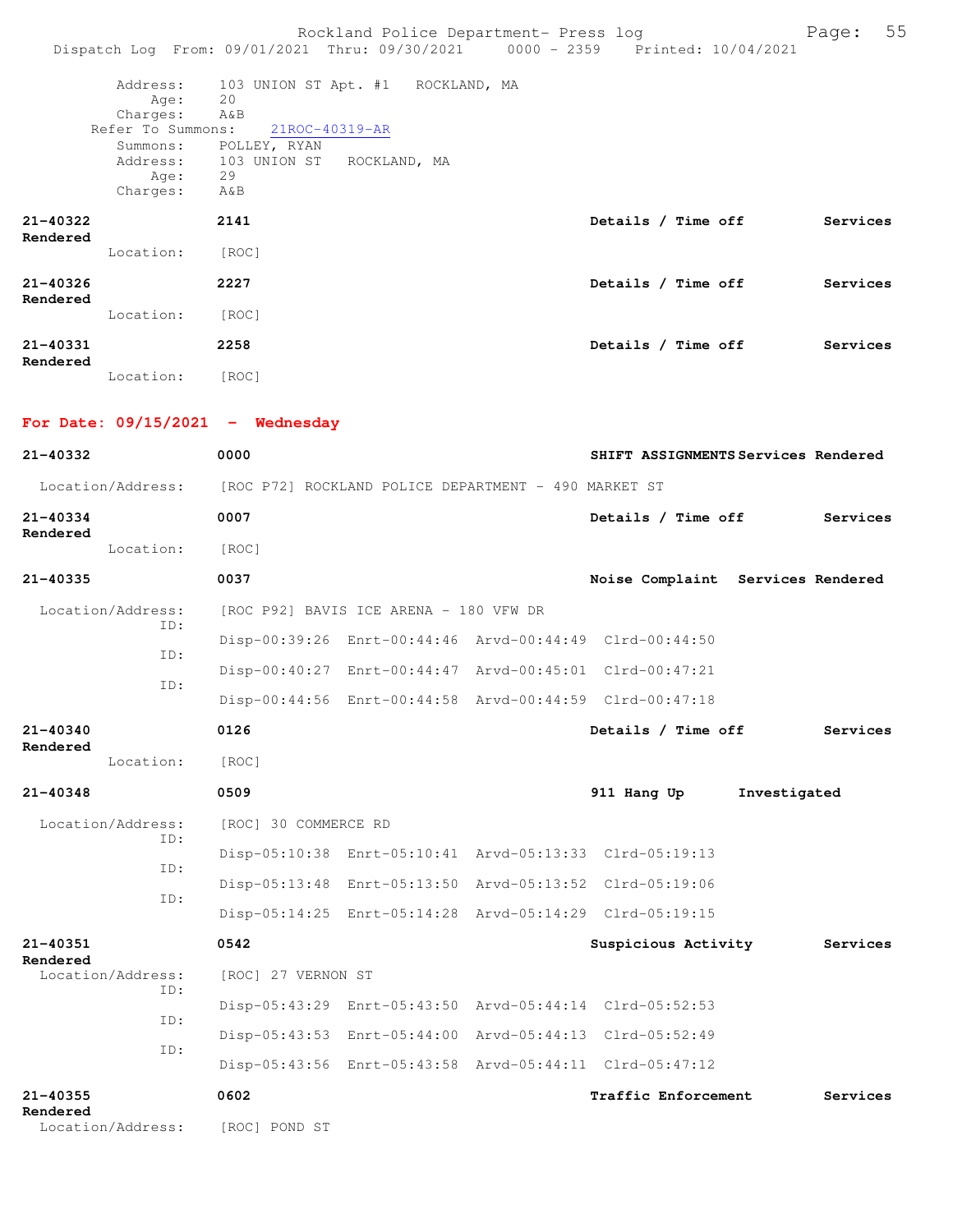|                          |                                                               | Dispatch Log From: 09/01/2021 Thru: 09/30/2021 0000 - 2359 Printed: 10/04/2021   | Rockland Police Department- Press log |                    | 55<br>Page: |
|--------------------------|---------------------------------------------------------------|----------------------------------------------------------------------------------|---------------------------------------|--------------------|-------------|
|                          | Address:<br>Age:<br>Charges:<br>Refer To Summons:<br>Summons: | 103 UNION ST Apt. #1 ROCKLAND, MA<br>20<br>A&B<br>21ROC-40319-AR<br>POLLEY, RYAN |                                       |                    |             |
|                          | Aqe:<br>Charges:                                              | Address: 103 UNION ST<br>ROCKLAND, MA<br>29<br>A&B                               |                                       |                    |             |
| 21-40322<br>Rendered     |                                                               | 2141                                                                             |                                       | Details / Time off | Services    |
|                          | Location:                                                     | [ROC]                                                                            |                                       |                    |             |
| $21 - 40326$<br>Rendered |                                                               | 2227                                                                             |                                       | Details / Time off | Services    |
|                          | Location:                                                     | [ROC]                                                                            |                                       |                    |             |
| $21 - 40331$<br>Rendered |                                                               | 2258                                                                             |                                       | Details / Time off | Services    |
|                          | Location:                                                     | [ROC]                                                                            |                                       |                    |             |

| For Date: $09/15/2021$ - Wednesday |                                                      |                                        |                                                         |                                     |
|------------------------------------|------------------------------------------------------|----------------------------------------|---------------------------------------------------------|-------------------------------------|
| $21 - 40332$                       | 0000                                                 |                                        |                                                         | SHIFT ASSIGNMENTS Services Rendered |
| Location/Address:                  | [ROC P72] ROCKLAND POLICE DEPARTMENT - 490 MARKET ST |                                        |                                                         |                                     |
| $21 - 40334$                       | 0007                                                 |                                        | Details / Time off                                      | Services                            |
| Rendered<br>Location:              | [ROC]                                                |                                        |                                                         |                                     |
| $21 - 40335$                       | 0037                                                 |                                        |                                                         | Noise Complaint Services Rendered   |
| Location/Address:                  |                                                      | [ROC P92] BAVIS ICE ARENA - 180 VFW DR |                                                         |                                     |
| ID:                                |                                                      |                                        | Disp-00:39:26 Enrt-00:44:46 Arvd-00:44:49 Clrd-00:44:50 |                                     |
| TD:                                |                                                      |                                        | Disp-00:40:27 Enrt-00:44:47 Arvd-00:45:01 Clrd-00:47:21 |                                     |
| TD:                                |                                                      |                                        | Disp-00:44:56 Enrt-00:44:58 Arvd-00:44:59 Clrd-00:47:18 |                                     |
| 21-40340                           | 0126                                                 |                                        | Details / Time off                                      | Services                            |
| Rendered<br>Location:              | [ROC]                                                |                                        |                                                         |                                     |
| 21-40348                           | 0509                                                 |                                        | 911 Hang Up                                             | Investigated                        |
| Location/Address:                  | [ROC] 30 COMMERCE RD                                 |                                        |                                                         |                                     |
| TD:                                |                                                      |                                        | Disp-05:10:38 Enrt-05:10:41 Arvd-05:13:33 Clrd-05:19:13 |                                     |
| ID:                                |                                                      |                                        | Disp-05:13:48 Enrt-05:13:50 Arvd-05:13:52 Clrd-05:19:06 |                                     |
| ID:                                |                                                      |                                        | Disp-05:14:25 Enrt-05:14:28 Arvd-05:14:29 Clrd-05:19:15 |                                     |
| 21-40351                           | 0542                                                 |                                        | Suspicious Activity                                     | Services                            |
| Rendered<br>Location/Address:      | [ROC] 27 VERNON ST                                   |                                        |                                                         |                                     |
| TD:                                |                                                      |                                        | Disp-05:43:29 Enrt-05:43:50 Arvd-05:44:14 Clrd-05:52:53 |                                     |
| ID:                                |                                                      |                                        | Disp-05:43:53 Enrt-05:44:00 Arvd-05:44:13 Clrd-05:52:49 |                                     |
| ID:                                |                                                      |                                        | Disp-05:43:56 Enrt-05:43:58 Arvd-05:44:11 Clrd-05:47:12 |                                     |
| $21 - 40355$<br>Rendered           | 0602                                                 |                                        | Traffic Enforcement                                     | Services                            |

Location/Address: [ROC] POND ST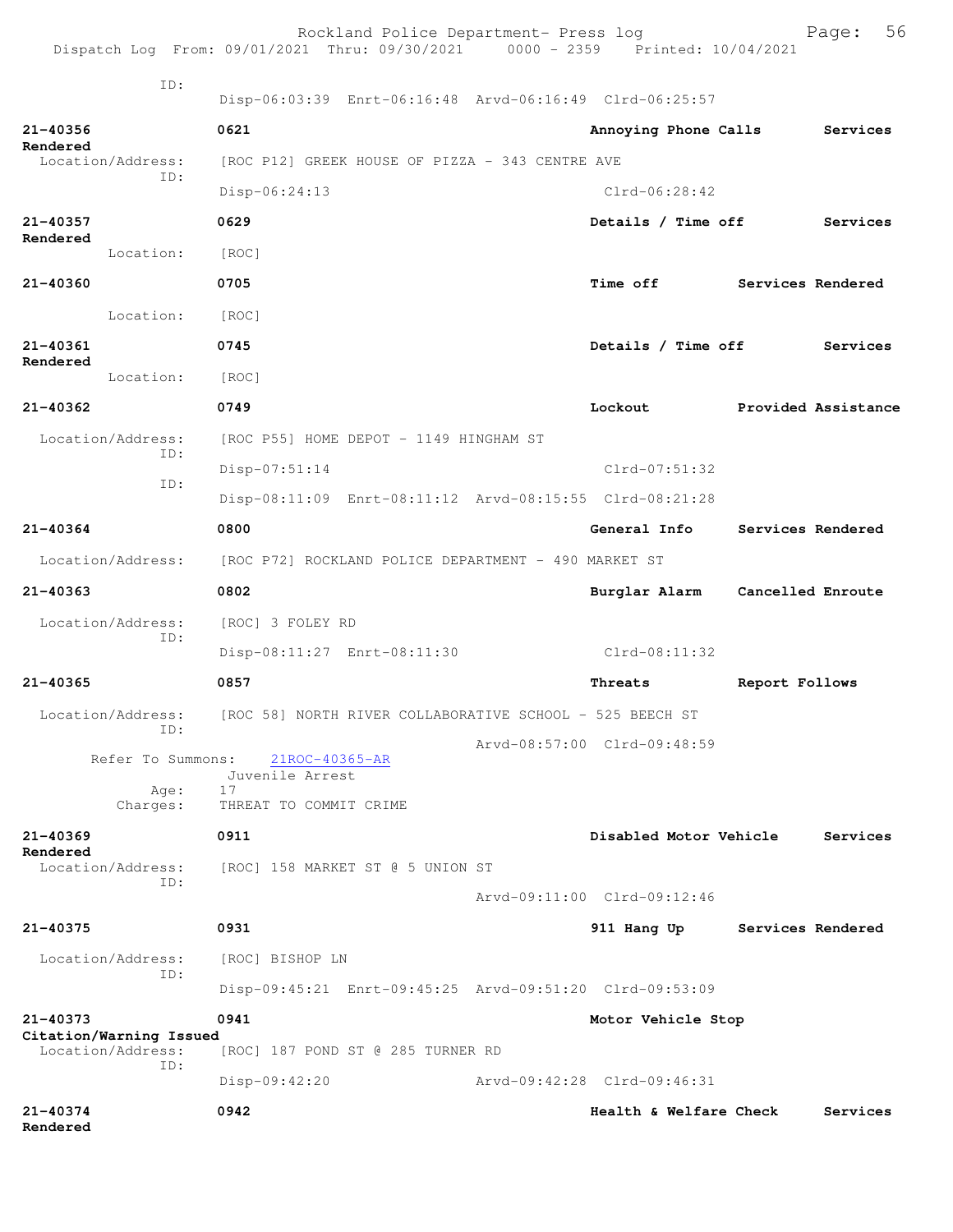|                          |                                                     | Rockland Police Department- Press log<br>Dispatch Log From: 09/01/2021 Thru: 09/30/2021 0000 - 2359 Printed: 10/04/2021 |                             |                   | 56<br>Page:         |
|--------------------------|-----------------------------------------------------|-------------------------------------------------------------------------------------------------------------------------|-----------------------------|-------------------|---------------------|
|                          | TD:                                                 | Disp-06:03:39 Enrt-06:16:48 Arvd-06:16:49 Clrd-06:25:57                                                                 |                             |                   |                     |
| 21-40356                 |                                                     | 0621                                                                                                                    | Annoying Phone Calls        |                   | Services            |
| Rendered                 | Location/Address:                                   | [ROC P12] GREEK HOUSE OF PIZZA - 343 CENTRE AVE                                                                         |                             |                   |                     |
|                          | TD:                                                 | Disp-06:24:13                                                                                                           | $Clrd-06:28:42$             |                   |                     |
| $21 - 40357$             |                                                     | 0629                                                                                                                    | Details / Time off          |                   | Services            |
| Rendered                 | Location:                                           | [ROC]                                                                                                                   |                             |                   |                     |
| 21-40360                 |                                                     | 0705                                                                                                                    | <b>Time off</b>             | Services Rendered |                     |
|                          | Location:                                           | [ROC]                                                                                                                   |                             |                   |                     |
| 21-40361                 |                                                     | 0745                                                                                                                    | Details / Time off          |                   | Services            |
| Rendered                 | Location:                                           | [ROC]                                                                                                                   |                             |                   |                     |
| $21 - 40362$             |                                                     | 0749                                                                                                                    | Lockout                     |                   | Provided Assistance |
|                          | Location/Address:                                   | [ROC P55] HOME DEPOT - 1149 HINGHAM ST                                                                                  |                             |                   |                     |
|                          | ID:                                                 | $Disp-07:51:14$                                                                                                         | $Clrd-07:51:32$             |                   |                     |
|                          | TD:                                                 | Disp-08:11:09 Enrt-08:11:12 Arvd-08:15:55 Clrd-08:21:28                                                                 |                             |                   |                     |
| 21-40364                 |                                                     | 0800                                                                                                                    | General Info                | Services Rendered |                     |
|                          | Location/Address:                                   | [ROC P72] ROCKLAND POLICE DEPARTMENT - 490 MARKET ST                                                                    |                             |                   |                     |
| $21 - 40363$             |                                                     | 0802                                                                                                                    | Burglar Alarm               | Cancelled Enroute |                     |
|                          | Location/Address:                                   | [ROC] 3 FOLEY RD                                                                                                        |                             |                   |                     |
|                          | ID:                                                 | Disp-08:11:27 Enrt-08:11:30                                                                                             | Clrd-08:11:32               |                   |                     |
| 21-40365                 |                                                     | 0857                                                                                                                    | Threats                     | Report Follows    |                     |
|                          | Location/Address:                                   | [ROC 58] NORTH RIVER COLLABORATIVE SCHOOL - 525 BEECH ST                                                                |                             |                   |                     |
|                          | ID:<br>Refer To Summons:                            |                                                                                                                         | Arvd-08:57:00 Clrd-09:48:59 |                   |                     |
|                          |                                                     | 21ROC-40365-AR<br>Juvenile Arrest<br>17                                                                                 |                             |                   |                     |
|                          | Age:<br>Charges:                                    | THREAT TO COMMIT CRIME                                                                                                  |                             |                   |                     |
| $21 - 40369$<br>Rendered |                                                     | 0911                                                                                                                    | Disabled Motor Vehicle      |                   | Services            |
|                          | Location/Address:<br>ID:                            | [ROC] 158 MARKET ST @ 5 UNION ST                                                                                        |                             |                   |                     |
|                          |                                                     |                                                                                                                         | Arvd-09:11:00 Clrd-09:12:46 |                   |                     |
| 21-40375                 |                                                     | 0931                                                                                                                    | 911 Hang Up                 | Services Rendered |                     |
|                          | Location/Address:<br>TD:                            | [ROC] BISHOP LN                                                                                                         |                             |                   |                     |
|                          |                                                     | Disp-09:45:21 Enrt-09:45:25 Arvd-09:51:20 Clrd-09:53:09                                                                 |                             |                   |                     |
| 21-40373                 |                                                     | 0941                                                                                                                    | Motor Vehicle Stop          |                   |                     |
|                          | Citation/Warning Issued<br>Location/Address:<br>ID: | [ROC] 187 POND ST @ 285 TURNER RD                                                                                       |                             |                   |                     |
|                          |                                                     | Disp-09:42:20                                                                                                           | Arvd-09:42:28 Clrd-09:46:31 |                   |                     |
| 21-40374<br>Rendered     |                                                     | 0942                                                                                                                    | Health & Welfare Check      |                   | Services            |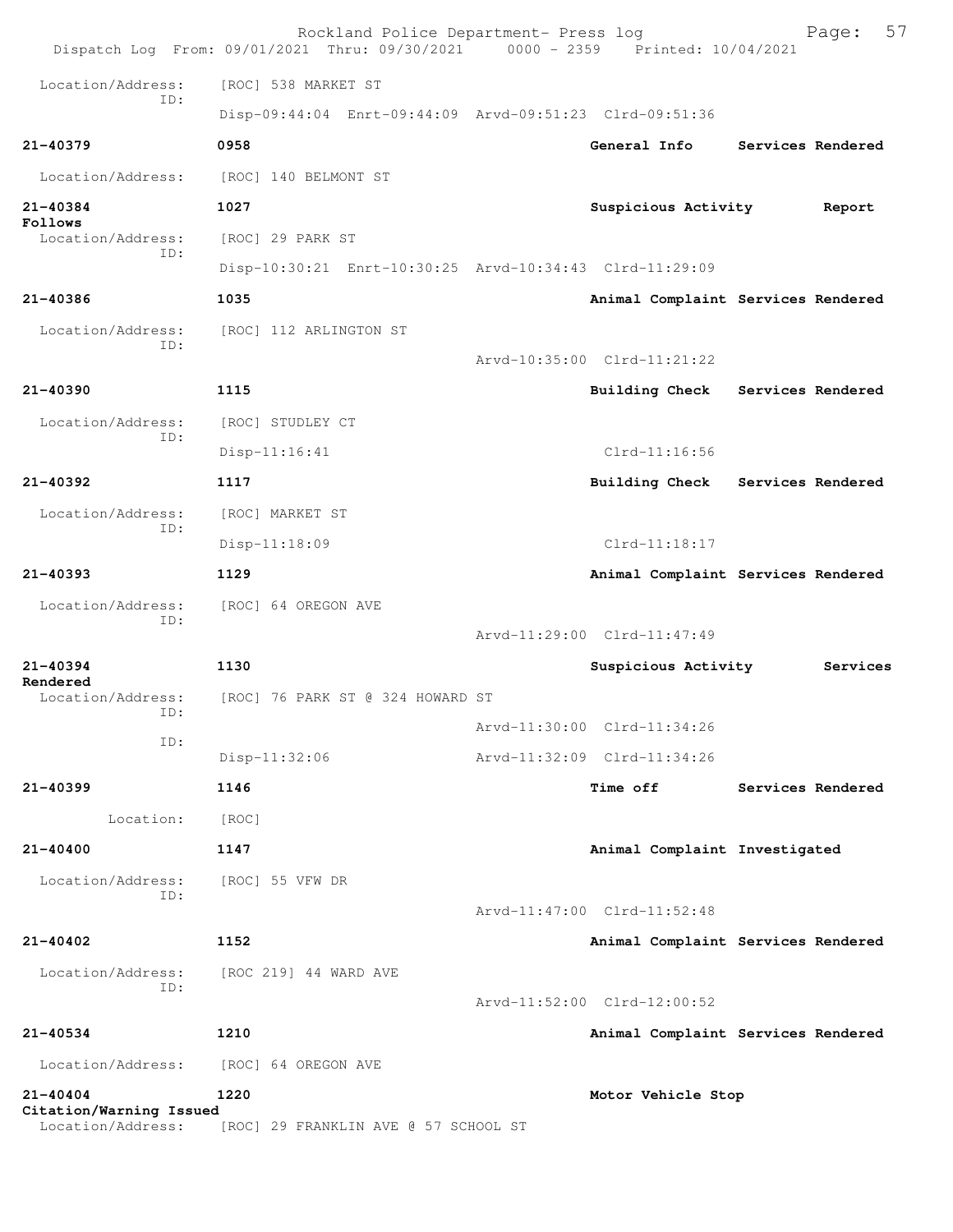|                                              | Rockland Police Department- Press log<br>Dispatch Log From: 09/01/2021 Thru: 09/30/2021 0000 - 2359 Printed: 10/04/2021 |                                    |                   | Page:             | 57 |
|----------------------------------------------|-------------------------------------------------------------------------------------------------------------------------|------------------------------------|-------------------|-------------------|----|
| Location/Address:                            | [ROC] 538 MARKET ST                                                                                                     |                                    |                   |                   |    |
| TD:                                          | Disp-09:44:04 Enrt-09:44:09 Arvd-09:51:23 Clrd-09:51:36                                                                 |                                    |                   |                   |    |
| 21-40379                                     | 0958                                                                                                                    | General Info                       |                   | Services Rendered |    |
| Location/Address:                            | [ROC] 140 BELMONT ST                                                                                                    |                                    |                   |                   |    |
| 21-40384                                     | 1027                                                                                                                    | Suspicious Activity                |                   | Report            |    |
| Follows<br>Location/Address:                 | [ROC] 29 PARK ST                                                                                                        |                                    |                   |                   |    |
| TD:                                          | Disp-10:30:21 Enrt-10:30:25 Arvd-10:34:43 Clrd-11:29:09                                                                 |                                    |                   |                   |    |
| 21-40386                                     | 1035                                                                                                                    | Animal Complaint Services Rendered |                   |                   |    |
| Location/Address:                            | [ROC] 112 ARLINGTON ST                                                                                                  |                                    |                   |                   |    |
| TD:                                          |                                                                                                                         | $Arvd-10:35:00$ $Clrd-11:21:22$    |                   |                   |    |
| 21-40390                                     | 1115                                                                                                                    | <b>Building Check</b>              | Services Rendered |                   |    |
| Location/Address:                            | [ROC] STUDLEY CT                                                                                                        |                                    |                   |                   |    |
| ID:                                          | Disp-11:16:41                                                                                                           | $Clrd-11:16:56$                    |                   |                   |    |
| $21 - 40392$                                 | 1117                                                                                                                    | Building Check                     | Services Rendered |                   |    |
| Location/Address:                            | [ROC] MARKET ST                                                                                                         |                                    |                   |                   |    |
| ID:                                          | Disp-11:18:09                                                                                                           | $Clrd-11:18:17$                    |                   |                   |    |
| $21 - 40393$                                 | 1129                                                                                                                    | Animal Complaint Services Rendered |                   |                   |    |
| Location/Address:                            | [ROC] 64 OREGON AVE                                                                                                     |                                    |                   |                   |    |
| ID:                                          |                                                                                                                         | Arvd-11:29:00 Clrd-11:47:49        |                   |                   |    |
| $21 - 40394$                                 | 1130                                                                                                                    | Suspicious Activity                |                   | Services          |    |
| Rendered<br>Location/Address:<br>ID:         | [ROC] 76 PARK ST @ 324 HOWARD ST                                                                                        |                                    |                   |                   |    |
| ID:                                          |                                                                                                                         | Arvd-11:30:00 Clrd-11:34:26        |                   |                   |    |
|                                              | Disp-11:32:06                                                                                                           | Arvd-11:32:09 Clrd-11:34:26        |                   |                   |    |
| $21 - 40399$                                 | 1146                                                                                                                    | <b>Time off</b>                    |                   | Services Rendered |    |
| Location:                                    | [ROC]                                                                                                                   |                                    |                   |                   |    |
| $21 - 40400$                                 | 1147                                                                                                                    | Animal Complaint Investigated      |                   |                   |    |
| Location/Address:<br>TD:                     | [ROC] 55 VFW DR                                                                                                         |                                    |                   |                   |    |
|                                              |                                                                                                                         | Arvd-11:47:00 Clrd-11:52:48        |                   |                   |    |
| $21 - 40402$                                 | 1152                                                                                                                    | Animal Complaint Services Rendered |                   |                   |    |
| Location/Address:<br>ID:                     | [ROC 219] 44 WARD AVE                                                                                                   | Arvd-11:52:00 Clrd-12:00:52        |                   |                   |    |
| $21 - 40534$                                 | 1210                                                                                                                    | Animal Complaint Services Rendered |                   |                   |    |
| Location/Address:                            | [ROC] 64 OREGON AVE                                                                                                     |                                    |                   |                   |    |
| $21 - 40404$                                 | 1220                                                                                                                    | Motor Vehicle Stop                 |                   |                   |    |
| Citation/Warning Issued<br>Location/Address: | [ROC] 29 FRANKLIN AVE @ 57 SCHOOL ST                                                                                    |                                    |                   |                   |    |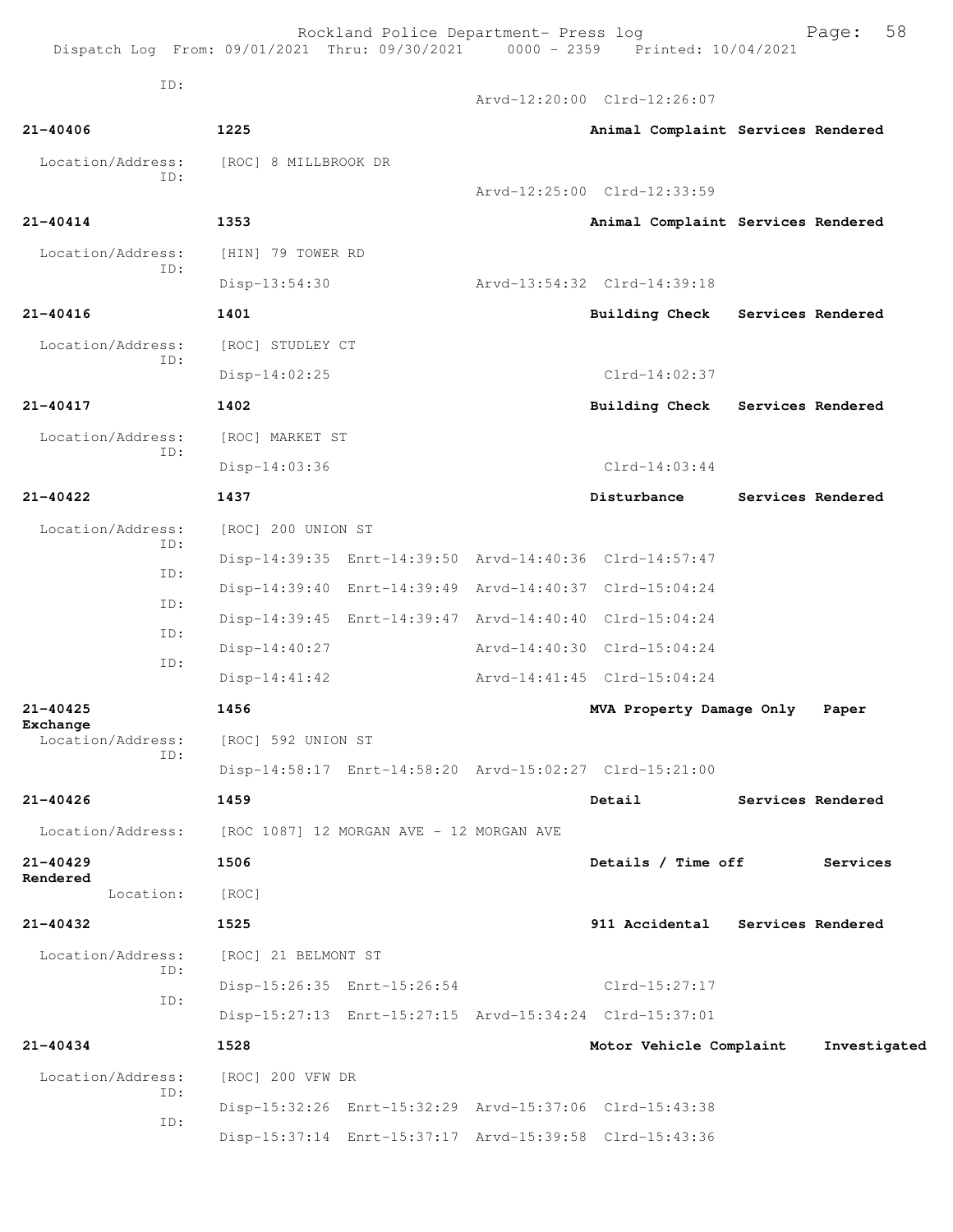| Dispatch Log From: 09/01/2021 Thru: 09/30/2021 0000 - 2359 Printed: 10/04/2021 |                                          | Rockland Police Department- Press log |                                                         | 58<br>Page:       |
|--------------------------------------------------------------------------------|------------------------------------------|---------------------------------------|---------------------------------------------------------|-------------------|
| ID:                                                                            |                                          |                                       | Arvd-12:20:00 Clrd-12:26:07                             |                   |
| 21-40406                                                                       | 1225                                     |                                       | Animal Complaint Services Rendered                      |                   |
| Location/Address:<br>ID:                                                       | [ROC] 8 MILLBROOK DR                     |                                       | Arvd-12:25:00 Clrd-12:33:59                             |                   |
| $21 - 40414$                                                                   | 1353                                     |                                       | Animal Complaint Services Rendered                      |                   |
| Location/Address:                                                              | [HIN] 79 TOWER RD                        |                                       |                                                         |                   |
| ID:                                                                            | Disp-13:54:30                            |                                       | Arvd-13:54:32 Clrd-14:39:18                             |                   |
| 21-40416                                                                       | 1401                                     |                                       | <b>Building Check</b>                                   | Services Rendered |
| Location/Address:                                                              | [ROC] STUDLEY CT                         |                                       |                                                         |                   |
| ID:                                                                            | $Disp-14:02:25$                          |                                       | $Clrd-14:02:37$                                         |                   |
| 21-40417                                                                       | 1402                                     |                                       | <b>Building Check</b>                                   | Services Rendered |
| Location/Address:                                                              | [ROC] MARKET ST                          |                                       |                                                         |                   |
| ID:                                                                            | $Disp-14:03:36$                          |                                       | $Clrd-14:03:44$                                         |                   |
| 21-40422                                                                       | 1437                                     |                                       | Disturbance                                             | Services Rendered |
| Location/Address:                                                              | [ROC] 200 UNION ST                       |                                       |                                                         |                   |
| ID:                                                                            |                                          |                                       | Disp-14:39:35 Enrt-14:39:50 Arvd-14:40:36 Clrd-14:57:47 |                   |
| ID:                                                                            |                                          |                                       | Disp-14:39:40 Enrt-14:39:49 Arvd-14:40:37 Clrd-15:04:24 |                   |
| ID:                                                                            |                                          |                                       | Disp-14:39:45 Enrt-14:39:47 Arvd-14:40:40 Clrd-15:04:24 |                   |
| ID:                                                                            | $Disp-14:40:27$                          |                                       | Arvd-14:40:30 Clrd-15:04:24                             |                   |
| ID:                                                                            | $Disp-14:41:42$                          |                                       | Arvd-14:41:45 Clrd-15:04:24                             |                   |
| 21-40425                                                                       | 1456                                     |                                       | MVA Property Damage Only                                | Paper             |
| Exchange<br>Location/Address:                                                  | [ROC] 592 UNION ST                       |                                       |                                                         |                   |
| ID:                                                                            |                                          |                                       | Disp-14:58:17 Enrt-14:58:20 Arvd-15:02:27 Clrd-15:21:00 |                   |
| $21 - 40426$                                                                   | 1459                                     |                                       | Detail                                                  | Services Rendered |
| Location/Address:                                                              | [ROC 1087] 12 MORGAN AVE - 12 MORGAN AVE |                                       |                                                         |                   |
| $21 - 40429$<br>Rendered                                                       | 1506                                     |                                       | Details / Time off                                      | Services          |
| Location:                                                                      | [ROC]                                    |                                       |                                                         |                   |
| 21-40432                                                                       | 1525                                     |                                       | 911 Accidental Services Rendered                        |                   |
| Location/Address:<br>ID:                                                       | [ROC] 21 BELMONT ST                      |                                       |                                                         |                   |
| ID:                                                                            |                                          | Disp-15:26:35 Enrt-15:26:54           | $Clrd-15:27:17$                                         |                   |
|                                                                                |                                          |                                       | Disp-15:27:13 Enrt-15:27:15 Arvd-15:34:24 Clrd-15:37:01 |                   |
| 21-40434                                                                       | 1528                                     |                                       | Motor Vehicle Complaint                                 | Investigated      |
| Location/Address:<br>ID:                                                       | [ROC] 200 VFW DR                         |                                       |                                                         |                   |
| ID:                                                                            |                                          |                                       | Disp-15:32:26 Enrt-15:32:29 Arvd-15:37:06 Clrd-15:43:38 |                   |
|                                                                                |                                          |                                       | Disp-15:37:14 Enrt-15:37:17 Arvd-15:39:58 Clrd-15:43:36 |                   |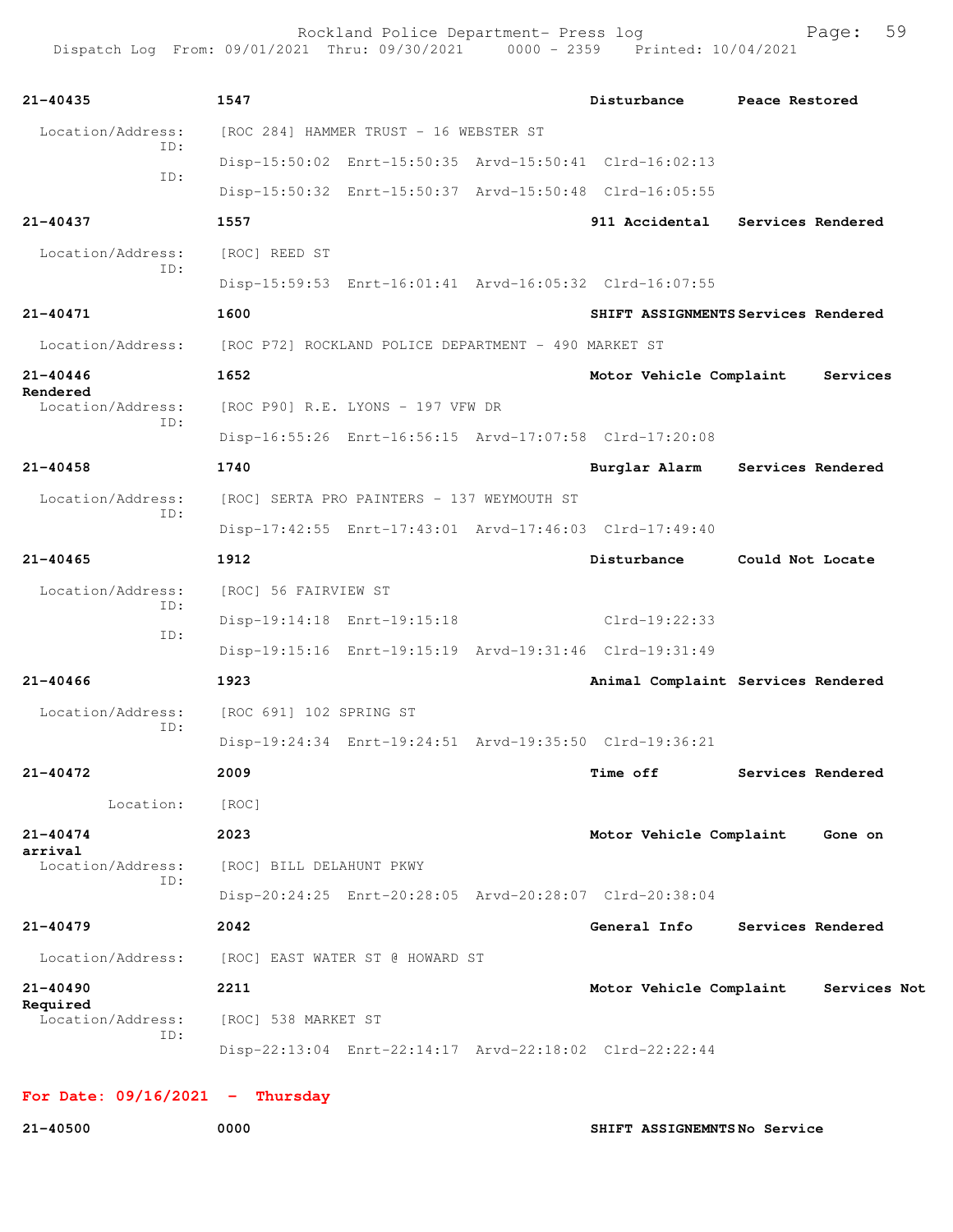| 21-40435                      | 1547                                                 |                                            | Disturbance                                             | Peace Restored                      |
|-------------------------------|------------------------------------------------------|--------------------------------------------|---------------------------------------------------------|-------------------------------------|
| Location/Address:<br>TD:      |                                                      | [ROC 284] HAMMER TRUST - 16 WEBSTER ST     |                                                         |                                     |
| ID:                           |                                                      |                                            | Disp-15:50:02 Enrt-15:50:35 Arvd-15:50:41 Clrd-16:02:13 |                                     |
|                               |                                                      |                                            | Disp-15:50:32 Enrt-15:50:37 Arvd-15:50:48 Clrd-16:05:55 |                                     |
| $21 - 40437$                  | 1557                                                 |                                            |                                                         | 911 Accidental Services Rendered    |
| Location/Address:             | [ROC] REED ST                                        |                                            |                                                         |                                     |
| ID:                           |                                                      |                                            | Disp-15:59:53 Enrt-16:01:41 Arvd-16:05:32 Clrd-16:07:55 |                                     |
| 21-40471                      | 1600                                                 |                                            |                                                         | SHIFT ASSIGNMENTS Services Rendered |
| Location/Address:             | [ROC P72] ROCKLAND POLICE DEPARTMENT - 490 MARKET ST |                                            |                                                         |                                     |
| $21 - 40446$                  | 1652                                                 |                                            | Motor Vehicle Complaint                                 | Services                            |
| Rendered<br>Location/Address: |                                                      | [ROC P90] R.E. LYONS - 197 VFW DR          |                                                         |                                     |
| ID:                           |                                                      |                                            | Disp-16:55:26 Enrt-16:56:15 Arvd-17:07:58 Clrd-17:20:08 |                                     |
| $21 - 40458$                  | 1740                                                 |                                            | Burglar Alarm                                           | Services Rendered                   |
| Location/Address:<br>ID:      |                                                      | [ROC] SERTA PRO PAINTERS - 137 WEYMOUTH ST |                                                         |                                     |
|                               |                                                      |                                            | Disp-17:42:55 Enrt-17:43:01 Arvd-17:46:03 Clrd-17:49:40 |                                     |
| $21 - 40465$                  | 1912                                                 |                                            | Disturbance                                             | Could Not Locate                    |
| Location/Address:             | [ROC] 56 FAIRVIEW ST                                 |                                            |                                                         |                                     |
| ID:                           |                                                      | Disp-19:14:18 Enrt-19:15:18                | Clrd-19:22:33                                           |                                     |
| ID:                           |                                                      |                                            | Disp-19:15:16 Enrt-19:15:19 Arvd-19:31:46 Clrd-19:31:49 |                                     |
| $21 - 40466$                  | 1923                                                 |                                            |                                                         | Animal Complaint Services Rendered  |
| Location/Address:             | [ROC 691] 102 SPRING ST                              |                                            |                                                         |                                     |
| ID:                           |                                                      |                                            | Disp-19:24:34 Enrt-19:24:51 Arvd-19:35:50 Clrd-19:36:21 |                                     |
| 21-40472                      | 2009                                                 |                                            | <b>Time off</b>                                         | Services Rendered                   |
| Location:                     | [ROC]                                                |                                            |                                                         |                                     |
| 21-40474                      | 2023                                                 |                                            | Motor Vehicle Complaint                                 | Gone on                             |
| arrival<br>Location/Address:  | [ROC] BILL DELAHUNT PKWY                             |                                            |                                                         |                                     |
| ID:                           |                                                      |                                            | Disp-20:24:25 Enrt-20:28:05 Arvd-20:28:07 Clrd-20:38:04 |                                     |
| $21 - 40479$                  | 2042                                                 |                                            | General Info                                            | Services Rendered                   |
| Location/Address:             |                                                      | [ROC] EAST WATER ST @ HOWARD ST            |                                                         |                                     |
| 21-40490                      | 2211                                                 |                                            | Motor Vehicle Complaint                                 | Services Not                        |
| Required<br>Location/Address: | [ROC] 538 MARKET ST                                  |                                            |                                                         |                                     |
| ID:                           |                                                      |                                            | Disp-22:13:04 Enrt-22:14:17 Arvd-22:18:02 Clrd-22:22:44 |                                     |

## **For Date: 09/16/2021 - Thursday**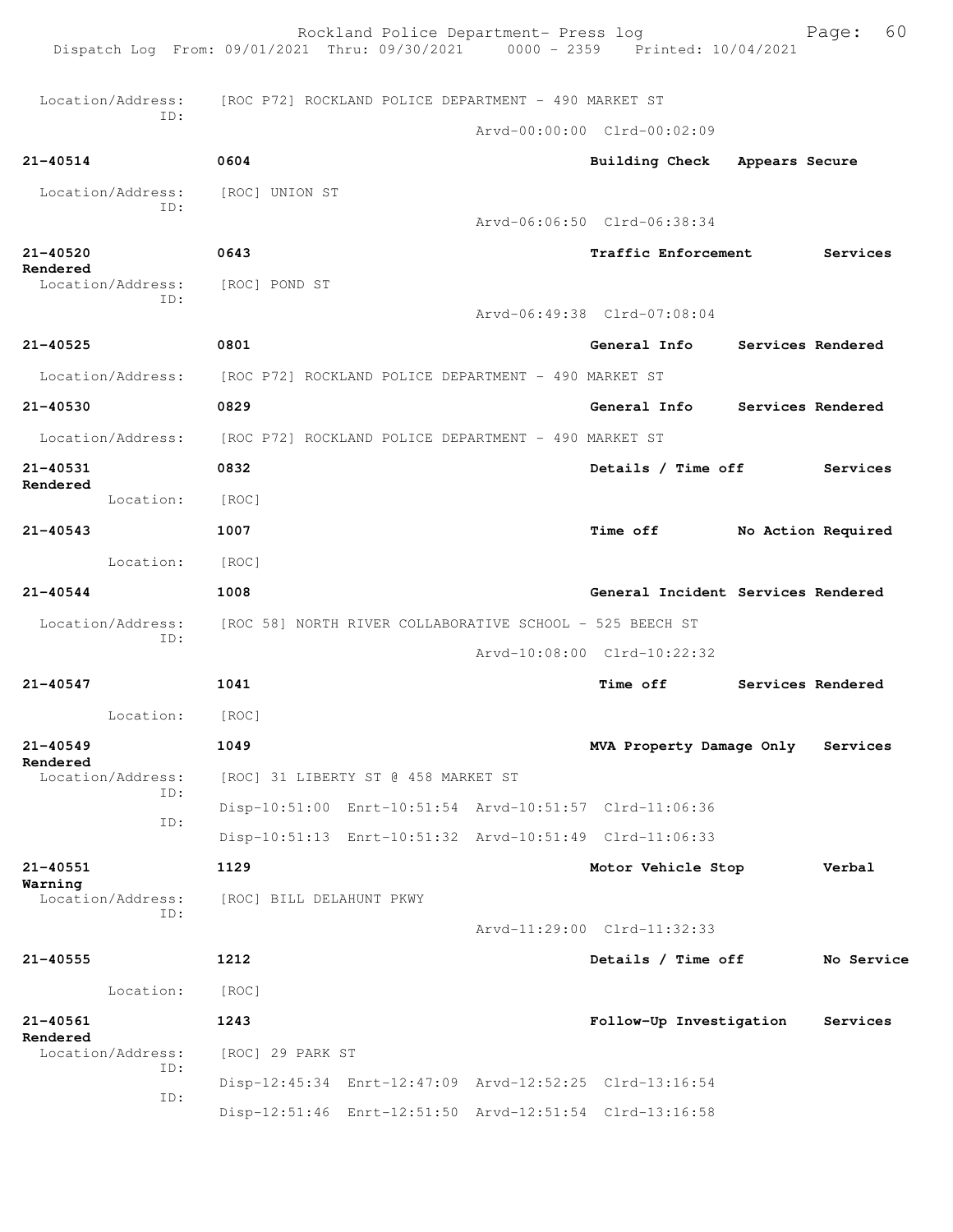| Dispatch Log From: 09/01/2021 Thru: 09/30/2021 0000 - 2359 Printed: 10/04/2021 |                                                          | Rockland Police Department- Press log |                                                         | Page:              | 60 |
|--------------------------------------------------------------------------------|----------------------------------------------------------|---------------------------------------|---------------------------------------------------------|--------------------|----|
| Location/Address:                                                              | [ROC P72] ROCKLAND POLICE DEPARTMENT - 490 MARKET ST     |                                       |                                                         |                    |    |
| ID:                                                                            |                                                          |                                       | Arvd-00:00:00 Clrd-00:02:09                             |                    |    |
| 21-40514                                                                       | 0604                                                     |                                       | Building Check Appears Secure                           |                    |    |
| Location/Address:                                                              | [ROC] UNION ST                                           |                                       |                                                         |                    |    |
| ID:                                                                            |                                                          |                                       | Arvd-06:06:50 Clrd-06:38:34                             |                    |    |
| 21-40520                                                                       | 0643                                                     |                                       | <b>Traffic Enforcement</b>                              | Services           |    |
| Rendered<br>Location/Address:                                                  | [ROC] POND ST                                            |                                       |                                                         |                    |    |
| ID:                                                                            |                                                          |                                       | Arvd-06:49:38 Clrd-07:08:04                             |                    |    |
| $21 - 40525$                                                                   | 0801                                                     |                                       | General Info                                            | Services Rendered  |    |
| Location/Address: [ROC P72] ROCKLAND POLICE DEPARTMENT - 490 MARKET ST         |                                                          |                                       |                                                         |                    |    |
| 21-40530                                                                       | 0829                                                     |                                       | General Info                                            | Services Rendered  |    |
| Location/Address:                                                              | [ROC P72] ROCKLAND POLICE DEPARTMENT - 490 MARKET ST     |                                       |                                                         |                    |    |
| 21-40531                                                                       | 0832                                                     |                                       | Details / Time off                                      | Services           |    |
| Rendered<br>Location:                                                          | [ROC]                                                    |                                       |                                                         |                    |    |
| $21 - 40543$                                                                   | 1007                                                     |                                       | <b>Time off</b>                                         | No Action Required |    |
| Location: [ROC]                                                                |                                                          |                                       |                                                         |                    |    |
| $21 - 40544$                                                                   | 1008                                                     |                                       | General Incident Services Rendered                      |                    |    |
| Location/Address:                                                              | [ROC 58] NORTH RIVER COLLABORATIVE SCHOOL - 525 BEECH ST |                                       |                                                         |                    |    |
| ID:                                                                            |                                                          |                                       | Arvd-10:08:00 Clrd-10:22:32                             |                    |    |
| 21-40547                                                                       | 1041                                                     |                                       | Time off                                                | Services Rendered  |    |
| Location:                                                                      | [ROC]                                                    |                                       |                                                         |                    |    |
| $21 - 40549$                                                                   | 1049                                                     |                                       | MVA Property Damage Only                                | Services           |    |
| Rendered<br>Location/Address:                                                  |                                                          | [ROC] 31 LIBERTY ST @ 458 MARKET ST   |                                                         |                    |    |
| ID:                                                                            |                                                          |                                       | Disp-10:51:00 Enrt-10:51:54 Arvd-10:51:57 Clrd-11:06:36 |                    |    |
| ID:                                                                            |                                                          |                                       | Disp-10:51:13 Enrt-10:51:32 Arvd-10:51:49 Clrd-11:06:33 |                    |    |
| 21-40551                                                                       | 1129                                                     |                                       | Motor Vehicle Stop                                      | Verbal             |    |
| Warning<br>Location/Address:                                                   | [ROC] BILL DELAHUNT PKWY                                 |                                       |                                                         |                    |    |
| ID:                                                                            |                                                          |                                       | Arvd-11:29:00 Clrd-11:32:33                             |                    |    |
| $21 - 40555$                                                                   | 1212                                                     |                                       | Details / Time off                                      | No Service         |    |
| Location:                                                                      | [ROC]                                                    |                                       |                                                         |                    |    |
| 21-40561                                                                       | 1243                                                     |                                       | Follow-Up Investigation                                 | Services           |    |
| Rendered<br>Location/Address:                                                  | [ROC] 29 PARK ST                                         |                                       |                                                         |                    |    |
| ID:                                                                            |                                                          |                                       | Disp-12:45:34 Enrt-12:47:09 Arvd-12:52:25 Clrd-13:16:54 |                    |    |
| ID:                                                                            |                                                          |                                       | Disp-12:51:46 Enrt-12:51:50 Arvd-12:51:54 Clrd-13:16:58 |                    |    |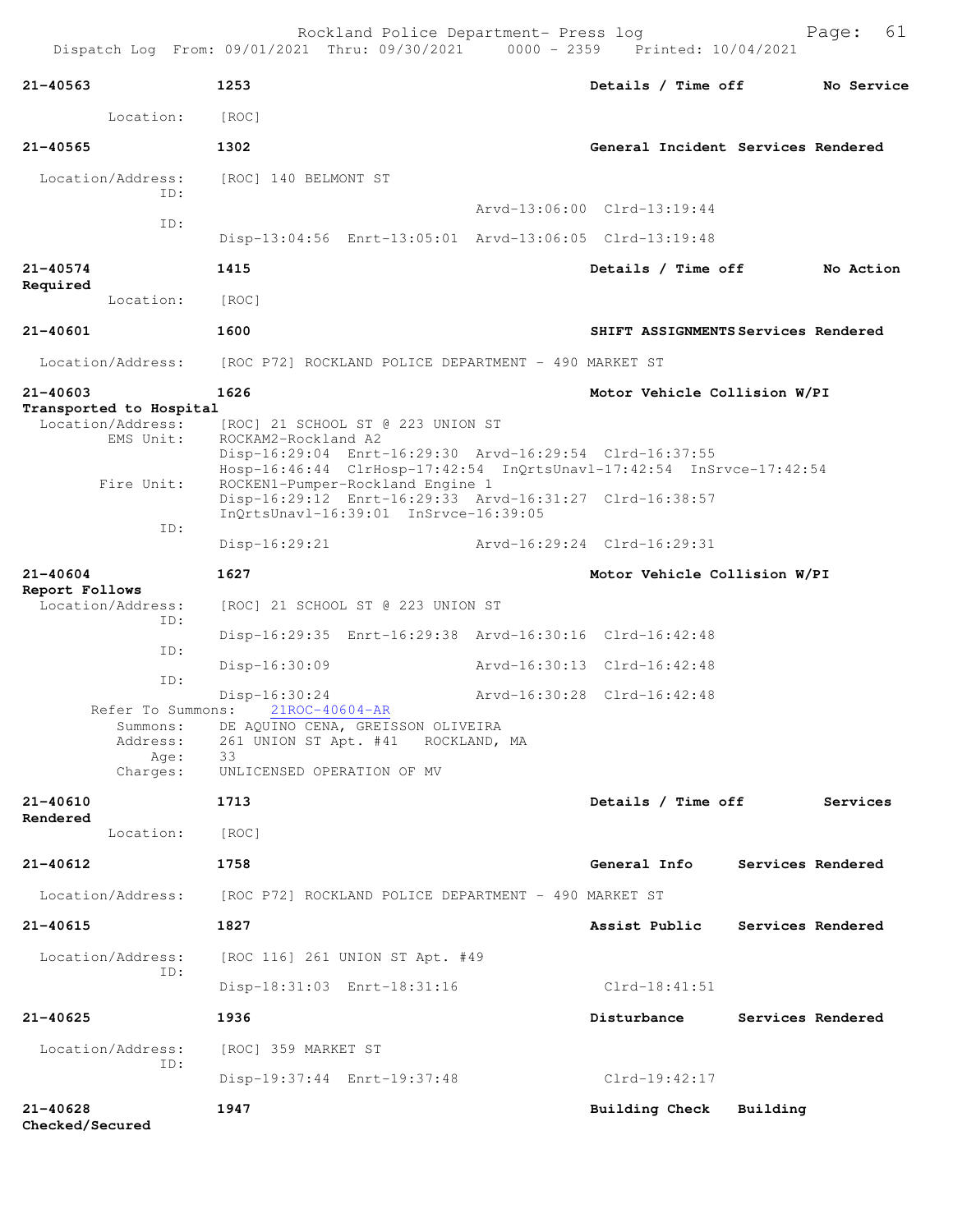| 21-40563                                                                                                                                                                      | 1253                                                                                                                                                                                                                                                                                                                                                                                                                                                                                                                                                                                                                     | Details / Time off                                                                                                        | No Service        |
|-------------------------------------------------------------------------------------------------------------------------------------------------------------------------------|--------------------------------------------------------------------------------------------------------------------------------------------------------------------------------------------------------------------------------------------------------------------------------------------------------------------------------------------------------------------------------------------------------------------------------------------------------------------------------------------------------------------------------------------------------------------------------------------------------------------------|---------------------------------------------------------------------------------------------------------------------------|-------------------|
| Location:                                                                                                                                                                     | [ROC]                                                                                                                                                                                                                                                                                                                                                                                                                                                                                                                                                                                                                    |                                                                                                                           |                   |
| 21-40565                                                                                                                                                                      | 1302                                                                                                                                                                                                                                                                                                                                                                                                                                                                                                                                                                                                                     | General Incident Services Rendered                                                                                        |                   |
| Location/Address:                                                                                                                                                             | [ROC] 140 BELMONT ST                                                                                                                                                                                                                                                                                                                                                                                                                                                                                                                                                                                                     |                                                                                                                           |                   |
| ID:                                                                                                                                                                           |                                                                                                                                                                                                                                                                                                                                                                                                                                                                                                                                                                                                                          | Arvd-13:06:00 Clrd-13:19:44                                                                                               |                   |
| ID:                                                                                                                                                                           | Disp-13:04:56 Enrt-13:05:01 Arvd-13:06:05 Clrd-13:19:48                                                                                                                                                                                                                                                                                                                                                                                                                                                                                                                                                                  |                                                                                                                           |                   |
| 21-40574                                                                                                                                                                      | 1415                                                                                                                                                                                                                                                                                                                                                                                                                                                                                                                                                                                                                     | Details / Time off                                                                                                        | No Action         |
| Required<br>Location:                                                                                                                                                         | [ROC]                                                                                                                                                                                                                                                                                                                                                                                                                                                                                                                                                                                                                    |                                                                                                                           |                   |
| 21-40601                                                                                                                                                                      | 1600                                                                                                                                                                                                                                                                                                                                                                                                                                                                                                                                                                                                                     | SHIFT ASSIGNMENTS Services Rendered                                                                                       |                   |
| Location/Address:                                                                                                                                                             | [ROC P72] ROCKLAND POLICE DEPARTMENT - 490 MARKET ST                                                                                                                                                                                                                                                                                                                                                                                                                                                                                                                                                                     |                                                                                                                           |                   |
| 21-40603                                                                                                                                                                      | 1626                                                                                                                                                                                                                                                                                                                                                                                                                                                                                                                                                                                                                     | Motor Vehicle Collision W/PI                                                                                              |                   |
| Transported to Hospital<br>Location/Address:<br>EMS Unit:<br>Fire Unit:<br>ID:<br>21-40604<br>Report Follows<br>Location/Address:<br>ID:<br>ID:<br>ID:<br>Address:<br>Age: 33 | [ROC] 21 SCHOOL ST @ 223 UNION ST<br>ROCKAM2-Rockland A2<br>Disp-16:29:04 Enrt-16:29:30 Arvd-16:29:54 Clrd-16:37:55<br>Hosp-16:46:44 ClrHosp-17:42:54 InQrtsUnavl-17:42:54 InSrvce-17:42:54<br>ROCKEN1-Pumper-Rockland Engine 1<br>Disp-16:29:12 Enrt-16:29:33 Arvd-16:31:27 Clrd-16:38:57<br>InOrtsUnav1-16:39:01 InSrvce-16:39:05<br>Disp-16:29:21<br>1627<br>[ROC] 21 SCHOOL ST @ 223 UNION ST<br>Disp-16:29:35 Enrt-16:29:38 Arvd-16:30:16 Clrd-16:42:48<br>$Disp-16:30:09$<br>Disp-16:30:24<br>Refer To Summons: 21ROC-40604-AR<br>Summons: DE AQUINO CENA, GREISSON OLIVEIRA<br>261 UNION ST Apt. #41 ROCKLAND, MA | Arvd-16:29:24 Clrd-16:29:31<br>Motor Vehicle Collision W/PI<br>Arvd-16:30:13 Clrd-16:42:48<br>Arvd-16:30:28 Clrd-16:42:48 |                   |
| Charges:                                                                                                                                                                      | UNLICENSED OPERATION OF MV                                                                                                                                                                                                                                                                                                                                                                                                                                                                                                                                                                                               |                                                                                                                           |                   |
| 21-40610<br>Rendered                                                                                                                                                          | 1713                                                                                                                                                                                                                                                                                                                                                                                                                                                                                                                                                                                                                     | Details / Time off                                                                                                        | Services          |
| Location:                                                                                                                                                                     | [ROC]                                                                                                                                                                                                                                                                                                                                                                                                                                                                                                                                                                                                                    |                                                                                                                           |                   |
| 21-40612                                                                                                                                                                      | 1758                                                                                                                                                                                                                                                                                                                                                                                                                                                                                                                                                                                                                     | General Info Services Rendered                                                                                            |                   |
|                                                                                                                                                                               | Location/Address: [ROC P72] ROCKLAND POLICE DEPARTMENT - 490 MARKET ST                                                                                                                                                                                                                                                                                                                                                                                                                                                                                                                                                   |                                                                                                                           |                   |
| 21-40615                                                                                                                                                                      | 1827                                                                                                                                                                                                                                                                                                                                                                                                                                                                                                                                                                                                                     | Assist Public                                                                                                             | Services Rendered |
| Location/Address:<br>ID:                                                                                                                                                      | [ROC 116] 261 UNION ST Apt. #49                                                                                                                                                                                                                                                                                                                                                                                                                                                                                                                                                                                          |                                                                                                                           |                   |
|                                                                                                                                                                               | Disp-18:31:03 Enrt-18:31:16                                                                                                                                                                                                                                                                                                                                                                                                                                                                                                                                                                                              | $Clrd-18:41:51$                                                                                                           |                   |
| 21-40625                                                                                                                                                                      | 1936                                                                                                                                                                                                                                                                                                                                                                                                                                                                                                                                                                                                                     | Disturbance                                                                                                               | Services Rendered |
| Location/Address:                                                                                                                                                             | [ROC] 359 MARKET ST                                                                                                                                                                                                                                                                                                                                                                                                                                                                                                                                                                                                      |                                                                                                                           |                   |
| ID:                                                                                                                                                                           | Disp-19:37:44 Enrt-19:37:48                                                                                                                                                                                                                                                                                                                                                                                                                                                                                                                                                                                              | $Clrd-19:42:17$                                                                                                           |                   |
| 21-40628                                                                                                                                                                      | 1947                                                                                                                                                                                                                                                                                                                                                                                                                                                                                                                                                                                                                     | Building Check Building                                                                                                   |                   |

**Checked/Secured**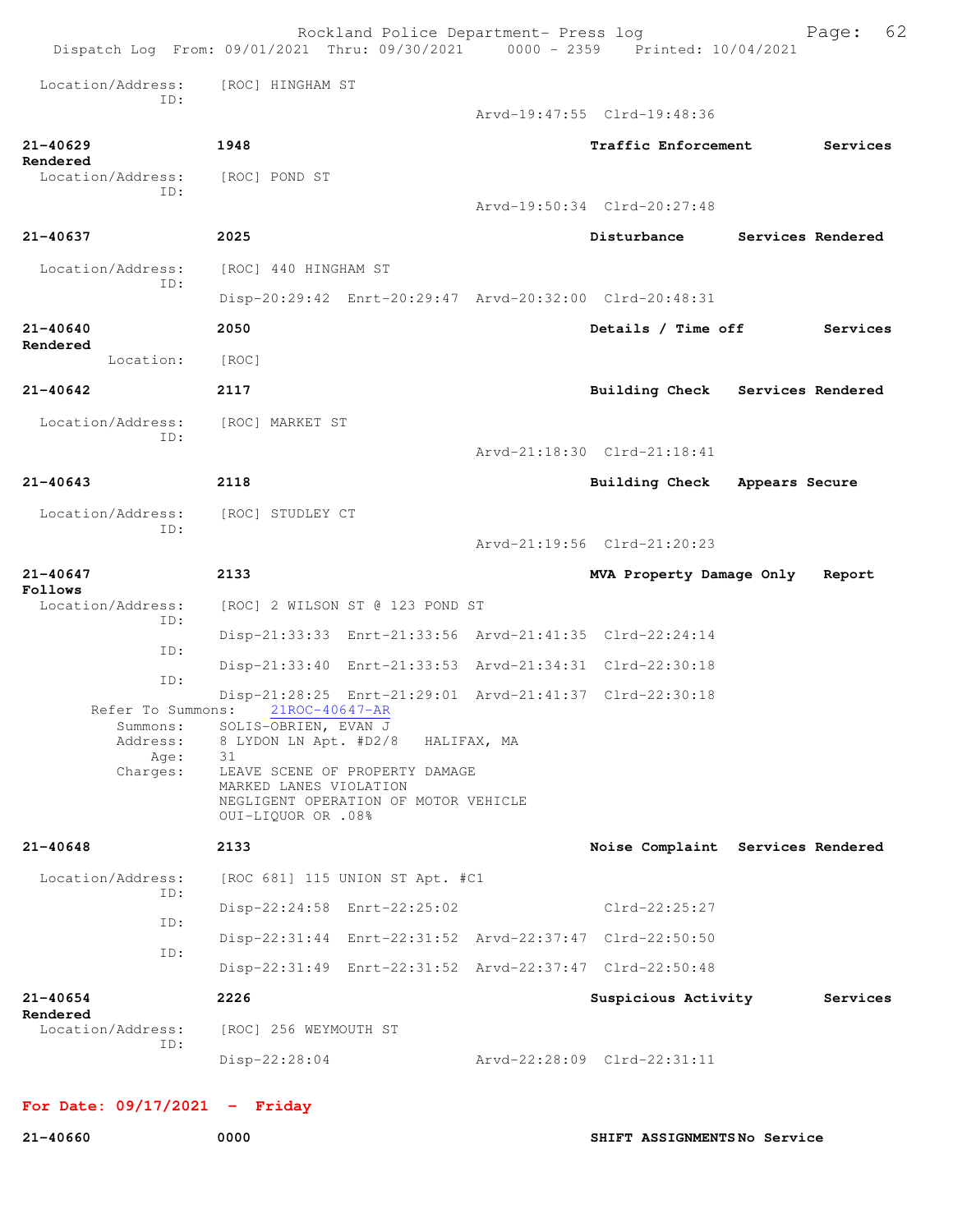|                               | Rockland Police Department- Press log<br>Dispatch Log From: 09/01/2021 Thru: 09/30/2021 0000 - 2359 Printed: 10/04/2021                                           |                             | 62<br>Page:                       |
|-------------------------------|-------------------------------------------------------------------------------------------------------------------------------------------------------------------|-----------------------------|-----------------------------------|
| Location/Address:<br>TD:      | [ROC] HINGHAM ST                                                                                                                                                  | Arvd-19:47:55 Clrd-19:48:36 |                                   |
| $21 - 40629$<br>Rendered      | 1948                                                                                                                                                              | Traffic Enforcement         | Services                          |
| Location/Address:<br>ID:      | [ROC] POND ST                                                                                                                                                     | Arvd-19:50:34 Clrd-20:27:48 |                                   |
| 21-40637                      | 2025                                                                                                                                                              | Disturbance                 | Services Rendered                 |
| Location/Address:<br>ID:      | [ROC] 440 HINGHAM ST                                                                                                                                              |                             |                                   |
|                               | Disp-20:29:42 Enrt-20:29:47 Arvd-20:32:00 Clrd-20:48:31                                                                                                           |                             |                                   |
| 21-40640<br>Rendered          | 2050                                                                                                                                                              | Details / Time off          | Services                          |
| Location:                     | [ROC]                                                                                                                                                             |                             |                                   |
| $21 - 40642$                  | 2117                                                                                                                                                              |                             | Building Check Services Rendered  |
| Location/Address:<br>ID:      | [ROC] MARKET ST                                                                                                                                                   |                             |                                   |
|                               |                                                                                                                                                                   | Arvd-21:18:30 Clrd-21:18:41 |                                   |
| $21 - 40643$                  | 2118                                                                                                                                                              | <b>Building Check</b>       | Appears Secure                    |
| Location/Address:<br>ID:      | [ROC] STUDLEY CT                                                                                                                                                  |                             |                                   |
|                               |                                                                                                                                                                   | Arvd-21:19:56 Clrd-21:20:23 |                                   |
|                               |                                                                                                                                                                   |                             |                                   |
| $21 - 40647$<br>Follows       | 2133                                                                                                                                                              | MVA Property Damage Only    | Report                            |
| Location/Address:<br>ID:      | [ROC] 2 WILSON ST @ 123 POND ST                                                                                                                                   |                             |                                   |
| ID:                           | Disp-21:33:33 Enrt-21:33:56 Arvd-21:41:35 Clrd-22:24:14                                                                                                           |                             |                                   |
| ID:                           | Disp-21:33:40 Enrt-21:33:53 Arvd-21:34:31 Clrd-22:30:18                                                                                                           |                             |                                   |
| Refer To Summons:<br>Summons: | Disp-21:28:25 Enrt-21:29:01 Arvd-21:41:37 Clrd-22:30:18<br>21ROC-40647-AR<br>SOLIS-OBRIEN, EVAN J                                                                 |                             |                                   |
| Address:<br>Age:<br>Charges:  | 8 LYDON LN Apt. #D2/8 HALIFAX, MA<br>31<br>LEAVE SCENE OF PROPERTY DAMAGE<br>MARKED LANES VIOLATION<br>NEGLIGENT OPERATION OF MOTOR VEHICLE<br>0UI-LIQUOR OR .08% |                             |                                   |
| $21 - 40648$                  | 2133                                                                                                                                                              |                             | Noise Complaint Services Rendered |
| Location/Address:             | [ROC 681] 115 UNION ST Apt. #C1                                                                                                                                   |                             |                                   |
| TD:                           | Disp-22:24:58 Enrt-22:25:02                                                                                                                                       | Clrd-22:25:27               |                                   |
| ID:<br>ID:                    | Disp-22:31:44 Enrt-22:31:52 Arvd-22:37:47 Clrd-22:50:50                                                                                                           |                             |                                   |
|                               | Disp-22:31:49 Enrt-22:31:52 Arvd-22:37:47 Clrd-22:50:48                                                                                                           |                             |                                   |
| 21-40654<br>Rendered          | 2226                                                                                                                                                              | Suspicious Activity         | Services                          |
| Location/Address:<br>ID:      | [ROC] 256 WEYMOUTH ST                                                                                                                                             |                             |                                   |

## **For Date: 09/17/2021 - Friday**

**21-40660 0000 SHIFT ASSIGNMENTS No Service**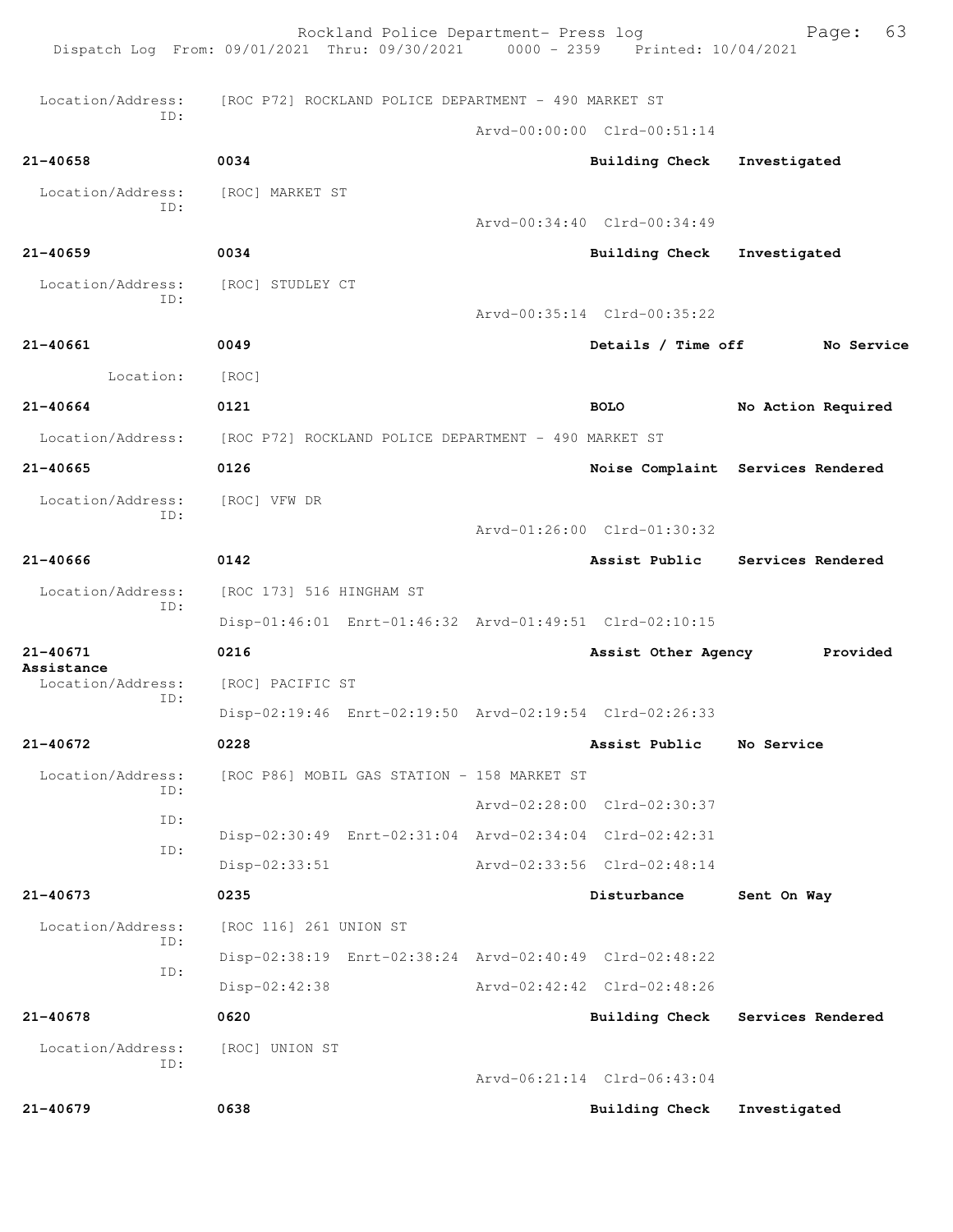| [ROC] UNION ST           |                   | Arvd-06:21:14 Clrd-06:43:04 |                                                                                                                                                                                                                                                                                                                                                                                                                                                                                                                                                                                                                                                                                     |
|--------------------------|-------------------|-----------------------------|-------------------------------------------------------------------------------------------------------------------------------------------------------------------------------------------------------------------------------------------------------------------------------------------------------------------------------------------------------------------------------------------------------------------------------------------------------------------------------------------------------------------------------------------------------------------------------------------------------------------------------------------------------------------------------------|
|                          |                   |                             |                                                                                                                                                                                                                                                                                                                                                                                                                                                                                                                                                                                                                                                                                     |
|                          |                   |                             |                                                                                                                                                                                                                                                                                                                                                                                                                                                                                                                                                                                                                                                                                     |
| 0620                     |                   | Building Check              | Services Rendered                                                                                                                                                                                                                                                                                                                                                                                                                                                                                                                                                                                                                                                                   |
| Disp-02:42:38            |                   |                             |                                                                                                                                                                                                                                                                                                                                                                                                                                                                                                                                                                                                                                                                                     |
|                          |                   |                             |                                                                                                                                                                                                                                                                                                                                                                                                                                                                                                                                                                                                                                                                                     |
| [ROC 116] 261 UNION ST   |                   |                             |                                                                                                                                                                                                                                                                                                                                                                                                                                                                                                                                                                                                                                                                                     |
| 0235                     |                   | Disturbance                 | Sent On Way                                                                                                                                                                                                                                                                                                                                                                                                                                                                                                                                                                                                                                                                         |
| $Disp-02:33:51$          |                   |                             |                                                                                                                                                                                                                                                                                                                                                                                                                                                                                                                                                                                                                                                                                     |
|                          |                   |                             |                                                                                                                                                                                                                                                                                                                                                                                                                                                                                                                                                                                                                                                                                     |
|                          |                   |                             |                                                                                                                                                                                                                                                                                                                                                                                                                                                                                                                                                                                                                                                                                     |
|                          |                   |                             |                                                                                                                                                                                                                                                                                                                                                                                                                                                                                                                                                                                                                                                                                     |
| 0228                     |                   | Assist Public               | No Service                                                                                                                                                                                                                                                                                                                                                                                                                                                                                                                                                                                                                                                                          |
|                          |                   |                             |                                                                                                                                                                                                                                                                                                                                                                                                                                                                                                                                                                                                                                                                                     |
| [ROC] PACIFIC ST         |                   |                             |                                                                                                                                                                                                                                                                                                                                                                                                                                                                                                                                                                                                                                                                                     |
| 0216                     |                   | Assist Other Agency         | Provided                                                                                                                                                                                                                                                                                                                                                                                                                                                                                                                                                                                                                                                                            |
|                          |                   |                             |                                                                                                                                                                                                                                                                                                                                                                                                                                                                                                                                                                                                                                                                                     |
| [ROC 173] 516 HINGHAM ST |                   |                             |                                                                                                                                                                                                                                                                                                                                                                                                                                                                                                                                                                                                                                                                                     |
| 0142                     |                   |                             | Assist Public Services Rendered                                                                                                                                                                                                                                                                                                                                                                                                                                                                                                                                                                                                                                                     |
| [ROC] VFW DR             |                   |                             |                                                                                                                                                                                                                                                                                                                                                                                                                                                                                                                                                                                                                                                                                     |
| 0126                     |                   |                             | Noise Complaint Services Rendered                                                                                                                                                                                                                                                                                                                                                                                                                                                                                                                                                                                                                                                   |
|                          |                   |                             |                                                                                                                                                                                                                                                                                                                                                                                                                                                                                                                                                                                                                                                                                     |
| 0121                     |                   |                             | No Action Required                                                                                                                                                                                                                                                                                                                                                                                                                                                                                                                                                                                                                                                                  |
| [ROC]                    |                   |                             |                                                                                                                                                                                                                                                                                                                                                                                                                                                                                                                                                                                                                                                                                     |
| 0049                     |                   | Details / Time off          | No Service                                                                                                                                                                                                                                                                                                                                                                                                                                                                                                                                                                                                                                                                          |
|                          |                   |                             |                                                                                                                                                                                                                                                                                                                                                                                                                                                                                                                                                                                                                                                                                     |
| [ROC] STUDLEY CT         |                   |                             |                                                                                                                                                                                                                                                                                                                                                                                                                                                                                                                                                                                                                                                                                     |
| 0034                     |                   |                             | Investigated                                                                                                                                                                                                                                                                                                                                                                                                                                                                                                                                                                                                                                                                        |
| [ROC] MARKET ST          |                   |                             |                                                                                                                                                                                                                                                                                                                                                                                                                                                                                                                                                                                                                                                                                     |
| 0034                     |                   |                             | Investigated                                                                                                                                                                                                                                                                                                                                                                                                                                                                                                                                                                                                                                                                        |
|                          |                   |                             |                                                                                                                                                                                                                                                                                                                                                                                                                                                                                                                                                                                                                                                                                     |
|                          |                   |                             |                                                                                                                                                                                                                                                                                                                                                                                                                                                                                                                                                                                                                                                                                     |
|                          | Location/Address: |                             | [ROC P72] ROCKLAND POLICE DEPARTMENT - 490 MARKET ST<br>Arvd-00:00:00 Clrd-00:51:14<br>Building Check<br>Arvd-00:34:40 Clrd-00:34:49<br>Building Check<br>Arvd-00:35:14 Clrd-00:35:22<br><b>BOLO</b><br>[ROC P72] ROCKLAND POLICE DEPARTMENT - 490 MARKET ST<br>Arvd-01:26:00 Clrd-01:30:32<br>Disp-01:46:01 Enrt-01:46:32 Arvd-01:49:51 Clrd-02:10:15<br>Disp-02:19:46 Enrt-02:19:50 Arvd-02:19:54 Clrd-02:26:33<br>[ROC P86] MOBIL GAS STATION - 158 MARKET ST<br>Arvd-02:28:00 Clrd-02:30:37<br>Disp-02:30:49 Enrt-02:31:04 Arvd-02:34:04 Clrd-02:42:31<br>Arvd-02:33:56 Clrd-02:48:14<br>Disp-02:38:19 Enrt-02:38:24 Arvd-02:40:49 Clrd-02:48:22<br>Arvd-02:42:42 Clrd-02:48:26 |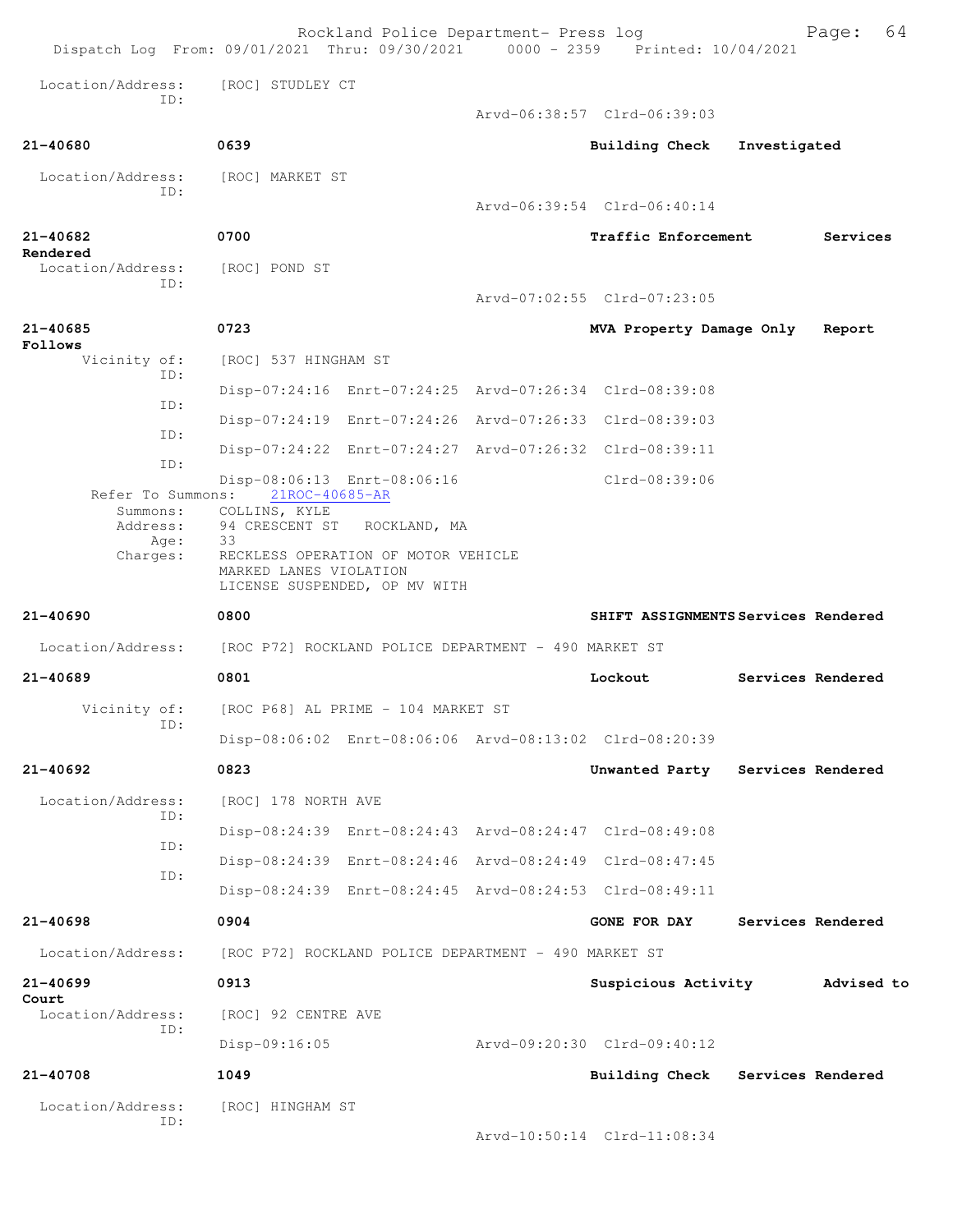| Dispatch Log From: 09/01/2021 Thru: 09/30/2021 0000 - 2359 Printed: 10/04/2021 |                                                                 | Rockland Police Department- Press log                                                |                                                         |              | 64<br>Page:       |
|--------------------------------------------------------------------------------|-----------------------------------------------------------------|--------------------------------------------------------------------------------------|---------------------------------------------------------|--------------|-------------------|
| Location/Address:                                                              | [ROC] STUDLEY CT                                                |                                                                                      |                                                         |              |                   |
| TD:                                                                            |                                                                 |                                                                                      | Arvd-06:38:57 Clrd-06:39:03                             |              |                   |
| 21-40680                                                                       | 0639                                                            |                                                                                      | <b>Building Check</b>                                   | Investigated |                   |
| Location/Address:                                                              | [ROC] MARKET ST                                                 |                                                                                      |                                                         |              |                   |
| ID:                                                                            |                                                                 |                                                                                      | Arvd-06:39:54 Clrd-06:40:14                             |              |                   |
| $21 - 40682$                                                                   | 0700                                                            |                                                                                      | Traffic Enforcement                                     |              | Services          |
| Rendered<br>Location/Address:                                                  | [ROC] POND ST                                                   |                                                                                      |                                                         |              |                   |
| ID:                                                                            |                                                                 |                                                                                      | Arvd-07:02:55 Clrd-07:23:05                             |              |                   |
| $21 - 40685$<br>Follows                                                        | 0723                                                            |                                                                                      | MVA Property Damage Only                                |              | Report            |
| Vicinity of:<br>ID:                                                            | [ROC] 537 HINGHAM ST                                            |                                                                                      |                                                         |              |                   |
| ID:                                                                            |                                                                 |                                                                                      | Disp-07:24:16 Enrt-07:24:25 Arvd-07:26:34 Clrd-08:39:08 |              |                   |
| ID:                                                                            |                                                                 |                                                                                      | Disp-07:24:19 Enrt-07:24:26 Arvd-07:26:33 Clrd-08:39:03 |              |                   |
| ID:                                                                            |                                                                 |                                                                                      | Disp-07:24:22 Enrt-07:24:27 Arvd-07:26:32 Clrd-08:39:11 |              |                   |
| Refer To Summons:                                                              | 21ROC-40685-AR                                                  | Disp-08:06:13 Enrt-08:06:16                                                          | Clrd-08:39:06                                           |              |                   |
| Summons:<br>Address:<br>Age:<br>Charges:                                       | COLLINS, KYLE<br>94 CRESCENT ST<br>33<br>MARKED LANES VIOLATION | ROCKLAND, MA<br>RECKLESS OPERATION OF MOTOR VEHICLE<br>LICENSE SUSPENDED, OP MV WITH |                                                         |              |                   |
| 21-40690                                                                       | 0800                                                            |                                                                                      | SHIFT ASSIGNMENTS Services Rendered                     |              |                   |
| Location/Address:                                                              | [ROC P72] ROCKLAND POLICE DEPARTMENT - 490 MARKET ST            |                                                                                      |                                                         |              |                   |
| 21-40689                                                                       | 0801                                                            |                                                                                      | Lockout                                                 |              | Services Rendered |
| Vicinity of:                                                                   |                                                                 | [ROC P68] AL PRIME - 104 MARKET ST                                                   |                                                         |              |                   |
| ID:                                                                            |                                                                 |                                                                                      | Disp-08:06:02 Enrt-08:06:06 Arvd-08:13:02 Clrd-08:20:39 |              |                   |
| 21-40692                                                                       | 0823                                                            |                                                                                      | Unwanted Party Services Rendered                        |              |                   |
| Location/Address:<br>ID:                                                       | [ROC] 178 NORTH AVE                                             |                                                                                      |                                                         |              |                   |
| ID:                                                                            |                                                                 |                                                                                      | Disp-08:24:39 Enrt-08:24:43 Arvd-08:24:47 Clrd-08:49:08 |              |                   |
| ID:                                                                            |                                                                 |                                                                                      | Disp-08:24:39 Enrt-08:24:46 Arvd-08:24:49 Clrd-08:47:45 |              |                   |
|                                                                                |                                                                 |                                                                                      | Disp-08:24:39 Enrt-08:24:45 Arvd-08:24:53 Clrd-08:49:11 |              |                   |
| 21-40698                                                                       | 0904                                                            |                                                                                      | <b>GONE FOR DAY</b>                                     |              | Services Rendered |
| Location/Address:                                                              |                                                                 | [ROC P72] ROCKLAND POLICE DEPARTMENT - 490 MARKET ST                                 |                                                         |              |                   |
| $21 - 40699$                                                                   | 0913                                                            |                                                                                      | Suspicious Activity                                     |              | Advised to        |
| Court<br>Location/Address:<br>ID:                                              | [ROC] 92 CENTRE AVE                                             |                                                                                      |                                                         |              |                   |
|                                                                                | $Disp-09:16:05$                                                 |                                                                                      | Arvd-09:20:30 Clrd-09:40:12                             |              |                   |
| $21 - 40708$                                                                   | 1049                                                            |                                                                                      | Building Check Services Rendered                        |              |                   |
| Location/Address:                                                              | [ROC] HINGHAM ST                                                |                                                                                      |                                                         |              |                   |
| ID:                                                                            |                                                                 |                                                                                      | Arvd-10:50:14 Clrd-11:08:34                             |              |                   |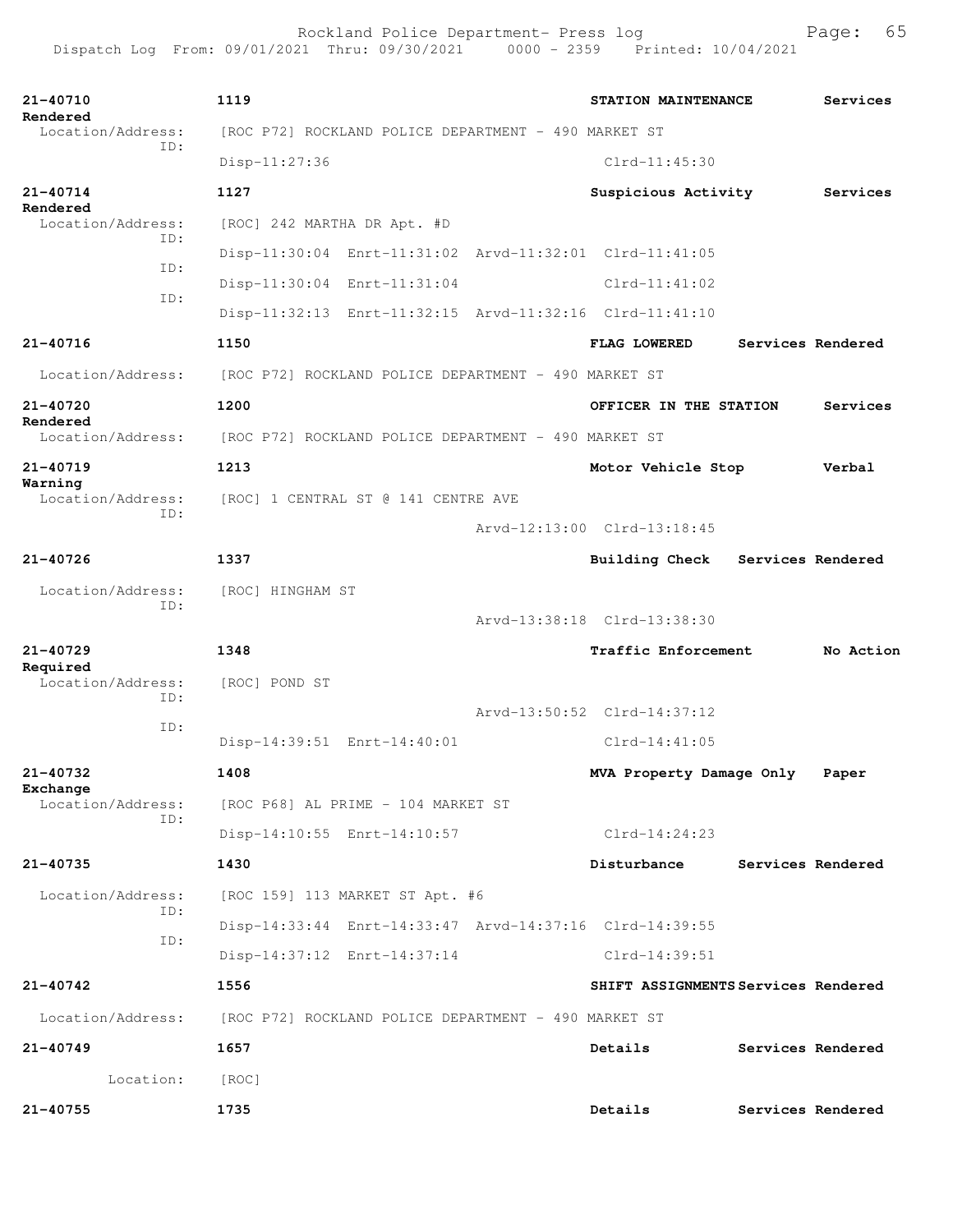| 21-40710<br>Rendered          | 1119                                                    | STATION MAINTENANCE                 |                   | Services          |  |
|-------------------------------|---------------------------------------------------------|-------------------------------------|-------------------|-------------------|--|
| Location/Address:<br>TD:      | [ROC P72] ROCKLAND POLICE DEPARTMENT - 490 MARKET ST    |                                     |                   |                   |  |
|                               | $Disp-11:27:36$                                         | $Clrd-11:45:30$                     |                   |                   |  |
| 21-40714<br>Rendered          | 1127                                                    | Suspicious Activity                 |                   | Services          |  |
| Location/Address:<br>ID:      | [ROC] 242 MARTHA DR Apt. #D                             |                                     |                   |                   |  |
| TD:                           | Disp-11:30:04 Enrt-11:31:02 Arvd-11:32:01 Clrd-11:41:05 |                                     |                   |                   |  |
| ID:                           | Disp-11:30:04 Enrt-11:31:04                             | $Clrd-11:41:02$                     |                   |                   |  |
|                               | Disp-11:32:13 Enrt-11:32:15 Arvd-11:32:16 Clrd-11:41:10 |                                     |                   |                   |  |
| 21-40716                      | 1150                                                    | <b>FLAG LOWERED</b>                 | Services Rendered |                   |  |
| Location/Address:             | [ROC P72] ROCKLAND POLICE DEPARTMENT - 490 MARKET ST    |                                     |                   |                   |  |
| 21-40720                      | 1200                                                    | OFFICER IN THE STATION              |                   | Services          |  |
| Rendered<br>Location/Address: | [ROC P72] ROCKLAND POLICE DEPARTMENT - 490 MARKET ST    |                                     |                   |                   |  |
| $21 - 40719$                  | 1213                                                    | Motor Vehicle Stop                  |                   | Verbal            |  |
| Warning<br>Location/Address:  | [ROC] 1 CENTRAL ST @ 141 CENTRE AVE                     |                                     |                   |                   |  |
| ID:                           |                                                         | Arvd-12:13:00 Clrd-13:18:45         |                   |                   |  |
| $21 - 40726$                  | 1337                                                    | <b>Building Check</b>               | Services Rendered |                   |  |
| Location/Address:             | [ROC] HINGHAM ST                                        |                                     |                   |                   |  |
| ID:                           |                                                         | Arvd-13:38:18 Clrd-13:38:30         |                   |                   |  |
| 21-40729                      | 1348                                                    | Traffic Enforcement                 |                   | No Action         |  |
| Required<br>Location/Address: | [ROC] POND ST                                           |                                     |                   |                   |  |
| ID:                           |                                                         | Arvd-13:50:52 Clrd-14:37:12         |                   |                   |  |
| TD:                           | Disp-14:39:51 Enrt-14:40:01                             | $Clrd-14:41:05$                     |                   |                   |  |
| 21-40732                      | 1408                                                    | MVA Property Damage Only            |                   | Paper             |  |
| Exchange<br>Location/Address: | [ROC P68] AL PRIME - 104 MARKET ST                      |                                     |                   |                   |  |
| ID:                           | Disp-14:10:55 Enrt-14:10:57                             | $Clrd-14:24:23$                     |                   |                   |  |
| 21-40735                      | 1430                                                    | Disturbance                         |                   | Services Rendered |  |
| Location/Address:             | [ROC 159] 113 MARKET ST Apt. #6                         |                                     |                   |                   |  |
| ID:                           | Disp-14:33:44 Enrt-14:33:47 Arvd-14:37:16 Clrd-14:39:55 |                                     |                   |                   |  |
| ID:                           | Disp-14:37:12 Enrt-14:37:14                             | Clrd-14:39:51                       |                   |                   |  |
| 21-40742                      | 1556                                                    | SHIFT ASSIGNMENTS Services Rendered |                   |                   |  |
| Location/Address:             | [ROC P72] ROCKLAND POLICE DEPARTMENT - 490 MARKET ST    |                                     |                   |                   |  |
| $21 - 40749$                  | 1657                                                    | Details                             |                   | Services Rendered |  |
| Location:                     | [ROC]                                                   |                                     |                   |                   |  |
| 21-40755                      | 1735                                                    | Details                             | Services Rendered |                   |  |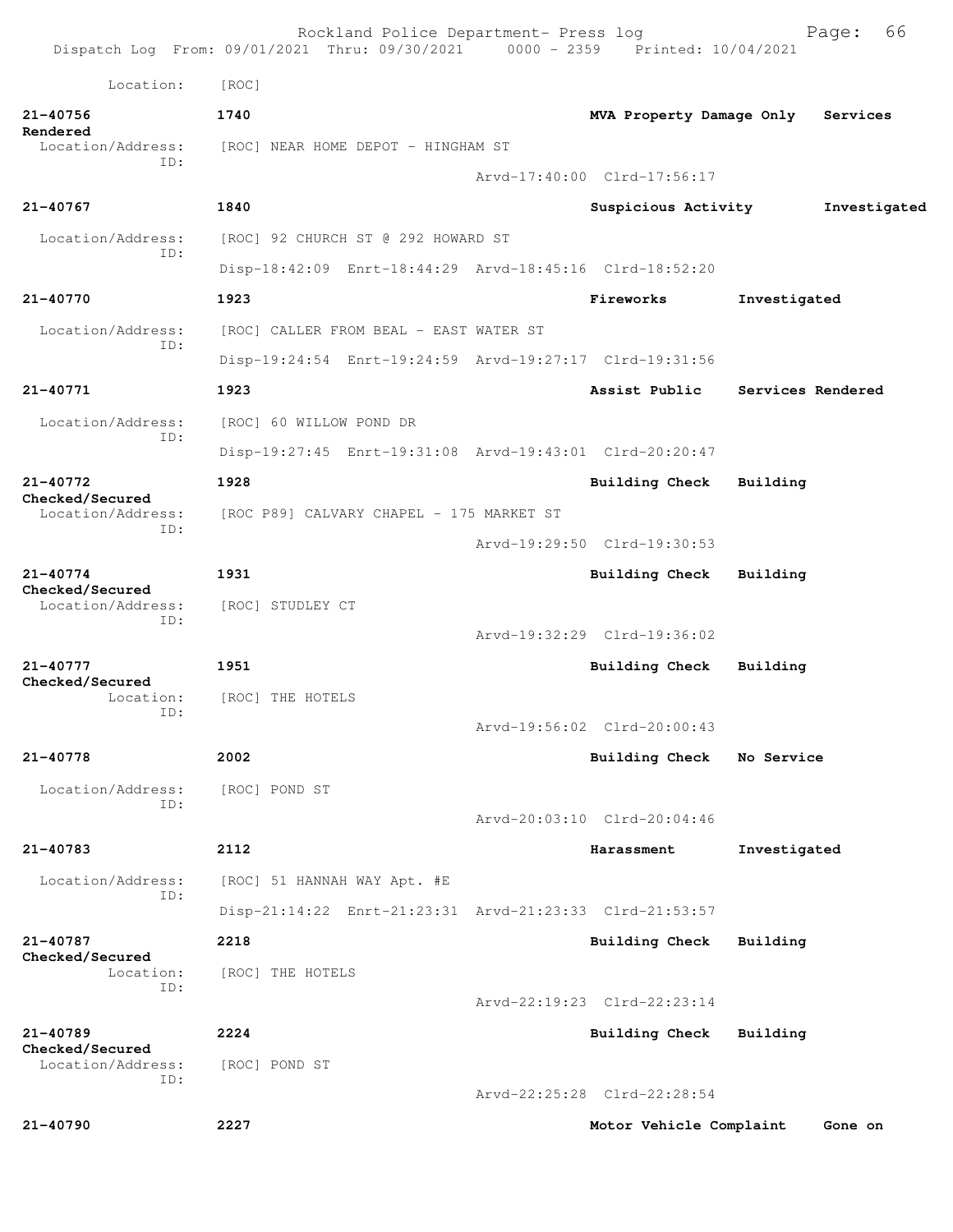|                                      | Rockland Police Department- Press log<br>Dispatch Log From: 09/01/2021 Thru: 09/30/2021 0000 - 2359 Printed: 10/04/2021 |  |                             |                   | 66<br>Page:  |
|--------------------------------------|-------------------------------------------------------------------------------------------------------------------------|--|-----------------------------|-------------------|--------------|
| Location:                            | [ROC]                                                                                                                   |  |                             |                   |              |
| 21-40756                             | 1740                                                                                                                    |  | MVA Property Damage Only    |                   | Services     |
| Rendered<br>Location/Address:        | [ROC] NEAR HOME DEPOT - HINGHAM ST                                                                                      |  |                             |                   |              |
| ID:                                  |                                                                                                                         |  | Arvd-17:40:00 Clrd-17:56:17 |                   |              |
| $21 - 40767$                         | 1840                                                                                                                    |  | Suspicious Activity         |                   | Investigated |
| Location/Address:                    | [ROC] 92 CHURCH ST @ 292 HOWARD ST                                                                                      |  |                             |                   |              |
| ID:                                  | Disp-18:42:09 Enrt-18:44:29 Arvd-18:45:16 Clrd-18:52:20                                                                 |  |                             |                   |              |
| 21-40770                             | 1923                                                                                                                    |  | Fireworks                   | Investigated      |              |
| Location/Address:                    | [ROC] CALLER FROM BEAL - EAST WATER ST                                                                                  |  |                             |                   |              |
| ID:                                  | Disp-19:24:54 Enrt-19:24:59 Arvd-19:27:17 Clrd-19:31:56                                                                 |  |                             |                   |              |
| 21-40771                             | 1923                                                                                                                    |  | Assist Public               | Services Rendered |              |
| Location/Address:                    | [ROC] 60 WILLOW POND DR                                                                                                 |  |                             |                   |              |
| ID:                                  | Disp-19:27:45 Enrt-19:31:08 Arvd-19:43:01 Clrd-20:20:47                                                                 |  |                             |                   |              |
| $21 - 40772$                         | 1928                                                                                                                    |  | <b>Building Check</b>       | Building          |              |
| Checked/Secured<br>Location/Address: | [ROC P89] CALVARY CHAPEL - 175 MARKET ST                                                                                |  |                             |                   |              |
| ID:                                  |                                                                                                                         |  | Arvd-19:29:50 Clrd-19:30:53 |                   |              |
| $21 - 40774$                         | 1931                                                                                                                    |  | <b>Building Check</b>       | Building          |              |
| Checked/Secured<br>Location/Address: | [ROC] STUDLEY CT                                                                                                        |  |                             |                   |              |
| ID:                                  |                                                                                                                         |  | Arvd-19:32:29 Clrd-19:36:02 |                   |              |
| 21-40777                             | 1951                                                                                                                    |  | Building Check              | Building          |              |
| Checked/Secured<br>Location:         | [ROC] THE HOTELS                                                                                                        |  |                             |                   |              |
| ID:                                  |                                                                                                                         |  | Arvd-19:56:02 Clrd-20:00:43 |                   |              |
| 21-40778                             | 2002                                                                                                                    |  | Building Check              | No Service        |              |
| Location/Address:<br>ID:             | [ROC] POND ST                                                                                                           |  |                             |                   |              |
|                                      |                                                                                                                         |  | Arvd-20:03:10 Clrd-20:04:46 |                   |              |
| 21-40783                             | 2112                                                                                                                    |  | Harassment                  | Investigated      |              |
| Location/Address:<br>ID:             | [ROC] 51 HANNAH WAY Apt. #E                                                                                             |  |                             |                   |              |
|                                      | Disp-21:14:22 Enrt-21:23:31 Arvd-21:23:33 Clrd-21:53:57                                                                 |  |                             |                   |              |
| 21-40787<br>Checked/Secured          | 2218                                                                                                                    |  | Building Check              | Building          |              |
| Location:<br>ID:                     | [ROC] THE HOTELS                                                                                                        |  |                             |                   |              |
|                                      |                                                                                                                         |  | Arvd-22:19:23 Clrd-22:23:14 |                   |              |
| $21 - 40789$<br>Checked/Secured      | 2224                                                                                                                    |  | Building Check              | Building          |              |
| Location/Address:<br>ID:             | [ROC] POND ST                                                                                                           |  |                             |                   |              |
|                                      |                                                                                                                         |  | Arvd-22:25:28 Clrd-22:28:54 |                   |              |
| 21-40790                             | 2227                                                                                                                    |  | Motor Vehicle Complaint     |                   | Gone on      |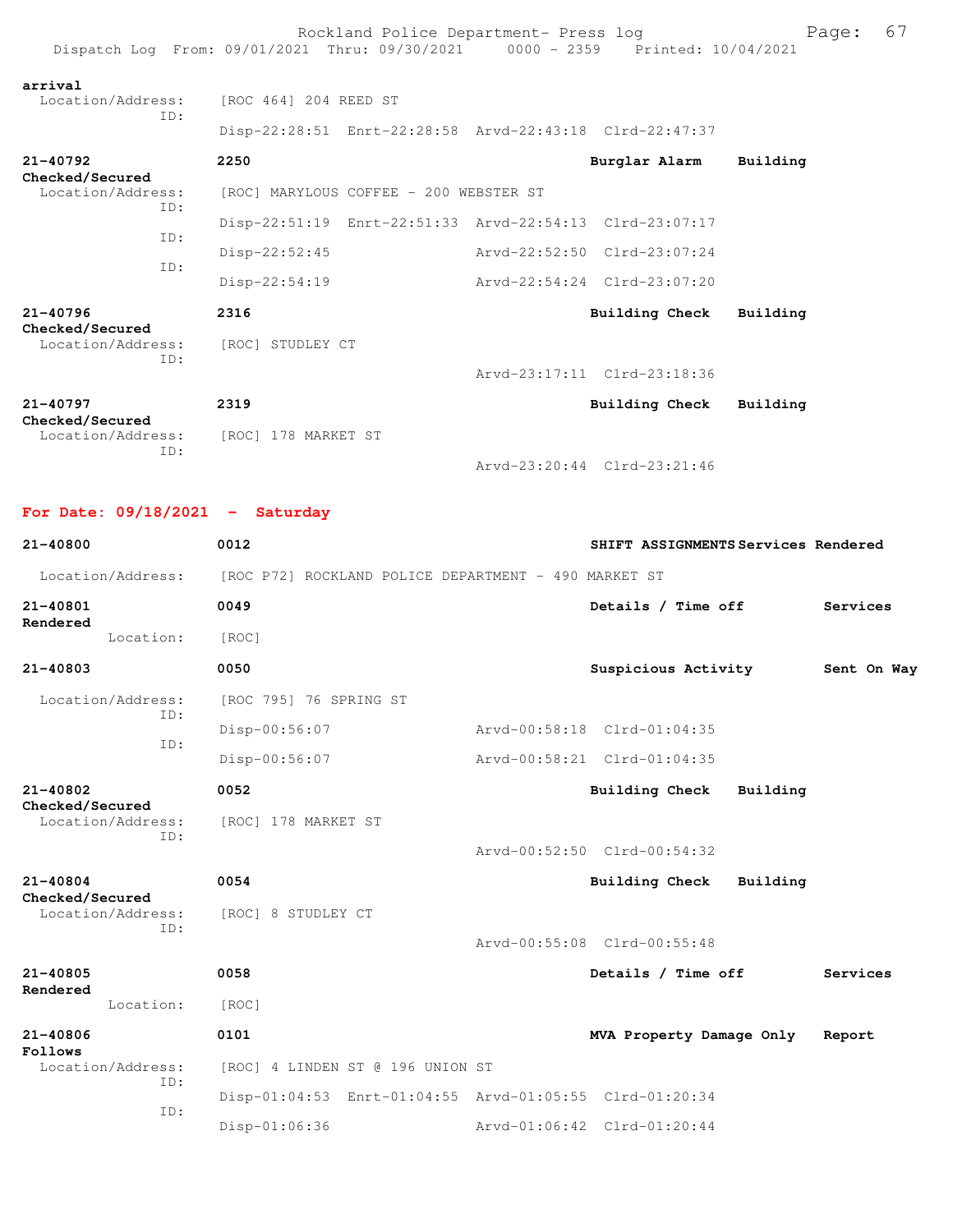|                                             | Rockland Police Department- Press log<br>Dispatch Log From: 09/01/2021 Thru: 09/30/2021 0000 - 2359 Printed: 10/04/2021 |                             | Page:    | 67 |
|---------------------------------------------|-------------------------------------------------------------------------------------------------------------------------|-----------------------------|----------|----|
| arrival<br>Location/Address:<br>TD:         | [ROC 464] 204 REED ST<br>Disp-22:28:51 Enrt-22:28:58 Arvd-22:43:18 Clrd-22:47:37                                        |                             |          |    |
| $21 - 40792$<br>Checked/Secured             | 2250                                                                                                                    | Burglar Alarm               | Building |    |
| Location/Address:                           | [ROC] MARYLOUS COFFEE - 200 WEBSTER ST                                                                                  |                             |          |    |
| ID:<br>ID:                                  | Disp-22:51:19 Enrt-22:51:33 Arvd-22:54:13 Clrd-23:07:17                                                                 |                             |          |    |
|                                             | Disp-22:52:45                                                                                                           | Arvd-22:52:50 Clrd-23:07:24 |          |    |
| TD:                                         | $Disp-22:54:19$                                                                                                         | Arvd-22:54:24 Clrd-23:07:20 |          |    |
| $21 - 40796$                                | 2316                                                                                                                    | Building Check              | Building |    |
| Checked/Secured<br>Location/Address:<br>ID: | [ROC] STUDLEY CT                                                                                                        |                             |          |    |
|                                             |                                                                                                                         | Arvd-23:17:11 Clrd-23:18:36 |          |    |
| $21 - 40797$<br>Checked/Secured             | 2319                                                                                                                    | <b>Building Check</b>       | Building |    |
| Location/Address:<br>TD:                    | [ROC] 178 MARKET ST                                                                                                     |                             |          |    |
|                                             |                                                                                                                         | Arvd-23:20:44 Clrd-23:21:46 |          |    |

**For Date: 09/18/2021 - Saturday**

| 21-40800                             | 0012                                                    | SHIFT ASSIGNMENTS Services Rendered |             |  |
|--------------------------------------|---------------------------------------------------------|-------------------------------------|-------------|--|
| Location/Address:                    | [ROC P72] ROCKLAND POLICE DEPARTMENT - 490 MARKET ST    |                                     |             |  |
| 21-40801                             | 0049                                                    | Details / Time off                  | Services    |  |
| Rendered<br>Location:                | [ROC]                                                   |                                     |             |  |
| 21-40803                             | 0050                                                    | Suspicious Activity                 | Sent On Way |  |
| Location/Address:                    | [ROC 795] 76 SPRING ST                                  |                                     |             |  |
| TD:                                  | Disp-00:56:07                                           | Arvd-00:58:18 Clrd-01:04:35         |             |  |
| TD:                                  | $Disp-00:56:07$                                         | Arvd-00:58:21 Clrd-01:04:35         |             |  |
| 21-40802                             | 0052                                                    | Building Check<br>Building          |             |  |
| Checked/Secured<br>Location/Address: | [ROC] 178 MARKET ST                                     |                                     |             |  |
| ID:                                  |                                                         | Arvd-00:52:50 Clrd-00:54:32         |             |  |
| $21 - 40804$                         | 0054                                                    | Building Check<br>Building          |             |  |
| Checked/Secured<br>Location/Address: | [ROC] 8 STUDLEY CT                                      |                                     |             |  |
| ID:                                  |                                                         | Arvd-00:55:08 Clrd-00:55:48         |             |  |
| $21 - 40805$                         | 0058                                                    | Details / Time off                  | Services    |  |
| Rendered<br>Location:                | [ROC]                                                   |                                     |             |  |
| $21 - 40806$                         | 0101                                                    | MVA Property Damage Only            | Report      |  |
| Follows<br>Location/Address:         | [ROC] 4 LINDEN ST @ 196 UNION ST                        |                                     |             |  |
| ID:                                  | Disp-01:04:53 Enrt-01:04:55 Arvd-01:05:55 Clrd-01:20:34 |                                     |             |  |
| TD:                                  | Disp-01:06:36                                           | Arvd-01:06:42 Clrd-01:20:44         |             |  |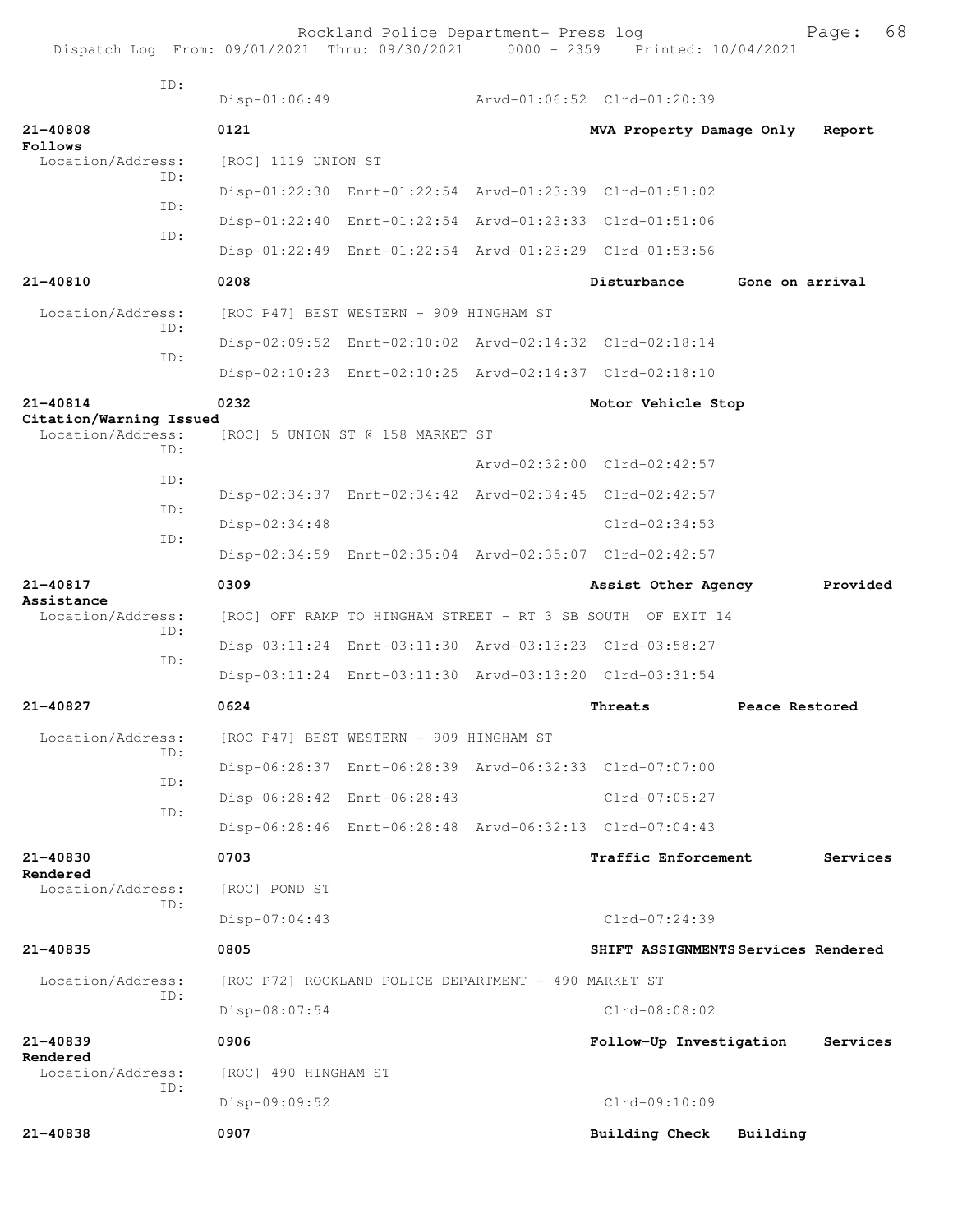Rockland Police Department- Press log Page: 68 Dispatch Log From:  $09/01/2021$  Thru:  $09/30/2021$  0000 - 2359 ID: Disp-01:06:49 Arvd-01:06:52 Clrd-01:20:39 **21-40808 0121 MVA Property Damage Only Report Follows**<br>Location/Address: [ROC] 1119 UNION ST ID: Disp-01:22:30 Enrt-01:22:54 Arvd-01:23:39 Clrd-01:51:02 ID: Disp-01:22:40 Enrt-01:22:54 Arvd-01:23:33 Clrd-01:51:06 ID: Disp-01:22:49 Enrt-01:22:54 Arvd-01:23:29 Clrd-01:53:56 **21-40810 0208 Disturbance Gone on arrival** Location/Address: [ROC P47] BEST WESTERN - 909 HINGHAM ST ID: Disp-02:09:52 Enrt-02:10:02 Arvd-02:14:32 Clrd-02:18:14 ID: Disp-02:10:23 Enrt-02:10:25 Arvd-02:14:37 Clrd-02:18:10 **21-40814 0232 Motor Vehicle Stop Citation/Warning Issued**  Location/Address: [ROC] 5 UNION ST @ 158 MARKET ST ID: Arvd-02:32:00 Clrd-02:42:57 ID: Disp-02:34:37 Enrt-02:34:42 Arvd-02:34:45 Clrd-02:42:57 ID: Disp-02:34:48 Clrd-02:34:53 ID: Disp-02:34:59 Enrt-02:35:04 Arvd-02:35:07 Clrd-02:42:57 **21-40817 0309 Assist Other Agency Provided Assistance**  [ROC] OFF RAMP TO HINGHAM STREET - RT 3 SB SOUTH OF EXIT 14 ID: Disp-03:11:24 Enrt-03:11:30 Arvd-03:13:23 Clrd-03:58:27 ID: Disp-03:11:24 Enrt-03:11:30 Arvd-03:13:20 Clrd-03:31:54 **21-40827 0624 Threats Peace Restored** Location/Address: [ROC P47] BEST WESTERN - 909 HINGHAM ST ID: Disp-06:28:37 Enrt-06:28:39 Arvd-06:32:33 Clrd-07:07:00 ID: Disp-06:28:42 Enrt-06:28:43 Clrd-07:05:27 ID: Disp-06:28:46 Enrt-06:28:48 Arvd-06:32:13 Clrd-07:04:43 **21-40830 0703 Traffic Enforcement Services Rendered**  Location/Address: [ROC] POND ST ID: Disp-07:04:43 Clrd-07:24:39 **21-40835 0805 SHIFT ASSIGNMENTS Services Rendered** Location/Address: [ROC P72] ROCKLAND POLICE DEPARTMENT - 490 MARKET ST ID: Disp-08:07:54 Clrd-08:08:02 **21-40839 0906 Follow-Up Investigation Services Rendered**  Location/Address: [ROC] 490 HINGHAM ST ID: Disp-09:09:52 Clrd-09:10:09 **21-40838 0907 Building Check Building**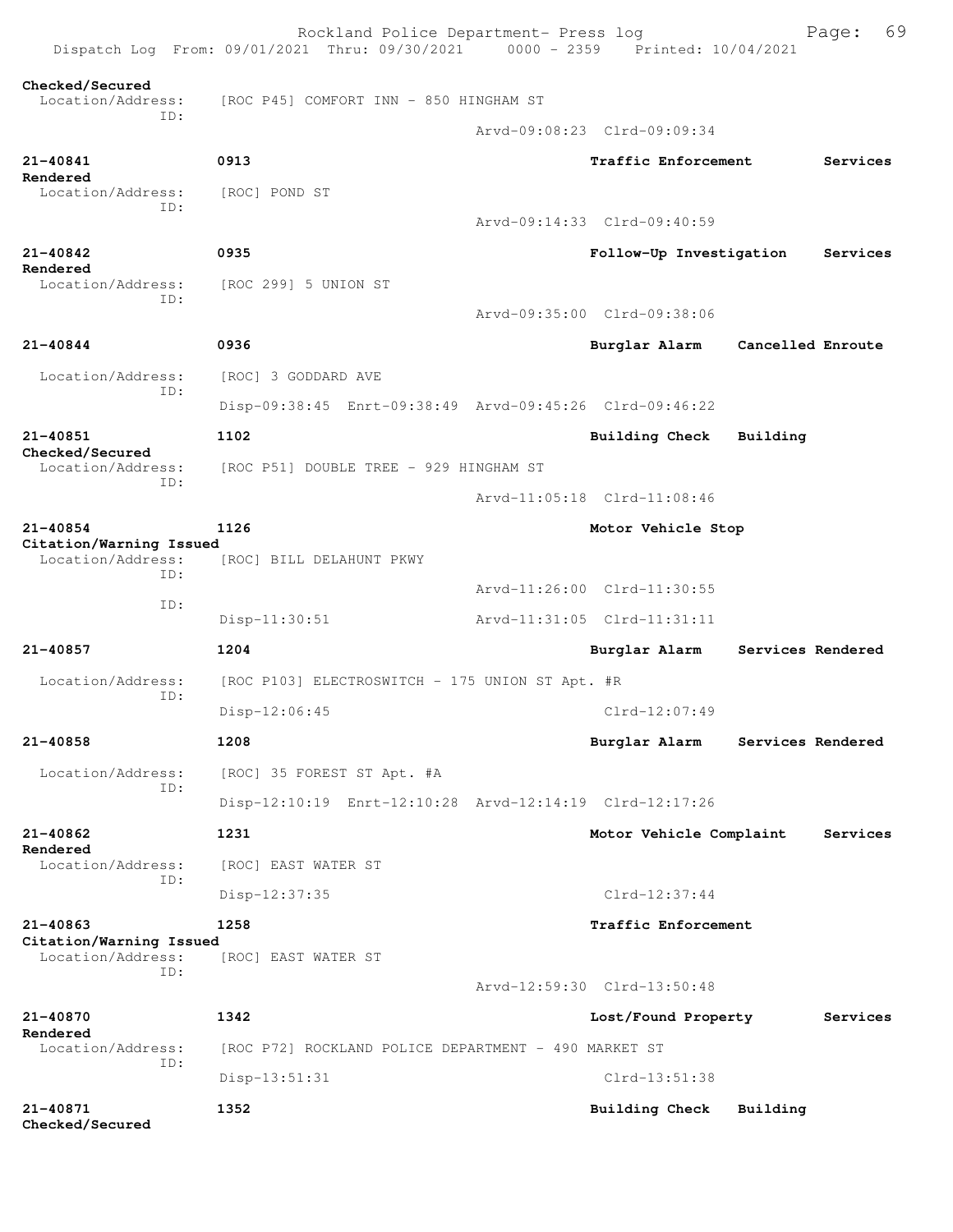|                                              | Rockland Police Department- Press log<br>Dispatch Log From: 09/01/2021 Thru: 09/30/2021 0000 - 2359 Printed: 10/04/2021 |                             |                   | 69<br>Page: |
|----------------------------------------------|-------------------------------------------------------------------------------------------------------------------------|-----------------------------|-------------------|-------------|
| Checked/Secured<br>Location/Address:         | [ROC P45] COMFORT INN - 850 HINGHAM ST                                                                                  |                             |                   |             |
| TD:                                          |                                                                                                                         | Arvd-09:08:23 Clrd-09:09:34 |                   |             |
| 21-40841<br>Rendered                         | 0913                                                                                                                    | Traffic Enforcement         |                   | Services    |
| Location/Address:                            | [ROC] POND ST                                                                                                           |                             |                   |             |
| ID:                                          |                                                                                                                         | Arvd-09:14:33 Clrd-09:40:59 |                   |             |
| 21-40842                                     | 0935                                                                                                                    | Follow-Up Investigation     |                   | Services    |
| Rendered<br>Location/Address:                | [ROC 299] 5 UNION ST                                                                                                    |                             |                   |             |
| ID:                                          |                                                                                                                         | Arvd-09:35:00 Clrd-09:38:06 |                   |             |
| 21-40844                                     | 0936                                                                                                                    | Burglar Alarm               | Cancelled Enroute |             |
| Location/Address:                            | [ROC] 3 GODDARD AVE                                                                                                     |                             |                   |             |
| TD:                                          | Disp-09:38:45 Enrt-09:38:49 Arvd-09:45:26 Clrd-09:46:22                                                                 |                             |                   |             |
| 21-40851                                     | 1102                                                                                                                    | Building Check              | Building          |             |
| Checked/Secured<br>Location/Address:<br>ID:  | [ROC P51] DOUBLE TREE - 929 HINGHAM ST                                                                                  |                             |                   |             |
|                                              |                                                                                                                         | Arvd-11:05:18 Clrd-11:08:46 |                   |             |
| 21-40854                                     | 1126                                                                                                                    | Motor Vehicle Stop          |                   |             |
| Citation/Warning Issued<br>Location/Address: | [ROC] BILL DELAHUNT PKWY                                                                                                |                             |                   |             |
| ID:<br>ID:                                   |                                                                                                                         | Arvd-11:26:00 Clrd-11:30:55 |                   |             |
|                                              | Disp-11:30:51                                                                                                           | Arvd-11:31:05 Clrd-11:31:11 |                   |             |
| 21-40857                                     | 1204                                                                                                                    | Burglar Alarm               | Services Rendered |             |
| Location/Address:<br>ID:                     | [ROC P103] ELECTROSWITCH - 175 UNION ST Apt. #R                                                                         |                             |                   |             |
|                                              | Disp-12:06:45                                                                                                           | $Clrd-12:07:49$             |                   |             |
| 21-40858                                     | 1208                                                                                                                    | Burglar Alarm               | Services Rendered |             |
| Location/Address:<br>TD:                     | [ROC] 35 FOREST ST Apt. #A                                                                                              |                             |                   |             |
|                                              | Disp-12:10:19 Enrt-12:10:28 Arvd-12:14:19 Clrd-12:17:26                                                                 |                             |                   |             |
| $21 - 40862$<br>Rendered                     | 1231                                                                                                                    | Motor Vehicle Complaint     |                   | Services    |
| Location/Address:<br>TD:                     | [ROC] EAST WATER ST                                                                                                     |                             |                   |             |
|                                              | Disp-12:37:35                                                                                                           | $Clrd-12:37:44$             |                   |             |
| 21-40863<br>Citation/Warning Issued          | 1258                                                                                                                    | Traffic Enforcement         |                   |             |
| Location/Address:<br>TD:                     | [ROC] EAST WATER ST                                                                                                     |                             |                   |             |
|                                              |                                                                                                                         | Arvd-12:59:30 Clrd-13:50:48 |                   |             |
| 21-40870<br>Rendered                         | 1342                                                                                                                    | Lost/Found Property         |                   | Services    |
| Location/Address:<br>ID:                     | [ROC P72] ROCKLAND POLICE DEPARTMENT - 490 MARKET ST                                                                    |                             |                   |             |
|                                              | $Disp-13:51:31$                                                                                                         | $Clrd-13:51:38$             |                   |             |
| 21-40871<br>Checked/Secured                  | 1352                                                                                                                    | Building Check              | Building          |             |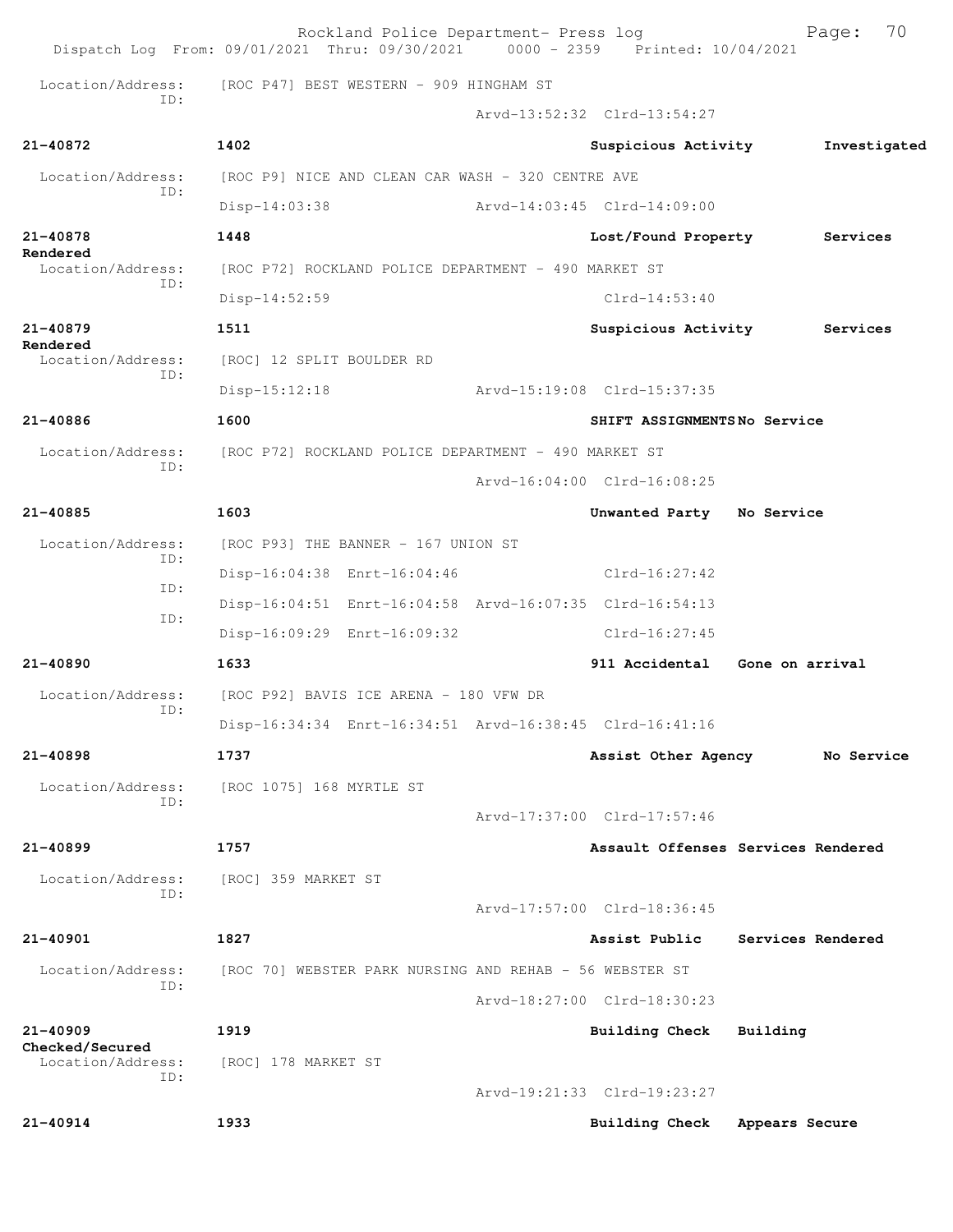|                                 | Rockland Police Department- Press log<br>Dispatch Log From: 09/01/2021 Thru: 09/30/2021 0000 - 2359 Printed: 10/04/2021 |                                    |                 | 70<br>Page:       |
|---------------------------------|-------------------------------------------------------------------------------------------------------------------------|------------------------------------|-----------------|-------------------|
| Location/Address:               | [ROC P47] BEST WESTERN - 909 HINGHAM ST                                                                                 |                                    |                 |                   |
| TD:                             |                                                                                                                         | Arvd-13:52:32 Clrd-13:54:27        |                 |                   |
| 21-40872                        | 1402                                                                                                                    | Suspicious Activity                |                 | Investigated      |
| Location/Address:               | [ROC P9] NICE AND CLEAN CAR WASH - 320 CENTRE AVE                                                                       |                                    |                 |                   |
| ID:                             | $Disp-14:03:38$                                                                                                         | Arvd-14:03:45 Clrd-14:09:00        |                 |                   |
| 21-40878                        | 1448                                                                                                                    | Lost/Found Property                |                 | Services          |
| Rendered<br>Location/Address:   | [ROC P72] ROCKLAND POLICE DEPARTMENT - 490 MARKET ST                                                                    |                                    |                 |                   |
| ID:                             | $Disp-14:52:59$                                                                                                         | $Clrd-14:53:40$                    |                 |                   |
| $21 - 40879$                    | 1511                                                                                                                    | Suspicious Activity                |                 | Services          |
| Rendered<br>Location/Address:   | [ROC] 12 SPLIT BOULDER RD                                                                                               |                                    |                 |                   |
| ID:                             | $Disp-15:12:18$                                                                                                         | Arvd-15:19:08 Clrd-15:37:35        |                 |                   |
| 21-40886                        | 1600                                                                                                                    | SHIFT ASSIGNMENTSNo Service        |                 |                   |
| Location/Address:               | [ROC P72] ROCKLAND POLICE DEPARTMENT - 490 MARKET ST                                                                    |                                    |                 |                   |
| ID:                             |                                                                                                                         | Arvd-16:04:00 Clrd-16:08:25        |                 |                   |
| 21-40885                        | 1603                                                                                                                    | Unwanted Party No Service          |                 |                   |
| Location/Address:               | [ROC P93] THE BANNER - 167 UNION ST                                                                                     |                                    |                 |                   |
| ID:                             | Disp-16:04:38 Enrt-16:04:46                                                                                             | Clrd-16:27:42                      |                 |                   |
| ID:                             | Disp-16:04:51 Enrt-16:04:58 Arvd-16:07:35 Clrd-16:54:13                                                                 |                                    |                 |                   |
| ID:                             | Disp-16:09:29 Enrt-16:09:32                                                                                             | Clrd-16:27:45                      |                 |                   |
| 21-40890                        | 1633                                                                                                                    | 911 Accidental                     | Gone on arrival |                   |
| Location/Address:               | [ROC P92] BAVIS ICE ARENA - 180 VFW DR                                                                                  |                                    |                 |                   |
| ID:                             | Disp-16:34:34 Enrt-16:34:51 Arvd-16:38:45 Clrd-16:41:16                                                                 |                                    |                 |                   |
| 21-40898                        | 1737                                                                                                                    | Assist Other Agency                |                 | No Service        |
| Location/Address:<br>TD:        | [ROC 1075] 168 MYRTLE ST                                                                                                |                                    |                 |                   |
|                                 |                                                                                                                         | Arvd-17:37:00 Clrd-17:57:46        |                 |                   |
| 21-40899                        | 1757                                                                                                                    | Assault Offenses Services Rendered |                 |                   |
| Location/Address:<br>ID:        | [ROC] 359 MARKET ST                                                                                                     |                                    |                 |                   |
|                                 |                                                                                                                         | Arvd-17:57:00 Clrd-18:36:45        |                 |                   |
| $21 - 40901$                    | 1827                                                                                                                    | Assist Public                      |                 | Services Rendered |
| Location/Address:<br>ID:        | [ROC 70] WEBSTER PARK NURSING AND REHAB - 56 WEBSTER ST                                                                 |                                    |                 |                   |
|                                 |                                                                                                                         | Arvd-18:27:00 Clrd-18:30:23        |                 |                   |
| $21 - 40909$<br>Checked/Secured | 1919                                                                                                                    | Building Check                     | Building        |                   |
| Location/Address:<br>ID:        | [ROC] 178 MARKET ST                                                                                                     |                                    |                 |                   |
|                                 |                                                                                                                         | Arvd-19:21:33 Clrd-19:23:27        |                 |                   |
| 21-40914                        | 1933                                                                                                                    | Building Check                     | Appears Secure  |                   |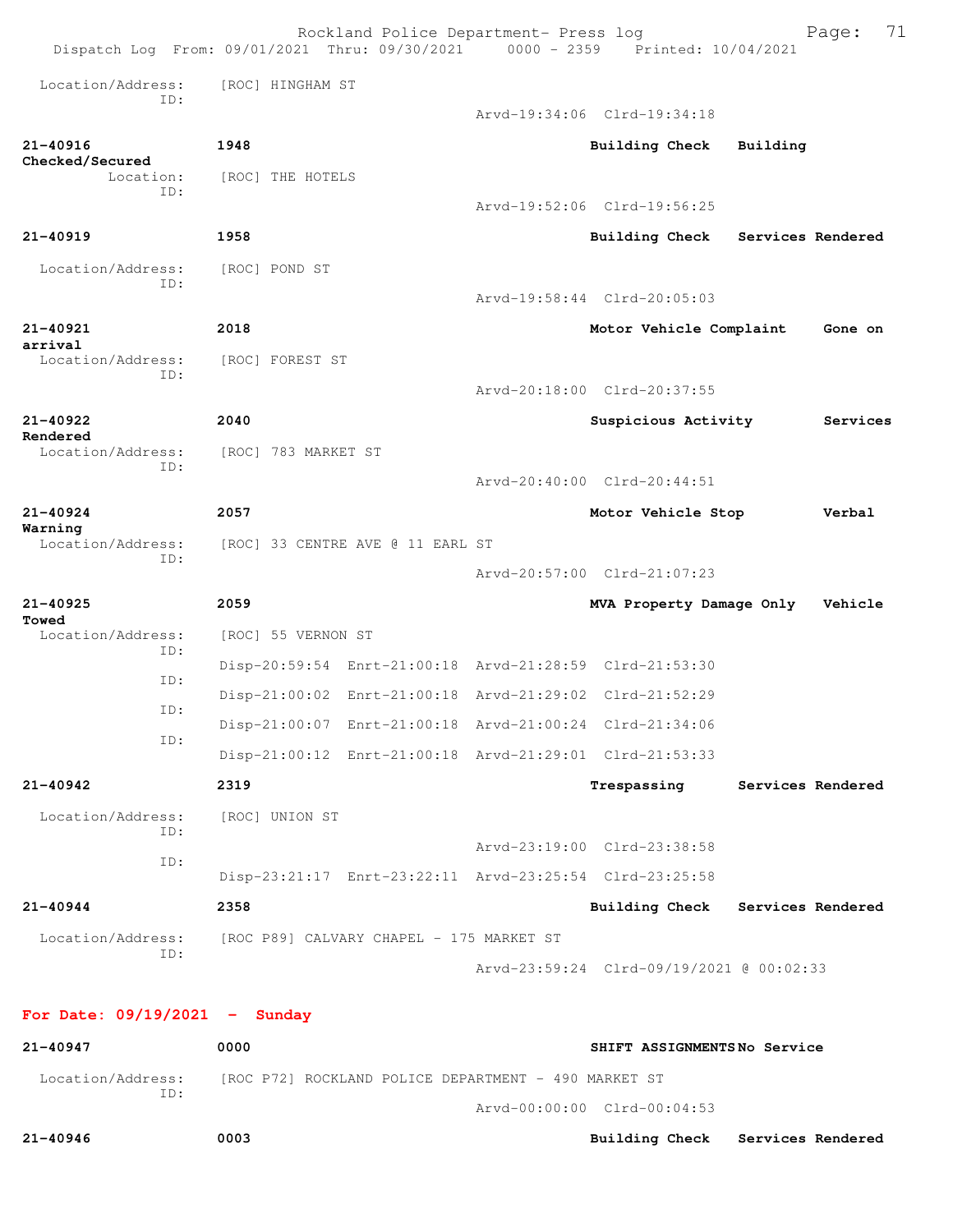|                                 |                                  | Rockland Police Department- Press log<br>Dispatch Log From: 09/01/2021 Thru: 09/30/2021 0000 - 2359 Printed: 10/04/2021 |                                          | 71<br>Page:                      |
|---------------------------------|----------------------------------|-------------------------------------------------------------------------------------------------------------------------|------------------------------------------|----------------------------------|
| Location/Address:               | [ROC] HINGHAM ST                 |                                                                                                                         |                                          |                                  |
| TD:                             |                                  |                                                                                                                         | Arvd-19:34:06 Clrd-19:34:18              |                                  |
| 21-40916                        | 1948                             |                                                                                                                         | <b>Building Check</b>                    | Building                         |
| Checked/Secured<br>Location:    | [ROC] THE HOTELS                 |                                                                                                                         |                                          |                                  |
| ID:                             |                                  |                                                                                                                         | Arvd-19:52:06 Clrd-19:56:25              |                                  |
| 21-40919                        | 1958                             |                                                                                                                         |                                          | Building Check Services Rendered |
| Location/Address:               | [ROC] POND ST                    |                                                                                                                         |                                          |                                  |
| TD:                             |                                  |                                                                                                                         | Arvd-19:58:44 Clrd-20:05:03              |                                  |
| 21-40921                        | 2018                             |                                                                                                                         | Motor Vehicle Complaint                  | Gone on                          |
| arrival<br>Location/Address:    | [ROC] FOREST ST                  |                                                                                                                         |                                          |                                  |
| ID:                             |                                  |                                                                                                                         | Arvd-20:18:00 Clrd-20:37:55              |                                  |
| 21-40922                        | 2040                             |                                                                                                                         | Suspicious Activity                      | Services                         |
| Rendered<br>Location/Address:   | [ROC] 783 MARKET ST              |                                                                                                                         |                                          |                                  |
| ID:                             |                                  |                                                                                                                         | Arvd-20:40:00 Clrd-20:44:51              |                                  |
| $21 - 40924$<br>Warning         | 2057                             |                                                                                                                         | Motor Vehicle Stop                       | Verbal                           |
| Location/Address:<br>ID:        | [ROC] 33 CENTRE AVE @ 11 EARL ST |                                                                                                                         |                                          |                                  |
|                                 |                                  |                                                                                                                         | Arvd-20:57:00 Clrd-21:07:23              |                                  |
| $21 - 40925$<br>Towed           | 2059                             |                                                                                                                         | MVA Property Damage Only                 | Vehicle                          |
| Location/Address:<br>ID:        | [ROC] 55 VERNON ST               |                                                                                                                         |                                          |                                  |
| ID:                             |                                  | Disp-20:59:54 Enrt-21:00:18 Arvd-21:28:59 Clrd-21:53:30                                                                 |                                          |                                  |
| ID:                             |                                  | Disp-21:00:02 Enrt-21:00:18 Arvd-21:29:02 Clrd-21:52:29                                                                 |                                          |                                  |
| ID:                             |                                  | Disp-21:00:07 Enrt-21:00:18 Arvd-21:00:24 Clrd-21:34:06                                                                 |                                          |                                  |
|                                 |                                  | Disp-21:00:12 Enrt-21:00:18 Arvd-21:29:01 Clrd-21:53:33                                                                 |                                          |                                  |
| 21-40942                        | 2319                             |                                                                                                                         |                                          | Trespassing Services Rendered    |
| Location/Address:<br>ID:        | [ROC] UNION ST                   |                                                                                                                         |                                          |                                  |
| ID:                             |                                  |                                                                                                                         | Arvd-23:19:00 Clrd-23:38:58              |                                  |
|                                 |                                  | Disp-23:21:17 Enrt-23:22:11 Arvd-23:25:54 Clrd-23:25:58                                                                 |                                          |                                  |
| 21-40944                        | 2358                             |                                                                                                                         |                                          | Building Check Services Rendered |
| Location/Address:<br>ID:        |                                  | [ROC P89] CALVARY CHAPEL - 175 MARKET ST                                                                                |                                          |                                  |
|                                 |                                  |                                                                                                                         | Arvd-23:59:24 Clrd-09/19/2021 @ 00:02:33 |                                  |
| For Date: $09/19/2021$ - Sunday |                                  |                                                                                                                         |                                          |                                  |
| 21-40947                        | 0000                             |                                                                                                                         | SHIFT ASSIGNMENTSNo Service              |                                  |
| Location/Address:<br>ID:        |                                  | [ROC P72] ROCKLAND POLICE DEPARTMENT - 490 MARKET ST                                                                    |                                          |                                  |

Arvd-00:00:00 Clrd-00:04:53

**21-40946 0003 Building Check Services Rendered**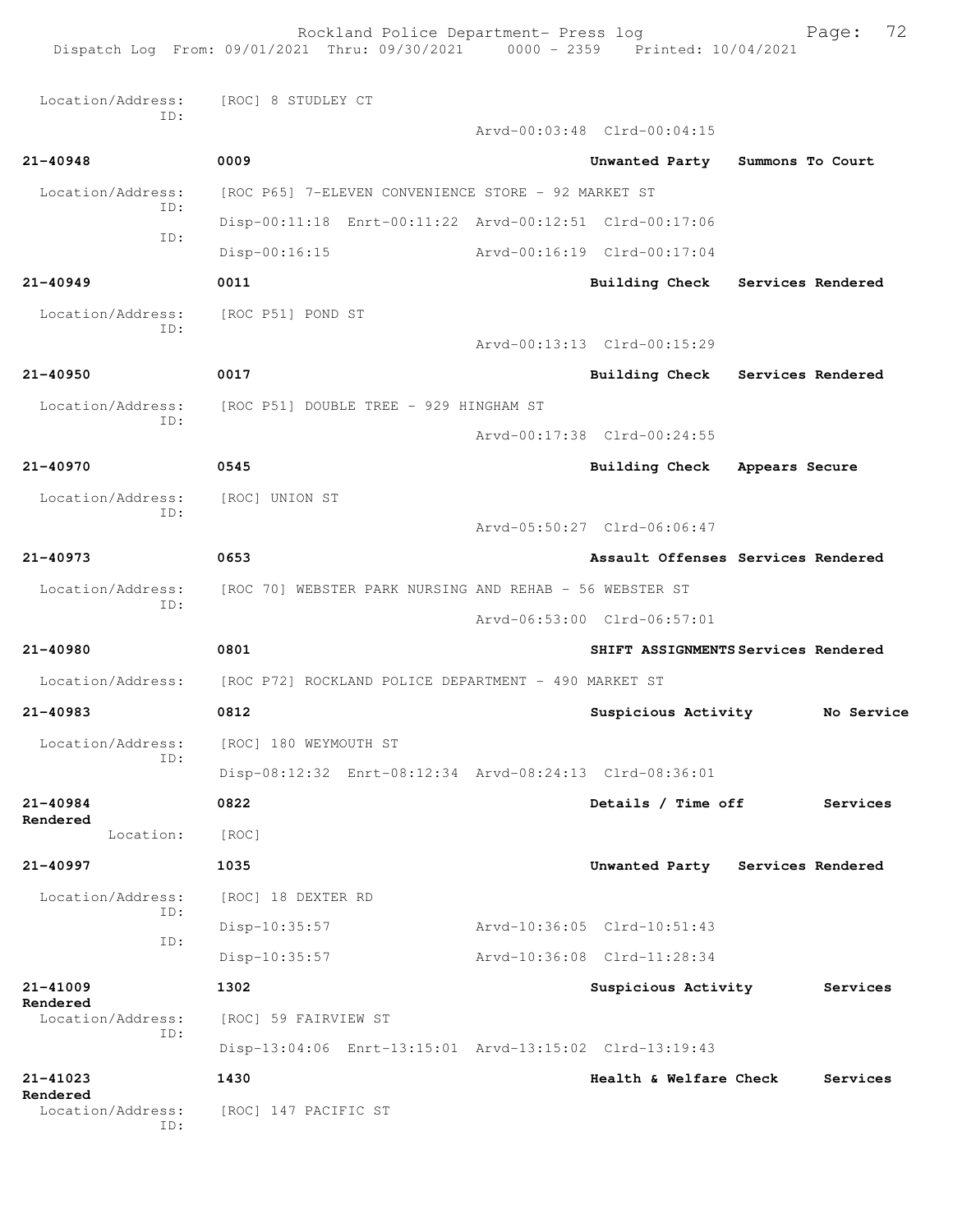Rockland Police Department- Press log Fage: 72 Dispatch Log From: 09/01/2021 Thru: 09/30/2021 0000 - 2359 Printed: 10/04/2021 Location/Address: [ROC] 8 STUDLEY CT ID: Arvd-00:03:48 Clrd-00:04:15 **21-40948 0009 Unwanted Party Summons To Court** Location/Address: [ROC P65] 7-ELEVEN CONVENIENCE STORE - 92 MARKET ST ID: Disp-00:11:18 Enrt-00:11:22 Arvd-00:12:51 Clrd-00:17:06 ID: Disp-00:16:15 Arvd-00:16:19 Clrd-00:17:04 **21-40949 0011 Building Check Services Rendered** Location/Address: [ROC P51] POND ST ID: Arvd-00:13:13 Clrd-00:15:29 **21-40950 0017 Building Check Services Rendered** Location/Address: [ROC P51] DOUBLE TREE - 929 HINGHAM ST ID: Arvd-00:17:38 Clrd-00:24:55 **21-40970 0545 Building Check Appears Secure** Location/Address: [ROC] UNION ST ID: Arvd-05:50:27 Clrd-06:06:47 **21-40973 0653 Assault Offenses Services Rendered** Location/Address: [ROC 70] WEBSTER PARK NURSING AND REHAB - 56 WEBSTER ST ID: Arvd-06:53:00 Clrd-06:57:01 **21-40980 0801 SHIFT ASSIGNMENTS Services Rendered** Location/Address: [ROC P72] ROCKLAND POLICE DEPARTMENT - 490 MARKET ST **21-40983 0812 Suspicious Activity No Service** Location/Address: [ROC] 180 WEYMOUTH ST ID: Disp-08:12:32 Enrt-08:12:34 Arvd-08:24:13 Clrd-08:36:01 **21-40984 0822 Details / Time off Services Rendered**  Location: [ROC] **21-40997 1035 Unwanted Party Services Rendered** Location/Address: [ROC] 18 DEXTER RD ID: Disp-10:35:57 Arvd-10:36:05 Clrd-10:51:43 ID: Disp-10:35:57 Arvd-10:36:08 Clrd-11:28:34 **21-41009 1302 Suspicious Activity Services Rendered**  Location/Address: [ROC] 59 FAIRVIEW ST ID: Disp-13:04:06 Enrt-13:15:01 Arvd-13:15:02 Clrd-13:19:43 **21-41023 1430 Health & Welfare Check Services Rendered**  [ROC] 147 PACIFIC ST ID: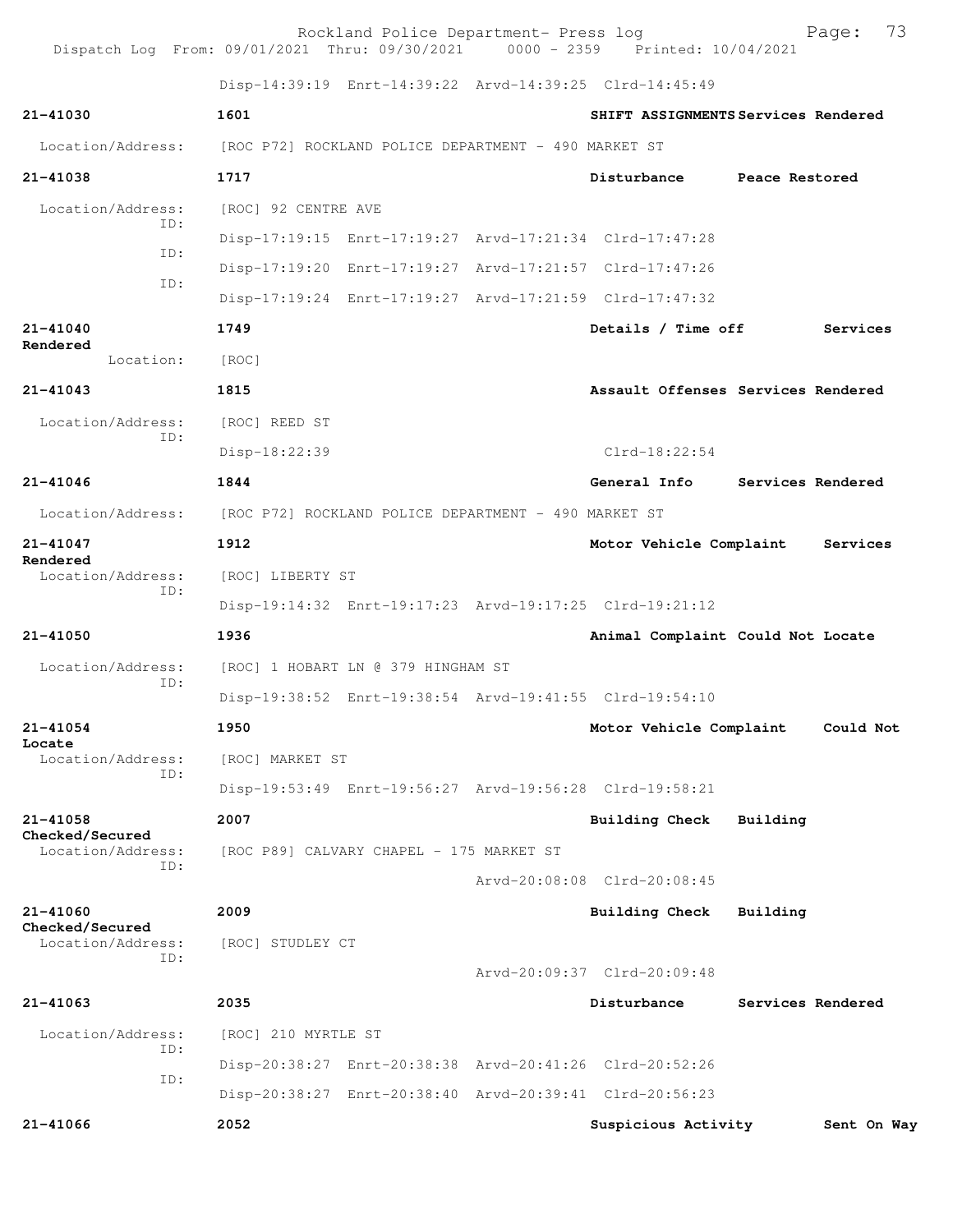Rockland Police Department- Press log Fage: 73<br>21 Thru: 09/30/2021 0000 - 2359 Printed: 10/04/2021 Dispatch Log From: 09/01/2021 Thru: 09/30/2021 Disp-14:39:19 Enrt-14:39:22 Arvd-14:39:25 Clrd-14:45:49 **21-41030 1601 SHIFT ASSIGNMENTS Services Rendered** Location/Address: [ROC P72] ROCKLAND POLICE DEPARTMENT - 490 MARKET ST **21-41038 1717 Disturbance Peace Restored** Location/Address: [ROC] 92 CENTRE AVE ID: Disp-17:19:15 Enrt-17:19:27 Arvd-17:21:34 Clrd-17:47:28 ID: Disp-17:19:20 Enrt-17:19:27 Arvd-17:21:57 Clrd-17:47:26 ID: Disp-17:19:24 Enrt-17:19:27 Arvd-17:21:59 Clrd-17:47:32 **21-41040 1749 Details / Time off Services Rendered**  Location: [ROC] **21-41043 1815 Assault Offenses Services Rendered** Location/Address: [ROC] REED ST ID: Disp-18:22:39 Clrd-18:22:54 **21-41046 1844 General Info Services Rendered** Location/Address: [ROC P72] ROCKLAND POLICE DEPARTMENT - 490 MARKET ST **21-41047 1912 Motor Vehicle Complaint Services Rendered**  Location/Address: [ROC] LIBERTY ST ID: Disp-19:14:32 Enrt-19:17:23 Arvd-19:17:25 Clrd-19:21:12 **21-41050 1936 Animal Complaint Could Not Locate** Location/Address: [ROC] 1 HOBART LN @ 379 HINGHAM ST ID: Disp-19:38:52 Enrt-19:38:54 Arvd-19:41:55 Clrd-19:54:10 **21-41054 1950 Motor Vehicle Complaint Could Not Locate**  Location/Address: [ROC] MARKET ST ID: Disp-19:53:49 Enrt-19:56:27 Arvd-19:56:28 Clrd-19:58:21 **21-41058 2007 Building Check Building Checked/Secured**  Location/Address: [ROC P89] CALVARY CHAPEL - 175 MARKET ST ID: Arvd-20:08:08 Clrd-20:08:45 **21-41060 2009 Building Check Building Checked/Secured**  Location/Address: [ROC] STUDLEY CT ID: Arvd-20:09:37 Clrd-20:09:48 **21-41063 2035 Disturbance Services Rendered** Location/Address: [ROC] 210 MYRTLE ST ID: Disp-20:38:27 Enrt-20:38:38 Arvd-20:41:26 Clrd-20:52:26 ID: Disp-20:38:27 Enrt-20:38:40 Arvd-20:39:41 Clrd-20:56:23 **21-41066 2052 Suspicious Activity Sent On Way**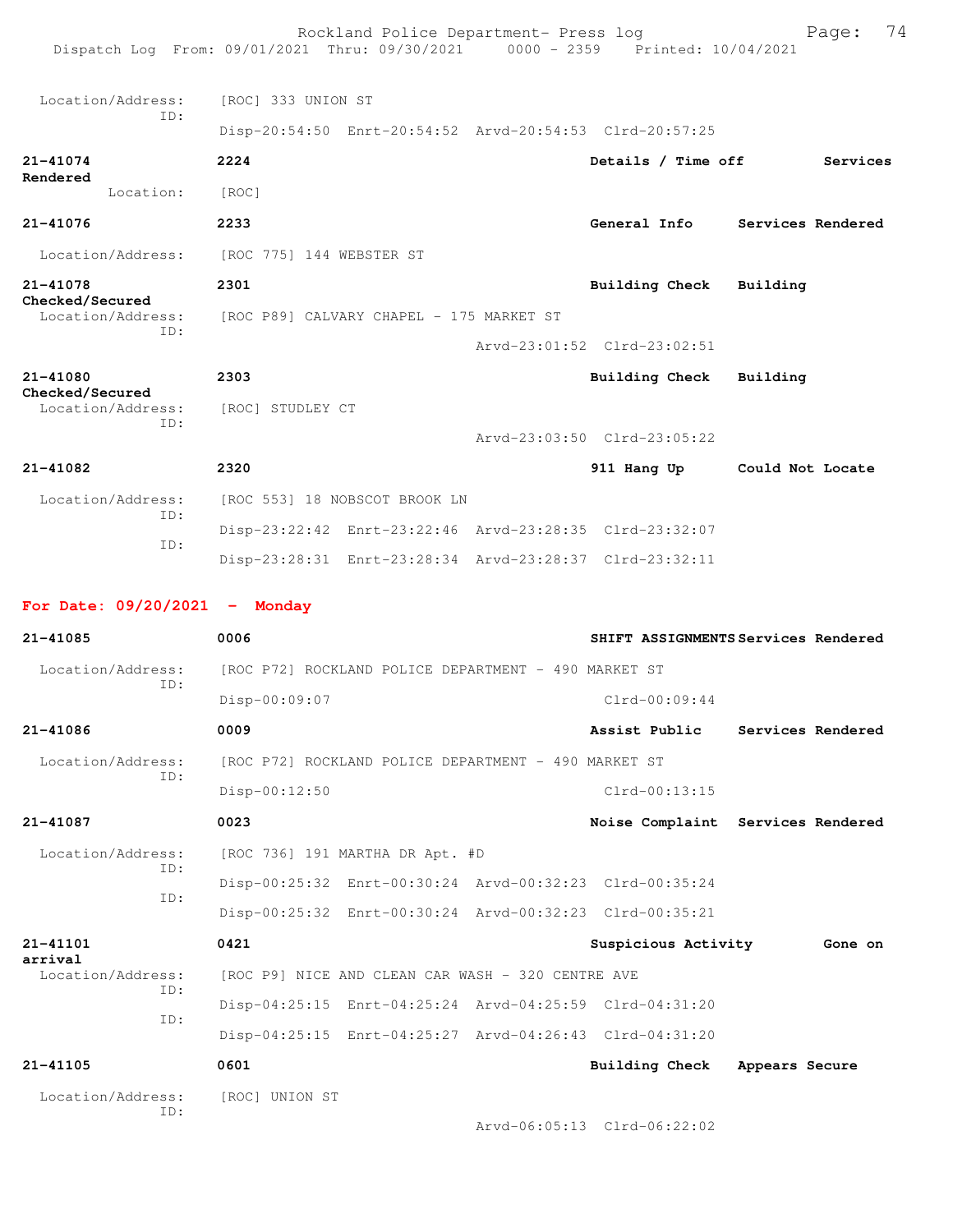Rockland Police Department- Press log Fage: 74 Dispatch Log From: 09/01/2021 Thru: 09/30/2021 0000 - 2359 Printed: 10/04/2021 Location/Address: [ROC] 333 UNION ST ID: Disp-20:54:50 Enrt-20:54:52 Arvd-20:54:53 Clrd-20:57:25 **21-41074 2224 Details / Time off Services Rendered**  Location: [ROC] **21-41076 2233 General Info Services Rendered** Location/Address: [ROC 775] 144 WEBSTER ST **21-41078 2301 Building Check Building Checked/Secured**  Location/Address: [ROC P89] CALVARY CHAPEL - 175 MARKET ST ID: Arvd-23:01:52 Clrd-23:02:51 **21-41080 2303 Building Check Building Checked/Secured**  Location/Address: [ROC] STUDLEY CT ID: Arvd-23:03:50 Clrd-23:05:22 **21-41082 2320 911 Hang Up Could Not Locate** Location/Address: [ROC 553] 18 NOBSCOT BROOK LN ID: Disp-23:22:42 Enrt-23:22:46 Arvd-23:28:35 Clrd-23:32:07 ID: Disp-23:28:31 Enrt-23:28:34 Arvd-23:28:37 Clrd-23:32:11 **For Date: 09/20/2021 - Monday 21-41085 0006 SHIFT ASSIGNMENTS Services Rendered** Location/Address: [ROC P72] ROCKLAND POLICE DEPARTMENT - 490 MARKET ST ID: Disp-00:09:07 Clrd-00:09:44 **21-41086 0009 Assist Public Services Rendered** Location/Address: [ROC P72] ROCKLAND POLICE DEPARTMENT - 490 MARKET ST ID: Disp-00:12:50 Clrd-00:13:15 **21-41087 0023 Noise Complaint Services Rendered** Location/Address: [ROC 736] 191 MARTHA DR Apt. #D ID: Disp-00:25:32 Enrt-00:30:24 Arvd-00:32:23 Clrd-00:35:24 ID: Disp-00:25:32 Enrt-00:30:24 Arvd-00:32:23 Clrd-00:35:21 **21-41101 0421 Suspicious Activity Gone on arrival**  [ROC P9] NICE AND CLEAN CAR WASH - 320 CENTRE AVE ID: Disp-04:25:15 Enrt-04:25:24 Arvd-04:25:59 Clrd-04:31:20 ID: Disp-04:25:15 Enrt-04:25:27 Arvd-04:26:43 Clrd-04:31:20 **21-41105 0601 Building Check Appears Secure** Location/Address: [ROC] UNION ST ID: Arvd-06:05:13 Clrd-06:22:02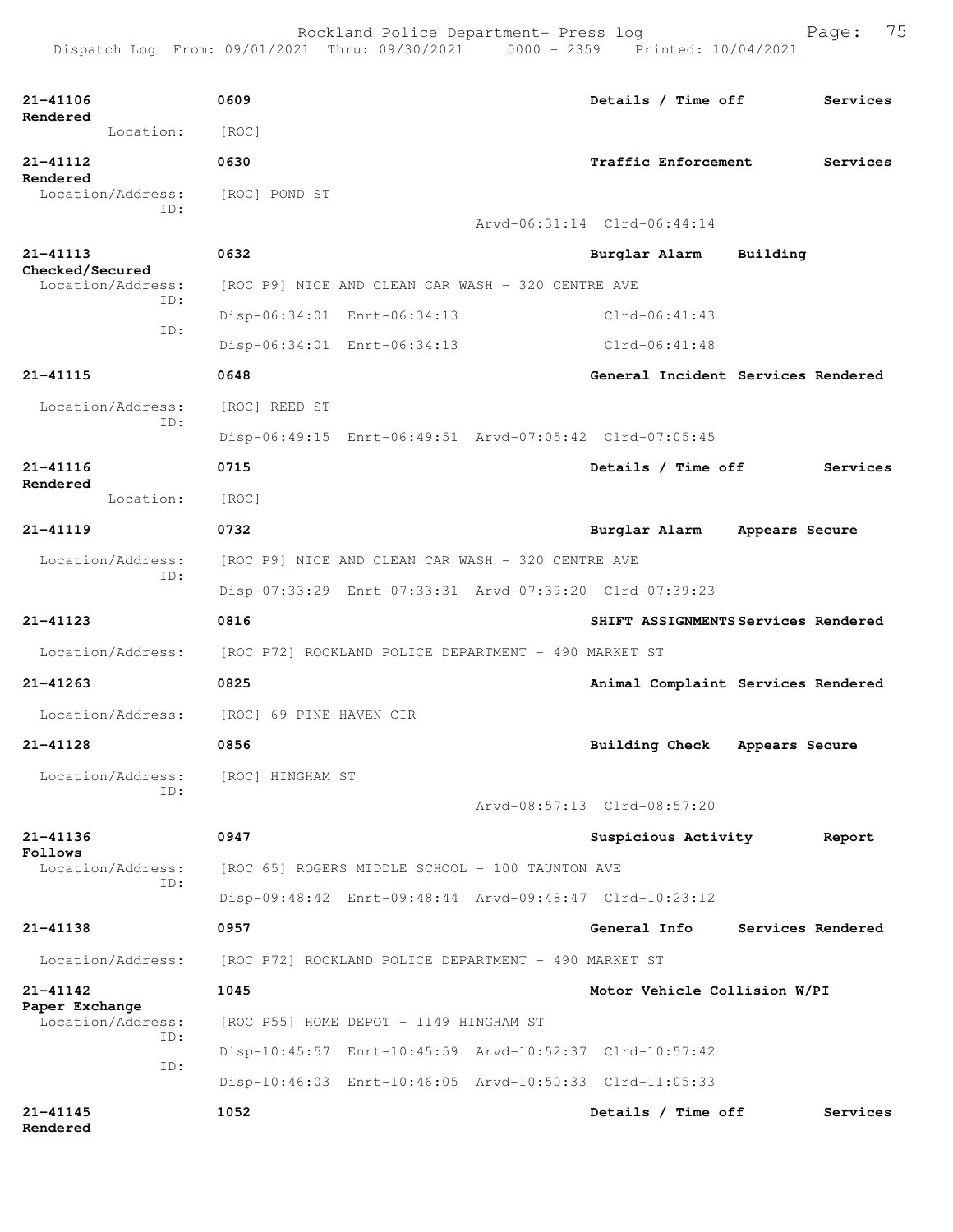| 21-41106<br>Rendered                 |           | 0609                                                                   |                                                   | Details / Time off                                      |                   | Services |
|--------------------------------------|-----------|------------------------------------------------------------------------|---------------------------------------------------|---------------------------------------------------------|-------------------|----------|
|                                      | Location: | [ROC]                                                                  |                                                   |                                                         |                   |          |
| 21-41112<br>Rendered                 |           | 0630                                                                   |                                                   | Traffic Enforcement                                     |                   | Services |
| Location/Address:                    |           | [ROC] POND ST                                                          |                                                   |                                                         |                   |          |
|                                      | ID:       |                                                                        |                                                   | Arvd-06:31:14 Clrd-06:44:14                             |                   |          |
| 21-41113                             |           | 0632                                                                   |                                                   | Burglar Alarm                                           | Building          |          |
| Checked/Secured<br>Location/Address: |           |                                                                        | [ROC P9] NICE AND CLEAN CAR WASH - 320 CENTRE AVE |                                                         |                   |          |
|                                      | TD:       | Disp-06:34:01 Enrt-06:34:13                                            |                                                   | $Clrd-06:41:43$                                         |                   |          |
|                                      | ID:       |                                                                        | Disp-06:34:01 Enrt-06:34:13                       | $Clrd-06:41:48$                                         |                   |          |
| 21-41115                             |           | 0648                                                                   |                                                   | General Incident Services Rendered                      |                   |          |
| Location/Address:                    |           | [ROC] REED ST                                                          |                                                   |                                                         |                   |          |
|                                      | TD:       |                                                                        |                                                   | Disp-06:49:15 Enrt-06:49:51 Arvd-07:05:42 Clrd-07:05:45 |                   |          |
| 21-41116                             |           | 0715                                                                   |                                                   | Details / Time off                                      |                   | Services |
| Rendered                             | Location: | [ROC]                                                                  |                                                   |                                                         |                   |          |
| $21 - 41119$                         |           | 0732                                                                   |                                                   | Burglar Alarm                                           | Appears Secure    |          |
| Location/Address:                    |           |                                                                        | [ROC P9] NICE AND CLEAN CAR WASH - 320 CENTRE AVE |                                                         |                   |          |
|                                      | ID:       |                                                                        |                                                   | Disp-07:33:29 Enrt-07:33:31 Arvd-07:39:20 Clrd-07:39:23 |                   |          |
|                                      |           |                                                                        |                                                   |                                                         |                   |          |
| $21 - 41123$                         |           | 0816                                                                   |                                                   | SHIFT ASSIGNMENTS Services Rendered                     |                   |          |
|                                      |           |                                                                        |                                                   |                                                         |                   |          |
|                                      |           | Location/Address: [ROC P72] ROCKLAND POLICE DEPARTMENT - 490 MARKET ST |                                                   |                                                         |                   |          |
| $21 - 41263$                         |           | 0825                                                                   |                                                   | Animal Complaint Services Rendered                      |                   |          |
|                                      |           | Location/Address: [ROC] 69 PINE HAVEN CIR                              |                                                   |                                                         |                   |          |
| 21-41128                             |           | 0856                                                                   |                                                   | <b>Building Check</b>                                   | Appears Secure    |          |
| Location/Address:                    | ID:       | [ROC] HINGHAM ST                                                       |                                                   |                                                         |                   |          |
|                                      |           |                                                                        |                                                   | Arvd-08:57:13 Clrd-08:57:20                             |                   |          |
| 21-41136<br>Follows                  |           | 0947                                                                   |                                                   | Suspicious Activity                                     |                   | Report   |
| Location/Address:                    | ID:       |                                                                        | [ROC 65] ROGERS MIDDLE SCHOOL - 100 TAUNTON AVE   |                                                         |                   |          |
|                                      |           |                                                                        |                                                   | Disp-09:48:42 Enrt-09:48:44 Arvd-09:48:47 Clrd-10:23:12 |                   |          |
| $21 - 41138$                         |           | 0957                                                                   |                                                   | General Info                                            | Services Rendered |          |
| Location/Address:                    |           | [ROC P72] ROCKLAND POLICE DEPARTMENT - 490 MARKET ST                   |                                                   |                                                         |                   |          |
| 21-41142                             |           | 1045                                                                   |                                                   | Motor Vehicle Collision W/PI                            |                   |          |
| Paper Exchange<br>Location/Address:  | ID:       |                                                                        | [ROC P55] HOME DEPOT - 1149 HINGHAM ST            |                                                         |                   |          |
|                                      |           |                                                                        |                                                   | Disp-10:45:57 Enrt-10:45:59 Arvd-10:52:37 Clrd-10:57:42 |                   |          |
|                                      | ID:       |                                                                        |                                                   | Disp-10:46:03 Enrt-10:46:05 Arvd-10:50:33 Clrd-11:05:33 |                   |          |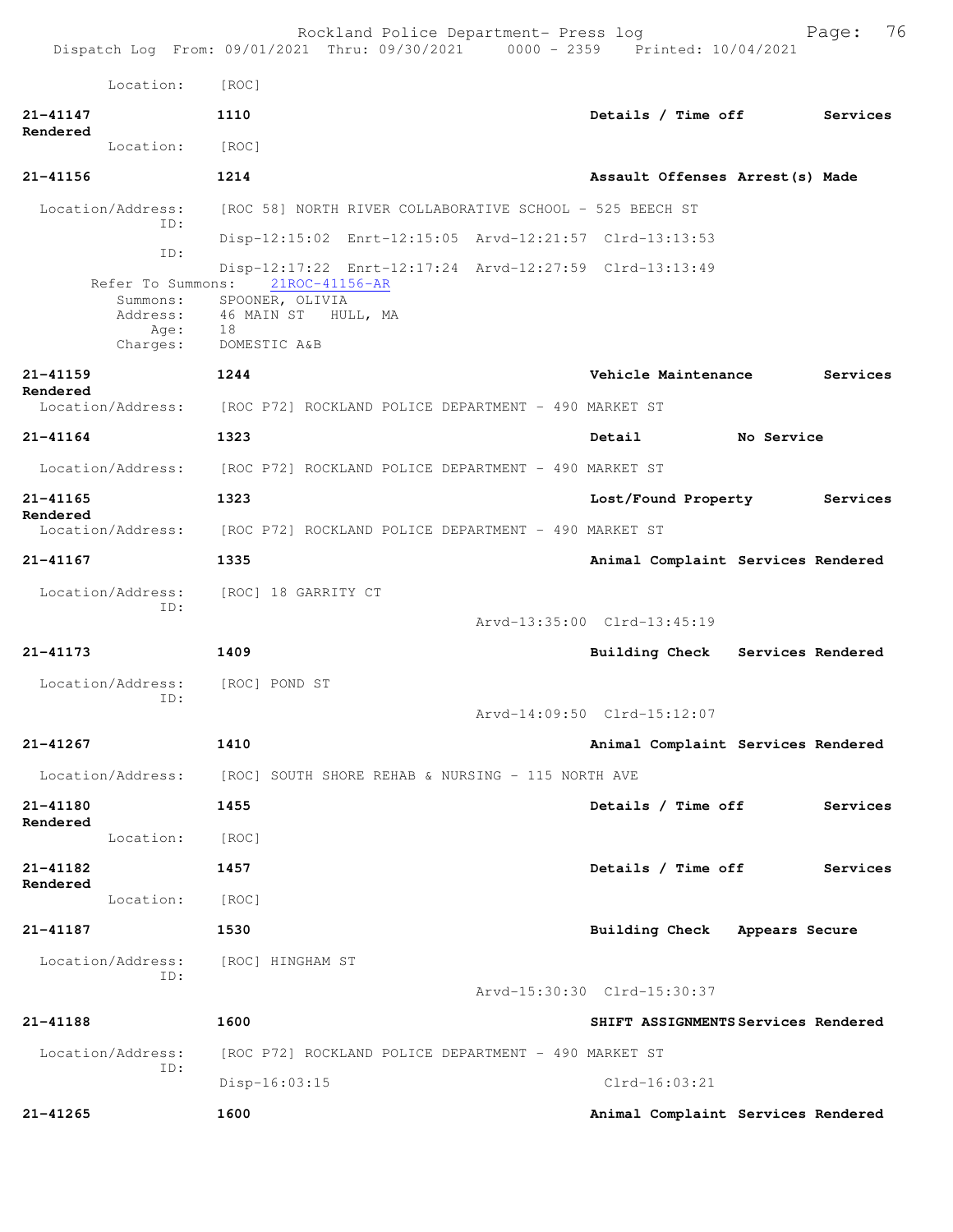|                                                                      | Rockland Police Department- Press log<br>Dispatch Log From: 09/01/2021 Thru: 09/30/2021 0000 - 2359 Printed: 10/04/2021                      |                                     | 76<br>Page: |
|----------------------------------------------------------------------|----------------------------------------------------------------------------------------------------------------------------------------------|-------------------------------------|-------------|
| Location:                                                            | [ROC]                                                                                                                                        |                                     |             |
| 21-41147                                                             | 1110                                                                                                                                         | Details / Time off                  | Services    |
| Rendered<br>Location:                                                | [ROC]                                                                                                                                        |                                     |             |
| $21 - 41156$                                                         | 1214                                                                                                                                         | Assault Offenses Arrest (s) Made    |             |
| Location/Address:                                                    | [ROC 58] NORTH RIVER COLLABORATIVE SCHOOL - 525 BEECH ST                                                                                     |                                     |             |
| ID:                                                                  | Disp-12:15:02 Enrt-12:15:05 Arvd-12:21:57 Clrd-13:13:53                                                                                      |                                     |             |
| ID:<br>Refer To Summons:<br>Summons:<br>Address:<br>Age:<br>Charges: | Disp-12:17:22 Enrt-12:17:24 Arvd-12:27:59 Clrd-13:13:49<br>21ROC-41156-AR<br>SPOONER, OLIVIA<br>46 MAIN ST<br>HULL, MA<br>18<br>DOMESTIC A&B |                                     |             |
| $21 - 41159$                                                         | 1244                                                                                                                                         | Vehicle Maintenance                 | Services    |
| Rendered<br>Location/Address:                                        | [ROC P72] ROCKLAND POLICE DEPARTMENT - 490 MARKET ST                                                                                         |                                     |             |
| $21 - 41164$                                                         | 1323                                                                                                                                         | Detail<br>No Service                |             |
|                                                                      | Location/Address: [ROC P72] ROCKLAND POLICE DEPARTMENT - 490 MARKET ST                                                                       |                                     |             |
| 21-41165                                                             | 1323                                                                                                                                         | Lost/Found Property                 | Services    |
| Rendered<br>Location/Address:                                        | [ROC P72] ROCKLAND POLICE DEPARTMENT - 490 MARKET ST                                                                                         |                                     |             |
| 21-41167                                                             | 1335                                                                                                                                         | Animal Complaint Services Rendered  |             |
| Location/Address:<br>ID:                                             | [ROC] 18 GARRITY CT                                                                                                                          | Arvd-13:35:00 Clrd-13:45:19         |             |
| $21 - 41173$                                                         | 1409                                                                                                                                         | Building Check Services Rendered    |             |
| Location/Address:<br>ID:                                             | [ROC] POND ST                                                                                                                                | Arvd-14:09:50 Clrd-15:12:07         |             |
| $21 - 41267$                                                         | 1410                                                                                                                                         | Animal Complaint Services Rendered  |             |
|                                                                      | Location/Address: [ROC] SOUTH SHORE REHAB & NURSING - 115 NORTH AVE                                                                          |                                     |             |
| 21-41180                                                             | 1455                                                                                                                                         | Details / Time off                  | Services    |
| Rendered<br>Location:                                                | [ROC]                                                                                                                                        |                                     |             |
| 21-41182                                                             | 1457                                                                                                                                         | Details / Time off                  | Services    |
| Rendered<br>Location:                                                | [ROC]                                                                                                                                        |                                     |             |
| 21-41187                                                             | 1530                                                                                                                                         | Building Check Appears Secure       |             |
| Location/Address:<br>ID:                                             | [ROC] HINGHAM ST                                                                                                                             | Arvd-15:30:30 Clrd-15:30:37         |             |
| 21-41188                                                             | 1600                                                                                                                                         | SHIFT ASSIGNMENTS Services Rendered |             |
| Location/Address:<br>ID:                                             | [ROC P72] ROCKLAND POLICE DEPARTMENT - 490 MARKET ST                                                                                         |                                     |             |
|                                                                      | Disp-16:03:15                                                                                                                                | $Clrd-16:03:21$                     |             |
| 21-41265                                                             | 1600                                                                                                                                         | Animal Complaint Services Rendered  |             |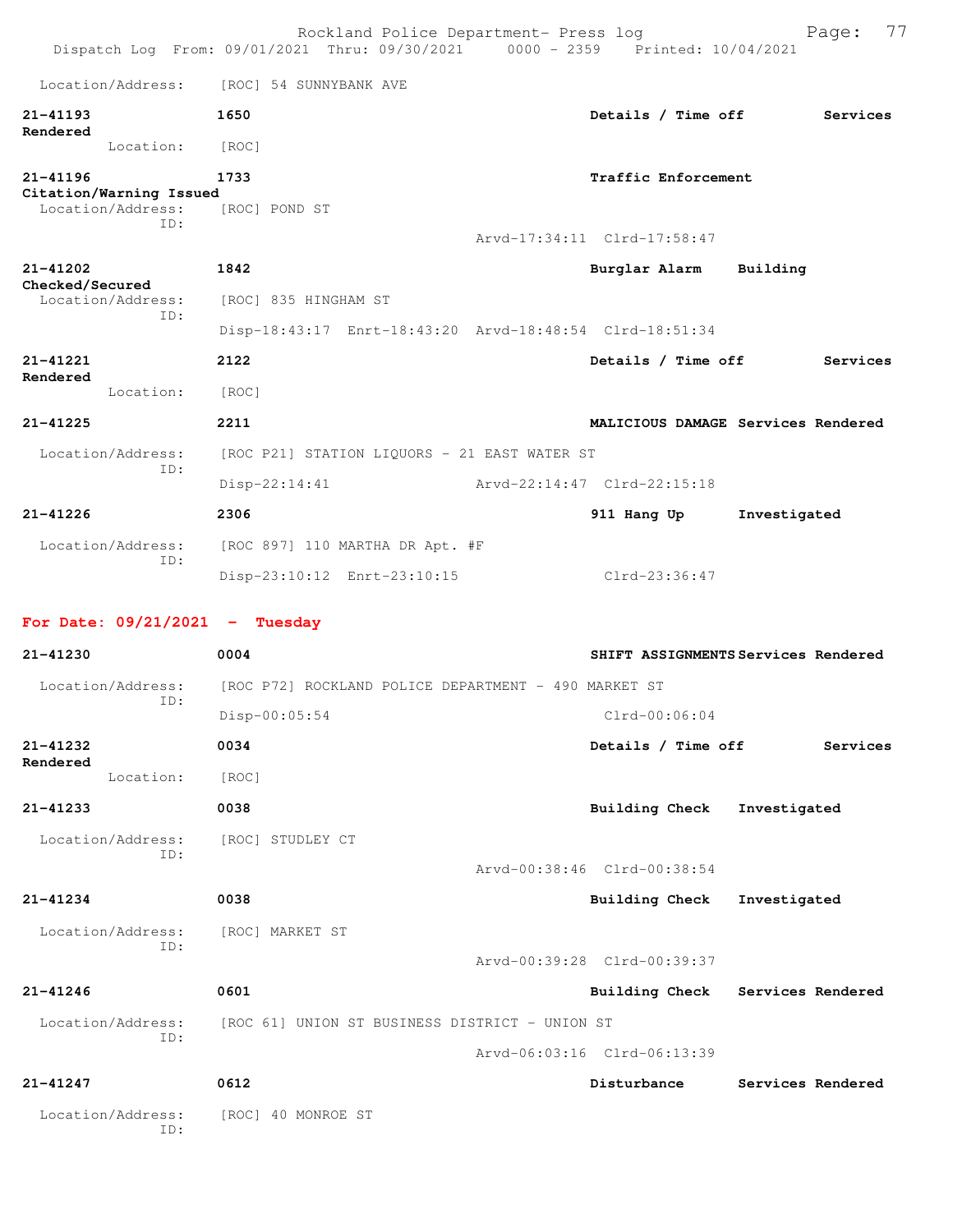|                                          | Rockland Police Department- Press log<br>Dispatch Log From: 09/01/2021 Thru: 09/30/2021 0000 - 2359 Printed: 10/04/2021 | 77<br>Page:                           |
|------------------------------------------|-------------------------------------------------------------------------------------------------------------------------|---------------------------------------|
| Location/Address:                        | [ROC] 54 SUNNYBANK AVE                                                                                                  |                                       |
| 21-41193                                 | 1650                                                                                                                    | Details / Time off<br>Services        |
| Rendered<br>Location:                    | [ROC]                                                                                                                   |                                       |
| 21-41196<br>Citation/Warning Issued      | 1733                                                                                                                    | Traffic Enforcement                   |
| Location/Address:<br>ID:                 | [ROC] POND ST                                                                                                           |                                       |
|                                          |                                                                                                                         | Arvd-17:34:11 Clrd-17:58:47           |
| 21-41202<br>Checked/Secured              | 1842                                                                                                                    | Burglar Alarm<br>Building             |
| Location/Address:<br>ID:                 | [ROC] 835 HINGHAM ST                                                                                                    |                                       |
|                                          | Disp-18:43:17 Enrt-18:43:20 Arvd-18:48:54 Clrd-18:51:34                                                                 |                                       |
| $21 - 41221$<br>Rendered                 | 2122                                                                                                                    | Details / Time off<br>Services        |
| Location:                                | [ROC]                                                                                                                   |                                       |
| $21 - 41225$                             | 2211                                                                                                                    | MALICIOUS DAMAGE Services Rendered    |
| Location/Address:<br>ID:                 | [ROC P21] STATION LIQUORS - 21 EAST WATER ST                                                                            |                                       |
|                                          | $Disp-22:14:41$                                                                                                         | Arvd-22:14:47 Clrd-22:15:18           |
| 21-41226                                 | 2306                                                                                                                    | 911 Hang Up<br>Investigated           |
| Location/Address:<br>ID:                 | [ROC 897] 110 MARTHA DR Apt. #F                                                                                         |                                       |
|                                          | Disp-23:10:12 Enrt-23:10:15                                                                                             | Clrd-23:36:47                         |
| For Date: $09/21/2021$ - Tuesday         |                                                                                                                         |                                       |
|                                          |                                                                                                                         |                                       |
| 21-41230                                 | 0004                                                                                                                    | SHIFT ASSIGNMENTS Services Rendered   |
| Location/Address:                        | [ROC P72] ROCKLAND POLICE DEPARTMENT - 490 MARKET ST                                                                    |                                       |
| ID:                                      | $Disp-00:05:54$                                                                                                         | $Clrd-00:06:04$                       |
| 21-41232<br>Rendered                     | 0034                                                                                                                    | Details / Time off<br>Services        |
| Location:                                | [ROC]                                                                                                                   |                                       |
| 21-41233                                 | 0038                                                                                                                    | Building Check<br>Investigated        |
| Location/Address:<br>ID:                 | [ROC] STUDLEY CT                                                                                                        |                                       |
|                                          |                                                                                                                         | Arvd-00:38:46 Clrd-00:38:54           |
| $21 - 41234$                             | 0038                                                                                                                    | <b>Building Check</b><br>Investigated |
| Location/Address: [ROC] MARKET ST<br>ID: |                                                                                                                         |                                       |
|                                          |                                                                                                                         | Arvd-00:39:28 Clrd-00:39:37           |
| 21-41246                                 | 0601                                                                                                                    | Building Check Services Rendered      |
| ID:                                      | Location/Address: [ROC 61] UNION ST BUSINESS DISTRICT - UNION ST                                                        |                                       |
|                                          |                                                                                                                         | Arvd-06:03:16 Clrd-06:13:39           |
| 21-41247<br>Location/Address:            | 0612<br>[ROC] 40 MONROE ST                                                                                              | Disturbance<br>Services Rendered      |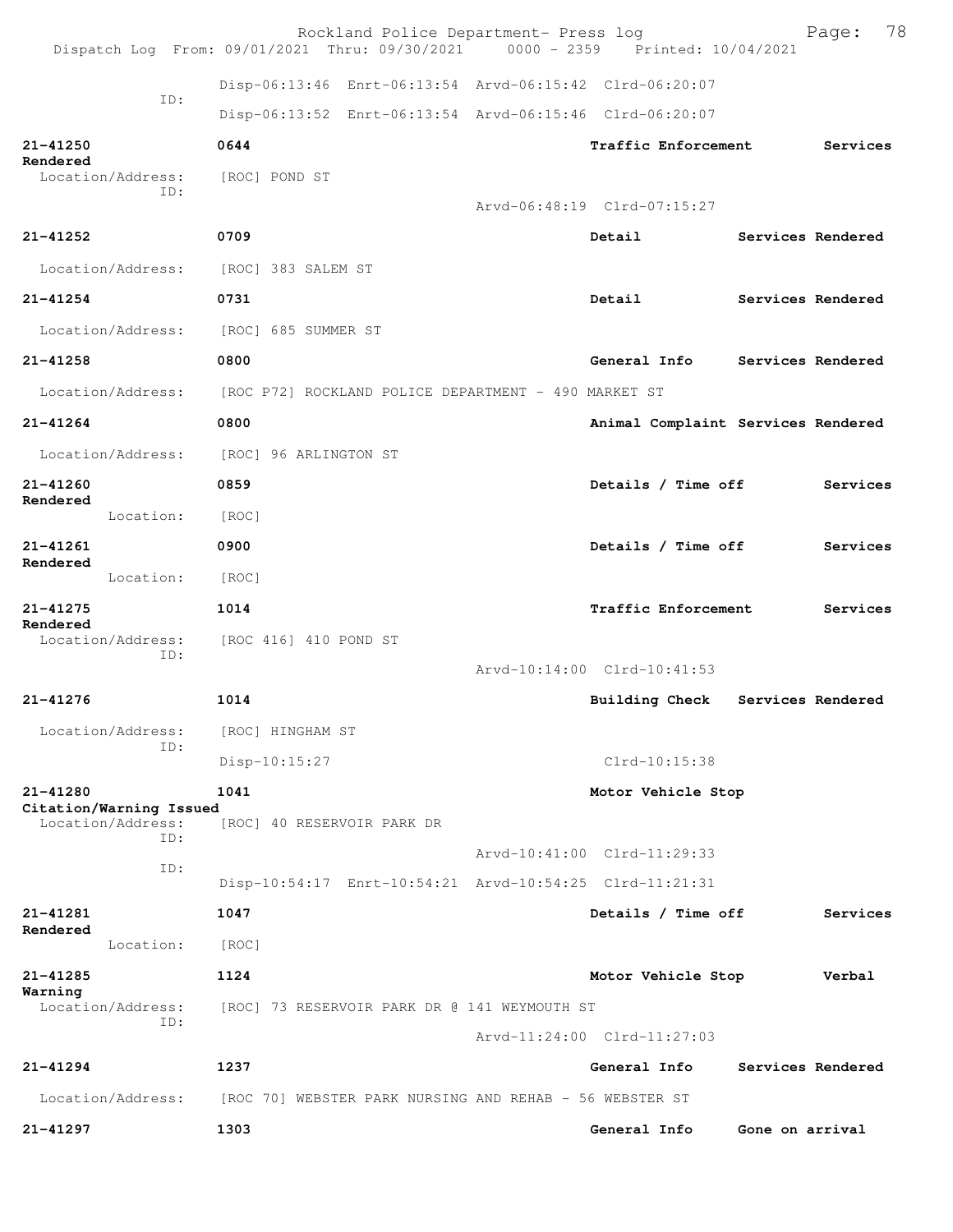|                                      | Rockland Police Department- Press log<br>Dispatch Log From: 09/01/2021 Thru: 09/30/2021 0000 - 2359 Printed: 10/04/2021 |                                    |                 | Page:             | 78 |
|--------------------------------------|-------------------------------------------------------------------------------------------------------------------------|------------------------------------|-----------------|-------------------|----|
|                                      | Disp-06:13:46 Enrt-06:13:54 Arvd-06:15:42 Clrd-06:20:07                                                                 |                                    |                 |                   |    |
| ID:                                  | Disp-06:13:52 Enrt-06:13:54 Arvd-06:15:46 Clrd-06:20:07                                                                 |                                    |                 |                   |    |
| 21-41250                             | 0644                                                                                                                    | Traffic Enforcement                |                 | Services          |    |
| Rendered<br>Location/Address:        | [ROC] POND ST                                                                                                           |                                    |                 |                   |    |
| ID:                                  |                                                                                                                         | Arvd-06:48:19 Clrd-07:15:27        |                 |                   |    |
| 21-41252                             | 0709                                                                                                                    | Detail                             |                 | Services Rendered |    |
| Location/Address:                    | [ROC] 383 SALEM ST                                                                                                      |                                    |                 |                   |    |
| $21 - 41254$                         | 0731                                                                                                                    | Detail                             |                 | Services Rendered |    |
| Location/Address:                    | [ROC] 685 SUMMER ST                                                                                                     |                                    |                 |                   |    |
| 21-41258                             | 0800                                                                                                                    | General Info Services Rendered     |                 |                   |    |
|                                      | Location/Address: [ROC P72] ROCKLAND POLICE DEPARTMENT - 490 MARKET ST                                                  |                                    |                 |                   |    |
| $21 - 41264$                         | 0800                                                                                                                    | Animal Complaint Services Rendered |                 |                   |    |
| Location/Address:                    | [ROC] 96 ARLINGTON ST                                                                                                   |                                    |                 |                   |    |
| 21-41260                             | 0859                                                                                                                    | Details / Time off                 |                 | Services          |    |
| Rendered<br>Location:                | [ROC]                                                                                                                   |                                    |                 |                   |    |
| $21 - 41261$                         | 0900                                                                                                                    | Details / Time off                 |                 | Services          |    |
| Rendered<br>Location:                | [ROC]                                                                                                                   |                                    |                 |                   |    |
| 21-41275                             | 1014                                                                                                                    | Traffic Enforcement                |                 | Services          |    |
| Rendered<br>Location/Address:<br>ID: | [ROC 416] 410 POND ST                                                                                                   |                                    |                 |                   |    |
|                                      |                                                                                                                         | Arvd-10:14:00 Clrd-10:41:53        |                 |                   |    |
| $21 - 41276$                         | 1014                                                                                                                    | Building Check Services Rendered   |                 |                   |    |
| Location/Address:<br>TD:             | [ROC] HINGHAM ST                                                                                                        |                                    |                 |                   |    |
|                                      | Disp-10:15:27                                                                                                           | $Clrd-10:15:38$                    |                 |                   |    |
| 21-41280<br>Citation/Warning Issued  | 1041                                                                                                                    | Motor Vehicle Stop                 |                 |                   |    |
| Location/Address:<br>ID:             | [ROC] 40 RESERVOIR PARK DR                                                                                              |                                    |                 |                   |    |
| ID:                                  |                                                                                                                         | Arvd-10:41:00 Clrd-11:29:33        |                 |                   |    |
|                                      | Disp-10:54:17 Enrt-10:54:21 Arvd-10:54:25 Clrd-11:21:31                                                                 |                                    |                 |                   |    |
| $21 - 41281$<br>Rendered             | 1047                                                                                                                    | Details / Time off                 |                 | Services          |    |
| Location:                            | [ROC]                                                                                                                   |                                    |                 |                   |    |
| 21-41285<br>Warning                  | 1124                                                                                                                    | Motor Vehicle Stop                 |                 | Verbal            |    |
| Location/Address:<br>ID:             | [ROC] 73 RESERVOIR PARK DR @ 141 WEYMOUTH ST                                                                            |                                    |                 |                   |    |
|                                      |                                                                                                                         | Arvd-11:24:00 Clrd-11:27:03        |                 |                   |    |
| 21-41294                             | 1237                                                                                                                    | General Info                       |                 | Services Rendered |    |
| Location/Address:                    | [ROC 70] WEBSTER PARK NURSING AND REHAB - 56 WEBSTER ST                                                                 |                                    |                 |                   |    |
| $21 - 41297$                         | 1303                                                                                                                    | General Info                       | Gone on arrival |                   |    |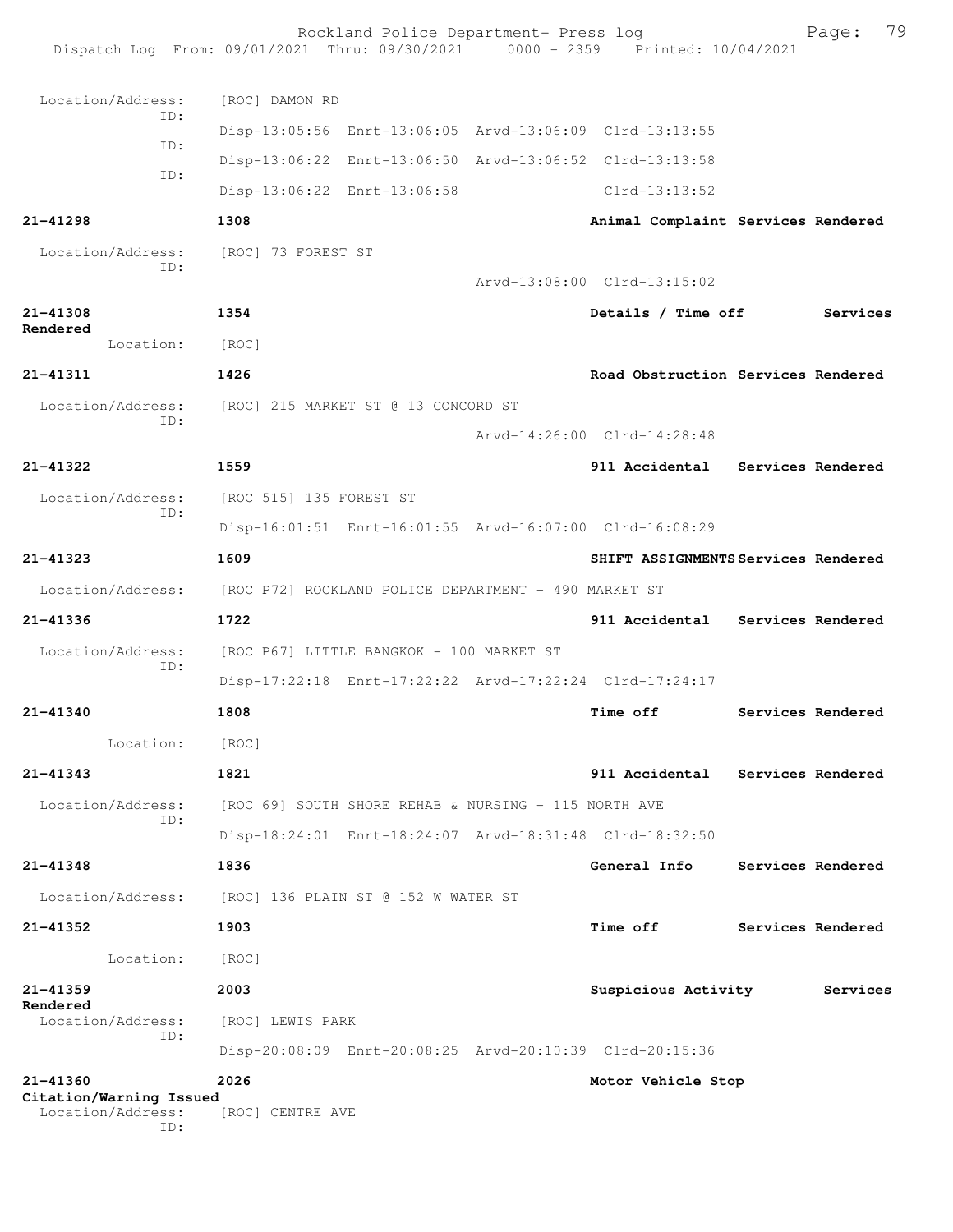|                                     | Rockland Police Department- Press log<br>Dispatch Log From: 09/01/2021 Thru: 09/30/2021 0000 - 2359 Printed: 10/04/2021 |                                     | Page:             | 79 |
|-------------------------------------|-------------------------------------------------------------------------------------------------------------------------|-------------------------------------|-------------------|----|
| Location/Address:                   | [ROC] DAMON RD                                                                                                          |                                     |                   |    |
| ID:                                 | Disp-13:05:56 Enrt-13:06:05 Arvd-13:06:09 Clrd-13:13:55                                                                 |                                     |                   |    |
| ID:                                 | Disp-13:06:22 Enrt-13:06:50 Arvd-13:06:52 Clrd-13:13:58                                                                 |                                     |                   |    |
| ID:                                 | Disp-13:06:22 Enrt-13:06:58                                                                                             | $Clrd-13:13:52$                     |                   |    |
| 21-41298                            | 1308                                                                                                                    | Animal Complaint Services Rendered  |                   |    |
| Location/Address:<br>ID:            | [ROC] 73 FOREST ST                                                                                                      | Arvd-13:08:00 Clrd-13:15:02         |                   |    |
| 21-41308                            | 1354                                                                                                                    | Details / Time off                  | Services          |    |
| Rendered<br>Location:               | [ROC]                                                                                                                   |                                     |                   |    |
| $21 - 41311$                        | 1426                                                                                                                    | Road Obstruction Services Rendered  |                   |    |
| Location/Address:                   | [ROC] 215 MARKET ST @ 13 CONCORD ST                                                                                     |                                     |                   |    |
| ID:                                 |                                                                                                                         | Arvd-14:26:00 Clrd-14:28:48         |                   |    |
| 21-41322                            | 1559                                                                                                                    | 911 Accidental Services Rendered    |                   |    |
| Location/Address:                   | [ROC 515] 135 FOREST ST                                                                                                 |                                     |                   |    |
| ID:                                 | Disp-16:01:51 Enrt-16:01:55 Arvd-16:07:00 Clrd-16:08:29                                                                 |                                     |                   |    |
| $21 - 41323$                        | 1609                                                                                                                    | SHIFT ASSIGNMENTS Services Rendered |                   |    |
| Location/Address:                   | [ROC P72] ROCKLAND POLICE DEPARTMENT - 490 MARKET ST                                                                    |                                     |                   |    |
| 21-41336                            | 1722                                                                                                                    | 911 Accidental Services Rendered    |                   |    |
| Location/Address:<br>ID:            | [ROC P67] LITTLE BANGKOK - 100 MARKET ST                                                                                |                                     |                   |    |
|                                     | Disp-17:22:18 Enrt-17:22:22 Arvd-17:22:24 Clrd-17:24:17                                                                 |                                     |                   |    |
| 21-41340                            | 1808                                                                                                                    | Time off                            | Services Rendered |    |
| Location:                           | [ROC]                                                                                                                   |                                     |                   |    |
| $21 - 41343$                        | 1821                                                                                                                    | 911 Accidental                      | Services Rendered |    |
| Location/Address:<br>TD:            | [ROC 69] SOUTH SHORE REHAB & NURSING - 115 NORTH AVE                                                                    |                                     |                   |    |
|                                     | Disp-18:24:01 Enrt-18:24:07 Arvd-18:31:48 Clrd-18:32:50                                                                 |                                     |                   |    |
| 21-41348                            | 1836                                                                                                                    | General Info                        | Services Rendered |    |
| Location/Address:                   | [ROC] 136 PLAIN ST @ 152 W WATER ST                                                                                     |                                     |                   |    |
| 21-41352                            | 1903                                                                                                                    | <b>Time off</b>                     | Services Rendered |    |
| Location:                           | [ROC]                                                                                                                   |                                     |                   |    |
| $21 - 41359$<br>Rendered            | 2003                                                                                                                    | Suspicious Activity                 | Services          |    |
| Location/Address:<br>ID:            | [ROC] LEWIS PARK                                                                                                        |                                     |                   |    |
|                                     | Disp-20:08:09 Enrt-20:08:25 Arvd-20:10:39 Clrd-20:15:36                                                                 |                                     |                   |    |
| 21-41360<br>Citation/Warning Issued | 2026                                                                                                                    | Motor Vehicle Stop                  |                   |    |
| Location/Address:<br>ID:            | [ROC] CENTRE AVE                                                                                                        |                                     |                   |    |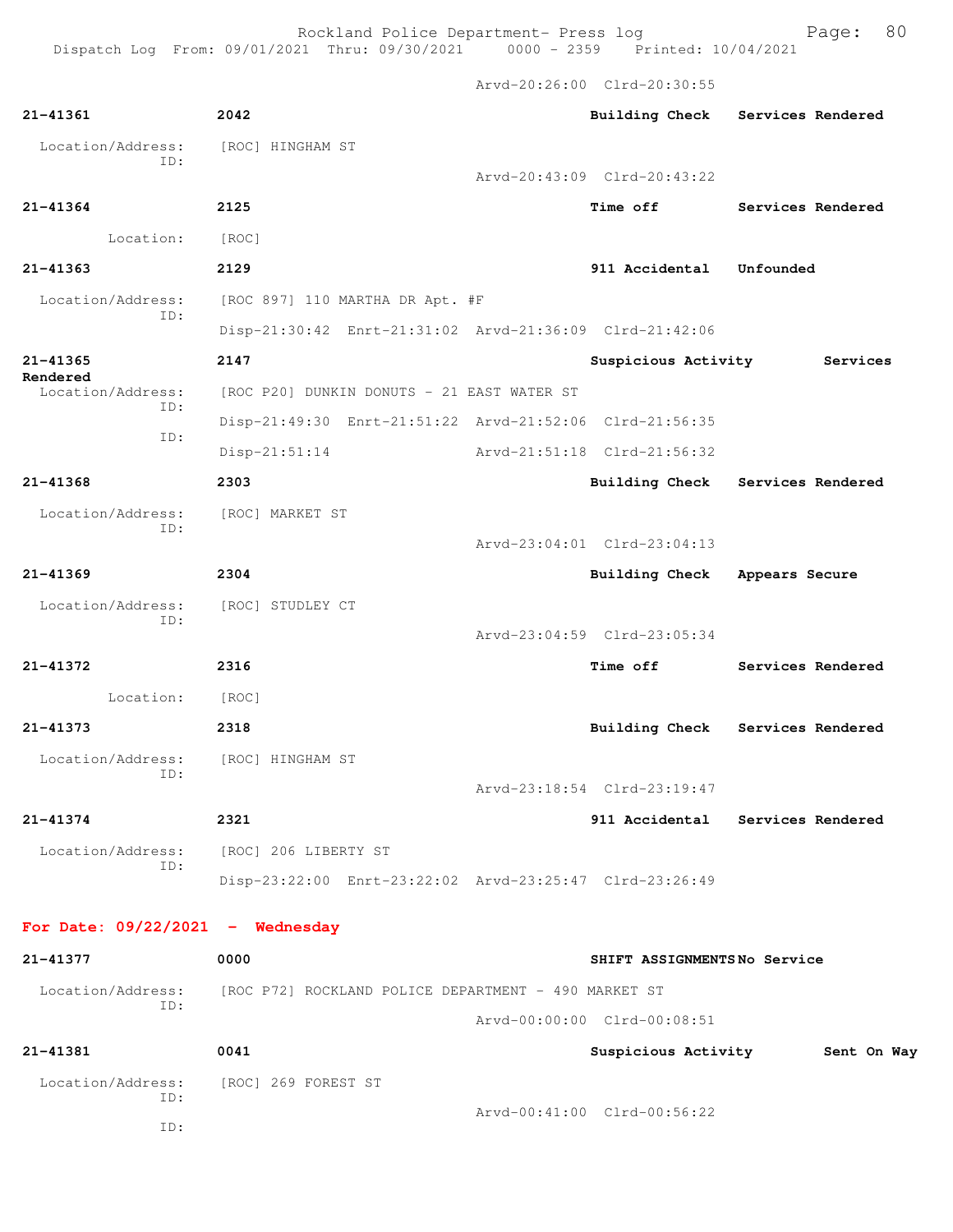Arvd-20:26:00 Clrd-20:30:55

| $21 - 41361$                             | 2042                                                    |                                     | Building Check Services Rendered |
|------------------------------------------|---------------------------------------------------------|-------------------------------------|----------------------------------|
| Location/Address:<br>TD:                 | [ROC] HINGHAM ST                                        |                                     |                                  |
|                                          |                                                         | $Arvd - 20:43:09$ $Clrd - 20:43:22$ |                                  |
| 21-41364                                 | 2125                                                    | Time off                            | Services Rendered                |
| Location:                                | [ROC]                                                   |                                     |                                  |
| $21 - 41363$                             | 2129                                                    | 911 Accidental                      | Unfounded                        |
| Location/Address:<br>ID:                 | [ROC 897] 110 MARTHA DR Apt. #F                         |                                     |                                  |
|                                          | Disp-21:30:42 Enrt-21:31:02 Arvd-21:36:09 Clrd-21:42:06 |                                     |                                  |
| 21-41365<br>Rendered                     | 2147                                                    | Suspicious Activity                 | Services                         |
| Location/Address:<br>ID:                 | [ROC P20] DUNKIN DONUTS - 21 EAST WATER ST              |                                     |                                  |
| ID:                                      | Disp-21:49:30 Enrt-21:51:22 Arvd-21:52:06 Clrd-21:56:35 |                                     |                                  |
|                                          | $Disp-21:51:14$                                         | Arvd-21:51:18 Clrd-21:56:32         |                                  |
| 21-41368                                 | 2303                                                    | <b>Building Check</b>               | Services Rendered                |
| Location/Address: [ROC] MARKET ST<br>ID: |                                                         |                                     |                                  |
|                                          |                                                         | Arvd-23:04:01 Clrd-23:04:13         |                                  |
| $21 - 41369$                             | 2304                                                    | <b>Building Check</b>               | Appears Secure                   |
| Location/Address:<br>ID:                 | [ROC] STUDLEY CT                                        |                                     |                                  |
|                                          |                                                         | Arvd-23:04:59 Clrd-23:05:34         |                                  |
| 21-41372                                 | 2316                                                    | <b>Time off</b>                     | Services Rendered                |
| Location:                                | [ROC]                                                   |                                     |                                  |
| $21 - 41373$                             | 2318                                                    | <b>Building Check</b>               | Services Rendered                |
| Location/Address:<br>ID:                 | [ROC] HINGHAM ST                                        |                                     |                                  |
|                                          |                                                         | Arvd-23:18:54 Clrd-23:19:47         |                                  |
| $21 - 41374$                             | 2321                                                    | 911 Accidental                      | Services Rendered                |
| Location/Address:<br>ID:                 | [ROC] 206 LIBERTY ST                                    |                                     |                                  |
|                                          | Disp-23:22:00 Enrt-23:22:02 Arvd-23:25:47 Clrd-23:26:49 |                                     |                                  |
| For Date: $09/22/2021$ - Wednesday       |                                                         |                                     |                                  |
| 21-41377                                 | 0000                                                    | SHIFT ASSIGNMENTSNo Service         |                                  |
| Location/Address:                        | [ROC P72] ROCKLAND POLICE DEPARTMENT - 490 MARKET ST    |                                     |                                  |
| ID:                                      |                                                         | Arvd-00:00:00 Clrd-00:08:51         |                                  |
| 21-41381                                 | 0041                                                    | Suspicious Activity                 | Sent On Way                      |
| ID:                                      | Location/Address: [ROC] 269 FOREST ST                   |                                     |                                  |
| ID:                                      |                                                         | Arvd-00:41:00 Clrd-00:56:22         |                                  |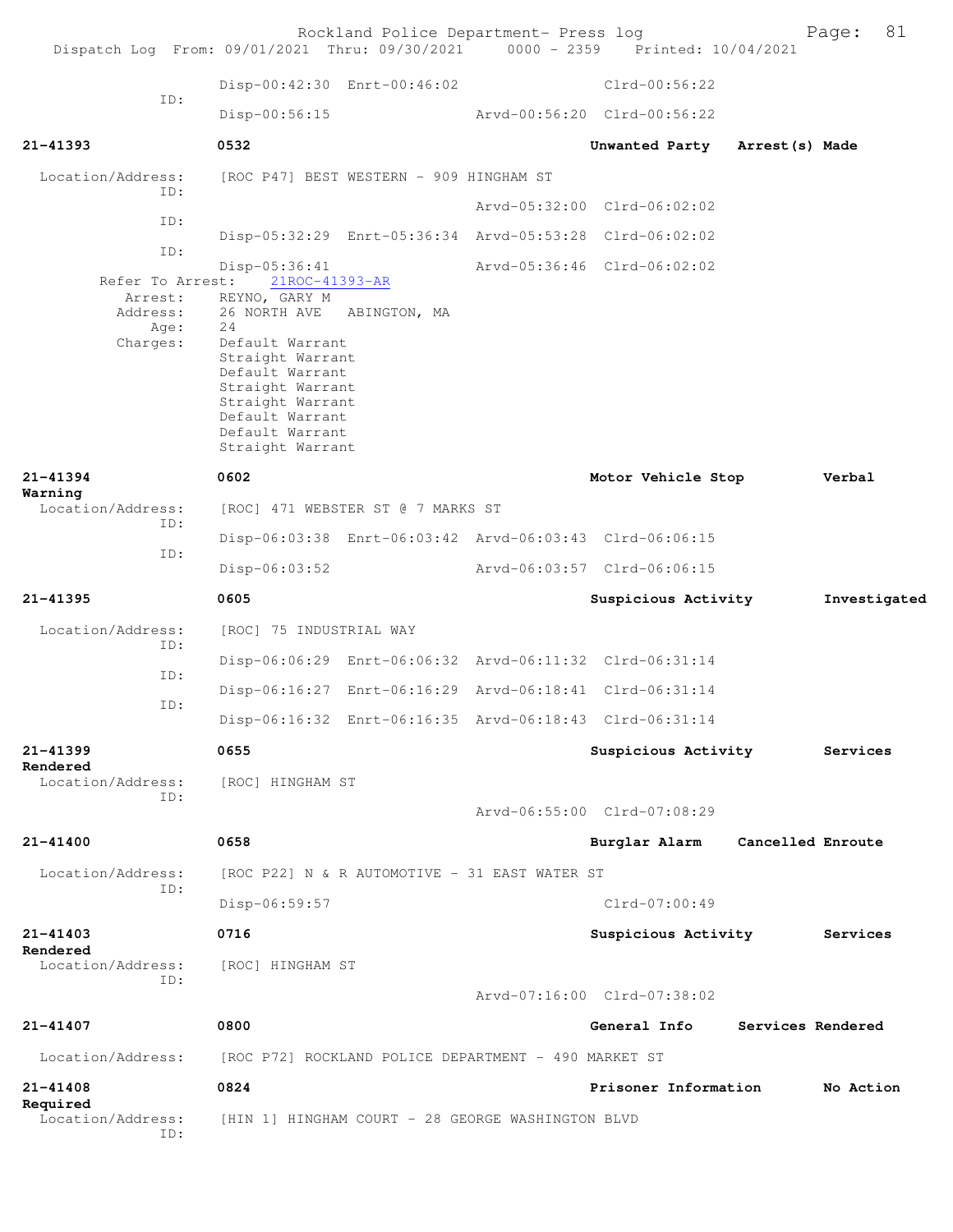| Disp-00:42:30 Enrt-00:46:02<br>$Clrd-00:56:22$<br>ID:<br>Disp-00:56:15<br>Arvd-00:56:20 Clrd-00:56:22<br>21-41393<br>0532<br>Unwanted Party Arrest (s) Made<br>Location/Address:<br>[ROC P47] BEST WESTERN - 909 HINGHAM ST<br>ID:<br>Arvd-05:32:00 Clrd-06:02:02<br>ID:<br>Disp-05:32:29 Enrt-05:36:34 Arvd-05:53:28 Clrd-06:02:02<br>ID:<br>Disp-05:36:41<br>Arvd-05:36:46 Clrd-06:02:02<br>Refer To Arrest:<br>21ROC-41393-AR<br>Arrest:<br>REYNO, GARY M<br>Address:<br>26 NORTH AVE ABINGTON, MA<br>24<br>Age:<br>Charges:<br>Default Warrant<br>Straight Warrant<br>Default Warrant<br>Straight Warrant<br>Straight Warrant<br>Default Warrant<br>Default Warrant<br>Straight Warrant<br>0602<br>21-41394<br>Motor Vehicle Stop<br>Verbal<br>Warning<br>Location/Address:<br>[ROC] 471 WEBSTER ST @ 7 MARKS ST<br>ID:<br>Disp-06:03:38 Enrt-06:03:42 Arvd-06:03:43 Clrd-06:06:15<br>ID:<br>$Disp-06:03:52$<br>Arvd-06:03:57 Clrd-06:06:15<br>0605<br>21-41395<br>Suspicious Activity<br>Investigated<br>Location/Address:<br>[ROC] 75 INDUSTRIAL WAY<br>ID:<br>Disp-06:06:29 Enrt-06:06:32 Arvd-06:11:32 Clrd-06:31:14<br>ID:<br>Disp-06:16:27 Enrt-06:16:29 Arvd-06:18:41 Clrd-06:31:14<br>ID:<br>Disp-06:16:32 Enrt-06:16:35 Arvd-06:18:43 Clrd-06:31:14<br>21-41399<br>0655<br>Suspicious Activity<br>Services<br>Rendered<br>Location/Address:<br>[ROC] HINGHAM ST<br>ID:<br>Arvd-06:55:00 Clrd-07:08:29<br>21-41400<br>0658<br>Burglar Alarm Cancelled Enroute<br>Location/Address:<br>[ROC P22] N & R AUTOMOTIVE - 31 EAST WATER ST<br>ID:<br>$Clrd-07:00:49$<br>Disp-06:59:57<br>$21 - 41403$<br>0716<br>Suspicious Activity<br>Services<br>Rendered<br>Location/Address:<br>[ROC] HINGHAM ST<br>ID:<br>Arvd-07:16:00 Clrd-07:38:02<br>21-41407<br>0800<br>Services Rendered<br>General Info<br>Location/Address:<br>[ROC P72] ROCKLAND POLICE DEPARTMENT - 490 MARKET ST<br>21-41408<br>0824<br>Prisoner Information<br>No Action<br>Required<br>Location/Address:<br>[HIN 1] HINGHAM COURT - 28 GEORGE WASHINGTON BLVD<br>ID: | Dispatch Log From: 09/01/2021 Thru: 09/30/2021 0000 - 2359 Printed: 10/04/2021 | Rockland Police Department- Press log |  | 81<br>Page: |
|----------------------------------------------------------------------------------------------------------------------------------------------------------------------------------------------------------------------------------------------------------------------------------------------------------------------------------------------------------------------------------------------------------------------------------------------------------------------------------------------------------------------------------------------------------------------------------------------------------------------------------------------------------------------------------------------------------------------------------------------------------------------------------------------------------------------------------------------------------------------------------------------------------------------------------------------------------------------------------------------------------------------------------------------------------------------------------------------------------------------------------------------------------------------------------------------------------------------------------------------------------------------------------------------------------------------------------------------------------------------------------------------------------------------------------------------------------------------------------------------------------------------------------------------------------------------------------------------------------------------------------------------------------------------------------------------------------------------------------------------------------------------------------------------------------------------------------------------------------------------------------------------------------------------------------------------------------------------------------------------------------------------------------------------|--------------------------------------------------------------------------------|---------------------------------------|--|-------------|
|                                                                                                                                                                                                                                                                                                                                                                                                                                                                                                                                                                                                                                                                                                                                                                                                                                                                                                                                                                                                                                                                                                                                                                                                                                                                                                                                                                                                                                                                                                                                                                                                                                                                                                                                                                                                                                                                                                                                                                                                                                              |                                                                                |                                       |  |             |
|                                                                                                                                                                                                                                                                                                                                                                                                                                                                                                                                                                                                                                                                                                                                                                                                                                                                                                                                                                                                                                                                                                                                                                                                                                                                                                                                                                                                                                                                                                                                                                                                                                                                                                                                                                                                                                                                                                                                                                                                                                              |                                                                                |                                       |  |             |
|                                                                                                                                                                                                                                                                                                                                                                                                                                                                                                                                                                                                                                                                                                                                                                                                                                                                                                                                                                                                                                                                                                                                                                                                                                                                                                                                                                                                                                                                                                                                                                                                                                                                                                                                                                                                                                                                                                                                                                                                                                              |                                                                                |                                       |  |             |
|                                                                                                                                                                                                                                                                                                                                                                                                                                                                                                                                                                                                                                                                                                                                                                                                                                                                                                                                                                                                                                                                                                                                                                                                                                                                                                                                                                                                                                                                                                                                                                                                                                                                                                                                                                                                                                                                                                                                                                                                                                              |                                                                                |                                       |  |             |
|                                                                                                                                                                                                                                                                                                                                                                                                                                                                                                                                                                                                                                                                                                                                                                                                                                                                                                                                                                                                                                                                                                                                                                                                                                                                                                                                                                                                                                                                                                                                                                                                                                                                                                                                                                                                                                                                                                                                                                                                                                              |                                                                                |                                       |  |             |
|                                                                                                                                                                                                                                                                                                                                                                                                                                                                                                                                                                                                                                                                                                                                                                                                                                                                                                                                                                                                                                                                                                                                                                                                                                                                                                                                                                                                                                                                                                                                                                                                                                                                                                                                                                                                                                                                                                                                                                                                                                              |                                                                                |                                       |  |             |
|                                                                                                                                                                                                                                                                                                                                                                                                                                                                                                                                                                                                                                                                                                                                                                                                                                                                                                                                                                                                                                                                                                                                                                                                                                                                                                                                                                                                                                                                                                                                                                                                                                                                                                                                                                                                                                                                                                                                                                                                                                              |                                                                                |                                       |  |             |
|                                                                                                                                                                                                                                                                                                                                                                                                                                                                                                                                                                                                                                                                                                                                                                                                                                                                                                                                                                                                                                                                                                                                                                                                                                                                                                                                                                                                                                                                                                                                                                                                                                                                                                                                                                                                                                                                                                                                                                                                                                              |                                                                                |                                       |  |             |
|                                                                                                                                                                                                                                                                                                                                                                                                                                                                                                                                                                                                                                                                                                                                                                                                                                                                                                                                                                                                                                                                                                                                                                                                                                                                                                                                                                                                                                                                                                                                                                                                                                                                                                                                                                                                                                                                                                                                                                                                                                              |                                                                                |                                       |  |             |
|                                                                                                                                                                                                                                                                                                                                                                                                                                                                                                                                                                                                                                                                                                                                                                                                                                                                                                                                                                                                                                                                                                                                                                                                                                                                                                                                                                                                                                                                                                                                                                                                                                                                                                                                                                                                                                                                                                                                                                                                                                              |                                                                                |                                       |  |             |
|                                                                                                                                                                                                                                                                                                                                                                                                                                                                                                                                                                                                                                                                                                                                                                                                                                                                                                                                                                                                                                                                                                                                                                                                                                                                                                                                                                                                                                                                                                                                                                                                                                                                                                                                                                                                                                                                                                                                                                                                                                              |                                                                                |                                       |  |             |
|                                                                                                                                                                                                                                                                                                                                                                                                                                                                                                                                                                                                                                                                                                                                                                                                                                                                                                                                                                                                                                                                                                                                                                                                                                                                                                                                                                                                                                                                                                                                                                                                                                                                                                                                                                                                                                                                                                                                                                                                                                              |                                                                                |                                       |  |             |
|                                                                                                                                                                                                                                                                                                                                                                                                                                                                                                                                                                                                                                                                                                                                                                                                                                                                                                                                                                                                                                                                                                                                                                                                                                                                                                                                                                                                                                                                                                                                                                                                                                                                                                                                                                                                                                                                                                                                                                                                                                              |                                                                                |                                       |  |             |
|                                                                                                                                                                                                                                                                                                                                                                                                                                                                                                                                                                                                                                                                                                                                                                                                                                                                                                                                                                                                                                                                                                                                                                                                                                                                                                                                                                                                                                                                                                                                                                                                                                                                                                                                                                                                                                                                                                                                                                                                                                              |                                                                                |                                       |  |             |
|                                                                                                                                                                                                                                                                                                                                                                                                                                                                                                                                                                                                                                                                                                                                                                                                                                                                                                                                                                                                                                                                                                                                                                                                                                                                                                                                                                                                                                                                                                                                                                                                                                                                                                                                                                                                                                                                                                                                                                                                                                              |                                                                                |                                       |  |             |
|                                                                                                                                                                                                                                                                                                                                                                                                                                                                                                                                                                                                                                                                                                                                                                                                                                                                                                                                                                                                                                                                                                                                                                                                                                                                                                                                                                                                                                                                                                                                                                                                                                                                                                                                                                                                                                                                                                                                                                                                                                              |                                                                                |                                       |  |             |
|                                                                                                                                                                                                                                                                                                                                                                                                                                                                                                                                                                                                                                                                                                                                                                                                                                                                                                                                                                                                                                                                                                                                                                                                                                                                                                                                                                                                                                                                                                                                                                                                                                                                                                                                                                                                                                                                                                                                                                                                                                              |                                                                                |                                       |  |             |
|                                                                                                                                                                                                                                                                                                                                                                                                                                                                                                                                                                                                                                                                                                                                                                                                                                                                                                                                                                                                                                                                                                                                                                                                                                                                                                                                                                                                                                                                                                                                                                                                                                                                                                                                                                                                                                                                                                                                                                                                                                              |                                                                                |                                       |  |             |
|                                                                                                                                                                                                                                                                                                                                                                                                                                                                                                                                                                                                                                                                                                                                                                                                                                                                                                                                                                                                                                                                                                                                                                                                                                                                                                                                                                                                                                                                                                                                                                                                                                                                                                                                                                                                                                                                                                                                                                                                                                              |                                                                                |                                       |  |             |
|                                                                                                                                                                                                                                                                                                                                                                                                                                                                                                                                                                                                                                                                                                                                                                                                                                                                                                                                                                                                                                                                                                                                                                                                                                                                                                                                                                                                                                                                                                                                                                                                                                                                                                                                                                                                                                                                                                                                                                                                                                              |                                                                                |                                       |  |             |
|                                                                                                                                                                                                                                                                                                                                                                                                                                                                                                                                                                                                                                                                                                                                                                                                                                                                                                                                                                                                                                                                                                                                                                                                                                                                                                                                                                                                                                                                                                                                                                                                                                                                                                                                                                                                                                                                                                                                                                                                                                              |                                                                                |                                       |  |             |
|                                                                                                                                                                                                                                                                                                                                                                                                                                                                                                                                                                                                                                                                                                                                                                                                                                                                                                                                                                                                                                                                                                                                                                                                                                                                                                                                                                                                                                                                                                                                                                                                                                                                                                                                                                                                                                                                                                                                                                                                                                              |                                                                                |                                       |  |             |
|                                                                                                                                                                                                                                                                                                                                                                                                                                                                                                                                                                                                                                                                                                                                                                                                                                                                                                                                                                                                                                                                                                                                                                                                                                                                                                                                                                                                                                                                                                                                                                                                                                                                                                                                                                                                                                                                                                                                                                                                                                              |                                                                                |                                       |  |             |
|                                                                                                                                                                                                                                                                                                                                                                                                                                                                                                                                                                                                                                                                                                                                                                                                                                                                                                                                                                                                                                                                                                                                                                                                                                                                                                                                                                                                                                                                                                                                                                                                                                                                                                                                                                                                                                                                                                                                                                                                                                              |                                                                                |                                       |  |             |
|                                                                                                                                                                                                                                                                                                                                                                                                                                                                                                                                                                                                                                                                                                                                                                                                                                                                                                                                                                                                                                                                                                                                                                                                                                                                                                                                                                                                                                                                                                                                                                                                                                                                                                                                                                                                                                                                                                                                                                                                                                              |                                                                                |                                       |  |             |
|                                                                                                                                                                                                                                                                                                                                                                                                                                                                                                                                                                                                                                                                                                                                                                                                                                                                                                                                                                                                                                                                                                                                                                                                                                                                                                                                                                                                                                                                                                                                                                                                                                                                                                                                                                                                                                                                                                                                                                                                                                              |                                                                                |                                       |  |             |
|                                                                                                                                                                                                                                                                                                                                                                                                                                                                                                                                                                                                                                                                                                                                                                                                                                                                                                                                                                                                                                                                                                                                                                                                                                                                                                                                                                                                                                                                                                                                                                                                                                                                                                                                                                                                                                                                                                                                                                                                                                              |                                                                                |                                       |  |             |
|                                                                                                                                                                                                                                                                                                                                                                                                                                                                                                                                                                                                                                                                                                                                                                                                                                                                                                                                                                                                                                                                                                                                                                                                                                                                                                                                                                                                                                                                                                                                                                                                                                                                                                                                                                                                                                                                                                                                                                                                                                              |                                                                                |                                       |  |             |
|                                                                                                                                                                                                                                                                                                                                                                                                                                                                                                                                                                                                                                                                                                                                                                                                                                                                                                                                                                                                                                                                                                                                                                                                                                                                                                                                                                                                                                                                                                                                                                                                                                                                                                                                                                                                                                                                                                                                                                                                                                              |                                                                                |                                       |  |             |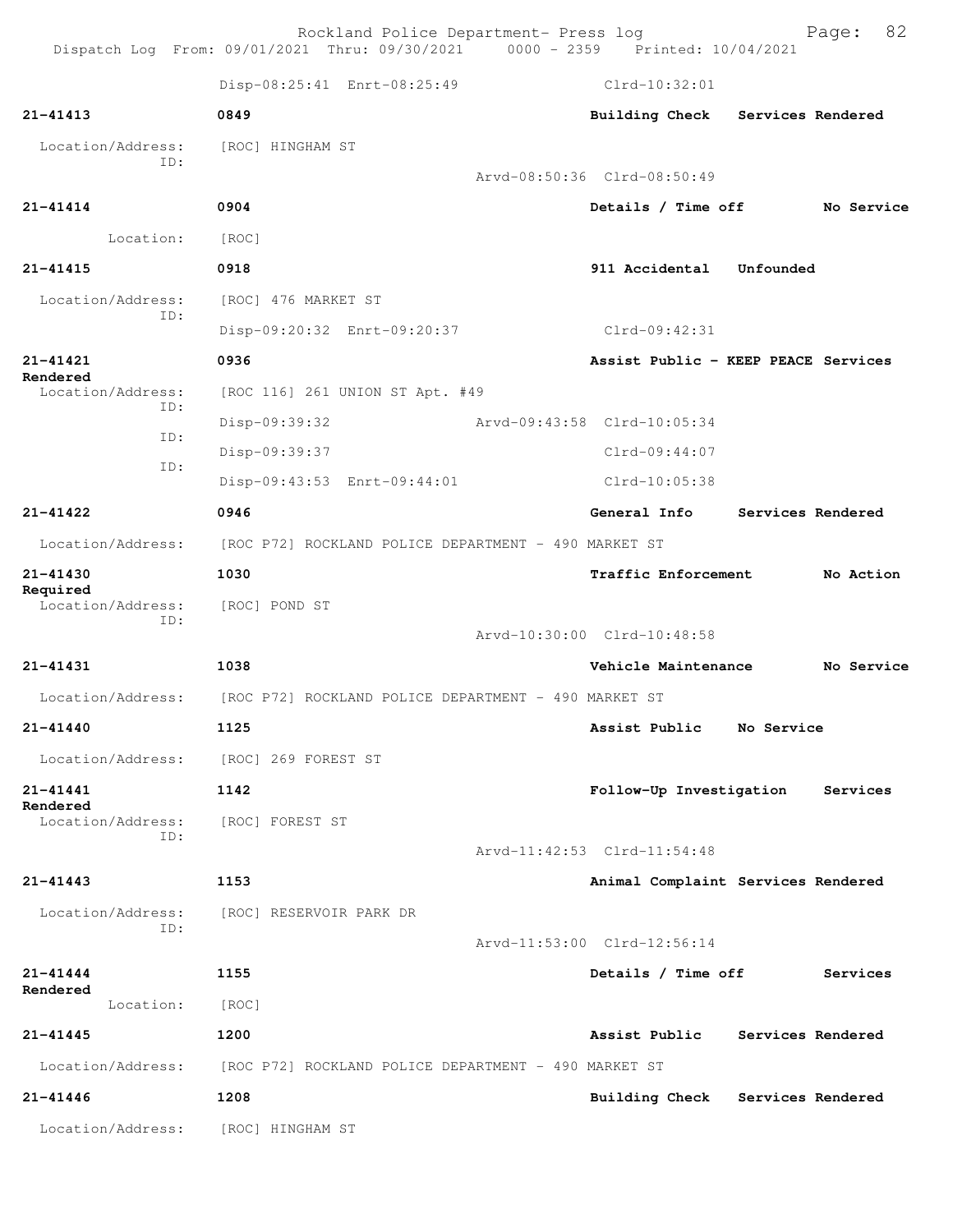Rockland Police Department- Press log Fage: 82 Dispatch Log From: 09/01/2021 Thru: 09/30/2021 0000 - 2359 Printed: 10/04/2021 Disp-08:25:41 Enrt-08:25:49 Clrd-10:32:01 **21-41413 0849 Building Check Services Rendered** Location/Address: [ROC] HINGHAM ST ID: Arvd-08:50:36 Clrd-08:50:49 **21-41414 0904 Details / Time off No Service** Location: [ROC] **21-41415 0918 911 Accidental Unfounded**  Location/Address: [ROC] 476 MARKET ST ID: Disp-09:20:32 Enrt-09:20:37 Clrd-09:42:31 **21-41421 0936 Assist Public - KEEP PEACE Services Rendered**  Location/Address: [ROC 116] 261 UNION ST Apt. #49 ID: Disp-09:39:32 Arvd-09:43:58 Clrd-10:05:34 ID: Disp-09:39:37 Clrd-09:44:07 ID: Disp-09:43:53 Enrt-09:44:01 Clrd-10:05:38 **21-41422 0946 General Info Services Rendered** Location/Address: [ROC P72] ROCKLAND POLICE DEPARTMENT - 490 MARKET ST **21-41430 1030 Traffic Enforcement No Action Required**  Location/Address: [ROC] POND ST ID: Arvd-10:30:00 Clrd-10:48:58 **21-41431 1038 Vehicle Maintenance No Service** Location/Address: [ROC P72] ROCKLAND POLICE DEPARTMENT - 490 MARKET ST **21-41440 1125 Assist Public No Service** Location/Address: [ROC] 269 FOREST ST **21-41441 1142 Follow-Up Investigation Services Rendered**  Location/Address: [ROC] FOREST ST ID: Arvd-11:42:53 Clrd-11:54:48 **21-41443 1153 Animal Complaint Services Rendered** Location/Address: [ROC] RESERVOIR PARK DR ID: Arvd-11:53:00 Clrd-12:56:14 **21-41444 1155 Details / Time off Services Rendered**  Location: [ROC] **21-41445 1200 Assist Public Services Rendered** Location/Address: [ROC P72] ROCKLAND POLICE DEPARTMENT - 490 MARKET ST **21-41446 1208 Building Check Services Rendered** Location/Address: [ROC] HINGHAM ST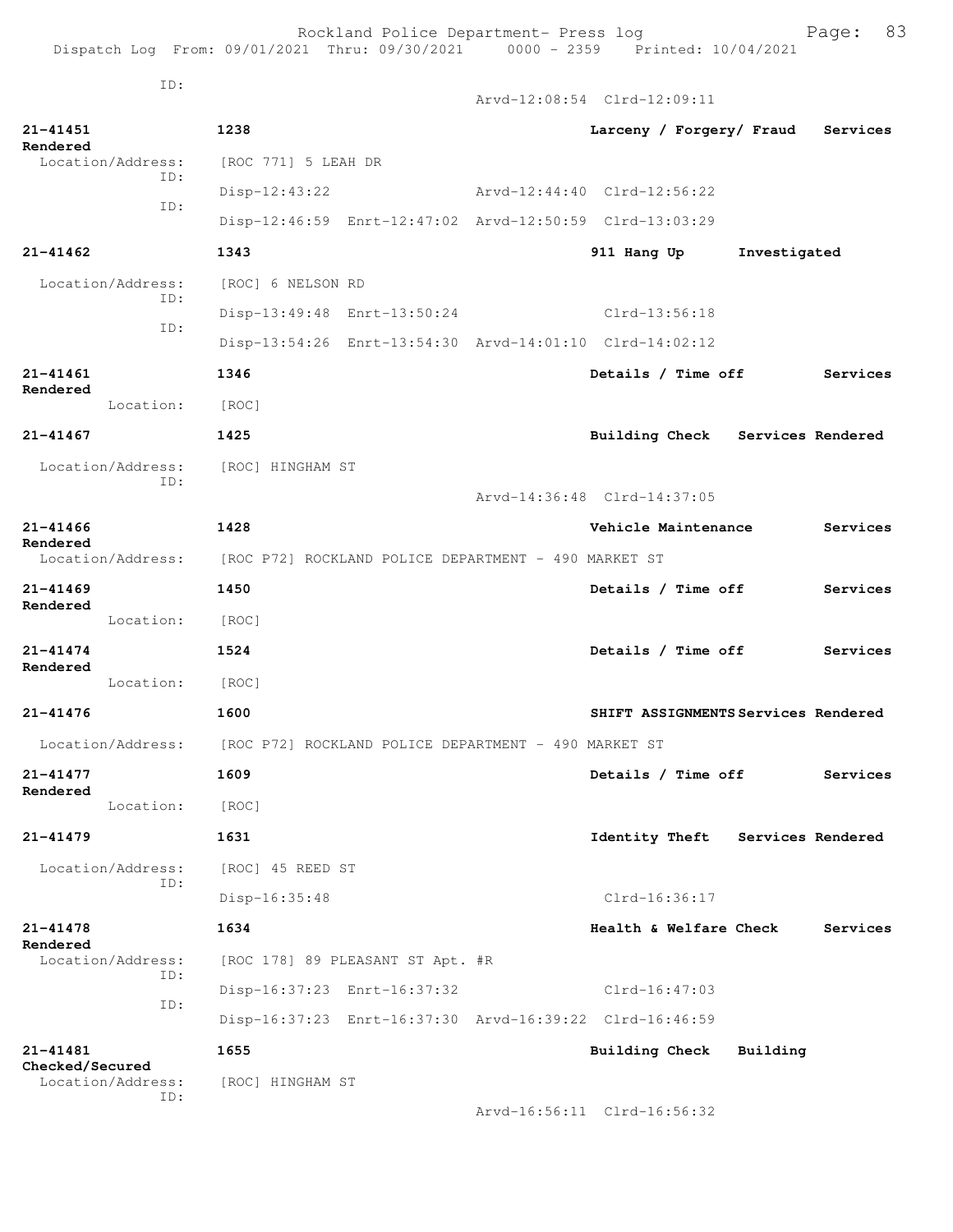Rockland Police Department- Press log entitled and Page: 83 Dispatch Log From: 09/01/2021 Thru: 09/30/2021 0000 - 2359 Printed: 10/04/2021

ID:

|                                                  |                                                                        | Arvd-12:08:54 Clrd-12:09:11         |              |                   |
|--------------------------------------------------|------------------------------------------------------------------------|-------------------------------------|--------------|-------------------|
| 21-41451<br>Rendered                             | 1238                                                                   | Larceny / Forgery/ Fraud Services   |              |                   |
| Location/Address:<br>ID:                         | [ROC 771] 5 LEAH DR                                                    |                                     |              |                   |
| ID:                                              | Disp-12:43:22                                                          | Arvd-12:44:40 Clrd-12:56:22         |              |                   |
|                                                  | Disp-12:46:59 Enrt-12:47:02 Arvd-12:50:59 Clrd-13:03:29                |                                     |              |                   |
| 21-41462                                         | 1343                                                                   | 911 Hang Up                         | Investigated |                   |
| Location/Address:                                | [ROC] 6 NELSON RD                                                      |                                     |              |                   |
| ID:                                              | Disp-13:49:48 Enrt-13:50:24                                            | Clrd-13:56:18                       |              |                   |
| ID:                                              | Disp-13:54:26 Enrt-13:54:30 Arvd-14:01:10 Clrd-14:02:12                |                                     |              |                   |
| 21-41461                                         | 1346                                                                   | Details / Time off                  |              | Services          |
| Rendered<br>Location:                            | [ROC]                                                                  |                                     |              |                   |
| $21 - 41467$                                     | 1425                                                                   | Building Check Services Rendered    |              |                   |
| Location/Address: [ROC] HINGHAM ST               |                                                                        |                                     |              |                   |
| ID:                                              |                                                                        | Arvd-14:36:48 Clrd-14:37:05         |              |                   |
| 21-41466                                         | 1428                                                                   | Vehicle Maintenance                 |              | Services          |
| Rendered                                         | Location/Address: [ROC P72] ROCKLAND POLICE DEPARTMENT - 490 MARKET ST |                                     |              |                   |
| 21-41469                                         | 1450                                                                   | Details / Time off                  |              | Services          |
| Rendered<br>Location:                            | [ROC]                                                                  |                                     |              |                   |
| 21-41474                                         | 1524                                                                   | Details / Time off                  |              | Services          |
| Rendered<br>Location:                            | [ROC]                                                                  |                                     |              |                   |
| 21-41476                                         | 1600                                                                   | SHIFT ASSIGNMENTS Services Rendered |              |                   |
|                                                  | Location/Address: [ROC P72] ROCKLAND POLICE DEPARTMENT - 490 MARKET ST |                                     |              |                   |
| 21-41477                                         | 1609                                                                   | Details / Time off                  |              | Services          |
| Rendered<br>Location:                            | [ROC]                                                                  |                                     |              |                   |
| 21-41479                                         | 1631                                                                   | <b>Identity Theft</b>               |              | Services Rendered |
| Location/Address:                                | [ROC] 45 REED ST                                                       |                                     |              |                   |
| ID:                                              | $Disp-16:35:48$                                                        | $Clrd-16:36:17$                     |              |                   |
| 21-41478                                         | 1634                                                                   | Health & Welfare Check              |              | Services          |
| Rendered<br>Location/Address:                    | [ROC 178] 89 PLEASANT ST Apt. #R                                       |                                     |              |                   |
| ID:                                              |                                                                        | Clrd-16:47:03                       |              |                   |
| ID:                                              | Disp-16:37:23 Enrt-16:37:32                                            |                                     |              |                   |
|                                                  | Disp-16:37:23 Enrt-16:37:30 Arvd-16:39:22 Clrd-16:46:59                |                                     |              |                   |
| 21-41481<br>Checked/Secured<br>Location/Address: | 1655<br>[ROC] HINGHAM ST                                               | <b>Building Check</b>               | Building     |                   |
| ID:                                              |                                                                        | Arvd-16:56:11 Clrd-16:56:32         |              |                   |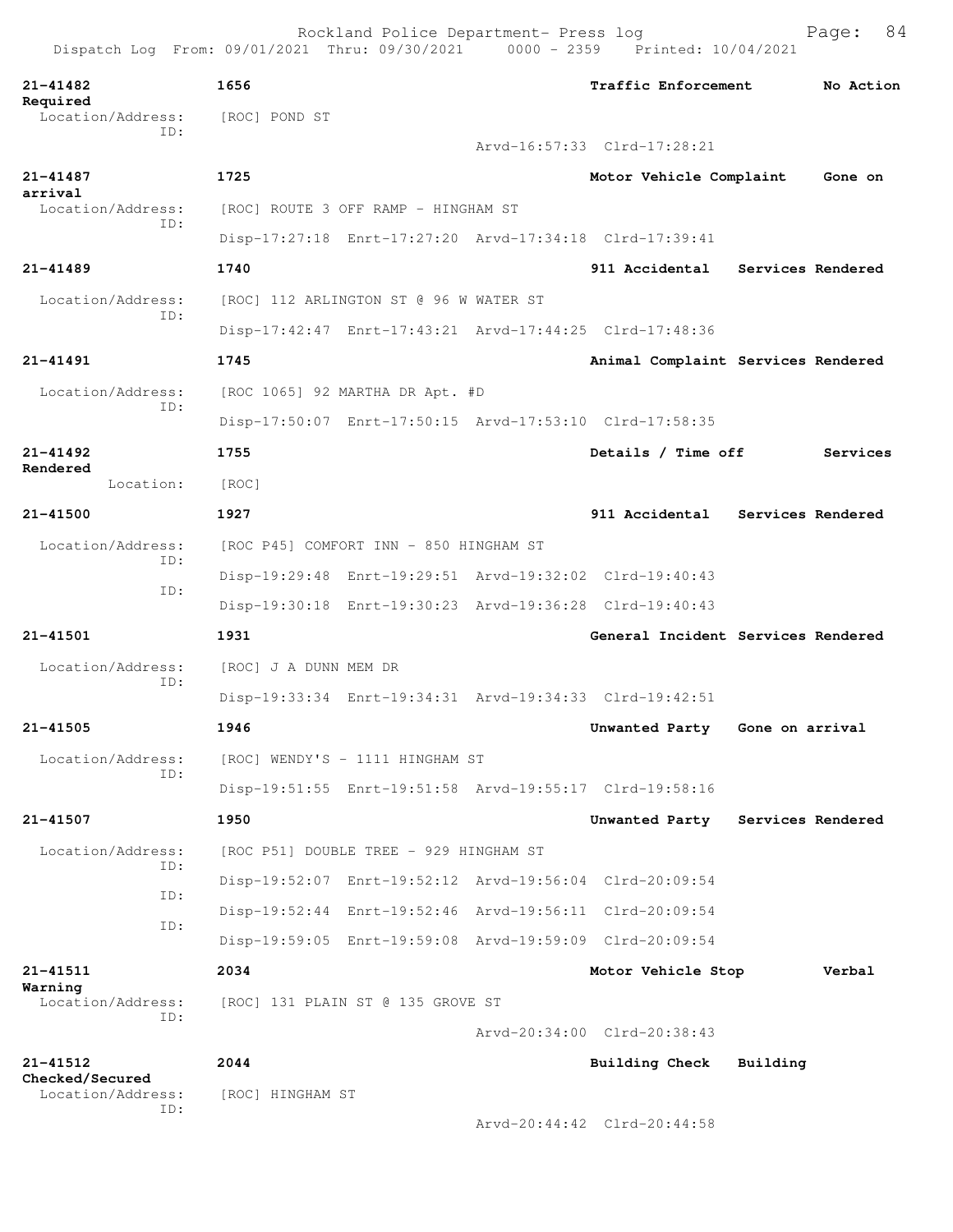**21-41482 1656 Traffic Enforcement No Action Required**  Location/Address: [ROC] POND ST ID: Arvd-16:57:33 Clrd-17:28:21 **21-41487 1725 Motor Vehicle Complaint Gone on arrival**  Location/Address: [ROC] ROUTE 3 OFF RAMP - HINGHAM ST ID: Disp-17:27:18 Enrt-17:27:20 Arvd-17:34:18 Clrd-17:39:41 **21-41489 1740 911 Accidental Services Rendered** Location/Address: [ROC] 112 ARLINGTON ST @ 96 W WATER ST ID: Disp-17:42:47 Enrt-17:43:21 Arvd-17:44:25 Clrd-17:48:36 **21-41491 1745 Animal Complaint Services Rendered** Location/Address: [ROC 1065] 92 MARTHA DR Apt. #D ID: Disp-17:50:07 Enrt-17:50:15 Arvd-17:53:10 Clrd-17:58:35 **21-41492 1755 Details / Time off Services Rendered**  Location: [ROC] **21-41500 1927 911 Accidental Services Rendered** Location/Address: [ROC P45] COMFORT INN - 850 HINGHAM ST ID: Disp-19:29:48 Enrt-19:29:51 Arvd-19:32:02 Clrd-19:40:43 ID: Disp-19:30:18 Enrt-19:30:23 Arvd-19:36:28 Clrd-19:40:43 **21-41501 1931 General Incident Services Rendered** Location/Address: [ROC] J A DUNN MEM DR<br>TD: ID: Disp-19:33:34 Enrt-19:34:31 Arvd-19:34:33 Clrd-19:42:51 **21-41505 1946 Unwanted Party Gone on arrival** Location/Address: [ROC] WENDY'S - 1111 HINGHAM ST ID: Disp-19:51:55 Enrt-19:51:58 Arvd-19:55:17 Clrd-19:58:16 **21-41507 1950 Unwanted Party Services Rendered** Location/Address: [ROC P51] DOUBLE TREE - 929 HINGHAM ST ID: Disp-19:52:07 Enrt-19:52:12 Arvd-19:56:04 Clrd-20:09:54 ID: Disp-19:52:44 Enrt-19:52:46 Arvd-19:56:11 Clrd-20:09:54 ID: Disp-19:59:05 Enrt-19:59:08 Arvd-19:59:09 Clrd-20:09:54 **21-41511 2034 Motor Vehicle Stop Verbal Warning**  Location/Address: [ROC] 131 PLAIN ST @ 135 GROVE ST ID: Arvd-20:34:00 Clrd-20:38:43 **21-41512 2044 Building Check Building Checked/Secured**  Location/Address: [ROC] HINGHAM ST ID: Arvd-20:44:42 Clrd-20:44:58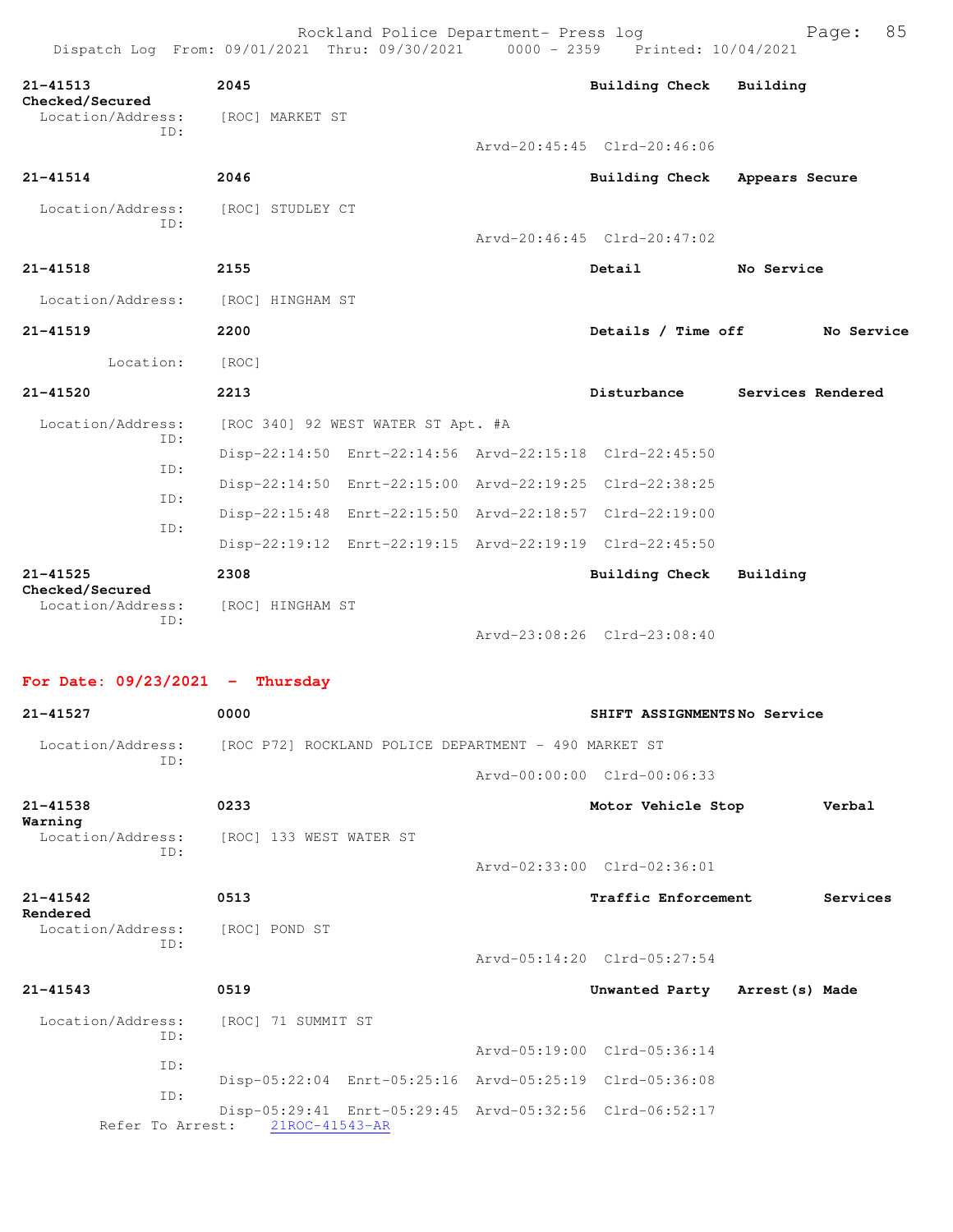| Dispatch Log From: 09/01/2021 Thru: 09/30/2021 0000 - 2359 Printed: 10/04/2021 |                  | Rockland Police Department- Press log                   |                             | 85<br>Page:       |
|--------------------------------------------------------------------------------|------------------|---------------------------------------------------------|-----------------------------|-------------------|
| $21 - 41513$<br>Checked/Secured                                                | 2045             |                                                         | Building Check Building     |                   |
| Location/Address:<br>TD:                                                       | [ROC] MARKET ST  |                                                         |                             |                   |
|                                                                                |                  |                                                         | Arvd-20:45:45 Clrd-20:46:06 |                   |
| $21 - 41514$                                                                   | 2046             |                                                         | <b>Building Check</b>       | Appears Secure    |
| Location/Address: [ROC] STUDLEY CT<br>ID:                                      |                  |                                                         |                             |                   |
|                                                                                |                  |                                                         | Arvd-20:46:45 Clrd-20:47:02 |                   |
| $21 - 41518$                                                                   | 2155             |                                                         | Detail                      | No Service        |
| Location/Address:                                                              | [ROC] HINGHAM ST |                                                         |                             |                   |
| $21 - 41519$                                                                   | 2200             |                                                         | Details / Time off          | No Service        |
| Location:                                                                      | [ROC]            |                                                         |                             |                   |
| $21 - 41520$                                                                   | 2213             |                                                         | Disturbance                 | Services Rendered |
| Location/Address:                                                              |                  | [ROC 340] 92 WEST WATER ST Apt. #A                      |                             |                   |
| TD:<br>TD:                                                                     |                  | Disp-22:14:50 Enrt-22:14:56 Arvd-22:15:18 Clrd-22:45:50 |                             |                   |
| TD:                                                                            |                  | Disp-22:14:50 Enrt-22:15:00 Arvd-22:19:25 Clrd-22:38:25 |                             |                   |
|                                                                                |                  | Disp-22:15:48 Enrt-22:15:50 Arvd-22:18:57 Clrd-22:19:00 |                             |                   |
| ID:                                                                            |                  | Disp-22:19:12 Enrt-22:19:15 Arvd-22:19:19 Clrd-22:45:50 |                             |                   |
| $21 - 41525$<br>Checked/Secured                                                | 2308             |                                                         | <b>Building Check</b>       | Building          |
| Location/Address:                                                              | [ROC] HINGHAM ST |                                                         |                             |                   |
| ID:                                                                            |                  |                                                         | Arvd-23:08:26 Clrd-23:08:40 |                   |

**For Date: 09/23/2021 - Thursday**

| $21 - 41527$             | 0000                                                                                       | SHIFT ASSIGNMENTSNo Service    |          |
|--------------------------|--------------------------------------------------------------------------------------------|--------------------------------|----------|
| Location/Address:<br>TD: | [ROC P72] ROCKLAND POLICE DEPARTMENT - 490 MARKET ST                                       |                                |          |
|                          |                                                                                            | Arvd-00:00:00 Clrd-00:06:33    |          |
| $21 - 41538$<br>Warning  | 0233                                                                                       | Motor Vehicle Stop             | Verbal   |
| Location/Address:<br>TD: | [ROC] 133 WEST WATER ST                                                                    |                                |          |
|                          |                                                                                            | Arvd-02:33:00 Clrd-02:36:01    |          |
| $21 - 41542$<br>Rendered | 0513                                                                                       | Traffic Enforcement            | Services |
| Location/Address:<br>ID: | [ROC] POND ST                                                                              |                                |          |
|                          |                                                                                            | Arvd-05:14:20 Clrd-05:27:54    |          |
| $21 - 41543$             | 0519                                                                                       | Unwanted Party Arrest (s) Made |          |
| Location/Address:<br>ID: | [ROC] 71 SUMMIT ST                                                                         |                                |          |
| TD:                      |                                                                                            | Arvd-05:19:00 Clrd-05:36:14    |          |
|                          | Disp-05:22:04 Enrt-05:25:16 Arvd-05:25:19 Clrd-05:36:08                                    |                                |          |
| TD:                      | Disp-05:29:41 Enrt-05:29:45 Arvd-05:32:56 Clrd-06:52:17<br>Refer To Arrest: 21ROC-41543-AR |                                |          |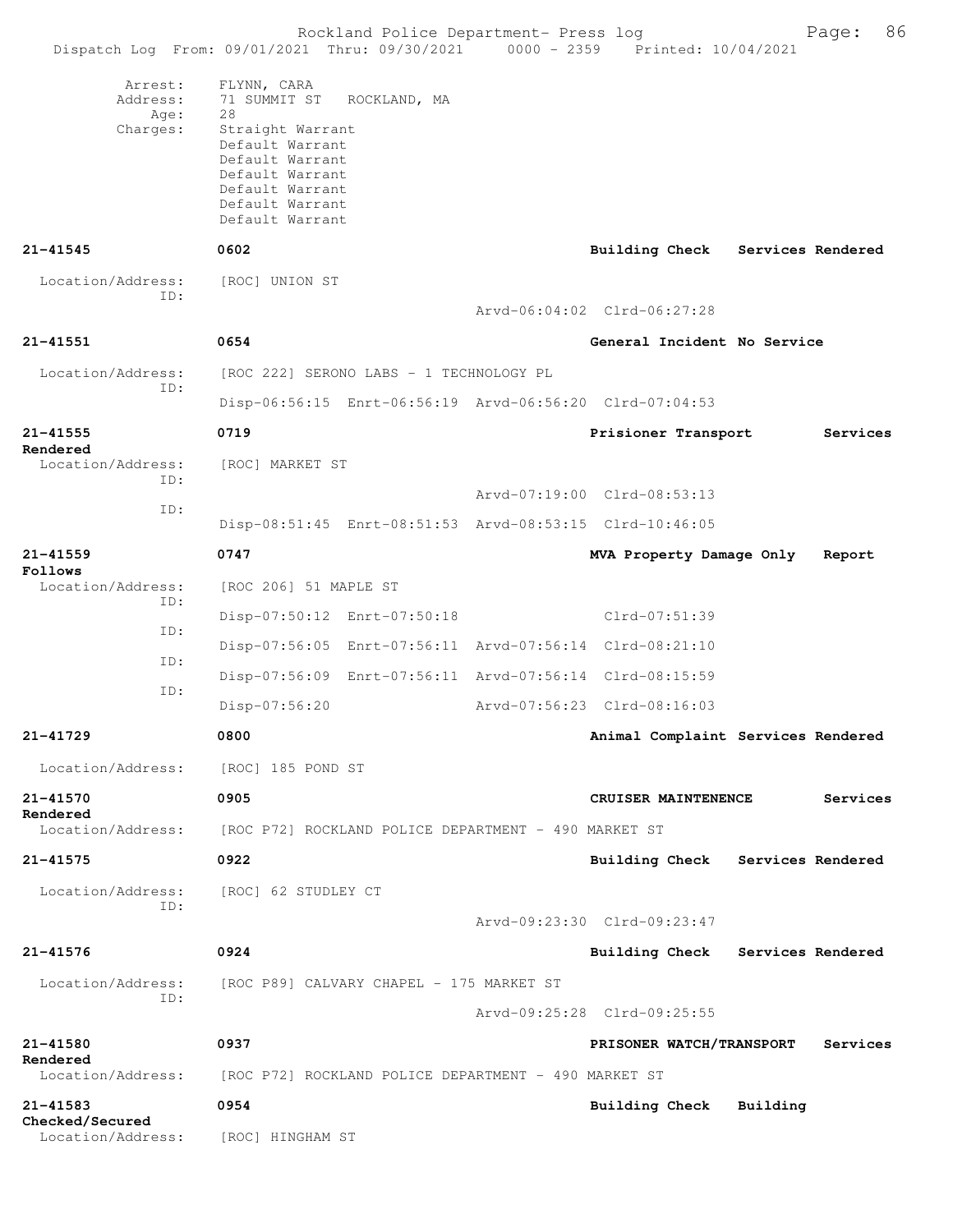Rockland Police Department- Press log Freed Page: 86 Dispatch Log From: 09/01/2021 Thru: 09/30/2021 0000 - 2359 Printed: 10/04/2021 Arrest: FLYNN, CARA Address: 71 SUMMIT ST ROCKLAND, MA Age: 28 Charges: Straight Warrant Default Warrant Default Warrant Default Warrant Default Warrant Default Warrant Default Warrant **21-41545 0602 Building Check Services Rendered** Location/Address: [ROC] UNION ST ID: Arvd-06:04:02 Clrd-06:27:28 **21-41551 0654 General Incident No Service** Location/Address: [ROC 222] SERONO LABS - 1 TECHNOLOGY PL ID: Disp-06:56:15 Enrt-06:56:19 Arvd-06:56:20 Clrd-07:04:53 **21-41555 0719 Prisioner Transport Services Rendered**  Location/Address: [ROC] MARKET ST ID: Arvd-07:19:00 Clrd-08:53:13 ID: Disp-08:51:45 Enrt-08:51:53 Arvd-08:53:15 Clrd-10:46:05 **21-41559 0747 MVA Property Damage Only Report Follows**  Location/Address: [ROC 206] 51 MAPLE ST ID: Disp-07:50:12 Enrt-07:50:18 Clrd-07:51:39 ID: Disp-07:56:05 Enrt-07:56:11 Arvd-07:56:14 Clrd-08:21:10 ID: Disp-07:56:09 Enrt-07:56:11 Arvd-07:56:14 Clrd-08:15:59 ID: Disp-07:56:20 Arvd-07:56:23 Clrd-08:16:03 **21-41729 0800 Animal Complaint Services Rendered** Location/Address: [ROC] 185 POND ST **21-41570 0905 CRUISER MAINTENENCE Services Rendered**  Location/Address: [ROC P72] ROCKLAND POLICE DEPARTMENT - 490 MARKET ST **21-41575 0922 Building Check Services Rendered** Location/Address: [ROC] 62 STUDLEY CT ID: Arvd-09:23:30 Clrd-09:23:47 **21-41576 0924 Building Check Services Rendered** Location/Address: [ROC P89] CALVARY CHAPEL - 175 MARKET ST ID: Arvd-09:25:28 Clrd-09:25:55 **21-41580 0937 PRISONER WATCH/TRANSPORT Services Rendered**  Location/Address: [ROC P72] ROCKLAND POLICE DEPARTMENT - 490 MARKET ST **21-41583 0954 Building Check Building Checked/Secured**  Location/Address: [ROC] HINGHAM ST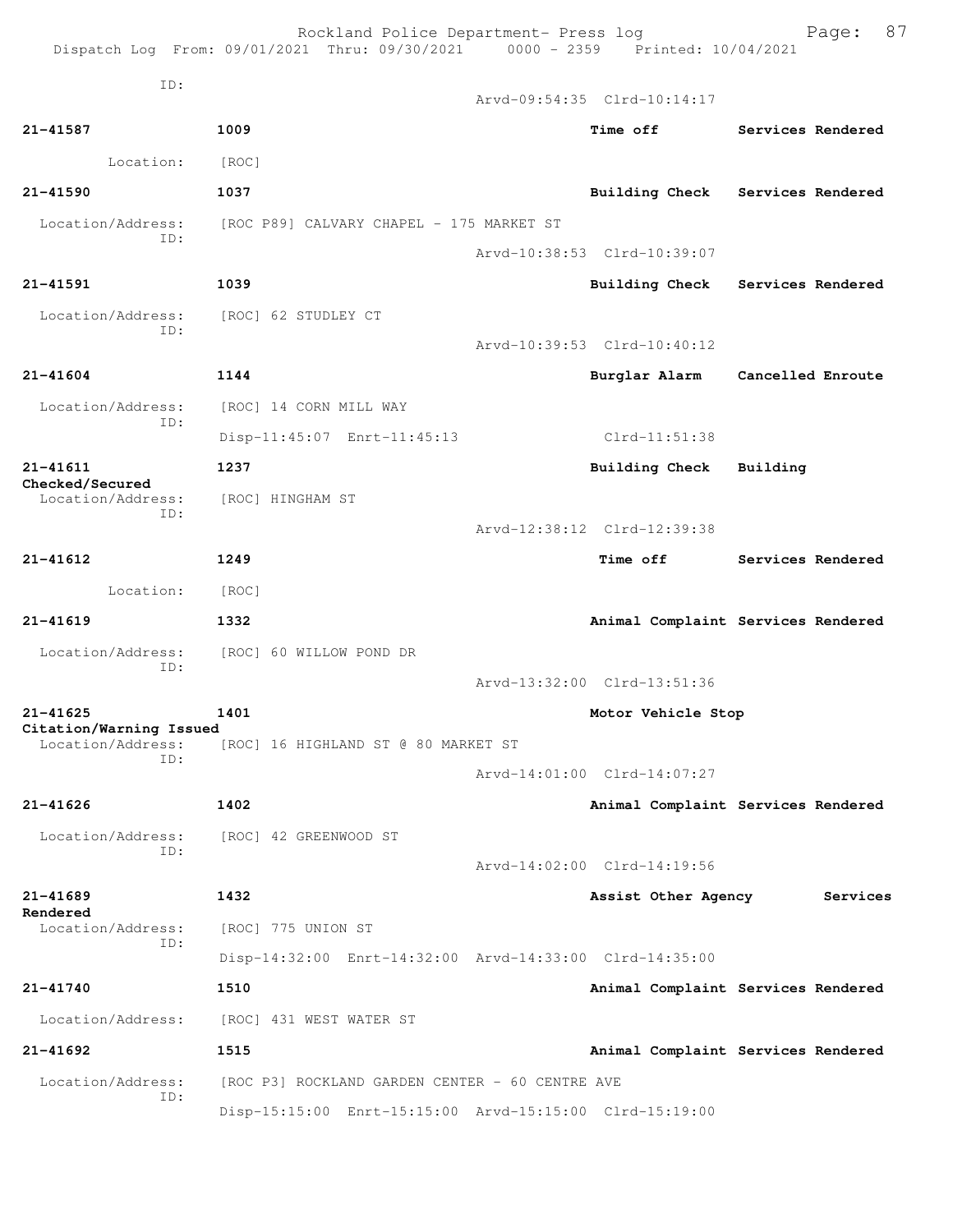|                                     | Rockland Police Department- Press log<br>Dispatch Log From: 09/01/2021 Thru: 09/30/2021 0000 - 2359 Printed: 10/04/2021 |                             | 87<br>Page:                        |
|-------------------------------------|-------------------------------------------------------------------------------------------------------------------------|-----------------------------|------------------------------------|
| ID:                                 |                                                                                                                         | Arvd-09:54:35 Clrd-10:14:17 |                                    |
| 21-41587                            | 1009                                                                                                                    | <b>Time off</b>             | Services Rendered                  |
| Location:                           | [ROC]                                                                                                                   |                             |                                    |
| $21 - 41590$                        | 1037                                                                                                                    |                             | Building Check Services Rendered   |
| Location/Address:                   | [ROC P89] CALVARY CHAPEL - 175 MARKET ST                                                                                |                             |                                    |
| ID:                                 |                                                                                                                         | Arvd-10:38:53 Clrd-10:39:07 |                                    |
| 21-41591                            | 1039                                                                                                                    |                             | Building Check Services Rendered   |
| Location/Address:                   | [ROC] 62 STUDLEY CT                                                                                                     |                             |                                    |
| TD:                                 |                                                                                                                         | Arvd-10:39:53 Clrd-10:40:12 |                                    |
| $21 - 41604$                        | 1144                                                                                                                    |                             | Burglar Alarm Cancelled Enroute    |
| Location/Address:                   | [ROC] 14 CORN MILL WAY                                                                                                  |                             |                                    |
| ID:                                 | Disp-11:45:07 Enrt-11:45:13                                                                                             | Clrd-11:51:38               |                                    |
| 21-41611<br>Checked/Secured         | 1237                                                                                                                    | <b>Building Check</b>       | Building                           |
| Location/Address:<br>ID:            | [ROC] HINGHAM ST                                                                                                        |                             |                                    |
|                                     |                                                                                                                         | Arvd-12:38:12 Clrd-12:39:38 |                                    |
| 21-41612                            | 1249                                                                                                                    | Time off                    | Services Rendered                  |
| Location:                           | [ROC]                                                                                                                   |                             |                                    |
| $21 - 41619$                        | 1332                                                                                                                    |                             | Animal Complaint Services Rendered |
| Location/Address:<br>ID:            | [ROC] 60 WILLOW POND DR                                                                                                 |                             |                                    |
|                                     |                                                                                                                         | Arvd-13:32:00 Clrd-13:51:36 |                                    |
| 21-41625<br>Citation/Warning Issued | 1401                                                                                                                    | Motor Vehicle Stop          |                                    |
| Location/Address:<br>TD:            | [ROC] 16 HIGHLAND ST @ 80 MARKET ST                                                                                     |                             |                                    |
|                                     |                                                                                                                         | Arvd-14:01:00 Clrd-14:07:27 |                                    |
| $21 - 41626$                        | 1402                                                                                                                    |                             | Animal Complaint Services Rendered |
| Location/Address:<br>TD:            | [ROC] 42 GREENWOOD ST                                                                                                   |                             |                                    |
|                                     |                                                                                                                         | Arvd-14:02:00 Clrd-14:19:56 |                                    |
| 21-41689<br>Rendered                | 1432                                                                                                                    | Assist Other Agency         | Services                           |
| Location/Address:<br>ID:            | [ROC] 775 UNION ST                                                                                                      |                             |                                    |
|                                     | Disp-14:32:00 Enrt-14:32:00 Arvd-14:33:00 Clrd-14:35:00                                                                 |                             |                                    |
| 21-41740                            | 1510                                                                                                                    |                             | Animal Complaint Services Rendered |
| Location/Address:                   | [ROC] 431 WEST WATER ST                                                                                                 |                             |                                    |
| 21-41692                            | 1515                                                                                                                    |                             | Animal Complaint Services Rendered |
| Location/Address:<br>ID:            | [ROC P3] ROCKLAND GARDEN CENTER - 60 CENTRE AVE                                                                         |                             |                                    |
|                                     | Disp-15:15:00 Enrt-15:15:00 Arvd-15:15:00 Clrd-15:19:00                                                                 |                             |                                    |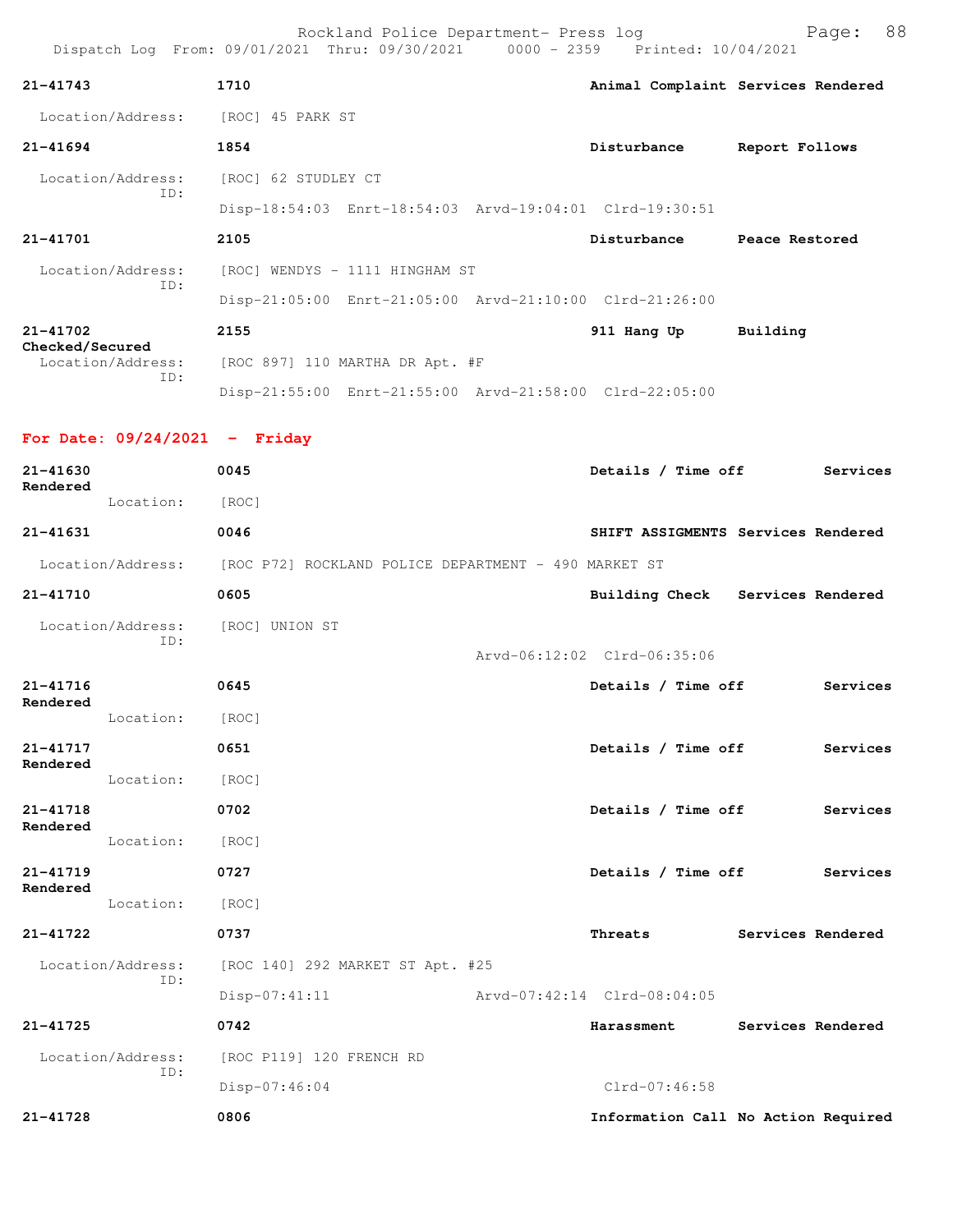|                                      | Rockland Police Department- Press log                                          |                            | 88<br>Page:                        |
|--------------------------------------|--------------------------------------------------------------------------------|----------------------------|------------------------------------|
|                                      | Dispatch Log From: 09/01/2021 Thru: 09/30/2021 0000 - 2359 Printed: 10/04/2021 |                            |                                    |
| $21 - 41743$                         | 1710                                                                           |                            | Animal Complaint Services Rendered |
| Location/Address: [ROC] 45 PARK ST   |                                                                                |                            |                                    |
| $21 - 41694$                         | 1854                                                                           | Disturbance                | Report Follows                     |
| Location/Address:                    | [ROC] 62 STUDLEY CT                                                            |                            |                                    |
| ID:                                  | Disp-18:54:03 Enrt-18:54:03 Arvd-19:04:01 Clrd-19:30:51                        |                            |                                    |
| $21 - 41701$                         | 2105                                                                           | Disturbance Peace Restored |                                    |
| Location/Address:                    | [ROC] WENDYS - 1111 HINGHAM ST                                                 |                            |                                    |
| ID:                                  | Disp-21:05:00 Enrt-21:05:00 Arvd-21:10:00 Clrd-21:26:00                        |                            |                                    |
| $21 - 41702$                         | 2155                                                                           | 911 Hang Up                | Building                           |
| Checked/Secured<br>Location/Address: | [ROC 897] 110 MARTHA DR Apt. #F                                                |                            |                                    |
| ID:                                  | Disp-21:55:00 Enrt-21:55:00 Arvd-21:58:00 Clrd-22:05:00                        |                            |                                    |
| For Date: $09/24/2021$ - Friday      |                                                                                |                            |                                    |
| $21 - 41630$                         | 0045                                                                           | Details / Time off         | Services                           |
| Rendered                             |                                                                                |                            |                                    |
| Location:                            | [ROC]                                                                          |                            |                                    |
| $21 - 41631$                         | 0046                                                                           |                            | SHIFT ASSIGMENTS Services Rendered |
|                                      | Location/Address: [ROC P72] ROCKLAND POLICE DEPARTMENT - 490 MARKET ST         |                            |                                    |
| $21 - 41710$                         | 0605                                                                           |                            | Building Check Services Rendered   |

 ID: Arvd-06:12:02 Clrd-06:35:06 **21-41716 0645 Details / Time off Services Rendered**  Location: [ROC] **21-41717 0651 Details / Time off Services Rendered**  Location: [ROC] **21-41718 0702 Details / Time off Services Rendered**  Location: [ROC] **21-41719 0727 Details / Time off Services Rendered**  Location: [ROC] **21-41722 0737 Threats Services Rendered** Location/Address: [ROC 140] 292 MARKET ST Apt. #25 ID: Disp-07:41:11 Arvd-07:42:14 Clrd-08:04:05 **21-41725 0742 Harassment Services Rendered** Location/Address: [ROC P119] 120 FRENCH RD ID: Disp-07:46:04 Clrd-07:46:58 **21-41728 0806 Information Call No Action Required**

Location/Address: [ROC] UNION ST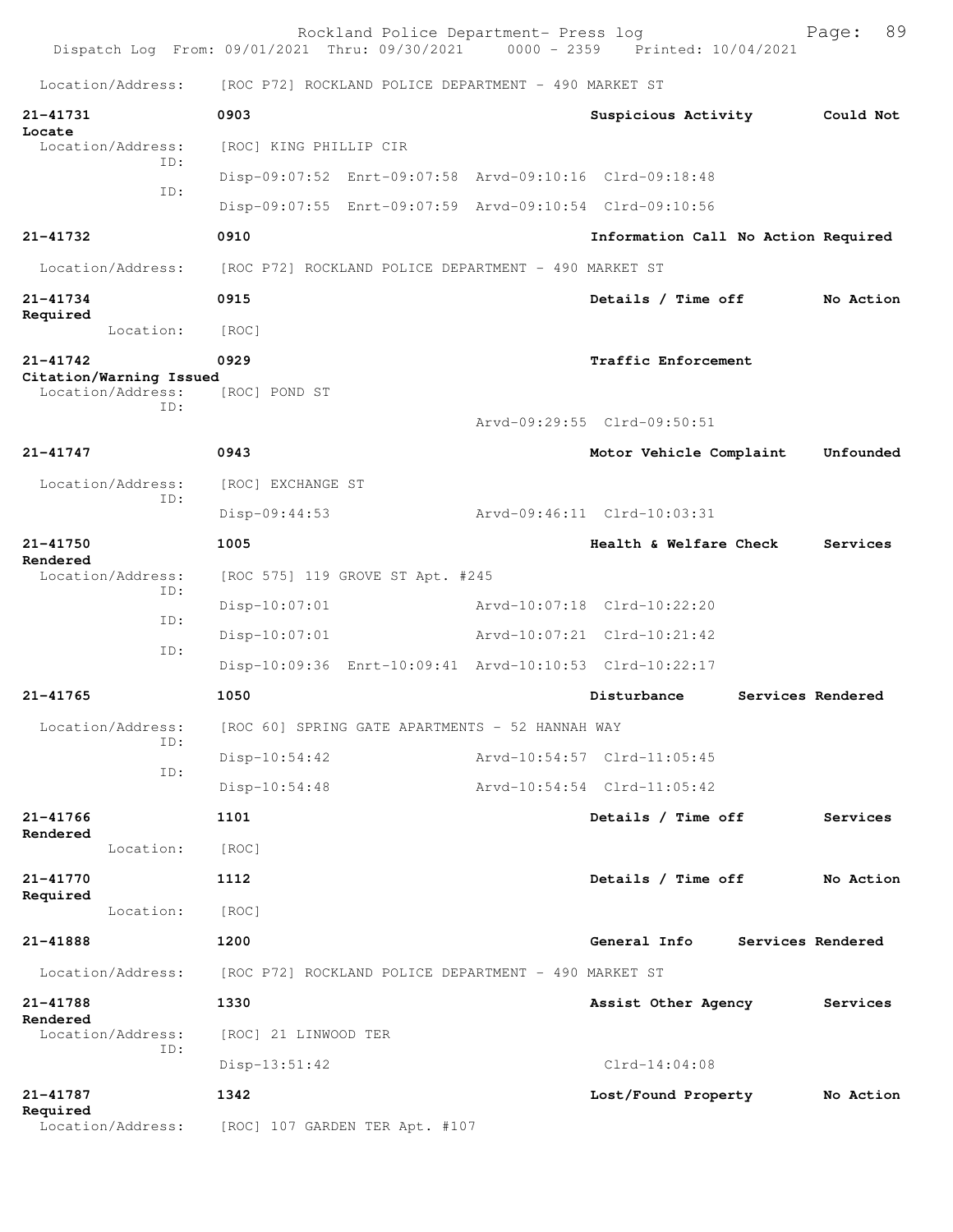|                                              | Rockland Police Department- Press log<br>Dispatch Log From: 09/01/2021 Thru: 09/30/2021 0000 - 2359 Printed: 10/04/2021 |                                     | 89<br>Page:       |
|----------------------------------------------|-------------------------------------------------------------------------------------------------------------------------|-------------------------------------|-------------------|
| Location/Address:                            | [ROC P72] ROCKLAND POLICE DEPARTMENT - 490 MARKET ST                                                                    |                                     |                   |
| 21-41731                                     | 0903                                                                                                                    | Suspicious Activity                 | Could Not         |
| Locate<br>Location/Address:                  | [ROC] KING PHILLIP CIR                                                                                                  |                                     |                   |
| TD:                                          | Disp-09:07:52 Enrt-09:07:58 Arvd-09:10:16 Clrd-09:18:48                                                                 |                                     |                   |
| ID:                                          | Disp-09:07:55 Enrt-09:07:59 Arvd-09:10:54 Clrd-09:10:56                                                                 |                                     |                   |
| 21-41732                                     | 0910                                                                                                                    | Information Call No Action Required |                   |
| Location/Address:                            | [ROC P72] ROCKLAND POLICE DEPARTMENT - 490 MARKET ST                                                                    |                                     |                   |
| 21-41734<br>Required                         | 0915                                                                                                                    | Details / Time off                  | No Action         |
| Location:                                    | [ROC]                                                                                                                   |                                     |                   |
| $21 - 41742$                                 | 0929                                                                                                                    | Traffic Enforcement                 |                   |
| Citation/Warning Issued<br>Location/Address: | [ROC] POND ST                                                                                                           |                                     |                   |
| TD:                                          |                                                                                                                         | Arvd-09:29:55 Clrd-09:50:51         |                   |
| 21-41747                                     | 0943                                                                                                                    | Motor Vehicle Complaint             | Unfounded         |
| Location/Address:                            | [ROC] EXCHANGE ST                                                                                                       |                                     |                   |
| TD:                                          | $Disp-09:44:53$                                                                                                         | Arvd-09:46:11 Clrd-10:03:31         |                   |
| $21 - 41750$                                 | 1005                                                                                                                    | Health & Welfare Check              | Services          |
| Rendered<br>Location/Address:                | [ROC 575] 119 GROVE ST Apt. #245                                                                                        |                                     |                   |
| ID:                                          | Disp-10:07:01                                                                                                           | Arvd-10:07:18 Clrd-10:22:20         |                   |
| ID:                                          | Disp-10:07:01                                                                                                           | Arvd-10:07:21 Clrd-10:21:42         |                   |
| ID:                                          | Disp-10:09:36 Enrt-10:09:41 Arvd-10:10:53 Clrd-10:22:17                                                                 |                                     |                   |
| 21-41765                                     | 1050                                                                                                                    | Disturbance                         | Services Rendered |
| Location/Address:                            | [ROC 60] SPRING GATE APARTMENTS - 52 HANNAH WAY                                                                         |                                     |                   |
| ID:                                          | Disp-10:54:42                                                                                                           | Arvd-10:54:57 Clrd-11:05:45         |                   |
| ID:                                          | Disp-10:54:48                                                                                                           | Arvd-10:54:54 Clrd-11:05:42         |                   |
| $21 - 41766$                                 | 1101                                                                                                                    | Details / Time off                  | Services          |
| Rendered<br>Location:                        | [ROC]                                                                                                                   |                                     |                   |
| $21 - 41770$                                 | 1112                                                                                                                    | Details / Time off                  | No Action         |
| Required<br>Location:                        | [ROC]                                                                                                                   |                                     |                   |
| 21-41888                                     | 1200                                                                                                                    | General Info                        | Services Rendered |
| Location/Address:                            | [ROC P72] ROCKLAND POLICE DEPARTMENT - 490 MARKET ST                                                                    |                                     |                   |
| 21-41788                                     | 1330                                                                                                                    | Assist Other Agency                 | Services          |
| Rendered<br>Location/Address:                | [ROC] 21 LINWOOD TER                                                                                                    |                                     |                   |
| ID:                                          | Disp-13:51:42                                                                                                           | $Clrd-14:04:08$                     |                   |
| 21-41787                                     | 1342                                                                                                                    | Lost/Found Property                 | No Action         |
| Required<br>Location/Address:                | [ROC] 107 GARDEN TER Apt. #107                                                                                          |                                     |                   |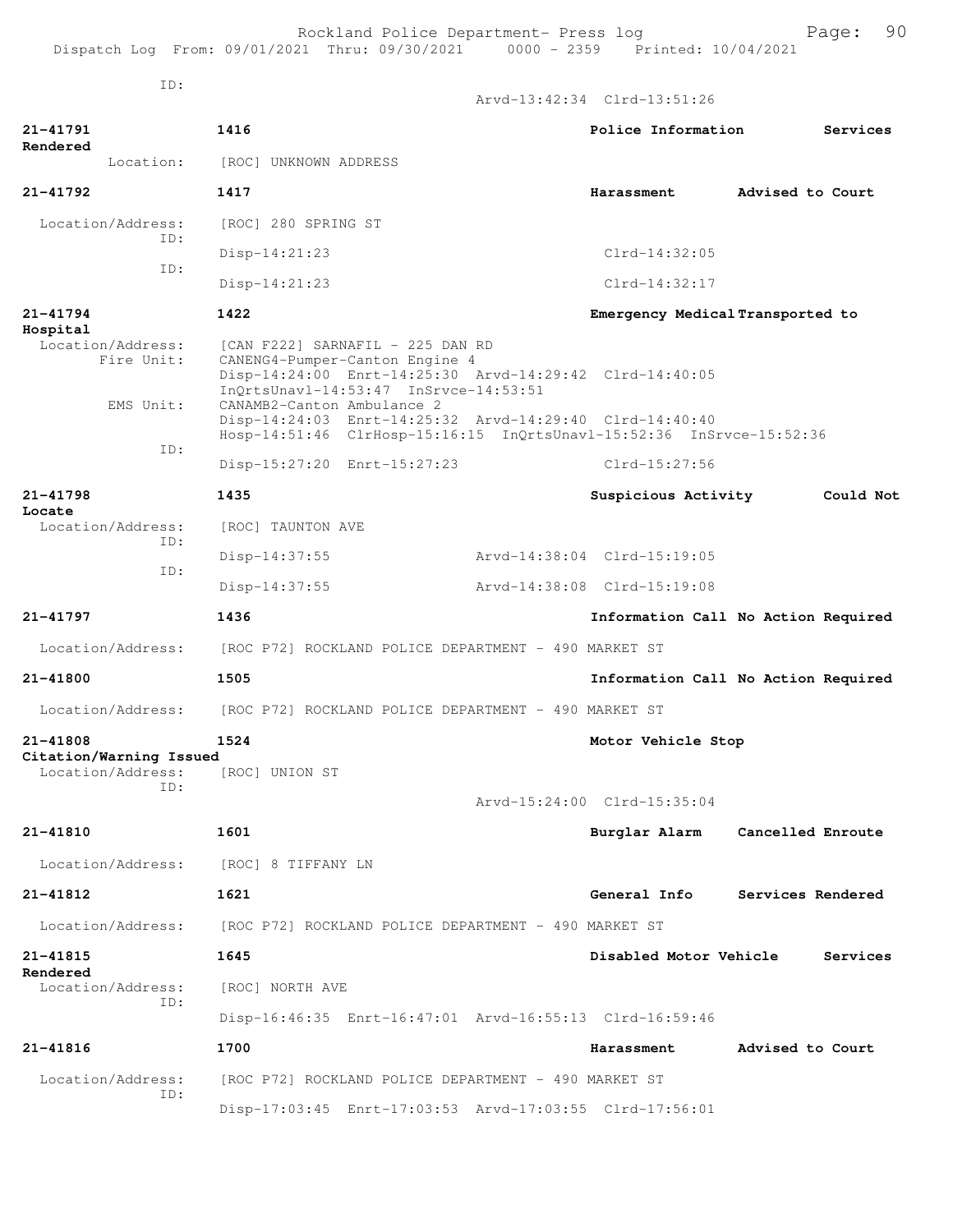Rockland Police Department- Press log Fage: 90<br>21 Thru: 09/30/2021 0000 - 2359 Printed: 10/04/2021 Dispatch Log From:  $09/01/2021$  Thru:  $09/30/2021$  0000 - 2359

Arvd-13:42:34 Clrd-13:51:26

ID:

**Locate** 

**21-41791 1416 Police Information Services Rendered**  Location: [ROC] UNKNOWN ADDRESS **21-41792 1417 Harassment Advised to Court** Location/Address: [ROC] 280 SPRING ST ID: Disp-14:21:23 Clrd-14:32:05 ID: Disp-14:21:23 Clrd-14:32:17 **21-41794 1422 Emergency Medical Transported to Hospital**  Location/Address: [CAN F222] SARNAFIL - 225 DAN RD<br>Fire Unit: CANENG4-Pumper-Canton Engine 4 CANENG4-Pumper-Canton Engine 4 Disp-14:24:00 Enrt-14:25:30 Arvd-14:29:42 Clrd-14:40:05 InQrtsUnavl-14:53:47 InSrvce-14:53:51 EMS Unit: CANAMB2-Canton Ambulance 2 Disp-14:24:03 Enrt-14:25:32 Arvd-14:29:40 Clrd-14:40:40 Hosp-14:51:46 ClrHosp-15:16:15 InQrtsUnavl-15:52:36 InSrvce-15:52:36 ID: Disp-15:27:20 Enrt-15:27:23 Clrd-15:27:56 **21-41798 1435 Suspicious Activity Could Not** Location/Address: [ROC] TAUNTON AVE ID: Disp-14:37:55 Arvd-14:38:04 Clrd-15:19:05 ID: Disp-14:37:55 Arvd-14:38:08 Clrd-15:19:08 **21-41797 1436 Information Call No Action Required** Location/Address: [ROC P72] ROCKLAND POLICE DEPARTMENT - 490 MARKET ST **21-41800 1505 Information Call No Action Required** Location/Address: [ROC P72] ROCKLAND POLICE DEPARTMENT - 490 MARKET ST **21-41808 1524 Motor Vehicle Stop Citation/Warning Issued**  Location/Address: ID: Arvd-15:24:00 Clrd-15:35:04 **21-41810 1601 Burglar Alarm Cancelled Enroute** Location/Address: [ROC] 8 TIFFANY LN **21-41812 1621 General Info Services Rendered** Location/Address: [ROC P72] ROCKLAND POLICE DEPARTMENT - 490 MARKET ST **21-41815 1645 Disabled Motor Vehicle Services Rendered**  Location/Address: [ROC] NORTH AVE ID: Disp-16:46:35 Enrt-16:47:01 Arvd-16:55:13 Clrd-16:59:46 **21-41816 1700 Harassment Advised to Court** Location/Address: [ROC P72] ROCKLAND POLICE DEPARTMENT - 490 MARKET ST ID: Disp-17:03:45 Enrt-17:03:53 Arvd-17:03:55 Clrd-17:56:01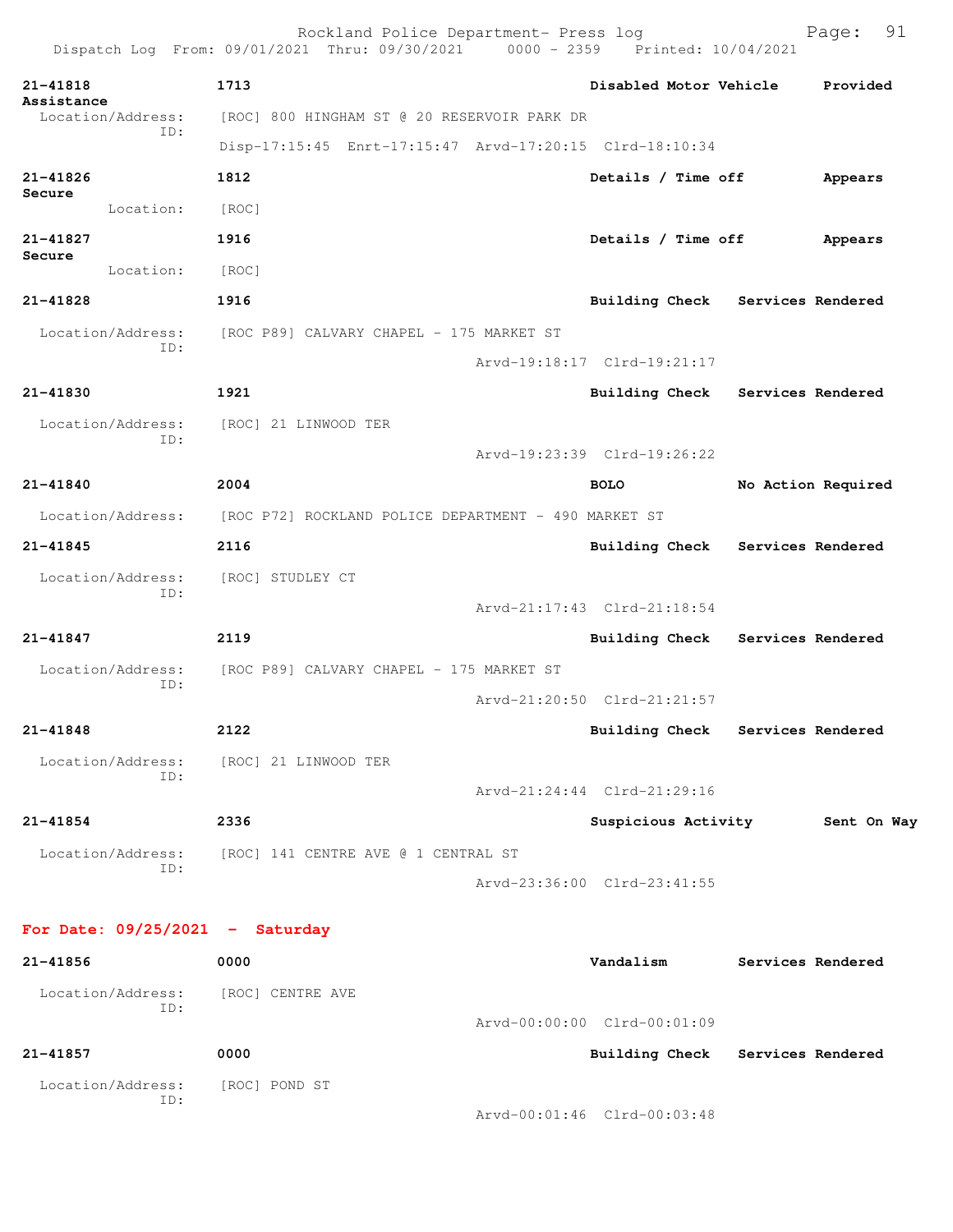| 21-41818     |                          | 1713                                                    | Disabled Motor Vehicle           | Provided           |
|--------------|--------------------------|---------------------------------------------------------|----------------------------------|--------------------|
| Assistance   | Location/Address:        | [ROC] 800 HINGHAM ST @ 20 RESERVOIR PARK DR             |                                  |                    |
|              | ID:                      | Disp-17:15:45 Enrt-17:15:47 Arvd-17:20:15 Clrd-18:10:34 |                                  |                    |
| 21-41826     |                          | 1812                                                    | Details / Time off               | Appears            |
| Secure       | Location:                | $\lceil \text{ROC} \rceil$                              |                                  |                    |
| $21 - 41827$ |                          | 1916                                                    | Details / Time off               | Appears            |
| Secure       | Location:                | [ROC]                                                   |                                  |                    |
| 21-41828     |                          | 1916                                                    | <b>Building Check</b>            | Services Rendered  |
|              |                          |                                                         |                                  |                    |
|              | Location/Address:<br>ID: | [ROC P89] CALVARY CHAPEL - 175 MARKET ST                | Arvd-19:18:17 Clrd-19:21:17      |                    |
|              |                          |                                                         |                                  |                    |
| $21 - 41830$ |                          | 1921                                                    | <b>Building Check</b>            | Services Rendered  |
|              | Location/Address:<br>ID: | [ROC] 21 LINWOOD TER                                    |                                  |                    |
|              |                          |                                                         | Arvd-19:23:39 Clrd-19:26:22      |                    |
| 21-41840     |                          | 2004                                                    | <b>BOLO</b>                      | No Action Required |
|              | Location/Address:        | [ROC P72] ROCKLAND POLICE DEPARTMENT - 490 MARKET ST    |                                  |                    |
| 21-41845     |                          | 2116                                                    | <b>Building Check</b>            | Services Rendered  |
|              | Location/Address:        | [ROC] STUDLEY CT                                        |                                  |                    |
|              | ID:                      |                                                         | Arvd-21:17:43 Clrd-21:18:54      |                    |
| $21 - 41847$ |                          | 2119                                                    | Building Check                   | Services Rendered  |
|              | Location/Address:        | [ROC P89] CALVARY CHAPEL - 175 MARKET ST                |                                  |                    |
|              | ID:                      |                                                         | Arvd-21:20:50 Clrd-21:21:57      |                    |
| 21-41848     |                          | 2122                                                    | Building Check Services Rendered |                    |
|              | Location/Address:<br>ID: | [ROC] 21 LINWOOD TER                                    |                                  |                    |
|              |                          |                                                         | Arvd-21:24:44 Clrd-21:29:16      |                    |
| 21-41854     |                          | 2336                                                    | Suspicious Activity              | Sent On Way        |
|              | Location/Address:<br>ID: | [ROC] 141 CENTRE AVE @ 1 CENTRAL ST                     |                                  |                    |
|              |                          |                                                         | Arvd-23:36:00 Clrd-23:41:55      |                    |

| 21-41856                 | 0000             | Vandalism                   | Services Rendered |
|--------------------------|------------------|-----------------------------|-------------------|
| Location/Address:<br>ID: | [ROC] CENTRE AVE |                             |                   |
|                          |                  | Arvd-00:00:00 Clrd-00:01:09 |                   |
| 21-41857                 | 0000             | Building Check              | Services Rendered |
| Location/Address:<br>ID: | [ROC] POND ST    |                             |                   |
|                          |                  | Arvd-00:01:46 Clrd-00:03:48 |                   |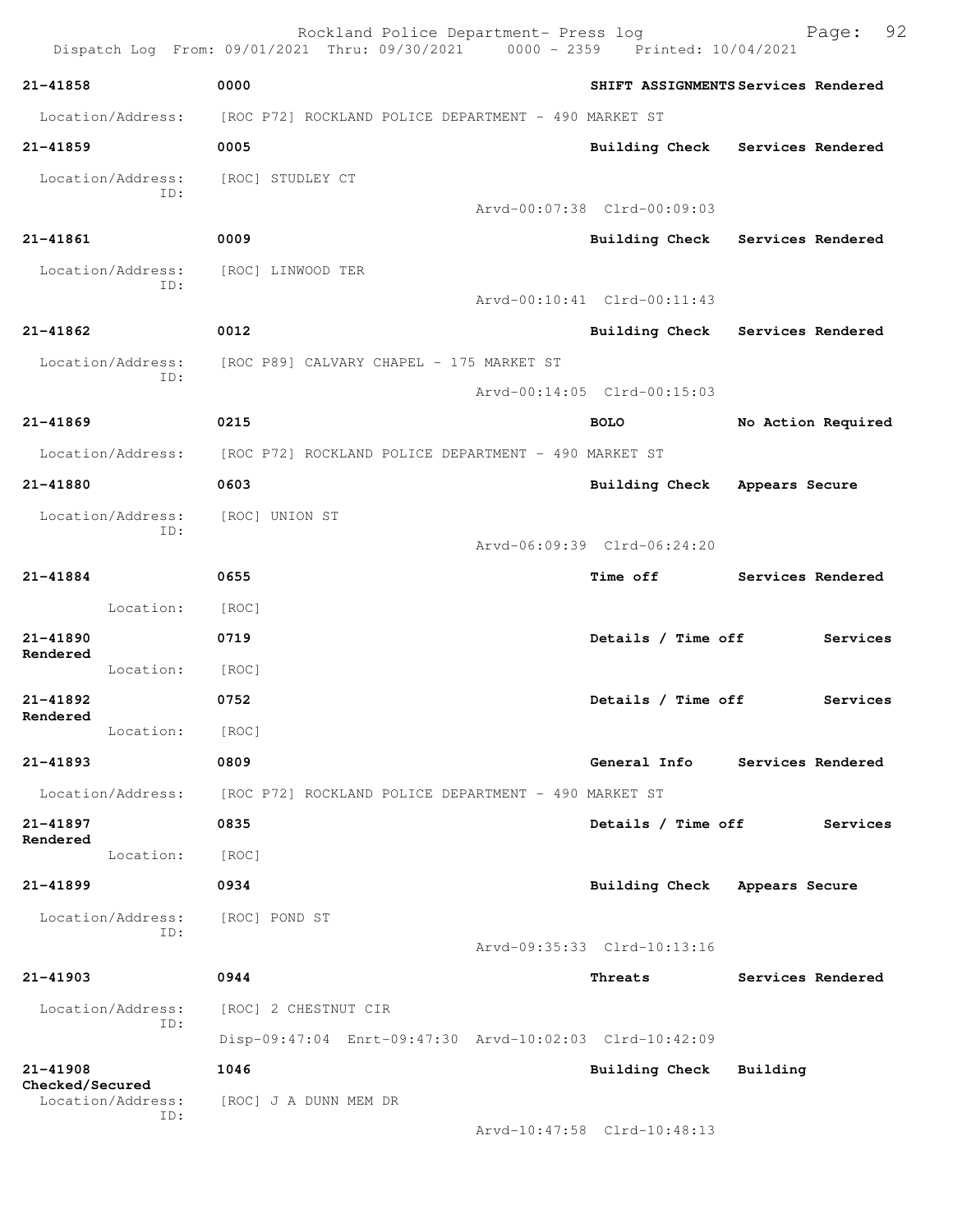|                             | Rockland Police Department- Press log<br>Dispatch Log From: 09/01/2021 Thru: 09/30/2021 0000 - 2359 Printed: 10/04/2021 |                             | 92<br>Page:                         |
|-----------------------------|-------------------------------------------------------------------------------------------------------------------------|-----------------------------|-------------------------------------|
| 21-41858                    | 0000                                                                                                                    |                             | SHIFT ASSIGNMENTS Services Rendered |
| Location/Address:           | [ROC P72] ROCKLAND POLICE DEPARTMENT - 490 MARKET ST                                                                    |                             |                                     |
| 21-41859                    | 0005                                                                                                                    |                             | Building Check Services Rendered    |
| Location/Address:           | [ROC] STUDLEY CT                                                                                                        |                             |                                     |
| ID:                         |                                                                                                                         | Arvd-00:07:38 Clrd-00:09:03 |                                     |
| $21 - 41861$                | 0009                                                                                                                    |                             | Building Check Services Rendered    |
| Location/Address:           | [ROC] LINWOOD TER                                                                                                       |                             |                                     |
| ID:                         |                                                                                                                         | Arvd-00:10:41 Clrd-00:11:43 |                                     |
| 21-41862                    | 0012                                                                                                                    |                             | Building Check Services Rendered    |
| Location/Address:           | [ROC P89] CALVARY CHAPEL - 175 MARKET ST                                                                                |                             |                                     |
| ID:                         |                                                                                                                         | Arvd-00:14:05 Clrd-00:15:03 |                                     |
| 21-41869                    | 0215                                                                                                                    | <b>BOLO</b>                 | No Action Required                  |
| Location/Address:           | [ROC P72] ROCKLAND POLICE DEPARTMENT - 490 MARKET ST                                                                    |                             |                                     |
| 21-41880                    | 0603                                                                                                                    | Building Check              | Appears Secure                      |
| Location/Address:<br>ID:    | [ROC] UNION ST                                                                                                          |                             |                                     |
|                             |                                                                                                                         | Arvd-06:09:39 Clrd-06:24:20 |                                     |
| 21-41884                    | 0655                                                                                                                    | <b>Time off</b>             | Services Rendered                   |
| Location:                   | [ROC]                                                                                                                   |                             |                                     |
| $21 - 41890$<br>Rendered    | 0719                                                                                                                    | Details / Time off          | Services                            |
| Location:                   | [ROC]                                                                                                                   |                             |                                     |
| 21-41892<br>Rendered        | 0752                                                                                                                    | Details / Time off          | Services                            |
| Location:                   | [ROC]                                                                                                                   |                             |                                     |
| 21-41893                    | 0809                                                                                                                    | General Info                | Services Rendered                   |
| Location/Address:           | [ROC P72] ROCKLAND POLICE DEPARTMENT - 490 MARKET ST                                                                    |                             |                                     |
| 21-41897<br>Rendered        | 0835                                                                                                                    | Details / Time off          | Services                            |
| Location:                   | [ROC]                                                                                                                   |                             |                                     |
| 21-41899                    | 0934                                                                                                                    | Building Check              | Appears Secure                      |
| Location/Address:<br>ID:    | [ROC] POND ST                                                                                                           |                             |                                     |
|                             |                                                                                                                         | Arvd-09:35:33 Clrd-10:13:16 |                                     |
| 21-41903                    | 0944                                                                                                                    | Threats                     | Services Rendered                   |
| Location/Address:<br>ID:    | [ROC] 2 CHESTNUT CIR                                                                                                    |                             |                                     |
|                             | Disp-09:47:04 Enrt-09:47:30 Arvd-10:02:03 Clrd-10:42:09                                                                 |                             |                                     |
| 21-41908<br>Checked/Secured | 1046                                                                                                                    | <b>Building Check</b>       | Building                            |
| Location/Address:<br>ID:    | [ROC] J A DUNN MEM DR                                                                                                   |                             |                                     |
|                             |                                                                                                                         | Arvd-10:47:58 Clrd-10:48:13 |                                     |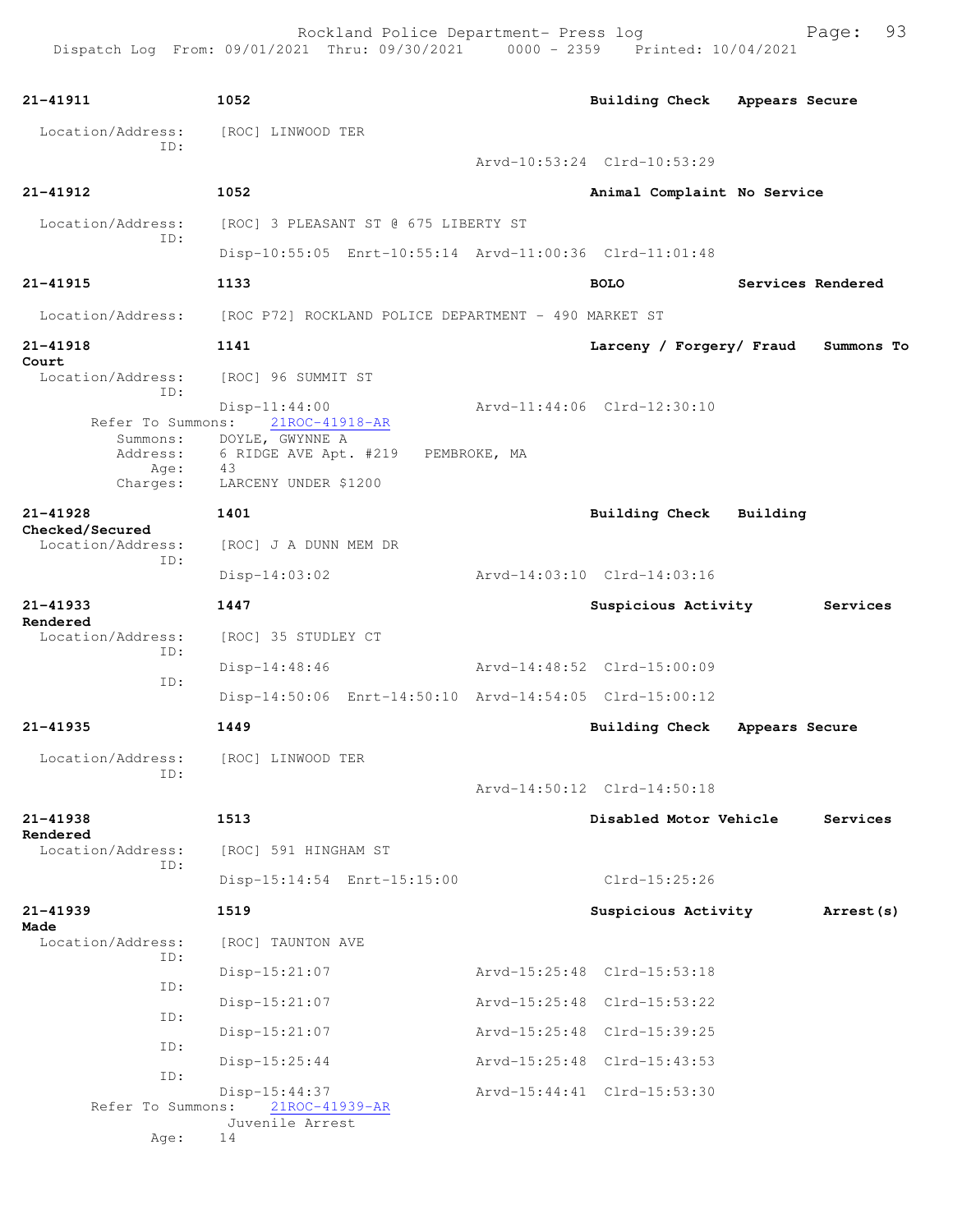Rockland Police Department- Press log Freed Page: 93

```
21-41911 1052 Building Check Appears Secure
 Location/Address: [ROC] LINWOOD TER
            ID: 
                                       Arvd-10:53:24 Clrd-10:53:29
21-41912 1052 Animal Complaint No Service
 Location/Address: [ROC] 3 PLEASANT ST @ 675 LIBERTY ST
            ID: 
                 Disp-10:55:05 Enrt-10:55:14 Arvd-11:00:36 Clrd-11:01:48
21-41915 1133 BOLO Services Rendered
 Location/Address: [ROC P72] ROCKLAND POLICE DEPARTMENT - 490 MARKET ST
21-41918 1141 Larceny / Forgery/ Fraud Summons To
Court 
  Location/Address: [ROC] 96 SUMMIT ST
            ID: 
                Disp-11:44:00<br>ns: 21ROC-41918-AR Arvd-11:44:06 Clrd-12:30:10
     Refer To Summons:
        Summons: DOYLE, GWYNNE A 
         Address: 6 RIDGE AVE Apt. #219 PEMBROKE, MA
           Age: 43
        Charges: LARCENY UNDER $1200
21-41928 1401 Building Check Building
Checked/Secured 
 Location/Address: [ROC] J A DUNN MEM DR
            ID: 
                 Disp-14:03:02 Arvd-14:03:10 Clrd-14:03:16
21-41933 1447 Suspicious Activity Services
Rendered 
  Location/Address: [ROC] 35 STUDLEY CT
            ID: 
                 Disp-14:48:46 Arvd-14:48:52 Clrd-15:00:09
            ID: 
                 Disp-14:50:06 Enrt-14:50:10 Arvd-14:54:05 Clrd-15:00:12
21-41935 1449 Building Check Appears Secure
  Location/Address: [ROC] LINWOOD TER
            ID: 
                                       Arvd-14:50:12 Clrd-14:50:18
21-41938 1513 Disabled Motor Vehicle Services
Rendered<br>Location/Address:
                [ROC] 591 HINGHAM ST
            ID: 
                 Disp-15:14:54 Enrt-15:15:00 Clrd-15:25:26
21-41939 1519 Suspicious Activity Arrest(s)
Made 
                [ROC] TAUNTON AVE
            ID: 
                 Disp-15:21:07 Arvd-15:25:48 Clrd-15:53:18
            ID: 
                 Disp-15:21:07 Arvd-15:25:48 Clrd-15:53:22
            ID: 
                 Disp-15:21:07 Arvd-15:25:48 Clrd-15:39:25
            ID: 
                 Disp-15:25:44 Arvd-15:25:48 Clrd-15:43:53
            ID: 
                 Disp-15:44:37 Arvd-15:44:41 Clrd-15:53:30
     Refer To Summons:
                 Juvenile Arrest
           Age: 14
```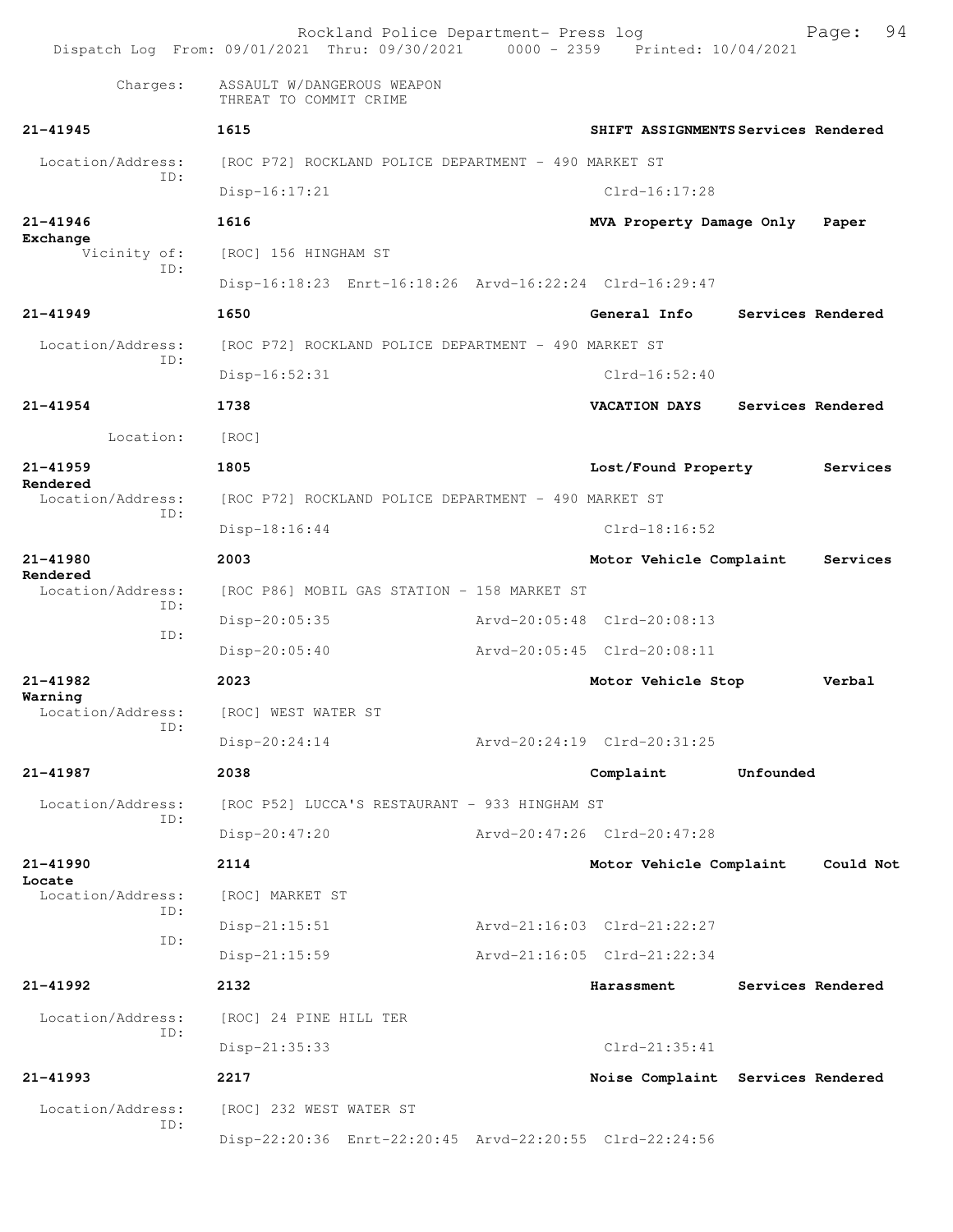Rockland Police Department- Press log Bookland Police Department- Press log Page: 94 Dispatch Log From: 09/01/2021 Thru: 09/30/2021 0000 - 2359 Charges: ASSAULT W/DANGEROUS WEAPON THREAT TO COMMIT CRIME **21-41945 1615 SHIFT ASSIGNMENTS Services Rendered** Location/Address: [ROC P72] ROCKLAND POLICE DEPARTMENT - 490 MARKET ST ID: Disp-16:17:21 Clrd-16:17:28 **21-41946 1616 MVA Property Damage Only Paper Exchange**  Vicinity of: [ROC] 156 HINGHAM ST ID: Disp-16:18:23 Enrt-16:18:26 Arvd-16:22:24 Clrd-16:29:47 **21-41949 1650 General Info Services Rendered** Location/Address: [ROC P72] ROCKLAND POLICE DEPARTMENT - 490 MARKET ST ID: Disp-16:52:31 Clrd-16:52:40 **21-41954 1738 VACATION DAYS Services Rendered** Location: [ROC] **21-41959 1805 Lost/Found Property Services Rendered**  Location/Address: [ROC P72] ROCKLAND POLICE DEPARTMENT - 490 MARKET ST ID: Disp-18:16:44 Clrd-18:16:52 **21-41980 2003 Motor Vehicle Complaint Services Rendered**  Location/Address: [ROC P86] MOBIL GAS STATION - 158 MARKET ST ID: Disp-20:05:35 Arvd-20:05:48 Clrd-20:08:13 ID: Disp-20:05:40 Arvd-20:05:45 Clrd-20:08:11 **21-41982 2023 Motor Vehicle Stop Verbal Warning**  Location/Address: [ROC] WEST WATER ST ID: Disp-20:24:14 Arvd-20:24:19 Clrd-20:31:25 **21-41987 2038 Complaint Unfounded**  Location/Address: [ROC P52] LUCCA'S RESTAURANT - 933 HINGHAM ST ID: Disp-20:47:20 Arvd-20:47:26 Clrd-20:47:28 **21-41990 2114 Motor Vehicle Complaint Could Not Locate**  Location/Address: [ROC] MARKET ST ID: Disp-21:15:51 Arvd-21:16:03 Clrd-21:22:27 ID: Disp-21:15:59 Arvd-21:16:05 Clrd-21:22:34 **21-41992 2132 Harassment Services Rendered** Location/Address: [ROC] 24 PINE HILL TER ID: Disp-21:35:33 Clrd-21:35:41 **21-41993 2217 Noise Complaint Services Rendered** Location/Address: [ROC] 232 WEST WATER ST ID: Disp-22:20:36 Enrt-22:20:45 Arvd-22:20:55 Clrd-22:24:56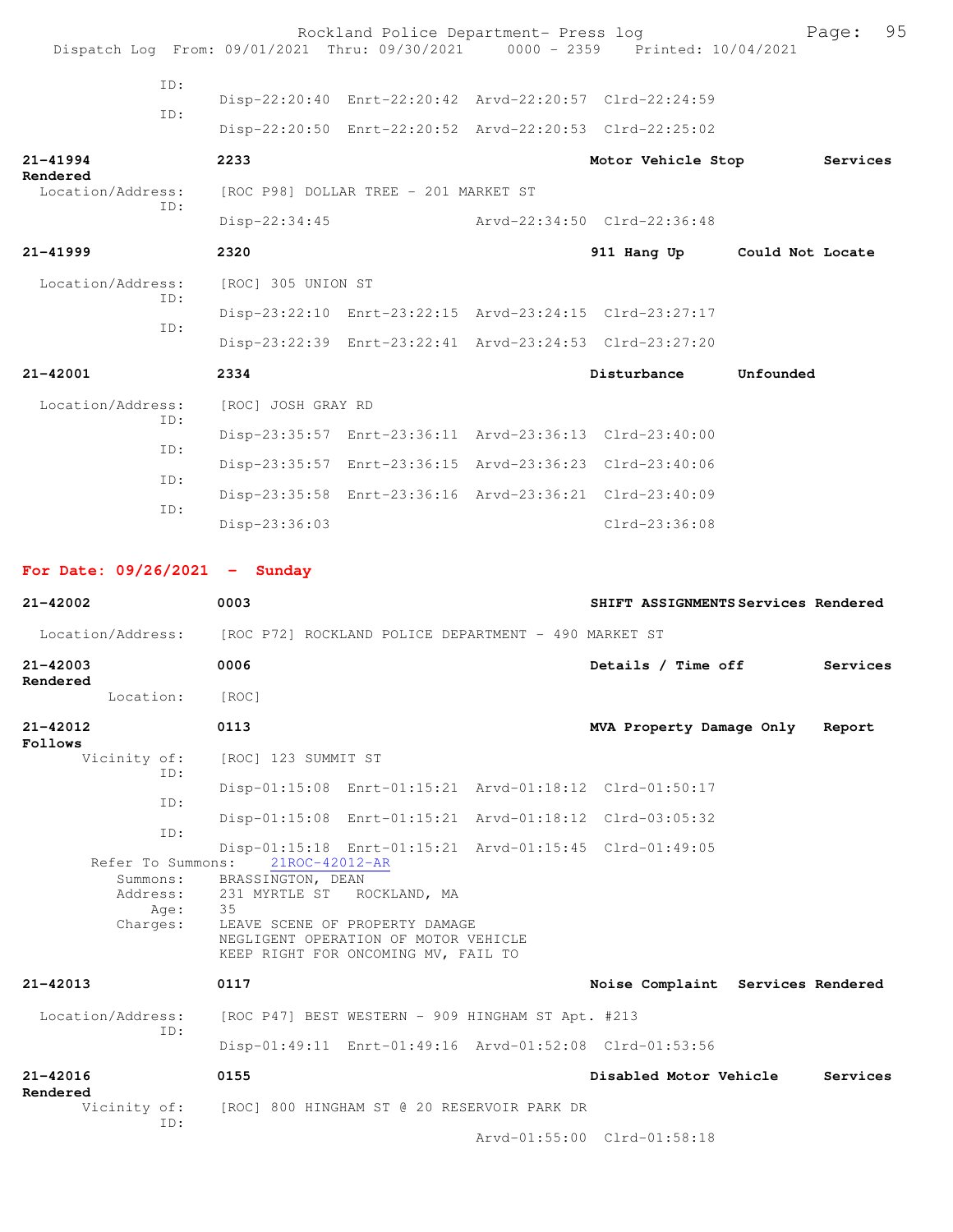|                          | Dispatch Log From: 09/01/2021 Thru: 09/30/2021 0000 - 2359 Printed: 10/04/2021 | Rockland Police Department- Press log                                                                              |                              |           | Page:    | 95 |
|--------------------------|--------------------------------------------------------------------------------|--------------------------------------------------------------------------------------------------------------------|------------------------------|-----------|----------|----|
| ID:<br>ID:               |                                                                                | Disp-22:20:40 Enrt-22:20:42 Arvd-22:20:57 Clrd-22:24:59<br>Disp-22:20:50 Enrt-22:20:52 Arvd-22:20:53 Clrd-22:25:02 |                              |           |          |    |
| $21 - 41994$<br>Rendered | 2233                                                                           |                                                                                                                    | Motor Vehicle Stop           |           | Services |    |
| Location/Address:<br>ID: | [ROC P98] DOLLAR TREE - 201 MARKET ST                                          |                                                                                                                    |                              |           |          |    |
|                          | $Disp-22:34:45$                                                                |                                                                                                                    | Arvd-22:34:50 Clrd-22:36:48  |           |          |    |
| $21 - 41999$             | 2320                                                                           |                                                                                                                    | 911 Hang Up Could Not Locate |           |          |    |
| Location/Address:        | [ROC] 305 UNION ST                                                             |                                                                                                                    |                              |           |          |    |
| ID:<br>TD:               |                                                                                | Disp-23:22:10 Enrt-23:22:15 Arvd-23:24:15 Clrd-23:27:17                                                            |                              |           |          |    |
|                          |                                                                                | Disp-23:22:39 Enrt-23:22:41 Arvd-23:24:53 Clrd-23:27:20                                                            |                              |           |          |    |
| $21 - 42001$             | 2334                                                                           |                                                                                                                    | Disturbance                  | Unfounded |          |    |
| Location/Address:        | [ROC] JOSH GRAY RD                                                             |                                                                                                                    |                              |           |          |    |
| ID:                      |                                                                                | Disp-23:35:57 Enrt-23:36:11 Arvd-23:36:13 Clrd-23:40:00                                                            |                              |           |          |    |
| TD:                      |                                                                                | Disp-23:35:57 Enrt-23:36:15 Arvd-23:36:23 Clrd-23:40:06                                                            |                              |           |          |    |
| ID:                      |                                                                                | Disp-23:35:58 Enrt-23:36:16 Arvd-23:36:21 Clrd-23:40:09                                                            |                              |           |          |    |
| ID:                      | Disp-23:36:03                                                                  |                                                                                                                    | $Clrd-23:36:08$              |           |          |    |

**For Date: 09/26/2021 - Sunday**

**21-42002 0003 SHIFT ASSIGNMENTS Services Rendered** Location/Address: [ROC P72] ROCKLAND POLICE DEPARTMENT - 490 MARKET ST **21-42003 0006 Details / Time off Services Rendered**  Location: [ROC] **21-42012 0113 MVA Property Damage Only Report Follows**  Vicinity of: [ROC] 123 SUMMIT ST ID: Disp-01:15:08 Enrt-01:15:21 Arvd-01:18:12 Clrd-01:50:17 ID: Disp-01:15:08 Enrt-01:15:21 Arvd-01:18:12 Clrd-03:05:32 ID: Disp-01:15:18 Enrt-01:15:21 Arvd-01:15:45 Clrd-01:49:05 Refer To Summons: Summons: BRASSINGTON, DEAN Address: 231 MYRTLE ST ROCKLAND, MA<br>Age: 35 Age: Charges: LEAVE SCENE OF PROPERTY DAMAGE NEGLIGENT OPERATION OF MOTOR VEHICLE KEEP RIGHT FOR ONCOMING MV, FAIL TO **21-42013 0117 Noise Complaint Services Rendered** Location/Address: [ROC P47] BEST WESTERN - 909 HINGHAM ST Apt. #213 ID: Disp-01:49:11 Enrt-01:49:16 Arvd-01:52:08 Clrd-01:53:56 **21-42016 0155 Disabled Motor Vehicle Services Rendered**  Vicinity of: [ROC] 800 HINGHAM ST @ 20 RESERVOIR PARK DR ID:

Arvd-01:55:00 Clrd-01:58:18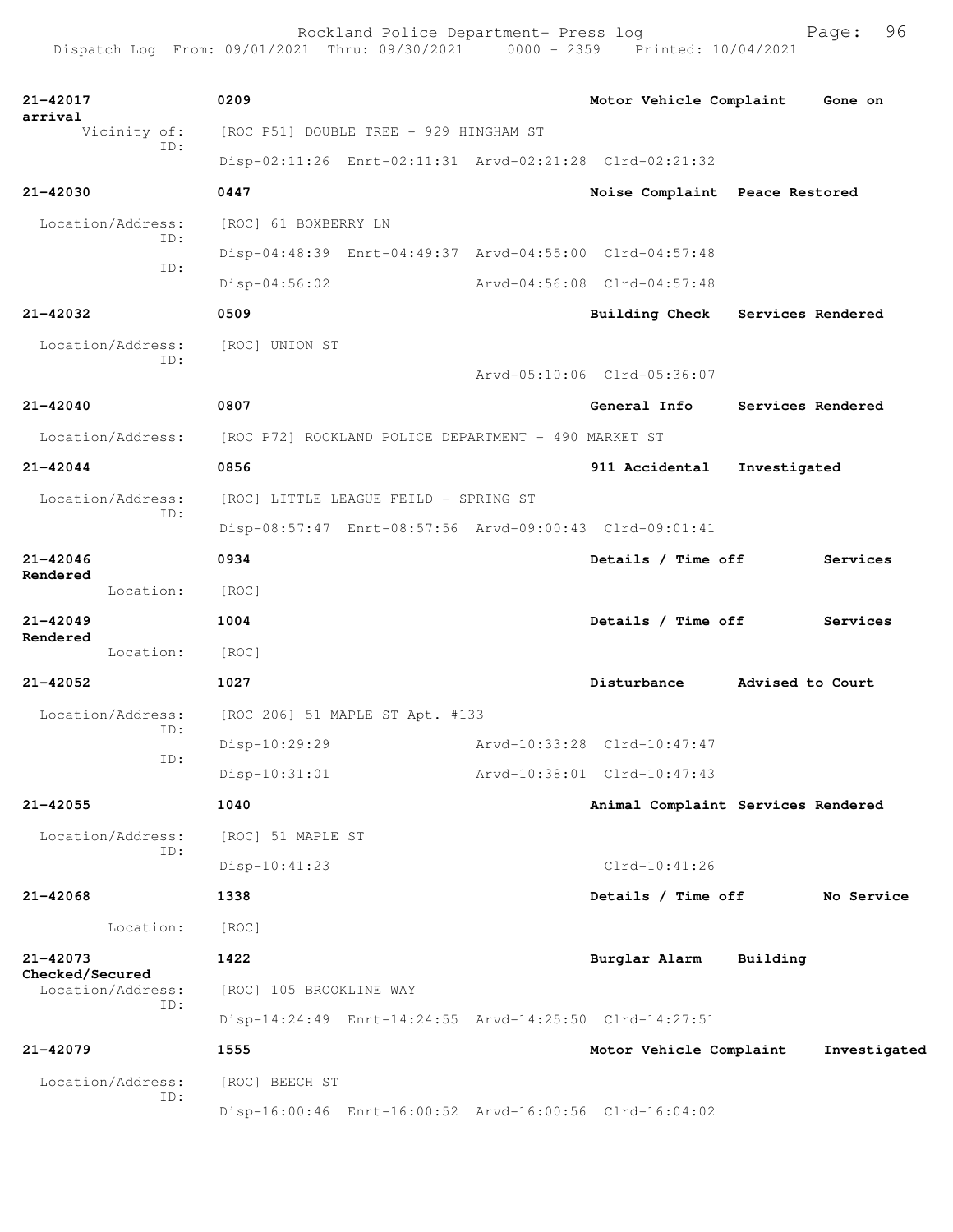| arrival<br>Vicinity of:<br>[ROC P51] DOUBLE TREE - 929 HINGHAM ST<br>ID:<br>Disp-02:11:26 Enrt-02:11:31 Arvd-02:21:28 Clrd-02:21:32<br>$21 - 42030$<br>0447<br>Noise Complaint Peace Restored<br>Location/Address:<br>[ROC] 61 BOXBERRY LN<br>ID:<br>Disp-04:48:39 Enrt-04:49:37 Arvd-04:55:00 Clrd-04:57:48<br>ID:<br>$Disp-04:56:02$<br>Arvd-04:56:08 Clrd-04:57:48<br>21-42032<br>0509<br><b>Building Check</b><br>Services Rendered<br>Location/Address:<br>[ROC] UNION ST<br>ID:<br>Arvd-05:10:06 Clrd-05:36:07<br>21-42040<br>0807<br>General Info<br>Services Rendered<br>Location/Address:<br>[ROC P72] ROCKLAND POLICE DEPARTMENT - 490 MARKET ST<br>0856<br>$21 - 42044$<br>911 Accidental<br>Investigated<br>Location/Address:<br>[ROC] LITTLE LEAGUE FEILD - SPRING ST<br>ID:<br>Disp-08:57:47 Enrt-08:57:56 Arvd-09:00:43 Clrd-09:01:41<br>$21 - 42046$<br>0934<br>Details / Time off<br>Services<br>Rendered<br>Location:<br>[ROC]<br>$21 - 42049$<br>1004<br>Details / Time off<br>Services<br>Rendered<br>Location:<br>[ROC]<br>21-42052<br>1027<br>Disturbance<br>Advised to Court<br>Location/Address:<br>[ROC 206] 51 MAPLE ST Apt. #133<br>ID:<br>Disp-10:29:29<br>Arvd-10:33:28 Clrd-10:47:47<br>ID:<br>Arvd-10:38:01 Clrd-10:47:43<br>$Disp-10:31:01$<br>1040<br>$21 - 42055$<br>Animal Complaint Services Rendered<br>Location/Address:<br>[ROC] 51 MAPLE ST<br>ID:<br>$Clrd-10:41:26$<br>$Disp-10:41:23$<br>$21 - 42068$<br>1338<br>Details / Time off<br>No Service<br>Location:<br>[ROC]<br>$21 - 42073$<br>1422<br>Burglar Alarm<br>Building<br>Checked/Secured<br>Location/Address:<br>[ROC] 105 BROOKLINE WAY<br>ID:<br>Disp-14:24:49 Enrt-14:24:55 Arvd-14:25:50 Clrd-14:27:51<br>21-42079<br>1555<br>Motor Vehicle Complaint<br>Investigated<br>Location/Address:<br>[ROC] BEECH ST<br>ID:<br>Disp-16:00:46 Enrt-16:00:52 Arvd-16:00:56 Clrd-16:04:02 | 21-42017 | 0209 |  | Motor Vehicle Complaint | Gone on |
|--------------------------------------------------------------------------------------------------------------------------------------------------------------------------------------------------------------------------------------------------------------------------------------------------------------------------------------------------------------------------------------------------------------------------------------------------------------------------------------------------------------------------------------------------------------------------------------------------------------------------------------------------------------------------------------------------------------------------------------------------------------------------------------------------------------------------------------------------------------------------------------------------------------------------------------------------------------------------------------------------------------------------------------------------------------------------------------------------------------------------------------------------------------------------------------------------------------------------------------------------------------------------------------------------------------------------------------------------------------------------------------------------------------------------------------------------------------------------------------------------------------------------------------------------------------------------------------------------------------------------------------------------------------------------------------------------------------------------------------------------------------------------------------------------------------------------------------------------------------------------------------|----------|------|--|-------------------------|---------|
|                                                                                                                                                                                                                                                                                                                                                                                                                                                                                                                                                                                                                                                                                                                                                                                                                                                                                                                                                                                                                                                                                                                                                                                                                                                                                                                                                                                                                                                                                                                                                                                                                                                                                                                                                                                                                                                                                      |          |      |  |                         |         |
|                                                                                                                                                                                                                                                                                                                                                                                                                                                                                                                                                                                                                                                                                                                                                                                                                                                                                                                                                                                                                                                                                                                                                                                                                                                                                                                                                                                                                                                                                                                                                                                                                                                                                                                                                                                                                                                                                      |          |      |  |                         |         |
|                                                                                                                                                                                                                                                                                                                                                                                                                                                                                                                                                                                                                                                                                                                                                                                                                                                                                                                                                                                                                                                                                                                                                                                                                                                                                                                                                                                                                                                                                                                                                                                                                                                                                                                                                                                                                                                                                      |          |      |  |                         |         |
|                                                                                                                                                                                                                                                                                                                                                                                                                                                                                                                                                                                                                                                                                                                                                                                                                                                                                                                                                                                                                                                                                                                                                                                                                                                                                                                                                                                                                                                                                                                                                                                                                                                                                                                                                                                                                                                                                      |          |      |  |                         |         |
|                                                                                                                                                                                                                                                                                                                                                                                                                                                                                                                                                                                                                                                                                                                                                                                                                                                                                                                                                                                                                                                                                                                                                                                                                                                                                                                                                                                                                                                                                                                                                                                                                                                                                                                                                                                                                                                                                      |          |      |  |                         |         |
|                                                                                                                                                                                                                                                                                                                                                                                                                                                                                                                                                                                                                                                                                                                                                                                                                                                                                                                                                                                                                                                                                                                                                                                                                                                                                                                                                                                                                                                                                                                                                                                                                                                                                                                                                                                                                                                                                      |          |      |  |                         |         |
|                                                                                                                                                                                                                                                                                                                                                                                                                                                                                                                                                                                                                                                                                                                                                                                                                                                                                                                                                                                                                                                                                                                                                                                                                                                                                                                                                                                                                                                                                                                                                                                                                                                                                                                                                                                                                                                                                      |          |      |  |                         |         |
|                                                                                                                                                                                                                                                                                                                                                                                                                                                                                                                                                                                                                                                                                                                                                                                                                                                                                                                                                                                                                                                                                                                                                                                                                                                                                                                                                                                                                                                                                                                                                                                                                                                                                                                                                                                                                                                                                      |          |      |  |                         |         |
|                                                                                                                                                                                                                                                                                                                                                                                                                                                                                                                                                                                                                                                                                                                                                                                                                                                                                                                                                                                                                                                                                                                                                                                                                                                                                                                                                                                                                                                                                                                                                                                                                                                                                                                                                                                                                                                                                      |          |      |  |                         |         |
|                                                                                                                                                                                                                                                                                                                                                                                                                                                                                                                                                                                                                                                                                                                                                                                                                                                                                                                                                                                                                                                                                                                                                                                                                                                                                                                                                                                                                                                                                                                                                                                                                                                                                                                                                                                                                                                                                      |          |      |  |                         |         |
|                                                                                                                                                                                                                                                                                                                                                                                                                                                                                                                                                                                                                                                                                                                                                                                                                                                                                                                                                                                                                                                                                                                                                                                                                                                                                                                                                                                                                                                                                                                                                                                                                                                                                                                                                                                                                                                                                      |          |      |  |                         |         |
|                                                                                                                                                                                                                                                                                                                                                                                                                                                                                                                                                                                                                                                                                                                                                                                                                                                                                                                                                                                                                                                                                                                                                                                                                                                                                                                                                                                                                                                                                                                                                                                                                                                                                                                                                                                                                                                                                      |          |      |  |                         |         |
|                                                                                                                                                                                                                                                                                                                                                                                                                                                                                                                                                                                                                                                                                                                                                                                                                                                                                                                                                                                                                                                                                                                                                                                                                                                                                                                                                                                                                                                                                                                                                                                                                                                                                                                                                                                                                                                                                      |          |      |  |                         |         |
|                                                                                                                                                                                                                                                                                                                                                                                                                                                                                                                                                                                                                                                                                                                                                                                                                                                                                                                                                                                                                                                                                                                                                                                                                                                                                                                                                                                                                                                                                                                                                                                                                                                                                                                                                                                                                                                                                      |          |      |  |                         |         |
|                                                                                                                                                                                                                                                                                                                                                                                                                                                                                                                                                                                                                                                                                                                                                                                                                                                                                                                                                                                                                                                                                                                                                                                                                                                                                                                                                                                                                                                                                                                                                                                                                                                                                                                                                                                                                                                                                      |          |      |  |                         |         |
|                                                                                                                                                                                                                                                                                                                                                                                                                                                                                                                                                                                                                                                                                                                                                                                                                                                                                                                                                                                                                                                                                                                                                                                                                                                                                                                                                                                                                                                                                                                                                                                                                                                                                                                                                                                                                                                                                      |          |      |  |                         |         |
|                                                                                                                                                                                                                                                                                                                                                                                                                                                                                                                                                                                                                                                                                                                                                                                                                                                                                                                                                                                                                                                                                                                                                                                                                                                                                                                                                                                                                                                                                                                                                                                                                                                                                                                                                                                                                                                                                      |          |      |  |                         |         |
|                                                                                                                                                                                                                                                                                                                                                                                                                                                                                                                                                                                                                                                                                                                                                                                                                                                                                                                                                                                                                                                                                                                                                                                                                                                                                                                                                                                                                                                                                                                                                                                                                                                                                                                                                                                                                                                                                      |          |      |  |                         |         |
|                                                                                                                                                                                                                                                                                                                                                                                                                                                                                                                                                                                                                                                                                                                                                                                                                                                                                                                                                                                                                                                                                                                                                                                                                                                                                                                                                                                                                                                                                                                                                                                                                                                                                                                                                                                                                                                                                      |          |      |  |                         |         |
|                                                                                                                                                                                                                                                                                                                                                                                                                                                                                                                                                                                                                                                                                                                                                                                                                                                                                                                                                                                                                                                                                                                                                                                                                                                                                                                                                                                                                                                                                                                                                                                                                                                                                                                                                                                                                                                                                      |          |      |  |                         |         |
|                                                                                                                                                                                                                                                                                                                                                                                                                                                                                                                                                                                                                                                                                                                                                                                                                                                                                                                                                                                                                                                                                                                                                                                                                                                                                                                                                                                                                                                                                                                                                                                                                                                                                                                                                                                                                                                                                      |          |      |  |                         |         |
|                                                                                                                                                                                                                                                                                                                                                                                                                                                                                                                                                                                                                                                                                                                                                                                                                                                                                                                                                                                                                                                                                                                                                                                                                                                                                                                                                                                                                                                                                                                                                                                                                                                                                                                                                                                                                                                                                      |          |      |  |                         |         |
|                                                                                                                                                                                                                                                                                                                                                                                                                                                                                                                                                                                                                                                                                                                                                                                                                                                                                                                                                                                                                                                                                                                                                                                                                                                                                                                                                                                                                                                                                                                                                                                                                                                                                                                                                                                                                                                                                      |          |      |  |                         |         |
|                                                                                                                                                                                                                                                                                                                                                                                                                                                                                                                                                                                                                                                                                                                                                                                                                                                                                                                                                                                                                                                                                                                                                                                                                                                                                                                                                                                                                                                                                                                                                                                                                                                                                                                                                                                                                                                                                      |          |      |  |                         |         |
|                                                                                                                                                                                                                                                                                                                                                                                                                                                                                                                                                                                                                                                                                                                                                                                                                                                                                                                                                                                                                                                                                                                                                                                                                                                                                                                                                                                                                                                                                                                                                                                                                                                                                                                                                                                                                                                                                      |          |      |  |                         |         |
|                                                                                                                                                                                                                                                                                                                                                                                                                                                                                                                                                                                                                                                                                                                                                                                                                                                                                                                                                                                                                                                                                                                                                                                                                                                                                                                                                                                                                                                                                                                                                                                                                                                                                                                                                                                                                                                                                      |          |      |  |                         |         |
|                                                                                                                                                                                                                                                                                                                                                                                                                                                                                                                                                                                                                                                                                                                                                                                                                                                                                                                                                                                                                                                                                                                                                                                                                                                                                                                                                                                                                                                                                                                                                                                                                                                                                                                                                                                                                                                                                      |          |      |  |                         |         |
|                                                                                                                                                                                                                                                                                                                                                                                                                                                                                                                                                                                                                                                                                                                                                                                                                                                                                                                                                                                                                                                                                                                                                                                                                                                                                                                                                                                                                                                                                                                                                                                                                                                                                                                                                                                                                                                                                      |          |      |  |                         |         |
|                                                                                                                                                                                                                                                                                                                                                                                                                                                                                                                                                                                                                                                                                                                                                                                                                                                                                                                                                                                                                                                                                                                                                                                                                                                                                                                                                                                                                                                                                                                                                                                                                                                                                                                                                                                                                                                                                      |          |      |  |                         |         |
|                                                                                                                                                                                                                                                                                                                                                                                                                                                                                                                                                                                                                                                                                                                                                                                                                                                                                                                                                                                                                                                                                                                                                                                                                                                                                                                                                                                                                                                                                                                                                                                                                                                                                                                                                                                                                                                                                      |          |      |  |                         |         |
|                                                                                                                                                                                                                                                                                                                                                                                                                                                                                                                                                                                                                                                                                                                                                                                                                                                                                                                                                                                                                                                                                                                                                                                                                                                                                                                                                                                                                                                                                                                                                                                                                                                                                                                                                                                                                                                                                      |          |      |  |                         |         |
|                                                                                                                                                                                                                                                                                                                                                                                                                                                                                                                                                                                                                                                                                                                                                                                                                                                                                                                                                                                                                                                                                                                                                                                                                                                                                                                                                                                                                                                                                                                                                                                                                                                                                                                                                                                                                                                                                      |          |      |  |                         |         |
|                                                                                                                                                                                                                                                                                                                                                                                                                                                                                                                                                                                                                                                                                                                                                                                                                                                                                                                                                                                                                                                                                                                                                                                                                                                                                                                                                                                                                                                                                                                                                                                                                                                                                                                                                                                                                                                                                      |          |      |  |                         |         |
|                                                                                                                                                                                                                                                                                                                                                                                                                                                                                                                                                                                                                                                                                                                                                                                                                                                                                                                                                                                                                                                                                                                                                                                                                                                                                                                                                                                                                                                                                                                                                                                                                                                                                                                                                                                                                                                                                      |          |      |  |                         |         |
|                                                                                                                                                                                                                                                                                                                                                                                                                                                                                                                                                                                                                                                                                                                                                                                                                                                                                                                                                                                                                                                                                                                                                                                                                                                                                                                                                                                                                                                                                                                                                                                                                                                                                                                                                                                                                                                                                      |          |      |  |                         |         |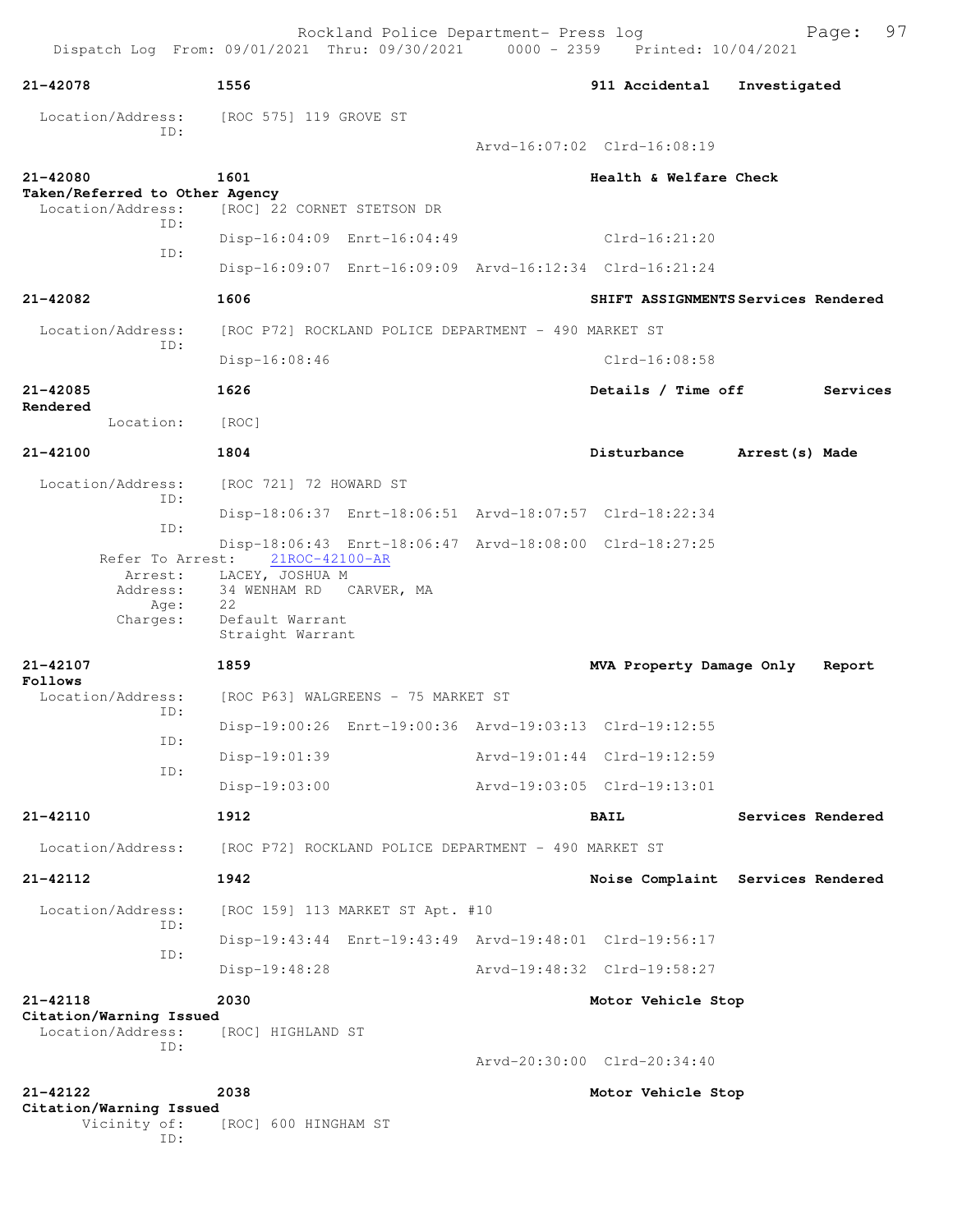Rockland Police Department- Press log Fage: 97 Dispatch Log From: 09/01/2021 Thru: 09/30/2021 0000 - 2359 Printed: 10/04/2021 **21-42078 1556 911 Accidental Investigated** Location/Address: [ROC 575] 119 GROVE ST ID: Arvd-16:07:02 Clrd-16:08:19 **21-42080 1601 Health & Welfare Check Taken/Referred to Other Agency**  Location/Address: [ROC] 22 CORNET STETSON DR ID: Disp-16:04:09 Enrt-16:04:49 Clrd-16:21:20 ID: Disp-16:09:07 Enrt-16:09:09 Arvd-16:12:34 Clrd-16:21:24 **21-42082 1606 SHIFT ASSIGNMENTS Services Rendered** Location/Address: [ROC P72] ROCKLAND POLICE DEPARTMENT - 490 MARKET ST ID: Disp-16:08:46 Clrd-16:08:58 **21-42085 1626 Details / Time off Services Rendered**  Location: [ROC] **21-42100 1804 Disturbance Arrest(s) Made** Location/Address: [ROC 721] 72 HOWARD ST ID: Disp-18:06:37 Enrt-18:06:51 Arvd-18:07:57 Clrd-18:22:34 ID: Disp-18:06:43 Enrt-18:06:47 Arvd-18:08:00 Clrd-18:27:25<br>Refer To Arrest: 21ROC-42100-AR Refer To Arrest: 21ROC-42100-AR Arrest: LACEY, JOSHUA M Address: 34 WENHAM RD CARVER, MA Age: 22 Charges: Default Warrant Straight Warrant **21-42107 1859 MVA Property Damage Only Report Follows**  Location/Address: [ROC P63] WALGREENS - 75 MARKET ST ID: Disp-19:00:26 Enrt-19:00:36 Arvd-19:03:13 Clrd-19:12:55 ID: Disp-19:01:39 Arvd-19:01:44 Clrd-19:12:59 ID: Disp-19:03:00 Arvd-19:03:05 Clrd-19:13:01 **21-42110 1912 BAIL Services Rendered** Location/Address: [ROC P72] ROCKLAND POLICE DEPARTMENT - 490 MARKET ST **21-42112 1942 Noise Complaint Services Rendered** Location/Address: [ROC 159] 113 MARKET ST Apt. #10 ID: Disp-19:43:44 Enrt-19:43:49 Arvd-19:48:01 Clrd-19:56:17 ID: Disp-19:48:28 Arvd-19:48:32 Clrd-19:58:27 **21-42118 2030 Motor Vehicle Stop Citation/Warning Issued**  Location/Address: [ROC] HIGHLAND ST ID: Arvd-20:30:00 Clrd-20:34:40 **21-42122 2038 Motor Vehicle Stop Citation/Warning Issued**  Vicinity of: [ROC] 600 HINGHAM ST

ID: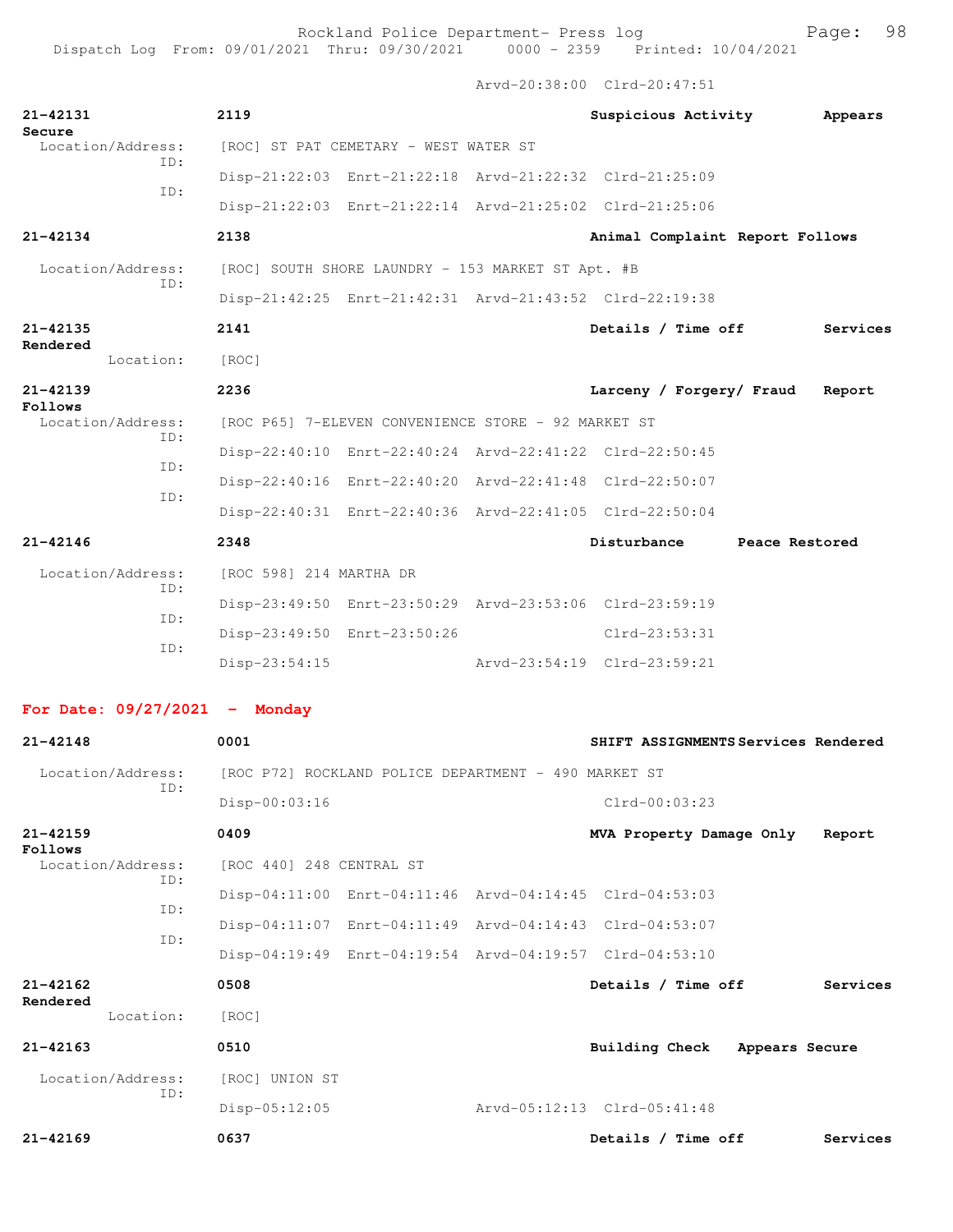Arvd-20:38:00 Clrd-20:47:51

| 21-42131<br>Secure              | 2119                                                 |                                                         | Suspicious Activity                                     | Appears                             |
|---------------------------------|------------------------------------------------------|---------------------------------------------------------|---------------------------------------------------------|-------------------------------------|
| Location/Address:<br>TD:        | [ROC] ST PAT CEMETARY - WEST WATER ST                |                                                         |                                                         |                                     |
| ID:                             |                                                      | Disp-21:22:03 Enrt-21:22:18 Arvd-21:22:32 Clrd-21:25:09 |                                                         |                                     |
|                                 |                                                      | Disp-21:22:03 Enrt-21:22:14 Arvd-21:25:02 Clrd-21:25:06 |                                                         |                                     |
| 21-42134                        | 2138                                                 |                                                         | Animal Complaint Report Follows                         |                                     |
| Location/Address:<br>ID:        | [ROC] SOUTH SHORE LAUNDRY - 153 MARKET ST Apt. #B    |                                                         |                                                         |                                     |
|                                 |                                                      | Disp-21:42:25 Enrt-21:42:31 Arvd-21:43:52 Clrd-22:19:38 |                                                         |                                     |
| $21 - 42135$                    | 2141                                                 |                                                         | Details / Time off                                      | Services                            |
| Rendered<br>Location:           | [ROC]                                                |                                                         |                                                         |                                     |
| $21 - 42139$<br>Follows         | 2236                                                 |                                                         | Larceny / Forgery/ Fraud                                | Report                              |
| Location/Address:<br>ID:        | [ROC P65] 7-ELEVEN CONVENIENCE STORE - 92 MARKET ST  |                                                         |                                                         |                                     |
| ID:                             |                                                      | Disp-22:40:10 Enrt-22:40:24 Arvd-22:41:22 Clrd-22:50:45 |                                                         |                                     |
| ID:                             |                                                      |                                                         | Disp-22:40:16 Enrt-22:40:20 Arvd-22:41:48 Clrd-22:50:07 |                                     |
|                                 |                                                      | Disp-22:40:31 Enrt-22:40:36 Arvd-22:41:05 Clrd-22:50:04 |                                                         |                                     |
| $21 - 42146$                    | 2348                                                 |                                                         | Disturbance                                             | Peace Restored                      |
| Location/Address:<br>TD:        | [ROC 598] 214 MARTHA DR                              |                                                         |                                                         |                                     |
| TD:                             |                                                      | Disp-23:49:50 Enrt-23:50:29 Arvd-23:53:06 Clrd-23:59:19 |                                                         |                                     |
| ID:                             |                                                      | Disp-23:49:50 Enrt-23:50:26                             | $Clrd-23:53:31$                                         |                                     |
|                                 | $Disp-23:54:15$                                      |                                                         | Arvd-23:54:19 Clrd-23:59:21                             |                                     |
| For Date: $09/27/2021$ - Monday |                                                      |                                                         |                                                         |                                     |
| $21 - 42148$                    | 0001                                                 |                                                         |                                                         | SHIFT ASSIGNMENTS Services Rendered |
| Location/Address:               | [ROC P72] ROCKLAND POLICE DEPARTMENT - 490 MARKET ST |                                                         |                                                         |                                     |
| ID:                             | Disp-00:03:16                                        |                                                         | $Clrd-00:03:23$                                         |                                     |
| $21 - 42159$                    | 0409                                                 |                                                         | MVA Property Damage Only                                | Report                              |
| Follows<br>Location/Address:    | [ROC 440] 248 CENTRAL ST                             |                                                         |                                                         |                                     |
| ID:                             |                                                      |                                                         | Disp-04:11:00 Enrt-04:11:46 Arvd-04:14:45 Clrd-04:53:03 |                                     |
| ID:                             |                                                      |                                                         | Disp-04:11:07 Enrt-04:11:49 Arvd-04:14:43 Clrd-04:53:07 |                                     |
| ID:                             |                                                      | Disp-04:19:49 Enrt-04:19:54 Arvd-04:19:57 Clrd-04:53:10 |                                                         |                                     |
| $21 - 42162$                    | 0508                                                 |                                                         | Details / Time off                                      | Services                            |
| Rendered<br>Location:           | [ROC]                                                |                                                         |                                                         |                                     |
| 21-42163                        | 0510                                                 |                                                         | <b>Building Check</b>                                   | Appears Secure                      |
| Location/Address:               | [ROC] UNION ST                                       |                                                         |                                                         |                                     |
| ID:                             | Disp-05:12:05                                        |                                                         | Arvd-05:12:13 Clrd-05:41:48                             |                                     |
| 21-42169                        | 0637                                                 |                                                         | Details / Time off                                      | Services                            |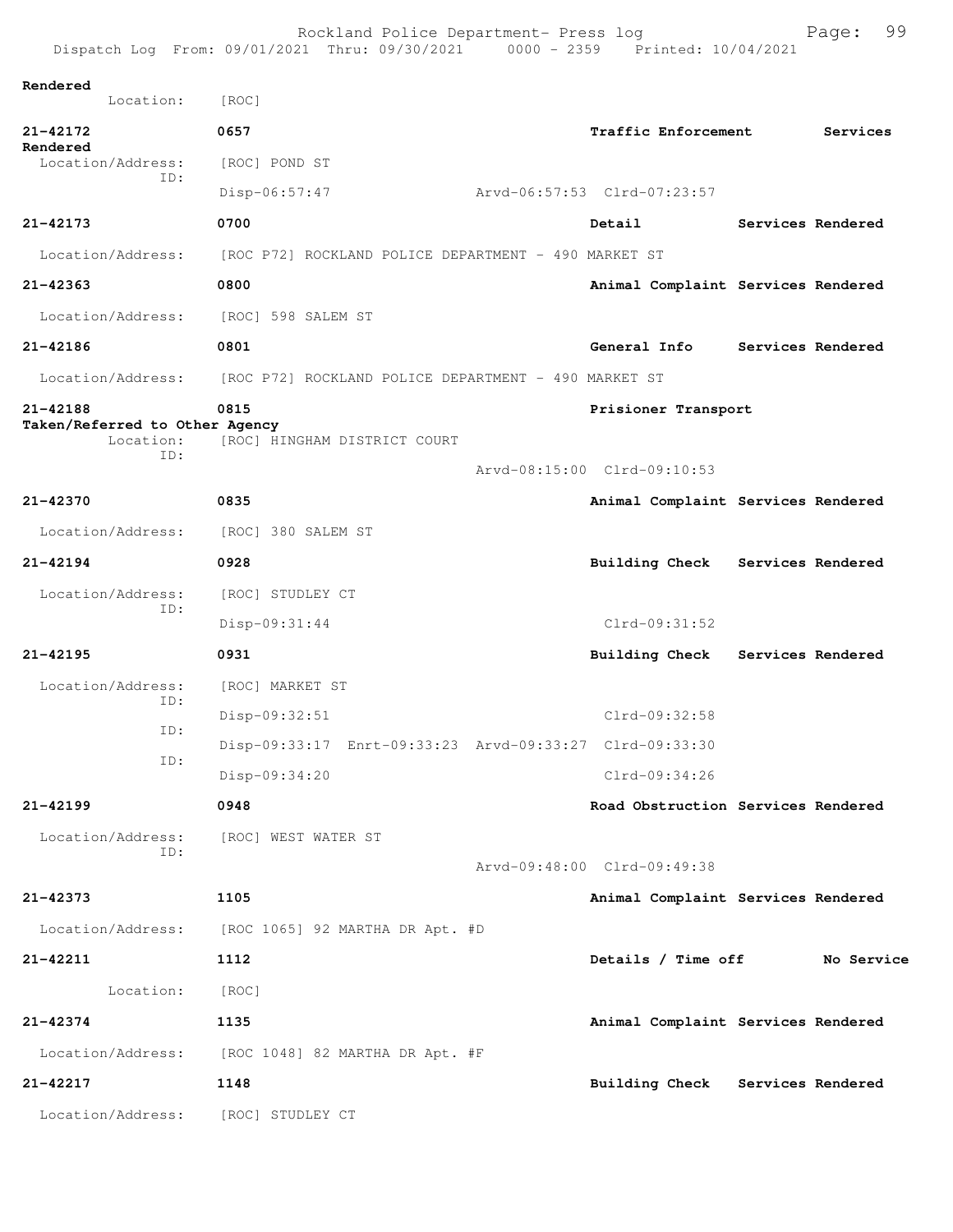|                                                                | Rockland Police Department- Press log<br>Dispatch Log From: 09/01/2021 Thru: 09/30/2021 0000 - 2359 Printed: 10/04/2021 |                                    | 99<br>Page:       |
|----------------------------------------------------------------|-------------------------------------------------------------------------------------------------------------------------|------------------------------------|-------------------|
| Rendered<br>Location:                                          | [ROC]                                                                                                                   |                                    |                   |
| 21-42172                                                       | 0657                                                                                                                    | <b>Traffic Enforcement</b>         | Services          |
| Rendered<br>Location/Address:                                  | [ROC] POND ST                                                                                                           |                                    |                   |
| ID:                                                            | Disp-06:57:47                                                                                                           | Arvd-06:57:53 Clrd-07:23:57        |                   |
| 21-42173                                                       | 0700                                                                                                                    | Detail                             | Services Rendered |
| Location/Address:                                              | [ROC P72] ROCKLAND POLICE DEPARTMENT - 490 MARKET ST                                                                    |                                    |                   |
| $21 - 42363$                                                   | 0800                                                                                                                    | Animal Complaint Services Rendered |                   |
| Location/Address:                                              | [ROC] 598 SALEM ST                                                                                                      |                                    |                   |
| 21-42186                                                       | 0801                                                                                                                    | General Info                       | Services Rendered |
| Location/Address:                                              | [ROC P72] ROCKLAND POLICE DEPARTMENT - 490 MARKET ST                                                                    |                                    |                   |
| 21-42188<br>Taken/Referred to Other Agency<br>Location:<br>ID: | 0815<br>[ROC] HINGHAM DISTRICT COURT                                                                                    | Prisioner Transport                |                   |
|                                                                |                                                                                                                         | Arvd-08:15:00 Clrd-09:10:53        |                   |
| 21-42370                                                       | 0835                                                                                                                    | Animal Complaint Services Rendered |                   |
| Location/Address:                                              | [ROC] 380 SALEM ST                                                                                                      |                                    |                   |
| $21 - 42194$                                                   | 0928                                                                                                                    | Building Check Services Rendered   |                   |
| Location/Address:<br>ID:                                       | [ROC] STUDLEY CT                                                                                                        |                                    |                   |
|                                                                | Disp-09:31:44                                                                                                           | Clrd-09:31:52                      |                   |
| $21 - 42195$                                                   | 0931                                                                                                                    | Building Check Services Rendered   |                   |
| Location/Address:<br>ID:                                       | [ROC] MARKET ST                                                                                                         |                                    |                   |
| ID:                                                            | Disp-09:32:51                                                                                                           | Clrd-09:32:58                      |                   |
| ID:                                                            | Disp-09:33:17 Enrt-09:33:23 Arvd-09:33:27 Clrd-09:33:30                                                                 |                                    |                   |
|                                                                | Disp-09:34:20                                                                                                           | Clrd-09:34:26                      |                   |
| 21-42199                                                       | 0948                                                                                                                    | Road Obstruction Services Rendered |                   |
| Location/Address:<br>ID:                                       | [ROC] WEST WATER ST                                                                                                     |                                    |                   |
|                                                                |                                                                                                                         | Arvd-09:48:00 Clrd-09:49:38        |                   |
| 21-42373                                                       | 1105                                                                                                                    | Animal Complaint Services Rendered |                   |
| Location/Address:                                              | [ROC 1065] 92 MARTHA DR Apt. #D                                                                                         |                                    |                   |
| 21-42211                                                       | 1112                                                                                                                    | Details / Time off                 | No Service        |
| Location:                                                      | [ROC]                                                                                                                   |                                    |                   |
| 21-42374                                                       | 1135                                                                                                                    | Animal Complaint Services Rendered |                   |
| Location/Address:                                              | [ROC 1048] 82 MARTHA DR Apt. #F                                                                                         |                                    |                   |
| 21-42217                                                       | 1148                                                                                                                    | Building Check Services Rendered   |                   |
| Location/Address:                                              | [ROC] STUDLEY CT                                                                                                        |                                    |                   |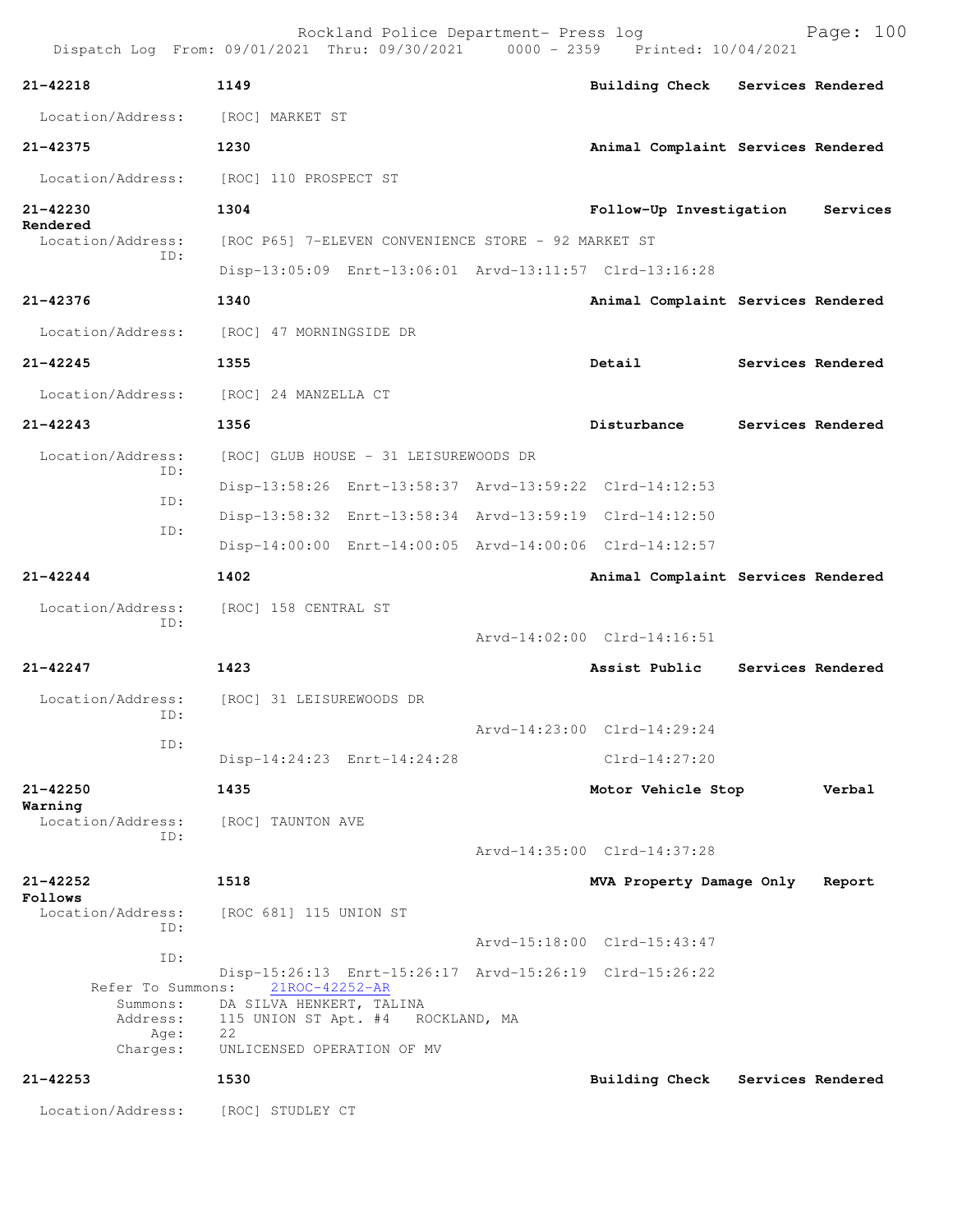|                                                   | Rockland Police Department- Press log<br>Dispatch Log From: 09/01/2021 Thru: 09/30/2021 0000 - 2359 Printed: 10/04/2021 |                                    | Page: 100         |
|---------------------------------------------------|-------------------------------------------------------------------------------------------------------------------------|------------------------------------|-------------------|
| 21-42218                                          | 1149                                                                                                                    | Building Check Services Rendered   |                   |
| Location/Address:                                 | [ROC] MARKET ST                                                                                                         |                                    |                   |
| 21-42375                                          | 1230                                                                                                                    | Animal Complaint Services Rendered |                   |
| Location/Address:                                 | [ROC] 110 PROSPECT ST                                                                                                   |                                    |                   |
| 21-42230                                          | 1304                                                                                                                    | Follow-Up Investigation            | Services          |
| Rendered<br>Location/Address:                     | [ROC P65] 7-ELEVEN CONVENIENCE STORE - 92 MARKET ST                                                                     |                                    |                   |
| ID:                                               | Disp-13:05:09 Enrt-13:06:01 Arvd-13:11:57 Clrd-13:16:28                                                                 |                                    |                   |
| 21-42376                                          | 1340                                                                                                                    | Animal Complaint Services Rendered |                   |
| Location/Address:                                 | [ROC] 47 MORNINGSIDE DR                                                                                                 |                                    |                   |
| $21 - 42245$                                      | 1355                                                                                                                    | Detail                             | Services Rendered |
|                                                   | Location/Address: [ROC] 24 MANZELLA CT                                                                                  |                                    |                   |
| $21 - 42243$                                      | 1356                                                                                                                    | Disturbance                        | Services Rendered |
| Location/Address:                                 | [ROC] GLUB HOUSE - 31 LEISUREWOODS DR                                                                                   |                                    |                   |
| ID:                                               | Disp-13:58:26 Enrt-13:58:37 Arvd-13:59:22 Clrd-14:12:53                                                                 |                                    |                   |
| ID:                                               | Disp-13:58:32 Enrt-13:58:34 Arvd-13:59:19 Clrd-14:12:50                                                                 |                                    |                   |
| ID:                                               | Disp-14:00:00 Enrt-14:00:05 Arvd-14:00:06 Clrd-14:12:57                                                                 |                                    |                   |
| $21 - 42244$                                      | 1402                                                                                                                    | Animal Complaint Services Rendered |                   |
| Location/Address:                                 | [ROC] 158 CENTRAL ST                                                                                                    |                                    |                   |
| ID:                                               |                                                                                                                         | Arvd-14:02:00 Clrd-14:16:51        |                   |
| $21 - 42247$                                      | 1423                                                                                                                    | Assist Public                      | Services Rendered |
| Location/Address:                                 | [ROC] 31 LEISUREWOODS DR                                                                                                |                                    |                   |
| ID:                                               |                                                                                                                         | Arvd-14:23:00 Clrd-14:29:24        |                   |
| ID:                                               | Disp-14:24:23 Enrt-14:24:28                                                                                             | $C1rd-14:27:20$                    |                   |
| $21 - 42250$                                      | 1435                                                                                                                    | Motor Vehicle Stop                 | Verbal            |
| Warning<br>Location/Address:                      | [ROC] TAUNTON AVE                                                                                                       |                                    |                   |
| ID:                                               |                                                                                                                         | Arvd-14:35:00 Clrd-14:37:28        |                   |
| 21-42252                                          | 1518                                                                                                                    | MVA Property Damage Only           | Report            |
| Follows<br>Location/Address:                      | [ROC 681] 115 UNION ST                                                                                                  |                                    |                   |
| ID:                                               |                                                                                                                         | Arvd-15:18:00 Clrd-15:43:47        |                   |
| ID:                                               | Disp-15:26:13 Enrt-15:26:17 Arvd-15:26:19 Clrd-15:26:22                                                                 |                                    |                   |
| Refer To Summons:<br>Summons:<br>Address:<br>Age: | 21ROC-42252-AR<br>DA SILVA HENKERT, TALINA<br>115 UNION ST Apt. #4 ROCKLAND, MA<br>22                                   |                                    |                   |
| Charges:                                          | UNLICENSED OPERATION OF MV                                                                                              |                                    |                   |
| $21 - 42253$                                      | 1530                                                                                                                    | <b>Building Check</b>              | Services Rendered |
| Location/Address:                                 | [ROC] STUDLEY CT                                                                                                        |                                    |                   |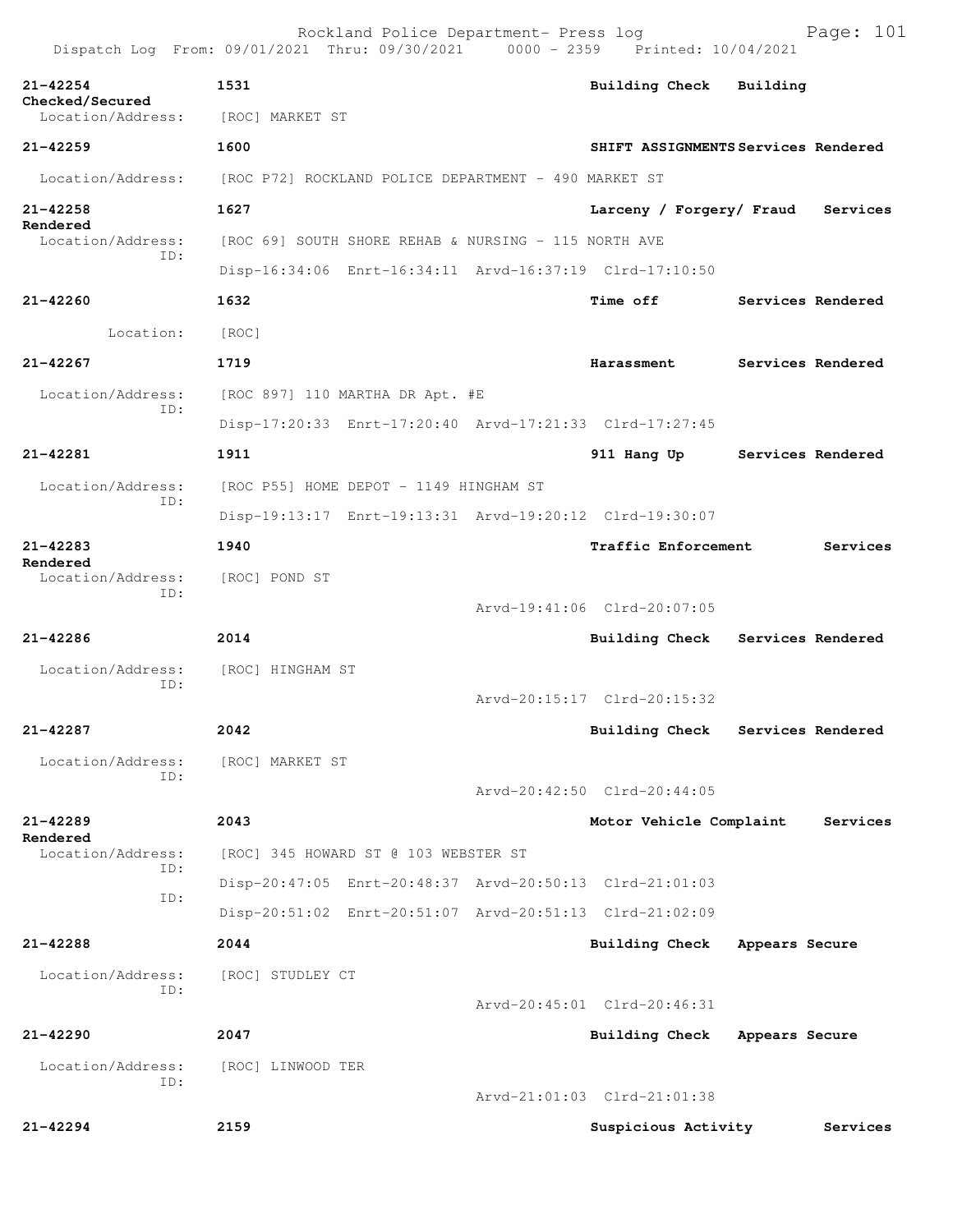|                                      | Rockland Police Department- Press log<br>Dispatch Log From: 09/01/2021 Thru: 09/30/2021 0000 - 2359 Printed: 10/04/2021 |                             | Page: 101                           |
|--------------------------------------|-------------------------------------------------------------------------------------------------------------------------|-----------------------------|-------------------------------------|
| $21 - 42254$                         | 1531                                                                                                                    | <b>Building Check</b>       | Building                            |
| Checked/Secured<br>Location/Address: | [ROC] MARKET ST                                                                                                         |                             |                                     |
| $21 - 42259$                         | 1600                                                                                                                    |                             | SHIFT ASSIGNMENTS Services Rendered |
| Location/Address:                    | [ROC P72] ROCKLAND POLICE DEPARTMENT - 490 MARKET ST                                                                    |                             |                                     |
| $21 - 42258$                         | 1627                                                                                                                    | Larceny / Forgery/ Fraud    | Services                            |
| Rendered<br>Location/Address:        | [ROC 69] SOUTH SHORE REHAB & NURSING - 115 NORTH AVE                                                                    |                             |                                     |
| TD:                                  | Disp-16:34:06 Enrt-16:34:11 Arvd-16:37:19 Clrd-17:10:50                                                                 |                             |                                     |
| 21-42260                             | 1632                                                                                                                    | <b>Time off</b>             | Services Rendered                   |
| Location:                            | [ROC]                                                                                                                   |                             |                                     |
| $21 - 42267$                         | 1719                                                                                                                    | Harassment                  | Services Rendered                   |
| Location/Address:                    | [ROC 897] 110 MARTHA DR Apt. #E                                                                                         |                             |                                     |
| ID:                                  | Disp-17:20:33 Enrt-17:20:40 Arvd-17:21:33 Clrd-17:27:45                                                                 |                             |                                     |
| 21-42281                             | 1911                                                                                                                    |                             | 911 Hang Up Services Rendered       |
| Location/Address:                    | [ROC P55] HOME DEPOT - 1149 HINGHAM ST                                                                                  |                             |                                     |
| ID:                                  | Disp-19:13:17 Enrt-19:13:31 Arvd-19:20:12 Clrd-19:30:07                                                                 |                             |                                     |
| $21 - 42283$                         | 1940                                                                                                                    | <b>Traffic Enforcement</b>  | Services                            |
| Rendered<br>Location/Address:        | [ROC] POND ST                                                                                                           |                             |                                     |
| ID:                                  |                                                                                                                         | Arvd-19:41:06 Clrd-20:07:05 |                                     |
| $21 - 42286$                         | 2014                                                                                                                    |                             | Building Check Services Rendered    |
| Location/Address:                    | [ROC] HINGHAM ST                                                                                                        |                             |                                     |
| TD:                                  |                                                                                                                         | Arvd-20:15:17 Clrd-20:15:32 |                                     |
| 21-42287                             | 2042                                                                                                                    | <b>Building Check</b>       | Services Rendered                   |
| Location/Address:                    | [ROC] MARKET ST                                                                                                         |                             |                                     |
| ID:                                  |                                                                                                                         | Arvd-20:42:50 Clrd-20:44:05 |                                     |
| 21-42289                             | 2043                                                                                                                    | Motor Vehicle Complaint     | Services                            |
| Rendered<br>Location/Address:        | [ROC] 345 HOWARD ST @ 103 WEBSTER ST                                                                                    |                             |                                     |
| ID:                                  | Disp-20:47:05 Enrt-20:48:37 Arvd-20:50:13 Clrd-21:01:03                                                                 |                             |                                     |
| ID:                                  | Disp-20:51:02 Enrt-20:51:07 Arvd-20:51:13 Clrd-21:02:09                                                                 |                             |                                     |
| 21-42288                             | 2044                                                                                                                    | <b>Building Check</b>       | Appears Secure                      |
| Location/Address:                    | [ROC] STUDLEY CT                                                                                                        |                             |                                     |
| ID:                                  |                                                                                                                         | Arvd-20:45:01 Clrd-20:46:31 |                                     |
| $21 - 42290$                         | 2047                                                                                                                    | Building Check              | Appears Secure                      |
| Location/Address:<br>TD:             | [ROC] LINWOOD TER                                                                                                       |                             |                                     |
|                                      |                                                                                                                         | Arvd-21:01:03 Clrd-21:01:38 |                                     |
| $21 - 42294$                         | 2159                                                                                                                    | Suspicious Activity         | Services                            |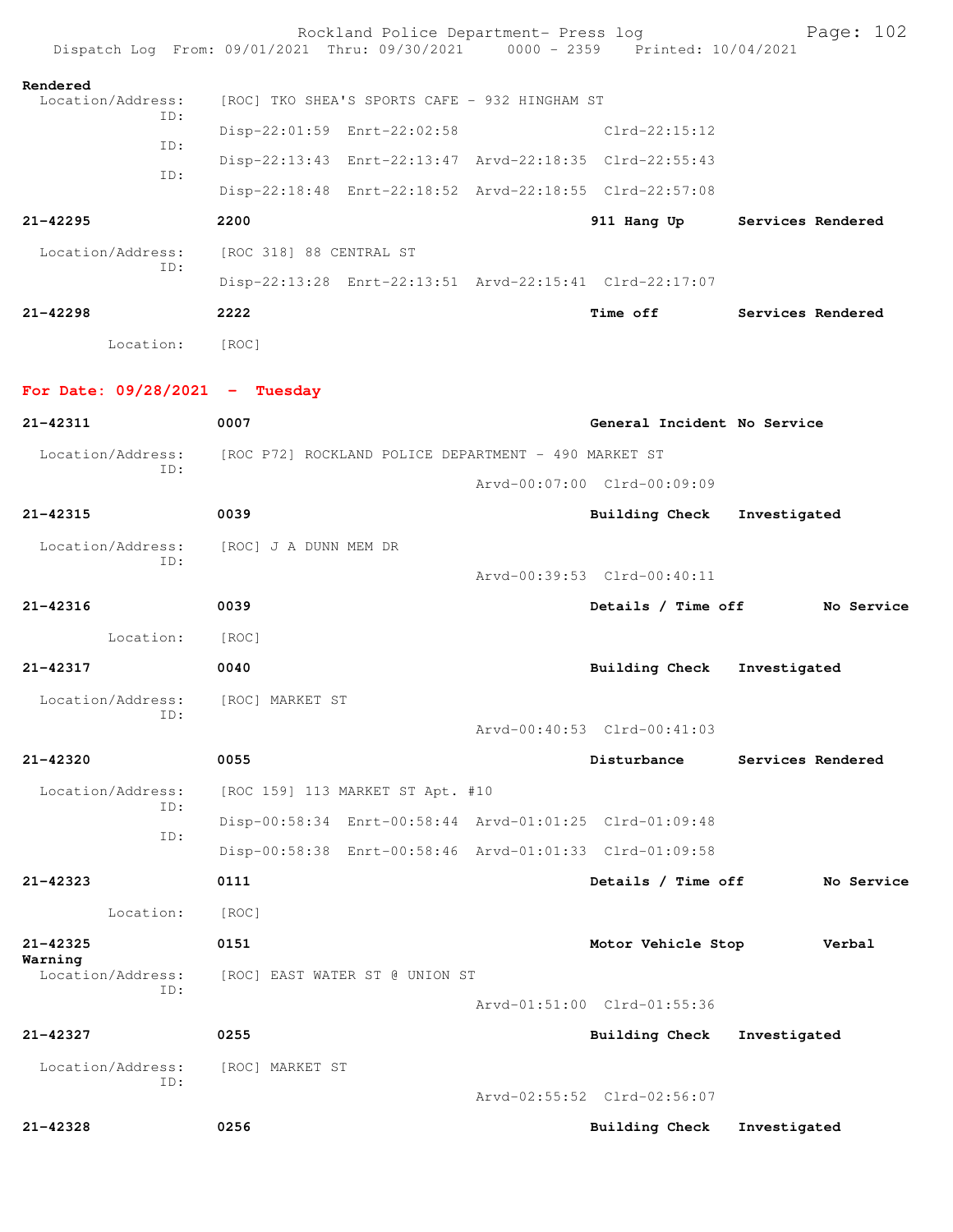|                                          | Rockland Police Department- Press log<br>Dispatch Log From: 09/01/2021 Thru: 09/30/2021 0000 - 2359 Printed: 10/04/2021 |                             | Page: 102                     |
|------------------------------------------|-------------------------------------------------------------------------------------------------------------------------|-----------------------------|-------------------------------|
| Rendered<br>Location/Address:            | [ROC] TKO SHEA'S SPORTS CAFE - 932 HINGHAM ST                                                                           |                             |                               |
| ID:                                      | Disp-22:01:59 Enrt-22:02:58                                                                                             | Clrd-22:15:12               |                               |
| ID:                                      | Disp-22:13:43 Enrt-22:13:47 Arvd-22:18:35 Clrd-22:55:43                                                                 |                             |                               |
| ID:                                      | Disp-22:18:48 Enrt-22:18:52 Arvd-22:18:55 Clrd-22:57:08                                                                 |                             |                               |
| $21 - 42295$                             | 2200                                                                                                                    |                             | 911 Hang Up Services Rendered |
| Location/Address:                        | [ROC 318] 88 CENTRAL ST                                                                                                 |                             |                               |
| ID:                                      | Disp-22:13:28 Enrt-22:13:51 Arvd-22:15:41 Clrd-22:17:07                                                                 |                             |                               |
| $21 - 42298$                             | 2222                                                                                                                    |                             | Time off Services Rendered    |
| Location: [ROC]                          |                                                                                                                         |                             |                               |
| For Date: $09/28/2021$ - Tuesday         |                                                                                                                         |                             |                               |
| 21-42311                                 | 0007                                                                                                                    | General Incident No Service |                               |
| ID:                                      | Location/Address: [ROC P72] ROCKLAND POLICE DEPARTMENT - 490 MARKET ST                                                  |                             |                               |
|                                          |                                                                                                                         | Arvd-00:07:00 Clrd-00:09:09 |                               |
| 21-42315                                 | 0039                                                                                                                    | Building Check Investigated |                               |
| ID:                                      | Location/Address: [ROC] J A DUNN MEM DR                                                                                 |                             |                               |
|                                          |                                                                                                                         | Arvd-00:39:53 Clrd-00:40:11 |                               |
| 21-42316                                 | 0039                                                                                                                    | Details / Time off          | No Service                    |
| Location:                                | [ROC]                                                                                                                   |                             |                               |
| 21-42317                                 | 0040                                                                                                                    | Building Check              | Investigated                  |
| Location/Address: [ROC] MARKET ST<br>ID: |                                                                                                                         |                             |                               |
|                                          |                                                                                                                         | Arvd-00:40:53 Clrd-00:41:03 |                               |
| 21-42320                                 | 0055                                                                                                                    | Disturbance                 | Services Rendered             |
| Location/Address:<br>ID:                 | [ROC 159] 113 MARKET ST Apt. #10                                                                                        |                             |                               |
| ID:                                      | Disp-00:58:34 Enrt-00:58:44 Arvd-01:01:25 Clrd-01:09:48                                                                 |                             |                               |
|                                          | Disp-00:58:38 Enrt-00:58:46 Arvd-01:01:33 Clrd-01:09:58                                                                 |                             |                               |
| $21 - 42323$                             | 0111                                                                                                                    | Details / Time off          | No Service                    |
| Location:                                | [ROC]                                                                                                                   |                             |                               |
| $21 - 42325$<br>Warning                  | 0151                                                                                                                    | Motor Vehicle Stop          | Verbal                        |
| Location/Address:<br>TD:                 | [ROC] EAST WATER ST @ UNION ST                                                                                          |                             |                               |
|                                          |                                                                                                                         | Arvd-01:51:00 Clrd-01:55:36 |                               |
| 21-42327                                 | 0255                                                                                                                    | <b>Building Check</b>       | Investigated                  |
| Location/Address:<br>ID:                 | [ROC] MARKET ST                                                                                                         | Arvd-02:55:52 Clrd-02:56:07 |                               |
| $21 - 42328$                             | 0256                                                                                                                    | <b>Building Check</b>       | Investigated                  |
|                                          |                                                                                                                         |                             |                               |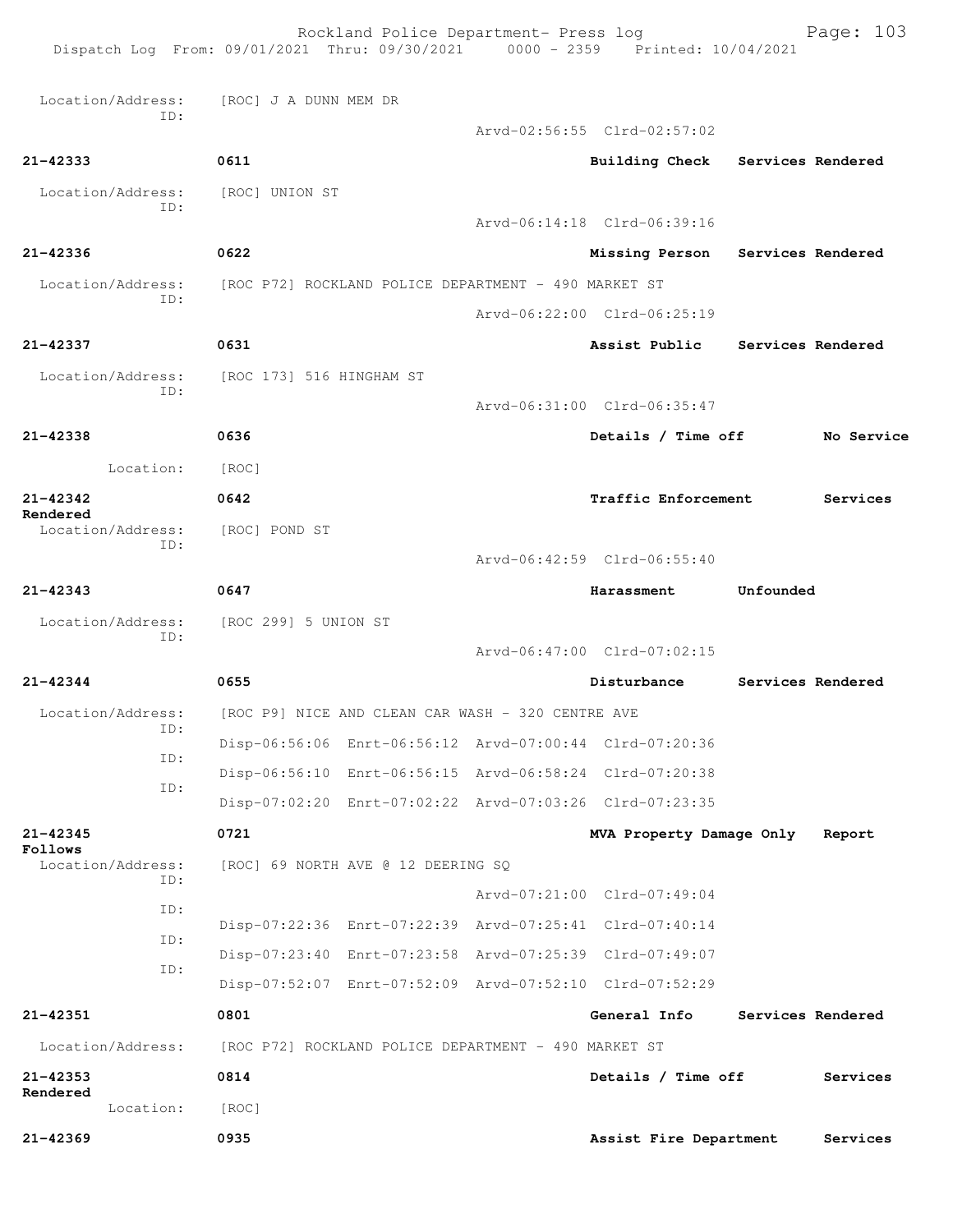| Dispatch Log From: 09/01/2021 Thru: 09/30/2021 0000 - 2359 Printed: 10/04/2021 |                                                      | Rockland Police Department- Press log                |                                                         |           | Page: 103         |
|--------------------------------------------------------------------------------|------------------------------------------------------|------------------------------------------------------|---------------------------------------------------------|-----------|-------------------|
| Location/Address:                                                              | [ROC] J A DUNN MEM DR                                |                                                      |                                                         |           |                   |
| ID:                                                                            |                                                      |                                                      | Arvd-02:56:55 Clrd-02:57:02                             |           |                   |
| 21-42333                                                                       | 0611                                                 |                                                      | Building Check Services Rendered                        |           |                   |
| Location/Address:                                                              | [ROC] UNION ST                                       |                                                      |                                                         |           |                   |
| ID:                                                                            |                                                      |                                                      | Arvd-06:14:18 Clrd-06:39:16                             |           |                   |
| 21-42336                                                                       | 0622                                                 |                                                      | Missing Person Services Rendered                        |           |                   |
| Location/Address:                                                              | [ROC P72] ROCKLAND POLICE DEPARTMENT - 490 MARKET ST |                                                      |                                                         |           |                   |
| ID:                                                                            |                                                      |                                                      | Arvd-06:22:00 Clrd-06:25:19                             |           |                   |
| 21-42337                                                                       | 0631                                                 |                                                      | Assist Public Services Rendered                         |           |                   |
| Location/Address:                                                              | [ROC 173] 516 HINGHAM ST                             |                                                      |                                                         |           |                   |
| ID:                                                                            |                                                      |                                                      | Arvd-06:31:00 Clrd-06:35:47                             |           |                   |
| 21-42338                                                                       | 0636                                                 |                                                      | Details / Time off                                      |           | No Service        |
| Location:                                                                      | [ROC]                                                |                                                      |                                                         |           |                   |
| 21-42342                                                                       | 0642                                                 |                                                      | Traffic Enforcement                                     |           | Services          |
| Rendered<br>Location/Address:                                                  | [ROC] POND ST                                        |                                                      |                                                         |           |                   |
| ID:                                                                            |                                                      |                                                      | Arvd-06:42:59 Clrd-06:55:40                             |           |                   |
| 21-42343                                                                       | 0647                                                 |                                                      | Harassment                                              | Unfounded |                   |
| Location/Address: [ROC 299] 5 UNION ST                                         |                                                      |                                                      |                                                         |           |                   |
| ID:                                                                            |                                                      |                                                      | Arvd-06:47:00 Clrd-07:02:15                             |           |                   |
| 21-42344                                                                       | 0655                                                 |                                                      | Disturbance                                             |           | Services Rendered |
| Location/Address:                                                              |                                                      | [ROC P9] NICE AND CLEAN CAR WASH - 320 CENTRE AVE    |                                                         |           |                   |
| ID:<br>ID:                                                                     |                                                      |                                                      | Disp-06:56:06 Enrt-06:56:12 Arvd-07:00:44 Clrd-07:20:36 |           |                   |
| ID:                                                                            |                                                      |                                                      | Disp-06:56:10 Enrt-06:56:15 Arvd-06:58:24 Clrd-07:20:38 |           |                   |
|                                                                                |                                                      |                                                      | Disp-07:02:20 Enrt-07:02:22 Arvd-07:03:26 Clrd-07:23:35 |           |                   |
| 21-42345<br>Follows                                                            | 0721                                                 |                                                      | MVA Property Damage Only                                |           | Report            |
| Location/Address:<br>ID:                                                       |                                                      | [ROC] 69 NORTH AVE @ 12 DEERING SQ                   |                                                         |           |                   |
| ID:                                                                            |                                                      |                                                      | Arvd-07:21:00 Clrd-07:49:04                             |           |                   |
| ID:                                                                            |                                                      |                                                      | Disp-07:22:36 Enrt-07:22:39 Arvd-07:25:41 Clrd-07:40:14 |           |                   |
| ID:                                                                            |                                                      |                                                      | Disp-07:23:40 Enrt-07:23:58 Arvd-07:25:39 Clrd-07:49:07 |           |                   |
|                                                                                |                                                      |                                                      | Disp-07:52:07 Enrt-07:52:09 Arvd-07:52:10 Clrd-07:52:29 |           |                   |
| 21-42351                                                                       | 0801                                                 |                                                      | General Info                                            |           | Services Rendered |
| Location/Address:                                                              |                                                      | [ROC P72] ROCKLAND POLICE DEPARTMENT - 490 MARKET ST |                                                         |           |                   |
| $21 - 42353$<br>Rendered                                                       | 0814                                                 |                                                      | Details / Time off                                      |           | Services          |
| Location:                                                                      | [ROC]                                                |                                                      |                                                         |           |                   |
| $21 - 42369$                                                                   | 0935                                                 |                                                      | Assist Fire Department                                  |           | Services          |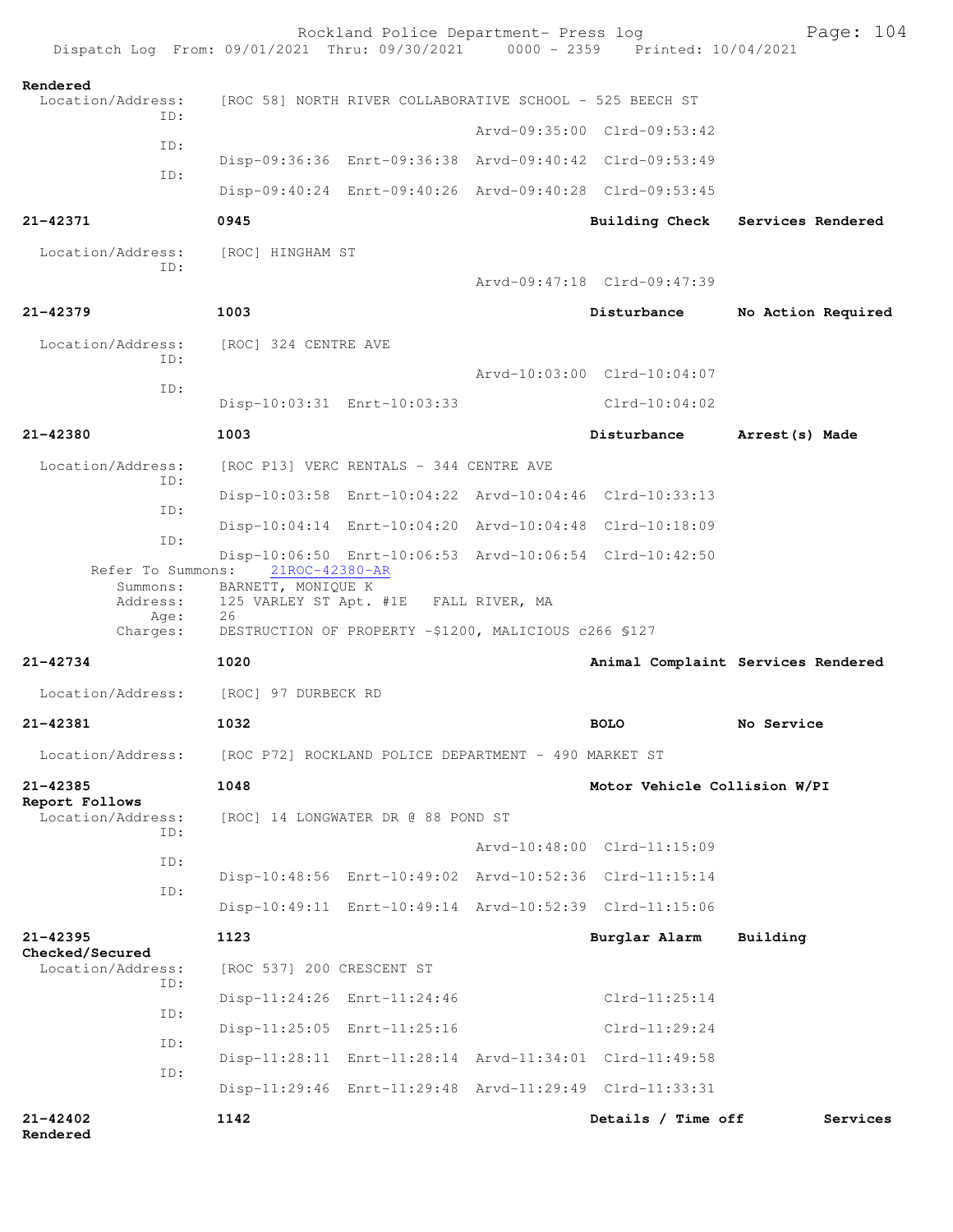|                                             | Dispatch Log From: 09/01/2021 Thru: 09/30/2021 0000 - 2359 Printed: 10/04/2021 | Rockland Police Department- Press log                    |  |                                                         | Page: 104                          |
|---------------------------------------------|--------------------------------------------------------------------------------|----------------------------------------------------------|--|---------------------------------------------------------|------------------------------------|
| Rendered<br>Location/Address:<br>ID:        |                                                                                | [ROC 58] NORTH RIVER COLLABORATIVE SCHOOL - 525 BEECH ST |  |                                                         |                                    |
|                                             |                                                                                |                                                          |  | Arvd-09:35:00 Clrd-09:53:42                             |                                    |
| ID:<br>TD:                                  |                                                                                |                                                          |  | Disp-09:36:36 Enrt-09:36:38 Arvd-09:40:42 Clrd-09:53:49 |                                    |
|                                             |                                                                                |                                                          |  | Disp-09:40:24 Enrt-09:40:26 Arvd-09:40:28 Clrd-09:53:45 |                                    |
| $21 - 42371$                                | 0945                                                                           |                                                          |  | <b>Building Check</b>                                   | Services Rendered                  |
| Location/Address:<br>ID:                    | [ROC] HINGHAM ST                                                               |                                                          |  | Arvd-09:47:18 Clrd-09:47:39                             |                                    |
| 21-42379                                    | 1003                                                                           |                                                          |  | Disturbance                                             | No Action Required                 |
|                                             |                                                                                |                                                          |  |                                                         |                                    |
| Location/Address:<br>ID:                    | [ROC] 324 CENTRE AVE                                                           |                                                          |  |                                                         |                                    |
| ID:                                         |                                                                                |                                                          |  | Arvd-10:03:00 Clrd-10:04:07                             |                                    |
|                                             |                                                                                | Disp-10:03:31 Enrt-10:03:33                              |  | $Clrd-10:04:02$                                         |                                    |
| 21-42380                                    | 1003                                                                           |                                                          |  | Disturbance                                             | Arrest (s) Made                    |
| Location/Address:<br>ID:                    |                                                                                | [ROC P13] VERC RENTALS - 344 CENTRE AVE                  |  |                                                         |                                    |
| ID:                                         |                                                                                |                                                          |  | Disp-10:03:58 Enrt-10:04:22 Arvd-10:04:46 Clrd-10:33:13 |                                    |
| ID:                                         |                                                                                |                                                          |  | Disp-10:04:14 Enrt-10:04:20 Arvd-10:04:48 Clrd-10:18:09 |                                    |
| Refer To Summons:                           | 21ROC-42380-AR                                                                 |                                                          |  | Disp-10:06:50 Enrt-10:06:53 Arvd-10:06:54 Clrd-10:42:50 |                                    |
| Summons:<br>Address:<br>Age:                | BARNETT, MONIQUE K<br>26                                                       | 125 VARLEY ST Apt. #1E FALL RIVER, MA                    |  |                                                         |                                    |
| Charges:                                    |                                                                                | DESTRUCTION OF PROPERTY -\$1200, MALICIOUS c266 \$127    |  |                                                         |                                    |
| 21-42734                                    | 1020                                                                           |                                                          |  |                                                         | Animal Complaint Services Rendered |
| Location/Address:                           | [ROC] 97 DURBECK RD                                                            |                                                          |  |                                                         |                                    |
| 21-42381                                    | 1032                                                                           | <b>BOLO</b>                                              |  |                                                         | No Service                         |
| Location/Address:                           |                                                                                | [ROC P72] ROCKLAND POLICE DEPARTMENT - 490 MARKET ST     |  |                                                         |                                    |
| 21-42385                                    | 1048                                                                           |                                                          |  | Motor Vehicle Collision W/PI                            |                                    |
| Report Follows<br>Location/Address:<br>ID:  |                                                                                | [ROC] 14 LONGWATER DR @ 88 POND ST                       |  |                                                         |                                    |
| ID:                                         |                                                                                |                                                          |  | Arvd-10:48:00 Clrd-11:15:09                             |                                    |
| ID:                                         |                                                                                |                                                          |  | Disp-10:48:56 Enrt-10:49:02 Arvd-10:52:36 Clrd-11:15:14 |                                    |
|                                             |                                                                                |                                                          |  | Disp-10:49:11 Enrt-10:49:14 Arvd-10:52:39 Clrd-11:15:06 |                                    |
| 21-42395                                    | 1123                                                                           |                                                          |  | Burglar Alarm                                           | Building                           |
| Checked/Secured<br>Location/Address:<br>ID: | [ROC 537] 200 CRESCENT ST                                                      |                                                          |  |                                                         |                                    |
|                                             |                                                                                | Disp-11:24:26 Enrt-11:24:46                              |  | $Clrd-11:25:14$                                         |                                    |
| ID:                                         |                                                                                | Disp-11:25:05 Enrt-11:25:16                              |  | $Clrd-11:29:24$                                         |                                    |
| ID:                                         |                                                                                |                                                          |  | Disp-11:28:11 Enrt-11:28:14 Arvd-11:34:01 Clrd-11:49:58 |                                    |
| ID:                                         |                                                                                |                                                          |  | Disp-11:29:46 Enrt-11:29:48 Arvd-11:29:49 Clrd-11:33:31 |                                    |
| $21 - 42402$<br>Rendered                    | 1142                                                                           |                                                          |  | Details / Time off                                      | Services                           |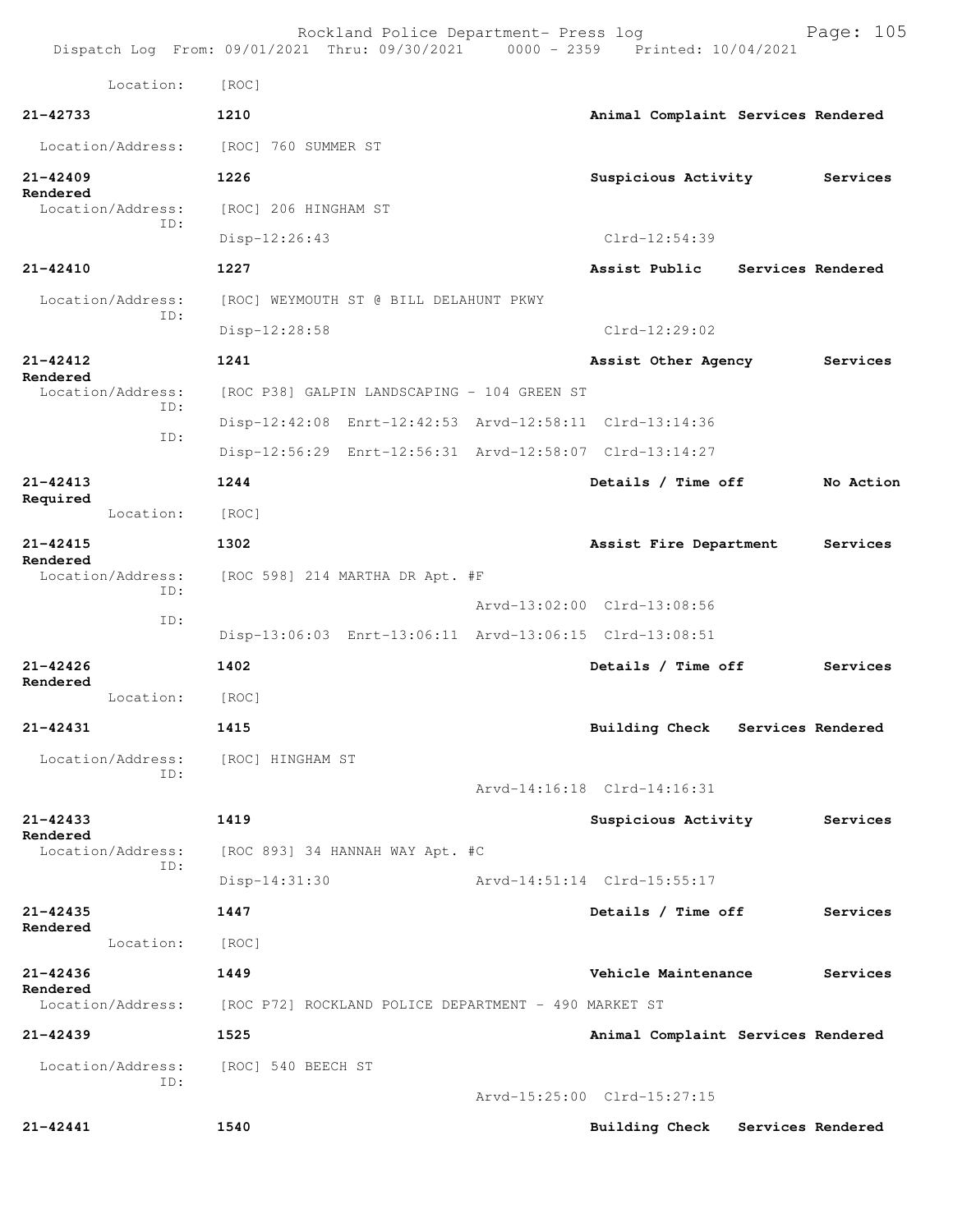|                               | Rockland Police Department- Press log<br>Dispatch Log From: 09/01/2021 Thru: 09/30/2021 0000 - 2359 Printed: 10/04/2021 |                                            | Page: 105 |  |  |
|-------------------------------|-------------------------------------------------------------------------------------------------------------------------|--------------------------------------------|-----------|--|--|
| Location:                     | [ROC]                                                                                                                   |                                            |           |  |  |
| $21 - 42733$                  | 1210                                                                                                                    | Animal Complaint Services Rendered         |           |  |  |
| Location/Address:             | [ROC] 760 SUMMER ST                                                                                                     |                                            |           |  |  |
| $21 - 42409$                  | 1226                                                                                                                    | Suspicious Activity                        | Services  |  |  |
| Rendered<br>Location/Address: | [ROC] 206 HINGHAM ST                                                                                                    |                                            |           |  |  |
| TD:                           | Disp-12:26:43                                                                                                           | Clrd-12:54:39                              |           |  |  |
| 21-42410                      | 1227                                                                                                                    | Assist Public<br>Services Rendered         |           |  |  |
| Location/Address:             | [ROC] WEYMOUTH ST @ BILL DELAHUNT PKWY                                                                                  |                                            |           |  |  |
| ID:                           | Disp-12:28:58                                                                                                           | $Clrd-12:29:02$                            |           |  |  |
| $21 - 42412$                  | 1241                                                                                                                    | Assist Other Agency                        | Services  |  |  |
| Rendered<br>Location/Address: | [ROC P38] GALPIN LANDSCAPING - 104 GREEN ST                                                                             |                                            |           |  |  |
| TD:                           | Disp-12:42:08 Enrt-12:42:53 Arvd-12:58:11 Clrd-13:14:36                                                                 |                                            |           |  |  |
| ID:                           | Disp-12:56:29 Enrt-12:56:31 Arvd-12:58:07 Clrd-13:14:27                                                                 |                                            |           |  |  |
| $21 - 42413$                  | 1244                                                                                                                    | Details / Time off                         | No Action |  |  |
| Required<br>Location:         | [ROC]                                                                                                                   |                                            |           |  |  |
| $21 - 42415$                  | 1302                                                                                                                    | Assist Fire Department                     | Services  |  |  |
| Rendered<br>Location/Address: | [ROC 598] 214 MARTHA DR Apt. #F                                                                                         |                                            |           |  |  |
| ID:<br>ID:                    |                                                                                                                         | Arvd-13:02:00 Clrd-13:08:56                |           |  |  |
|                               | Disp-13:06:03 Enrt-13:06:11 Arvd-13:06:15 Clrd-13:08:51                                                                 |                                            |           |  |  |
| $21 - 42426$<br>Rendered      | 1402                                                                                                                    | Details / Time off                         | Services  |  |  |
| Location:                     | [ROC]                                                                                                                   |                                            |           |  |  |
| $21 - 42431$                  | 1415                                                                                                                    | <b>Building Check</b><br>Services Rendered |           |  |  |
| Location/Address:<br>ID:      | [ROC] HINGHAM ST                                                                                                        |                                            |           |  |  |
|                               |                                                                                                                         | Arvd-14:16:18 Clrd-14:16:31                |           |  |  |
| $21 - 42433$<br>Rendered      | 1419                                                                                                                    | Suspicious Activity                        | Services  |  |  |
| Location/Address:<br>ID:      | [ROC 893] 34 HANNAH WAY Apt. #C                                                                                         |                                            |           |  |  |
|                               | Disp-14:31:30                                                                                                           | Arvd-14:51:14 Clrd-15:55:17                |           |  |  |
| $21 - 42435$<br>Rendered      | 1447                                                                                                                    | Details / Time off                         | Services  |  |  |
| Location:                     | [ROC]                                                                                                                   |                                            |           |  |  |
| $21 - 42436$<br>Rendered      | 1449                                                                                                                    | Vehicle Maintenance                        | Services  |  |  |
| Location/Address:             | [ROC P72] ROCKLAND POLICE DEPARTMENT - 490 MARKET ST                                                                    |                                            |           |  |  |
| 21-42439                      | 1525                                                                                                                    | Animal Complaint Services Rendered         |           |  |  |
| Location/Address:<br>ID:      | [ROC] 540 BEECH ST                                                                                                      |                                            |           |  |  |
|                               |                                                                                                                         | Arvd-15:25:00 Clrd-15:27:15                |           |  |  |
| 21-42441                      | 1540                                                                                                                    | <b>Building Check</b><br>Services Rendered |           |  |  |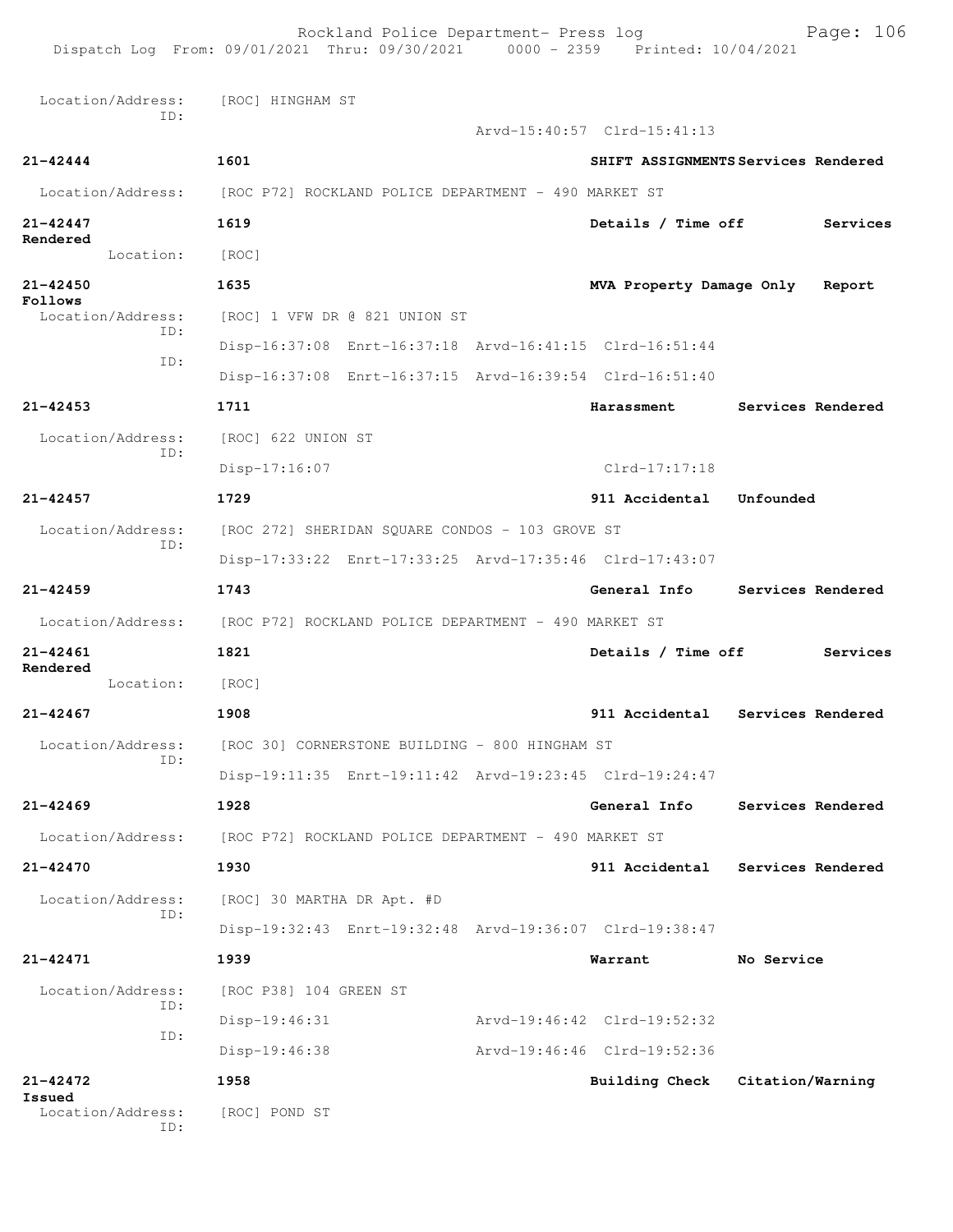Rockland Police Department- Press log Page: 106 Dispatch Log From: 09/01/2021 Thru: 09/30/2021 Location/Address: [ROC] HINGHAM ST ID: Arvd-15:40:57 Clrd-15:41:13 **21-42444 1601 SHIFT ASSIGNMENTS Services Rendered** Location/Address: [ROC P72] ROCKLAND POLICE DEPARTMENT - 490 MARKET ST **21-42447 1619 Details / Time off Services Rendered**  Location: [ROC] **21-42450 1635 MVA Property Damage Only Report Follows**<br>Location/Address: [ROC] 1 VFW DR @ 821 UNION ST ID: Disp-16:37:08 Enrt-16:37:18 Arvd-16:41:15 Clrd-16:51:44 ID: Disp-16:37:08 Enrt-16:37:15 Arvd-16:39:54 Clrd-16:51:40 **21-42453 1711 Harassment Services Rendered** Location/Address: [ROC] 622 UNION ST ID: Disp-17:16:07 Clrd-17:17:18 **21-42457 1729 911 Accidental Unfounded**  Location/Address: [ROC 272] SHERIDAN SQUARE CONDOS - 103 GROVE ST ID: Disp-17:33:22 Enrt-17:33:25 Arvd-17:35:46 Clrd-17:43:07 **21-42459 1743 General Info Services Rendered** Location/Address: [ROC P72] ROCKLAND POLICE DEPARTMENT - 490 MARKET ST **21-42461 1821 Details / Time off Services Rendered**  Location: [ROC] **21-42467 1908 911 Accidental Services Rendered** Location/Address: [ROC 30] CORNERSTONE BUILDING - 800 HINGHAM ST ID: Disp-19:11:35 Enrt-19:11:42 Arvd-19:23:45 Clrd-19:24:47 **21-42469 1928 General Info Services Rendered** Location/Address: [ROC P72] ROCKLAND POLICE DEPARTMENT - 490 MARKET ST **21-42470 1930 911 Accidental Services Rendered** Location/Address: [ROC] 30 MARTHA DR Apt. #D ID: Disp-19:32:43 Enrt-19:32:48 Arvd-19:36:07 Clrd-19:38:47 **21-42471 1939 Warrant No Service** Location/Address: [ROC P38] 104 GREEN ST ID: Disp-19:46:31 Arvd-19:46:42 Clrd-19:52:32 ID: Disp-19:46:38 Arvd-19:46:46 Clrd-19:52:36 **21-42472 1958 Building Check Citation/Warning Issued**  Location/Address: [ROC] POND ST ID: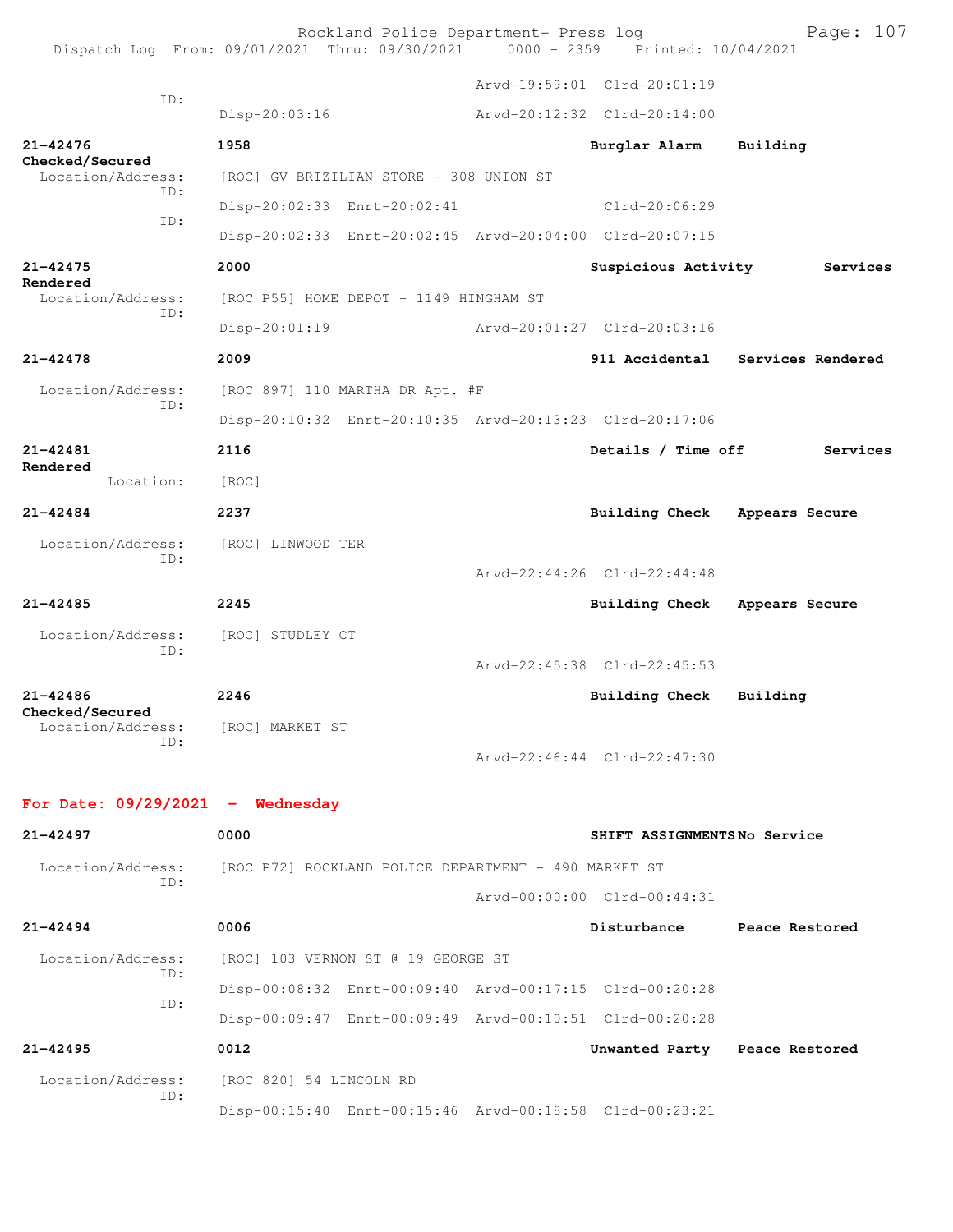|                                             | Rockland Police Department- Press log<br>Dispatch Log From: 09/01/2021 Thru: 09/30/2021 0000 - 2359 Printed: 10/04/2021 |                             | Page: 107                        |
|---------------------------------------------|-------------------------------------------------------------------------------------------------------------------------|-----------------------------|----------------------------------|
|                                             |                                                                                                                         | Arvd-19:59:01 Clrd-20:01:19 |                                  |
| ID:                                         | Disp-20:03:16                                                                                                           | Arvd-20:12:32 Clrd-20:14:00 |                                  |
| $21 - 42476$<br>Checked/Secured             | 1958                                                                                                                    | Burglar Alarm               | Building                         |
| Location/Address:<br>TD:                    | [ROC] GV BRIZILIAN STORE - 308 UNION ST                                                                                 |                             |                                  |
| ID:                                         | Disp-20:02:33 Enrt-20:02:41                                                                                             | Clrd-20:06:29               |                                  |
|                                             | Disp-20:02:33 Enrt-20:02:45 Arvd-20:04:00 Clrd-20:07:15                                                                 |                             |                                  |
| $21 - 42475$<br>Rendered                    | 2000                                                                                                                    | Suspicious Activity         | Services                         |
| Location/Address:<br>ID:                    | [ROC P55] HOME DEPOT - 1149 HINGHAM ST                                                                                  |                             |                                  |
|                                             | $Disp-20:01:19$                                                                                                         | Arvd-20:01:27 Clrd-20:03:16 |                                  |
| $21 - 42478$                                | 2009                                                                                                                    |                             | 911 Accidental Services Rendered |
| Location/Address:                           | [ROC 897] 110 MARTHA DR Apt. #F                                                                                         |                             |                                  |
| ID:                                         | Disp-20:10:32 Enrt-20:10:35 Arvd-20:13:23 Clrd-20:17:06                                                                 |                             |                                  |
| $21 - 42481$<br>Rendered                    | 2116                                                                                                                    | Details / Time off          | Services                         |
| Location:                                   | [ROC]                                                                                                                   |                             |                                  |
| $21 - 42484$                                | 2237                                                                                                                    | Building Check              | Appears Secure                   |
| Location/Address:<br>ID:                    | [ROC] LINWOOD TER                                                                                                       |                             |                                  |
|                                             |                                                                                                                         | Arvd-22:44:26 Clrd-22:44:48 |                                  |
| $21 - 42485$                                | 2245                                                                                                                    | <b>Building Check</b>       | Appears Secure                   |
| Location/Address:<br>ID:                    | [ROC] STUDLEY CT                                                                                                        |                             |                                  |
|                                             |                                                                                                                         | Arvd-22:45:38 Clrd-22:45:53 |                                  |
| $21 - 42486$                                | 2246                                                                                                                    | <b>Building Check</b>       | Building                         |
| Checked/Secured<br>Location/Address:<br>ID: | [ROC] MARKET ST                                                                                                         |                             |                                  |
|                                             |                                                                                                                         | Arvd-22:46:44 Clrd-22:47:30 |                                  |
| For Date: $09/29/2021$ - Wednesday          |                                                                                                                         |                             |                                  |
| $21 - 42497$                                | 0000                                                                                                                    | SHIFT ASSIGNMENTSNo Service |                                  |
| Location/Address:                           | [ROC P72] ROCKLAND POLICE DEPARTMENT - 490 MARKET ST                                                                    |                             |                                  |
| ID:                                         |                                                                                                                         | Arvd-00:00:00 Clrd-00:44:31 |                                  |
| $21 - 42494$                                | 0006                                                                                                                    | Disturbance                 | Peace Restored                   |

| Location/Address: |     | [ROC 820] 54 LINCOLN RD            |                                                         |  |                |                |
|-------------------|-----|------------------------------------|---------------------------------------------------------|--|----------------|----------------|
| $21 - 42495$      |     | 0012                               |                                                         |  | Unwanted Party | Peace Restored |
|                   |     |                                    | Disp-00:09:47 Enrt-00:09:49 Arvd-00:10:51 Clrd-00:20:28 |  |                |                |
|                   | ID: |                                    | Disp-00:08:32 Enrt-00:09:40 Arvd-00:17:15 Clrd-00:20:28 |  |                |                |
| Location/Address: | ID: | [ROC] 103 VERNON ST @ 19 GEORGE ST |                                                         |  |                |                |

ID:

Disp-00:15:40 Enrt-00:15:46 Arvd-00:18:58 Clrd-00:23:21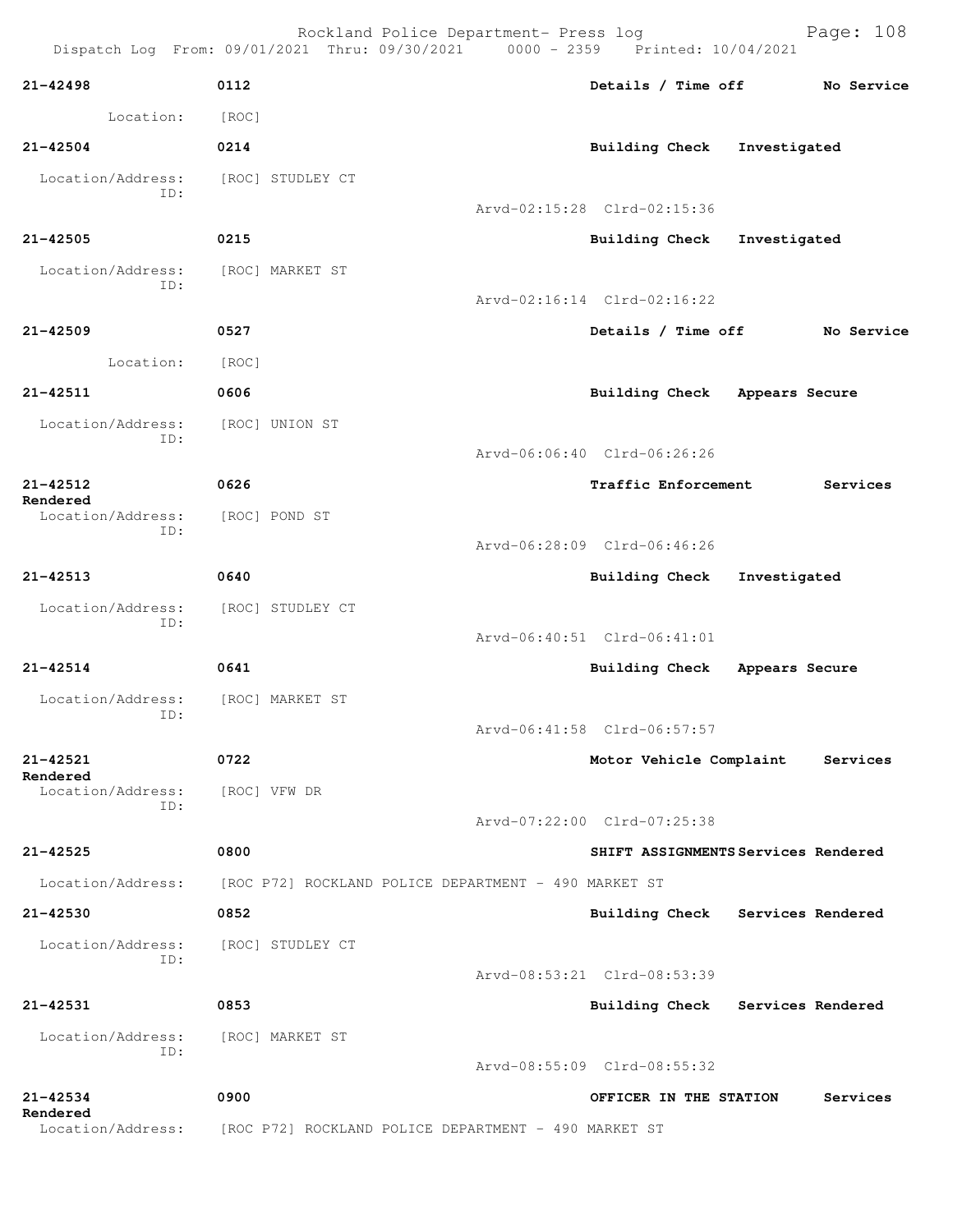|                                          | Dispatch Log From: 09/01/2021 Thru: 09/30/2021 0000 - 2359 Printed: 10/04/2021 | Rockland Police Department- Press log                |                             | Page: 108                           |
|------------------------------------------|--------------------------------------------------------------------------------|------------------------------------------------------|-----------------------------|-------------------------------------|
| $21 - 42498$                             | 0112                                                                           |                                                      |                             | Details / Time off No Service       |
| Location:                                | [ROC]                                                                          |                                                      |                             |                                     |
| $21 - 42504$                             | 0214                                                                           |                                                      | Building Check Investigated |                                     |
| Location/Address:<br>TD:                 | [ROC] STUDLEY CT                                                               |                                                      |                             |                                     |
|                                          |                                                                                |                                                      | Arvd-02:15:28 Clrd-02:15:36 |                                     |
| $21 - 42505$                             | 0215                                                                           |                                                      | Building Check Investigated |                                     |
| Location/Address: [ROC] MARKET ST<br>ID: |                                                                                |                                                      | Arvd-02:16:14 Clrd-02:16:22 |                                     |
| $21 - 42509$                             | 0527                                                                           |                                                      |                             | Details / Time off No Service       |
| Location:                                | [ROC]                                                                          |                                                      |                             |                                     |
| $21 - 42511$                             | 0606                                                                           |                                                      |                             | Building Check Appears Secure       |
| Location/Address:                        | [ROC] UNION ST                                                                 |                                                      |                             |                                     |
| ID:                                      |                                                                                |                                                      | Arvd-06:06:40 Clrd-06:26:26 |                                     |
| $21 - 42512$                             | 0626                                                                           |                                                      | <b>Traffic Enforcement</b>  | Services                            |
| Rendered<br>Location/Address:            | [ROC] POND ST                                                                  |                                                      |                             |                                     |
| ID:                                      |                                                                                |                                                      | Arvd-06:28:09 Clrd-06:46:26 |                                     |
| $21 - 42513$                             | 0640                                                                           |                                                      | Building Check Investigated |                                     |
| Location/Address:<br>ID:                 | [ROC] STUDLEY CT                                                               |                                                      |                             |                                     |
|                                          |                                                                                |                                                      | Arvd-06:40:51 Clrd-06:41:01 |                                     |
| $21 - 42514$                             | 0641                                                                           |                                                      |                             | Building Check Appears Secure       |
| Location/Address: [ROC] MARKET ST<br>ID: |                                                                                |                                                      |                             |                                     |
|                                          |                                                                                |                                                      | Arvd-06:41:58 Clrd-06:57:57 |                                     |
| $21 - 42521$<br>Rendered                 | 0722                                                                           |                                                      | Motor Vehicle Complaint     | Services                            |
| Location/Address:<br>ID:                 | [ROC] VFW DR                                                                   |                                                      | Arvd-07:22:00 Clrd-07:25:38 |                                     |
| $21 - 42525$                             | 0800                                                                           |                                                      |                             | SHIFT ASSIGNMENTS Services Rendered |
| Location/Address:                        |                                                                                | [ROC P72] ROCKLAND POLICE DEPARTMENT - 490 MARKET ST |                             |                                     |
| 21-42530                                 | 0852                                                                           |                                                      |                             | Building Check Services Rendered    |
| Location/Address:                        | [ROC] STUDLEY CT                                                               |                                                      |                             |                                     |
| ID:                                      |                                                                                |                                                      | Arvd-08:53:21 Clrd-08:53:39 |                                     |
| 21-42531                                 | 0853                                                                           |                                                      |                             | Building Check Services Rendered    |
| Location/Address:                        | [ROC] MARKET ST                                                                |                                                      |                             |                                     |
| ID:                                      |                                                                                |                                                      | Arvd-08:55:09 Clrd-08:55:32 |                                     |
| $21 - 42534$                             | 0900                                                                           |                                                      | OFFICER IN THE STATION      | Services                            |
| Rendered<br>Location/Address:            |                                                                                | [ROC P72] ROCKLAND POLICE DEPARTMENT - 490 MARKET ST |                             |                                     |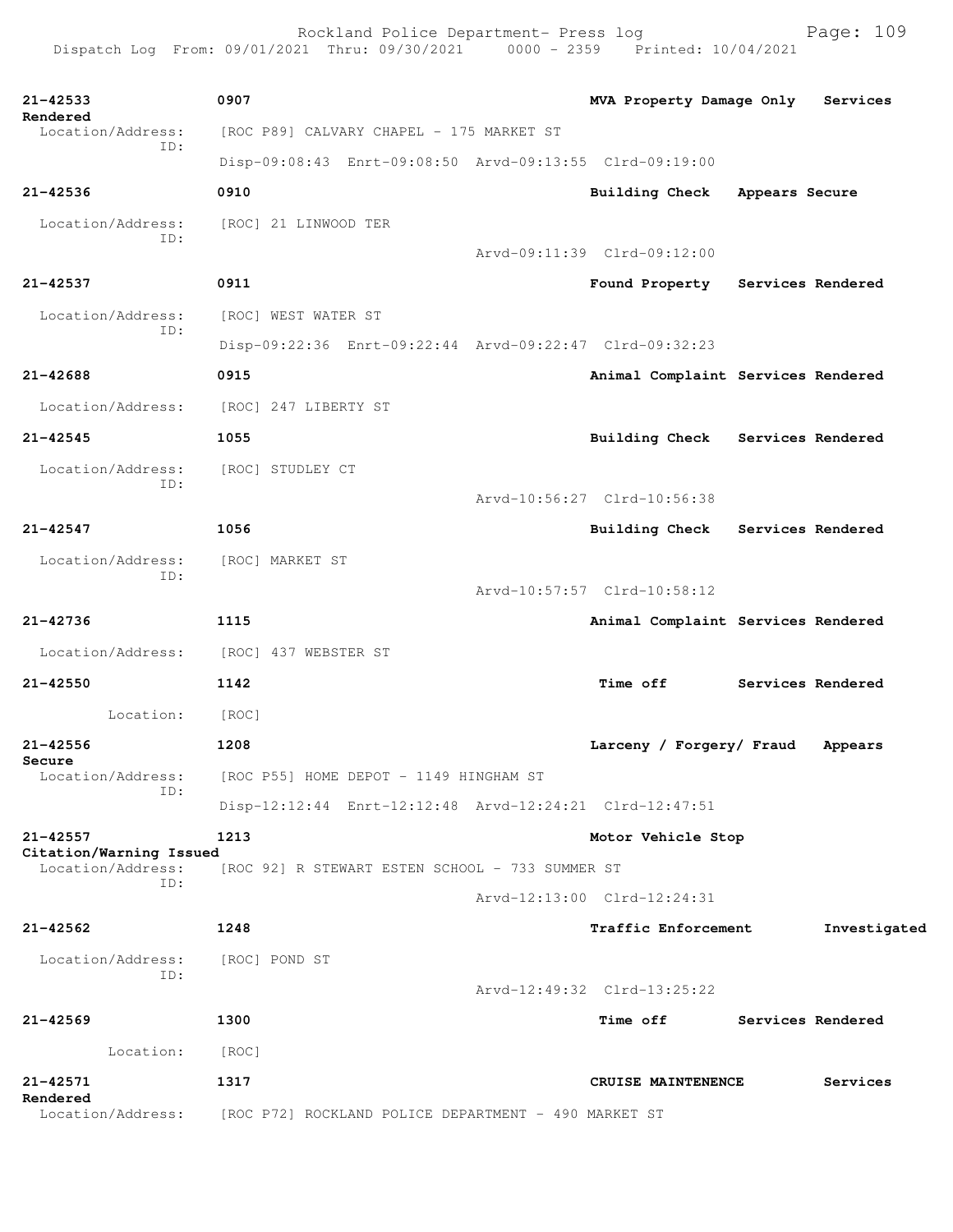Rockland Police Department- Press log Bookland Police Department- Press log<br>21 Thru: 09/30/2021 0000 - 2359 Printed: 10/04/2021 Dispatch Log From: 09/01/2021 Thru: 09/30/2021

**21-42533 0907 MVA Property Damage Only Services Rendered**  Location/Address: [ROC P89] CALVARY CHAPEL - 175 MARKET ST ID: Disp-09:08:43 Enrt-09:08:50 Arvd-09:13:55 Clrd-09:19:00 **21-42536 0910 Building Check Appears Secure** Location/Address: [ROC] 21 LINWOOD TER ID: Arvd-09:11:39 Clrd-09:12:00 **21-42537 0911 Found Property Services Rendered** Location/Address: [ROC] WEST WATER ST ID: Disp-09:22:36 Enrt-09:22:44 Arvd-09:22:47 Clrd-09:32:23 **21-42688 0915 Animal Complaint Services Rendered** Location/Address: [ROC] 247 LIBERTY ST **21-42545 1055 Building Check Services Rendered** Location/Address: [ROC] STUDLEY CT ID: Arvd-10:56:27 Clrd-10:56:38 **21-42547 1056 Building Check Services Rendered** Location/Address: [ROC] MARKET ST ID: Arvd-10:57:57 Clrd-10:58:12 **21-42736 1115 Animal Complaint Services Rendered** Location/Address: [ROC] 437 WEBSTER ST **21-42550 1142 Time off Services Rendered** Location: [ROC] **21-42556 1208 Larceny / Forgery/ Fraud Appears Secure**  Location/Address: [ROC P55] HOME DEPOT - 1149 HINGHAM ST ID: Disp-12:12:44 Enrt-12:12:48 Arvd-12:24:21 Clrd-12:47:51 **21-42557 1213 Motor Vehicle Stop Citation/Warning Issued**  Location/Address: [ROC 92] R STEWART ESTEN SCHOOL - 733 SUMMER ST ID: Arvd-12:13:00 Clrd-12:24:31 **21-42562 1248 Traffic Enforcement Investigated** Location/Address: [ROC] POND ST ID: Arvd-12:49:32 Clrd-13:25:22 **21-42569 1300 Time off Services Rendered** Location: [ROC] **21-42571 1317 CRUISE MAINTENENCE Services Rendered**  Location/Address: [ROC P72] ROCKLAND POLICE DEPARTMENT - 490 MARKET ST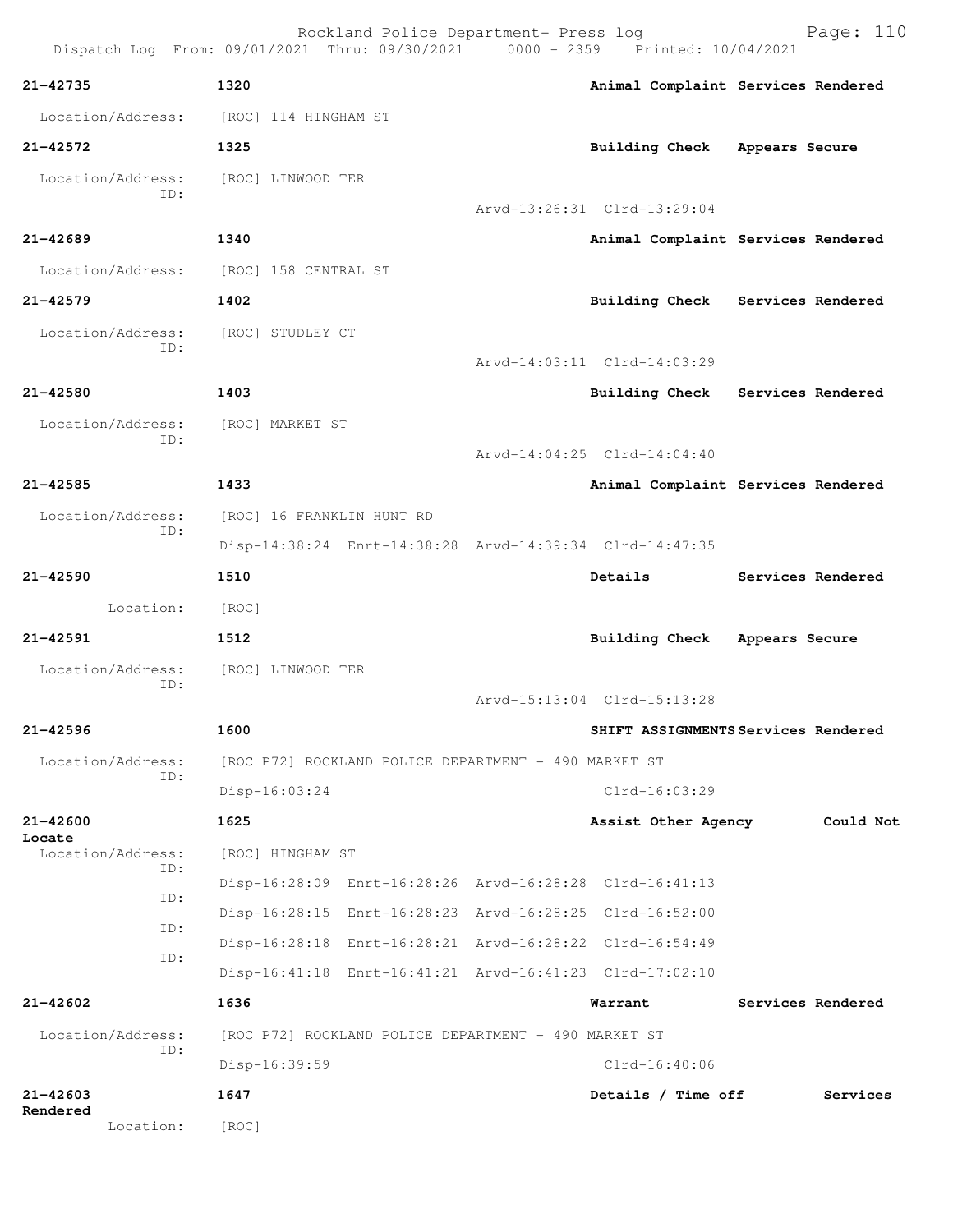| Dispatch Log From: 09/01/2021 Thru: 09/30/2021 0000 - 2359 Printed: 10/04/2021 |                                                      | Rockland Police Department- Press log |  |                                                         | Page: 110                          |  |  |
|--------------------------------------------------------------------------------|------------------------------------------------------|---------------------------------------|--|---------------------------------------------------------|------------------------------------|--|--|
| 21-42735                                                                       | 1320                                                 |                                       |  |                                                         | Animal Complaint Services Rendered |  |  |
| Location/Address:                                                              | [ROC] 114 HINGHAM ST                                 |                                       |  |                                                         |                                    |  |  |
| $21 - 42572$                                                                   | 1325                                                 |                                       |  | Building Check                                          | Appears Secure                     |  |  |
| Location/Address: [ROC] LINWOOD TER<br>ID:                                     |                                                      |                                       |  |                                                         |                                    |  |  |
|                                                                                |                                                      |                                       |  | Arvd-13:26:31 Clrd-13:29:04                             |                                    |  |  |
| $21 - 42689$                                                                   | 1340                                                 |                                       |  |                                                         | Animal Complaint Services Rendered |  |  |
| Location/Address:                                                              | [ROC] 158 CENTRAL ST                                 |                                       |  |                                                         |                                    |  |  |
| $21 - 42579$                                                                   | 1402                                                 |                                       |  |                                                         | Building Check Services Rendered   |  |  |
| Location/Address:<br>ID:                                                       | [ROC] STUDLEY CT                                     |                                       |  |                                                         |                                    |  |  |
|                                                                                |                                                      |                                       |  | Arvd-14:03:11 Clrd-14:03:29                             |                                    |  |  |
| 21-42580                                                                       | 1403                                                 |                                       |  |                                                         | Building Check Services Rendered   |  |  |
| Location/Address:<br>ID:                                                       | [ROC] MARKET ST                                      |                                       |  |                                                         |                                    |  |  |
|                                                                                |                                                      |                                       |  | Arvd-14:04:25 Clrd-14:04:40                             |                                    |  |  |
| $21 - 42585$                                                                   | 1433                                                 |                                       |  |                                                         | Animal Complaint Services Rendered |  |  |
| Location/Address:<br>ID:                                                       | [ROC] 16 FRANKLIN HUNT RD                            |                                       |  |                                                         |                                    |  |  |
|                                                                                |                                                      |                                       |  | Disp-14:38:24 Enrt-14:38:28 Arvd-14:39:34 Clrd-14:47:35 |                                    |  |  |
| 21-42590                                                                       | 1510                                                 |                                       |  | Details                                                 | Services Rendered                  |  |  |
| Location:                                                                      | [ROC]                                                |                                       |  |                                                         |                                    |  |  |
| $21 - 42591$                                                                   | 1512                                                 |                                       |  | <b>Building Check</b>                                   | Appears Secure                     |  |  |
| Location/Address:<br>ID:                                                       | [ROC] LINWOOD TER                                    |                                       |  |                                                         |                                    |  |  |
|                                                                                |                                                      |                                       |  | Arvd-15:13:04 Clrd-15:13:28                             |                                    |  |  |
| 21-42596                                                                       | 1600                                                 |                                       |  | SHIFT ASSIGNMENTS Services Rendered                     |                                    |  |  |
| Location/Address:<br>ID:                                                       | [ROC P72] ROCKLAND POLICE DEPARTMENT - 490 MARKET ST |                                       |  |                                                         |                                    |  |  |
|                                                                                | Disp-16:03:24                                        |                                       |  | $Clrd-16:03:29$                                         |                                    |  |  |
| $21 - 42600$                                                                   | 1625                                                 |                                       |  | Assist Other Agency                                     | Could Not                          |  |  |
| Locate<br>Location/Address:<br>ID:                                             | [ROC] HINGHAM ST                                     |                                       |  |                                                         |                                    |  |  |
|                                                                                |                                                      |                                       |  | Disp-16:28:09 Enrt-16:28:26 Arvd-16:28:28 Clrd-16:41:13 |                                    |  |  |
| ID:                                                                            |                                                      |                                       |  | Disp-16:28:15 Enrt-16:28:23 Arvd-16:28:25 Clrd-16:52:00 |                                    |  |  |
| ID:<br>ID:                                                                     |                                                      |                                       |  | Disp-16:28:18 Enrt-16:28:21 Arvd-16:28:22 Clrd-16:54:49 |                                    |  |  |
|                                                                                |                                                      |                                       |  | Disp-16:41:18 Enrt-16:41:21 Arvd-16:41:23 Clrd-17:02:10 |                                    |  |  |
| 21-42602                                                                       | 1636                                                 |                                       |  | Warrant                                                 | Services Rendered                  |  |  |
| Location/Address:<br>ID:                                                       | [ROC P72] ROCKLAND POLICE DEPARTMENT - 490 MARKET ST |                                       |  |                                                         |                                    |  |  |
|                                                                                | Disp-16:39:59                                        |                                       |  | $Clrd-16:40:06$                                         |                                    |  |  |
| $21 - 42603$<br>Rendered                                                       | 1647                                                 |                                       |  | Details / Time off<br>Services                          |                                    |  |  |
| Location:                                                                      | [ROC]                                                |                                       |  |                                                         |                                    |  |  |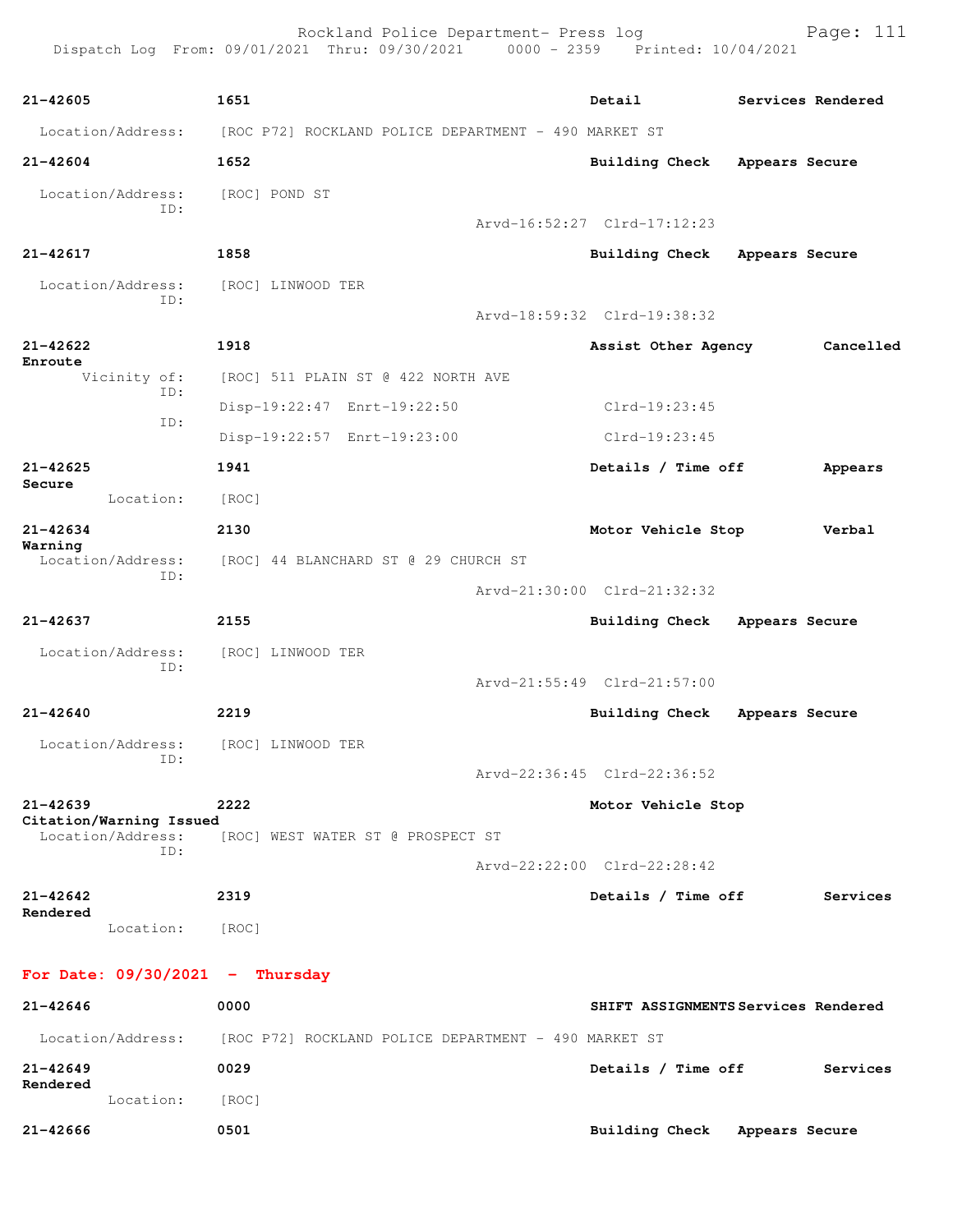Rockland Police Department- Press log Page: 111 Dispatch Log From: 09/01/2021 Thru: 09/30/2021 0000 - 2359 Printed: 10/04/2021 **21-42605 1651 Detail Services Rendered** Location/Address: [ROC P72] ROCKLAND POLICE DEPARTMENT - 490 MARKET ST **21-42604 1652 Building Check Appears Secure** Location/Address: [ROC] POND ST ID: Arvd-16:52:27 Clrd-17:12:23 **21-42617 1858 Building Check Appears Secure** Location/Address: [ROC] LINWOOD TER ID: Arvd-18:59:32 Clrd-19:38:32 **21-42622 1918 Assist Other Agency Cancelled Enroute**  Vicinity of: [ROC] 511 PLAIN ST @ 422 NORTH AVE ID: Disp-19:22:47 Enrt-19:22:50 Clrd-19:23:45 ID: Disp-19:22:57 Enrt-19:23:00 Clrd-19:23:45 **21-42625 1941 Details / Time off Appears Secure**  Location: [ROC] **21-42634 2130 Motor Vehicle Stop Verbal Warning**  [ROC] 44 BLANCHARD ST @ 29 CHURCH ST ID: Arvd-21:30:00 Clrd-21:32:32 **21-42637 2155 Building Check Appears Secure** Location/Address: [ROC] LINWOOD TER ID: Arvd-21:55:49 Clrd-21:57:00 **21-42640 2219 Building Check Appears Secure** Location/Address: [ROC] LINWOOD TER ID: Arvd-22:36:45 Clrd-22:36:52 **21-42639 2222 Motor Vehicle Stop Citation/Warning Issued**  [ROC] WEST WATER ST @ PROSPECT ST ID: Arvd-22:22:00 Clrd-22:28:42 **21-42642 2319 Details / Time off Services Rendered**  Location: [ROC] **For Date: 09/30/2021 - Thursday 21-42646 0000 SHIFT ASSIGNMENTS Services Rendered** Location/Address: [ROC P72] ROCKLAND POLICE DEPARTMENT - 490 MARKET ST

**21-42649 0029 Details / Time off Services**

**21-42666 0501 Building Check Appears Secure**

**Rendered** 

Location: [ROC]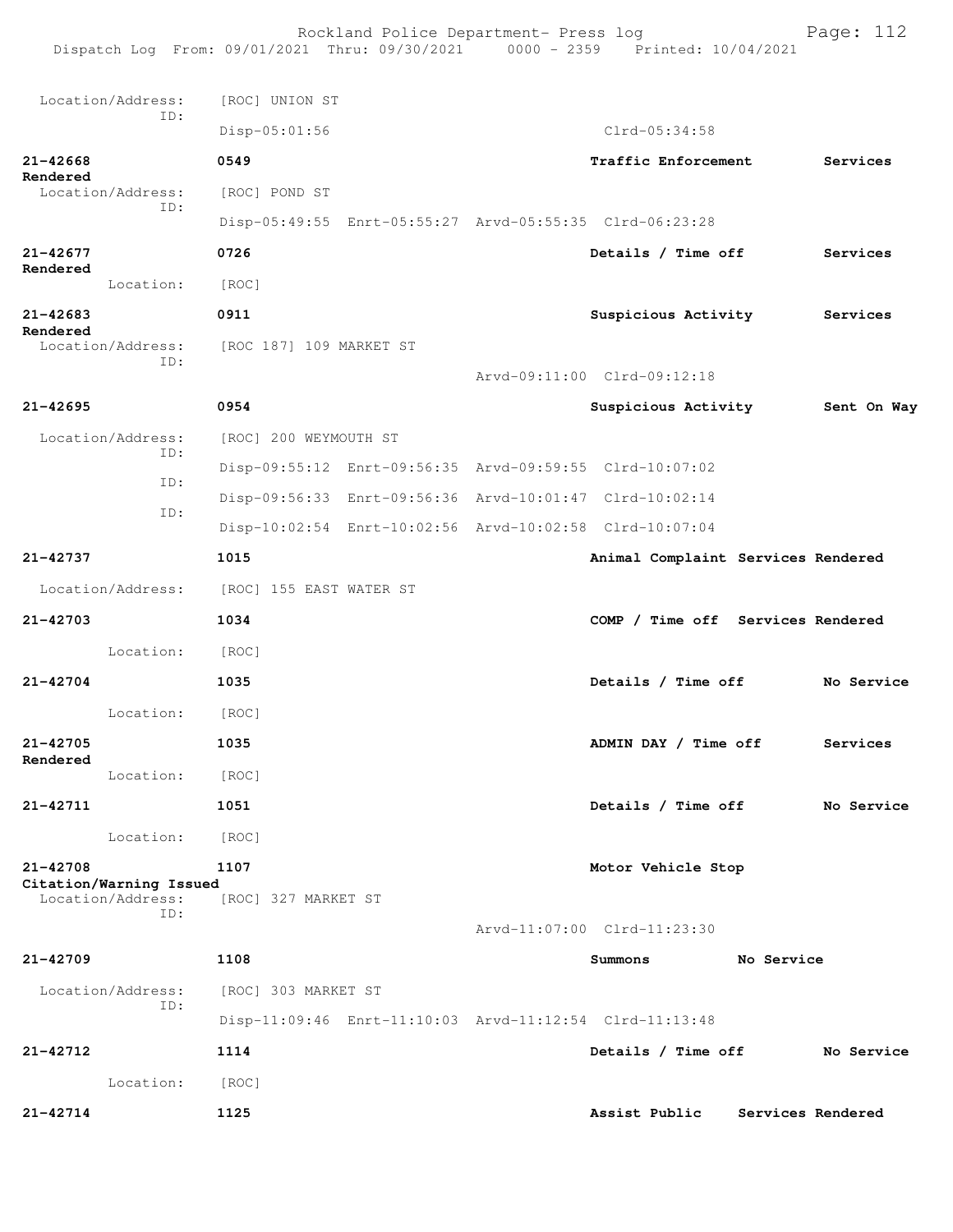Rockland Police Department- Press log Page: 112 Dispatch Log From: 09/01/2021 Thru: 09/30/2021 0000 - 2359 Printed: 10/04/2021 Location/Address: [ROC] UNION ST ID: Disp-05:01:56 Clrd-05:34:58 **21-42668 0549 Traffic Enforcement Services Rendered**  Location/Address: [ROC] POND ST ID: Disp-05:49:55 Enrt-05:55:27 Arvd-05:55:35 Clrd-06:23:28 **21-42677 0726 Details / Time off Services Rendered**  Location: [ROC] **21-42683 0911 Suspicious Activity Services Rendered**<br>Location/Address: Location/Address: [ROC 187] 109 MARKET ST ID: Arvd-09:11:00 Clrd-09:12:18 **21-42695 0954 Suspicious Activity Sent On Way** Location/Address: [ROC] 200 WEYMOUTH ST ID: Disp-09:55:12 Enrt-09:56:35 Arvd-09:59:55 Clrd-10:07:02 ID: Disp-09:56:33 Enrt-09:56:36 Arvd-10:01:47 Clrd-10:02:14 ID: Disp-10:02:54 Enrt-10:02:56 Arvd-10:02:58 Clrd-10:07:04 **21-42737 1015 Animal Complaint Services Rendered** Location/Address: [ROC] 155 EAST WATER ST **21-42703 1034 COMP / Time off Services Rendered** Location: [ROC] **21-42704 1035 Details / Time off No Service** Location: [ROC] **21-42705 1035 ADMIN DAY / Time off Services Rendered**  Location: [ROC] **21-42711 1051 Details / Time off No Service** Location: [ROC] **21-42708 1107 Motor Vehicle Stop Citation/Warning Issued**  Location/Address: [ROC] 327 MARKET ST ID: Arvd-11:07:00 Clrd-11:23:30 **21-42709 1108 Summons No Service** Location/Address: [ROC] 303 MARKET ST ID: Disp-11:09:46 Enrt-11:10:03 Arvd-11:12:54 Clrd-11:13:48 **21-42712 1114 Details / Time off No Service** Location: [ROC] **21-42714 1125 Assist Public Services Rendered**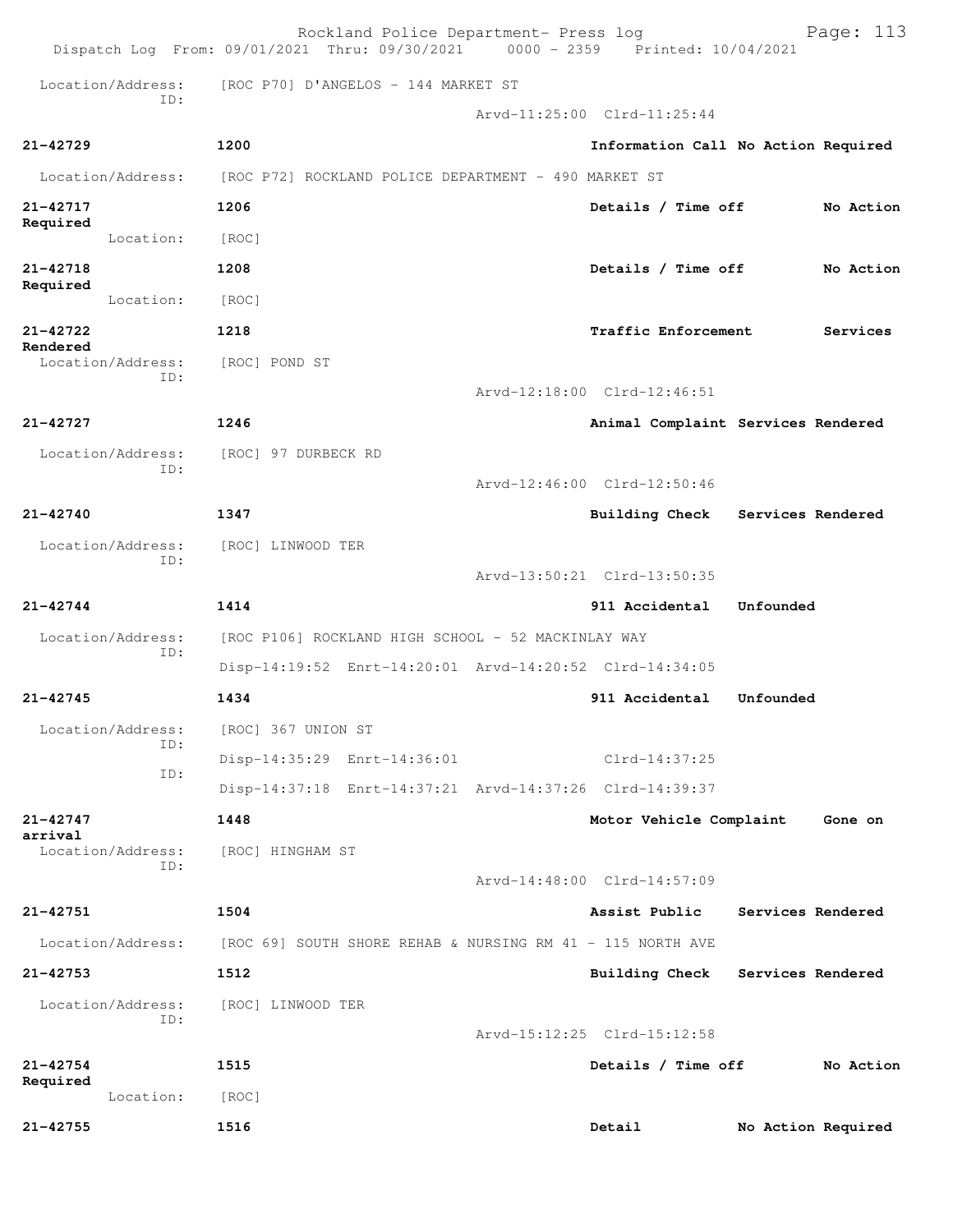|                                 | Rockland Police Department- Press log<br>Dispatch Log From: 09/01/2021 Thru: 09/30/2021 0000 - 2359 Printed: 10/04/2021 |                    |                                    | Page: 113                           |  |  |
|---------------------------------|-------------------------------------------------------------------------------------------------------------------------|--------------------|------------------------------------|-------------------------------------|--|--|
| Location/Address:               | [ROC P70] D'ANGELOS - 144 MARKET ST                                                                                     |                    |                                    |                                     |  |  |
| TD:                             |                                                                                                                         |                    | Arvd-11:25:00 Clrd-11:25:44        |                                     |  |  |
| 21-42729                        | 1200                                                                                                                    |                    |                                    | Information Call No Action Required |  |  |
| Location/Address:               | [ROC P72] ROCKLAND POLICE DEPARTMENT - 490 MARKET ST                                                                    |                    |                                    |                                     |  |  |
| 21-42717                        | 1206                                                                                                                    | Details / Time off |                                    |                                     |  |  |
| Required<br>Location:           | [ROC]                                                                                                                   |                    |                                    |                                     |  |  |
| 21-42718                        | 1208<br>Details / Time off<br>No Action                                                                                 |                    |                                    |                                     |  |  |
| Required<br>Location:           | [ROC]                                                                                                                   |                    |                                    |                                     |  |  |
| 21-42722                        | 1218                                                                                                                    |                    | Traffic Enforcement<br>Services    |                                     |  |  |
| Rendered<br>Location/Address:   | [ROC] POND ST                                                                                                           |                    |                                    |                                     |  |  |
| ID:                             |                                                                                                                         |                    | Arvd-12:18:00 Clrd-12:46:51        |                                     |  |  |
| 21-42727                        | 1246                                                                                                                    |                    |                                    | Animal Complaint Services Rendered  |  |  |
| Location/Address:<br>ID:        | [ROC] 97 DURBECK RD                                                                                                     |                    |                                    |                                     |  |  |
|                                 |                                                                                                                         |                    | Arvd-12:46:00 Clrd-12:50:46        |                                     |  |  |
| 21-42740                        | 1347                                                                                                                    |                    |                                    | Building Check Services Rendered    |  |  |
| Location/Address:<br>ID:        | [ROC] LINWOOD TER                                                                                                       |                    |                                    |                                     |  |  |
|                                 |                                                                                                                         |                    | Arvd-13:50:21 Clrd-13:50:35        |                                     |  |  |
| 21-42744                        | 1414                                                                                                                    |                    | 911 Accidental                     | Unfounded                           |  |  |
| Location/Address:<br>ID:        | [ROC P106] ROCKLAND HIGH SCHOOL - 52 MACKINLAY WAY                                                                      |                    |                                    |                                     |  |  |
|                                 | Disp-14:19:52 Enrt-14:20:01 Arvd-14:20:52 Clrd-14:34:05                                                                 |                    |                                    |                                     |  |  |
| 21-42745                        | 1434                                                                                                                    |                    | 911 Accidental                     | Unfounded                           |  |  |
| Location/Address:<br>ID:<br>ID: | [ROC] 367 UNION ST                                                                                                      |                    |                                    |                                     |  |  |
|                                 | Disp-14:35:29 Enrt-14:36:01                                                                                             |                    | $Clrd-14:37:25$                    |                                     |  |  |
|                                 | Disp-14:37:18 Enrt-14:37:21 Arvd-14:37:26 Clrd-14:39:37                                                                 |                    |                                    |                                     |  |  |
| 21-42747<br>arrival             | 1448                                                                                                                    |                    | Motor Vehicle Complaint<br>Gone on |                                     |  |  |
| Location/Address:<br>ID:        | [ROC] HINGHAM ST                                                                                                        |                    |                                    |                                     |  |  |
|                                 |                                                                                                                         |                    | Arvd-14:48:00 Clrd-14:57:09        |                                     |  |  |
| 21-42751                        | 1504                                                                                                                    |                    | Assist Public                      | Services Rendered                   |  |  |
| Location/Address:               | $[ROC 69]$ SOUTH SHORE REHAB & NURSING RM 41 - 115 NORTH AVE                                                            |                    |                                    |                                     |  |  |
| $21 - 42753$                    | 1512                                                                                                                    |                    | <b>Building Check</b>              | Services Rendered                   |  |  |
| Location/Address:<br>ID:        | [ROC] LINWOOD TER                                                                                                       |                    |                                    |                                     |  |  |
|                                 |                                                                                                                         |                    | Arvd-15:12:25 Clrd-15:12:58        |                                     |  |  |
| $21 - 42754$                    | 1515                                                                                                                    |                    | Details / Time off<br>No Action    |                                     |  |  |
| Required<br>Location:           | [ROC]                                                                                                                   |                    |                                    |                                     |  |  |
| 21-42755                        | 1516                                                                                                                    |                    | Detail                             | No Action Required                  |  |  |